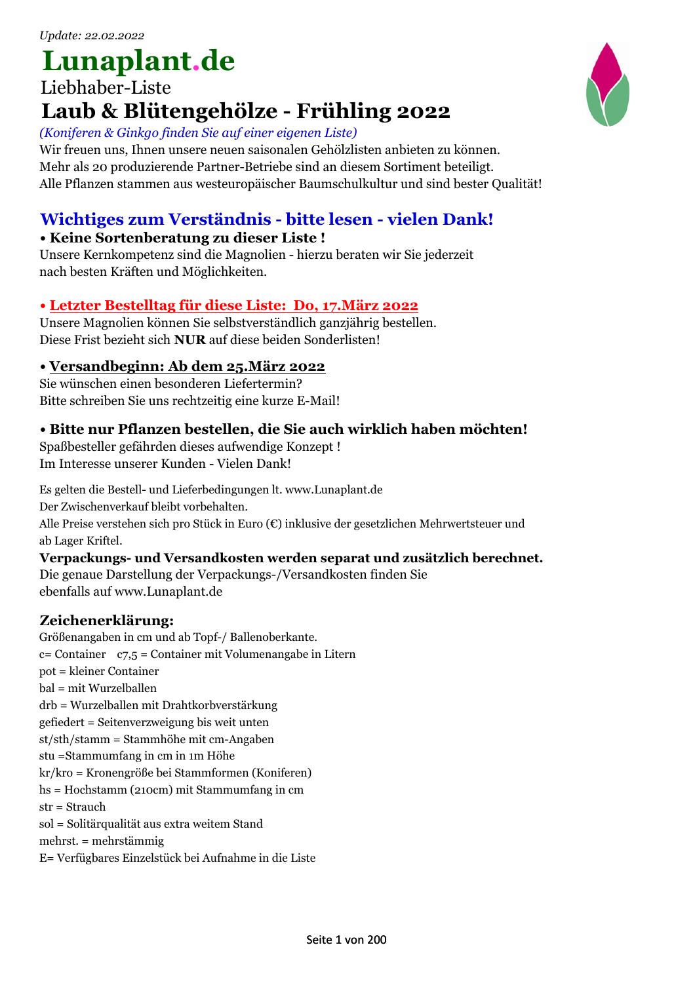# **Lunaplant.de**

# Liebhaber-Liste **Laub & Blütengehölze - Frühling 2022**

### *(Koniferen & Ginkgo finden Sie auf einer eigenen Liste)*

Wir freuen uns, Ihnen unsere neuen saisonalen Gehölzlisten anbieten zu können. Mehr als 20 produzierende Partner-Betriebe sind an diesem Sortiment beteiligt. Alle Pflanzen stammen aus westeuropäischer Baumschulkultur und sind bester Qualität!

# **Wichtiges zum Verständnis - bitte lesen - vielen Dank!**

### **• Keine Sortenberatung zu dieser Liste !**

Unsere Kernkompetenz sind die Magnolien - hierzu beraten wir Sie jederzeit nach besten Kräften und Möglichkeiten.

## **• Letzter Bestelltag für diese Liste: Do, 17.März 2022**

Unsere Magnolien können Sie selbstverständlich ganzjährig bestellen. Diese Frist bezieht sich **NUR** auf diese beiden Sonderlisten!

### **• Versandbeginn: Ab dem 25.März 2022**

Sie wünschen einen besonderen Liefertermin? Bitte schreiben Sie uns rechtzeitig eine kurze E-Mail!

## **• Bitte nur Pflanzen bestellen, die Sie auch wirklich haben möchten!**

Spaßbesteller gefährden dieses aufwendige Konzept ! Im Interesse unserer Kunden - Vielen Dank!

Es gelten die Bestell- und Lieferbedingungen lt. www.Lunaplant.de

Der Zwischenverkauf bleibt vorbehalten.

Alle Preise verstehen sich pro Stück in Euro (€) inklusive der gesetzlichen Mehrwertsteuer und ab Lager Kriftel.

### **Verpackungs- und Versandkosten werden separat und zusätzlich berechnet.**

Die genaue Darstellung der Verpackungs-/Versandkosten finden Sie ebenfalls auf www.Lunaplant.de

### **Zeichenerklärung:**

Größenangaben in cm und ab Topf-/ Ballenoberkante. c= Container c7,5 = Container mit Volumenangabe in Litern pot = kleiner Container bal = mit Wurzelballen drb = Wurzelballen mit Drahtkorbverstärkung gefiedert = Seitenverzweigung bis weit unten st/sth/stamm = Stammhöhe mit cm-Angaben stu =Stammumfang in cm in 1m Höhe kr/kro = Kronengröße bei Stammformen (Koniferen) hs = Hochstamm (210cm) mit Stammumfang in cm str = Strauch sol = Solitärqualität aus extra weitem Stand mehrst. = mehrstämmig E= Verfügbares Einzelstück bei Aufnahme in die Liste

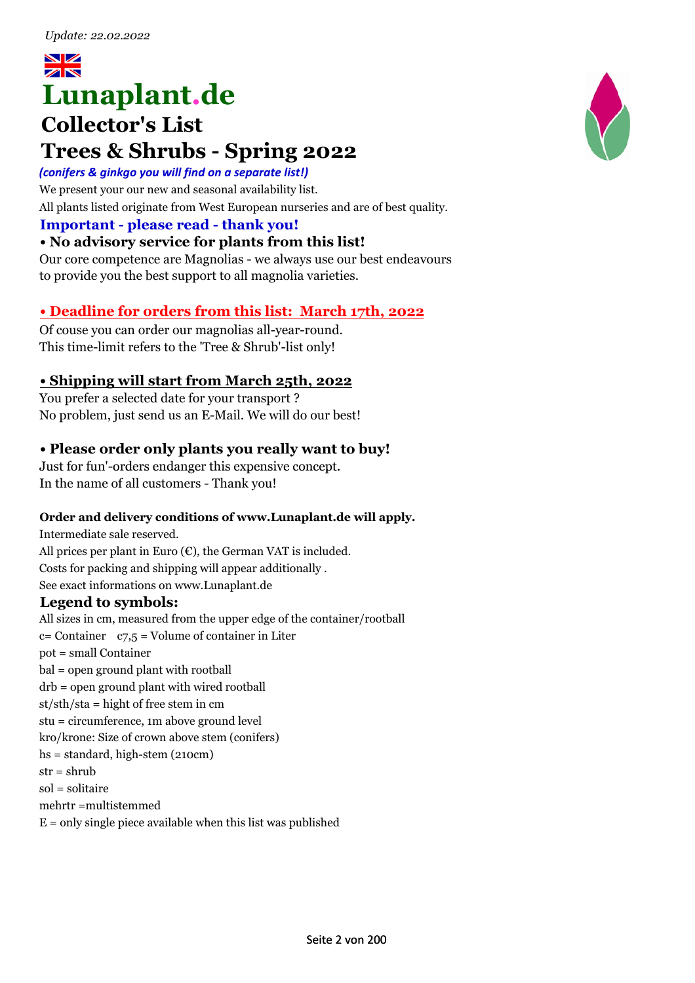# $z\propto$ **Lunaplant.de**

# **Collector's List Trees & Shrubs - Spring 2022**

### *(conifers & ginkgo you will find on a separate list!)*

We present your our new and seasonal availability list. All plants listed originate from West European nurseries and are of best quality.

### **Important - please read - thank you!**

### **• No advisory service for plants from this list!**

Our core competence are Magnolias - we always use our best endeavours to provide you the best support to all magnolia varieties.

### **• Deadline for orders from this list: March 17th, 2022**

Of couse you can order our magnolias all-year-round. This time-limit refers to the 'Tree & Shrub'-list only!

### **• Shipping will start from March 25th, 2022**

You prefer a selected date for your transport ? No problem, just send us an E-Mail. We will do our best!

### **• Please order only plants you really want to buy!**

Just for fun'-orders endanger this expensive concept. In the name of all customers - Thank you!

### **Order and delivery conditions of www.Lunaplant.de will apply.**

Intermediate sale reserved. All prices per plant in Euro  $(\epsilon)$ , the German VAT is included. Costs for packing and shipping will appear additionally . See exact informations on www.Lunaplant.de

### **Legend to symbols:**

All sizes in cm, measured from the upper edge of the container/rootball  $c =$  Container  $c = 7.5$  = Volume of container in Liter pot = small Container bal = open ground plant with rootball drb = open ground plant with wired rootball  $st/sth/sta = hight$  of free stem in cm stu = circumference, 1m above ground level kro/krone: Size of crown above stem (conifers) hs = standard, high-stem (210cm)  $str = shrub$ sol = solitaire mehrtr =multistemmed  $E =$  only single piece available when this list was published

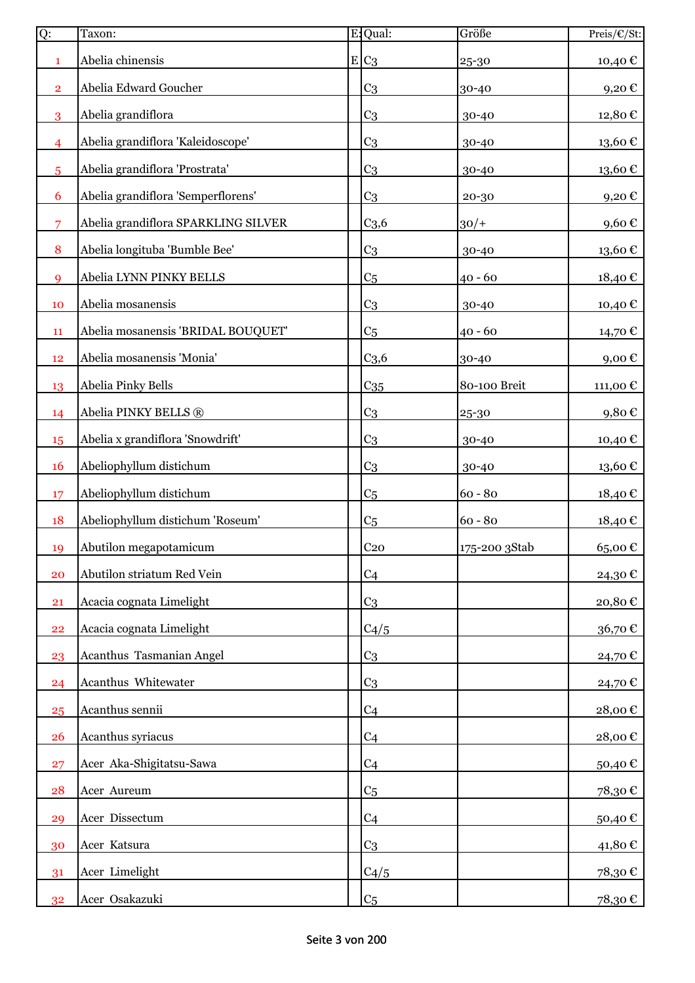| Ö              | Taxon:                              | E: Qual:         | Größe         | Preis/€/St:         |
|----------------|-------------------------------------|------------------|---------------|---------------------|
| 1              | Abelia chinensis                    | $E C_3$          | 25-30         | 10,40€              |
| $\overline{2}$ | Abelia Edward Goucher               | C <sub>3</sub>   | 30-40         | 9,20€               |
| 3              | Abelia grandiflora                  | C <sub>3</sub>   | 30-40         | 12,80€              |
| $\overline{4}$ | Abelia grandiflora 'Kaleidoscope'   | C <sub>3</sub>   | 30-40         | 13,60€              |
| 5              | Abelia grandiflora 'Prostrata'      | C <sub>3</sub>   | 30-40         | 13,60€              |
| 6              | Abelia grandiflora 'Semperflorens'  | C <sub>3</sub>   | 20-30         | 9,20€               |
| 7              | Abelia grandiflora SPARKLING SILVER | C <sub>3,6</sub> | $30/+$        | 9,60€               |
| 8              | Abelia longituba 'Bumble Bee'       | C <sub>3</sub>   | 30-40         | $13{,}60 \in$       |
| 9              | Abelia LYNN PINKY BELLS             | C <sub>5</sub>   | $40 - 60$     | 18,40€              |
| 10             | Abelia mosanensis                   | C <sub>3</sub>   | 30-40         | 10,40€              |
| 11             | Abelia mosanensis 'BRIDAL BOUQUET'  | C <sub>5</sub>   | $40 - 60$     | 14,70€              |
| 12             | Abelia mosanensis 'Monia'           | C <sub>3,6</sub> | 30-40         | $9,00 \text{ } \in$ |
| 13             | Abelia Pinky Bells                  | $C_{35}$         | 80-100 Breit  | 111,00€             |
| 14             | Abelia PINKY BELLS ®                | C <sub>3</sub>   | 25-30         | 9,80€               |
| 15             | Abelia x grandiflora 'Snowdrift'    | C <sub>3</sub>   | 30-40         | 10,40 €             |
| 16             | Abeliophyllum distichum             | C <sub>3</sub>   | 30-40         | 13,60€              |
| 17             | Abeliophyllum distichum             | C <sub>5</sub>   | $60 - 80$     | 18,40€              |
| 18             | Abeliophyllum distichum 'Roseum'    | C <sub>5</sub>   | $60 - 80$     | 18,40 €             |
| 19             | Abutilon megapotamicum              | C <sub>20</sub>  | 175-200 3Stab | 65,00€              |
| 20             | Abutilon striatum Red Vein          | C <sub>4</sub>   |               | 24,30€              |
| 21             | Acacia cognata Limelight            | C <sub>3</sub>   |               | 20,80€              |
| 22             | Acacia cognata Limelight            | C4/5             |               | 36,70€              |
| 23             | Acanthus Tasmanian Angel            | C <sub>3</sub>   |               | 24,70€              |
| 24             | Acanthus Whitewater                 | C <sub>3</sub>   |               | 24,70€              |
| 25             | Acanthus sennii                     | C <sub>4</sub>   |               | 28,00€              |
| 26             | Acanthus syriacus                   | C <sub>4</sub>   |               | 28,00€              |
| 27             | Acer Aka-Shigitatsu-Sawa            | C <sub>4</sub>   |               | 50,40€              |
| 28             | Acer Aureum                         | C <sub>5</sub>   |               | 78,30€              |
| 29             | Acer Dissectum                      | C <sub>4</sub>   |               | 50,40€              |
| 30             | Acer Katsura                        | C <sub>3</sub>   |               | 41,80€              |
| 31             | Acer Limelight                      | C4/5             |               | 78,30€              |
| 32             | Acer Osakazuki                      | C <sub>5</sub>   |               | 78,30€              |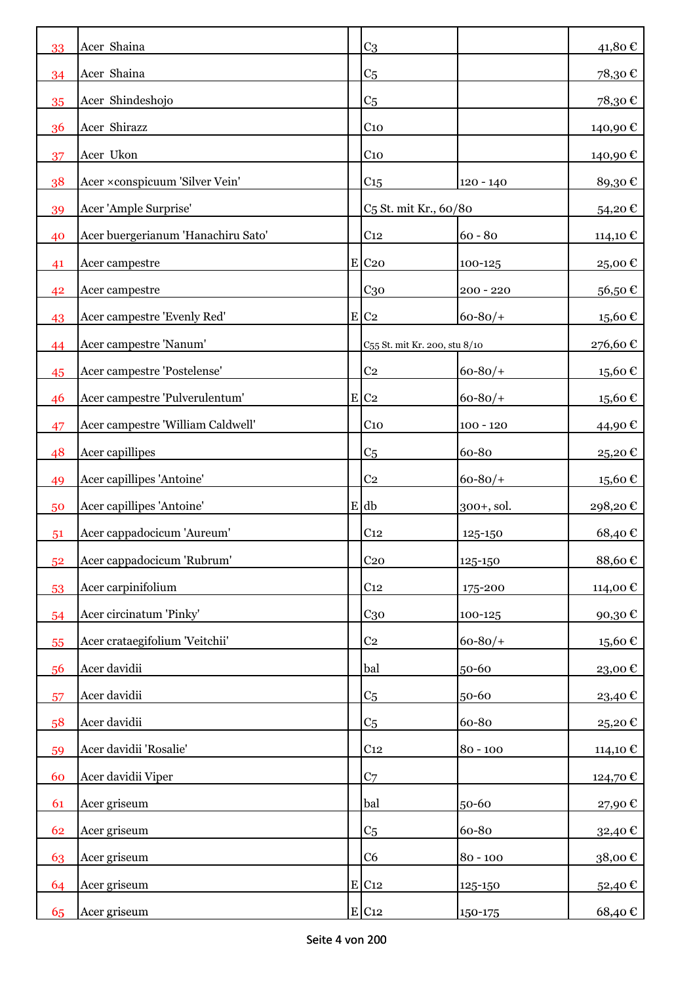| 33 | Acer Shaina                        | C <sub>3</sub>                    |              | 41,80€      |
|----|------------------------------------|-----------------------------------|--------------|-------------|
| 34 | Acer Shaina                        | C <sub>5</sub>                    |              | 78,30€      |
| 35 | Acer Shindeshojo                   | C <sub>5</sub>                    |              | 78,30€      |
| 36 | Acer Shirazz                       | C <sub>10</sub>                   |              | 140,90 €    |
| 37 | Acer Ukon                          | C <sub>10</sub>                   |              | 140,90 €    |
| 38 | Acer ×conspicuum 'Silver Vein'     | C15                               | $120 - 140$  | 89,30€      |
| 39 | Acer 'Ample Surprise'              | C <sub>5</sub> St. mit Kr., 60/80 |              | 54,20€      |
| 40 | Acer buergerianum 'Hanachiru Sato' | C <sub>12</sub>                   | $60 - 80$    | 114,10 €    |
| 41 | Acer campestre                     | $E$ C <sub>20</sub>               | 100-125      | 25,00€      |
| 42 | Acer campestre                     | C <sub>30</sub>                   | $200 - 220$  | 56,50€      |
| 43 | Acer campestre 'Evenly Red'        | $E$ C <sub>2</sub>                | $60 - 80/$   | 15,60€      |
| 44 | Acer campestre 'Nanum'             | C55 St. mit Kr. 200, stu 8/10     |              | 276,60€     |
| 45 | Acer campestre 'Postelense'        | C <sub>2</sub>                    | $60 - 80/$   | 15,60 €     |
| 46 | Acer campestre 'Pulverulentum'     | $E$ C <sub>2</sub>                | $60 - 80/$   | 15,60€      |
| 47 | Acer campestre 'William Caldwell'  | C <sub>10</sub>                   | $100 - 120$  | 44,90 €     |
| 48 | Acer capillipes                    | C <sub>5</sub>                    | 60-80        | 25,20€      |
| 49 | Acer capillipes 'Antoine'          | C <sub>2</sub>                    | $60 - 80/$   | 15,60 €     |
| 50 | Acer capillipes 'Antoine'          | $E$ db                            | $300+,$ sol. | 298,20€     |
| 51 | Acer cappadocicum 'Aureum'         | C <sub>12</sub>                   | 125-150      | 68,40€      |
| 52 | Acer cappadocicum 'Rubrum'         | C <sub>20</sub>                   | 125-150      | 88,60 $\in$ |
| 53 | Acer carpinifolium                 | C <sub>12</sub>                   | 175-200      | 114,00 €    |
| 54 | Acer circinatum 'Pinky'            | C <sub>30</sub>                   | 100-125      | 90,30€      |
| 55 | Acer crataegifolium 'Veitchii'     | $\rm{C}2$                         | $60 - 80/$   | 15,60€      |
| 56 | Acer davidii                       | bal                               | 50-60        | 23,00€      |
| 57 | Acer davidii                       | C <sub>5</sub>                    | 50-60        | 23,40€      |
| 58 | Acer davidii                       | C <sub>5</sub>                    | 60-80        | 25,20€      |
| 59 | Acer davidii 'Rosalie'             | C <sub>12</sub>                   | $80 - 100$   | 114,10 €    |
| 60 | Acer davidii Viper                 | C <sub>7</sub>                    |              | 124,70€     |
| 61 | Acer griseum                       | bal                               | 50-60        | 27,90€      |
| 62 | Acer griseum                       | C <sub>5</sub>                    | 60-80        | 32,40€      |
| 63 | Acer griseum                       | C6                                | $80 - 100$   | 38,00€      |
| 64 | Acer griseum                       | $E$ C <sub>12</sub>               | 125-150      | 52,40€      |
| 65 | Acer griseum                       | E C12                             | 150-175      | 68,40€      |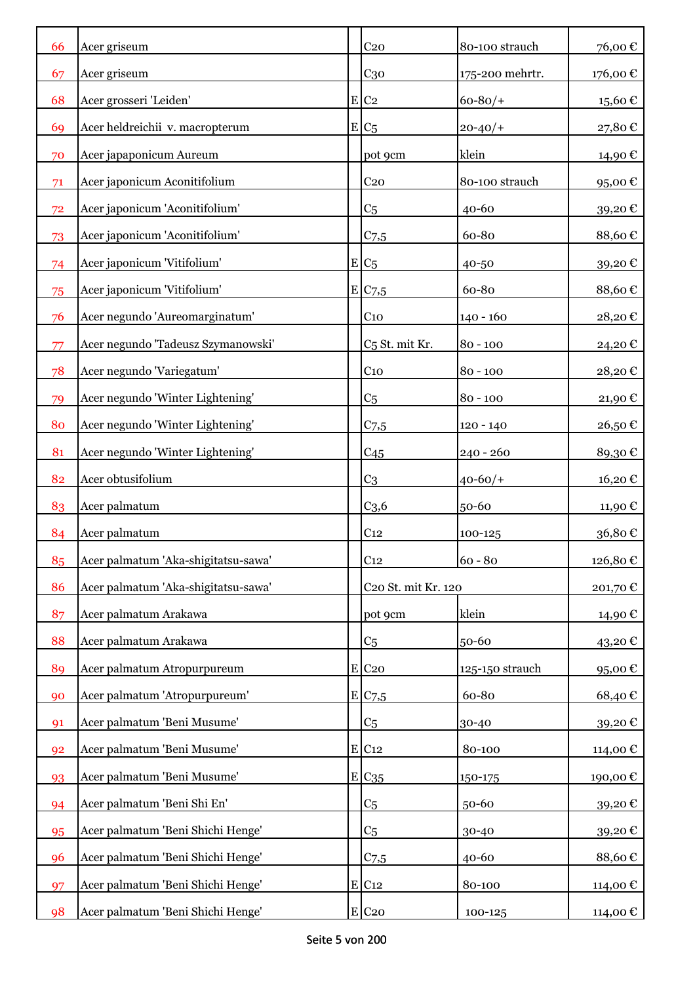| 66 | Acer griseum                        | C <sub>20</sub>            | 80-100 strauch  | 76,00€            |
|----|-------------------------------------|----------------------------|-----------------|-------------------|
| 67 | Acer griseum                        | C <sub>30</sub>            | 175-200 mehrtr. | 176,00 €          |
| 68 | Acer grosseri 'Leiden'              | $E$ C <sub>2</sub>         | $60 - 80/$      | 15,60€            |
| 69 | Acer heldreichii v. macropterum     | $E C_5$                    | $20 - 40/$      | 27,80€            |
| 70 | Acer japaponicum Aureum             | pot 9cm                    | klein           | 14,90 €           |
| 71 | Acer japonicum Aconitifolium        | C <sub>20</sub>            | 80-100 strauch  | 95,00€            |
| 72 | Acer japonicum 'Aconitifolium'      | C <sub>5</sub>             | 40-60           | 39,20€            |
| 73 | Acer japonicum 'Aconitifolium'      | $C$ 7,5                    | 60-80           | 88,60€            |
| 74 | Acer japonicum 'Vitifolium'         | $E C_5$                    | 40-50           | 39,20€            |
| 75 | Acer japonicum 'Vitifolium'         | E/C7,5                     | 60-80           | 88,60€            |
| 76 | Acer negundo 'Aureomarginatum'      | C <sub>10</sub>            | $140 - 160$     | 28,20€            |
| 77 | Acer negundo 'Tadeusz Szymanowski'  | C <sub>5</sub> St. mit Kr. | $80 - 100$      | 24,20€            |
| 78 | Acer negundo 'Variegatum'           | C <sub>10</sub>            | $80 - 100$      | 28,20€            |
| 79 | Acer negundo 'Winter Lightening'    | C <sub>5</sub>             | $80 - 100$      | 21,90€            |
| 80 | Acer negundo 'Winter Lightening'    | $C$ 7,5                    | 120 - 140       | 26,50€            |
| 81 | Acer negundo 'Winter Lightening'    | C <sub>45</sub>            | 240 - 260       | 89,30€            |
| 82 | Acer obtusifolium                   | C <sub>3</sub>             | $40 - 60/$      | 16,20€            |
| 83 | Acer palmatum                       | C <sub>3,6</sub>           | 50-60           | 11,90 €           |
| 84 | Acer palmatum                       | C <sub>12</sub>            | 100-125         | 36,80€            |
| 85 | Acer palmatum 'Aka-shigitatsu-sawa' | C <sub>12</sub>            | $60 - 80$       | 126,80€           |
| 86 | Acer palmatum 'Aka-shigitatsu-sawa' | C20 St. mit Kr. 120        |                 | 201,70€           |
| 87 | Acer palmatum Arakawa               | pot 9cm                    | klein           | 14,90 €           |
| 88 | Acer palmatum Arakawa               | C <sub>5</sub>             | 50-60           | 43,20€            |
| 89 | Acer palmatum Atropurpureum         | E C20                      | 125-150 strauch | 95,00 $\mathbb C$ |
| 90 | Acer palmatum 'Atropurpureum'       | E/C <sub>7,5</sub>         | 60-80           | 68,40€            |
| 91 | Acer palmatum 'Beni Musume'         | C <sub>5</sub>             | 30-40           | 39,20€            |
| 92 | Acer palmatum 'Beni Musume'         | E C12                      | 80-100          | 114,00 €          |
| 93 | Acer palmatum 'Beni Musume'         | E C <sub>35</sub>          | 150-175         | 190,00€           |
| 94 | Acer palmatum 'Beni Shi En'         | C <sub>5</sub>             | 50-60           | 39,20€            |
| 95 | Acer palmatum 'Beni Shichi Henge'   | C <sub>5</sub>             | 30-40           | 39,20€            |
| 96 | Acer palmatum 'Beni Shichi Henge'   | $C$ 7,5                    | 40-60           | 88,60€            |
| 97 | Acer palmatum 'Beni Shichi Henge'   | $E$ C <sub>12</sub>        | 80-100          | 114,00 €          |
| 98 | Acer palmatum 'Beni Shichi Henge'   | E C <sub>20</sub>          | 100-125         | 114,00 €          |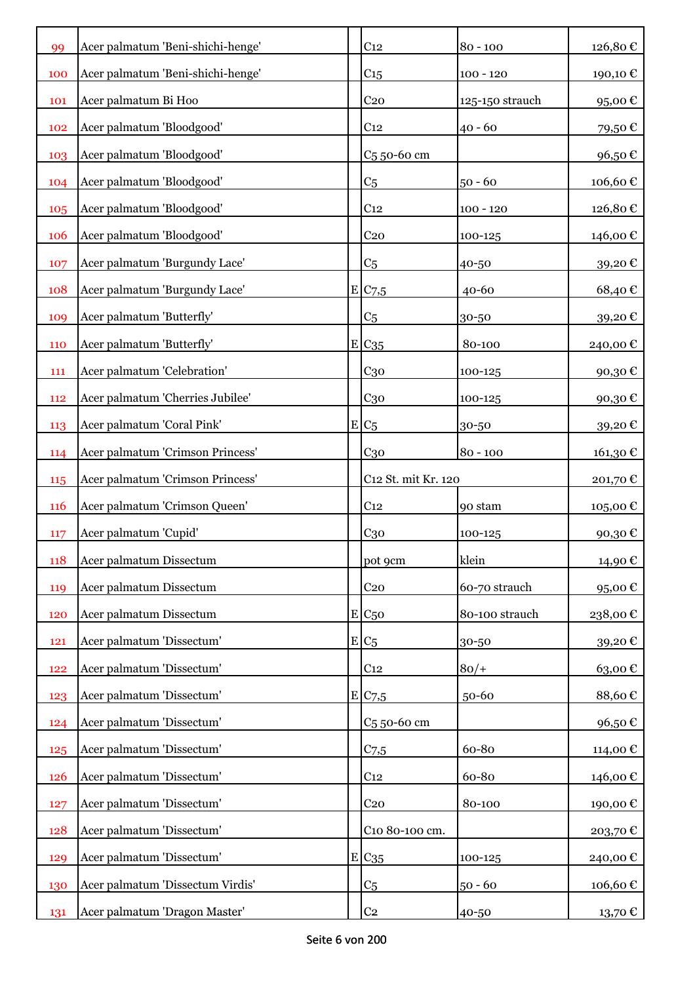| 99         | Acer palmatum 'Beni-shichi-henge' | C <sub>12</sub>         | $80 - 100$      | 126,80€      |
|------------|-----------------------------------|-------------------------|-----------------|--------------|
| 100        | Acer palmatum 'Beni-shichi-henge' | C <sub>15</sub>         | $100 - 120$     | 190,10€      |
| <b>101</b> | Acer palmatum Bi Hoo              | C <sub>20</sub>         | 125-150 strauch | 95,00€       |
| 102        | Acer palmatum 'Bloodgood'         | C <sub>12</sub>         | $40 - 60$       | 79,50€       |
| 103        | Acer palmatum 'Bloodgood'         | C <sub>5</sub> 50-60 cm |                 | 96,50€       |
| 104        | Acer palmatum 'Bloodgood'         | C <sub>5</sub>          | $50 - 60$       | 106,60€      |
| 105        | Acer palmatum 'Bloodgood'         | C <sub>12</sub>         | $100 - 120$     | 126,80€      |
| 106        | Acer palmatum 'Bloodgood'         | C <sub>20</sub>         | 100-125         | 146,00€      |
| 107        | Acer palmatum 'Burgundy Lace'     | C <sub>5</sub>          | 40-50           | 39,20€       |
| 108        | Acer palmatum 'Burgundy Lace'     | E C7,5                  | $40 - 60$       | 68,40€       |
| 109        | Acer palmatum 'Butterfly'         | C <sub>5</sub>          | 30-50           | 39,20€       |
| 110        | Acer palmatum 'Butterfly'         | E C35                   | 80-100          | 240,00€      |
| 111        | Acer palmatum 'Celebration'       | $C_{30}$                | 100-125         | 90,30€       |
| 112        | Acer palmatum 'Cherries Jubilee'  | $C_{30}$                | 100-125         | 90,30€       |
| 113        | Acer palmatum 'Coral Pink'        | $E/C_5$                 | 30-50           | 39,20€       |
| 114        | Acer palmatum 'Crimson Princess'  | C <sub>30</sub>         | $80 - 100$      | 161,30€      |
| 115        | Acer palmatum 'Crimson Princess'  | C12 St. mit Kr. 120     |                 | 201,70 €     |
| <b>116</b> | Acer palmatum 'Crimson Queen'     | C <sub>12</sub>         | 90 stam         | $105{,}00$ € |
| 117        | Acer palmatum 'Cupid'             | C <sub>30</sub>         | 100-125         | 90,30€       |
| 118        | Acer palmatum Dissectum           | pot 9cm                 | klein           | 14,90€       |
| 119        | Acer palmatum Dissectum           | C <sub>20</sub>         | 60-70 strauch   | 95,00€       |
| 120        | Acer palmatum Dissectum           | $E C_{50}$              | 80-100 strauch  | 238,00€      |
| 121        | Acer palmatum 'Dissectum'         | $E_{C5}$                | 30-50           | 39,20€       |
| 122        | Acer palmatum 'Dissectum'         | C <sub>12</sub>         | $80/+$          | 63,00€       |
| 123        | Acer palmatum 'Dissectum'         | E/C <sub>7,5</sub>      | 50-60           | 88,60€       |
| 124        | Acer palmatum 'Dissectum'         | C <sub>5</sub> 50-60 cm |                 | 96,50€       |
| 125        | Acer palmatum 'Dissectum'         | C <sub>7,5</sub>        | 60-80           | 114,00€      |
| 126        | Acer palmatum 'Dissectum'         | C <sub>12</sub>         | 60-80           | 146,00€      |
| 127        | Acer palmatum 'Dissectum'         | $C_{20}$                | 80-100          | 190,00€      |
| 128        | Acer palmatum 'Dissectum'         | C10 80-100 cm.          |                 | 203,70€      |
| 129        | Acer palmatum 'Dissectum'         | $E C_{35}$              | 100-125         | 240,00€      |
| 130        | Acer palmatum 'Dissectum Virdis'  | C <sub>5</sub>          | $50 - 60$       | 106,60€      |
| 131        | Acer palmatum 'Dragon Master'     | C <sub>2</sub>          | 40-50           | 13,70 €      |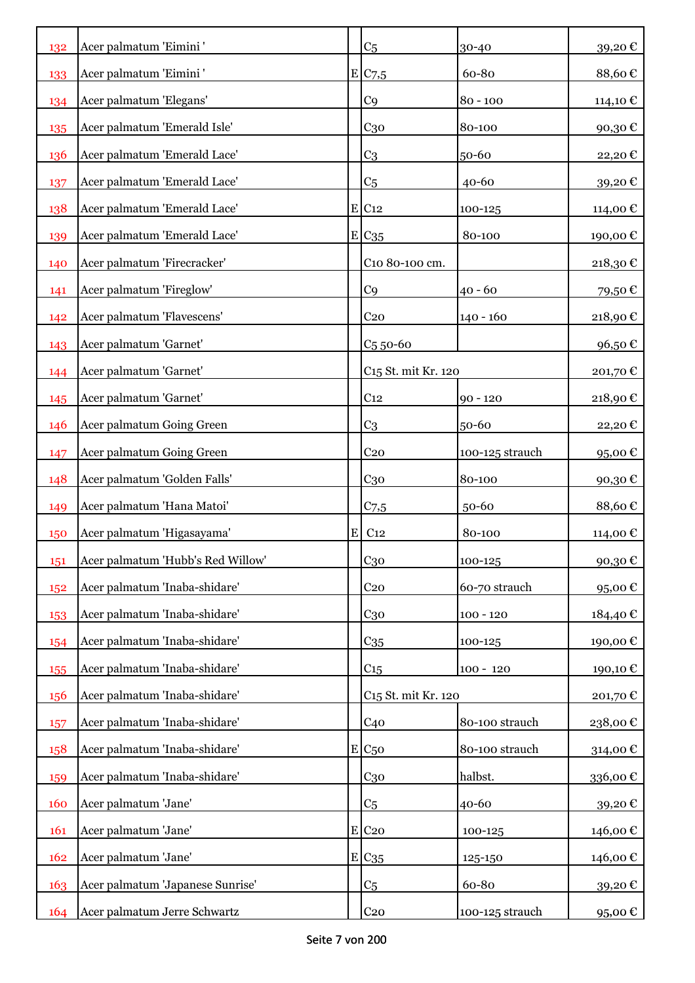| 132 | Acer palmatum 'Eimini'            |           | C <sub>5</sub>                  | 30-40           | 39,20€   |
|-----|-----------------------------------|-----------|---------------------------------|-----------------|----------|
| 133 | Acer palmatum 'Eimini'            |           | E/C <sub>7,5</sub>              | 60-80           | 88,60€   |
| 134 | Acer palmatum 'Elegans'           |           | C <sub>9</sub>                  | $80 - 100$      | 114,10 € |
| 135 | Acer palmatum 'Emerald Isle'      |           | C <sub>30</sub>                 | 80-100          | 90,30€   |
| 136 | Acer palmatum 'Emerald Lace'      |           | C <sub>3</sub>                  | 50-60           | 22,20€   |
| 137 | Acer palmatum 'Emerald Lace'      |           | C <sub>5</sub>                  | 40-60           | 39,20€   |
| 138 | Acer palmatum 'Emerald Lace'      |           | $E$ C <sub>12</sub>             | 100-125         | 114,00 € |
| 139 | Acer palmatum 'Emerald Lace'      |           | $E C_{35}$                      | 80-100          | 190,00€  |
| 140 | Acer palmatum 'Firecracker'       |           | C10 80-100 cm.                  |                 | 218,30€  |
| 141 | Acer palmatum 'Fireglow'          |           | C <sub>9</sub>                  | $40 - 60$       | 79,50€   |
| 142 | Acer palmatum 'Flavescens'        |           | C <sub>20</sub>                 | $140 - 160$     | 218,90€  |
| 143 | Acer palmatum 'Garnet'            |           | $C5$ 50-60                      |                 | 96,50€   |
| 144 | Acer palmatum 'Garnet'            |           | C <sub>15</sub> St. mit Kr. 120 |                 | 201,70€  |
| 145 | Acer palmatum 'Garnet'            |           | C <sub>12</sub>                 | $90 - 120$      | 218,90€  |
| 146 | Acer palmatum Going Green         |           | C <sub>3</sub>                  | 50-60           | 22,20€   |
| 147 | Acer palmatum Going Green         |           | C <sub>20</sub>                 | 100-125 strauch | 95,00€   |
| 148 | Acer palmatum 'Golden Falls'      |           | C <sub>30</sub>                 | 80-100          | 90,30€   |
| 149 | Acer palmatum 'Hana Matoi'        |           | $C$ 7,5                         | 50-60           | 88,60€   |
| 150 | Acer palmatum 'Higasayama'        | ${\bf E}$ | C <sub>12</sub>                 | 80-100          | 114,00 € |
| 151 | Acer palmatum 'Hubb's Red Willow' |           | C <sub>30</sub>                 | 100-125         | 90,30€   |
| 152 | Acer palmatum 'Inaba-shidare'     |           | C <sub>20</sub>                 | 60-70 strauch   | 95,00€   |
| 153 | Acer palmatum 'Inaba-shidare'     |           | $C_{30}$                        | $100 - 120$     | 184,40 € |
| 154 | Acer palmatum 'Inaba-shidare'     |           | $C_{35}$                        | 100-125         | 190,00€  |
| 155 | Acer palmatum 'Inaba-shidare'     |           | C <sub>15</sub>                 | $100 - 120$     | 190,10 € |
| 156 | Acer palmatum 'Inaba-shidare'     |           | C <sub>15</sub> St. mit Kr. 120 |                 | 201,70€  |
| 157 | Acer palmatum 'Inaba-shidare'     |           | C <sub>40</sub>                 | 80-100 strauch  | 238,00€  |
| 158 | Acer palmatum 'Inaba-shidare'     |           | $E C_{50}$                      | 80-100 strauch  | 314,00€  |
| 159 | Acer palmatum 'Inaba-shidare'     |           | $C_{30}$                        | halbst.         | 336,00€  |
| 160 | Acer palmatum 'Jane'              |           | C <sub>5</sub>                  | 40-60           | 39,20€   |
| 161 | Acer palmatum 'Jane'              |           | $E$ C <sub>20</sub>             | 100-125         | 146,00€  |
| 162 | Acer palmatum 'Jane'              |           | E/C35                           | 125-150         | 146,00 € |
| 163 | Acer palmatum 'Japanese Sunrise'  |           | C <sub>5</sub>                  | 60-80           | 39,20€   |
| 164 | Acer palmatum Jerre Schwartz      |           | C <sub>20</sub>                 | 100-125 strauch | 95,00€   |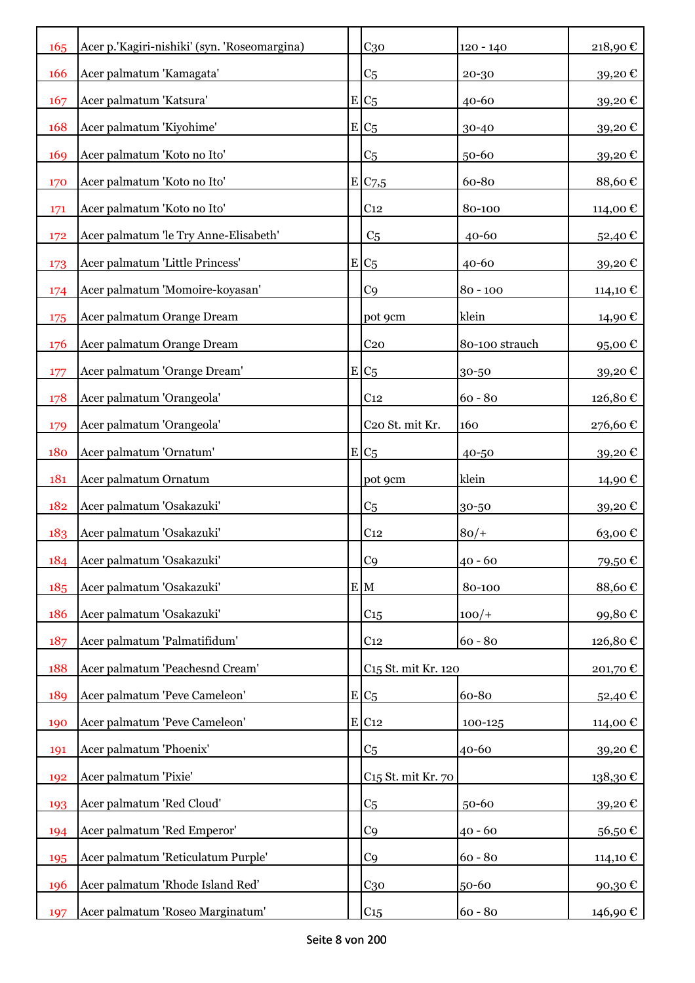| 165 | Acer p.'Kagiri-nishiki' (syn. 'Roseomargina) |    | C <sub>30</sub>                 | $120 - 140$    | 218,90€  |
|-----|----------------------------------------------|----|---------------------------------|----------------|----------|
| 166 | Acer palmatum 'Kamagata'                     |    | C <sub>5</sub>                  | 20-30          | 39,20€   |
| 167 | Acer palmatum 'Katsura'                      |    | $E C_5$                         | $40 - 60$      | 39,20€   |
| 168 | Acer palmatum 'Kiyohime'                     |    | $E C_5$                         | 30-40          | 39,20€   |
| 169 | Acer palmatum 'Koto no Ito'                  |    | C <sub>5</sub>                  | 50-60          | 39,20€   |
| 170 | Acer palmatum 'Koto no Ito'                  |    | E/C7,5                          | 60-80          | 88,60€   |
| 171 | Acer palmatum 'Koto no Ito'                  |    | C <sub>12</sub>                 | 80-100         | 114,00€  |
| 172 | Acer palmatum 'le Try Anne-Elisabeth'        |    | C <sub>5</sub>                  | $40 - 60$      | 52,40€   |
| 173 | Acer palmatum 'Little Princess'              |    | $E C_5$                         | $40 - 60$      | 39,20€   |
| 174 | Acer palmatum 'Momoire-koyasan'              |    | C <sub>9</sub>                  | $80 - 100$     | 114,10 € |
| 175 | Acer palmatum Orange Dream                   |    | pot 9cm                         | klein          | 14,90 €  |
| 176 | Acer palmatum Orange Dream                   |    | C <sub>20</sub>                 | 80-100 strauch | 95,00€   |
| 177 | Acer palmatum 'Orange Dream'                 |    | $E/C_5$                         | 30-50          | 39,20€   |
| 178 | Acer palmatum 'Orangeola'                    |    | C <sub>12</sub>                 | $60 - 80$      | 126,80€  |
| 179 | Acer palmatum 'Orangeola'                    |    | C20 St. mit Kr.                 | 160            | 276,60€  |
| 180 | Acer palmatum 'Ornatum'                      |    | $E C_5$                         | 40-50          | 39,20€   |
| 181 | Acer palmatum Ornatum                        |    | pot 9cm                         | klein          | 14,90 €  |
| 182 | Acer palmatum 'Osakazuki'                    |    | C <sub>5</sub>                  | 30-50          | 39,20€   |
| 183 | Acer palmatum 'Osakazuki'                    |    | C <sub>12</sub>                 | $80/+$         | 63,00€   |
| 184 | Acer palmatum 'Osakazuki'                    |    | C <sub>9</sub>                  | $40 - 60$      | 79,50€   |
| 185 | Acer palmatum 'Osakazuki'                    |    | E M                             | 80-100         | 88,60€   |
| 186 | Acer palmatum 'Osakazuki'                    |    | C <sub>15</sub>                 | $100/+$        | 99,80€   |
| 187 | Acer palmatum 'Palmatifidum'                 |    | C <sub>12</sub>                 | $60 - 80$      | 126,80€  |
| 188 | Acer palmatum 'Peachesnd Cream'              |    | C <sub>15</sub> St. mit Kr. 120 |                | 201,70€  |
| 189 | Acer palmatum 'Peve Cameleon'                |    | $E C_5$                         | 60-80          | 52,40€   |
| 190 | Acer palmatum 'Peve Cameleon'                | ΕI | C <sub>12</sub>                 | 100-125        | 114,00€  |
| 191 | Acer palmatum 'Phoenix'                      |    | C <sub>5</sub>                  | 40-60          | 39,20€   |
| 192 | Acer palmatum 'Pixie'                        |    | C <sub>15</sub> St. mit Kr. 70  |                | 138,30€  |
| 193 | Acer palmatum 'Red Cloud'                    |    | C <sub>5</sub>                  | 50-60          | 39,20€   |
| 194 | Acer palmatum 'Red Emperor'                  |    | C9                              | $40 - 60$      | 56,50€   |
| 195 | Acer palmatum 'Reticulatum Purple'           |    | C <sub>9</sub>                  | $60 - 80$      | 114,10 € |
| 196 | Acer palmatum 'Rhode Island Red'             |    | $C_{30}$                        | 50-60          | 90,30€   |
| 197 | Acer palmatum 'Roseo Marginatum'             |    | C15                             | $60 - 80$      | 146,90 € |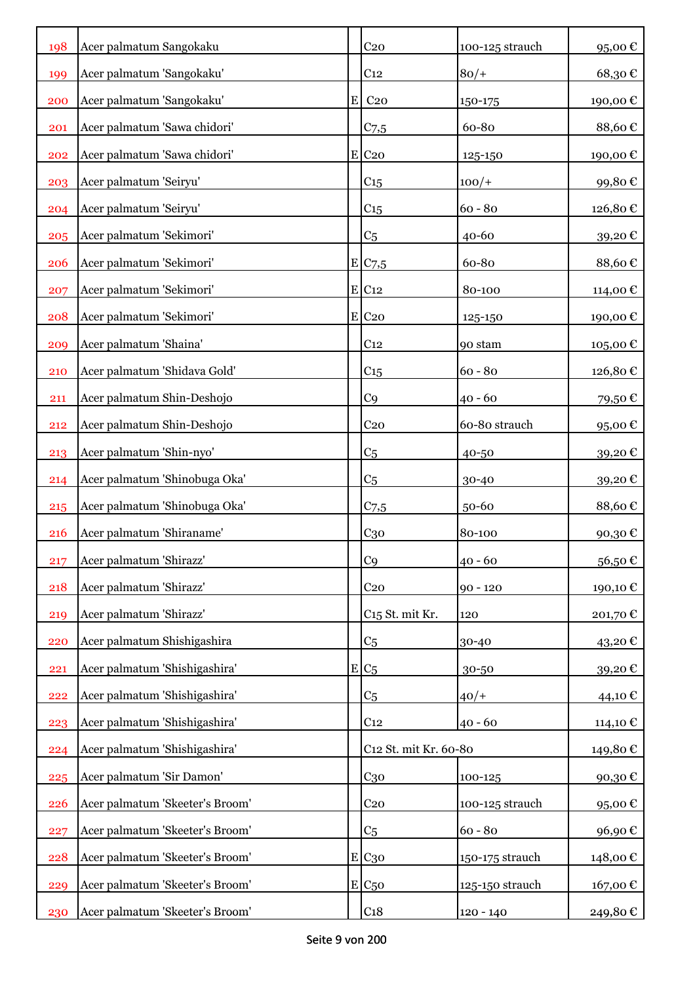| 198        | Acer palmatum Sangokaku         |   | C <sub>20</sub>             | 100-125 strauch | 95,00€  |
|------------|---------------------------------|---|-----------------------------|-----------------|---------|
| 199        | Acer palmatum 'Sangokaku'       |   | C <sub>12</sub>             | $80/+$          | 68,30€  |
| 200        | Acer palmatum 'Sangokaku'       | E | C <sub>20</sub>             | 150-175         | 190,00€ |
| 201        | Acer palmatum 'Sawa chidori'    |   | $C_{7,5}$                   | 60-80           | 88,60€  |
| 202        | Acer palmatum 'Sawa chidori'    |   | $E$ C <sub>20</sub>         | 125-150         | 190,00€ |
| 203        | Acer palmatum 'Seiryu'          |   | C <sub>15</sub>             | $100/+$         | 99,80€  |
| 204        | Acer palmatum 'Seiryu'          |   | C15                         | $60 - 80$       | 126,80€ |
| 205        | Acer palmatum 'Sekimori'        |   | C <sub>5</sub>              | $40 - 60$       | 39,20€  |
| <b>206</b> | Acer palmatum 'Sekimori'        |   | E/C7,5                      | 60-80           | 88,60€  |
| 207        | Acer palmatum 'Sekimori'        |   | E C12                       | 80-100          | 114,00€ |
| 208        | Acer palmatum 'Sekimori'        |   | $E$ C <sub>20</sub>         | 125-150         | 190,00€ |
| 209        | Acer palmatum 'Shaina'          |   | C <sub>12</sub>             | 90 stam         | 105,00€ |
| 210        | Acer palmatum 'Shidava Gold'    |   | C <sub>15</sub>             | $60 - 80$       | 126,80€ |
| 211        | Acer palmatum Shin-Deshojo      |   | C <sub>9</sub>              | $40 - 60$       | 79,50€  |
| 212        | Acer palmatum Shin-Deshojo      |   | C <sub>20</sub>             | 60-80 strauch   | 95,00€  |
| 213        | Acer palmatum 'Shin-nyo'        |   | C <sub>5</sub>              | 40-50           | 39,20€  |
| 214        | Acer palmatum 'Shinobuga Oka'   |   | C <sub>5</sub>              | 30-40           | 39,20€  |
| 215        | Acer palmatum 'Shinobuga Oka'   |   | $C$ 7,5                     | 50-60           | 88,60€  |
| 216        | Acer palmatum 'Shiraname'       |   | C <sub>30</sub>             | 80-100          | 90,30€  |
| 217        | Acer palmatum 'Shirazz'         |   | C <sub>9</sub>              | $40 - 60$       | 56,50€  |
| 218        | Acer palmatum 'Shirazz'         |   | C <sub>20</sub>             | $90 - 120$      | 190,10€ |
| 219        | Acer palmatum 'Shirazz'         |   | C <sub>15</sub> St. mit Kr. | 120             | 201,70€ |
| 220        | Acer palmatum Shishigashira     |   | C <sub>5</sub>              | 30-40           | 43,20€  |
| 221        | Acer palmatum 'Shishigashira'   | E | C <sub>5</sub>              | 30-50           | 39,20€  |
| 222        | Acer palmatum 'Shishigashira'   |   | C <sub>5</sub>              | $40/+$          | 44,10 € |
| 223        | Acer palmatum 'Shishigashira'   |   | C <sub>12</sub>             | $40 - 60$       | 114,10€ |
| 224        | Acer palmatum 'Shishigashira'   |   | C12 St. mit Kr. 60-80       |                 | 149,80€ |
| 225        | Acer palmatum 'Sir Damon'       |   | $C_{30}$                    | 100-125         | 90,30€  |
| 226        | Acer palmatum 'Skeeter's Broom' |   | C <sub>20</sub>             | 100-125 strauch | 95,00€  |
| 227        | Acer palmatum 'Skeeter's Broom' |   | C <sub>5</sub>              | $60 - 80$       | 96,90€  |
| 228        | Acer palmatum 'Skeeter's Broom' | E | $C_{30}$                    | 150-175 strauch | 148,00€ |
| 229        | Acer palmatum 'Skeeter's Broom' | E | C <sub>50</sub>             | 125-150 strauch | 167,00€ |
| 230        | Acer palmatum 'Skeeter's Broom' |   | C <sub>18</sub>             | $120 - 140$     | 249,80€ |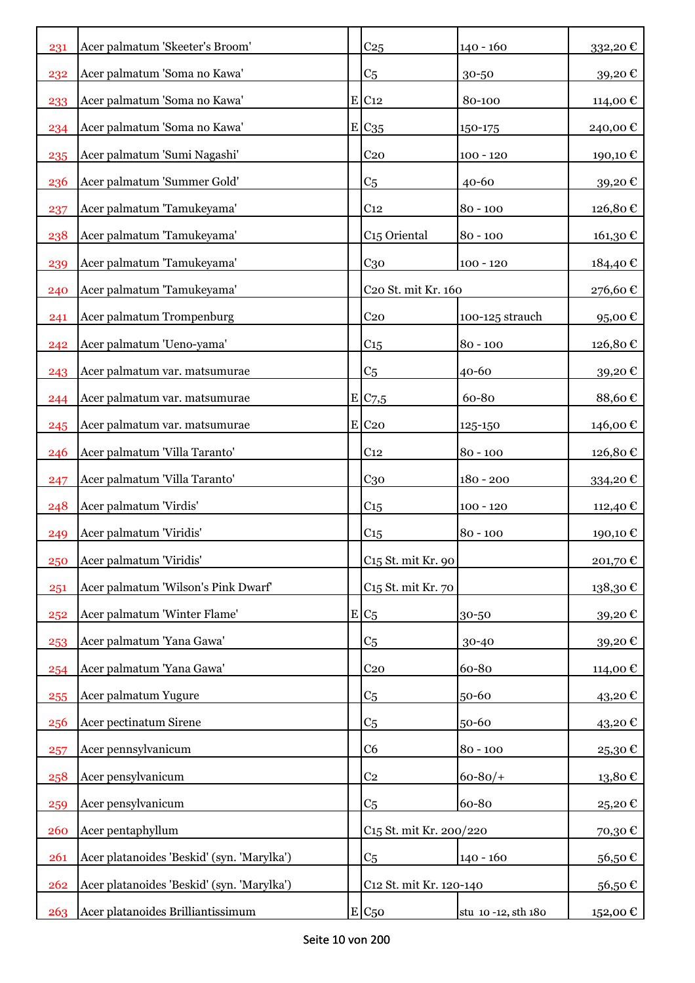| 231 | Acer palmatum 'Skeeter's Broom'            | C <sub>25</sub>                     | $140 - 160$        | 332,20 $\mathcal C$ |
|-----|--------------------------------------------|-------------------------------------|--------------------|---------------------|
| 232 | Acer palmatum 'Soma no Kawa'               | C <sub>5</sub>                      | 30-50              | 39,20€              |
| 233 | Acer palmatum 'Soma no Kawa'               | $E$ C <sub>12</sub>                 | 80-100             | 114,00 €            |
| 234 | Acer palmatum 'Soma no Kawa'               | E C <sub>35</sub>                   | 150-175            | 240,00€             |
| 235 | Acer palmatum 'Sumi Nagashi'               | C <sub>20</sub>                     | $100 - 120$        | 190,10€             |
| 236 | Acer palmatum 'Summer Gold'                | C <sub>5</sub>                      | 40-60              | 39,20€              |
| 237 | Acer palmatum 'Tamukeyama'                 | C <sub>12</sub>                     | $80 - 100$         | 126,80€             |
| 238 | Acer palmatum 'Tamukeyama'                 | C <sub>15</sub> Oriental            | $80 - 100$         | 161,30€             |
| 239 | Acer palmatum 'Tamukeyama'                 | $C_{30}$                            | $100 - 120$        | 184,40€             |
| 240 | Acer palmatum 'Tamukeyama'                 | C <sub>20</sub> St. mit Kr. 160     |                    | 276,60€             |
| 241 | Acer palmatum Trompenburg                  | C <sub>20</sub>                     | 100-125 strauch    | 95,00€              |
| 242 | Acer palmatum 'Ueno-yama'                  | C15                                 | $80 - 100$         | 126,80€             |
| 243 | Acer palmatum var. matsumurae              | C <sub>5</sub>                      | 40-60              | 39,20€              |
| 244 | Acer palmatum var. matsumurae              | $E$ C <sub>7</sub> ,5               | 60-80              | 88,60€              |
| 245 | Acer palmatum var. matsumurae              | $E$ C <sub>20</sub>                 | 125-150            | 146,00 €            |
| 246 | Acer palmatum 'Villa Taranto'              | C <sub>12</sub>                     | $80 - 100$         | 126,80€             |
| 247 | Acer palmatum 'Villa Taranto'              | C <sub>30</sub>                     | $180 - 200$        | 334,20€             |
| 248 | Acer palmatum 'Virdis'                     | $C_{15}$                            | $100 - 120$        | 112,40 €            |
| 249 | Acer palmatum 'Viridis'                    | C15                                 | $80 - 100$         | 190,10€             |
| 250 | Acer palmatum 'Viridis'                    | C <sub>15</sub> St. mit Kr. 90      |                    | 201,70€             |
| 251 | Acer palmatum 'Wilson's Pink Dwarf'        | C <sub>15</sub> St. mit Kr. 70      |                    | 138,30€             |
| 252 | Acer palmatum 'Winter Flame'               | $E/C_5$                             | 30-50              | 39,20€              |
| 253 | Acer palmatum 'Yana Gawa'                  | C5                                  | 30-40              | 39,20€              |
| 254 | Acer palmatum 'Yana Gawa'                  | C <sub>20</sub>                     | 60-80              | 114,00€             |
| 255 | Acer palmatum Yugure                       | C <sub>5</sub>                      | 50-60              | 43,20€              |
| 256 | Acer pectinatum Sirene                     | C <sub>5</sub>                      | 50-60              | 43,20€              |
| 257 | Acer pennsylvanicum                        | C6                                  | $80 - 100$         | 25,30€              |
| 258 | Acer pensylvanicum                         | C <sub>2</sub>                      | $60 - 80/$         | 13,80€              |
| 259 | Acer pensylvanicum                         | C <sub>5</sub>                      | 60-80              | 25,20€              |
| 260 | Acer pentaphyllum                          | C <sub>15</sub> St. mit Kr. 200/220 |                    | 70,30€              |
| 261 | Acer platanoides 'Beskid' (syn. 'Marylka') | C <sub>5</sub>                      | $140 - 160$        | 56,50€              |
| 262 | Acer platanoides 'Beskid' (syn. 'Marylka') | C12 St. mit Kr. 120-140             |                    | 56,50€              |
| 263 | Acer platanoides Brilliantissimum          | $E C_{50}$                          | stu 10-12, sth 180 | 152,00 €            |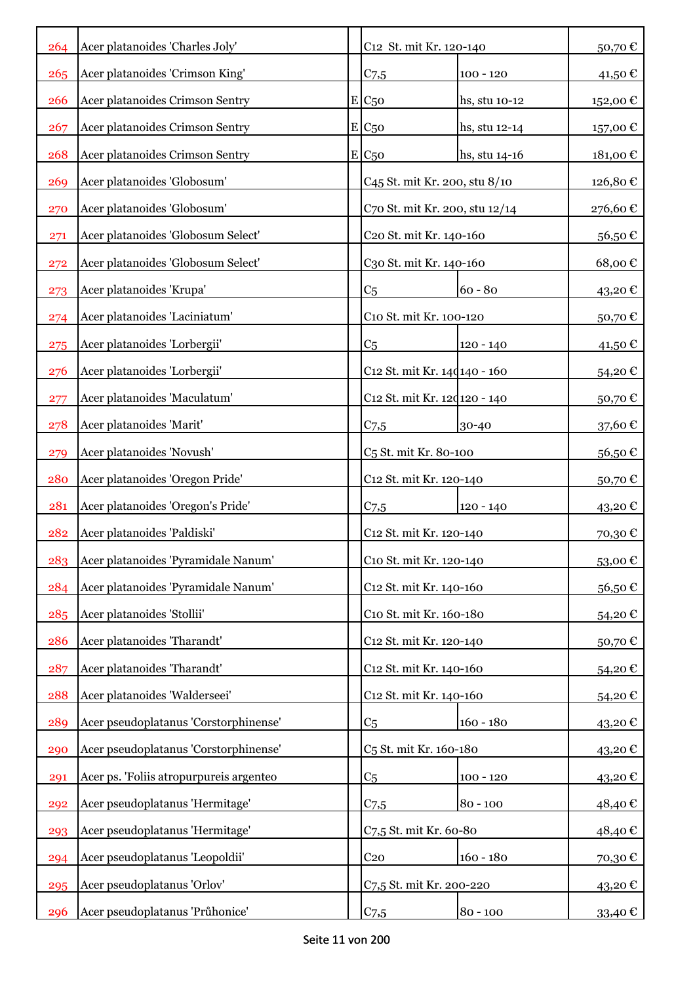| 264 | Acer platanoides 'Charles Joly'         | C12 St. mit Kr. 120-140             |                                   | 50,70€  |
|-----|-----------------------------------------|-------------------------------------|-----------------------------------|---------|
|     | Acer platanoides 'Crimson King'         |                                     |                                   |         |
| 265 |                                         | $C_{7,5}$                           | $100 - 120$                       | 41,50€  |
| 266 | Acer platanoides Crimson Sentry         | $E_{C50}$                           | hs, stu 10-12                     | 152,00€ |
| 267 | Acer platanoides Crimson Sentry         | $E$ C <sub>50</sub>                 | hs, stu 12-14                     | 157,00€ |
| 268 | Acer platanoides Crimson Sentry         | E/C <sub>50</sub>                   | hs, stu 14-16                     | 181,00€ |
| 269 | Acer platanoides 'Globosum'             | C45 St. mit Kr. 200, stu 8/10       |                                   | 126,80€ |
| 270 | Acer platanoides 'Globosum'             | C70 St. mit Kr. 200, stu 12/14      |                                   | 276,60€ |
| 271 | Acer platanoides 'Globosum Select'      | C <sub>20</sub> St. mit Kr. 140-160 |                                   | 56,50€  |
| 272 | Acer platanoides 'Globosum Select'      | C30 St. mit Kr. 140-160             |                                   | 68,00€  |
| 273 | Acer platanoides 'Krupa'                | C <sub>5</sub>                      | $60 - 80$                         | 43,20€  |
| 274 | Acer platanoides 'Laciniatum'           | C10 St. mit Kr. 100-120             |                                   | 50,70€  |
| 275 | Acer platanoides 'Lorbergii'            | C <sub>5</sub>                      | $120 - 140$                       | 41,50€  |
| 276 | Acer platanoides 'Lorbergii'            | C12 St. mit Kr. 14d 140 - 160       |                                   | 54,20€  |
| 277 | Acer platanoides 'Maculatum'            | C12 St. mit Kr. 120120 - 140        |                                   | 50,70€  |
| 278 | Acer platanoides 'Marit'                | $C_{7,5}$                           | 30-40                             | 37,60€  |
| 279 | Acer platanoides 'Novush'               |                                     | C <sub>5</sub> St. mit Kr. 80-100 |         |
| 280 | Acer platanoides 'Oregon Pride'         | C12 St. mit Kr. 120-140             |                                   | 50,70€  |
| 281 | Acer platanoides 'Oregon's Pride'       | $C_{7,5}$                           | 120 - 140                         | 43,20€  |
| 282 | Acer platanoides 'Paldiski'             | C12 St. mit Kr. 120-140             |                                   | 70,30€  |
| 283 | Acer platanoides 'Pyramidale Nanum'     | C10 St. mit Kr. 120-140             |                                   | 53,00€  |
| 284 | Acer platanoides 'Pyramidale Nanum'     | C <sub>12</sub> St. mit Kr. 140-160 |                                   | 56,50€  |
| 285 | Acer platanoides 'Stollii'              | C10 St. mit Kr. 160-180             |                                   | 54,20€  |
| 286 | Acer platanoides 'Tharandt'             | C12 St. mit Kr. 120-140             |                                   | 50,70€  |
| 287 | Acer platanoides 'Tharandt'             | C <sub>12</sub> St. mit Kr. 140-160 |                                   | 54,20€  |
| 288 | Acer platanoides 'Walderseei'           | C12 St. mit Kr. 140-160             |                                   | 54,20€  |
| 289 | Acer pseudoplatanus 'Corstorphinense'   | C <sub>5</sub>                      | $160 - 180$                       | 43,20€  |
| 290 | Acer pseudoplatanus 'Corstorphinense'   | C <sub>5</sub> St. mit Kr. 160-180  |                                   | 43,20€  |
| 291 | Acer ps. 'Foliis atropurpureis argenteo | C <sub>5</sub>                      | $100 - 120$                       | 43,20€  |
| 292 | Acer pseudoplatanus 'Hermitage'         | $C_{7,5}$                           | $80 - 100$                        | 48,40€  |
| 293 | Acer pseudoplatanus 'Hermitage'         | C7,5 St. mit Kr. 60-80              |                                   | 48,40€  |
| 294 | Acer pseudoplatanus 'Leopoldii'         | C <sub>20</sub>                     | $160 - 180$                       | 70,30€  |
| 295 | Acer pseudoplatanus 'Orlov'             | C7,5 St. mit Kr. 200-220            |                                   | 43,20€  |
| 296 | Acer pseudoplatanus 'Průhonice'         | C <sub>7,5</sub>                    | $80 - 100$                        | 33,40 € |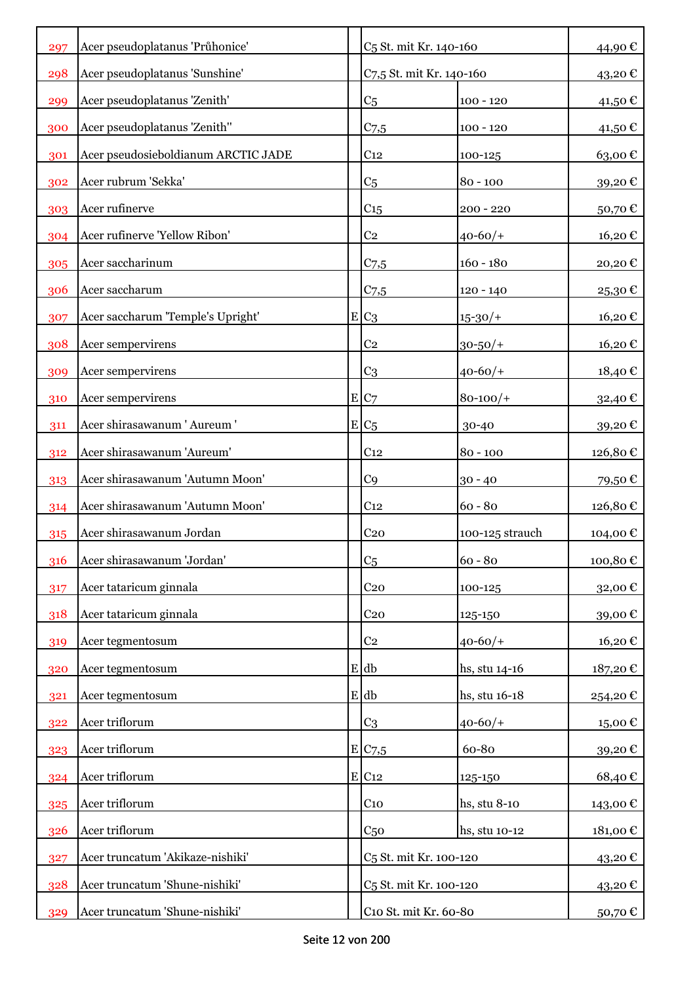| 297 | Acer pseudoplatanus 'Průhonice'     | C <sub>5</sub> St. mit Kr. 140-160 |                 | 44,90€  |
|-----|-------------------------------------|------------------------------------|-----------------|---------|
| 298 | Acer pseudoplatanus 'Sunshine'      | C7,5 St. mit Kr. 140-160           |                 | 43,20€  |
| 299 | Acer pseudoplatanus 'Zenith'        | C <sub>5</sub>                     | $100 - 120$     | 41,50 € |
| 300 | Acer pseudoplatanus 'Zenith''       | C <sub>7,5</sub>                   | $100 - 120$     | 41,50€  |
| 301 | Acer pseudosieboldianum ARCTIC JADE | C <sub>12</sub>                    | 100-125         | 63,00€  |
| 302 | Acer rubrum 'Sekka'                 | C <sub>5</sub>                     | $80 - 100$      | 39,20€  |
| 303 | Acer rufinerve                      | C <sub>15</sub>                    | $200 - 220$     | 50,70€  |
| 304 | Acer rufinerve 'Yellow Ribon'       | C <sub>2</sub>                     | $40 - 60/$      | 16,20€  |
| 305 | Acer saccharinum                    | $C_{7,5}$                          | $160 - 180$     | 20,20€  |
| 306 | Acer saccharum                      | $C$ 7,5                            | $120 - 140$     | 25,30€  |
| 307 | Acer saccharum 'Temple's Upright'   | $E C_3$                            | $15 - 30/$      | 16,20€  |
| 308 | Acer sempervirens                   | C <sub>2</sub>                     | $30 - 50/$ +    | 16,20€  |
| 309 | Acer sempervirens                   | C <sub>3</sub>                     | $40 - 60/$      | 18,40€  |
| 310 | Acer sempervirens                   | E C7                               | $80 - 100/$     | 32,40€  |
| 311 | Acer shirasawanum 'Aureum'          | $E C_5$                            | 30-40           | 39,20€  |
| 312 | Acer shirasawanum 'Aureum'          | C <sub>12</sub>                    | $80 - 100$      | 126,80€ |
| 313 | Acer shirasawanum 'Autumn Moon'     | C <sub>9</sub>                     | $30 - 40$       | 79,50€  |
| 314 | Acer shirasawanum 'Autumn Moon'     | C <sub>12</sub>                    | $60 - 80$       | 126,80€ |
| 315 | Acer shirasawanum Jordan            | C <sub>20</sub>                    | 100-125 strauch | 104,00€ |
| 316 | Acer shirasawanum 'Jordan'          | C <sub>5</sub>                     | $60 - 80$       | 100,80€ |
| 317 | Acer tataricum ginnala              | C <sub>20</sub>                    | 100-125         | 32,00€  |
| 318 | Acer tataricum ginnala              | C <sub>20</sub>                    | 125-150         | 39,00€  |
| 319 | Acer tegmentosum                    | C <sub>2</sub>                     | $40 - 60/$      | 16,20€  |
| 320 | Acer tegmentosum                    | E db                               | hs, stu 14-16   | 187,20€ |
| 321 | Acer tegmentosum                    | E db                               | hs, stu 16-18   | 254,20€ |
| 322 | Acer triflorum                      | C <sub>3</sub>                     | $40 - 60/$      | 15,00€  |
| 323 | Acer triflorum                      | E C7,5                             | 60-80           | 39,20€  |
| 324 | Acer triflorum                      | E C12                              | 125-150         | 68,40€  |
| 325 | Acer triflorum                      | C <sub>10</sub>                    | hs, stu 8-10    | 143,00€ |
| 326 | Acer triflorum                      | C <sub>50</sub>                    | hs, stu 10-12   | 181,00€ |
| 327 | Acer truncatum 'Akikaze-nishiki'    | C <sub>5</sub> St. mit Kr. 100-120 |                 | 43,20€  |
| 328 | Acer truncatum 'Shune-nishiki'      | C <sub>5</sub> St. mit Kr. 100-120 |                 | 43,20€  |
| 329 | Acer truncatum 'Shune-nishiki'      | C10 St. mit Kr. 60-80              |                 | 50,70 € |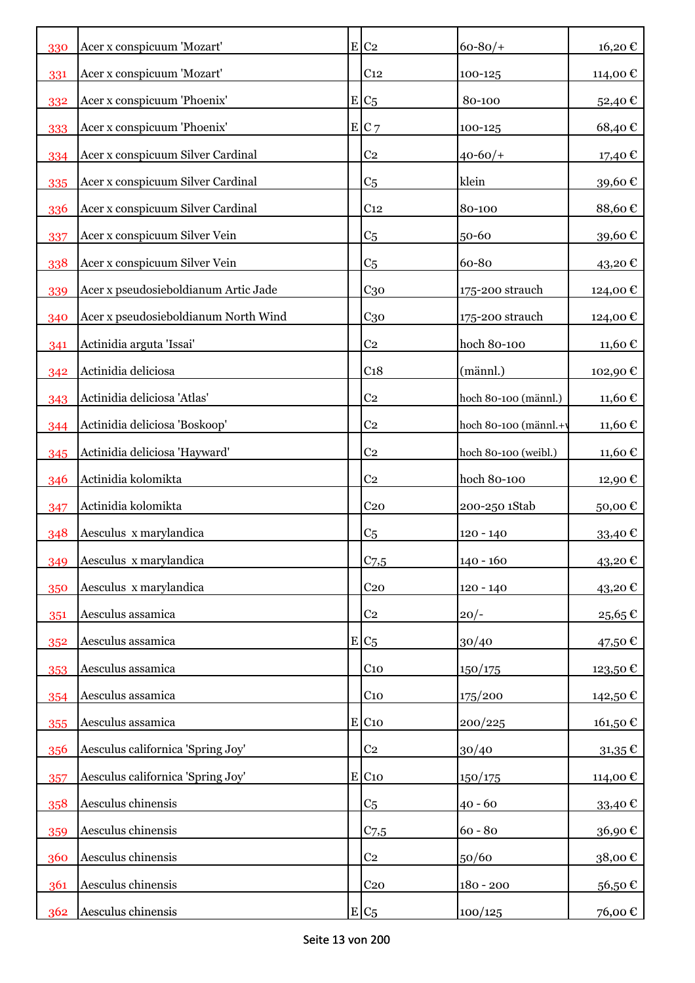| 330 | Acer x conspicuum 'Mozart'           | $E$ C <sub>2</sub>  | $60 - 80/$            | 16,20€      |
|-----|--------------------------------------|---------------------|-----------------------|-------------|
| 331 | Acer x conspicuum 'Mozart'           | C <sub>12</sub>     | 100-125               | 114,00 €    |
| 332 | Acer x conspicuum 'Phoenix'          | $E C_5$             | 80-100                | 52,40€      |
| 333 | Acer x conspicuum 'Phoenix'          | $E C$ 7             | 100-125               | 68,40€      |
| 334 | Acer x conspicuum Silver Cardinal    | C <sub>2</sub>      | $40 - 60/$            | 17,40 €     |
| 335 | Acer x conspicuum Silver Cardinal    | C <sub>5</sub>      | klein                 | 39,60€      |
| 336 | Acer x conspicuum Silver Cardinal    | C <sub>12</sub>     | 80-100                | 88,60€      |
| 337 | Acer x conspicuum Silver Vein        | C <sub>5</sub>      | 50-60                 | 39,60€      |
| 338 | Acer x conspicuum Silver Vein        | C <sub>5</sub>      | 60-80                 | $43,20$ €   |
| 339 | Acer x pseudosieboldianum Artic Jade | C <sub>30</sub>     | 175-200 strauch       | 124,00 €    |
| 340 | Acer x pseudosieboldianum North Wind | C <sub>30</sub>     | 175-200 strauch       | 124,00 €    |
| 341 | Actinidia arguta 'Issai'             | C <sub>2</sub>      | hoch 80-100           | 11,60 €     |
| 342 | Actinidia deliciosa                  | C <sub>18</sub>     | (männl.)              | 102,90€     |
| 343 | Actinidia deliciosa 'Atlas'          | C <sub>2</sub>      | hoch 80-100 (männl.)  | 11,60 €     |
| 344 | Actinidia deliciosa 'Boskoop'        | C <sub>2</sub>      | hoch 80-100 (männl.+v | 11,60 €     |
| 345 | Actinidia deliciosa 'Hayward'        | C <sub>2</sub>      | hoch 80-100 (weibl.)  | 11,60 €     |
| 346 | Actinidia kolomikta                  | C <sub>2</sub>      | hoch 80-100           | 12,90 €     |
| 347 | Actinidia kolomikta                  | C <sub>20</sub>     | 200-250 1Stab         | 50,00€      |
| 348 | Aesculus x marylandica               | C <sub>5</sub>      | $120 - 140$           | 33,40€      |
| 349 | Aesculus x marylandica               | $C_{7,5}$           | 140 - 160             | 43,20€      |
| 350 | Aesculus x marylandica               | C <sub>20</sub>     | $120 - 140$           | 43,20€      |
| 351 | Aesculus assamica                    | C <sub>2</sub>      | $20/-$                | 25,65€      |
| 352 | Aesculus assamica                    | $E C_5$             | 30/40                 | 47,50€      |
| 353 | Aesculus assamica                    | C <sub>10</sub>     | 150/175               | 123,50€     |
| 354 | Aesculus assamica                    | $C_{10}$            | 175/200               | 142,50€     |
| 355 | Aesculus assamica                    | $E$ C <sub>10</sub> | 200/225               | 161,50€     |
| 356 | Aesculus californica 'Spring Joy'    | C <sub>2</sub>      | 30/40                 | $31,35 \in$ |
| 357 | Aesculus californica 'Spring Joy'    | $E$ C <sub>10</sub> | 150/175               | 114,00 €    |
| 358 | Aesculus chinensis                   | C <sub>5</sub>      | $40 - 60$             | 33,40€      |
| 359 | Aesculus chinensis                   | $C_{7,5}$           | $60 - 80$             | 36,90€      |
| 360 | Aesculus chinensis                   | C <sub>2</sub>      | 50/60                 | 38,00€      |
| 361 | Aesculus chinensis                   | C <sub>20</sub>     | $180 - 200$           | 56,50€      |
| 362 | Aesculus chinensis                   | $E C_5$             | 100/125               | 76,00 €     |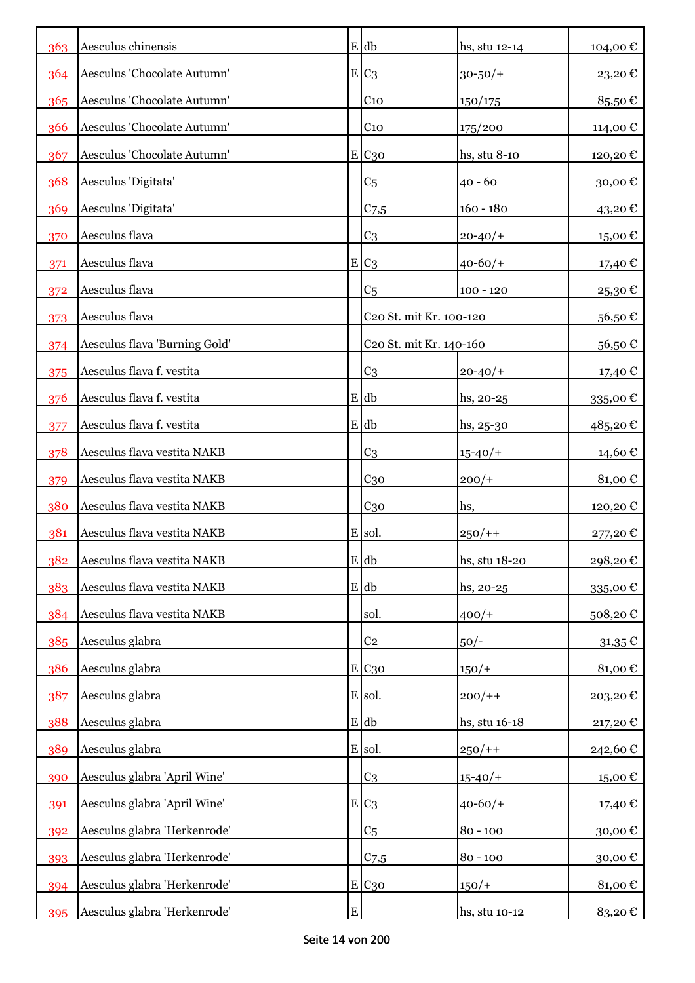| 363 | Aesculus chinensis            |           | $E$ db                              | hs, stu 12-14    | 104,00€     |
|-----|-------------------------------|-----------|-------------------------------------|------------------|-------------|
| 364 | Aesculus 'Chocolate Autumn'   |           | $E C_3$                             | $30 - 50/$       | 23,20€      |
| 365 | Aesculus 'Chocolate Autumn'   |           | C <sub>10</sub>                     | 150/175          | 85,50€      |
| 366 | Aesculus 'Chocolate Autumn'   |           | C <sub>10</sub>                     | 175/200          | 114,00€     |
| 367 | Aesculus 'Chocolate Autumn'   |           | E C30                               | hs, stu 8-10     | 120,20€     |
| 368 | Aesculus 'Digitata'           |           | C <sub>5</sub>                      | $40 - 60$        | 30,00€      |
| 369 | Aesculus 'Digitata'           |           | C <sub>7,5</sub>                    | $160 - 180$      | 43,20€      |
| 370 | Aesculus flava                |           | C <sub>3</sub>                      | $20 - 40/$       | 15,00€      |
| 371 | Aesculus flava                |           | $E C_3$                             | $40 - 60/$ +     | 17,40 €     |
| 372 | Aesculus flava                |           | C <sub>5</sub>                      | $100 - 120$      | 25,30€      |
| 373 | Aesculus flava                |           | C20 St. mit Kr. 100-120             |                  | 56,50€      |
| 374 | Aesculus flava 'Burning Gold' |           | C <sub>20</sub> St. mit Kr. 140-160 |                  | 56,50€      |
| 375 | Aesculus flava f. vestita     |           | C <sub>3</sub>                      | $20 - 40/$       | 17,40 €     |
| 376 | Aesculus flava f. vestita     |           | E db                                | $hs, 20-25$      | 335,00€     |
| 377 | Aesculus flava f. vestita     |           | E db                                | $\{hs, 25\}$ -30 | 485,20€     |
| 378 | Aesculus flava vestita NAKB   |           | C <sub>3</sub>                      | $15 - 40/$       | 14,60€      |
| 379 | Aesculus flava vestita NAKB   |           | C <sub>30</sub>                     | $200/+$          | 81,00€      |
| 380 | Aesculus flava vestita NAKB   |           | C <sub>30</sub>                     | hs,              | 120,20€     |
| 381 | Aesculus flava vestita NAKB   |           | E sol.                              | $250/+$          | 277,20€     |
| 382 | Aesculus flava vestita NAKB   |           | $E$ db                              | hs, stu 18-20    | 298,20€     |
| 383 | Aesculus flava vestita NAKB   |           | E db                                | hs, 20-25        | 335,00€     |
| 384 | Aesculus flava vestita NAKB   |           | sol.                                | $400/+$          | 508,20€     |
| 385 | Aesculus glabra               |           | C <sub>2</sub>                      | $50/-$           | $31,35 \in$ |
| 386 | Aesculus glabra               |           | E C <sub>30</sub>                   | $150/+$          | 81,00€      |
| 387 | Aesculus glabra               |           | E sol.                              | $200/+$          | 203,20€     |
| 388 | Aesculus glabra               |           | $E$ db                              | hs, stu 16-18    | 217,20€     |
| 389 | Aesculus glabra               |           | E sol.                              | $250/+$          | 242,60€     |
| 390 | Aesculus glabra 'April Wine'  |           | C <sub>3</sub>                      | $15 - 40/$       | 15,00€      |
| 391 | Aesculus glabra 'April Wine'  |           | $E C_3$                             | $40 - 60/$       | 17,40 €     |
| 392 | Aesculus glabra 'Herkenrode'  |           | C <sub>5</sub>                      | $80 - 100$       | 30,00€      |
| 393 | Aesculus glabra 'Herkenrode'  |           | $C$ 7,5                             | $80 - 100$       | 30,00€      |
| 394 | Aesculus glabra 'Herkenrode'  |           | E C <sub>30</sub>                   | $150/+$          | 81,00€      |
| 395 | Aesculus glabra 'Herkenrode'  | ${\bf E}$ |                                     | hs, stu 10-12    | 83,20€      |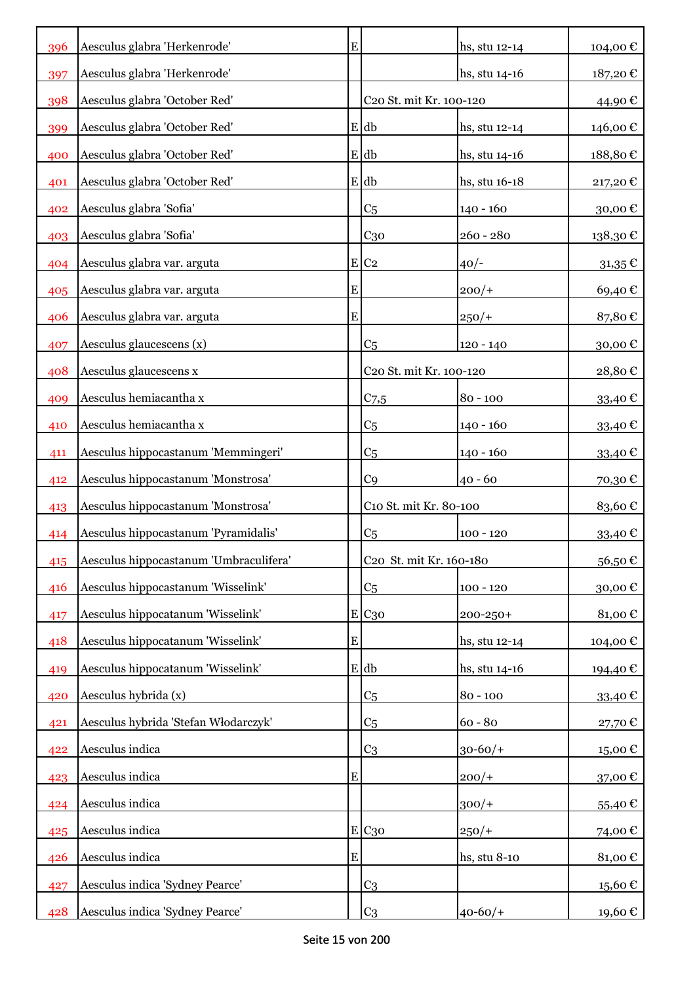| 396 | Aesculus glabra 'Herkenrode'           | E         |                                     | hs, stu 12-14 | 104,00 €    |
|-----|----------------------------------------|-----------|-------------------------------------|---------------|-------------|
| 397 | Aesculus glabra 'Herkenrode'           |           |                                     | hs, stu 14-16 | 187,20€     |
| 398 | Aesculus glabra 'October Red'          |           | C20 St. mit Kr. 100-120             |               | 44,90€      |
| 399 | Aesculus glabra 'October Red'          |           | E db                                | hs, stu 12-14 | 146,00€     |
| 400 | Aesculus glabra 'October Red'          |           | E db                                | hs, stu 14-16 | 188,80€     |
| 401 | Aesculus glabra 'October Red'          |           | E db                                | hs, stu 16-18 | 217,20€     |
| 402 | Aesculus glabra 'Sofia'                |           | C <sub>5</sub>                      | $140 - 160$   | 30,00€      |
| 403 | Aesculus glabra 'Sofia'                |           | C <sub>30</sub>                     | $260 - 280$   | 138,30€     |
| 404 | Aesculus glabra var. arguta            |           | $E$ C <sub>2</sub>                  | $40/-$        | $31,35 \in$ |
| 405 | Aesculus glabra var. arguta            | ${\bf E}$ |                                     | $200/+$       | 69,40€      |
| 406 | Aesculus glabra var. arguta            | ${\bf E}$ |                                     | $250/+$       | 87,80€      |
| 407 | Aesculus glaucescens (x)               |           | C <sub>5</sub>                      | $120 - 140$   | 30,00€      |
| 408 | Aesculus glaucescens x                 |           | C20 St. mit Kr. 100-120             |               | 28,80€      |
| 409 | Aesculus hemiacantha x                 |           | $C$ 7,5                             | $80 - 100$    | 33,40 €     |
| 410 | Aesculus hemiacantha x                 |           | C <sub>5</sub>                      | $140 - 160$   | 33,40 €     |
| 411 | Aesculus hippocastanum 'Memmingeri'    |           | C <sub>5</sub>                      | $140 - 160$   | 33,40 €     |
| 412 | Aesculus hippocastanum 'Monstrosa'     |           | C <sub>9</sub>                      | $40 - 60$     | 70,30€      |
| 413 | Aesculus hippocastanum 'Monstrosa'     |           | C10 St. mit Kr. 80-100              |               | 83,60€      |
| 414 | Aesculus hippocastanum 'Pyramidalis'   |           | C <sub>5</sub>                      | $100 - 120$   | 33,40€      |
| 415 | Aesculus hippocastanum 'Umbraculifera' |           | C <sub>20</sub> St. mit Kr. 160-180 |               | 56,50€      |
| 416 | Aesculus hippocastanum 'Wisselink'     |           | C <sub>5</sub>                      | $100 - 120$   | 30,00€      |
| 417 | Aesculus hippocatanum 'Wisselink'      |           | E C <sub>30</sub>                   | 200-250+      | 81,00€      |
| 418 | Aesculus hippocatanum 'Wisselink'      | ${\bf E}$ |                                     | hs, stu 12-14 | 104,00 €    |
| 419 | Aesculus hippocatanum 'Wisselink'      |           | E db                                | hs, stu 14-16 | 194,40 €    |
| 420 | Aesculus hybrida (x)                   |           | C <sub>5</sub>                      | $80 - 100$    | 33,40 €     |
| 421 | Aesculus hybrida 'Stefan Włodarczyk'   |           | C <sub>5</sub>                      | $60 - 80$     | 27,70€      |
| 422 | Aesculus indica                        |           | C <sub>3</sub>                      | $30 - 60/$ +  | 15,00€      |
| 423 | Aesculus indica                        | ${\bf E}$ |                                     | $200/+$       | 37,00€      |
| 424 | Aesculus indica                        |           |                                     | $300/+$       | 55,40€      |
| 425 | Aesculus indica                        |           | E C30                               | $250/+$       | 74,00€      |
| 426 | Aesculus indica                        | ${\bf E}$ |                                     | hs, stu 8-10  | 81,00€      |
| 427 | Aesculus indica 'Sydney Pearce'        |           | C <sub>3</sub>                      |               | 15,60€      |
| 428 | Aesculus indica 'Sydney Pearce'        |           | C <sub>3</sub>                      | $40 - 60/$    | 19,60€      |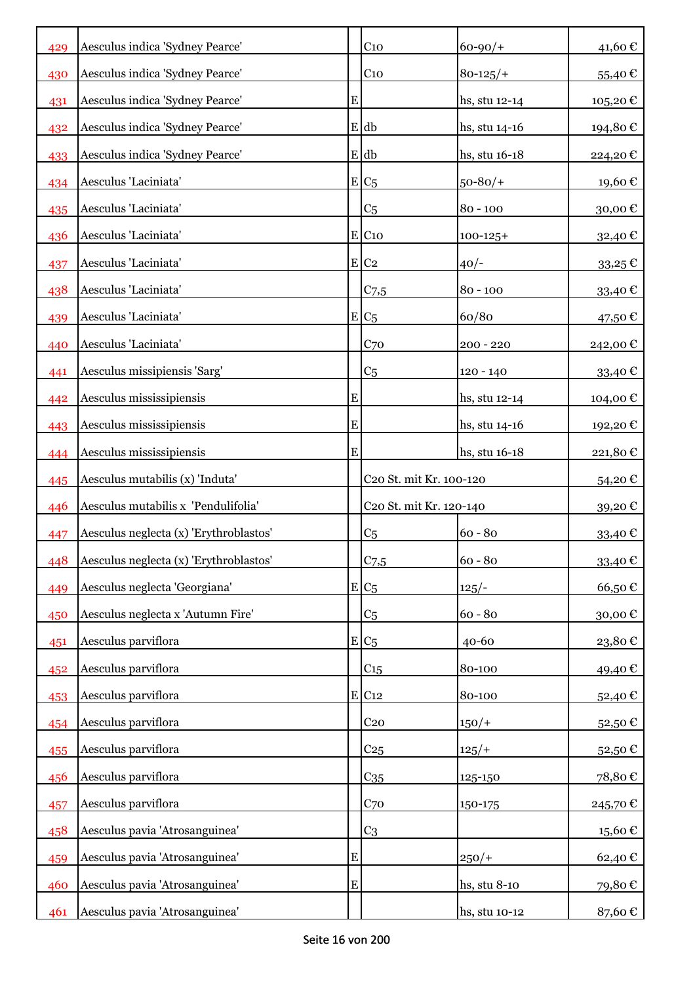| 429 | Aesculus indica 'Sydney Pearce'        |             | C <sub>10</sub>         | $60 - 90/$ +  | 41,60€      |
|-----|----------------------------------------|-------------|-------------------------|---------------|-------------|
| 430 | Aesculus indica 'Sydney Pearce'        |             | C <sub>10</sub>         | $80 - 125/$   | 55,40€      |
| 431 | Aesculus indica 'Sydney Pearce'        | E           |                         | hs, stu 12-14 | 105,20€     |
| 432 | Aesculus indica 'Sydney Pearce'        |             | E db                    | hs, stu 14-16 | 194,80€     |
| 433 | Aesculus indica 'Sydney Pearce'        |             | E db                    | hs, stu 16-18 | 224,20€     |
| 434 | Aesculus 'Laciniata'                   |             | $E C_5$                 | $50 - 80/$    | 19,60€      |
| 435 | Aesculus 'Laciniata'                   |             | C <sub>5</sub>          | $80 - 100$    | 30,00€      |
| 436 | Aesculus 'Laciniata'                   |             | E C10                   | $100 - 125 +$ | 32,40 €     |
| 437 | Aesculus 'Laciniata'                   |             | E C2                    | $40/-$        | $33,25 \in$ |
| 438 | Aesculus 'Laciniata'                   |             | $C$ 7,5                 | $80 - 100$    | 33,40 €     |
| 439 | Aesculus 'Laciniata'                   |             | $E C_5$                 | 60/80         | 47,50 €     |
| 440 | Aesculus 'Laciniata'                   |             | C <sub>70</sub>         | $200 - 220$   | 242,00€     |
| 441 | Aesculus missipiensis 'Sarg'           |             | C <sub>5</sub>          | $120 - 140$   | 33,40 €     |
| 442 | Aesculus mississipiensis               | E           |                         | hs, stu 12-14 | 104,00 €    |
| 443 | Aesculus mississipiensis               | E           |                         | hs, stu 14-16 | 192,20 €    |
| 444 | Aesculus mississipiensis               | E           |                         | hs, stu 16-18 | 221,80€     |
| 445 | Aesculus mutabilis (x) 'Induta'        |             | C20 St. mit Kr. 100-120 |               | 54,20€      |
| 446 | Aesculus mutabilis x 'Pendulifolia'    |             | C20 St. mit Kr. 120-140 |               | 39,20€      |
| 447 | Aesculus neglecta (x) 'Erythroblastos' |             | C <sub>5</sub>          | $60 - 80$     | 33,40€      |
| 448 | Aesculus neglecta (x) 'Erythroblastos' |             | $C$ 7,5                 | $60 - 80$     | 33,40€      |
| 449 | Aesculus neglecta 'Georgiana'          |             | $E C_5$                 | $125/-$       | 66,50€      |
| 450 | Aesculus neglecta x 'Autumn Fire'      |             | C <sub>5</sub>          | $60 - 80$     | 30,00€      |
| 451 | Aesculus parviflora                    | $\mathbf E$ | C <sub>5</sub>          | $40 - 60$     | 23,80€      |
| 452 | Aesculus parviflora                    |             | C15                     | 80-100        | 49,40€      |
| 453 | Aesculus parviflora                    |             | $E$ C <sub>12</sub>     | 80-100        | 52,40€      |
| 454 | Aesculus parviflora                    |             | C <sub>20</sub>         | $150/+$       | 52,50€      |
| 455 | Aesculus parviflora                    |             | C <sub>25</sub>         | $125/+$       | 52,50€      |
| 456 | Aesculus parviflora                    |             | $C_{35}$                | 125-150       | 78,80€      |
| 457 | Aesculus parviflora                    |             | C <sub>70</sub>         | 150-175       | 245,70€     |
| 458 | Aesculus pavia 'Atrosanguinea'         |             | C <sub>3</sub>          |               | 15,60€      |
| 459 | Aesculus pavia 'Atrosanguinea'         | E           |                         | $250/+$       | 62,40€      |
| 460 | Aesculus pavia 'Atrosanguinea'         | E           |                         | hs, stu 8-10  | 79,80€      |
| 461 | Aesculus pavia 'Atrosanguinea'         |             |                         | hs, stu 10-12 | 87,60 €     |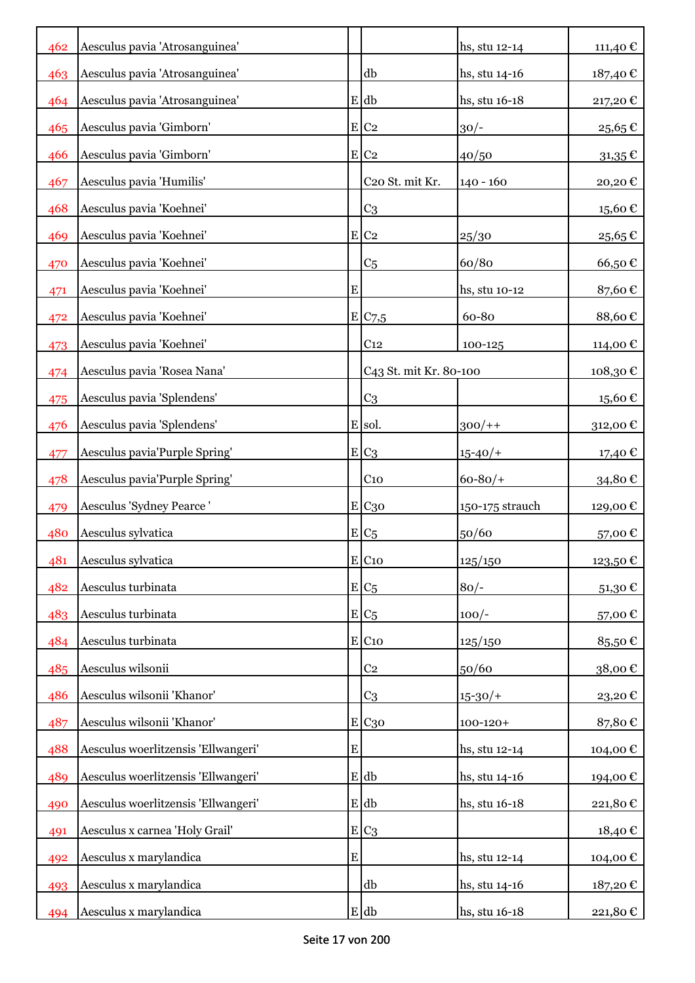| 462 | Aesculus pavia 'Atrosanguinea'      |           |                        | hs, stu 12-14   | 111,40€     |
|-----|-------------------------------------|-----------|------------------------|-----------------|-------------|
| 463 | Aesculus pavia 'Atrosanguinea'      |           | db                     | hs, stu 14-16   | 187,40 €    |
| 464 | Aesculus pavia 'Atrosanguinea'      |           | E db                   | hs, stu 16-18   | 217,20€     |
| 465 | Aesculus pavia 'Gimborn'            |           | $E$ C <sub>2</sub>     | $30/-$          | 25,65€      |
| 466 | Aesculus pavia 'Gimborn'            |           | E C2                   | 40/50           | $31,35 \in$ |
| 467 | Aesculus pavia 'Humilis'            |           | C20 St. mit Kr.        | $140 - 160$     | 20,20€      |
| 468 | Aesculus pavia 'Koehnei'            |           | C <sub>3</sub>         |                 | 15,60€      |
| 469 | Aesculus pavia 'Koehnei'            |           | $E$ C <sub>2</sub>     | 25/30           | 25,65€      |
| 470 | Aesculus pavia 'Koehnei'            |           | C <sub>5</sub>         | 60/80           | 66,50€      |
| 471 | Aesculus pavia 'Koehnei'            | ${\bf E}$ |                        | hs, stu 10-12   | 87,60€      |
| 472 | Aesculus pavia 'Koehnei'            |           | E C7,5                 | 60-80           | 88,60€      |
| 473 | Aesculus pavia 'Koehnei'            |           | C <sub>12</sub>        | 100-125         | 114,00 €    |
| 474 | Aesculus pavia 'Rosea Nana'         |           | C43 St. mit Kr. 80-100 |                 | 108,30€     |
| 475 | Aesculus pavia 'Splendens'          |           | C <sub>3</sub>         |                 | 15,60€      |
| 476 | Aesculus pavia 'Splendens'          |           | E sol.                 | $300/+$         | 312,00€     |
| 477 | Aesculus pavia'Purple Spring'       |           | $E C_3$                | $15 - 40/$      | 17,40 €     |
| 478 | Aesculus pavia'Purple Spring'       |           | C <sub>10</sub>        | $60 - 80/$      | 34,80€      |
| 479 | Aesculus 'Sydney Pearce'            |           | E C <sub>30</sub>      | 150-175 strauch | 129,00€     |
| 480 | Aesculus sylvatica                  |           | $E_{C5}$               | 50/60           | 57,00€      |
| 481 | Aesculus sylvatica                  |           | $E$ C <sub>10</sub>    | 125/150         | 123,50€     |
| 482 | Aesculus turbinata                  |           | $E/C_5$                | $80/-$          | 51,30€      |
| 483 | Aesculus turbinata                  |           | $E/C_5$                | $100/-$         | 57,00€      |
| 484 | Aesculus turbinata                  |           | $E$ C <sub>10</sub>    | 125/150         | 85,50€      |
| 485 | Aesculus wilsonii                   |           | C <sub>2</sub>         | 50/60           | 38,00€      |
| 486 | Aesculus wilsonii 'Khanor'          |           | C <sub>3</sub>         | $15 - 30/$      | 23,20€      |
| 487 | Aesculus wilsonii 'Khanor'          |           | E C <sub>30</sub>      | $100 - 120 +$   | 87,80€      |
| 488 | Aesculus woerlitzensis 'Ellwangeri' | ${\bf E}$ |                        | hs, stu 12-14   | 104,00€     |
| 489 | Aesculus woerlitzensis 'Ellwangeri' |           | E db                   | hs, stu 14-16   | 194,00€     |
| 490 | Aesculus woerlitzensis 'Ellwangeri' |           | E db                   | hs, stu 16-18   | 221,80€     |
| 491 | Aesculus x carnea 'Holy Grail'      |           | $E C_3$                |                 | 18,40 €     |
| 492 | Aesculus x marylandica              | ${\bf E}$ |                        | hs, stu 12-14   | 104,00 €    |
| 493 | Aesculus x marylandica              |           | db                     | hs, stu 14-16   | 187,20€     |
| 494 | Aesculus x marylandica              |           | $E$ db                 | hs, stu 16-18   | 221,80€     |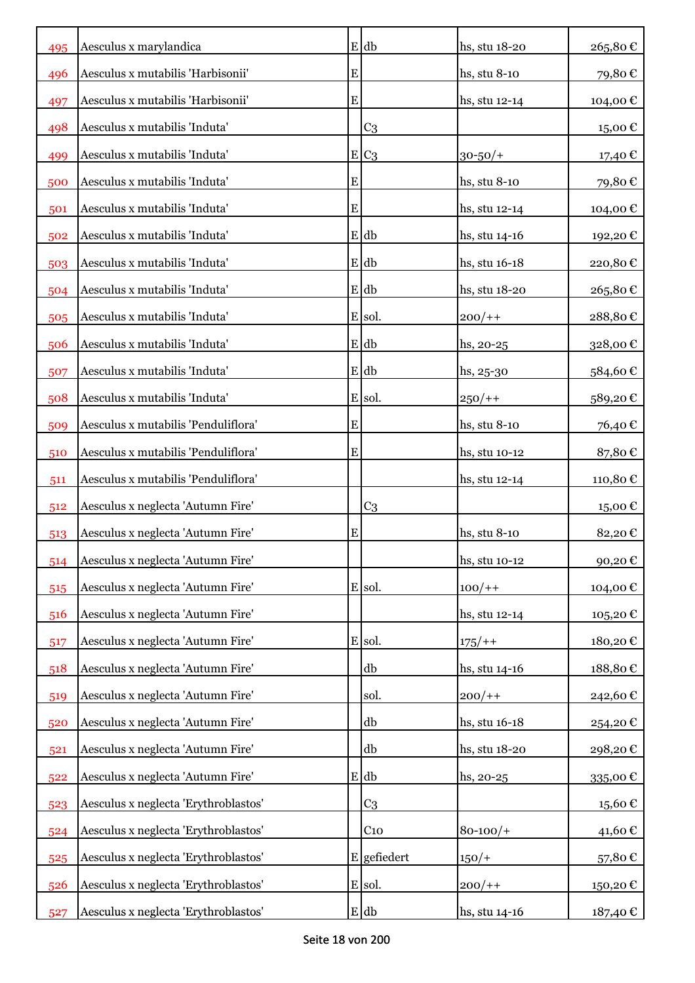| 495 | Aesculus x marylandica               |   | $E$ db         | hs, stu 18-20 | 265,80€  |
|-----|--------------------------------------|---|----------------|---------------|----------|
| 496 | Aesculus x mutabilis 'Harbisonii'    | E |                | hs, stu 8-10  | 79,80€   |
| 497 | Aesculus x mutabilis 'Harbisonii'    | E |                | hs, stu 12-14 | 104,00€  |
| 498 | Aesculus x mutabilis 'Induta'        |   | C <sub>3</sub> |               | 15,00€   |
| 499 | Aesculus x mutabilis 'Induta'        | E | C <sub>3</sub> | $30 - 50/$ +  | 17,40 €  |
| 500 | Aesculus x mutabilis 'Induta'        | E |                | hs, stu 8-10  | 79,80€   |
| 501 | Aesculus x mutabilis 'Induta'        | E |                | hs, stu 12-14 | 104,00€  |
| 502 | Aesculus x mutabilis 'Induta'        |   | $E$ db         | hs, stu 14-16 | 192,20€  |
| 503 | Aesculus x mutabilis 'Induta'        |   | E db           | hs, stu 16-18 | 220,80€  |
| 504 | Aesculus x mutabilis 'Induta'        |   | E db           | hs, stu 18-20 | 265,80€  |
| 505 | Aesculus x mutabilis 'Induta'        |   | E sol.         | $200/+$       | 288,80€  |
| 506 | Aesculus x mutabilis 'Induta'        |   | $E$ db         | $hs, 20-25$   | 328,00€  |
| 507 | Aesculus x mutabilis 'Induta'        |   | E db           | $hs, 25-30$   | 584,60€  |
| 508 | Aesculus x mutabilis 'Induta'        |   | E sol.         | $250/+$       | 589,20€  |
| 509 | Aesculus x mutabilis 'Penduliflora'  | E |                | hs, stu 8-10  | 76,40€   |
| 510 | Aesculus x mutabilis 'Penduliflora'  | E |                | hs, stu 10-12 | 87,80€   |
| 511 | Aesculus x mutabilis 'Penduliflora'  |   |                | hs, stu 12-14 | 110,80€  |
| 512 | Aesculus x neglecta 'Autumn Fire'    |   | C <sub>3</sub> |               | 15,00€   |
| 513 | Aesculus x neglecta 'Autumn Fire'    | E |                | hs, stu 8-10  | 82,20€   |
| 514 | Aesculus x neglecta 'Autumn Fire'    |   |                | hs, stu 10-12 | 90,20€   |
| 515 | Aesculus x neglecta 'Autumn Fire'    |   | E sol.         | $100/+$       | 104,00€  |
| 516 | Aesculus x neglecta 'Autumn Fire'    |   |                | hs, stu 12-14 | 105,20€  |
| 517 | Aesculus x neglecta 'Autumn Fire'    |   | E sol.         | $175/+$       | 180,20€  |
| 518 | Aesculus x neglecta 'Autumn Fire'    |   | db             | hs, stu 14-16 | 188,80€  |
| 519 | Aesculus x neglecta 'Autumn Fire'    |   | sol.           | $200/+$       | 242,60€  |
| 520 | Aesculus x neglecta 'Autumn Fire'    |   | db             | hs, stu 16-18 | 254,20€  |
| 521 | Aesculus x neglecta 'Autumn Fire'    |   | db             | hs, stu 18-20 | 298,20€  |
| 522 | Aesculus x neglecta 'Autumn Fire'    |   | E db           | hs, 20-25     | 335,00€  |
| 523 | Aesculus x neglecta 'Erythroblastos' |   | C <sub>3</sub> |               | 15,60€   |
| 524 | Aesculus x neglecta 'Erythroblastos' |   | $C_{10}$       | $80 - 100/$ + | 41,60€   |
| 525 | Aesculus x neglecta 'Erythroblastos' |   | E gefiedert    | $150/+$       | 57,80€   |
| 526 | Aesculus x neglecta 'Erythroblastos' |   | E sol.         | $200/+$       | 150,20€  |
| 527 | Aesculus x neglecta 'Erythroblastos' |   | $E$ db         | hs, stu 14-16 | 187,40 € |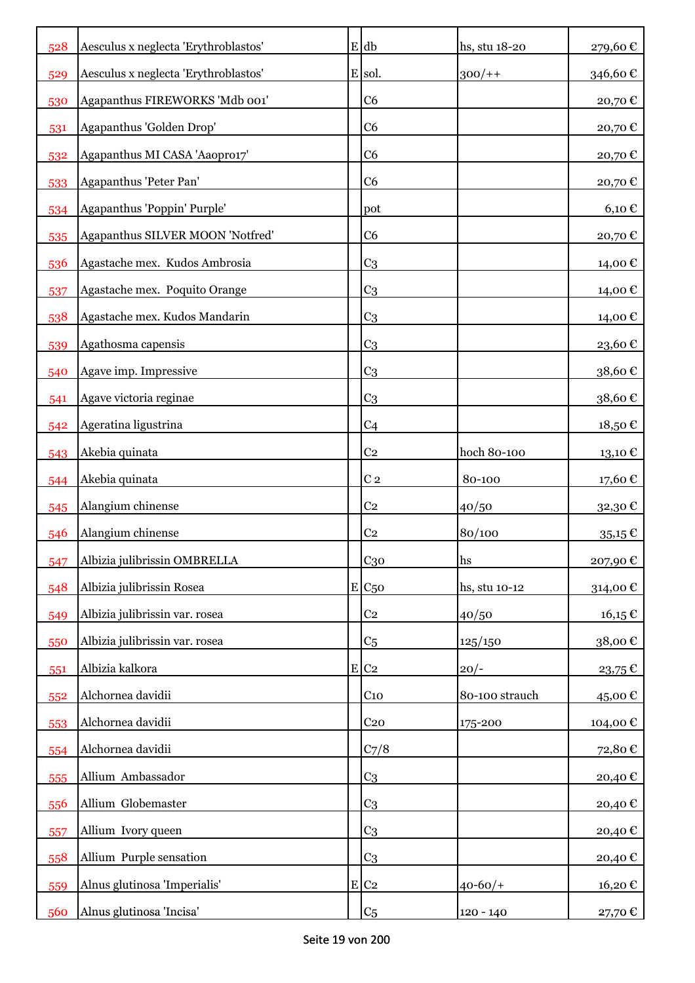| 528 | Aesculus x neglecta 'Erythroblastos' |           | $E$ db              | hs, stu 18-20  | 279,60€     |
|-----|--------------------------------------|-----------|---------------------|----------------|-------------|
| 529 | Aesculus x neglecta 'Erythroblastos' |           | E sol.              | $300/+$        | 346,60€     |
| 530 | Agapanthus FIREWORKS 'Mdb 001'       |           | C <sub>6</sub>      |                | 20,70€      |
| 531 | Agapanthus 'Golden Drop'             |           | C <sub>6</sub>      |                | 20,70€      |
| 532 | Agapanthus MI CASA 'Aaopro17'        |           | C <sub>6</sub>      |                | 20,70€      |
| 533 | Agapanthus 'Peter Pan'               |           | C <sub>6</sub>      |                | 20,70€      |
| 534 | Agapanthus 'Poppin' Purple'          |           | pot                 |                | 6,10€       |
| 535 | Agapanthus SILVER MOON 'Notfred'     |           | C <sub>6</sub>      |                | 20,70€      |
| 536 | Agastache mex. Kudos Ambrosia        |           | C <sub>3</sub>      |                | 14,00 €     |
| 537 | Agastache mex. Poquito Orange        |           | C <sub>3</sub>      |                | 14,00 €     |
| 538 | Agastache mex. Kudos Mandarin        |           | C <sub>3</sub>      |                | 14,00€      |
| 539 | Agathosma capensis                   |           | C <sub>3</sub>      |                | 23,60€      |
| 540 | Agave imp. Impressive                |           | C <sub>3</sub>      |                | 38,60€      |
| 541 | Agave victoria reginae               |           | C <sub>3</sub>      |                | 38,60€      |
| 542 | Ageratina ligustrina                 |           | C <sub>4</sub>      |                | 18,50€      |
| 543 | Akebia quinata                       |           | C <sub>2</sub>      | hoch 80-100    | 13,10 €     |
| 544 | Akebia quinata                       |           | C <sub>2</sub>      | 80-100         | 17,60€      |
| 545 | Alangium chinense                    |           | C <sub>2</sub>      | 40/50          | 32,30€      |
| 546 | Alangium chinense                    |           | C <sub>2</sub>      | 80/100         | $35,15 \in$ |
| 547 | Albizia julibrissin OMBRELLA         |           | C <sub>30</sub>     | hs             | 207,90€     |
| 548 | Albizia julibrissin Rosea            |           | $E$ C <sub>50</sub> | hs, stu 10-12  | 314,00€     |
| 549 | Albizia julibrissin var. rosea       |           | C <sub>2</sub>      | 40/50          | $16,15 \in$ |
| 550 | Albizia julibrissin var. rosea       |           | C <sub>5</sub>      | 125/150        | 38,00€      |
| 551 | Albizia kalkora                      | ${\bf E}$ | $\rm{C}2$           | $20/-$         | 23,75€      |
| 552 | Alchornea davidii                    |           | C <sub>10</sub>     | 80-100 strauch | 45,00€      |
| 553 | Alchornea davidii                    |           | C <sub>20</sub>     | 175-200        | 104,00€     |
| 554 | Alchornea davidii                    |           | C <sub>7</sub> /8   |                | 72,80€      |
| 555 | Allium Ambassador                    |           | C <sub>3</sub>      |                | 20,40€      |
| 556 | Allium Globemaster                   |           | C <sub>3</sub>      |                | 20,40€      |
| 557 | Allium Ivory queen                   |           | C <sub>3</sub>      |                | 20,40€      |
| 558 | Allium Purple sensation              |           | C <sub>3</sub>      |                | 20,40€      |
| 559 | Alnus glutinosa 'Imperialis'         | E         | C <sub>2</sub>      | $40 - 60/$     | 16,20€      |
| 560 | Alnus glutinosa 'Incisa'             |           | C <sub>5</sub>      | 120 - 140      | 27,70 €     |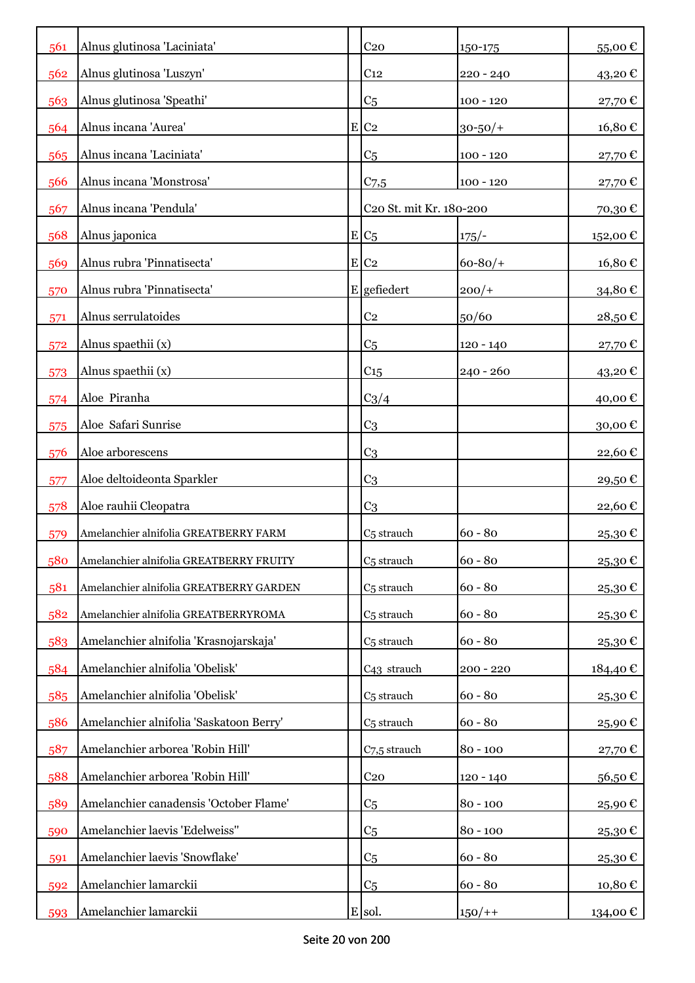| 561 | Alnus glutinosa 'Laciniata'             |   | C <sub>20</sub>         | 150-175      | 55,00€   |
|-----|-----------------------------------------|---|-------------------------|--------------|----------|
| 562 | Alnus glutinosa 'Luszyn'                |   | C <sub>12</sub>         | $220 - 240$  | 43,20€   |
| 563 | Alnus glutinosa 'Speathi'               |   | C <sub>5</sub>          | $100 - 120$  | 27,70€   |
| 564 | Alnus incana 'Aurea'                    | E | C <sub>2</sub>          | $30 - 50/$ + | 16,80€   |
| 565 | Alnus incana 'Laciniata'                |   | C <sub>5</sub>          | $100 - 120$  | 27,70€   |
| 566 | Alnus incana 'Monstrosa'                |   | $C_{7,5}$               | $100 - 120$  | 27,70€   |
| 567 | Alnus incana 'Pendula'                  |   | C20 St. mit Kr. 180-200 |              | 70,30€   |
| 568 | Alnus japonica                          |   | $E C_5$                 | $175/-$      | 152,00€  |
| 569 | Alnus rubra 'Pinnatisecta'              |   | $E$ C <sub>2</sub>      | $60 - 80/$   | 16,80€   |
| 570 | Alnus rubra 'Pinnatisecta'              |   | E gefiedert             | $200/+$      | 34,80€   |
| 571 | Alnus serrulatoides                     |   | C <sub>2</sub>          | 50/60        | 28,50€   |
| 572 | Alnus spaethii (x)                      |   | C <sub>5</sub>          | $120 - 140$  | 27,70€   |
| 573 | Alnus spaethii (x)                      |   | C15                     | $240 - 260$  | 43,20€   |
| 574 | Aloe Piranha                            |   | $C_3/4$                 |              | 40,00€   |
| 575 | Aloe Safari Sunrise                     |   | C <sub>3</sub>          |              | 30,00€   |
| 576 | Aloe arborescens                        |   | C <sub>3</sub>          |              | 22,60€   |
| 577 | Aloe deltoideonta Sparkler              |   | C <sub>3</sub>          |              | 29,50€   |
| 578 | Aloe rauhii Cleopatra                   |   | C <sub>3</sub>          |              | 22,60€   |
| 579 | Amelanchier alnifolia GREATBERRY FARM   |   | C <sub>5</sub> strauch  | $60 - 80$    | 25,30€   |
| 580 | Amelanchier alnifolia GREATBERRY FRUITY |   | C <sub>5</sub> strauch  | $60 - 80$    | 25,30€   |
| 581 | Amelanchier alnifolia GREATBERRY GARDEN |   | C <sub>5</sub> strauch  | $60 - 80$    | 25,30€   |
| 582 | Amelanchier alnifolia GREATBERRYROMA    |   | C <sub>5</sub> strauch  | $60 - 80$    | 25,30€   |
| 583 | Amelanchier alnifolia 'Krasnojarskaja'  |   | C <sub>5</sub> strauch  | $60 - 80$    | 25,30€   |
| 584 | Amelanchier alnifolia 'Obelisk'         |   | C <sub>43</sub> strauch | $200 - 220$  | 184,40€  |
| 585 | Amelanchier alnifolia 'Obelisk'         |   | C <sub>5</sub> strauch  | $60 - 80$    | 25,30€   |
| 586 | Amelanchier alnifolia 'Saskatoon Berry' |   | C <sub>5</sub> strauch  | $60 - 80$    | 25,90€   |
| 587 | Amelanchier arborea 'Robin Hill'        |   | C7,5 strauch            | $80 - 100$   | 27,70€   |
| 588 | Amelanchier arborea 'Robin Hill'        |   | C <sub>20</sub>         | $120 - 140$  | 56,50€   |
| 589 | Amelanchier canadensis 'October Flame'  |   | C <sub>5</sub>          | $80 - 100$   | 25,90€   |
| 590 | Amelanchier laevis 'Edelweiss"          |   | C <sub>5</sub>          | $80 - 100$   | 25,30€   |
| 591 | Amelanchier laevis 'Snowflake'          |   | C <sub>5</sub>          | $60 - 80$    | 25,30€   |
| 592 | Amelanchier lamarckii                   |   | C <sub>5</sub>          | $60 - 80$    | 10,80€   |
| 593 | Amelanchier lamarckii                   |   | E sol.                  | $150/+$      | 134,00 € |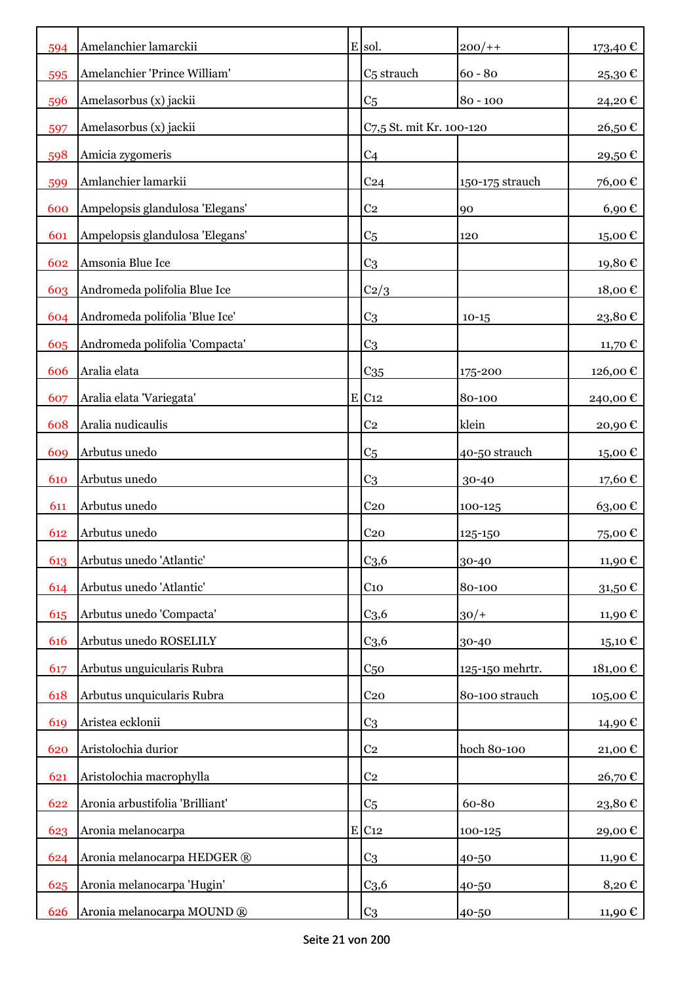| 594 | Amelanchier lamarckii           | E sol.                   | $200/+$         | 173,40 €            |
|-----|---------------------------------|--------------------------|-----------------|---------------------|
| 595 | Amelanchier 'Prince William'    | C <sub>5</sub> strauch   | $60 - 80$       | 25,30€              |
| 596 | Amelasorbus (x) jackii          | C <sub>5</sub>           | $80 - 100$      | 24,20€              |
| 597 | Amelasorbus (x) jackii          | C7,5 St. mit Kr. 100-120 |                 | 26,50€              |
| 598 | Amicia zygomeris                | C <sub>4</sub>           |                 | 29,50€              |
| 599 | Amlanchier lamarkii             | C <sub>24</sub>          | 150-175 strauch | 76,00€              |
| 600 | Ampelopsis glandulosa 'Elegans' | C <sub>2</sub>           | 90              | $6,90 \text{ } \in$ |
| 601 | Ampelopsis glandulosa 'Elegans' | C <sub>5</sub>           | 120             | 15,00€              |
| 602 | Amsonia Blue Ice                | C <sub>3</sub>           |                 | 19,80€              |
| 603 | Andromeda polifolia Blue Ice    | C2/3                     |                 | 18,00€              |
| 604 | Andromeda polifolia 'Blue Ice'  | C <sub>3</sub>           | $10 - 15$       | 23,80€              |
| 605 | Andromeda polifolia 'Compacta'  | C <sub>3</sub>           |                 | 11,70 €             |
| 606 | Aralia elata                    | $C_{35}$                 | 175-200         | 126,00€             |
| 607 | Aralia elata 'Variegata'        | $E$ C <sub>12</sub>      | 80-100          | 240,00€             |
| 608 | Aralia nudicaulis               | C <sub>2</sub>           | klein           | 20,90 €             |
| 609 | Arbutus unedo                   | C <sub>5</sub>           | 40-50 strauch   | 15,00 €             |
| 610 | Arbutus unedo                   | C <sub>3</sub>           | 30-40           | 17,60€              |
| 611 | Arbutus unedo                   | C <sub>20</sub>          | 100-125         | 63,00€              |
| 612 | Arbutus unedo                   | C <sub>20</sub>          | 125-150         | 75,00€              |
| 613 | Arbutus unedo 'Atlantic'        | C <sub>3,6</sub>         | 30-40           | 11,90€              |
| 614 | Arbutus unedo 'Atlantic'        | C <sub>10</sub>          | 80-100          | 31,50€              |
| 615 | Arbutus unedo 'Compacta'        | C <sub>3,6</sub>         | $30/+$          | 11,90 €             |
| 616 | Arbutus unedo ROSELILY          | C <sub>3,6</sub>         | 30-40           | 15,10 €             |
| 617 | Arbutus unguicularis Rubra      | C <sub>50</sub>          | 125-150 mehrtr. | 181,00€             |
| 618 | Arbutus unquicularis Rubra      | C <sub>20</sub>          | 80-100 strauch  | 105,00€             |
| 619 | Aristea ecklonii                | C <sub>3</sub>           |                 | 14,90€              |
| 620 | Aristolochia durior             | C <sub>2</sub>           | hoch 80-100     | 21,00€              |
| 621 | Aristolochia macrophylla        | C <sub>2</sub>           |                 | 26,70€              |
| 622 | Aronia arbustifolia 'Brilliant' | C <sub>5</sub>           | 60-80           | 23,80€              |
| 623 | Aronia melanocarpa              | $E$ C <sub>12</sub>      | 100-125         | 29,00€              |
| 624 | Aronia melanocarpa HEDGER ®     | C <sub>3</sub>           | 40-50           | 11,90 €             |
| 625 | Aronia melanocarpa 'Hugin'      | C <sub>3,6</sub>         | 40-50           | 8,20€               |
| 626 | Aronia melanocarpa MOUND ®      | C <sub>3</sub>           | 40-50           | 11,90 €             |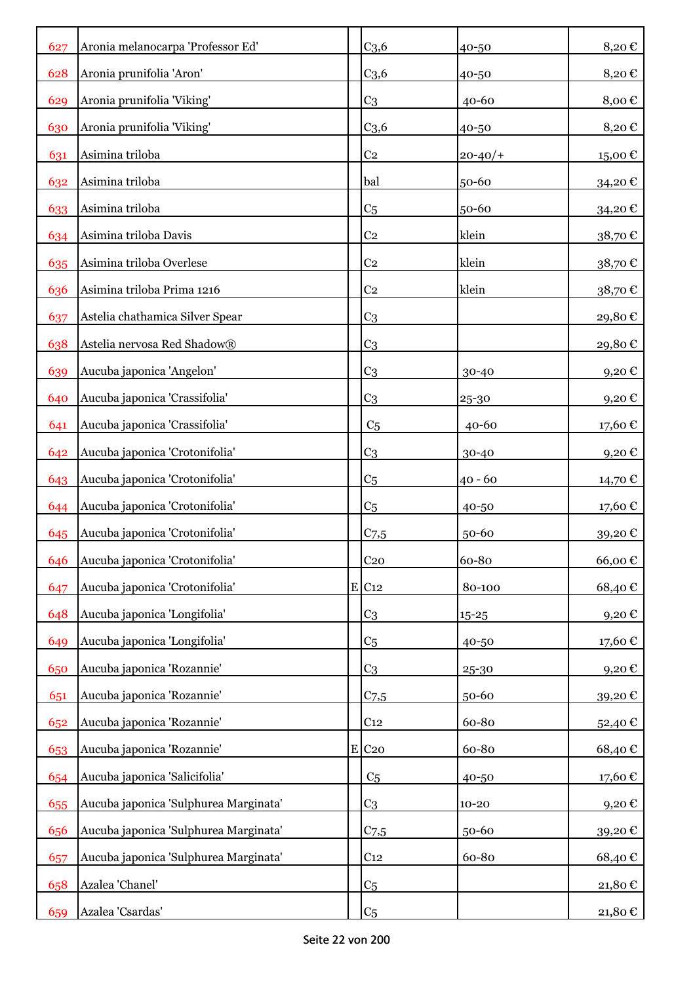| 627 | Aronia melanocarpa 'Professor Ed'     |             | C <sub>3,6</sub> | 40-50      | 8,20€    |
|-----|---------------------------------------|-------------|------------------|------------|----------|
| 628 | Aronia prunifolia 'Aron'              |             | C <sub>3,6</sub> | 40-50      | 8,20€    |
| 629 | Aronia prunifolia 'Viking'            |             | C <sub>3</sub>   | $40 - 60$  | 8,00€    |
| 630 | Aronia prunifolia 'Viking'            |             | C <sub>3,6</sub> | 40-50      | 8,20€    |
| 631 | Asimina triloba                       |             | C <sub>2</sub>   | $20 - 40/$ | 15,00€   |
| 632 | Asimina triloba                       |             | bal              | 50-60      | 34,20€   |
| 633 | Asimina triloba                       |             | C <sub>5</sub>   | 50-60      | 34,20€   |
| 634 | Asimina triloba Davis                 |             | C <sub>2</sub>   | klein      | 38,70€   |
| 635 | Asimina triloba Overlese              |             | C <sub>2</sub>   | klein      | 38,70€   |
| 636 | Asimina triloba Prima 1216            |             | C <sub>2</sub>   | klein      | 38,70€   |
| 637 | Astelia chathamica Silver Spear       |             | C <sub>3</sub>   |            | 29,80€   |
| 638 | Astelia nervosa Red Shadow®           |             | C <sub>3</sub>   |            | 29,80€   |
| 639 | Aucuba japonica 'Angelon'             |             | C <sub>3</sub>   | 30-40      | 9,20€    |
| 640 | Aucuba japonica 'Crassifolia'         |             | C <sub>3</sub>   | 25-30      | $9,20$ € |
| 641 | Aucuba japonica 'Crassifolia'         |             | C <sub>5</sub>   | $40 - 60$  | 17,60€   |
| 642 | Aucuba japonica 'Crotonifolia'        |             | C <sub>3</sub>   | 30-40      | 9,20€    |
| 643 | Aucuba japonica 'Crotonifolia'        |             | C <sub>5</sub>   | $40 - 60$  | 14,70 €  |
| 644 | Aucuba japonica 'Crotonifolia'        |             | C <sub>5</sub>   | 40-50      | 17,60€   |
| 645 | Aucuba japonica 'Crotonifolia'        |             | $C$ 7,5          | 50-60      | 39,20€   |
| 646 | Aucuba japonica 'Crotonifolia'        |             | C <sub>20</sub>  | 60-80      | 66,00€   |
| 647 | Aucuba japonica 'Crotonifolia'        |             | E C12            | 80-100     | 68,40€   |
| 648 | Aucuba japonica 'Longifolia'          |             | C <sub>3</sub>   | $15 - 25$  | 9,20€    |
| 649 | Aucuba japonica 'Longifolia'          |             | C <sub>5</sub>   | 40-50      | 17,60€   |
| 650 | Aucuba japonica 'Rozannie'            |             | C <sub>3</sub>   | 25-30      | 9,20€    |
| 651 | Aucuba japonica 'Rozannie'            |             | $C_{7,5}$        | 50-60      | 39,20€   |
| 652 | Aucuba japonica 'Rozannie'            |             | C <sub>12</sub>  | 60-80      | 52,40€   |
| 653 | Aucuba japonica 'Rozannie'            | $\mathbf E$ | C <sub>20</sub>  | 60-80      | 68,40€   |
| 654 | Aucuba japonica 'Salicifolia'         |             | C <sub>5</sub>   | 40-50      | 17,60€   |
| 655 | Aucuba japonica 'Sulphurea Marginata' |             | C <sub>3</sub>   | $10 - 20$  | 9,20€    |
| 656 | Aucuba japonica 'Sulphurea Marginata' |             | $C_{7,5}$        | 50-60      | 39,20€   |
| 657 | Aucuba japonica 'Sulphurea Marginata' |             | C <sub>12</sub>  | 60-80      | 68,40€   |
| 658 | Azalea 'Chanel'                       |             | C <sub>5</sub>   |            | 21,80€   |
| 659 | Azalea 'Csardas'                      |             | C <sub>5</sub>   |            | 21,80 €  |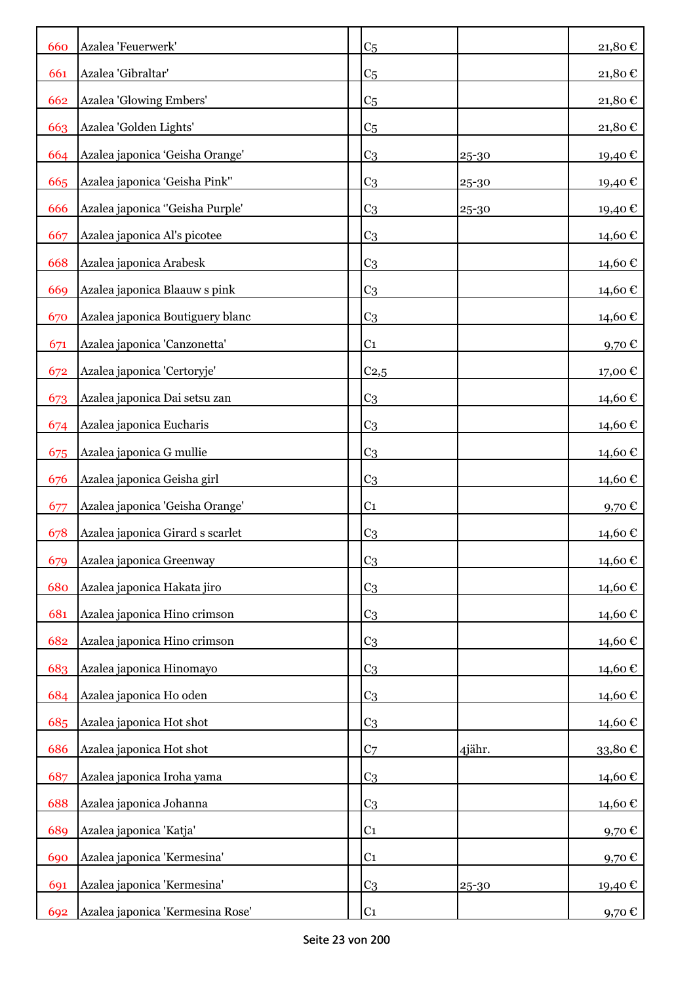| 660 | Azalea 'Feuerwerk'               | C <sub>5</sub>   |        | 21,80€          |
|-----|----------------------------------|------------------|--------|-----------------|
| 661 | Azalea 'Gibraltar'               | C <sub>5</sub>   |        | 21,80€          |
| 662 | Azalea 'Glowing Embers'          | C <sub>5</sub>   |        | 21,80€          |
| 663 | Azalea 'Golden Lights'           | C <sub>5</sub>   |        | 21,80€          |
| 664 | Azalea japonica 'Geisha Orange'  | C <sub>3</sub>   | 25-30  | 19,40€          |
| 665 | Azalea japonica 'Geisha Pink"    | C <sub>3</sub>   | 25-30  | 19,40€          |
| 666 | Azalea japonica "Geisha Purple'  | C <sub>3</sub>   | 25-30  | 19,40€          |
| 667 | Azalea japonica Al's picotee     | C <sub>3</sub>   |        | 14,60€          |
| 668 | Azalea japonica Arabesk          | C <sub>3</sub>   |        | 14,60€          |
| 669 | Azalea japonica Blaauw s pink    | C <sub>3</sub>   |        | 14,60€          |
| 670 | Azalea japonica Boutiguery blanc | C <sub>3</sub>   |        | 14,60€          |
| 671 | Azalea japonica 'Canzonetta'     | C <sub>1</sub>   |        | 9,70€           |
| 672 | Azalea japonica 'Certoryje'      | C <sub>2,5</sub> |        | 17,00 €         |
| 673 | Azalea japonica Dai setsu zan    | C <sub>3</sub>   |        | 14,60 €         |
| 674 | Azalea japonica Eucharis         | C <sub>3</sub>   |        | 14,60€          |
| 675 | Azalea japonica G mullie         | C <sub>3</sub>   |        | 14,60€          |
| 676 | Azalea japonica Geisha girl      | C <sub>3</sub>   |        | 14,60€          |
| 677 | Azalea japonica 'Geisha Orange'  | C <sub>1</sub>   |        | 9,70 $\epsilon$ |
| 678 | Azalea japonica Girard s scarlet | C <sub>3</sub>   |        | 14,60€          |
| 679 | Azalea japonica Greenway         | C <sub>3</sub>   |        | 14,60€          |
| 680 | Azalea japonica Hakata jiro      | C <sub>3</sub>   |        | 14,60 €         |
| 681 | Azalea japonica Hino crimson     | C <sub>3</sub>   |        | 14,60€          |
| 682 | Azalea japonica Hino crimson     | C <sub>3</sub>   |        | 14,60 €         |
| 683 | Azalea japonica Hinomayo         | C <sub>3</sub>   |        | 14,60€          |
| 684 | Azalea japonica Ho oden          | C <sub>3</sub>   |        | 14,60€          |
| 685 | Azalea japonica Hot shot         | C <sub>3</sub>   |        | 14,60€          |
| 686 | Azalea japonica Hot shot         | C <sub>7</sub>   | 4jähr. | 33,80€          |
| 687 | Azalea japonica Iroha yama       | C <sub>3</sub>   |        | 14,60€          |
| 688 | Azalea japonica Johanna          | C <sub>3</sub>   |        | 14,60€          |
| 689 | Azalea japonica 'Katja'          | C <sub>1</sub>   |        | 9,70€           |
| 690 | Azalea japonica 'Kermesina'      | C <sub>1</sub>   |        | 9,70€           |
| 691 | Azalea japonica 'Kermesina'      | C <sub>3</sub>   | 25-30  | 19,40 €         |
| 692 | Azalea japonica 'Kermesina Rose' | C <sub>1</sub>   |        | 9,70 $\epsilon$ |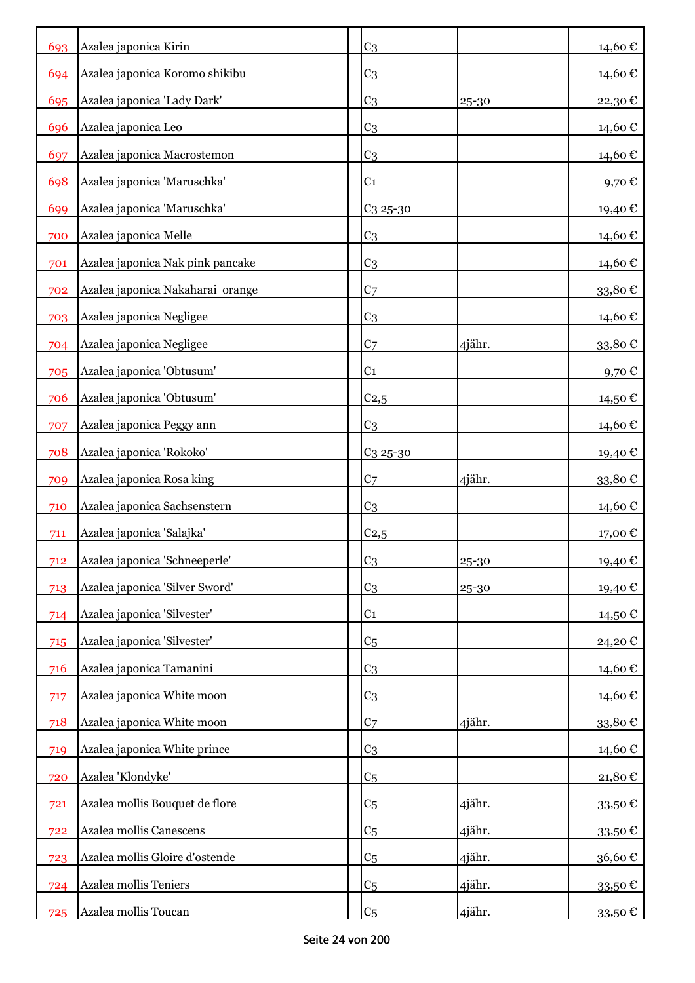| 693 | Azalea japonica Kirin            | C <sub>3</sub>       |        | 14,60 €           |
|-----|----------------------------------|----------------------|--------|-------------------|
| 694 | Azalea japonica Koromo shikibu   | C <sub>3</sub>       |        | 14,60 €           |
| 695 | Azalea japonica 'Lady Dark'      | C <sub>3</sub>       | 25-30  | 22,30€            |
| 696 | Azalea japonica Leo              | C <sub>3</sub>       |        | 14,60€            |
| 697 | Azalea japonica Macrostemon      | C <sub>3</sub>       |        | 14,60€            |
| 698 | Azalea japonica 'Maruschka'      | C <sub>1</sub>       |        | 9,70 $\mathbb C$  |
| 699 | Azalea japonica 'Maruschka'      | $C_3$ 25-30          |        | 19,40€            |
| 700 | Azalea japonica Melle            | C <sub>3</sub>       |        | 14,60€            |
| 701 | Azalea japonica Nak pink pancake | C <sub>3</sub>       |        | 14,60€            |
| 702 | Azalea japonica Nakaharai orange | C <sub>7</sub>       |        | 33,80€            |
| 703 | Azalea japonica Negligee         | C <sub>3</sub>       |        | 14,60 €           |
| 704 | Azalea japonica Negligee         | C <sub>7</sub>       | 4jähr. | 33,80€            |
| 705 | Azalea japonica 'Obtusum'        | C <sub>1</sub>       |        | $9,70$ €          |
| 706 | Azalea japonica 'Obtusum'        | $C_{2,5}$            |        | 14,50 €           |
| 707 | Azalea japonica Peggy ann        | C <sub>3</sub>       |        | 14,60€            |
| 708 | Azalea japonica 'Rokoko'         | C <sub>3</sub> 25-30 |        | 19,40 €           |
| 709 | Azalea japonica Rosa king        | C <sub>7</sub>       | 4jähr. | 33,80€            |
| 710 | Azalea japonica Sachsenstern     | C <sub>3</sub>       |        | 14,60 €           |
| 711 | Azalea japonica 'Salajka'        | C <sub>2,5</sub>     |        | 17,00 €           |
| 712 | Azalea japonica 'Schneeperle'    | C <sub>3</sub>       | 25-30  | 19,40€            |
| 713 | Azalea japonica 'Silver Sword'   | C <sub>3</sub>       | 25-30  | 19,40€            |
| 714 | Azalea japonica 'Silvester'      | C <sub>1</sub>       |        | 14,50€            |
| 715 | Azalea japonica 'Silvester'      | C <sub>5</sub>       |        | 24,20€            |
| 716 | Azalea japonica Tamanini         | C <sub>3</sub>       |        | 14,60€            |
| 717 | Azalea japonica White moon       | C <sub>3</sub>       |        | 14,60€            |
| 718 | Azalea japonica White moon       | C <sub>7</sub>       | 4jähr. | 33,80€            |
| 719 | Azalea japonica White prince     | C <sub>3</sub>       |        | 14,60€            |
| 720 | Azalea 'Klondyke'                | C <sub>5</sub>       |        | 21,80€            |
| 721 | Azalea mollis Bouquet de flore   | C <sub>5</sub>       | 4jähr. | 33,50 $\mathbb C$ |
| 722 | Azalea mollis Canescens          | C <sub>5</sub>       | 4jähr. | 33,50€            |
| 723 | Azalea mollis Gloire d'ostende   | C <sub>5</sub>       | 4jähr. | 36,60€            |
| 724 | Azalea mollis Teniers            | C <sub>5</sub>       | 4jähr. | 33,50 €           |
| 725 | Azalea mollis Toucan             | C <sub>5</sub>       | 4jähr. | 33,50 €           |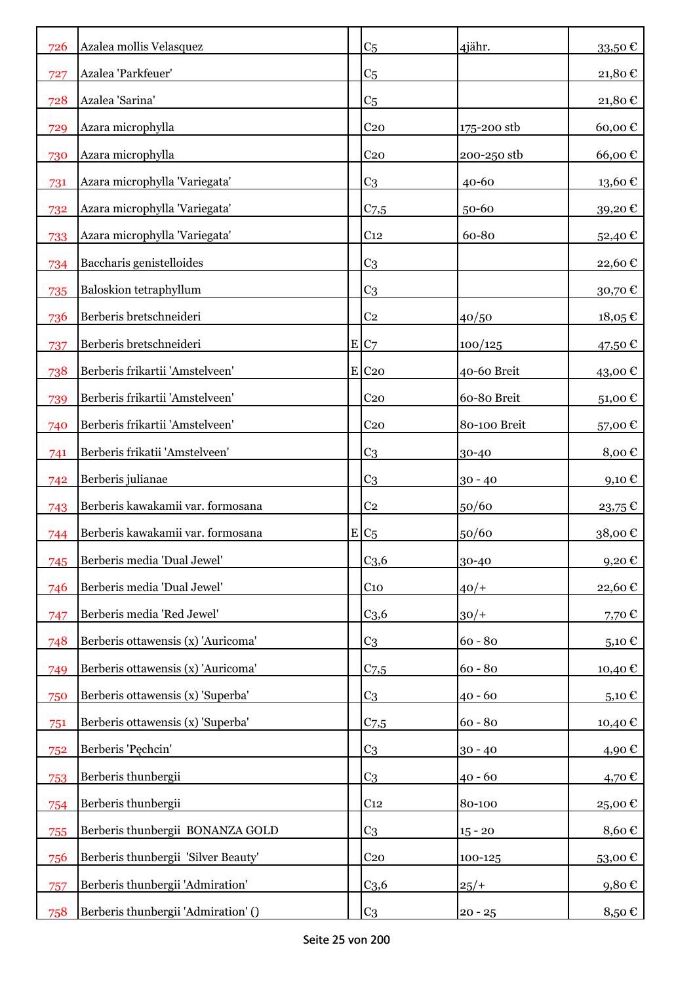| 726 | Azalea mollis Velasquez             | C <sub>5</sub>   | 4jähr.       | 33,50€  |
|-----|-------------------------------------|------------------|--------------|---------|
| 727 | Azalea 'Parkfeuer'                  | C <sub>5</sub>   |              | 21,80€  |
| 728 | Azalea 'Sarina'                     | C <sub>5</sub>   |              | 21,80€  |
| 729 | Azara microphylla                   | C <sub>20</sub>  | 175-200 stb  | 60,00€  |
| 730 | Azara microphylla                   | C <sub>20</sub>  | 200-250 stb  | 66,00€  |
| 731 | Azara microphylla 'Variegata'       | C <sub>3</sub>   | 40-60        | 13,60€  |
| 732 | Azara microphylla 'Variegata'       | $C_{7,5}$        | 50-60        | 39,20€  |
| 733 | Azara microphylla 'Variegata'       | C <sub>12</sub>  | 60-80        | 52,40€  |
| 734 | Baccharis genistelloides            | C <sub>3</sub>   |              | 22,60€  |
| 735 | <b>Baloskion tetraphyllum</b>       | C <sub>3</sub>   |              | 30,70€  |
| 736 | Berberis bretschneideri             | C <sub>2</sub>   | 40/50        | 18,05€  |
| 737 | Berberis bretschneideri             | E C7             | 100/125      | 47,50 € |
| 738 | Berberis frikartii 'Amstelveen'     | E C20            | 40-60 Breit  | 43,00€  |
| 739 | Berberis frikartii 'Amstelveen'     | C <sub>20</sub>  | 60-80 Breit  | 51,00€  |
| 740 | Berberis frikartii 'Amstelveen'     | C <sub>20</sub>  | 80-100 Breit | 57,00€  |
| 741 | Berberis frikatii 'Amstelveen'      | C <sub>3</sub>   | 30-40        | 8,00€   |
| 742 | Berberis julianae                   | C <sub>3</sub>   | $30 - 40$    | 9,10€   |
| 743 | Berberis kawakamii var. formosana   | C <sub>2</sub>   | 50/60        | 23,75€  |
| 744 | Berberis kawakamii var. formosana   | $E C_5$          | 50/60        | 38,00€  |
| 745 | Berberis media 'Dual Jewel'         | C <sub>3,6</sub> | 30-40        | 9,20€   |
| 746 | Berberis media 'Dual Jewel'         | C <sub>10</sub>  | $40/+$       | 22,60€  |
| 747 | Berberis media 'Red Jewel'          | C <sub>3,6</sub> | $30/+$       | 7,70€   |
| 748 | Berberis ottawensis (x) 'Auricoma'  | C <sub>3</sub>   | $60 - 80$    | 5,10€   |
| 749 | Berberis ottawensis (x) 'Auricoma'  | $C_{7,5}$        | $60 - 80$    | 10,40€  |
| 750 | Berberis ottawensis (x) 'Superba'   | C <sub>3</sub>   | $40 - 60$    | 5,10€   |
| 751 | Berberis ottawensis (x) 'Superba'   | $C_{7,5}$        | $60 - 80$    | 10,40€  |
| 752 | Berberis 'Pęchcin'                  | C <sub>3</sub>   | $30 - 40$    | 4,90€   |
| 753 | Berberis thunbergii                 | C <sub>3</sub>   | $40 - 60$    | 4,70€   |
| 754 | Berberis thunbergii                 | C <sub>12</sub>  | 80-100       | 25,00€  |
| 755 | Berberis thunbergii BONANZA GOLD    | C <sub>3</sub>   | $15 - 20$    | 8,60€   |
| 756 | Berberis thunbergii 'Silver Beauty' | C <sub>20</sub>  | 100-125      | 53,00€  |
| 757 | Berberis thunbergii 'Admiration'    | C <sub>3,6</sub> | $25/+$       | 9,80€   |
| 758 | Berberis thunbergii 'Admiration' () | C <sub>3</sub>   | $20 - 25$    | 8,50€   |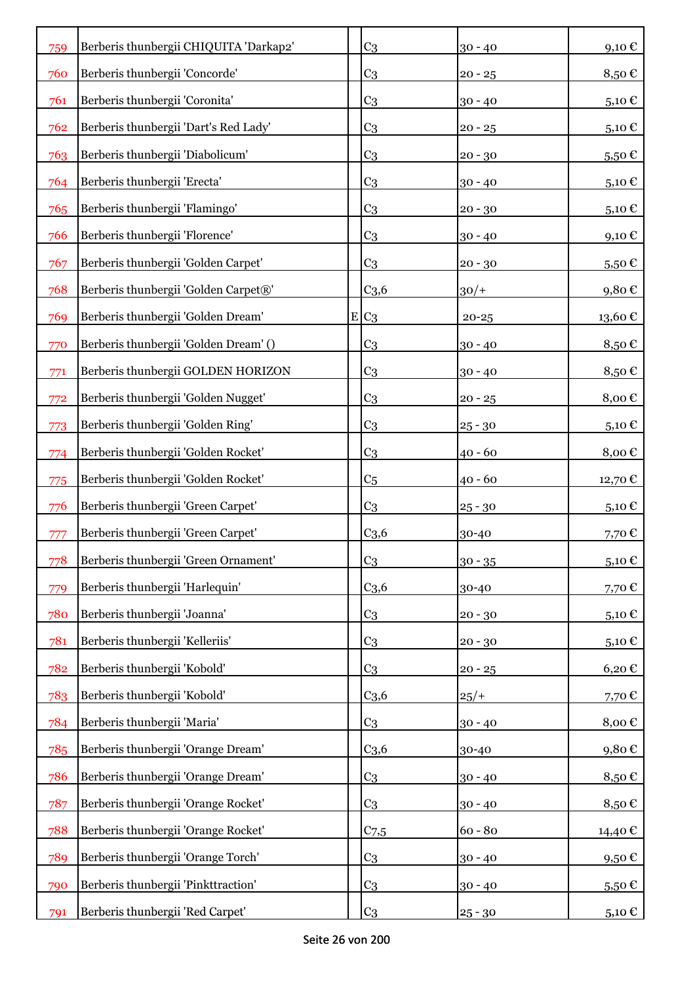| 759 | Berberis thunbergii CHIQUITA 'Darkap2' |   | C <sub>3</sub>   | $30 - 40$ | 9,10€                  |
|-----|----------------------------------------|---|------------------|-----------|------------------------|
| 760 | Berberis thunbergii 'Concorde'         |   | C <sub>3</sub>   | $20 - 25$ | 8,50€                  |
| 761 | Berberis thunbergii 'Coronita'         |   | C <sub>3</sub>   | $30 - 40$ | 5,10 €                 |
| 762 | Berberis thunbergii 'Dart's Red Lady'  |   | C <sub>3</sub>   | $20 - 25$ | 5,10 €                 |
| 763 | Berberis thunbergii 'Diabolicum'       |   | C <sub>3</sub>   | $20 - 30$ | $5,50 \in$             |
| 764 | Berberis thunbergii 'Erecta'           |   | C <sub>3</sub>   | $30 - 40$ | 5,10€                  |
| 765 | Berberis thunbergii 'Flamingo'         |   | C <sub>3</sub>   | $20 - 30$ | 5,10 $\in$             |
| 766 | Berberis thunbergii 'Florence'         |   | C <sub>3</sub>   | $30 - 40$ | 9,10€                  |
| 767 | Berberis thunbergii 'Golden Carpet'    |   | C <sub>3</sub>   | $20 - 30$ | $5,50 \in$             |
| 768 | Berberis thunbergii 'Golden Carpet®'   |   | C <sub>3,6</sub> | $30/+$    | 9,80€                  |
| 769 | Berberis thunbergii 'Golden Dream'     | E | C <sub>3</sub>   | $20 - 25$ | $13{,}60$ $\mathbb{C}$ |
| 770 | Berberis thunbergii 'Golden Dream' ()  |   | C <sub>3</sub>   | $30 - 40$ | 8,50€                  |
| 771 | Berberis thunbergii GOLDEN HORIZON     |   | C <sub>3</sub>   | $30 - 40$ | 8,50€                  |
| 772 | Berberis thunbergii 'Golden Nugget'    |   | C <sub>3</sub>   | $20 - 25$ | 8,00€                  |
| 773 | Berberis thunbergii 'Golden Ring'      |   | C <sub>3</sub>   | $25 - 30$ | $_{5,10}\,\varepsilon$ |
| 774 | Berberis thunbergii 'Golden Rocket'    |   | C <sub>3</sub>   | $40 - 60$ | 8,00€                  |
| 775 | Berberis thunbergii 'Golden Rocket'    |   | C <sub>5</sub>   | $40 - 60$ | 12,70 €                |
| 776 | Berberis thunbergii 'Green Carpet'     |   | C <sub>3</sub>   | $25 - 30$ | 5,10€                  |
| 777 | Berberis thunbergii 'Green Carpet'     |   | C <sub>3,6</sub> | 30-40     | 7,70€                  |
| 778 | Berberis thunbergii 'Green Ornament'   |   | C <sub>3</sub>   | $30 - 35$ | 5,10€                  |
| 779 | Berberis thunbergii 'Harlequin'        |   | C <sub>3,6</sub> | 30-40     | 7,70€                  |
| 780 | Berberis thunbergii 'Joanna'           |   | C <sub>3</sub>   | $20 - 30$ | 5,10€                  |
| 781 | Berberis thunbergii 'Kelleriis'        |   | C <sub>3</sub>   | $20 - 30$ | 5,10€                  |
| 782 | Berberis thunbergii 'Kobold'           |   | C <sub>3</sub>   | $20 - 25$ | 6,20€                  |
| 783 | Berberis thunbergii 'Kobold'           |   | C <sub>3,6</sub> | $25/+$    | 7,70€                  |
| 784 | Berberis thunbergii 'Maria'            |   | C <sub>3</sub>   | $30 - 40$ | 8,00 $\epsilon$        |
| 785 | Berberis thunbergii 'Orange Dream'     |   | C <sub>3,6</sub> | 30-40     | 9,80€                  |
| 786 | Berberis thunbergii 'Orange Dream'     |   | C <sub>3</sub>   | $30 - 40$ | 8,50€                  |
| 787 | Berberis thunbergii 'Orange Rocket'    |   | C <sub>3</sub>   | $30 - 40$ | 8,50€                  |
| 788 | Berberis thunbergii 'Orange Rocket'    |   | $C_{7,5}$        | $60 - 80$ | 14,40€                 |
| 789 | Berberis thunbergii 'Orange Torch'     |   | C <sub>3</sub>   | $30 - 40$ | 9,50 $\epsilon$        |
| 790 | Berberis thunbergii 'Pinkttraction'    |   | C <sub>3</sub>   | $30 - 40$ | $5,50 \in$             |
| 791 | Berberis thunbergii 'Red Carpet'       |   | C <sub>3</sub>   | $25 - 30$ | 5,10 €                 |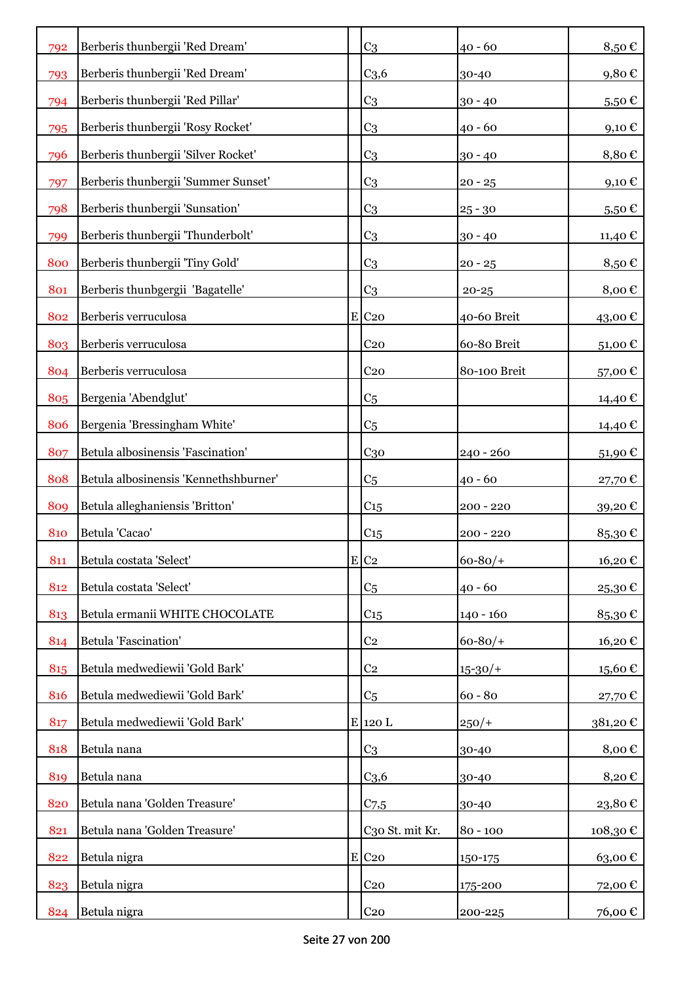| 792 | Berberis thunbergii 'Red Dream'       | C <sub>3</sub>      | $40 - 60$    | 8,50€        |
|-----|---------------------------------------|---------------------|--------------|--------------|
| 793 | Berberis thunbergii 'Red Dream'       | C <sub>3,6</sub>    | 30-40        | $9{,}80 \in$ |
| 794 | Berberis thunbergii 'Red Pillar'      | C <sub>3</sub>      | $30 - 40$    | 5,50€        |
| 795 | Berberis thunbergii 'Rosy Rocket'     | C <sub>3</sub>      | $40 - 60$    | 9,10€        |
| 796 | Berberis thunbergii 'Silver Rocket'   | C <sub>3</sub>      | $30 - 40$    | 8,80€        |
| 797 | Berberis thunbergii 'Summer Sunset'   | C <sub>3</sub>      | $20 - 25$    | 9,10€        |
| 798 | Berberis thunbergii 'Sunsation'       | C <sub>3</sub>      | $25 - 30$    | $5,50 \in$   |
| 799 | Berberis thunbergii 'Thunderbolt'     | C <sub>3</sub>      | $30 - 40$    | 11,40 €      |
| 800 | Berberis thunbergii 'Tiny Gold'       | C <sub>3</sub>      | $20 - 25$    | 8,50€        |
| 801 | Berberis thunbgergii 'Bagatelle'      | C <sub>3</sub>      | $20 - 25$    | 8,00€        |
| 802 | Berberis verruculosa                  | $E$ C <sub>20</sub> | 40-60 Breit  | 43,00€       |
| 803 | Berberis verruculosa                  | C <sub>20</sub>     | 60-80 Breit  | 51,00€       |
| 804 | Berberis verruculosa                  | C <sub>20</sub>     | 80-100 Breit | 57,00€       |
| 805 | Bergenia 'Abendglut'                  | C <sub>5</sub>      |              | 14,40 €      |
| 806 | Bergenia 'Bressingham White'          | C <sub>5</sub>      |              | 14,40 €      |
| 807 | Betula albosinensis 'Fascination'     | C <sub>30</sub>     | $240 - 260$  | 51,90€       |
| 808 | Betula albosinensis 'Kennethshburner' | C <sub>5</sub>      | $40 - 60$    | 27,70€       |
| 809 | Betula alleghaniensis 'Britton'       | $C_{15}$            | $200 - 220$  | 39,20€       |
| 810 | Betula 'Cacao'                        | C <sub>15</sub>     | $200 - 220$  | 85,30€       |
| 811 | Betula costata 'Select'               | $E$ C <sub>2</sub>  | $60 - 80/$   | 16,20€       |
| 812 | Betula costata 'Select'               | C <sub>5</sub>      | $40 - 60$    | 25,30€       |
| 813 | Betula ermanii WHITE CHOCOLATE        | C <sub>15</sub>     | $140 - 160$  | 85,30€       |
| 814 | Betula 'Fascination'                  | C <sub>2</sub>      | $60 - 80/$   | 16,20€       |
| 815 | Betula medwediewii 'Gold Bark'        | C <sub>2</sub>      | $15 - 30/$   | 15,60€       |
| 816 | Betula medwediewii 'Gold Bark'        | C <sub>5</sub>      | $60 - 80$    | 27,70€       |
| 817 | Betula medwediewii 'Gold Bark'        | $E$ 120 L           | $250/+$      | 381,20€      |
| 818 | Betula nana                           | C <sub>3</sub>      | 30-40        | 8,00€        |
| 819 | Betula nana                           | C <sub>3,6</sub>    | 30-40        | 8,20€        |
| 820 | Betula nana 'Golden Treasure'         | $C_{7,5}$           | 30-40        | 23,80€       |
| 821 | Betula nana 'Golden Treasure'         | C30 St. mit Kr.     | $80 - 100$   | 108,30€      |
| 822 | Betula nigra                          | $E$ C <sub>20</sub> | 150-175      | 63,00€       |
| 823 | Betula nigra                          | C <sub>20</sub>     | 175-200      | 72,00€       |
| 824 | Betula nigra                          | C <sub>20</sub>     | 200-225      | 76,00 €      |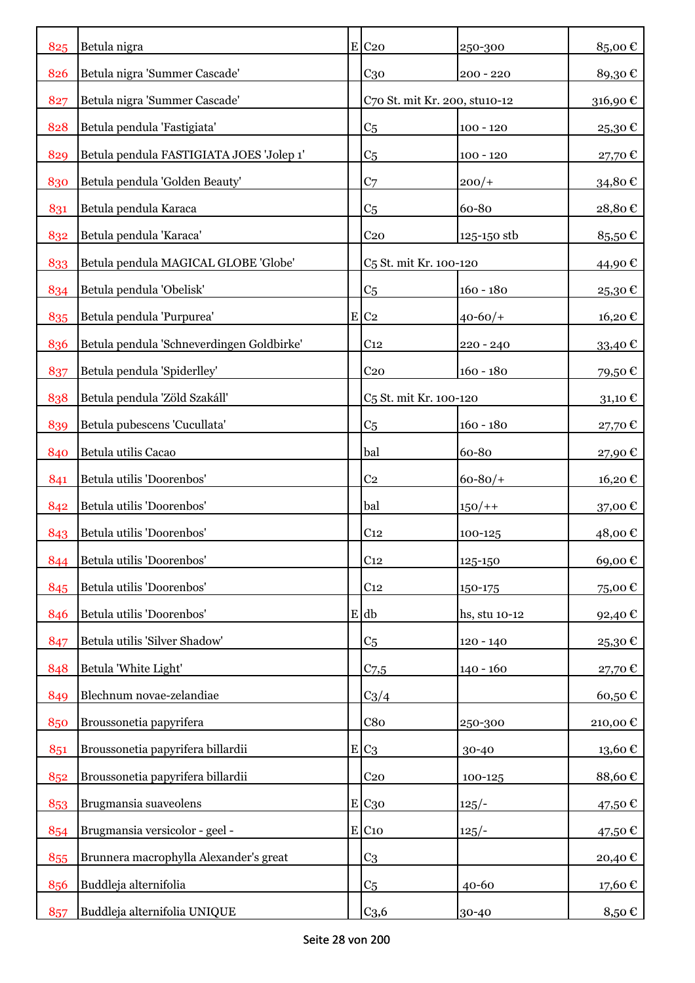| 825 | Betula nigra                              |           | $E$ C <sub>20</sub>                  | 250-300       | 85,00€      |
|-----|-------------------------------------------|-----------|--------------------------------------|---------------|-------------|
| 826 | Betula nigra 'Summer Cascade'             |           | $C_{30}$                             | $200 - 220$   | 89,30€      |
| 827 | Betula nigra 'Summer Cascade'             |           | C70 St. mit Kr. 200, stu10-12        |               | 316,90€     |
| 828 | Betula pendula 'Fastigiata'               |           | C <sub>5</sub>                       | $100 - 120$   | 25,30€      |
| 829 | Betula pendula FASTIGIATA JOES 'Jolep 1'  |           | C <sub>5</sub>                       | $100 - 120$   | 27,70€      |
| 830 | Betula pendula 'Golden Beauty'            |           | C <sub>7</sub>                       | $200/+$       | 34,80€      |
| 831 | Betula pendula Karaca                     |           | C <sub>5</sub>                       | 60-80         | 28,80€      |
| 832 | Betula pendula 'Karaca'                   |           | C <sub>20</sub>                      | 125-150 stb   | 85,50€      |
| 833 | Betula pendula MAGICAL GLOBE 'Globe'      |           | C <sub>5</sub> St. mit Kr. 100-120   |               | 44,90 €     |
|     | Betula pendula 'Obelisk'                  |           |                                      | $160 - 180$   |             |
| 834 | Betula pendula 'Purpurea'                 |           | C <sub>5</sub><br>$E$ C <sub>2</sub> |               | 25,30€      |
| 835 | Betula pendula 'Schneverdingen Goldbirke' |           |                                      | $40 - 60/$    | 16,20€      |
| 836 |                                           |           | C <sub>12</sub>                      | $220 - 240$   | $33,40 \in$ |
| 837 | Betula pendula 'Spiderlley'               |           | C <sub>20</sub>                      | $160 - 180$   | 79,50€      |
| 838 | Betula pendula 'Zöld Szakáll'             |           | C <sub>5</sub> St. mit Kr. 100-120   |               | 31,10€      |
| 839 | Betula pubescens 'Cucullata'              |           | C <sub>5</sub>                       | $160 - 180$   | 27,70€      |
| 840 | Betula utilis Cacao                       |           | bal                                  | 60-80         | 27,90€      |
| 841 | Betula utilis 'Doorenbos'                 |           | C <sub>2</sub>                       | $60 - 80/$ +  | 16,20€      |
| 842 | Betula utilis 'Doorenbos'                 |           | bal                                  | $150/+$       | 37,00 €     |
| 843 | Betula utilis 'Doorenbos'                 |           | C <sub>12</sub>                      | 100-125       | 48,00€      |
| 844 | Betula utilis 'Doorenbos'                 |           | C <sub>12</sub>                      | 125-150       | 69,00€      |
| 845 | Betula utilis 'Doorenbos'                 |           | C <sub>12</sub>                      | 150-175       | 75,00€      |
| 846 | Betula utilis 'Doorenbos'                 |           | $E$ db                               | hs, stu 10-12 | 92,40 €     |
| 847 | Betula utilis 'Silver Shadow'             |           | C <sub>5</sub>                       | $120 - 140$   | 25,30€      |
| 848 | Betula 'White Light'                      |           | C <sub>7,5</sub>                     | $140 - 160$   | 27,70€      |
| 849 | Blechnum novae-zelandiae                  |           | $C_3/4$                              |               | 60,50€      |
| 850 | Broussonetia papyrifera                   |           | C8 <sub>0</sub>                      | 250-300       | 210,00€     |
| 851 | Broussonetia papyrifera billardii         | ${\bf E}$ | C <sub>3</sub>                       | 30-40         | 13,60€      |
| 852 | Broussonetia papyrifera billardii         |           | $C_{20}$                             | 100-125       | 88,60€      |
| 853 | Brugmansia suaveolens                     |           | E C30                                | $125/-$       | 47,50€      |
| 854 | Brugmansia versicolor - geel -            |           | $E$ C <sub>10</sub>                  | $125/-$       | 47,50€      |
| 855 | Brunnera macrophylla Alexander's great    |           | C <sub>3</sub>                       |               | 20,40€      |
| 856 | Buddleja alternifolia                     |           | C <sub>5</sub>                       | 40-60         | 17,60€      |
| 857 | Buddleja alternifolia UNIQUE              |           | C <sub>3,6</sub>                     | 30-40         | 8,50 €      |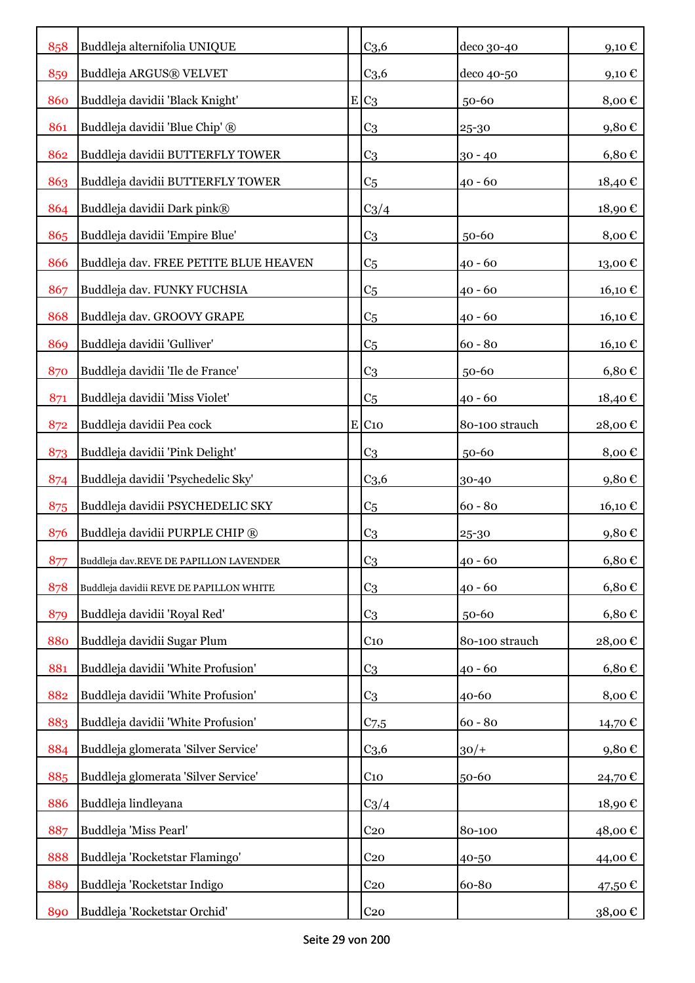| 858 | Buddleja alternifolia UNIQUE            |   | C <sub>3,6</sub>    | deco 30-40     | 9,10€      |
|-----|-----------------------------------------|---|---------------------|----------------|------------|
| 859 | Buddleja ARGUS® VELVET                  |   | C <sub>3,6</sub>    | deco 40-50     | 9,10€      |
| 860 | Buddleja davidii 'Black Knight'         | E | C <sub>3</sub>      | 50-60          | 8,00€      |
| 861 | Buddleja davidii 'Blue Chip' ®          |   | C <sub>3</sub>      | 25-30          | 9,80€      |
| 862 | Buddleja davidii BUTTERFLY TOWER        |   | C <sub>3</sub>      | $30 - 40$      | 6,80€      |
| 863 | Buddleja davidii BUTTERFLY TOWER        |   | C <sub>5</sub>      | $40 - 60$      | 18,40€     |
| 864 | Buddleja davidii Dark pink®             |   | $C_3/4$             |                | 18,90€     |
| 865 | Buddleja davidii 'Empire Blue'          |   | C <sub>3</sub>      | 50-60          | 8,00€      |
| 866 | Buddleja dav. FREE PETITE BLUE HEAVEN   |   | C <sub>5</sub>      | $40 - 60$      | 13,00€     |
| 867 | Buddleja dav. FUNKY FUCHSIA             |   | C <sub>5</sub>      | $40 - 60$      | 16,10€     |
| 868 | Buddleja dav. GROOVY GRAPE              |   | C <sub>5</sub>      | $40 - 60$      | 16,10€     |
| 869 | Buddleja davidii 'Gulliver'             |   | C <sub>5</sub>      | $60 - 80$      | 16,10€     |
| 870 | Buddleja davidii 'Ile de France'        |   | C <sub>3</sub>      | 50-60          | $6,80 \in$ |
| 871 | Buddleja davidii 'Miss Violet'          |   | C <sub>5</sub>      | $40 - 60$      | 18,40€     |
| 872 | Buddleja davidii Pea cock               |   | $E$ C <sub>10</sub> | 80-100 strauch | 28,00€     |
| 873 | Buddleja davidii 'Pink Delight'         |   | C <sub>3</sub>      | 50-60          | 8,00€      |
| 874 | Buddleja davidii 'Psychedelic Sky'      |   | C <sub>3,6</sub>    | 30-40          | 9,80€      |
| 875 | Buddleja davidii PSYCHEDELIC SKY        |   | C <sub>5</sub>      | $60 - 80$      | 16,10 €    |
| 876 | Buddleja davidii PURPLE CHIP ®          |   | C <sub>3</sub>      | 25-30          | 9,80€      |
| 877 | Buddleja dav.REVE DE PAPILLON LAVENDER  |   | C <sub>3</sub>      | $40 - 60$      | 6,80€      |
| 878 | Buddleja davidii REVE DE PAPILLON WHITE |   | C <sub>3</sub>      | $40 - 60$      | $6,80 \in$ |
| 879 | Buddleja davidii 'Royal Red'            |   | C <sub>3</sub>      | 50-60          | $6,80 \in$ |
| 880 | Buddleja davidii Sugar Plum             |   | $C_{10}$            | 80-100 strauch | 28,00€     |
| 881 | Buddleja davidii 'White Profusion'      |   | C <sub>3</sub>      | $40 - 60$      | $6,80 \in$ |
| 882 | Buddleja davidii 'White Profusion'      |   | C <sub>3</sub>      | 40-60          | 8,00€      |
| 883 | Buddleja davidii 'White Profusion'      |   | C <sub>7,5</sub>    | $60 - 80$      | 14,70 €    |
| 884 | Buddleja glomerata 'Silver Service'     |   | C <sub>3,6</sub>    | $30/+$         | 9,80€      |
| 885 | Buddleja glomerata 'Silver Service'     |   | $C_{10}$            | 50-60          | 24,70€     |
| 886 | Buddleja lindleyana                     |   | $C_3/4$             |                | 18,90€     |
| 887 | Buddleja 'Miss Pearl'                   |   | C <sub>20</sub>     | 80-100         | 48,00€     |
| 888 | Buddleja 'Rocketstar Flamingo'          |   | C <sub>20</sub>     | 40-50          | 44,00 €    |
| 889 | Buddleja 'Rocketstar Indigo             |   | C <sub>20</sub>     | 60-80          | 47,50 €    |
| 890 | Buddleja 'Rocketstar Orchid'            |   | C <sub>20</sub>     |                | 38,00 €    |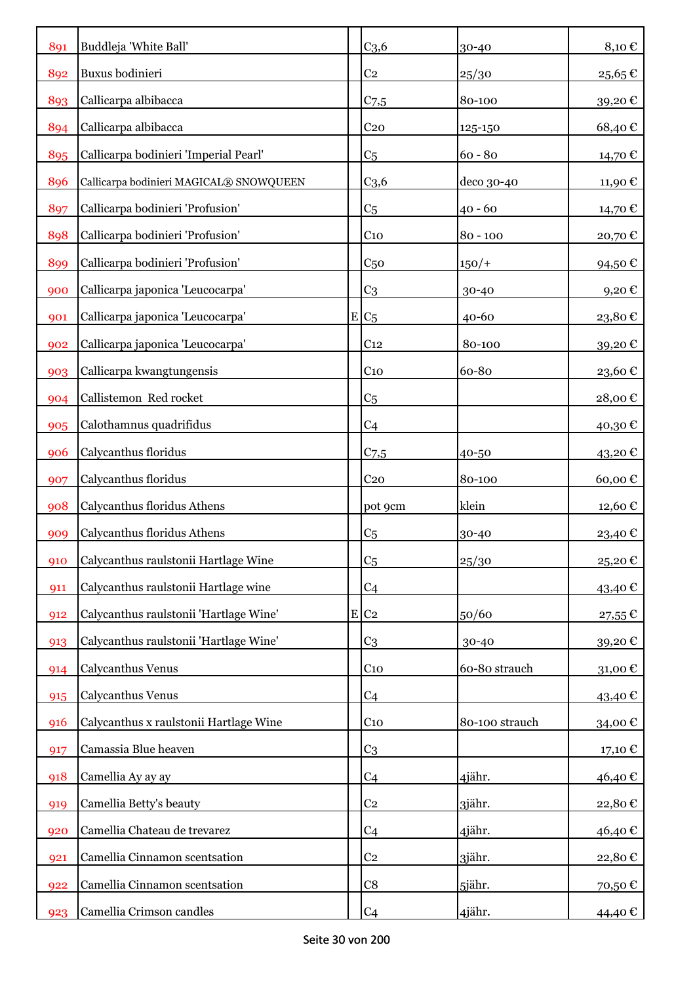| 891 | Buddleja 'White Ball'                   | C <sub>3,6</sub>   | 30-40          | 8,10€               |
|-----|-----------------------------------------|--------------------|----------------|---------------------|
| 892 | Buxus bodinieri                         | C <sub>2</sub>     | 25/30          | 25,65€              |
| 893 | Callicarpa albibacca                    | $C_{7,5}$          | 80-100         | 39,20€              |
| 894 | Callicarpa albibacca                    | C <sub>20</sub>    | 125-150        | 68,40€              |
| 895 | Callicarpa bodinieri 'Imperial Pearl'   | C <sub>5</sub>     | $60 - 80$      | 14,70 €             |
| 896 | Callicarpa bodinieri MAGICAL® SNOWQUEEN | C <sub>3,6</sub>   | deco 30-40     | 11,90€              |
| 897 | Callicarpa bodinieri 'Profusion'        | C <sub>5</sub>     | $40 - 60$      | 14,70€              |
| 898 | Callicarpa bodinieri 'Profusion'        | C <sub>10</sub>    | $80 - 100$     | 20,70€              |
| 899 | Callicarpa bodinieri 'Profusion'        | C <sub>50</sub>    | $150/+$        | 94,50€              |
| 900 | Callicarpa japonica 'Leucocarpa'        | C <sub>3</sub>     | 30-40          | $9,20 \text{ } \in$ |
| 901 | Callicarpa japonica 'Leucocarpa'        | $E C_5$            | $40 - 60$      | 23,80€              |
| 902 | Callicarpa japonica 'Leucocarpa'        | C <sub>12</sub>    | 80-100         | 39,20€              |
| 903 | Callicarpa kwangtungensis               | C <sub>10</sub>    | 60-80          | 23,60€              |
| 904 | Callistemon Red rocket                  | C <sub>5</sub>     |                | 28,00€              |
| 905 | Calothamnus quadrifidus                 | C <sub>4</sub>     |                | 40,30€              |
| 906 | Calycanthus floridus                    | C <sub>7,5</sub>   | 40-50          | 43,20€              |
| 907 | Calycanthus floridus                    | C <sub>20</sub>    | 80-100         | 60,00€              |
| 908 | Calycanthus floridus Athens             | pot 9cm            | klein          | 12,60€              |
| 909 | Calycanthus floridus Athens             | C <sub>5</sub>     | 30-40          | 23,40 €             |
| 910 | Calycanthus raulstonii Hartlage Wine    | C <sub>5</sub>     | 25/30          | 25,20€              |
| 911 | Calycanthus raulstonii Hartlage wine    | C <sub>4</sub>     |                | 43,40 €             |
| 912 | Calycanthus raulstonii 'Hartlage Wine'  | $E$ C <sub>2</sub> | 50/60          | 27,55€              |
| 913 | Calycanthus raulstonii 'Hartlage Wine'  | C <sub>3</sub>     | 30-40          | 39,20€              |
| 914 | Calycanthus Venus                       | C <sub>10</sub>    | 60-80 strauch  | 31,00€              |
| 915 | Calycanthus Venus                       | C <sub>4</sub>     |                | 43,40 €             |
| 916 | Calycanthus x raulstonii Hartlage Wine  | $C_{10}$           | 80-100 strauch | 34,00€              |
| 917 | Camassia Blue heaven                    | C <sub>3</sub>     |                | 17,10€              |
| 918 | Camellia Ay ay ay                       | C <sub>4</sub>     | 4jähr.         | 46,40€              |
| 919 | Camellia Betty's beauty                 | C <sub>2</sub>     | 3jähr.         | 22,80€              |
| 920 | Camellia Chateau de trevarez            | C <sub>4</sub>     | 4jähr.         | 46,40€              |
| 921 | Camellia Cinnamon scentsation           | C <sub>2</sub>     | 3jähr.         | 22,80€              |
| 922 | Camellia Cinnamon scentsation           | C8                 | 5jähr.         | 70,50€              |
| 923 | Camellia Crimson candles                | C <sub>4</sub>     | 4jähr.         | 44,40 €             |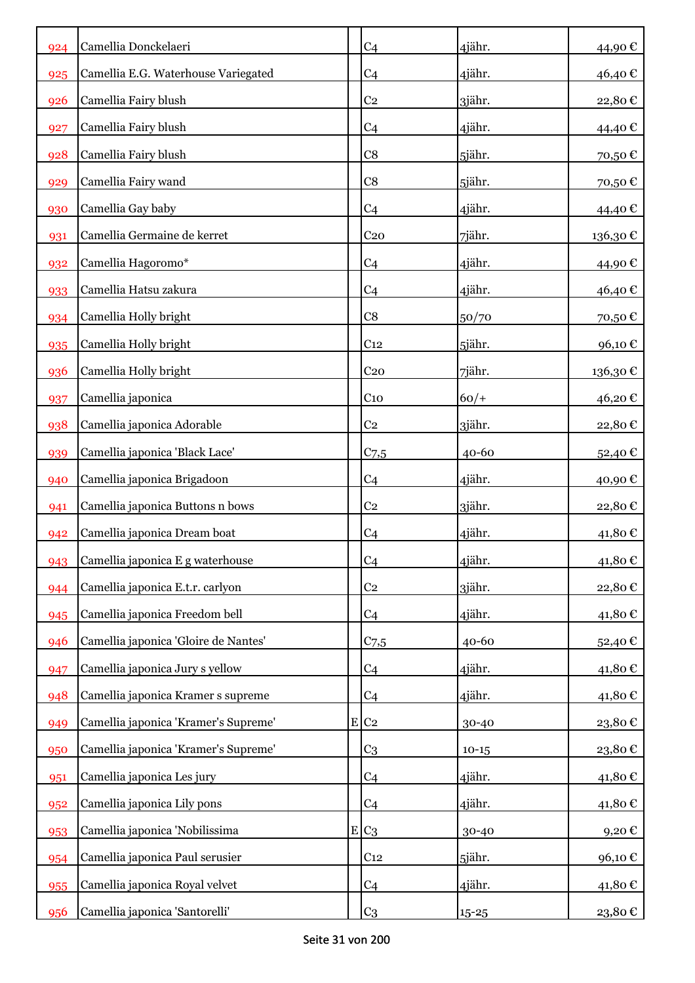| 924 | Camellia Donckelaeri                 |           | C <sub>4</sub>     | 4jähr.    | 44,90€  |
|-----|--------------------------------------|-----------|--------------------|-----------|---------|
| 925 | Camellia E.G. Waterhouse Variegated  |           | C <sub>4</sub>     | 4jähr.    | 46,40€  |
| 926 | Camellia Fairy blush                 |           | C <sub>2</sub>     | 3jähr.    | 22,80€  |
| 927 | Camellia Fairy blush                 |           | C <sub>4</sub>     | 4jähr.    | 44,40 € |
| 928 | Camellia Fairy blush                 |           | C8                 | 5jähr.    | 70,50€  |
| 929 | Camellia Fairy wand                  |           | C8                 | 5jähr.    | 70,50€  |
| 930 | Camellia Gay baby                    |           | C <sub>4</sub>     | 4jähr.    | 44,40€  |
| 931 | Camellia Germaine de kerret          |           | C <sub>20</sub>    | 7jähr.    | 136,30€ |
| 932 | Camellia Hagoromo*                   |           | C <sub>4</sub>     | 4jähr.    | 44,90€  |
| 933 | Camellia Hatsu zakura                |           | C <sub>4</sub>     | 4jähr.    | 46,40€  |
| 934 | Camellia Holly bright                |           | C8                 | 50/70     | 70,50€  |
| 935 | Camellia Holly bright                |           | C <sub>12</sub>    | 5jähr.    | 96,10€  |
| 936 | Camellia Holly bright                |           | C <sub>20</sub>    | 7jähr.    | 136,30€ |
| 937 | Camellia japonica                    |           | C <sub>10</sub>    | $60/+$    | 46,20€  |
| 938 | Camellia japonica Adorable           |           | C <sub>2</sub>     | 3jähr.    | 22,80€  |
| 939 | Camellia japonica 'Black Lace'       |           | $C$ 7,5            | $40 - 60$ | 52,40€  |
| 940 | Camellia japonica Brigadoon          |           | C <sub>4</sub>     | 4jähr.    | 40,90€  |
| 941 | Camellia japonica Buttons n bows     |           | C <sub>2</sub>     | 3jähr.    | 22,80€  |
| 942 | Camellia japonica Dream boat         |           | C <sub>4</sub>     | 4jähr.    | 41,80€  |
| 943 | Camellia japonica E g waterhouse     |           | C <sub>4</sub>     | 4jähr.    | 41,80€  |
| 944 | Camellia japonica E.t.r. carlyon     |           | C <sub>2</sub>     | 3jähr.    | 22,80€  |
| 945 | Camellia japonica Freedom bell       |           | C <sub>4</sub>     | 4jähr.    | 41,80€  |
| 946 | Camellia japonica 'Gloire de Nantes' |           | $C_{7,5}$          | $40 - 60$ | 52,40€  |
| 947 | Camellia japonica Jury s yellow      |           | C <sub>4</sub>     | 4jähr.    | 41,80€  |
| 948 | Camellia japonica Kramer s supreme   |           | C <sub>4</sub>     | 4jähr.    | 41,80€  |
| 949 | Camellia japonica 'Kramer's Supreme' |           | $E$ C <sub>2</sub> | 30-40     | 23,80€  |
| 950 | Camellia japonica 'Kramer's Supreme' |           | C <sub>3</sub>     | $10 - 15$ | 23,80€  |
| 951 | Camellia japonica Les jury           |           | C <sub>4</sub>     | 4jähr.    | 41,80€  |
| 952 | Camellia japonica Lily pons          |           | C <sub>4</sub>     | 4jähr.    | 41,80€  |
| 953 | Camellia japonica 'Nobilissima       | ${\bf E}$ | C <sub>3</sub>     | 30-40     | 9,20€   |
| 954 | Camellia japonica Paul serusier      |           | C <sub>12</sub>    | 5jähr.    | 96,10€  |
| 955 | Camellia japonica Royal velvet       |           | C <sub>4</sub>     | 4jähr.    | 41,80€  |
| 956 | Camellia japonica 'Santorelli'       |           | C <sub>3</sub>     | $15 - 25$ | 23,80€  |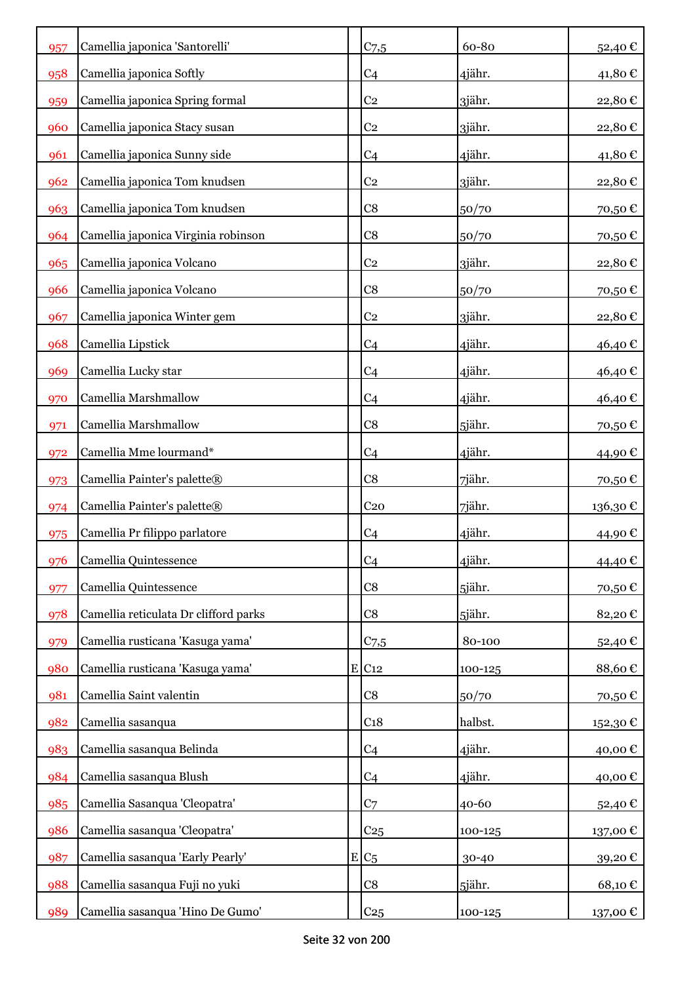| 957 | Camellia japonica 'Santorelli'        | $C_{7,5}$       | 60-80   | 52,40€   |
|-----|---------------------------------------|-----------------|---------|----------|
| 958 | Camellia japonica Softly              | C <sub>4</sub>  | 4jähr.  | 41,80€   |
| 959 | Camellia japonica Spring formal       | C <sub>2</sub>  | 3jähr.  | 22,80€   |
| 960 | Camellia japonica Stacy susan         | C <sub>2</sub>  | 3jähr.  | 22,80€   |
| 961 | Camellia japonica Sunny side          | C <sub>4</sub>  | 4jähr.  | 41,80€   |
| 962 | Camellia japonica Tom knudsen         | C <sub>2</sub>  | 3jähr.  | 22,80€   |
| 963 | Camellia japonica Tom knudsen         | C8              | 50/70   | 70,50€   |
| 964 | Camellia japonica Virginia robinson   | C8              | 50/70   | 70,50€   |
| 965 | Camellia japonica Volcano             | C <sub>2</sub>  | 3jähr.  | 22,80€   |
| 966 | Camellia japonica Volcano             | C8              | 50/70   | 70,50€   |
| 967 | Camellia japonica Winter gem          | C <sub>2</sub>  | 3jähr.  | 22,80€   |
| 968 | Camellia Lipstick                     | C <sub>4</sub>  | 4jähr.  | 46,40€   |
| 969 | Camellia Lucky star                   | C <sub>4</sub>  | 4jähr.  | 46,40€   |
| 970 | Camellia Marshmallow                  | C <sub>4</sub>  | 4jähr.  | 46,40€   |
| 971 | Camellia Marshmallow                  | C8              | 5jähr.  | 70,50€   |
| 972 | Camellia Mme lourmand*                | C <sub>4</sub>  | 4jähr.  | 44,90€   |
| 973 | Camellia Painter's palette®           | C8              | 7jähr.  | 70,50€   |
| 974 | Camellia Painter's palette®           | C <sub>20</sub> | 7jähr.  | 136,30€  |
| 975 | Camellia Pr filippo parlatore         | C <sub>4</sub>  | 4jähr.  | 44,90€   |
| 976 | Camellia Quintessence                 | C <sub>4</sub>  | 4jähr.  | 44,40€   |
| 977 | Camellia Quintessence                 | C8              | 5jähr.  | 70,50€   |
| 978 | Camellia reticulata Dr clifford parks | C8              | 5jähr.  | 82,20€   |
| 979 | Camellia rusticana 'Kasuga yama'      | $C_{7,5}$       | 80-100  | 52,40€   |
| 980 | Camellia rusticana 'Kasuga yama'      | E C12           | 100-125 | 88,60€   |
| 981 | Camellia Saint valentin               | C8              | 50/70   | 70,50€   |
| 982 | Camellia sasanqua                     | C <sub>18</sub> | halbst. | 152,30€  |
| 983 | Camellia sasanqua Belinda             | C <sub>4</sub>  | 4jähr.  | 40,00€   |
| 984 | Camellia sasanqua Blush               | C <sub>4</sub>  | 4jähr.  | 40,00€   |
| 985 | Camellia Sasanqua 'Cleopatra'         | C <sub>7</sub>  | 40-60   | 52,40€   |
| 986 | Camellia sasanqua 'Cleopatra'         | C <sub>25</sub> | 100-125 | 137,00€  |
| 987 | Camellia sasanqua 'Early Pearly'      | $E C_5$         | 30-40   | 39,20€   |
| 988 | Camellia sasanqua Fuji no yuki        | C8              | 5jähr.  | 68,10€   |
| 989 | Camellia sasanqua 'Hino De Gumo'      | C <sub>25</sub> | 100-125 | 137,00 € |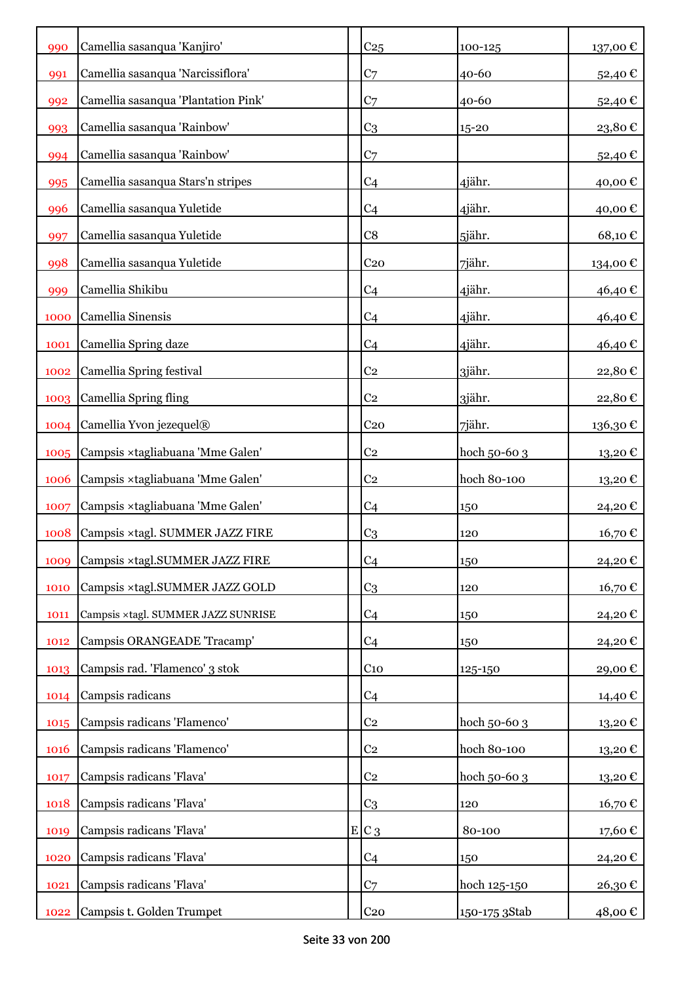| 990  | Camellia sasanqua 'Kanjiro'         | C <sub>25</sub> | 100-125       | 137,00€  |
|------|-------------------------------------|-----------------|---------------|----------|
| 991  | Camellia sasanqua 'Narcissiflora'   | C <sub>7</sub>  | 40-60         | 52,40€   |
| 992  | Camellia sasanqua 'Plantation Pink' | C <sub>7</sub>  | $40 - 60$     | 52,40€   |
| 993  | Camellia sasanqua 'Rainbow'         | C <sub>3</sub>  | $15 - 20$     | 23,80€   |
| 994  | Camellia sasanqua 'Rainbow'         | C <sub>7</sub>  |               | 52,40€   |
| 995  | Camellia sasanqua Stars'n stripes   | C <sub>4</sub>  | 4jähr.        | 40,00€   |
| 996  | Camellia sasanqua Yuletide          | C <sub>4</sub>  | 4jähr.        | 40,00€   |
| 997  | Camellia sasanqua Yuletide          | C8              | 5jähr.        | 68,10€   |
| 998  | Camellia sasanqua Yuletide          | C <sub>20</sub> | 7jähr.        | 134,00 € |
| 999  | Camellia Shikibu                    | C <sub>4</sub>  | 4jähr.        | 46,40€   |
| 1000 | Camellia Sinensis                   | C <sub>4</sub>  | 4jähr.        | 46,40€   |
| 1001 | Camellia Spring daze                | C <sub>4</sub>  | 4jähr.        | 46,40€   |
| 1002 | Camellia Spring festival            | C <sub>2</sub>  | 3jähr.        | 22,80€   |
| 1003 | Camellia Spring fling               | C <sub>2</sub>  | 3jähr.        | 22,80€   |
| 1004 | Camellia Yvon jezequel®             | C <sub>20</sub> | 7jähr.        | 136,30€  |
| 1005 | Campsis ×tagliabuana 'Mme Galen'    | C <sub>2</sub>  | hoch 50-60 3  | 13,20€   |
| 1006 | Campsis ×tagliabuana 'Mme Galen'    | C <sub>2</sub>  | hoch 80-100   | 13,20€   |
| 1007 | Campsis ×tagliabuana 'Mme Galen'    | C <sub>4</sub>  | 150           | 24,20€   |
| 1008 | Campsis ×tagl. SUMMER JAZZ FIRE     | C <sub>3</sub>  | 120           | 16,70€   |
| 1009 | Campsis ×tagl.SUMMER JAZZ FIRE      | C <sub>4</sub>  | 150           | 24,20€   |
| 1010 | Campsis ×tagl.SUMMER JAZZ GOLD      | C <sub>3</sub>  | 120           | 16,70€   |
| 1011 | Campsis ×tagl. SUMMER JAZZ SUNRISE  | C <sub>4</sub>  | 150           | 24,20€   |
| 1012 | Campsis ORANGEADE 'Tracamp'         | C <sub>4</sub>  | 150           | 24,20€   |
| 1013 | Campsis rad. 'Flamenco' 3 stok      | $C_{10}$        | 125-150       | 29,00€   |
| 1014 | Campsis radicans                    | C <sub>4</sub>  |               | 14,40 €  |
| 1015 | Campsis radicans 'Flamenco'         | C <sub>2</sub>  | hoch 50-60 3  | 13,20€   |
| 1016 | Campsis radicans 'Flamenco'         | C <sub>2</sub>  | hoch 80-100   | 13,20€   |
| 1017 | Campsis radicans 'Flava'            | C <sub>2</sub>  | hoch 50-60 3  | 13,20€   |
| 1018 | Campsis radicans 'Flava'            | C <sub>3</sub>  | 120           | 16,70€   |
| 1019 | Campsis radicans 'Flava'            | $E C_3$         | 80-100        | 17,60€   |
| 1020 | Campsis radicans 'Flava'            | C <sub>4</sub>  | 150           | 24,20€   |
| 1021 | Campsis radicans 'Flava'            | C <sub>7</sub>  | hoch 125-150  | 26,30€   |
| 1022 | Campsis t. Golden Trumpet           | C <sub>20</sub> | 150-175 3Stab | 48,00 €  |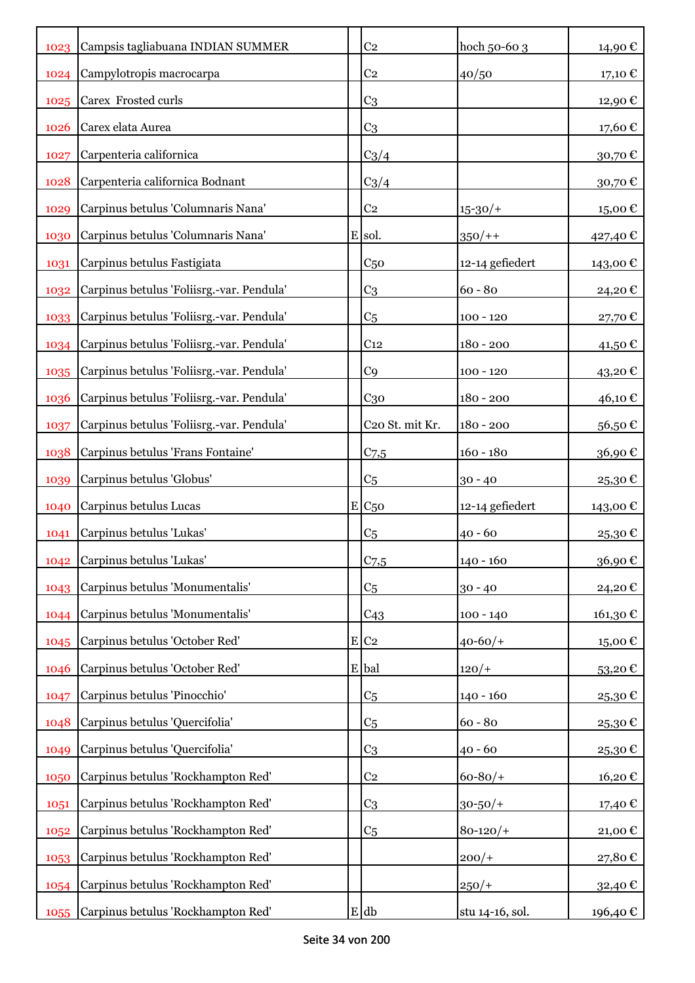| 1023 | Campsis tagliabuana INDIAN SUMMER         | C <sub>2</sub>     | hoch 50-60 3    | 14,90€        |
|------|-------------------------------------------|--------------------|-----------------|---------------|
| 1024 | Campylotropis macrocarpa                  | C <sub>2</sub>     | 40/50           | 17,10 €       |
| 1025 | Carex Frosted curls                       | C <sub>3</sub>     |                 | 12,90 €       |
| 1026 | Carex elata Aurea                         | C <sub>3</sub>     |                 | 17,60€        |
| 1027 | Carpenteria californica                   | $C_3/4$            |                 | 30,70€        |
| 1028 | Carpenteria californica Bodnant           | $C_3/4$            |                 | $30{,}70 \in$ |
| 1029 | Carpinus betulus 'Columnaris Nana'        | C <sub>2</sub>     | $15 - 30/$      | 15,00€        |
| 1030 | Carpinus betulus 'Columnaris Nana'        | E sol.             | $350/+$         | 427,40 €      |
| 1031 | Carpinus betulus Fastigiata               | C <sub>50</sub>    | 12-14 gefiedert | 143,00€       |
| 1032 | Carpinus betulus 'Foliisrg.-var. Pendula' | C <sub>3</sub>     | $60 - 80$       | 24,20€        |
| 1033 | Carpinus betulus 'Foliisrg.-var. Pendula' | C <sub>5</sub>     | $100 - 120$     | 27,70€        |
| 1034 | Carpinus betulus 'Foliisrg.-var. Pendula' | C <sub>12</sub>    | $180 - 200$     | 41,50€        |
| 1035 | Carpinus betulus 'Foliisrg.-var. Pendula' | C <sub>9</sub>     | $100 - 120$     | 43,20€        |
| 1036 | Carpinus betulus 'Foliisrg.-var. Pendula' | $C_{30}$           | $180 - 200$     | 46,10€        |
| 1037 | Carpinus betulus 'Foliisrg.-var. Pendula' | C20 St. mit Kr.    | $180 - 200$     | 56,50€        |
| 1038 | Carpinus betulus 'Frans Fontaine'         | C <sub>7,5</sub>   | $160 - 180$     | 36,90€        |
| 1039 | Carpinus betulus 'Globus'                 | C <sub>5</sub>     | $30 - 40$       | 25,30€        |
| 1040 | Carpinus betulus Lucas                    | E/C <sub>50</sub>  | 12-14 gefiedert | 143,00 €      |
| 1041 | Carpinus betulus 'Lukas'                  | C <sub>5</sub>     | $40 - 60$       | 25,30€        |
| 1042 | Carpinus betulus 'Lukas'                  | $C_{7,5}$          | 140 - 160       | $36,90 \in$   |
| 1043 | Carpinus betulus 'Monumentalis'           | C <sub>5</sub>     | $30 - 40$       | 24,20€        |
| 1044 | Carpinus betulus 'Monumentalis'           | C <sub>43</sub>    | $100 - 140$     | 161,30 €      |
| 1045 | Carpinus betulus 'October Red'            | $E$ C <sub>2</sub> | $40 - 60/$      | 15,00€        |
| 1046 | Carpinus betulus 'October Red'            | E bal              | $120/+$         | 53,20€        |
| 1047 | Carpinus betulus 'Pinocchio'              | C <sub>5</sub>     | $140 - 160$     | 25,30€        |
| 1048 | Carpinus betulus 'Quercifolia'            | C <sub>5</sub>     | $60 - 80$       | 25,30€        |
| 1049 | Carpinus betulus 'Quercifolia'            | C <sub>3</sub>     | $40 - 60$       | 25,30€        |
| 1050 | Carpinus betulus 'Rockhampton Red'        | C <sub>2</sub>     | $60 - 80/$      | 16,20€        |
| 1051 | Carpinus betulus 'Rockhampton Red'        | C <sub>3</sub>     | $30 - 50/$ +    | 17,40€        |
| 1052 | Carpinus betulus 'Rockhampton Red'        | C <sub>5</sub>     | $80 - 120/$     | 21,00€        |
| 1053 | Carpinus betulus 'Rockhampton Red'        |                    | $200/+$         | 27,80€        |
| 1054 | Carpinus betulus 'Rockhampton Red'        |                    | $250/+$         | 32,40 €       |
| 1055 | Carpinus betulus 'Rockhampton Red'        | $E$ db             | stu 14-16, sol. | 196,40 €      |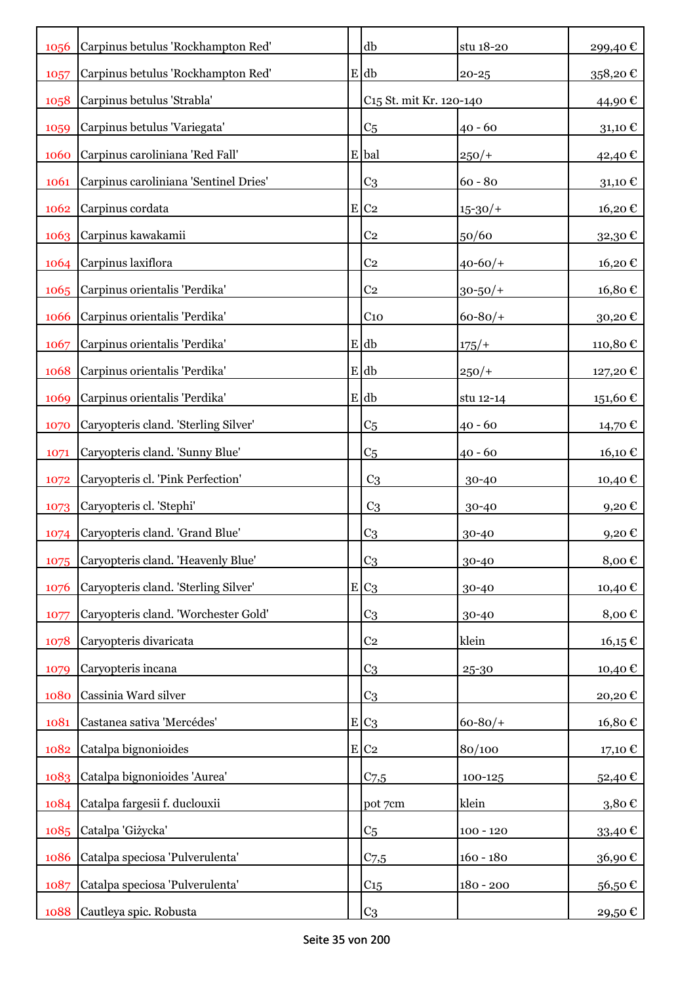| 1056 | Carpinus betulus 'Rockhampton Red'    |   | db                                  | stu 18-20    | 299,40€                 |
|------|---------------------------------------|---|-------------------------------------|--------------|-------------------------|
| 1057 | Carpinus betulus 'Rockhampton Red'    |   | $E$ db                              | $20 - 25$    | 358,20€                 |
| 1058 | Carpinus betulus 'Strabla'            |   | C <sub>15</sub> St. mit Kr. 120-140 |              | 44,90€                  |
| 1059 | Carpinus betulus 'Variegata'          |   | C <sub>5</sub>                      | $40 - 60$    | 31,10 €                 |
| 1060 | Carpinus caroliniana 'Red Fall'       |   | E bal                               | $250/+$      | 42,40€                  |
| 1061 | Carpinus caroliniana 'Sentinel Dries' |   | C <sub>3</sub>                      | $60 - 80$    | 31,10 $\mathcal C$      |
| 1062 | Carpinus cordata                      |   | $E$ C <sub>2</sub>                  | $15 - 30/$   | 16,20€                  |
| 1063 | Carpinus kawakamii                    |   | C <sub>2</sub>                      | 50/60        | 32,30€                  |
| 1064 | Carpinus laxiflora                    |   | C <sub>2</sub>                      | $40 - 60/$   | 16,20€                  |
| 1065 | Carpinus orientalis 'Perdika'         |   | C <sub>2</sub>                      | $30 - 50/$ + | 16,80€                  |
| 1066 | Carpinus orientalis 'Perdika'         |   | C <sub>10</sub>                     | $60 - 80/$   | 30,20€                  |
| 1067 | Carpinus orientalis 'Perdika'         |   | E db                                | $175/+$      | 110,80€                 |
| 1068 | Carpinus orientalis 'Perdika'         |   | $E$ db                              | $250/+$      | 127,20€                 |
| 1069 | Carpinus orientalis 'Perdika'         |   | $E$ db                              | stu 12-14    | $151{,}60$ $\mathbb C$  |
| 1070 | Caryopteris cland. 'Sterling Silver'  |   | C <sub>5</sub>                      | $40 - 60$    | 14,70 €                 |
| 1071 | Caryopteris cland. 'Sunny Blue'       |   | C <sub>5</sub>                      | 40 - 60      | 16,10€                  |
| 1072 | Caryopteris cl. 'Pink Perfection'     |   | C <sub>3</sub>                      | 30-40        | 10,40 €                 |
| 1073 | Caryopteris cl. 'Stephi'              |   | C <sub>3</sub>                      | 30-40        | 9,20€                   |
| 1074 | Caryopteris cland. 'Grand Blue'       |   | C <sub>3</sub>                      | 30-40        | 9,20€                   |
| 1075 | Caryopteris cland. 'Heavenly Blue'    |   | C <sub>3</sub>                      | 30-40        | 8,00€                   |
| 1076 | Caryopteris cland. 'Sterling Silver'  |   | $E C_3$                             | 30-40        | 10,40 €                 |
| 1077 | Caryopteris cland. 'Worchester Gold'  |   | C <sub>3</sub>                      | 30-40        | 8,00€                   |
| 1078 | Caryopteris divaricata                |   | C <sub>2</sub>                      | klein        | $16,15 \in$             |
| 1079 | Caryopteris incana                    |   | C <sub>3</sub>                      | 25-30        | 10,40€                  |
| 1080 | Cassinia Ward silver                  |   | C <sub>3</sub>                      |              | 20,20€                  |
| 1081 | Castanea sativa 'Mercédes'            | E | C <sub>3</sub>                      | $60 - 80/$   | 16,80€                  |
| 1082 | Catalpa bignonioides                  |   | E C2                                | 80/100       | $_{17,10}\,\varepsilon$ |
| 1083 | Catalpa bignonioides 'Aurea'          |   | C <sub>7,5</sub>                    | 100-125      | 52,40€                  |
| 1084 | Catalpa fargesii f. duclouxii         |   | pot 7cm                             | klein        | $3,80 \in$              |
| 1085 | Catalpa 'Giżycka'                     |   | C <sub>5</sub>                      | $100 - 120$  | 33,40€                  |
| 1086 | Catalpa speciosa 'Pulverulenta'       |   | $C$ 7,5                             | $160 - 180$  | 36,90€                  |
| 1087 | Catalpa speciosa 'Pulverulenta'       |   | $C_{15}$                            | $180 - 200$  | 56,50€                  |
| 1088 | Cautleya spic. Robusta                |   | C <sub>3</sub>                      |              | 29,50 €                 |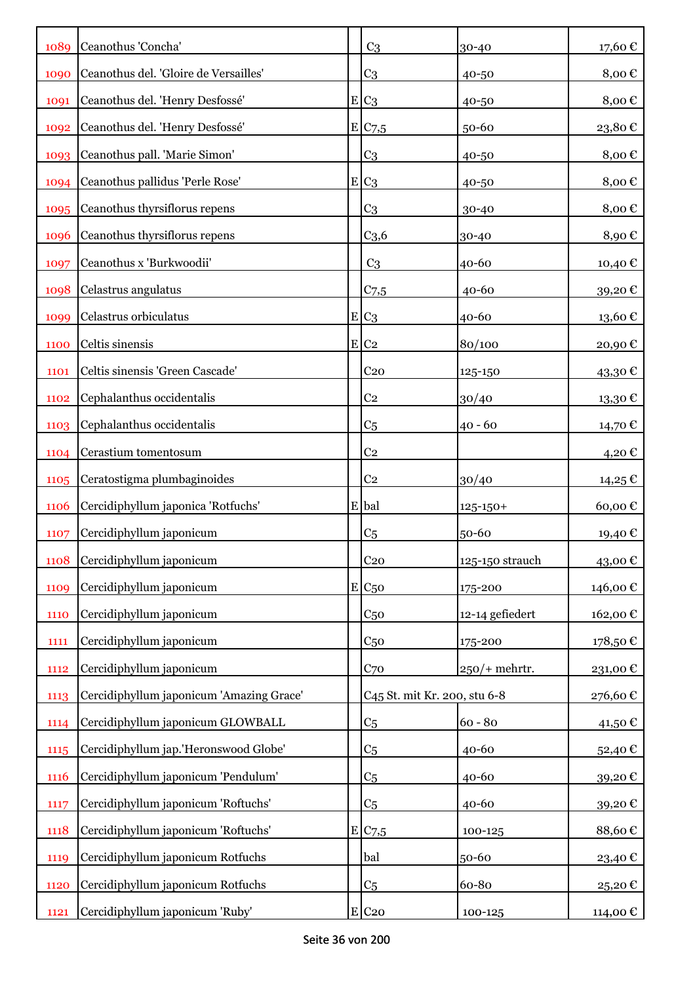| 1089        | Ceanothus 'Concha'                       | C <sub>3</sub>                           | 30-40            | 17,60€      |
|-------------|------------------------------------------|------------------------------------------|------------------|-------------|
| 1090        | Ceanothus del. 'Gloire de Versailles'    | C <sub>3</sub>                           | 40-50            | 8,00€       |
| 1091        | Ceanothus del. 'Henry Desfossé'          | $E C_3$                                  | 40-50            | 8,00€       |
| 1092        | Ceanothus del. 'Henry Desfossé'          | E C7,5                                   | 50-60            | 23,80€      |
| 1093        | Ceanothus pall. 'Marie Simon'            | C <sub>3</sub>                           | 40-50            | 8,00€       |
| 1094        | Ceanothus pallidus 'Perle Rose'          | $E C_3$                                  | 40-50            | 8,00€       |
| 1095        | Ceanothus thyrsiflorus repens            | C <sub>3</sub>                           | 30-40            | 8,00€       |
| 1096        | Ceanothus thyrsiflorus repens            | C <sub>3,6</sub>                         | 30-40            | 8,90€       |
| 1097        | Ceanothus x 'Burkwoodii'                 | C <sub>3</sub>                           | 40-60            | 10,40 €     |
| 1098        | Celastrus angulatus                      | $C$ 7,5                                  | 40-60            | 39,20€      |
| 1099        | Celastrus orbiculatus                    | $E C_3$                                  | 40-60            | 13,60€      |
| 1100        | Celtis sinensis                          | $E$ C <sub>2</sub>                       | 80/100           | 20,90€      |
| 1101        | Celtis sinensis 'Green Cascade'          | C <sub>20</sub>                          | 125-150          | 43,30€      |
| 1102        | Cephalanthus occidentalis                | C <sub>2</sub>                           | 30/40            | 13,30€      |
| 1103        | Cephalanthus occidentalis                | C <sub>5</sub>                           | $40 - 60$        | 14,70 €     |
| 1104        | Cerastium tomentosum                     | C <sub>2</sub>                           |                  | 4,20€       |
| 1105        | Ceratostigma plumbaginoides              | C <sub>2</sub>                           | 30/40            | $14,25 \in$ |
| <b>1106</b> | Cercidiphyllum japonica 'Rotfuchs'       | E bal                                    | $125 - 150 +$    | 60,00€      |
| 1107        | Cercidiphyllum japonicum                 | C <sub>5</sub>                           | 50-60            | 19,40 €     |
| 1108        | Cercidiphyllum japonicum                 | C <sub>20</sub>                          | 125-150 strauch  | 43,00€      |
| 1109        | Cercidiphyllum japonicum                 | $E C_{50}$                               | $175 - 200$      | 146,00€     |
| 1110        | Cercidiphyllum japonicum                 | C <sub>50</sub>                          | 12-14 gefiedert  | 162,00€     |
| 1111        | Cercidiphyllum japonicum                 | C <sub>50</sub>                          | 175-200          | 178,50€     |
| 1112        | Cercidiphyllum japonicum                 | C <sub>70</sub>                          | $250$ /+ mehrtr. | 231,00€     |
| 1113        | Cercidiphyllum japonicum 'Amazing Grace' | C <sub>45</sub> St. mit Kr. 200, stu 6-8 |                  | 276,60€     |
| 1114        | Cercidiphyllum japonicum GLOWBALL        | C <sub>5</sub>                           | $60 - 80$        | 41,50€      |
| 1115        | Cercidiphyllum jap.'Heronswood Globe'    | C <sub>5</sub>                           | 40-60            | 52,40€      |
| 1116        | Cercidiphyllum japonicum 'Pendulum'      | C <sub>5</sub>                           | 40-60            | 39,20€      |
| 1117        | Cercidiphyllum japonicum 'Roftuchs'      | C <sub>5</sub>                           | 40-60            | 39,20€      |
| 1118        | Cercidiphyllum japonicum 'Roftuchs'      | E C7,5                                   | 100-125          | 88,60€      |
| 1119        | Cercidiphyllum japonicum Rotfuchs        | bal                                      | 50-60            | 23,40€      |
| 1120        | Cercidiphyllum japonicum Rotfuchs        | C <sub>5</sub>                           | 60-80            | 25,20€      |
| 1121        | Cercidiphyllum japonicum 'Ruby'          | $E$ C <sub>20</sub>                      | $100 - 125$      | 114,00 €    |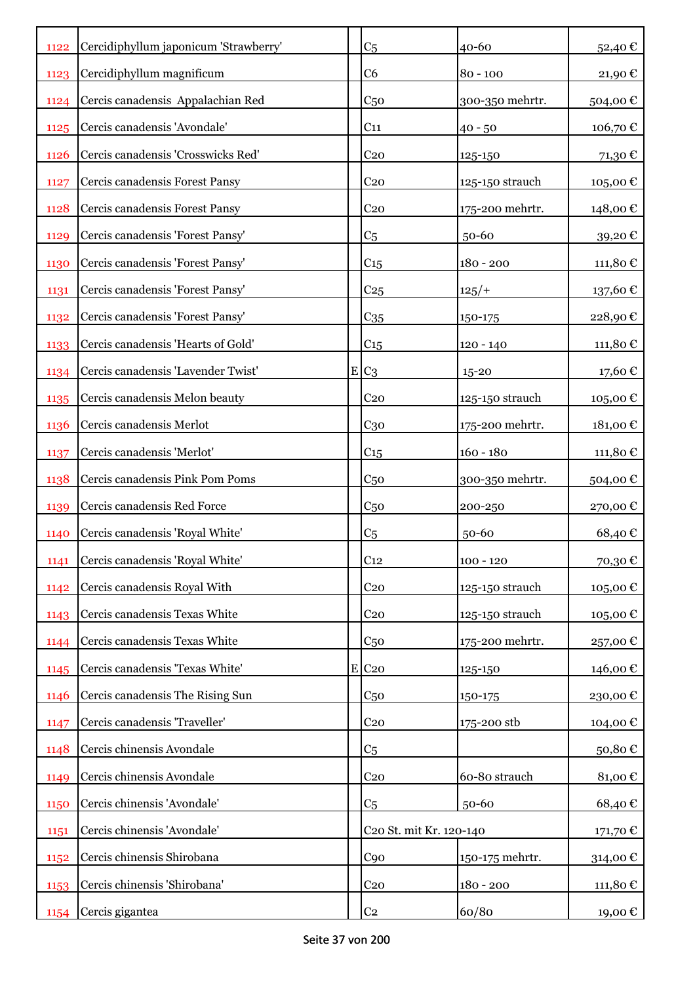| 1122        | Cercidiphyllum japonicum 'Strawberry' | C <sub>5</sub>          | $40 - 60$       | 52,40€   |
|-------------|---------------------------------------|-------------------------|-----------------|----------|
| 1123        | Cercidiphyllum magnificum             | C <sub>6</sub>          | $80 - 100$      | 21,90€   |
| 1124        | Cercis canadensis Appalachian Red     | C <sub>50</sub>         | 300-350 mehrtr. | 504,00€  |
| 1125        | Cercis canadensis 'Avondale'          | C <sub>11</sub>         | $40 - 50$       | 106,70€  |
| <b>1126</b> | Cercis canadensis 'Crosswicks Red'    | C <sub>20</sub>         | 125-150         | 71,30€   |
| 1127        | Cercis canadensis Forest Pansy        | C <sub>20</sub>         | 125-150 strauch | 105,00€  |
| 1128        | Cercis canadensis Forest Pansy        | C <sub>20</sub>         | 175-200 mehrtr. | 148,00€  |
| 1129        | Cercis canadensis 'Forest Pansy'      | C <sub>5</sub>          | 50-60           | 39,20€   |
| 1130        | Cercis canadensis 'Forest Pansy'      | C <sub>15</sub>         | $180 - 200$     | 111,80€  |
| 1131        | Cercis canadensis 'Forest Pansy'      | C <sub>25</sub>         | 125/            | 137,60 € |
| 1132        | Cercis canadensis 'Forest Pansy'      | C <sub>35</sub>         | 150-175         | 228,90€  |
| 1133        | Cercis canadensis 'Hearts of Gold'    | C15                     | $120 - 140$     | 111,80€  |
| 1134        | Cercis canadensis 'Lavender Twist'    | $E C_3$                 | $15 - 20$       | 17,60 €  |
| 1135        | Cercis canadensis Melon beauty        | C <sub>20</sub>         | 125-150 strauch | 105,00€  |
| 1136        | Cercis canadensis Merlot              | $C_{30}$                | 175-200 mehrtr. | 181,00€  |
| 1137        | Cercis canadensis 'Merlot'            | C <sub>15</sub>         | $160 - 180$     | 111,80€  |
| 1138        | Cercis canadensis Pink Pom Poms       | C <sub>50</sub>         | 300-350 mehrtr. | 504,00€  |
| 1139        | Cercis canadensis Red Force           | C <sub>50</sub>         | 200-250         | 270,00€  |
| 1140        | Cercis canadensis 'Royal White'       | C <sub>5</sub>          | 50-60           | 68,40€   |
| 1141        | Cercis canadensis 'Royal White'       | C <sub>12</sub>         | $100 - 120$     | 70,30€   |
| 1142        | Cercis canadensis Royal With          | C <sub>20</sub>         | 125-150 strauch | 105,00€  |
| 1143        | Cercis canadensis Texas White         | C <sub>20</sub>         | 125-150 strauch | 105,00€  |
| 1144        | Cercis canadensis Texas White         | C <sub>50</sub>         | 175-200 mehrtr. | 257,00€  |
| 1145        | Cercis canadensis 'Texas White'       | E C <sub>20</sub>       | 125-150         | 146,00 € |
| 1146        | Cercis canadensis The Rising Sun      | C <sub>50</sub>         | 150-175         | 230,00€  |
| 1147        | Cercis canadensis 'Traveller'         | C <sub>20</sub>         | 175-200 stb     | 104,00€  |
| 1148        | Cercis chinensis Avondale             | C <sub>5</sub>          |                 | 50,80€   |
| 1149        | Cercis chinensis Avondale             | C <sub>20</sub>         | 60-80 strauch   | 81,00€   |
| 1150        | Cercis chinensis 'Avondale'           | C <sub>5</sub>          | 50-60           | 68,40€   |
| 1151        | Cercis chinensis 'Avondale'           | C20 St. mit Kr. 120-140 |                 | 171,70 € |
| 1152        | Cercis chinensis Shirobana            | C90                     | 150-175 mehrtr. | 314,00€  |
| 1153        | Cercis chinensis 'Shirobana'          | C <sub>20</sub>         | $180 - 200$     | 111,80€  |
| 1154        | Cercis gigantea                       | C <sub>2</sub>          | 60/80           | 19,00 €  |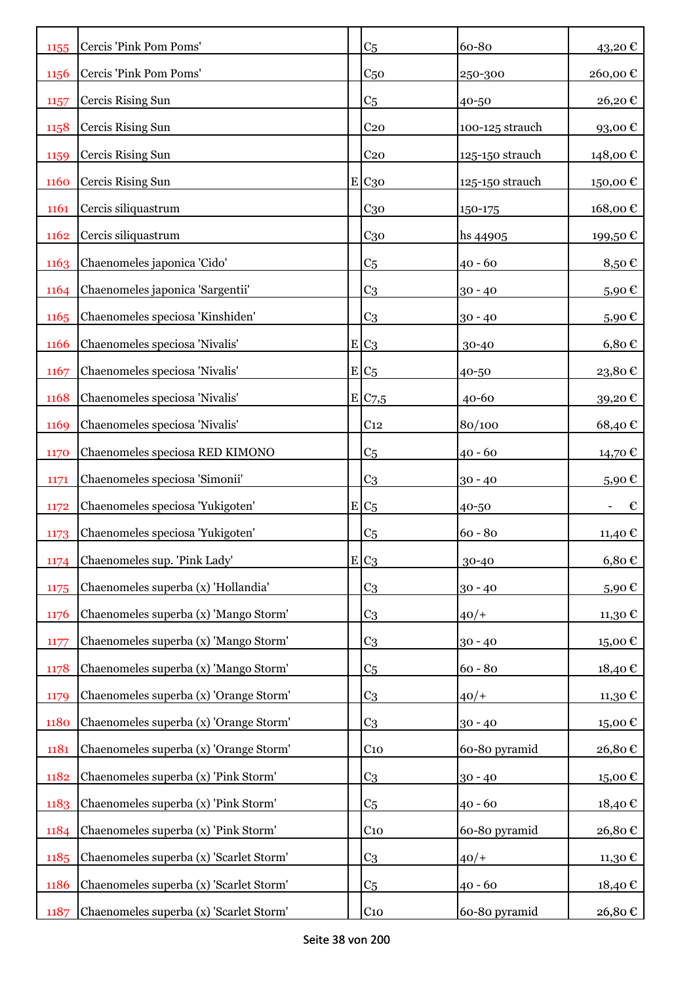| 1155 | Cercis 'Pink Pom Poms'                  | C <sub>5</sub>        | 60-80           | 43,20€          |
|------|-----------------------------------------|-----------------------|-----------------|-----------------|
| 1156 | Cercis 'Pink Pom Poms'                  | C <sub>50</sub>       | 250-300         | 260,00€         |
| 1157 | Cercis Rising Sun                       | C <sub>5</sub>        | 40-50           | 26,20€          |
| 1158 | Cercis Rising Sun                       | C <sub>20</sub>       | 100-125 strauch | 93,00€          |
| 1159 | Cercis Rising Sun                       | C <sub>20</sub>       | 125-150 strauch | 148,00€         |
| 1160 | Cercis Rising Sun                       | $E$ C <sub>30</sub>   | 125-150 strauch | 150,00€         |
| 1161 | Cercis siliquastrum                     | $C_{30}$              | 150-175         | 168,00€         |
| 1162 | Cercis siliquastrum                     | C <sub>30</sub>       | hs 44905        | 199,50€         |
| 1163 | Chaenomeles japonica 'Cido'             | C <sub>5</sub>        | $40 - 60$       | 8,50 $\epsilon$ |
| 1164 | Chaenomeles japonica 'Sargentii'        | C <sub>3</sub>        | $30 - 40$       | 5,90€           |
| 1165 | Chaenomeles speciosa 'Kinshiden'        | C <sub>3</sub>        | $30 - 40$       | 5,90€           |
| 1166 | Chaenomeles speciosa 'Nivalis'          | $E_{C3}$              | 30-40           | $6,80 \in$      |
| 1167 | Chaenomeles speciosa 'Nivalis'          | $E C_5$               | 40-50           | 23,80€          |
| 1168 | Chaenomeles speciosa 'Nivalis'          | $E$ C <sub>7</sub> ,5 | $40 - 60$       | 39,20€          |
| 1169 | Chaenomeles speciosa 'Nivalis'          | C <sub>12</sub>       | 80/100          | 68,40€          |
| 1170 | Chaenomeles speciosa RED KIMONO         | C <sub>5</sub>        | $40 - 60$       | 14,70€          |
| 1171 | Chaenomeles speciosa 'Simonii'          | C <sub>3</sub>        | $30 - 40$       | 5,90€           |
| 1172 | Chaenomeles speciosa 'Yukigoten'        | $E C_5$               | 40-50           | €               |
| 1173 | Chaenomeles speciosa 'Yukigoten'        | C <sub>5</sub>        | $60 - 80$       | 11,40 €         |
| 1174 | Chaenomeles sup. 'Pink Lady'            | $E C_3$               | 30-40           | 6,80€           |
| 1175 | Chaenomeles superba (x) 'Hollandia'     | C <sub>3</sub>        | $30 - 40$       | 5,90€           |
| 1176 | Chaenomeles superba (x) 'Mango Storm'   | C <sub>3</sub>        | $40/+$          | 11,30€          |
| 1177 | Chaenomeles superba (x) 'Mango Storm'   | C <sub>3</sub>        | $30 - 40$       | 15,00€          |
| 1178 | Chaenomeles superba (x) 'Mango Storm'   | C <sub>5</sub>        | $60 - 80$       | 18,40€          |
| 1179 | Chaenomeles superba (x) 'Orange Storm'  | C <sub>3</sub>        | $40/+$          | 11,30€          |
| 1180 | Chaenomeles superba (x) 'Orange Storm'  | C <sub>3</sub>        | $30 - 40$       | 15,00€          |
| 1181 | Chaenomeles superba (x) 'Orange Storm'  | $C_{10}$              | 60-80 pyramid   | 26,80€          |
| 1182 | Chaenomeles superba (x) 'Pink Storm'    | C <sub>3</sub>        | $30 - 40$       | 15,00€          |
| 1183 | Chaenomeles superba (x) 'Pink Storm'    | C <sub>5</sub>        | $40 - 60$       | 18,40€          |
| 1184 | Chaenomeles superba (x) 'Pink Storm'    | $C_{10}$              | 60-80 pyramid   | 26,80€          |
| 1185 | Chaenomeles superba (x) 'Scarlet Storm' | C <sub>3</sub>        | $40/+$          | 11,30 €         |
| 1186 | Chaenomeles superba (x) 'Scarlet Storm' | C <sub>5</sub>        | $40 - 60$       | 18,40€          |
| 1187 | Chaenomeles superba (x) 'Scarlet Storm' | C <sub>10</sub>       | 60-80 pyramid   | 26,80€          |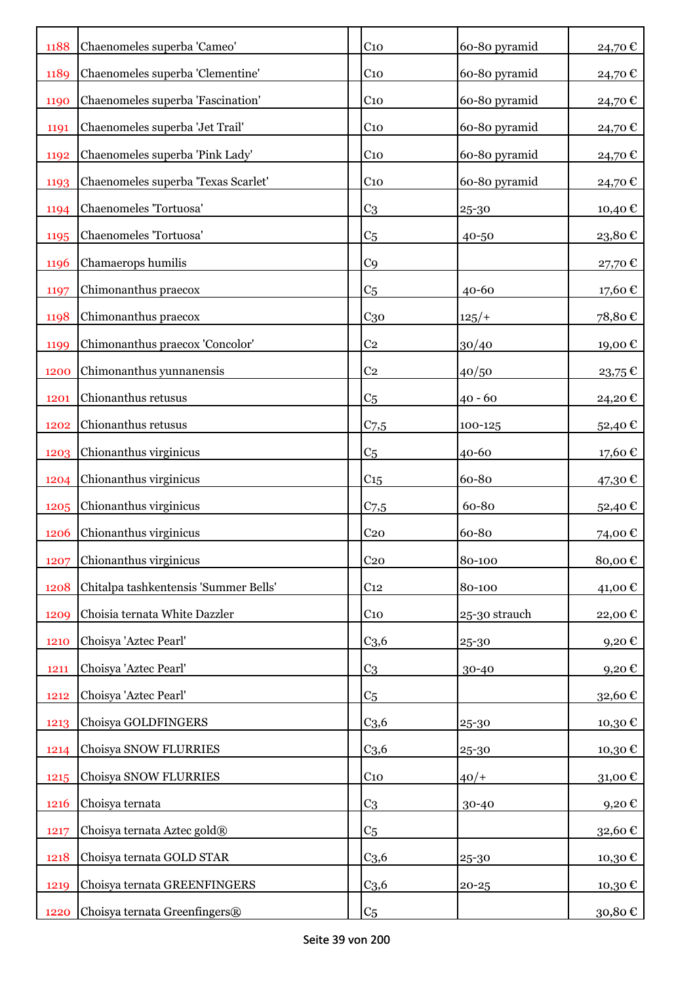| 1188        | Chaenomeles superba 'Cameo'           | C <sub>10</sub>  | 60-80 pyramid | 24,70€              |
|-------------|---------------------------------------|------------------|---------------|---------------------|
| 1189        | Chaenomeles superba 'Clementine'      | C <sub>10</sub>  | 60-80 pyramid | 24,70€              |
| 1190        | Chaenomeles superba 'Fascination'     | C <sub>10</sub>  | 60-80 pyramid | 24,70€              |
| 1191        | Chaenomeles superba 'Jet Trail'       | $C_{10}$         | 60-80 pyramid | 24,70€              |
| 1192        | Chaenomeles superba 'Pink Lady'       | $C_{10}$         | 60-80 pyramid | 24,70€              |
| 1193        | Chaenomeles superba 'Texas Scarlet'   | $C_{10}$         | 60-80 pyramid | 24,70€              |
| 1194        | Chaenomeles 'Tortuosa'                | C <sub>3</sub>   | 25-30         | 10,40 €             |
| 1195        | Chaenomeles 'Tortuosa'                | C <sub>5</sub>   | 40-50         | 23,80€              |
| 1196        | Chamaerops humilis                    | C <sub>9</sub>   |               | 27,70€              |
| 1197        | Chimonanthus praecox                  | C <sub>5</sub>   | $40 - 60$     | 17,60€              |
| 1198        | Chimonanthus praecox                  | $C_{30}$         | $125/+$       | 78,80€              |
| 1199        | Chimonanthus praecox 'Concolor'       | C <sub>2</sub>   | 30/40         | 19,00€              |
| 1200        | Chimonanthus yunnanensis              | C <sub>2</sub>   | 40/50         | 23,75€              |
| 1201        | Chionanthus retusus                   | C <sub>5</sub>   | $40 - 60$     | 24,20€              |
| 1202        | Chionanthus retusus                   | $C_{7,5}$        | 100-125       | 52,40€              |
| 1203        | Chionanthus virginicus                | C <sub>5</sub>   | 40-60         | 17,60 €             |
| 1204        | Chionanthus virginicus                | $C_{15}$         | 60-80         | 47,30€              |
| 1205        | Chionanthus virginicus                | C <sub>7,5</sub> | 60-80         | 52,40€              |
| <b>1206</b> | Chionanthus virginicus                | C <sub>20</sub>  | 60-80         | 74,00€              |
| 1207        | Chionanthus virginicus                | C <sub>20</sub>  | 80-100        | 80,00€              |
| 1208        | Chitalpa tashkentensis 'Summer Bells' | C <sub>12</sub>  | 80-100        | 41,00 €             |
| 1209        | Choisia ternata White Dazzler         | $C_{10}$         | 25-30 strauch | 22,00€              |
| 1210        | Choisya 'Aztec Pearl'                 | $C_{3,6}$        | 25-30         | $9,20 \text{ } \in$ |
| 1211        | Choisya 'Aztec Pearl'                 | C <sub>3</sub>   | 30-40         | 9,20€               |
| 1212        | Choisya 'Aztec Pearl'                 | C <sub>5</sub>   |               | 32,60€              |
| 1213        | Choisya GOLDFINGERS                   | C <sub>3,6</sub> | 25-30         | 10,30€              |
| 1214        | Choisya SNOW FLURRIES                 | C <sub>3,6</sub> | 25-30         | 10,30€              |
| 1215        | Choisya SNOW FLURRIES                 | $C_{10}$         | $40/+$        | 31,00€              |
| 1216        | Choisya ternata                       | C <sub>3</sub>   | 30-40         | 9,20€               |
| 1217        | Choisya ternata Aztec gold®           | C <sub>5</sub>   |               | 32,60€              |
| 1218        | Choisya ternata GOLD STAR             | C <sub>3,6</sub> | 25-30         | 10,30€              |
| 1219        | Choisya ternata GREENFINGERS          | C <sub>3,6</sub> | $20 - 25$     | 10,30 €             |
| 1220        | Choisya ternata Greenfingers®         | C <sub>5</sub>   |               | 30,80 €             |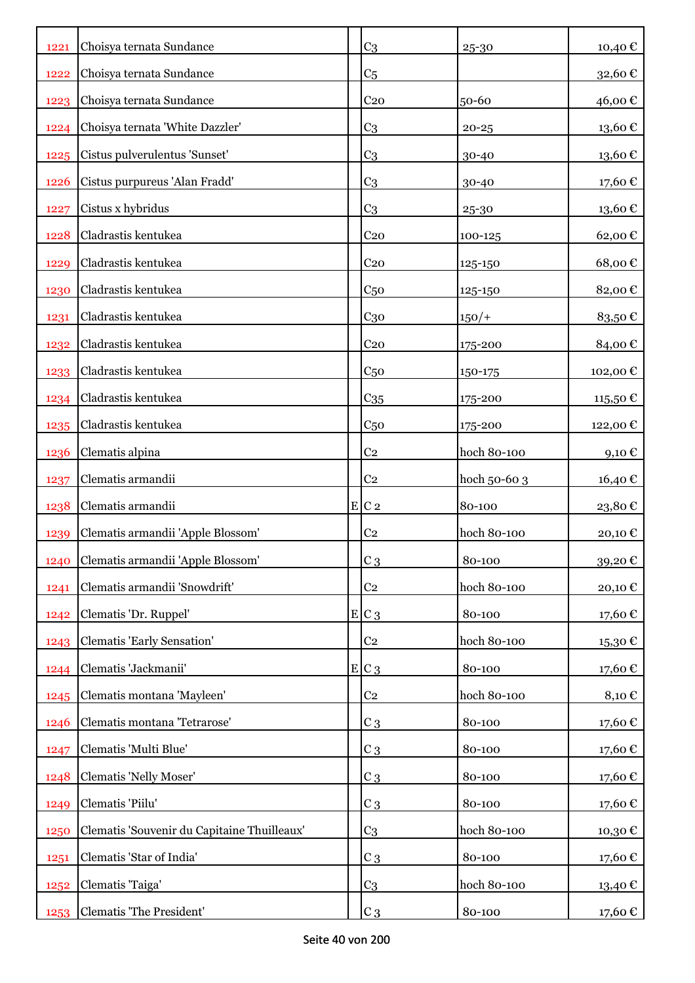| 1221        | Choisya ternata Sundance                    | C <sub>3</sub>     | 25-30        | 10,40€          |
|-------------|---------------------------------------------|--------------------|--------------|-----------------|
| 1222        | Choisya ternata Sundance                    | C <sub>5</sub>     |              | 32,60€          |
| 1223        | Choisya ternata Sundance                    | C <sub>20</sub>    | 50-60        | 46,00 €         |
| 1224        | Choisya ternata 'White Dazzler'             | C <sub>3</sub>     | $20 - 25$    | 13,60€          |
| 1225        | Cistus pulverulentus 'Sunset'               | C <sub>3</sub>     | 30-40        | 13,60€          |
| <b>1226</b> | Cistus purpureus 'Alan Fradd'               | C <sub>3</sub>     | 30-40        | 17,60€          |
| 1227        | Cistus x hybridus                           | C <sub>3</sub>     | 25-30        | 13,60€          |
| 1228        | Cladrastis kentukea                         | C <sub>20</sub>    | 100-125      | 62,00€          |
| 1229        | Cladrastis kentukea                         | C <sub>20</sub>    | 125-150      | 68,00€          |
| 1230        | Cladrastis kentukea                         | C <sub>50</sub>    | 125-150      | 82,00€          |
| 1231        | Cladrastis kentukea                         | C <sub>30</sub>    | $150/+$      | 83,50€          |
| 1232        | Cladrastis kentukea                         | C <sub>20</sub>    | 175-200      | 84,00€          |
| 1233        | Cladrastis kentukea                         | C <sub>50</sub>    | 150-175      | 102,00€         |
| 1234        | Cladrastis kentukea                         | $C_{35}$           | 175-200      | 115,50 €        |
| 1235        | Cladrastis kentukea                         | C <sub>50</sub>    | 175-200      | 122,00 €        |
| 1236        | Clematis alpina                             | C <sub>2</sub>     | hoch 80-100  | 9,10 $\epsilon$ |
| 1237        | Clematis armandii                           | C <sub>2</sub>     | hoch 50-60 3 | 16,40 €         |
| 1238        | Clematis armandii                           | $E$ C <sub>2</sub> | 80-100       | 23,80€          |
| 1239        | Clematis armandii 'Apple Blossom'           | C <sub>2</sub>     | hoch 80-100  | 20,10€          |
| 1240        | Clematis armandii 'Apple Blossom'           | $C_3$              | 80-100       | 39,20€          |
| 1241        | Clematis armandii 'Snowdrift'               | C <sub>2</sub>     | hoch 80-100  | 20,10€          |
| 1242        | Clematis 'Dr. Ruppel'                       | E C 3              | 80-100       | 17,60€          |
| 1243        | <b>Clematis 'Early Sensation'</b>           | C <sub>2</sub>     | hoch 80-100  | 15,30€          |
| 1244        | Clematis 'Jackmanii'                        | $E C_3$            | 80-100       | 17,60€          |
| 1245        | Clematis montana 'Mayleen'                  | C <sub>2</sub>     | hoch 80-100  | 8,10€           |
| 1246        | Clematis montana 'Tetrarose'                | $C_3$              | 80-100       | 17,60€          |
| 1247        | Clematis 'Multi Blue'                       | $C_3$              | 80-100       | 17,60€          |
| 1248        | Clematis 'Nelly Moser'                      | $C_3$              | 80-100       | 17,60€          |
| 1249        | Clematis 'Piilu'                            | $C_3$              | 80-100       | 17,60€          |
| 1250        | Clematis 'Souvenir du Capitaine Thuilleaux' | C <sub>3</sub>     | hoch 80-100  | 10,30€          |
| 1251        | Clematis 'Star of India'                    | $C_3$              | 80-100       | 17,60€          |
| 1252        | Clematis 'Taiga'                            | C <sub>3</sub>     | hoch 80-100  | 13,40 €         |
| 1253        | Clematis 'The President'                    | $C_3$              | 80-100       | 17,60 €         |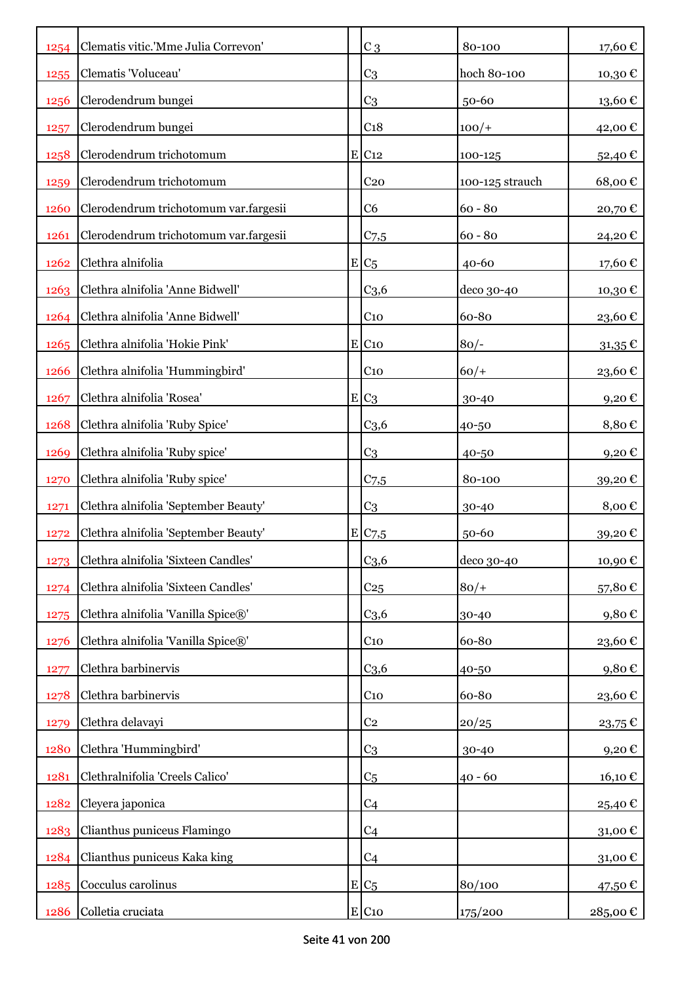| 1254 | Clematis vitic.'Mme Julia Correvon'   | $C_3$               | 80-100          | 17,60€                 |
|------|---------------------------------------|---------------------|-----------------|------------------------|
| 1255 | Clematis 'Voluceau'                   | C <sub>3</sub>      | hoch 80-100     | 10,30€                 |
| 1256 | Clerodendrum bungei                   | C <sub>3</sub>      | 50-60           | $13{,}60$ $\mathbb{C}$ |
| 1257 | Clerodendrum bungei                   | C <sub>18</sub>     | $100/+$         | 42,00€                 |
| 1258 | Clerodendrum trichotomum              | $E$ C <sub>12</sub> | 100-125         | 52,40€                 |
| 1259 | Clerodendrum trichotomum              | C <sub>20</sub>     | 100-125 strauch | 68,00€                 |
| 1260 | Clerodendrum trichotomum var.fargesii | C <sub>6</sub>      | $60 - 80$       | 20,70€                 |
| 1261 | Clerodendrum trichotomum var.fargesii | $C_{7,5}$           | $60 - 80$       | 24,20€                 |
| 1262 | Clethra alnifolia                     | $E C_5$             | 40-60           | 17,60€                 |
| 1263 | Clethra alnifolia 'Anne Bidwell'      | C <sub>3,6</sub>    | deco 30-40      | 10,30€                 |
| 1264 | Clethra alnifolia 'Anne Bidwell'      | C <sub>10</sub>     | 60-80           | 23,60€                 |
| 1265 | Clethra alnifolia 'Hokie Pink'        | $E$ C <sub>10</sub> | $80/-$          | $31,35 \in$            |
| 1266 | Clethra alnifolia 'Hummingbird'       | $C_{10}$            | $60/+$          | 23,60€                 |
| 1267 | Clethra alnifolia 'Rosea'             | $E C_3$             | $30 - 40$       | 9,20€                  |
| 1268 | Clethra alnifolia 'Ruby Spice'        | C <sub>3,6</sub>    | 40-50           | 8,80€                  |
| 1269 | Clethra alnifolia 'Ruby spice'        | C <sub>3</sub>      | 40-50           | 9,20€                  |
| 1270 | Clethra alnifolia 'Ruby spice'        | C <sub>7,5</sub>    | 80-100          | 39,20€                 |
| 1271 | Clethra alnifolia 'September Beauty'  | C <sub>3</sub>      | 30-40           | 8,00€                  |
| 1272 | Clethra alnifolia 'September Beauty'  | E C7,5              | 50-60           | 39,20€                 |
| 1273 | Clethra alnifolia 'Sixteen Candles'   | C <sub>3,6</sub>    | deco 30-40      | 10,90€                 |
| 1274 | Clethra alnifolia 'Sixteen Candles'   | C <sub>25</sub>     | $80/+$          | 57,80€                 |
| 1275 | Clethra alnifolia 'Vanilla Spice®'    | $C_{3,6}$           | 30-40           | 9,80€                  |
| 1276 | Clethra alnifolia 'Vanilla Spice®'    | $C_{10}$            | 60-80           | 23,60€                 |
| 1277 | Clethra barbinervis                   | C <sub>3,6</sub>    | 40-50           | 9,80€                  |
| 1278 | Clethra barbinervis                   | C <sub>10</sub>     | 60-80           | 23,60€                 |
| 1279 | Clethra delavayi                      | C <sub>2</sub>      | 20/25           | 23,75€                 |
| 1280 | Clethra 'Hummingbird'                 | C <sub>3</sub>      | 30-40           | 9,20€                  |
| 1281 | Clethralnifolia 'Creels Calico'       | C <sub>5</sub>      | $40 - 60$       | 16,10€                 |
| 1282 | Cleyera japonica                      | C <sub>4</sub>      |                 | 25,40€                 |
| 1283 | Clianthus puniceus Flamingo           | C <sub>4</sub>      |                 | 31,00€                 |
| 1284 | Clianthus puniceus Kaka king          | C <sub>4</sub>      |                 | 31,00€                 |
| 1285 | Cocculus carolinus                    | $E C_5$             | 80/100          | 47,50 €                |
| 1286 | Colletia cruciata                     | $E$ C <sub>10</sub> | 175/200         | 285,00 €               |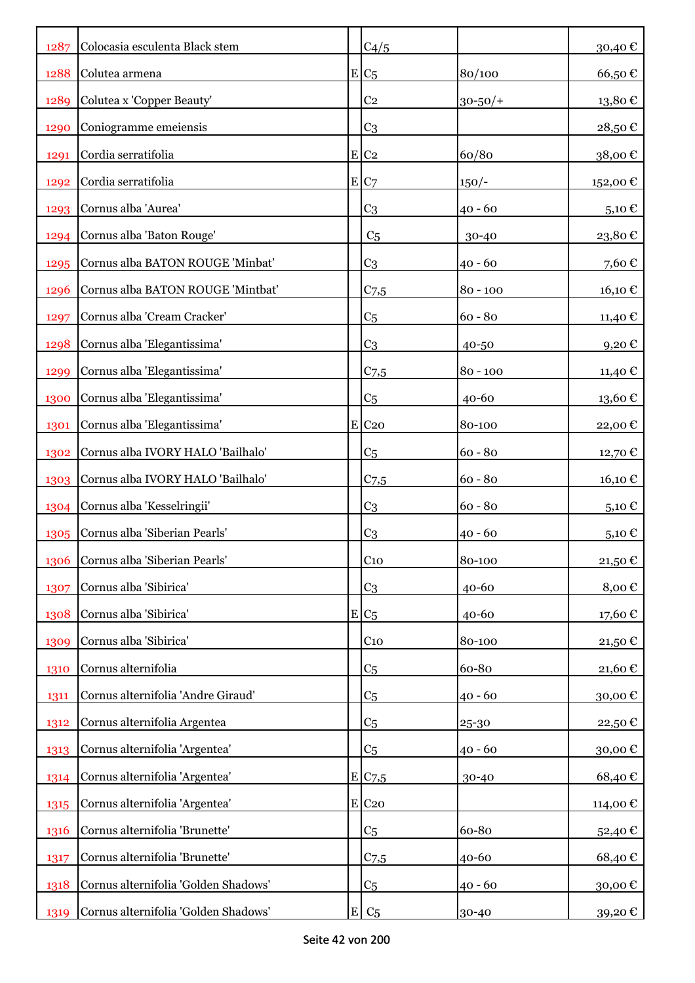| 1287 | Colocasia esculenta Black stem       |   | C4/5                |              | 30,40€          |
|------|--------------------------------------|---|---------------------|--------------|-----------------|
| 1288 | Colutea armena                       |   | $E C_5$             | 80/100       | 66,50€          |
| 1289 | Colutea x 'Copper Beauty'            |   | $\rm{C}2$           | $30 - 50/$ + | 13,80€          |
| 1290 | Coniogramme emeiensis                |   | C <sub>3</sub>      |              | 28,50€          |
| 1291 | Cordia serratifolia                  |   | $E$ C <sub>2</sub>  | 60/80        | 38,00€          |
| 1292 | Cordia serratifolia                  |   | E C7                | $150/-$      | 152,00€         |
| 1293 | Cornus alba 'Aurea'                  |   | C <sub>3</sub>      | $40 - 60$    | 5,10 $\epsilon$ |
| 1294 | Cornus alba 'Baton Rouge'            |   | C <sub>5</sub>      | 30-40        | 23,80€          |
| 1295 | Cornus alba BATON ROUGE 'Minbat'     |   | C <sub>3</sub>      | $40 - 60$    | 7,60€           |
| 1296 | Cornus alba BATON ROUGE 'Mintbat'    |   | C <sub>7,5</sub>    | $80 - 100$   | 16,10 €         |
| 1297 | Cornus alba 'Cream Cracker'          |   | C <sub>5</sub>      | $60 - 80$    | 11,40 €         |
| 1298 | Cornus alba 'Elegantissima'          |   | C <sub>3</sub>      | 40-50        | 9,20€           |
| 1299 | Cornus alba 'Elegantissima'          |   | $C$ 7,5             | $80 - 100$   | 11,40 €         |
| 1300 | Cornus alba 'Elegantissima'          |   | C <sub>5</sub>      | $40 - 60$    | 13,60€          |
| 1301 | Cornus alba 'Elegantissima'          |   | E C <sub>20</sub>   | 80-100       | 22,00€          |
| 1302 | Cornus alba IVORY HALO 'Bailhalo'    |   | C <sub>5</sub>      | $60 - 80$    | 12,70 €         |
| 1303 | Cornus alba IVORY HALO 'Bailhalo'    |   | C <sub>7,5</sub>    | $60 - 80$    | 16,10 €         |
| 1304 | Cornus alba 'Kesselringii'           |   | C <sub>3</sub>      | $60 - 80$    | 5,10 €          |
| 1305 | Cornus alba 'Siberian Pearls'        |   | C <sub>3</sub>      | $40 - 60$    | 5,10€           |
| 1306 | Cornus alba 'Siberian Pearls'        |   | $C_{10}$            | 80-100       | 21,50€          |
| 1307 | Cornus alba 'Sibirica'               |   | C <sub>3</sub>      | 40-60        | 8,00€           |
| 1308 | Cornus alba 'Sibirica'               |   | $E/C_5$             | $40 - 60$    | 17,60€          |
| 1309 | Cornus alba 'Sibirica'               |   | $C_{10}$            | 80-100       | 21,50€          |
| 1310 | Cornus alternifolia                  |   | C <sub>5</sub>      | 60-80        | 21,60€          |
| 1311 | Cornus alternifolia 'Andre Giraud'   |   | C <sub>5</sub>      | $40 - 60$    | 30,00€          |
| 1312 | Cornus alternifolia Argentea         |   | C <sub>5</sub>      | 25-30        | 22,50€          |
| 1313 | Cornus alternifolia 'Argentea'       |   | C <sub>5</sub>      | $40 - 60$    | 30,00€          |
| 1314 | Cornus alternifolia 'Argentea'       |   | E C7,5              | 30-40        | 68,40€          |
| 1315 | Cornus alternifolia 'Argentea'       |   | $E$ C <sub>20</sub> |              | 114,00 €        |
| 1316 | Cornus alternifolia 'Brunette'       |   | C <sub>5</sub>      | 60-80        | 52,40€          |
| 1317 | Cornus alternifolia 'Brunette'       |   | C <sub>7,5</sub>    | 40-60        | 68,40€          |
| 1318 | Cornus alternifolia 'Golden Shadows' |   | C <sub>5</sub>      | $40 - 60$    | 30,00€          |
| 1319 | Cornus alternifolia 'Golden Shadows' | E | C <sub>5</sub>      | 30-40        | 39,20€          |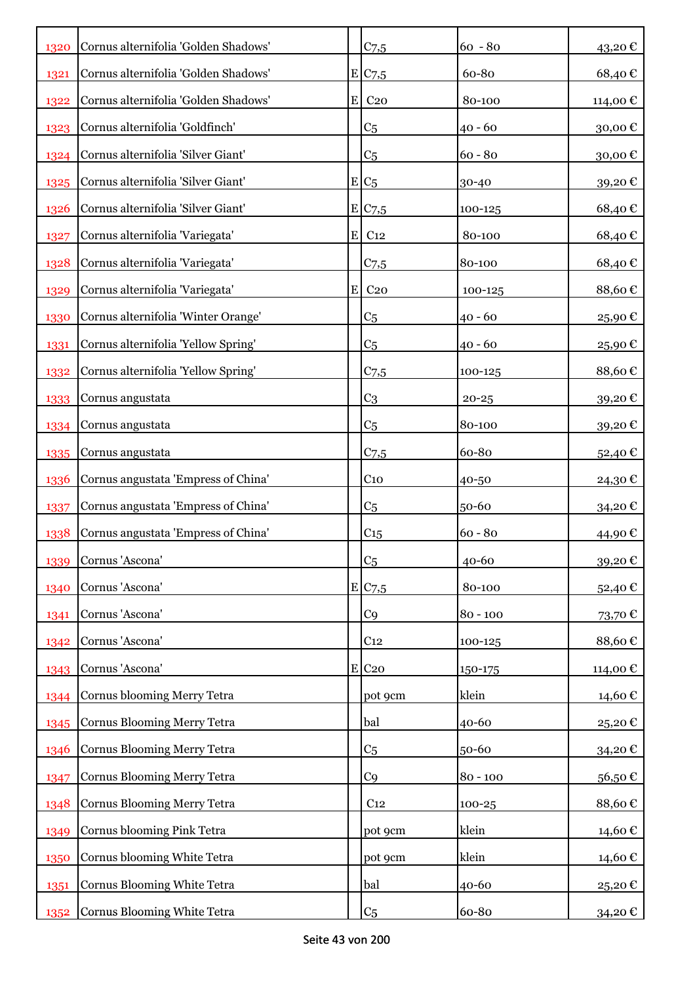| 1320 | Cornus alternifolia 'Golden Shadows' |   | C <sub>7,5</sub>    | $60 - 80$  | 43,20€      |
|------|--------------------------------------|---|---------------------|------------|-------------|
| 1321 | Cornus alternifolia 'Golden Shadows' |   | E/C <sub>7,5</sub>  | 60-80      | 68,40€      |
| 1322 | Cornus alternifolia 'Golden Shadows' | E | C <sub>20</sub>     | 80-100     | 114,00€     |
| 1323 | Cornus alternifolia 'Goldfinch'      |   | C <sub>5</sub>      | $40 - 60$  | 30,00€      |
| 1324 | Cornus alternifolia 'Silver Giant'   |   | C <sub>5</sub>      | $60 - 80$  | 30,00€      |
| 1325 | Cornus alternifolia 'Silver Giant'   |   | $E/C_5$             | 30-40      | 39,20€      |
| 1326 | Cornus alternifolia 'Silver Giant'   |   | E C7,5              | 100-125    | 68,40€      |
| 1327 | Cornus alternifolia 'Variegata'      | E | C <sub>12</sub>     | 80-100     | 68,40€      |
| 1328 | Cornus alternifolia 'Variegata'      |   | C <sub>7,5</sub>    | 80-100     | 68,40€      |
| 1329 | Cornus alternifolia 'Variegata'      | E | C <sub>20</sub>     | 100-125    | 88,60€      |
| 1330 | Cornus alternifolia 'Winter Orange'  |   | C <sub>5</sub>      | 40 - 60    | 25,90€      |
| 1331 | Cornus alternifolia 'Yellow Spring'  |   | C <sub>5</sub>      | 40 - 60    | 25,90€      |
| 1332 | Cornus alternifolia 'Yellow Spring'  |   | C <sub>7,5</sub>    | 100-125    | 88,60€      |
| 1333 | Cornus angustata                     |   | C <sub>3</sub>      | $20 - 25$  | 39,20€      |
| 1334 | Cornus angustata                     |   | C <sub>5</sub>      | 80-100     | 39,20€      |
| 1335 | Cornus angustata                     |   | C <sub>7,5</sub>    | 60-80      | 52,40€      |
| 1336 | Cornus angustata 'Empress of China'  |   | C <sub>10</sub>     | 40-50      | 24,30€      |
| 1337 | Cornus angustata 'Empress of China'  |   | C <sub>5</sub>      | 50-60      | 34,20€      |
| 1338 | Cornus angustata 'Empress of China'  |   | C15                 | $60 - 80$  | 44,90€      |
| 1339 | Cornus 'Ascona'                      |   | C <sub>5</sub>      | 40-60      | 39,20€      |
| 1340 | Cornus 'Ascona'                      |   | E/C <sub>7,5</sub>  | 80-100     | 52,40€      |
| 1341 | Cornus 'Ascona'                      |   | C <sub>9</sub>      | $80 - 100$ | 73,70€      |
| 1342 | Cornus 'Ascona'                      |   | C <sub>12</sub>     | 100-125    | 88,60€      |
| 1343 | Cornus 'Ascona'                      |   | $E$ C <sub>20</sub> | 150-175    | 114,00€     |
| 1344 | Cornus blooming Merry Tetra          |   | pot 9cm             | klein      | 14,60€      |
| 1345 | Cornus Blooming Merry Tetra          |   | bal                 | 40-60      | 25,20€      |
| 1346 | Cornus Blooming Merry Tetra          |   | C <sub>5</sub>      | 50-60      | 34,20€      |
| 1347 | Cornus Blooming Merry Tetra          |   | C <sub>9</sub>      | $80 - 100$ | 56,50€      |
| 1348 | Cornus Blooming Merry Tetra          |   | C <sub>12</sub>     | $100 - 25$ | 88,60€      |
| 1349 | Cornus blooming Pink Tetra           |   | pot 9cm             | klein      | 14,60€      |
| 1350 | Cornus blooming White Tetra          |   | pot 9cm             | klein      | 14,60 €     |
| 1351 | Cornus Blooming White Tetra          |   | bal                 | 40-60      | 25,20€      |
| 1352 | Cornus Blooming White Tetra          |   | C <sub>5</sub>      | 60-80      | $34,20 \in$ |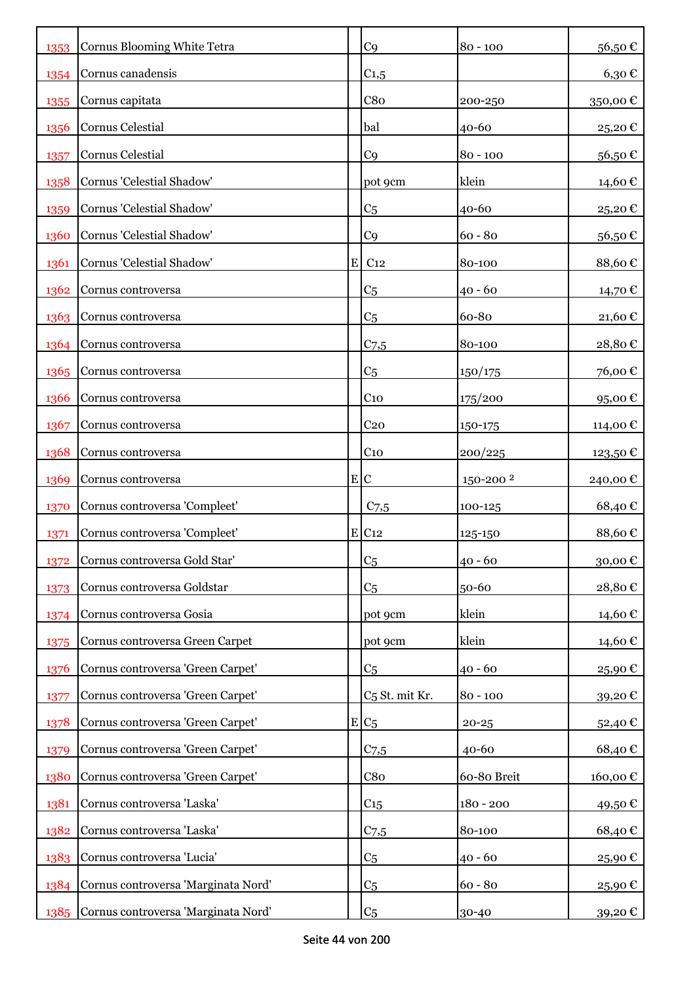| 1353 | Cornus Blooming White Tetra         |           | C <sub>9</sub>             | $80 - 100$           | 56,50€     |
|------|-------------------------------------|-----------|----------------------------|----------------------|------------|
| 1354 | Cornus canadensis                   |           | $C_{1,5}$                  |                      | $6,30 \in$ |
| 1355 | Cornus capitata                     |           | C8 <sub>0</sub>            | 200-250              | 350,00€    |
| 1356 | Cornus Celestial                    |           | bal                        | 40-60                | 25,20€     |
| 1357 | Cornus Celestial                    |           | C <sub>9</sub>             | $80 - 100$           | 56,50€     |
| 1358 | Cornus 'Celestial Shadow'           |           | pot 9cm                    | klein                | 14,60 €    |
| 1359 | Cornus 'Celestial Shadow'           |           | C <sub>5</sub>             | 40-60                | 25,20€     |
| 1360 | Cornus 'Celestial Shadow'           |           | C <sub>9</sub>             | $60 - 80$            | 56,50€     |
| 1361 | Cornus 'Celestial Shadow'           | ${\bf E}$ | C <sub>12</sub>            | 80-100               | 88,60€     |
| 1362 | Cornus controversa                  |           | C <sub>5</sub>             | $40 - 60$            | 14,70 €    |
| 1363 | Cornus controversa                  |           | C <sub>5</sub>             | 60-80                | 21,60€     |
| 1364 | Cornus controversa                  |           | $C$ 7,5                    | 80-100               | 28,80€     |
| 1365 | Cornus controversa                  |           | C <sub>5</sub>             | 150/175              | 76,00€     |
| 1366 | Cornus controversa                  |           | C <sub>10</sub>            | 175/200              | 95,00€     |
| 1367 | Cornus controversa                  |           | C <sub>20</sub>            | 150-175              | 114,00 €   |
| 1368 | Cornus controversa                  |           | C <sub>10</sub>            | 200/225              | 123,50 €   |
| 1369 | Cornus controversa                  |           | E C                        | 150-200 <sup>2</sup> | 240,00 €   |
| 1370 | Cornus controversa 'Compleet'       |           | $C_{7,5}$                  | 100-125              | 68,40€     |
| 1371 | Cornus controversa 'Compleet'       |           | E C12                      | 125-150              | 88,60€     |
| 1372 | Cornus controversa Gold Star'       |           | C <sub>5</sub>             | $40 - 60$            | 30,00€     |
| 1373 | Cornus controversa Goldstar         |           | C <sub>5</sub>             | 50-60                | 28,80€     |
| 1374 | Cornus controversa Gosia            |           | pot 9cm                    | klein                | 14,60 €    |
| 1375 | Cornus controversa Green Carpet     |           | pot 9cm                    | klein                | 14,60€     |
| 1376 | Cornus controversa 'Green Carpet'   |           | C <sub>5</sub>             | $40 - 60$            | 25,90€     |
| 1377 | Cornus controversa 'Green Carpet'   |           | C <sub>5</sub> St. mit Kr. | $80 - 100$           | 39,20€     |
| 1378 | Cornus controversa 'Green Carpet'   |           | $E/C_5$                    | $20 - 25$            | 52,40€     |
| 1379 | Cornus controversa 'Green Carpet'   |           | $C$ 7,5                    | 40-60                | 68,40€     |
| 1380 | Cornus controversa 'Green Carpet'   |           | C8 <sub>0</sub>            | 60-80 Breit          | 160,00€    |
| 1381 | Cornus controversa 'Laska'          |           | $C_{15}$                   | $180 - 200$          | 49,50€     |
| 1382 | Cornus controversa 'Laska'          |           | C <sub>7,5</sub>           | 80-100               | 68,40€     |
| 1383 | Cornus controversa 'Lucia'          |           | C <sub>5</sub>             | $40 - 60$            | 25,90€     |
| 1384 | Cornus controversa 'Marginata Nord' |           | C <sub>5</sub>             | $60 - 80$            | 25,90€     |
| 1385 | Cornus controversa 'Marginata Nord' |           | C <sub>5</sub>             | 30-40                | 39,20€     |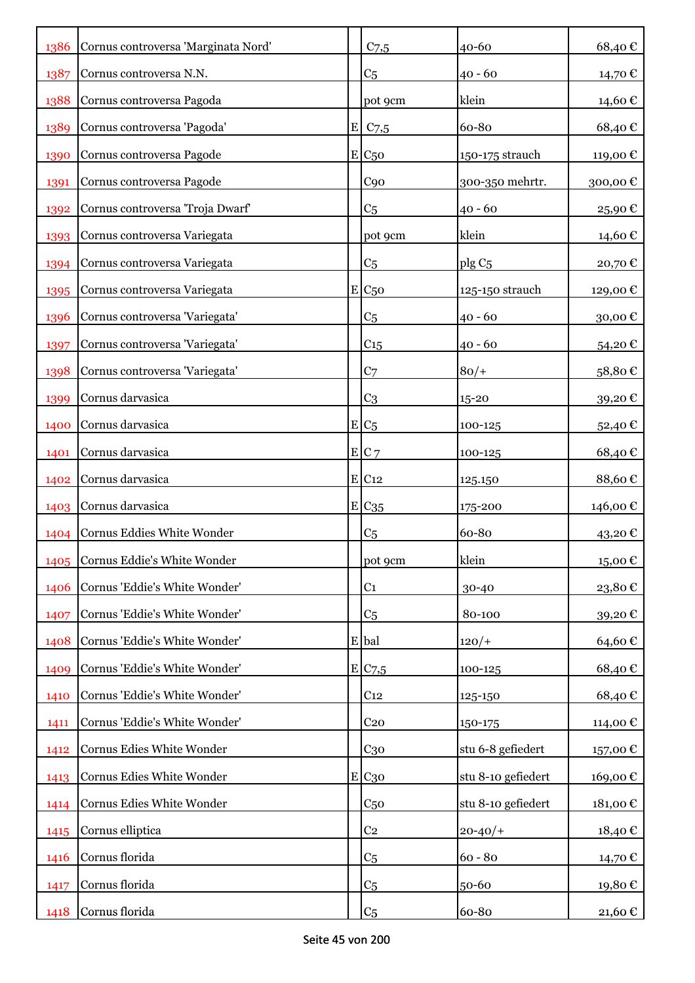| 1386 | Cornus controversa 'Marginata Nord' |             | $C$ 7,5             | 40-60              | 68,40€            |
|------|-------------------------------------|-------------|---------------------|--------------------|-------------------|
| 1387 | Cornus controversa N.N.             |             | C <sub>5</sub>      | $40 - 60$          | 14,70 €           |
| 1388 | Cornus controversa Pagoda           |             | pot 9cm             | klein              | 14,60€            |
| 1389 | Cornus controversa 'Pagoda'         | $\mathbf E$ | $C$ 7,5             | 60-80              | 68,40€            |
| 1390 | Cornus controversa Pagode           |             | $E$ C <sub>50</sub> | 150-175 strauch    | 119,00€           |
| 1391 | Cornus controversa Pagode           |             | C90                 | 300-350 mehrtr.    | 300,00€           |
| 1392 | Cornus controversa 'Troja Dwarf'    |             | C <sub>5</sub>      | $40 - 60$          | 25,90€            |
| 1393 | Cornus controversa Variegata        |             | pot 9cm             | klein              | 14,60 €           |
| 1394 | Cornus controversa Variegata        |             | C <sub>5</sub>      | plg C <sub>5</sub> | 20,70€            |
| 1395 | Cornus controversa Variegata        |             | $E_{C50}$           | 125-150 strauch    | 129,00 €          |
| 1396 | Cornus controversa 'Variegata'      |             | C <sub>5</sub>      | $40 - 60$          | 30,00€            |
| 1397 | Cornus controversa 'Variegata'      |             | $C_{15}$            | $40 - 60$          | 54,20€            |
| 1398 | Cornus controversa 'Variegata'      |             | C <sub>7</sub>      | $80/+$             | 58,80€            |
| 1399 | Cornus darvasica                    |             | C <sub>3</sub>      | 15-20              | 39,20€            |
| 1400 | Cornus darvasica                    |             | $E/C_5$             | 100-125            | 52,40 €           |
| 1401 | Cornus darvasica                    |             | EC <sub>7</sub>     | 100-125            | 68,40€            |
| 1402 | Cornus darvasica                    |             | E C12               | 125.150            | 88,60€            |
| 1403 | Cornus darvasica                    |             | $E$ C <sub>35</sub> | 175-200            | 146,00 €          |
| 1404 | Cornus Eddies White Wonder          |             | C <sub>5</sub>      | 60-80              | $43,20$ €         |
| 1405 | Cornus Eddie's White Wonder         |             | pot 9cm             | klein              | $15,00 \text{ }€$ |
| 1406 | Cornus 'Eddie's White Wonder'       |             | C <sub>1</sub>      | 30-40              | 23,80€            |
| 1407 | Cornus 'Eddie's White Wonder'       |             | C <sub>5</sub>      | 80-100             | 39,20€            |
| 1408 | Cornus 'Eddie's White Wonder'       |             | E bal               | $120/+$            | 64,60€            |
| 1409 | Cornus 'Eddie's White Wonder'       |             | E/C <sub>7,5</sub>  | 100-125            | 68,40€            |
| 1410 | Cornus 'Eddie's White Wonder'       |             | C <sub>12</sub>     | 125-150            | 68,40€            |
| 1411 | Cornus 'Eddie's White Wonder'       |             | C <sub>20</sub>     | 150-175            | 114,00 €          |
| 1412 | Cornus Edies White Wonder           |             | $C_{30}$            | stu 6-8 gefiedert  | 157,00€           |
| 1413 | Cornus Edies White Wonder           |             | E C30               | stu 8-10 gefiedert | 169,00€           |
| 1414 | Cornus Edies White Wonder           |             | C <sub>50</sub>     | stu 8-10 gefiedert | 181,00€           |
| 1415 | Cornus elliptica                    |             | C <sub>2</sub>      | $20 - 40/$         | 18,40€            |
| 1416 | Cornus florida                      |             | C <sub>5</sub>      | $60 - 80$          | 14,70 €           |
| 1417 | Cornus florida                      |             | C <sub>5</sub>      | 50-60              | 19,80€            |
| 1418 | Cornus florida                      |             | C <sub>5</sub>      | 60-80              | 21,60 €           |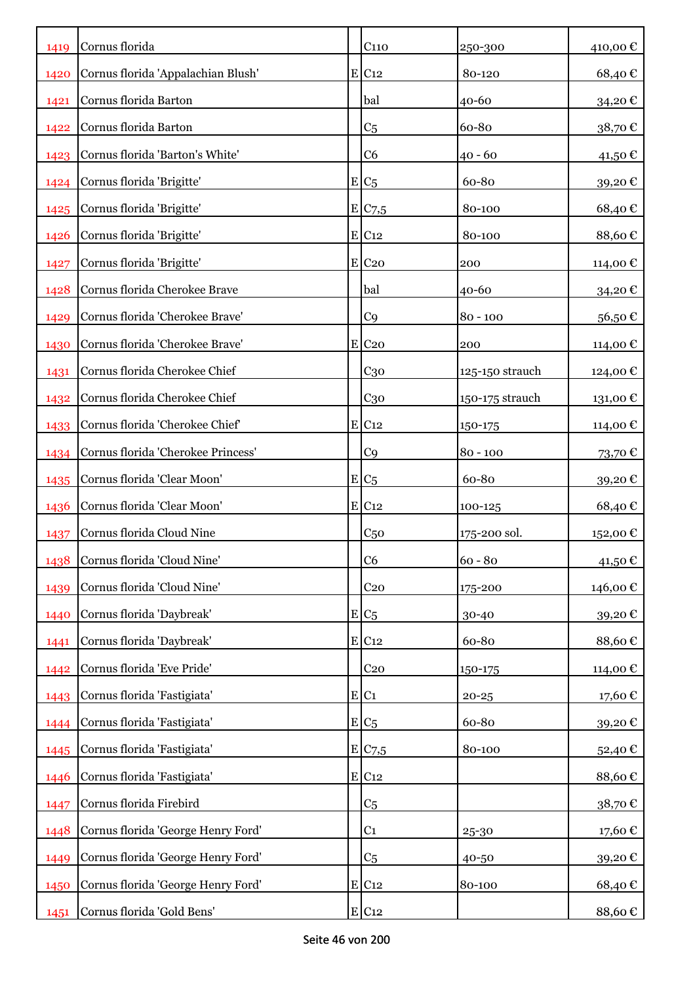| 1419 | Cornus florida                     | C <sub>110</sub>    | 250-300         | 410,00€  |
|------|------------------------------------|---------------------|-----------------|----------|
| 1420 | Cornus florida 'Appalachian Blush' | $E$ C <sub>12</sub> | 80-120          | 68,40€   |
| 1421 | Cornus florida Barton              | bal                 | 40-60           | 34,20€   |
| 1422 | Cornus florida Barton              | C <sub>5</sub>      | 60-80           | 38,70€   |
| 1423 | Cornus florida 'Barton's White'    | C <sub>6</sub>      | $40 - 60$       | 41,50 €  |
| 1424 | Cornus florida 'Brigitte'          | $E/C_5$             | 60-80           | 39,20€   |
| 1425 | Cornus florida 'Brigitte'          | E/C7,5              | 80-100          | 68,40€   |
| 1426 | Cornus florida 'Brigitte'          | $E$ C <sub>12</sub> | 80-100          | 88,60€   |
| 1427 | Cornus florida 'Brigitte'          | E C <sub>20</sub>   | 200             | 114,00 € |
| 1428 | Cornus florida Cherokee Brave      | bal                 | $40 - 60$       | 34,20€   |
| 1429 | Cornus florida 'Cherokee Brave'    | C <sub>9</sub>      | $80 - 100$      | 56,50€   |
| 1430 | Cornus florida 'Cherokee Brave'    | $E$ C <sub>20</sub> | 200             | 114,00 € |
| 1431 | Cornus florida Cherokee Chief      | $C_{30}$            | 125-150 strauch | 124,00 € |
| 1432 | Cornus florida Cherokee Chief      | $C_{30}$            | 150-175 strauch | 131,00 € |
| 1433 | Cornus florida 'Cherokee Chief'    | $E$ C <sub>12</sub> | 150-175         | 114,00 € |
| 1434 | Cornus florida 'Cherokee Princess' | C <sub>9</sub>      | $80 - 100$      | 73,70€   |
| 1435 | Cornus florida 'Clear Moon'        | $E/C_5$             | 60-80           | 39,20€   |
| 1436 | Cornus florida 'Clear Moon'        | $E$ C <sub>12</sub> | 100-125         | 68,40€   |
| 1437 | Cornus florida Cloud Nine          | C <sub>50</sub>     | 175-200 sol.    | 152,00 € |
| 1438 | Cornus florida 'Cloud Nine'        | C6                  | $60 - 80$       | 41,50€   |
| 1439 | Cornus florida 'Cloud Nine'        | C <sub>20</sub>     | 175-200         | 146,00 € |
| 1440 | Cornus florida 'Daybreak'          | $E C_5$             | 30-40           | 39,20€   |
| 1441 | Cornus florida 'Daybreak'          | $E$ C <sub>12</sub> | 60-80           | 88,60€   |
| 1442 | Cornus florida 'Eve Pride'         | C <sub>20</sub>     | 150-175         | 114,00 € |
| 1443 | Cornus florida 'Fastigiata'        | E C1                | $20 - 25$       | 17,60 €  |
| 1444 | Cornus florida 'Fastigiata'        | $E/C_5$             | 60-80           | 39,20€   |
| 1445 | Cornus florida 'Fastigiata'        | E/C7,5              | 80-100          | 52,40€   |
| 1446 | Cornus florida 'Fastigiata'        | $E$ C <sub>12</sub> |                 | 88,60€   |
| 1447 | Cornus florida Firebird            | C <sub>5</sub>      |                 | 38,70€   |
| 1448 | Cornus florida 'George Henry Ford' | C <sub>1</sub>      | 25-30           | 17,60€   |
| 1449 | Cornus florida 'George Henry Ford' | C <sub>5</sub>      | 40-50           | 39,20€   |
| 1450 | Cornus florida 'George Henry Ford' | $E$ C <sub>12</sub> | 80-100          | 68,40€   |
| 1451 | Cornus florida 'Gold Bens'         | E C12               |                 | 88,60€   |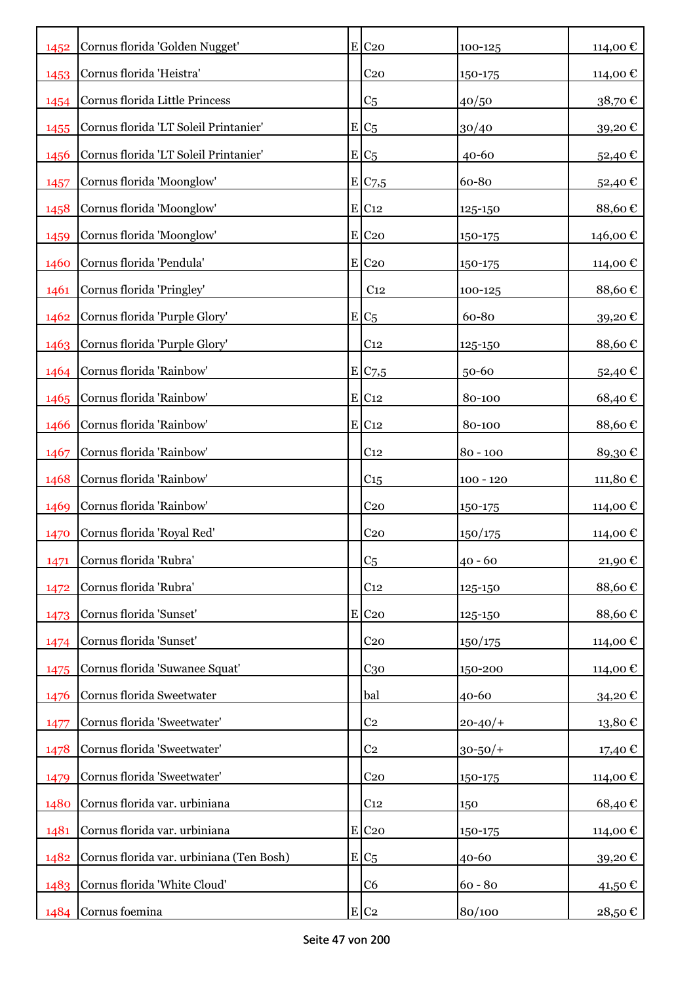| 1452 | Cornus florida 'Golden Nugget'           | $E$ C <sub>20</sub> | 100-125      | 114,00€   |
|------|------------------------------------------|---------------------|--------------|-----------|
| 1453 | Cornus florida 'Heistra'                 | C <sub>20</sub>     | 150-175      | 114,00 €  |
| 1454 | Cornus florida Little Princess           | C <sub>5</sub>      | 40/50        | 38,70€    |
| 1455 | Cornus florida 'LT Soleil Printanier'    | $E/C_5$             | 30/40        | 39,20€    |
| 1456 | Cornus florida 'LT Soleil Printanier'    | $E/C_5$             | 40-60        | 52,40€    |
| 1457 | Cornus florida 'Moonglow'                | E C7,5              | 60-80        | 52,40€    |
| 1458 | Cornus florida 'Moonglow'                | $E$ C <sub>12</sub> | 125-150      | 88,60€    |
| 1459 | Cornus florida 'Moonglow'                | $E$ C <sub>20</sub> | 150-175      | 146,00 €  |
| 1460 | Cornus florida 'Pendula'                 | $E$ C <sub>20</sub> | 150-175      | 114,00 €  |
| 1461 | Cornus florida 'Pringley'                | C <sub>12</sub>     | 100-125      | 88,60€    |
| 1462 | Cornus florida 'Purple Glory'            | $E/C_5$             | 60-80        | 39,20€    |
| 1463 | Cornus florida 'Purple Glory'            | C <sub>12</sub>     | 125-150      | 88,60€    |
| 1464 | Cornus florida 'Rainbow'                 | E C7,5              | 50-60        | 52,40€    |
| 1465 | Cornus florida 'Rainbow'                 | $E$ C <sub>12</sub> | 80-100       | 68,40€    |
| 1466 | Cornus florida 'Rainbow'                 | $E$ C <sub>12</sub> | 80-100       | 88,60€    |
| 1467 | Cornus florida 'Rainbow'                 | C <sub>12</sub>     | $80 - 100$   | 89,30€    |
| 1468 | Cornus florida 'Rainbow'                 | C15                 | $100 - 120$  | 111,80€   |
| 1469 | Cornus florida 'Rainbow'                 | C <sub>20</sub>     | 150-175      | 114,00 €  |
| 1470 | Cornus florida 'Royal Red'               | C <sub>20</sub>     | 150/175      | 114,00 €  |
| 1471 | Cornus florida 'Rubra'                   | C <sub>5</sub>      | $40 - 60$    | 21,90€    |
| 1472 | Cornus florida 'Rubra'                   | C <sub>12</sub>     | 125-150      | 88,60€    |
| 1473 | Cornus florida 'Sunset'                  | $E$ C <sub>20</sub> | 125-150      | 88,60€    |
| 1474 | Cornus florida 'Sunset'                  | C <sub>20</sub>     | 150/175      | 114,00 €  |
| 1475 | Cornus florida 'Suwanee Squat'           | C <sub>30</sub>     | 150-200      | 114,00 €  |
| 1476 | Cornus florida Sweetwater                | bal                 | 40-60        | 34,20€    |
| 1477 | Cornus florida 'Sweetwater'              | C <sub>2</sub>      | $20 - 40/$   | 13,80€    |
| 1478 | Cornus florida 'Sweetwater'              | C <sub>2</sub>      | $30 - 50/$ + | 17,40 €   |
| 1479 | Cornus florida 'Sweetwater'              | C <sub>20</sub>     | 150-175      | 114,00€   |
| 1480 | Cornus florida var. urbiniana            | C <sub>12</sub>     | 150          | 68,40€    |
| 1481 | Cornus florida var. urbiniana            | $E$ C <sub>20</sub> | 150-175      | 114,00 €  |
| 1482 | Cornus florida var. urbiniana (Ten Bosh) | $E/C_5$             | 40-60        | 39,20€    |
| 1483 | Cornus florida 'White Cloud'             | C <sub>6</sub>      | $60 - 80$    | $41,50$ € |
| 1484 | Cornus foemina                           | $E C_2$             | 80/100       | 28,50€    |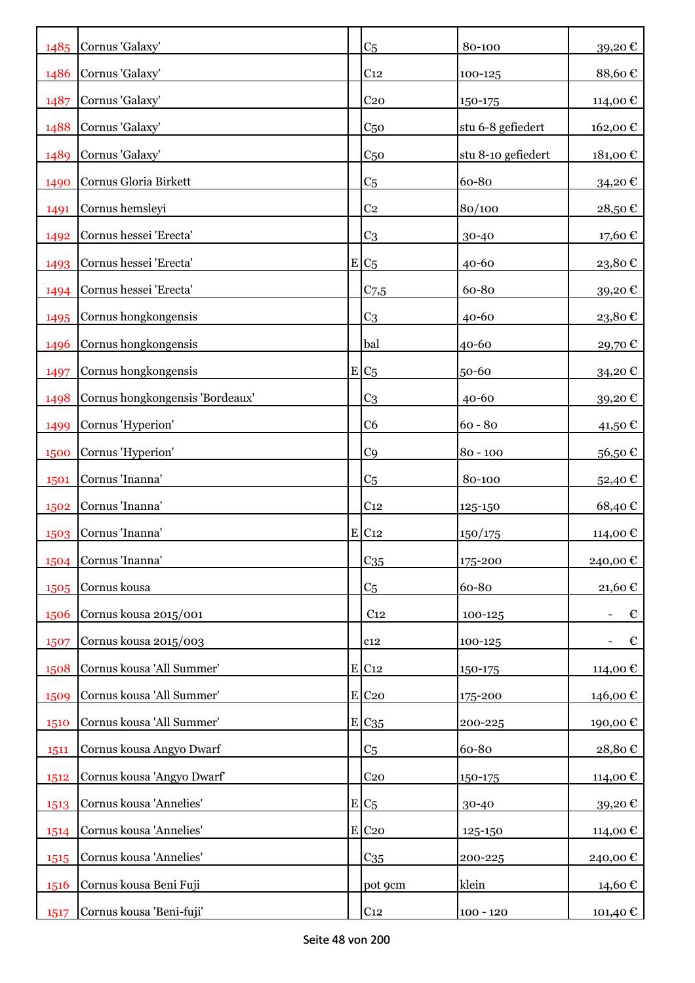| 1485 | Cornus 'Galaxy'                 | C <sub>5</sub>      | 80-100             | 39,20€                 |
|------|---------------------------------|---------------------|--------------------|------------------------|
| 1486 | Cornus 'Galaxy'                 | C <sub>12</sub>     | 100-125            | 88,60€                 |
| 1487 | Cornus 'Galaxy'                 | C <sub>20</sub>     | 150-175            | 114,00 €               |
| 1488 | Cornus 'Galaxy'                 | C <sub>50</sub>     | stu 6-8 gefiedert  | 162,00€                |
| 1489 | Cornus 'Galaxy'                 | C <sub>50</sub>     | stu 8-10 gefiedert | 181,00€                |
| 1490 | Cornus Gloria Birkett           | C <sub>5</sub>      | 60-80              | 34,20€                 |
| 1491 | Cornus hemsleyi                 | C <sub>2</sub>      | 80/100             | 28,50€                 |
| 1492 | Cornus hessei 'Erecta'          | C <sub>3</sub>      | 30-40              | 17,60€                 |
| 1493 | Cornus hessei 'Erecta'          | $E C_5$             | $40 - 60$          | 23,80€                 |
| 1494 | Cornus hessei 'Erecta'          | C <sub>7,5</sub>    | 60-80              | 39,20€                 |
| 1495 | Cornus hongkongensis            | C <sub>3</sub>      | $40 - 60$          | $23,\!80$ $\mathbb{C}$ |
| 1496 | Cornus hongkongensis            | bal                 | 40-60              | 29,70€                 |
| 1497 | Cornus hongkongensis            | $E/C_5$             | 50-60              | 34,20€                 |
| 1498 | Cornus hongkongensis 'Bordeaux' | C <sub>3</sub>      | $40 - 60$          | 39,20€                 |
| 1499 | Cornus 'Hyperion'               | C <sub>6</sub>      | $60 - 80$          | 41,50 €                |
| 1500 | Cornus 'Hyperion'               | C <sub>9</sub>      | $80 - 100$         | 56,50€                 |
| 1501 | Cornus 'Inanna'                 | C <sub>5</sub>      | 80-100             | 52,40€                 |
| 1502 | Cornus 'Inanna'                 | C <sub>12</sub>     | 125-150            | 68,40€                 |
| 1503 | Cornus 'Inanna'                 | $E$ C <sub>12</sub> | 150/175            | 114,00 €               |
|      | 1504 Cornus 'Inanna'            | $C_{35}$            | 175-200            | 240,00€                |
| 1505 | Cornus kousa                    | C <sub>5</sub>      | 60-80              | 21,60€                 |
| 1506 | Cornus kousa 2015/001           | C <sub>12</sub>     | 100-125            | €                      |
| 1507 | Cornus kousa 2015/003           | C12                 | 100-125            | €                      |
| 1508 | Cornus kousa 'All Summer'       | E C12               | $150 - 175$        | 114,00 €               |
| 1509 | Cornus kousa 'All Summer'       | $E$ C <sub>20</sub> | 175-200            | 146,00 €               |
| 1510 | Cornus kousa 'All Summer'       | E C <sub>35</sub>   | 200-225            | 190,00€                |
| 1511 | Cornus kousa Angyo Dwarf        | C <sub>5</sub>      | 60-80              | 28,80€                 |
| 1512 | Cornus kousa 'Angyo Dwarf'      | C <sub>20</sub>     | 150-175            | 114,00€                |
| 1513 | Cornus kousa 'Annelies'         | $E/C_5$             | 30-40              | 39,20€                 |
| 1514 | Cornus kousa 'Annelies'         | $E$ C <sub>20</sub> | 125-150            | 114,00 €               |
| 1515 | Cornus kousa 'Annelies'         | C <sub>35</sub>     | 200-225            | 240,00 €               |
| 1516 | Cornus kousa Beni Fuji          | pot 9cm             | klein              | 14,60€                 |
| 1517 | Cornus kousa 'Beni-fuji'        | C <sub>12</sub>     | $100 - 120$        | 101,40€                |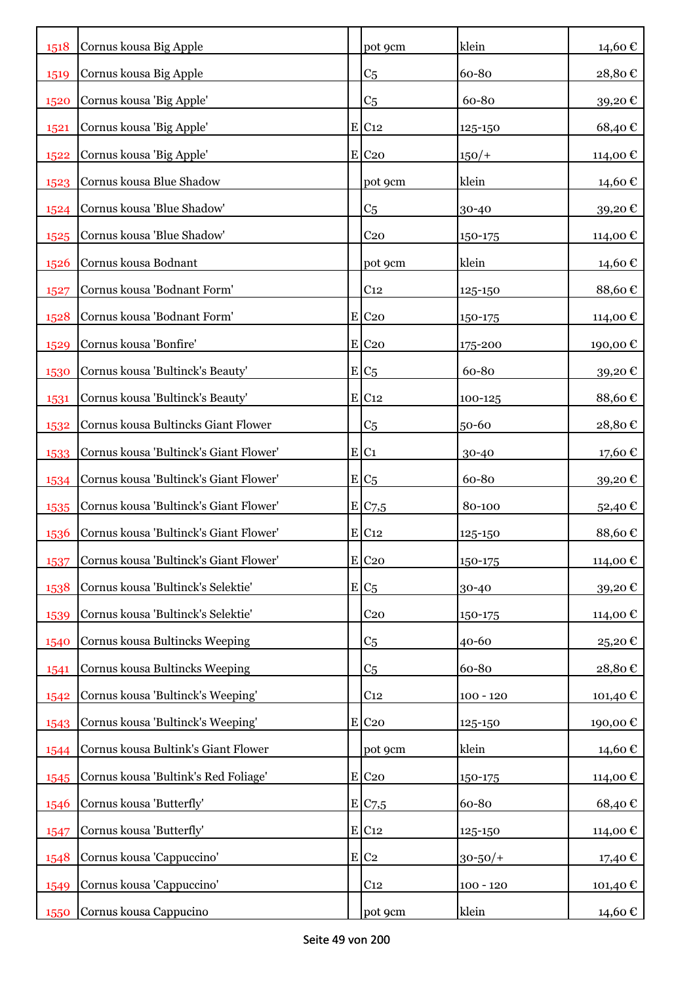| 1518 | Cornus kousa Big Apple                 | pot 9cm             | klein        | 14,60€   |
|------|----------------------------------------|---------------------|--------------|----------|
| 1519 | Cornus kousa Big Apple                 | C <sub>5</sub>      | 60-80        | 28,80€   |
| 1520 | Cornus kousa 'Big Apple'               | C <sub>5</sub>      | 60-80        | 39,20€   |
| 1521 | Cornus kousa 'Big Apple'               | $E$ C <sub>12</sub> | 125-150      | 68,40€   |
| 1522 | Cornus kousa 'Big Apple'               | $E$ C <sub>20</sub> | $150/+$      | 114,00€  |
| 1523 | Cornus kousa Blue Shadow               | pot 9cm             | klein        | 14,60 €  |
| 1524 | Cornus kousa 'Blue Shadow'             | C <sub>5</sub>      | 30-40        | 39,20€   |
| 1525 | Cornus kousa 'Blue Shadow'             | C <sub>20</sub>     | 150-175      | 114,00 € |
| 1526 | Cornus kousa Bodnant                   | pot 9cm             | klein        | 14,60 €  |
| 1527 | Cornus kousa 'Bodnant Form'            | C <sub>12</sub>     | 125-150      | 88,60€   |
| 1528 | Cornus kousa 'Bodnant Form'            | $E$ C <sub>20</sub> | 150-175      | 114,00 € |
| 1529 | Cornus kousa 'Bonfire'                 | $E$ C <sub>20</sub> | 175-200      | 190,00 € |
| 1530 | Cornus kousa 'Bultinck's Beauty'       | $E C_5$             | 60-80        | 39,20€   |
| 1531 | Cornus kousa 'Bultinck's Beauty'       | $E$ C <sub>12</sub> | 100-125      | 88,60€   |
| 1532 | Cornus kousa Bultincks Giant Flower    | C <sub>5</sub>      | 50-60        | 28,80€   |
| 1533 | Cornus kousa 'Bultinck's Giant Flower' | E C1                | 30-40        | 17,60€   |
| 1534 | Cornus kousa 'Bultinck's Giant Flower' | $E C_5$             | 60-80        | 39,20€   |
| 1535 | Cornus kousa 'Bultinck's Giant Flower' | E C7,5              | 80-100       | 52,40€   |
| 1536 | Cornus kousa 'Bultinck's Giant Flower' | $E$ C <sub>12</sub> | 125-150      | 88,60€   |
| 1537 | Cornus kousa 'Bultinck's Giant Flower' | $E$ C <sub>20</sub> | 150-175      | 114,00€  |
| 1538 | Cornus kousa 'Bultinck's Selektie'     | $E/C_5$             | 30-40        | 39,20€   |
| 1539 | Cornus kousa 'Bultinck's Selektie'     | C <sub>20</sub>     | 150-175      | 114,00 € |
| 1540 | Cornus kousa Bultincks Weeping         | C <sub>5</sub>      | 40-60        | 25,20€   |
| 1541 | Cornus kousa Bultincks Weeping         | C <sub>5</sub>      | 60-80        | 28,80€   |
| 1542 | Cornus kousa 'Bultinck's Weeping'      | C <sub>12</sub>     | $100 - 120$  | 101,40 € |
| 1543 | Cornus kousa 'Bultinck's Weeping'      | $E$ C <sub>20</sub> | 125-150      | 190,00€  |
| 1544 | Cornus kousa Bultink's Giant Flower    | pot 9cm             | klein        | 14,60€   |
| 1545 | Cornus kousa 'Bultink's Red Foliage'   | $E$ C <sub>20</sub> | 150-175      | 114,00 € |
| 1546 | Cornus kousa 'Butterfly'               | E/C <sub>7.5</sub>  | 60-80        | 68,40€   |
| 1547 | Cornus kousa 'Butterfly'               | E C12               | 125-150      | 114,00 € |
| 1548 | Cornus kousa 'Cappuccino'              | $E$ C <sub>2</sub>  | $30 - 50/$ + | 17,40 €  |
| 1549 | Cornus kousa 'Cappuccino'              | C <sub>12</sub>     | $100 - 120$  | 101,40€  |
| 1550 | Cornus kousa Cappucino                 | pot 9cm             | klein        | 14,60 €  |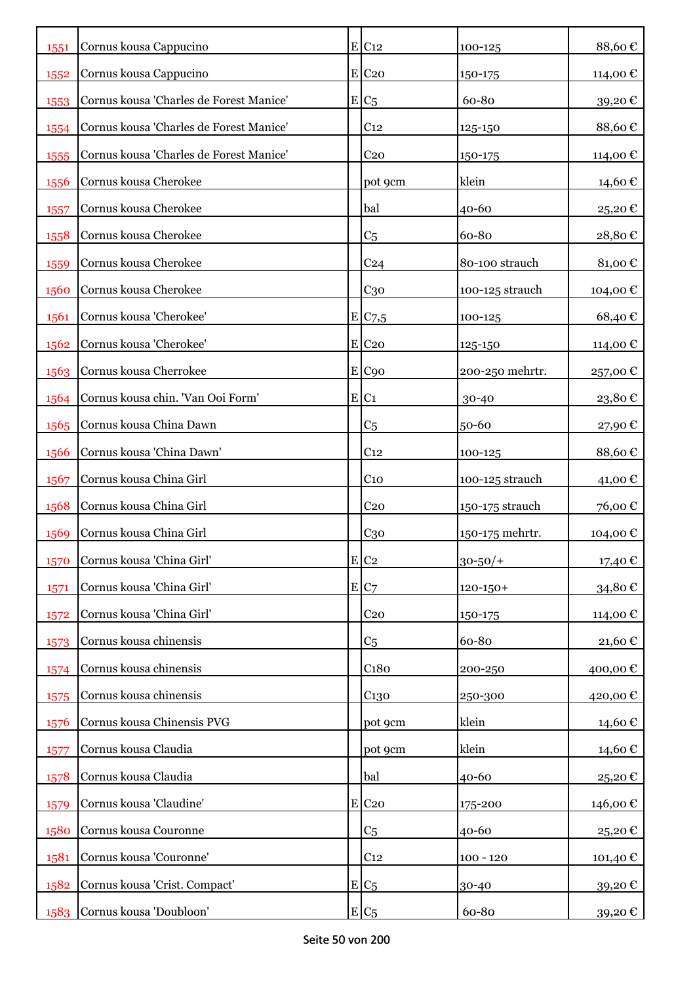| 1551 | Cornus kousa Cappucino                  | $E$ C <sub>12</sub>   | 100-125         | 88,60€   |
|------|-----------------------------------------|-----------------------|-----------------|----------|
| 1552 | Cornus kousa Cappucino                  | $E$ C <sub>20</sub>   | 150-175         | 114,00 € |
| 1553 | Cornus kousa 'Charles de Forest Manice' | $E/C_5$               | 60-80           | 39,20€   |
| 1554 | Cornus kousa 'Charles de Forest Manice' | C <sub>12</sub>       | 125-150         | 88,60€   |
| 1555 | Cornus kousa 'Charles de Forest Manice' | C <sub>20</sub>       | 150-175         | 114,00 € |
| 1556 | Cornus kousa Cherokee                   | pot 9cm               | klein           | 14,60 €  |
| 1557 | Cornus kousa Cherokee                   | bal                   | $40 - 60$       | 25,20€   |
| 1558 | Cornus kousa Cherokee                   | C <sub>5</sub>        | 60-80           | 28,80€   |
| 1559 | Cornus kousa Cherokee                   | C <sub>24</sub>       | 80-100 strauch  | 81,00€   |
| 1560 | Cornus kousa Cherokee                   | C <sub>30</sub>       | 100-125 strauch | 104,00 € |
| 1561 | Cornus kousa 'Cherokee'                 | $E$ C <sub>7</sub> ,5 | 100-125         | 68,40€   |
| 1562 | Cornus kousa 'Cherokee'                 | $E$ C <sub>20</sub>   | 125-150         | 114,00 € |
| 1563 | Cornus kousa Cherrokee                  | E C90                 | 200-250 mehrtr. | 257,00€  |
| 1564 | Cornus kousa chin. 'Van Ooi Form'       | E C1                  | 30-40           | 23,80€   |
| 1565 | Cornus kousa China Dawn                 | C <sub>5</sub>        | $50 - 60$       | 27,90€   |
| 1566 | Cornus kousa 'China Dawn'               | C <sub>12</sub>       | 100-125         | 88,60€   |
| 1567 | Cornus kousa China Girl                 | C <sub>10</sub>       | 100-125 strauch | 41,00 €  |
| 1568 | Cornus kousa China Girl                 | C <sub>20</sub>       | 150-175 strauch | 76,00€   |
| 1569 | Cornus kousa China Girl                 | $C_{30}$              | 150-175 mehrtr. | 104,00€  |
| 1570 | Cornus kousa 'China Girl'               | $E$ C <sub>2</sub>    | $30 - 50/$ +    | 17,40 €  |
| 1571 | Cornus kousa 'China Girl'               | E C7                  | $120 - 150 +$   | 34,80€   |
| 1572 | Cornus kousa 'China Girl'               | C <sub>20</sub>       | 150-175         | 114,00 € |
| 1573 | Cornus kousa chinensis                  | C <sub>5</sub>        | 60-80           | 21,60€   |
| 1574 | Cornus kousa chinensis                  | C <sub>180</sub>      | 200-250         | 400,00€  |
| 1575 | Cornus kousa chinensis                  | C <sub>130</sub>      | 250-300         | 420,00€  |
| 1576 | Cornus kousa Chinensis PVG              | pot 9cm               | klein           | 14,60€   |
| 1577 | Cornus kousa Claudia                    | pot 9cm               | klein           | 14,60€   |
| 1578 | Cornus kousa Claudia                    | bal                   | 40-60           | 25,20€   |
| 1579 | Cornus kousa 'Claudine'                 | $E$ C <sub>20</sub>   | 175-200         | 146,00€  |
| 1580 | Cornus kousa Couronne                   | C <sub>5</sub>        | 40-60           | 25,20€   |
| 1581 | Cornus kousa 'Couronne'                 | C <sub>12</sub>       | $100 - 120$     | 101,40 € |
| 1582 | Cornus kousa 'Crist. Compact'           | $E C_5$               | 30-40           | 39,20€   |
| 1583 | Cornus kousa 'Doubloon'                 | $E C_5$               | 60-80           | 39,20€   |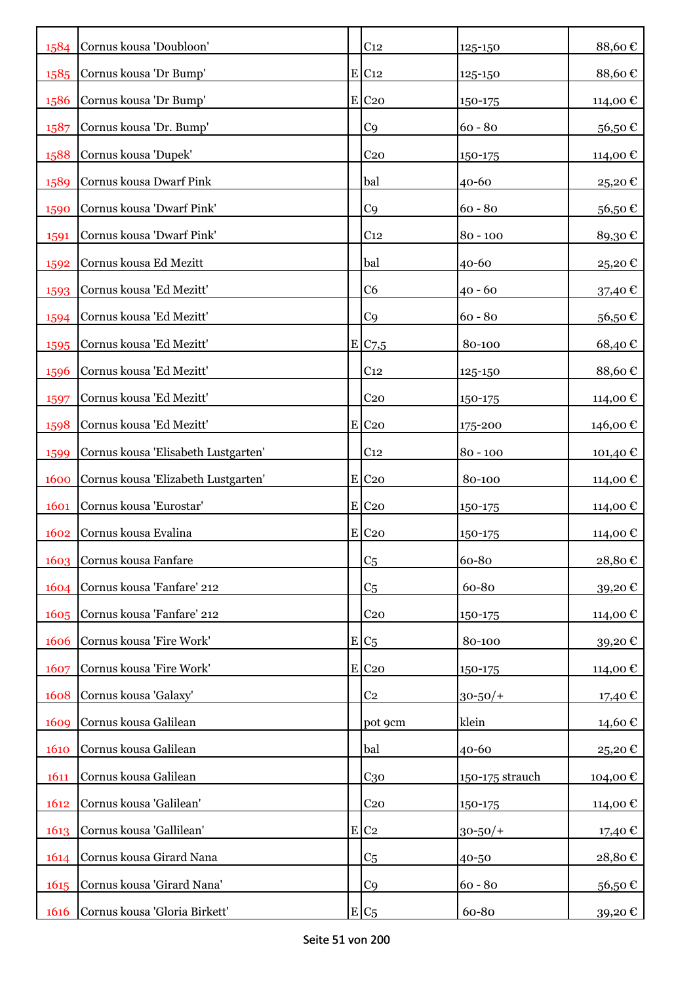| 1584 | Cornus kousa 'Doubloon'             | C <sub>12</sub>     | 125-150         | 88,60€   |
|------|-------------------------------------|---------------------|-----------------|----------|
| 1585 | Cornus kousa 'Dr Bump'              | $E$ C <sub>12</sub> | 125-150         | 88,60€   |
| 1586 | Cornus kousa 'Dr Bump'              | $E$ C <sub>20</sub> | 150-175         | 114,00€  |
| 1587 | Cornus kousa 'Dr. Bump'             | C <sub>9</sub>      | $60 - 80$       | 56,50€   |
| 1588 | Cornus kousa 'Dupek'                | C <sub>20</sub>     | 150-175         | 114,00€  |
| 1589 | Cornus kousa Dwarf Pink             | bal                 | 40-60           | 25,20€   |
| 1590 | Cornus kousa 'Dwarf Pink'           | C <sub>9</sub>      | $60 - 80$       | 56,50€   |
| 1591 | Cornus kousa 'Dwarf Pink'           | C <sub>12</sub>     | $80 - 100$      | 89,30€   |
| 1592 | Cornus kousa Ed Mezitt              | bal                 | 40-60           | 25,20€   |
| 1593 | Cornus kousa 'Ed Mezitt'            | C <sub>6</sub>      | $40 - 60$       | 37,40 €  |
| 1594 | Cornus kousa 'Ed Mezitt'            | C <sub>9</sub>      | $60 - 80$       | 56,50€   |
| 1595 | Cornus kousa 'Ed Mezitt'            | E/C7,5              | 80-100          | 68,40€   |
| 1596 | Cornus kousa 'Ed Mezitt'            | C <sub>12</sub>     | 125-150         | 88,60€   |
| 1597 | Cornus kousa 'Ed Mezitt'            | C <sub>20</sub>     | 150-175         | 114,00 € |
| 1598 | Cornus kousa 'Ed Mezitt'            | $E$ C <sub>20</sub> | 175-200         | 146,00 € |
| 1599 | Cornus kousa 'Elisabeth Lustgarten' | C <sub>12</sub>     | $80 - 100$      | 101,40 € |
| 1600 | Cornus kousa 'Elizabeth Lustgarten' | $E$ C <sub>20</sub> | 80-100          | 114,00 € |
| 1601 | Cornus kousa 'Eurostar'             | $E$ C <sub>20</sub> | 150-175         | 114,00 € |
| 1602 | Cornus kousa Evalina                | $E$ C <sub>20</sub> | 150-175         | 114,00 € |
| 1603 | Cornus kousa Fanfare                | C <sub>5</sub>      | 60-80           | 28,80€   |
| 1604 | Cornus kousa 'Fanfare' 212          | C <sub>5</sub>      | 60-80           | 39,20€   |
| 1605 | Cornus kousa 'Fanfare' 212          | C <sub>20</sub>     | 150-175         | 114,00 € |
| 1606 | Cornus kousa 'Fire Work'            | $E/C_5$             | 80-100          | 39,20€   |
| 1607 | Cornus kousa 'Fire Work'            | $E$ C <sub>20</sub> | 150-175         | 114,00 € |
| 1608 | Cornus kousa 'Galaxy'               | C <sub>2</sub>      | $30 - 50/$ +    | 17,40 €  |
| 1609 | Cornus kousa Galilean               | pot 9cm             | klein           | 14,60 €  |
| 1610 | Cornus kousa Galilean               | bal                 | 40-60           | 25,20€   |
| 1611 | Cornus kousa Galilean               | $C_{30}$            | 150-175 strauch | 104,00€  |
| 1612 | Cornus kousa 'Galilean'             | C <sub>20</sub>     | 150-175         | 114,00 € |
| 1613 | Cornus kousa 'Gallilean'            | $E$ C <sub>2</sub>  | $30 - 50/$ +    | 17,40 €  |
| 1614 | Cornus kousa Girard Nana            | C <sub>5</sub>      | 40-50           | 28,80€   |
| 1615 | Cornus kousa 'Girard Nana'          | C <sub>9</sub>      | $60 - 80$       | 56,50€   |
| 1616 | Cornus kousa 'Gloria Birkett'       | $E C_5$             | 60-80           | 39,20 €  |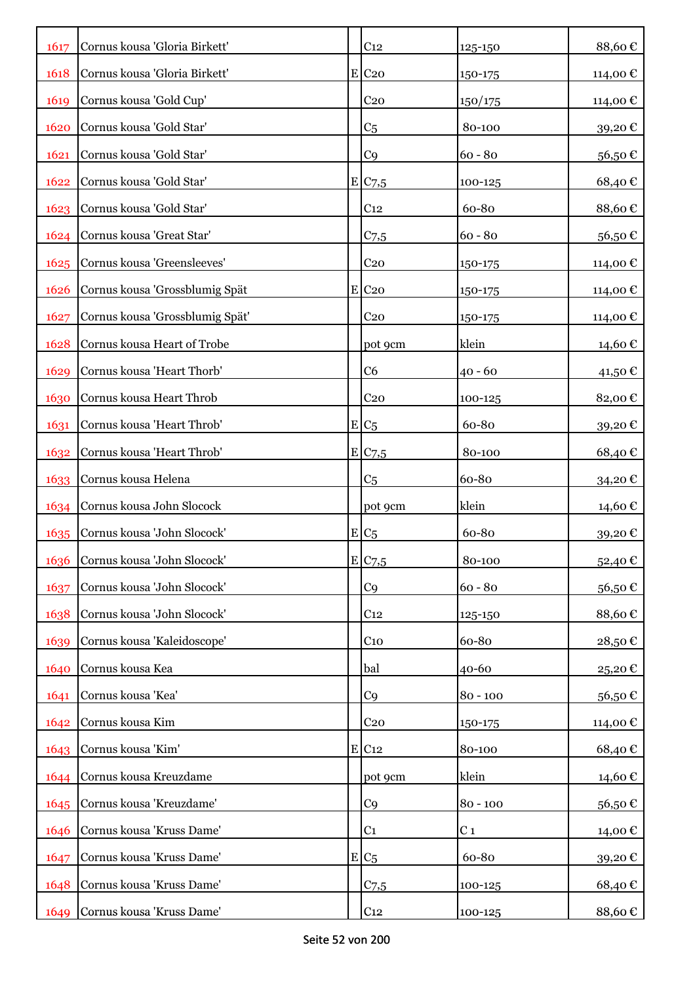| 1617 | Cornus kousa 'Gloria Birkett'    | C <sub>12</sub>     | 125-150        | 88,60€   |
|------|----------------------------------|---------------------|----------------|----------|
| 1618 | Cornus kousa 'Gloria Birkett'    | $E$ C <sub>20</sub> | 150-175        | 114,00€  |
| 1619 | Cornus kousa 'Gold Cup'          | C <sub>20</sub>     | 150/175        | 114,00 € |
| 1620 | Cornus kousa 'Gold Star'         | C <sub>5</sub>      | 80-100         | 39,20€   |
| 1621 | Cornus kousa 'Gold Star'         | C <sub>9</sub>      | $60 - 80$      | 56,50€   |
| 1622 | Cornus kousa 'Gold Star'         | E/C <sub>7,5</sub>  | 100-125        | 68,40€   |
| 1623 | Cornus kousa 'Gold Star'         | C <sub>12</sub>     | 60-80          | 88,60€   |
| 1624 | Cornus kousa 'Great Star'        | C <sub>7,5</sub>    | $60 - 80$      | 56,50€   |
|      | 1625 Cornus kousa 'Greensleeves' | C <sub>20</sub>     | 150-175        | 114,00 € |
| 1626 | Cornus kousa 'Grossblumig Spät   | $E$ C <sub>20</sub> | 150-175        | 114,00 € |
| 1627 | Cornus kousa 'Grossblumig Spät'  | C <sub>20</sub>     | 150-175        | 114,00 € |
| 1628 | Cornus kousa Heart of Trobe      | pot 9cm             | klein          | 14,60 €  |
| 1629 | Cornus kousa 'Heart Thorb'       | C6                  | $40 - 60$      | 41,50€   |
| 1630 | Cornus kousa Heart Throb         | C <sub>20</sub>     | 100-125        | 82,00€   |
| 1631 | Cornus kousa 'Heart Throb'       | $E C_5$             | 60-80          | 39,20€   |
| 1632 | Cornus kousa 'Heart Throb'       | E/C <sub>7,5</sub>  | 80-100         | 68,40€   |
| 1633 | Cornus kousa Helena              | C <sub>5</sub>      | 60-80          | 34,20€   |
|      | 1634 Cornus kousa John Slocock   | pot 9cm             | klein          | 14,60 €  |
| 1635 | Cornus kousa 'John Slocock'      | $E/C_5$             | 60-80          | 39,20€   |
| 1636 | Cornus kousa 'John Slocock'      | E C7,5              | 80-100         | 52,40€   |
| 1637 | Cornus kousa 'John Slocock'      | C <sub>9</sub>      | $60 - 80$      | 56,50€   |
| 1638 | Cornus kousa 'John Slocock'      | C <sub>12</sub>     | 125-150        | 88,60€   |
| 1639 | Cornus kousa 'Kaleidoscope'      | $C_{10}$            | 60-80          | 28,50€   |
| 1640 | Cornus kousa Kea                 | bal                 | 40-60          | 25,20€   |
| 1641 | Cornus kousa 'Kea'               | C <sub>9</sub>      | $80 - 100$     | 56,50€   |
| 1642 | Cornus kousa Kim                 | C <sub>20</sub>     | 150-175        | 114,00€  |
| 1643 | Cornus kousa 'Kim'               | $E$ C <sub>12</sub> | 80-100         | 68,40€   |
| 1644 | Cornus kousa Kreuzdame           | pot 9cm             | klein          | 14,60€   |
| 1645 | Cornus kousa 'Kreuzdame'         | C <sub>9</sub>      | $80 - 100$     | 56,50€   |
| 1646 | Cornus kousa 'Kruss Dame'        | C <sub>1</sub>      | C <sub>1</sub> | 14,00€   |
| 1647 | Cornus kousa 'Kruss Dame'        | $E/C_5$             | 60-80          | 39,20€   |
| 1648 | Cornus kousa 'Kruss Dame'        | C <sub>7,5</sub>    | 100-125        | 68,40€   |
| 1649 | Cornus kousa 'Kruss Dame'        | C <sub>12</sub>     | $100 - 125$    | 88,60€   |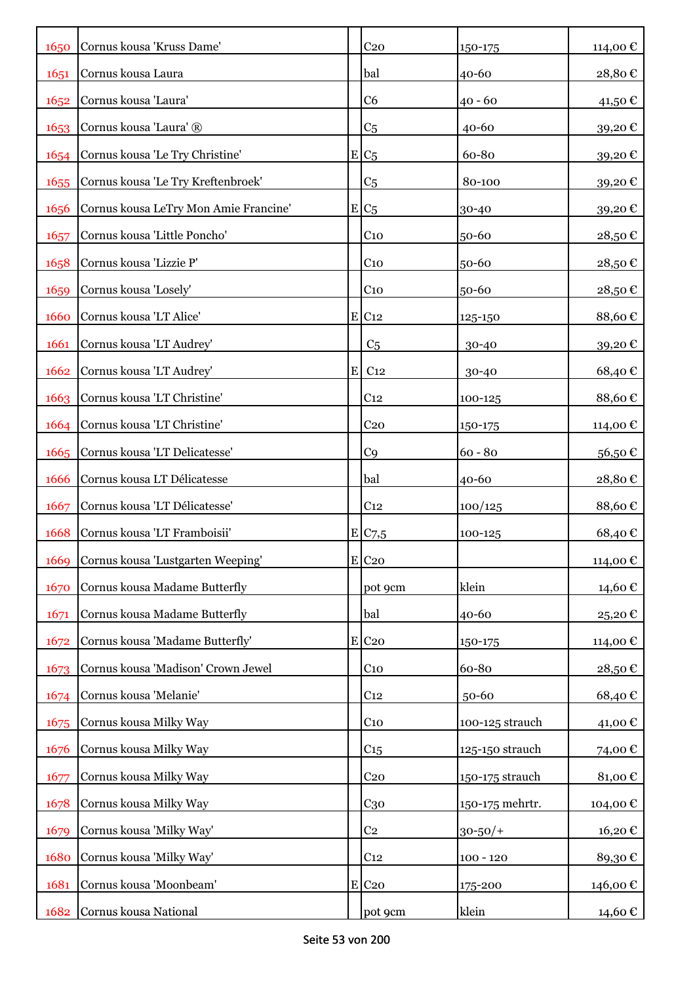| 1650 | Cornus kousa 'Kruss Dame'             |   | C <sub>20</sub>       | $150 - 175$     | 114,00€  |
|------|---------------------------------------|---|-----------------------|-----------------|----------|
| 1651 | Cornus kousa Laura                    |   | bal                   | 40-60           | 28,80€   |
| 1652 | Cornus kousa 'Laura'                  |   | C6                    | 40 - 60         | 41,50 €  |
| 1653 | Cornus kousa 'Laura' ®                |   | C <sub>5</sub>        | $40 - 60$       | 39,20€   |
| 1654 | Cornus kousa 'Le Try Christine'       |   | $E/C_5$               | 60-80           | 39,20€   |
| 1655 | Cornus kousa 'Le Try Kreftenbroek'    |   | C <sub>5</sub>        | 80-100          | 39,20€   |
| 1656 | Cornus kousa LeTry Mon Amie Francine' |   | $E C_5$               | 30-40           | 39,20€   |
| 1657 | Cornus kousa 'Little Poncho'          |   | C <sub>10</sub>       | 50-60           | 28,50€   |
| 1658 | Cornus kousa 'Lizzie P'               |   | C <sub>10</sub>       | 50-60           | 28,50€   |
| 1659 | Cornus kousa 'Losely'                 |   | C <sub>10</sub>       | 50-60           | 28,50€   |
| 1660 | Cornus kousa 'LT Alice'               |   | $E$ C <sub>12</sub>   | 125-150         | 88,60€   |
| 1661 | Cornus kousa 'LT Audrey'              |   | C <sub>5</sub>        | 30-40           | 39,20€   |
| 1662 | Cornus kousa 'LT Audrey'              | E | C <sub>12</sub>       | 30-40           | 68,40€   |
| 1663 | Cornus kousa 'LT Christine'           |   | C <sub>12</sub>       | 100-125         | 88,60€   |
| 1664 | Cornus kousa 'LT Christine'           |   | C <sub>20</sub>       | 150-175         | 114,00 € |
| 1665 | Cornus kousa 'LT Delicatesse'         |   | C <sub>9</sub>        | $60 - 80$       | 56,50€   |
| 1666 | Cornus kousa LT Délicatesse           |   | bal                   | 40-60           | 28,80€   |
| 1667 | Cornus kousa 'LT Délicatesse'         |   | C <sub>12</sub>       | 100/125         | 88,60€   |
| 1668 | Cornus kousa 'LT Framboisii'          |   | $E$ C <sub>7</sub> ,5 | 100-125         | 68,40€   |
| 1669 | Cornus kousa 'Lustgarten Weeping'     |   | $E$ C <sub>20</sub>   |                 | 114,00€  |
| 1670 | Cornus kousa Madame Butterfly         |   | pot 9cm               | klein           | 14,60€   |
| 1671 | Cornus kousa Madame Butterfly         |   | bal                   | 40-60           | 25,20€   |
| 1672 | Cornus kousa 'Madame Butterfly'       |   | $E$ C <sub>20</sub>   | 150-175         | 114,00 € |
| 1673 | Cornus kousa 'Madison' Crown Jewel    |   | $C_{10}$              | 60-80           | 28,50€   |
| 1674 | Cornus kousa 'Melanie'                |   | C <sub>12</sub>       | 50-60           | 68,40€   |
| 1675 | Cornus kousa Milky Way                |   | $C_{10}$              | 100-125 strauch | 41,00€   |
| 1676 | Cornus kousa Milky Way                |   | C <sub>15</sub>       | 125-150 strauch | 74,00€   |
| 1677 | Cornus kousa Milky Way                |   | C <sub>20</sub>       | 150-175 strauch | 81,00€   |
| 1678 | Cornus kousa Milky Way                |   | $C_{30}$              | 150-175 mehrtr. | 104,00€  |
| 1679 | Cornus kousa 'Milky Way'              |   | C <sub>2</sub>        | $30 - 50/$ +    | 16,20€   |
| 1680 | Cornus kousa 'Milky Way'              |   | C <sub>12</sub>       | $100 - 120$     | 89,30€   |
| 1681 | Cornus kousa 'Moonbeam'               |   | $E$ C <sub>20</sub>   | 175-200         | 146,00 € |
| 1682 | Cornus kousa National                 |   | pot 9cm               | klein           | 14,60 €  |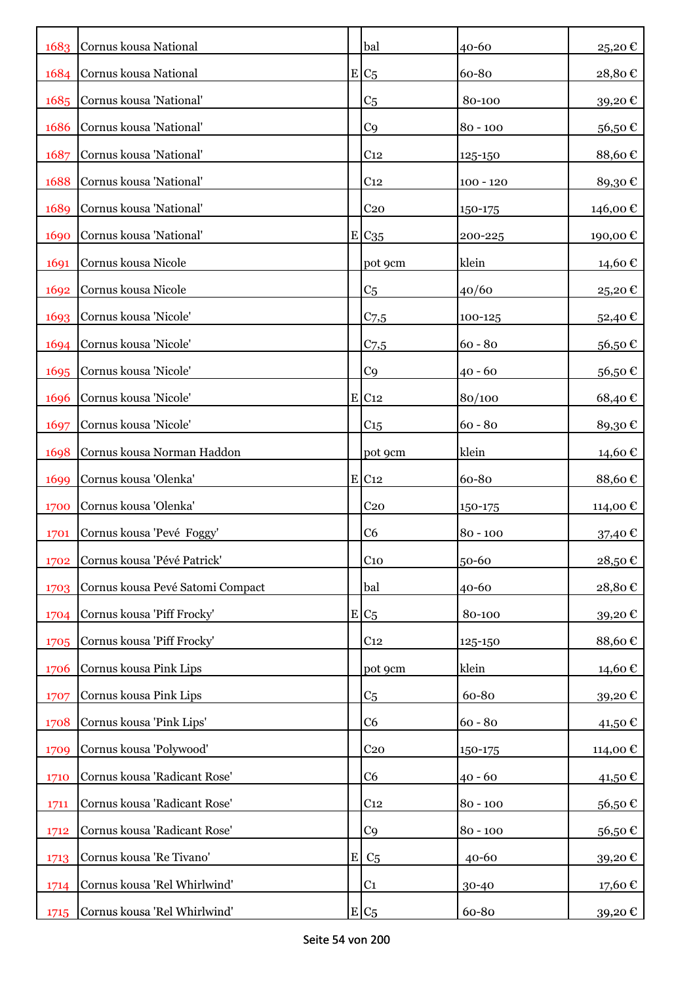|      | 1683 Cornus kousa National       |         | bal                 | 40-60       | 25,20€   |
|------|----------------------------------|---------|---------------------|-------------|----------|
| 1684 | Cornus kousa National            |         | $E/C_5$             | 60-80       | 28,80€   |
| 1685 | Cornus kousa 'National'          |         | C <sub>5</sub>      | 80-100      | 39,20€   |
| 1686 | Cornus kousa 'National'          |         | C <sub>9</sub>      | $80 - 100$  | 56,50€   |
| 1687 | Cornus kousa 'National'          |         | C <sub>12</sub>     | 125-150     | 88,60€   |
| 1688 | Cornus kousa 'National'          |         | C <sub>12</sub>     | $100 - 120$ | 89,30€   |
| 1689 | Cornus kousa 'National'          |         | C <sub>20</sub>     | 150-175     | 146,00 € |
| 1690 | Cornus kousa 'National'          |         | E C <sub>35</sub>   | 200-225     | 190,00 € |
| 1691 | Cornus kousa Nicole              |         | pot 9cm             | klein       | 14,60 €  |
| 1692 | Cornus kousa Nicole              |         | C <sub>5</sub>      | 40/60       | 25,20€   |
| 1693 | Cornus kousa 'Nicole'            |         | $C_{7,5}$           | 100-125     | 52,40€   |
| 1694 | Cornus kousa 'Nicole'            |         | $C$ 7,5             | $60 - 80$   | 56,50€   |
| 1695 | Cornus kousa 'Nicole'            |         | C <sub>9</sub>      | $40 - 60$   | 56,50€   |
| 1696 | Cornus kousa 'Nicole'            |         | $E$ C <sub>12</sub> | 80/100      | 68,40€   |
| 1697 | Cornus kousa 'Nicole'            |         | C <sub>15</sub>     | $60 - 80$   | 89,30€   |
| 1698 | Cornus kousa Norman Haddon       |         | pot 9cm             | klein       | 14,60 €  |
| 1699 | Cornus kousa 'Olenka'            |         | $E$ C <sub>12</sub> | 60-80       | 88,60€   |
| 1700 | Cornus kousa 'Olenka'            |         | C <sub>20</sub>     | 150-175     | 114,00 € |
| 1701 | Cornus kousa 'Pevé Foggy'        |         | C <sub>6</sub>      | $80 - 100$  | 37,40€   |
| 1702 | Cornus kousa 'Pévé Patrick'      |         | C <sub>10</sub>     | 50-60       | 28,50€   |
| 1703 | Cornus kousa Pevé Satomi Compact |         | bal                 | 40-60       | 28,80€   |
| 1704 | Cornus kousa 'Piff Frocky'       |         | $E/C_5$             | 80-100      | 39,20€   |
| 1705 | Cornus kousa 'Piff Frocky'       |         | C <sub>12</sub>     | 125-150     | 88,60€   |
| 1706 | Cornus kousa Pink Lips           |         | pot 9cm             | klein       | 14,60€   |
| 1707 | Cornus kousa Pink Lips           |         | C <sub>5</sub>      | 60-80       | 39,20€   |
| 1708 | Cornus kousa 'Pink Lips'         |         | C <sub>6</sub>      | $60 - 80$   | 41,50€   |
| 1709 | Cornus kousa 'Polywood'          |         | C <sub>20</sub>     | 150-175     | 114,00 € |
| 1710 | Cornus kousa 'Radicant Rose'     |         | C <sub>6</sub>      | $40 - 60$   | 41,50€   |
| 1711 | Cornus kousa 'Radicant Rose'     |         | C <sub>12</sub>     | $80 - 100$  | 56,50€   |
| 1712 | Cornus kousa 'Radicant Rose'     |         | C <sub>9</sub>      | $80 - 100$  | 56,50€   |
| 1713 | Cornus kousa 'Re Tivano'         | $\bf E$ | C <sub>5</sub>      | $40 - 60$   | 39,20€   |
| 1714 | Cornus kousa 'Rel Whirlwind'     |         | C <sub>1</sub>      | 30-40       | 17,60 €  |
| 1715 | Cornus kousa 'Rel Whirlwind'     |         | $E C_5$             | 60-80       | 39,20€   |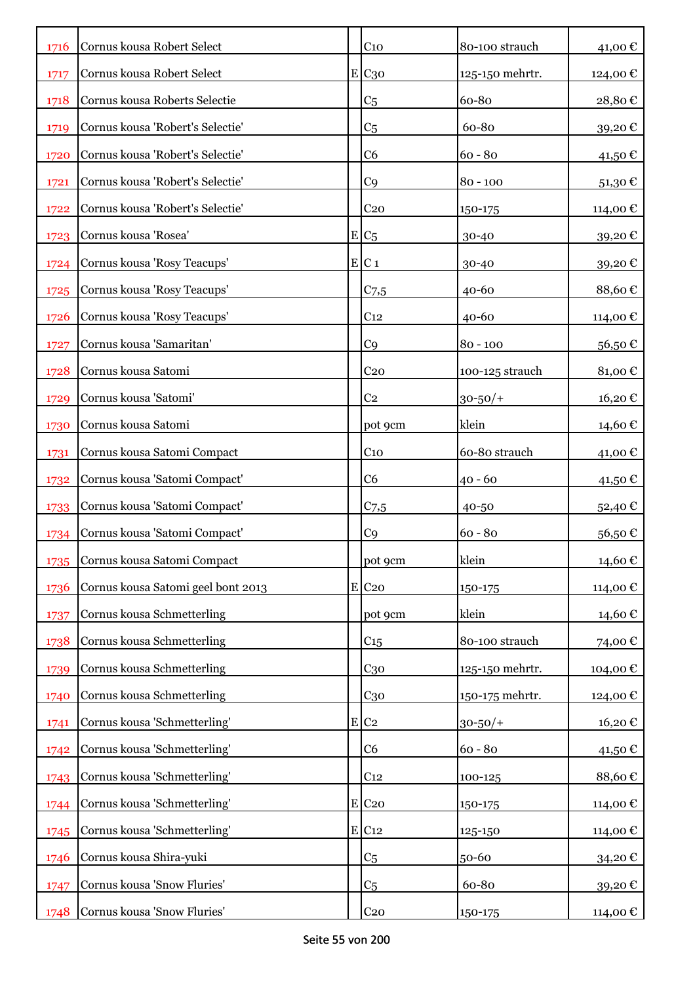| 1716 | Cornus kousa Robert Select         | C <sub>10</sub>     | 80-100 strauch  | 41,00€   |
|------|------------------------------------|---------------------|-----------------|----------|
| 1717 | Cornus kousa Robert Select         | E C30               | 125-150 mehrtr. | 124,00 € |
| 1718 | Cornus kousa Roberts Selectie      | C <sub>5</sub>      | 60-80           | 28,80€   |
| 1719 | Cornus kousa 'Robert's Selectie'   | C <sub>5</sub>      | 60-80           | 39,20€   |
| 1720 | Cornus kousa 'Robert's Selectie'   | C <sub>6</sub>      | $60 - 80$       | 41,50€   |
| 1721 | Cornus kousa 'Robert's Selectie'   | C <sub>9</sub>      | $80 - 100$      | 51,30 €  |
| 1722 | Cornus kousa 'Robert's Selectie'   | C <sub>20</sub>     | 150-175         | 114,00€  |
| 1723 | Cornus kousa 'Rosea'               | $E C_5$             | 30-40           | 39,20€   |
| 1724 | Cornus kousa 'Rosy Teacups'        | E C1                | 30-40           | 39,20€   |
| 1725 | Cornus kousa 'Rosy Teacups'        | $C$ 7,5             | $40 - 60$       | 88,60€   |
| 1726 | Cornus kousa 'Rosy Teacups'        | C <sub>12</sub>     | $40 - 60$       | 114,00€  |
| 1727 | Cornus kousa 'Samaritan'           | C <sub>9</sub>      | $80 - 100$      | 56,50€   |
| 1728 | Cornus kousa Satomi                | C <sub>20</sub>     | 100-125 strauch | 81,00€   |
| 1729 | Cornus kousa 'Satomi'              | C <sub>2</sub>      | $30 - 50/$      | 16,20€   |
| 1730 | Cornus kousa Satomi                | pot 9cm             | klein           | 14,60 €  |
| 1731 | Cornus kousa Satomi Compact        | C <sub>10</sub>     | 60-80 strauch   | 41,00 €  |
| 1732 | Cornus kousa 'Satomi Compact'      | C6                  | $40 - 60$       | 41,50 €  |
| 1733 | Cornus kousa 'Satomi Compact'      | $C_{7,5}$           | 40-50           | 52,40€   |
| 1734 | Cornus kousa 'Satomi Compact'      | C <sub>9</sub>      | $60 - 80$       | 56,50€   |
| 1735 | Cornus kousa Satomi Compact        | pot 9cm             | klein           | 14,60€   |
| 1736 | Cornus kousa Satomi geel bont 2013 | E C20               | 150-175         | 114,00€  |
| 1737 | Cornus kousa Schmetterling         | pot 9cm             | klein           | 14,60€   |
| 1738 | Cornus kousa Schmetterling         | $C_{15}$            | 80-100 strauch  | 74,00€   |
| 1739 | Cornus kousa Schmetterling         | $C_{30}$            | 125-150 mehrtr. | 104,00€  |
| 1740 | Cornus kousa Schmetterling         | $C_{30}$            | 150-175 mehrtr. | 124,00€  |
| 1741 | Cornus kousa 'Schmetterling'       | $E$ C <sub>2</sub>  | $30 - 50/$ +    | 16,20€   |
| 1742 | Cornus kousa 'Schmetterling'       | C <sub>6</sub>      | $60 - 80$       | 41,50€   |
| 1743 | Cornus kousa 'Schmetterling'       | C <sub>12</sub>     | 100-125         | 88,60€   |
| 1744 | Cornus kousa 'Schmetterling'       | E C <sub>20</sub>   | 150-175         | 114,00 € |
| 1745 | Cornus kousa 'Schmetterling'       | $E$ C <sub>12</sub> | 125-150         | 114,00€  |
| 1746 | Cornus kousa Shira-yuki            | C <sub>5</sub>      | 50-60           | 34,20€   |
| 1747 | Cornus kousa 'Snow Fluries'        | C <sub>5</sub>      | 60-80           | 39,20€   |
| 1748 | Cornus kousa 'Snow Fluries'        | C <sub>20</sub>     | 150-175         | 114,00 € |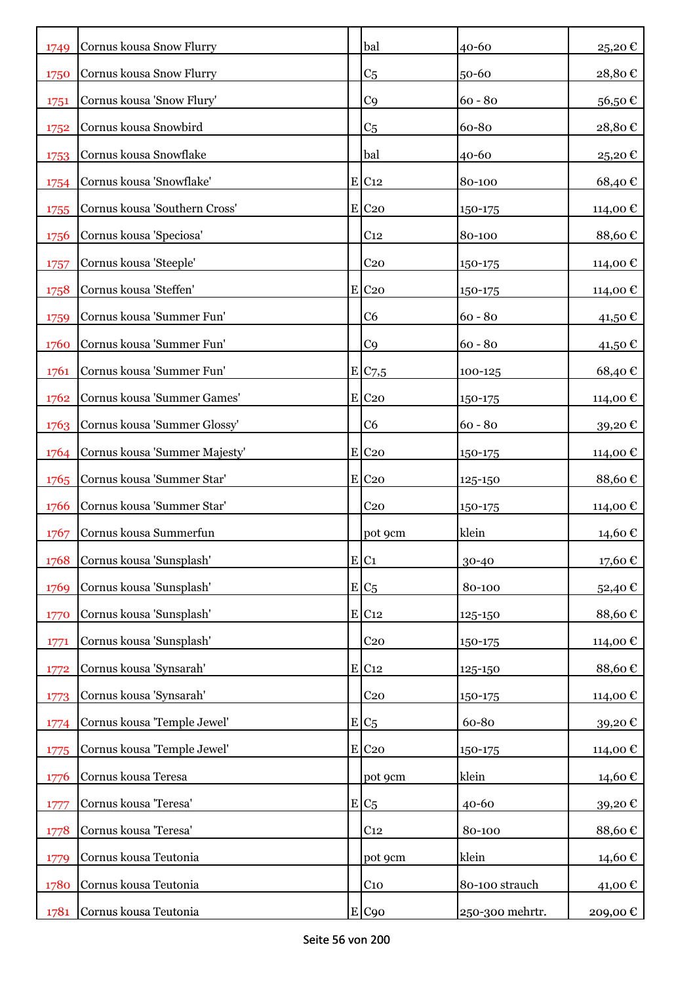| 1749 | Cornus kousa Snow Flurry      | bal                   | 40-60           | 25,20€   |
|------|-------------------------------|-----------------------|-----------------|----------|
| 1750 | Cornus kousa Snow Flurry      | C <sub>5</sub>        | 50-60           | 28,80€   |
| 1751 | Cornus kousa 'Snow Flury'     | C <sub>9</sub>        | $60 - 80$       | 56,50€   |
| 1752 | Cornus kousa Snowbird         | C <sub>5</sub>        | 60-80           | 28,80€   |
| 1753 | Cornus kousa Snowflake        | bal                   | 40-60           | 25,20€   |
| 1754 | Cornus kousa 'Snowflake'      | E C12                 | 80-100          | 68,40€   |
| 1755 | Cornus kousa 'Southern Cross' | $E$ C <sub>20</sub>   | 150-175         | 114,00 € |
| 1756 | Cornus kousa 'Speciosa'       | C <sub>12</sub>       | 80-100          | 88,60€   |
| 1757 | Cornus kousa 'Steeple'        | C <sub>20</sub>       | 150-175         | 114,00 € |
| 1758 | Cornus kousa 'Steffen'        | $E$ C <sub>20</sub>   | 150-175         | 114,00 € |
| 1759 | Cornus kousa 'Summer Fun'     | C <sub>6</sub>        | $60 - 80$       | 41,50 €  |
| 1760 | Cornus kousa 'Summer Fun'     | C <sub>9</sub>        | $60 - 80$       | 41,50 €  |
| 1761 | Cornus kousa 'Summer Fun'     | $E$ C <sub>7</sub> ,5 | 100-125         | 68,40€   |
| 1762 | Cornus kousa 'Summer Games'   | $E$ C <sub>20</sub>   | 150-175         | 114,00 € |
| 1763 | Cornus kousa 'Summer Glossy'  | C <sub>6</sub>        | $60 - 80$       | 39,20€   |
| 1764 | Cornus kousa 'Summer Majesty' | $E$ C <sub>20</sub>   | 150-175         | 114,00€  |
| 1765 | Cornus kousa 'Summer Star'    | $E$ C <sub>20</sub>   | 125-150         | 88,60€   |
| 1766 | Cornus kousa 'Summer Star'    | C <sub>20</sub>       | 150-175         | 114,00 € |
| 1767 | Cornus kousa Summerfun        | pot 9cm               | klein           | 14,60 €  |
| 1768 | Cornus kousa 'Sunsplash'      | E C1                  | 30-40           | 17,60€   |
| 1769 | Cornus kousa 'Sunsplash'      | $E/C_5$               | 80-100          | 52,40€   |
| 1770 | Cornus kousa 'Sunsplash'      | $E$ C <sub>12</sub>   | 125-150         | 88,60€   |
| 1771 | Cornus kousa 'Sunsplash'      | C <sub>20</sub>       | 150-175         | 114,00 € |
| 1772 | Cornus kousa 'Synsarah'       | E C12                 | 125-150         | 88,60€   |
| 1773 | Cornus kousa 'Synsarah'       | C <sub>20</sub>       | 150-175         | 114,00 € |
| 1774 | Cornus kousa 'Temple Jewel'   | $E C_5$               | 60-80           | 39,20€   |
| 1775 | Cornus kousa 'Temple Jewel'   | $E$ C <sub>20</sub>   | 150-175         | 114,00€  |
| 1776 | Cornus kousa Teresa           | pot 9cm               | klein           | 14,60€   |
| 1777 | Cornus kousa 'Teresa'         | $E C_5$               | $40 - 60$       | 39,20€   |
| 1778 | Cornus kousa 'Teresa'         | C <sub>12</sub>       | 80-100          | 88,60€   |
| 1779 | Cornus kousa Teutonia         | pot 9cm               | klein           | 14,60€   |
| 1780 | Cornus kousa Teutonia         | $C_{10}$              | 80-100 strauch  | 41,00 €  |
| 1781 | Cornus kousa Teutonia         | E C90                 | 250-300 mehrtr. | 209,00€  |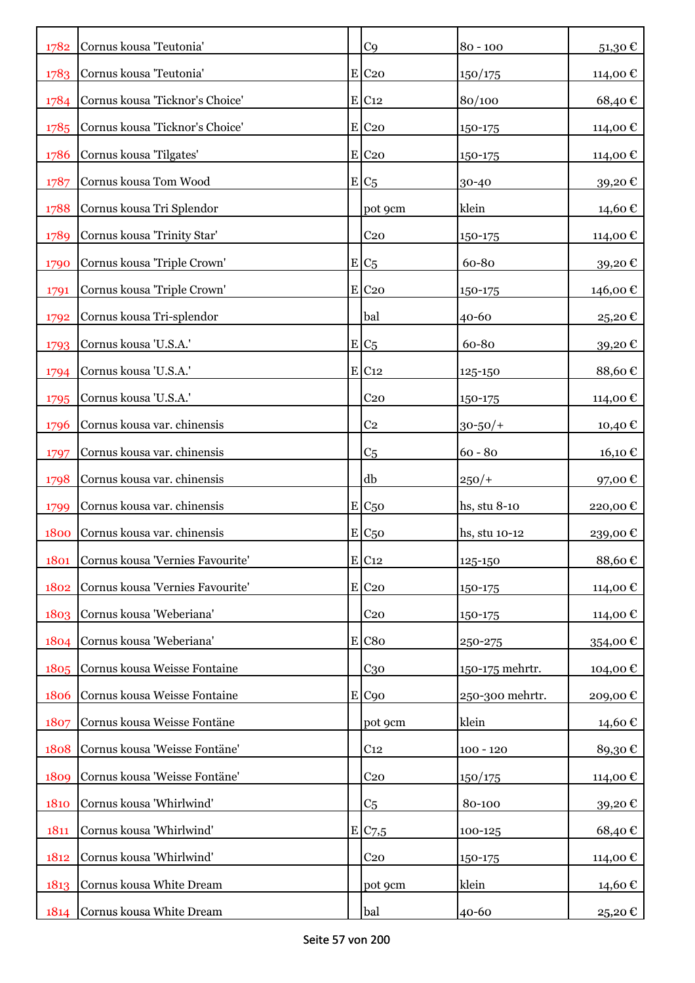| 1782 | Cornus kousa 'Teutonia'          | C <sub>9</sub>      | $80 - 100$      | 51,30€   |
|------|----------------------------------|---------------------|-----------------|----------|
| 1783 | Cornus kousa 'Teutonia'          | $E$ C <sub>20</sub> | 150/175         | 114,00 € |
| 1784 | Cornus kousa 'Ticknor's Choice'  | $E$ C <sub>12</sub> | 80/100          | 68,40€   |
| 1785 | Cornus kousa 'Ticknor's Choice'  | $E$ C <sub>20</sub> | 150-175         | 114,00€  |
| 1786 | Cornus kousa 'Tilgates'          | $E$ C <sub>20</sub> | 150-175         | 114,00 € |
| 1787 | Cornus kousa Tom Wood            | $E C_5$             | 30-40           | 39,20€   |
| 1788 | Cornus kousa Tri Splendor        | pot 9cm             | klein           | 14,60 €  |
| 1789 | Cornus kousa 'Trinity Star'      | C <sub>20</sub>     | 150-175         | 114,00€  |
| 1790 | Cornus kousa 'Triple Crown'      | $E/C_5$             | 60-80           | 39,20€   |
| 1791 | Cornus kousa 'Triple Crown'      | $E$ C <sub>20</sub> | 150-175         | 146,00 € |
| 1792 | Cornus kousa Tri-splendor        | bal                 | 40-60           | 25,20€   |
| 1793 | Cornus kousa 'U.S.A.'            | $E/C_5$             | 60-80           | 39,20€   |
| 1794 | Cornus kousa 'U.S.A.'            | E C12               | 125-150         | 88,60€   |
| 1795 | Cornus kousa 'U.S.A.'            | C <sub>20</sub>     | 150-175         | 114,00 € |
| 1796 | Cornus kousa var. chinensis      | C <sub>2</sub>      | $30 - 50/$      | 10,40 €  |
| 1797 | Cornus kousa var. chinensis      | C <sub>5</sub>      | $60 - 80$       | 16,10 €  |
| 1798 | Cornus kousa var. chinensis      | db                  | $250/+$         | 97,00€   |
| 1799 | Cornus kousa var. chinensis      | $E C_{50}$          | hs, stu 8-10    | 220,00€  |
| 1800 | Cornus kousa var. chinensis      | $E_{C50}$           | hs, stu 10-12   | 239,00€  |
| 1801 | Cornus kousa 'Vernies Favourite' | $E$ C <sub>12</sub> | 125-150         | 88,60€   |
| 1802 | Cornus kousa 'Vernies Favourite' | $E$ C <sub>20</sub> | 150-175         | 114,00 € |
| 1803 | Cornus kousa 'Weberiana'         | $C_{20}$            | 150-175         | 114,00 € |
| 1804 | Cornus kousa 'Weberiana'         | E C80               | 250-275         | 354,00 € |
| 1805 | Cornus kousa Weisse Fontaine     | C <sub>30</sub>     | 150-175 mehrtr. | 104,00 € |
| 1806 | Cornus kousa Weisse Fontaine     | $E$ C <sub>90</sub> | 250-300 mehrtr. | 209,00€  |
| 1807 | Cornus kousa Weisse Fontäne      | pot 9cm             | klein           | 14,60€   |
| 1808 | Cornus kousa 'Weisse Fontäne'    | C <sub>12</sub>     | $100 - 120$     | 89,30€   |
| 1809 | Cornus kousa 'Weisse Fontäne'    | C <sub>20</sub>     | 150/175         | 114,00 € |
| 1810 | Cornus kousa 'Whirlwind'         | C <sub>5</sub>      | 80-100          | 39,20€   |
| 1811 | Cornus kousa 'Whirlwind'         | E/C <sub>7,5</sub>  | 100-125         | 68,40€   |
| 1812 | Cornus kousa 'Whirlwind'         | C <sub>20</sub>     | 150-175         | 114,00 € |
| 1813 | Cornus kousa White Dream         | pot 9cm             | klein           | 14,60 €  |
| 1814 | Cornus kousa White Dream         | bal                 | 40-60           | 25,20 €  |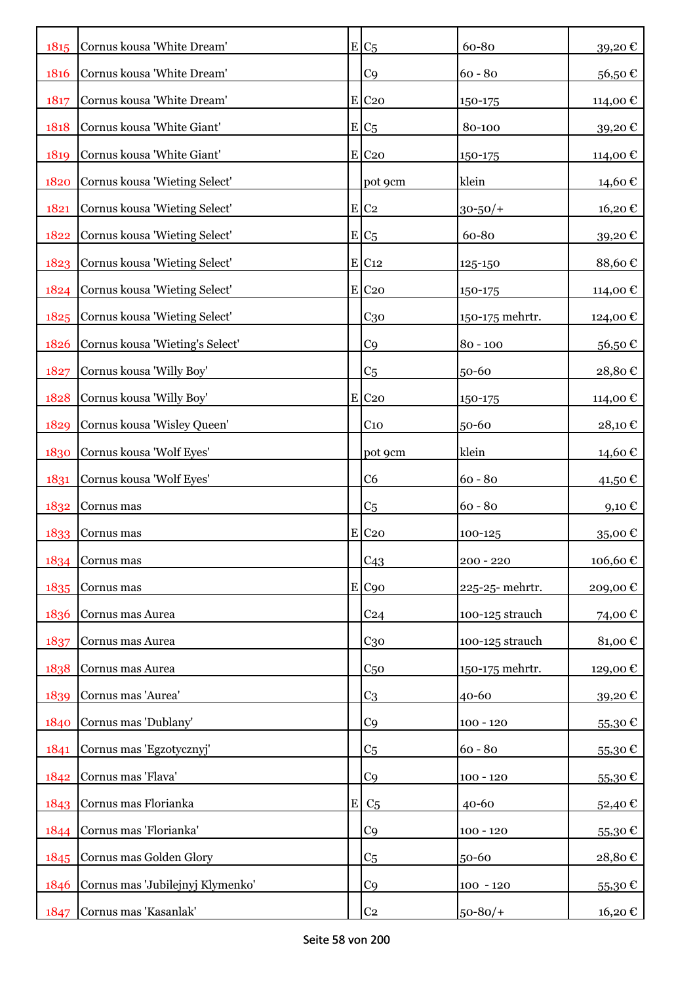| 1815 | Cornus kousa 'White Dream'       |   | $E/C_5$             | 60-80           | 39,20€           |
|------|----------------------------------|---|---------------------|-----------------|------------------|
| 1816 | Cornus kousa 'White Dream'       |   | C <sub>9</sub>      | $60 - 80$       | 56,50€           |
| 1817 | Cornus kousa 'White Dream'       |   | $E$ C <sub>20</sub> | 150-175         | 114,00 €         |
| 1818 | Cornus kousa 'White Giant'       |   | $E/C_5$             | 80-100          | 39,20€           |
| 1819 | Cornus kousa 'White Giant'       |   | $E$ C <sub>20</sub> | 150-175         | 114,00€          |
| 1820 | Cornus kousa 'Wieting Select'    |   | pot 9cm             | klein           | 14,60 €          |
| 1821 | Cornus kousa 'Wieting Select'    |   | E C2                | $30 - 50/$ +    | 16,20€           |
| 1822 | Cornus kousa 'Wieting Select'    |   | $E/C_5$             | 60-80           | 39,20€           |
| 1823 | Cornus kousa 'Wieting Select'    |   | $E$ C <sub>12</sub> | 125-150         | 88,60€           |
| 1824 | Cornus kousa 'Wieting Select'    |   | E C20               | 150-175         | 114,00 €         |
| 1825 | Cornus kousa 'Wieting Select'    |   | C <sub>30</sub>     | 150-175 mehrtr. | 124,00 €         |
| 1826 | Cornus kousa 'Wieting's Select'  |   | C <sub>9</sub>      | $80 - 100$      | 56,50€           |
| 1827 | Cornus kousa 'Willy Boy'         |   | C <sub>5</sub>      | 50-60           | 28,80€           |
| 1828 | Cornus kousa 'Willy Boy'         |   | $E$ C <sub>20</sub> | 150-175         | 114,00 €         |
| 1829 | Cornus kousa 'Wisley Queen'      |   | C <sub>10</sub>     | 50-60           | 28,10€           |
| 1830 | Cornus kousa 'Wolf Eyes'         |   | pot 9cm             | klein           | 14,60 €          |
| 1831 | Cornus kousa 'Wolf Eyes'         |   | C6                  | $60 - 80$       | 41,50 €          |
| 1832 | Cornus mas                       |   | C <sub>5</sub>      | $60 - 80$       | 9,10€            |
| 1833 | Cornus mas                       |   | $E$ C <sub>20</sub> | 100-125         | 35,00€           |
|      | 1834 Cornus mas                  |   | C43                 | $200 - 220$     | 106,60€          |
| 1835 | Cornus mas                       |   | E C90               | 225-25-mehrtr.  | 209,00€          |
| 1836 | Cornus mas Aurea                 |   | C <sub>24</sub>     | 100-125 strauch | 74,00€           |
| 1837 | Cornus mas Aurea                 |   | C <sub>30</sub>     | 100-125 strauch | 81,00€           |
| 1838 | Cornus mas Aurea                 |   | C <sub>50</sub>     | 150-175 mehrtr. | 129,00€          |
| 1839 | Cornus mas 'Aurea'               |   | C <sub>3</sub>      | 40-60           | 39,20€           |
| 1840 | Cornus mas 'Dublany'             |   | C <sub>9</sub>      | $100 - 120$     | 55,30€           |
| 1841 | Cornus mas 'Egzotycznyj'         |   | C <sub>5</sub>      | $60 - 80$       | 55,30€           |
| 1842 | Cornus mas 'Flava'               |   | C <sub>9</sub>      | $100 - 120$     | 55,30€           |
| 1843 | Cornus mas Florianka             | E | C <sub>5</sub>      | $40 - 60$       | 52,40€           |
| 1844 | Cornus mas 'Florianka'           |   | C <sub>9</sub>      | $100 - 120$     | 55,30€           |
|      | 1845 Cornus mas Golden Glory     |   | C <sub>5</sub>      | 50-60           | 28,80€           |
| 1846 | Cornus mas 'Jubilejnyj Klymenko' |   | C <sub>9</sub>      | $100 - 120$     | 55,30 $\epsilon$ |
| 1847 | Cornus mas 'Kasanlak'            |   | C <sub>2</sub>      | $50 - 80/$      | 16,20 €          |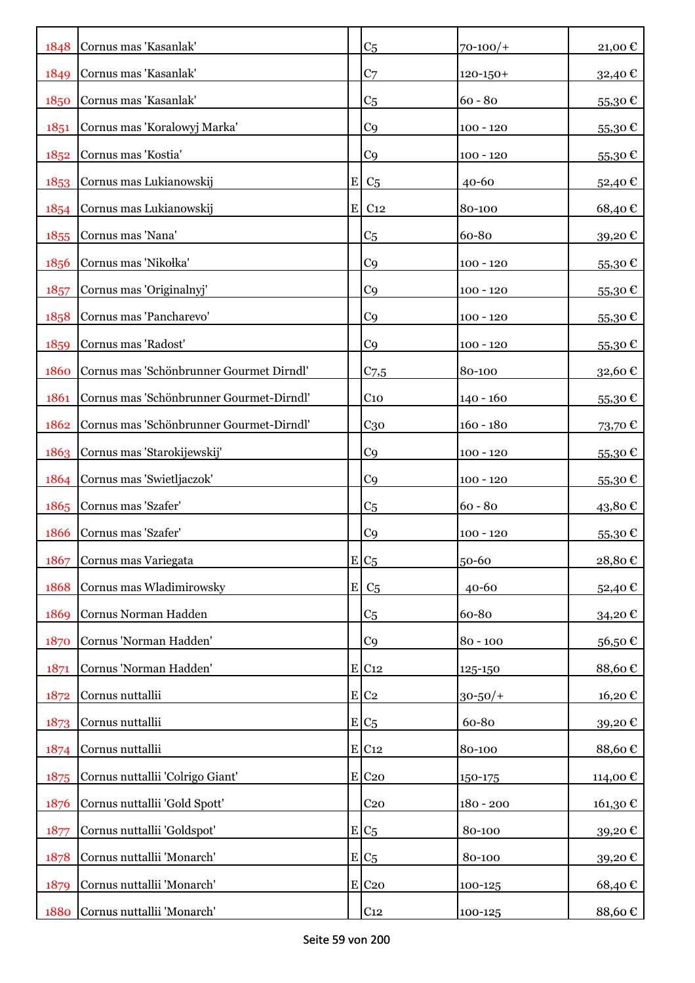|      | 1848 Cornus mas 'Kasanlak'               |   | C <sub>5</sub>      | $70 - 100/$   | 21,00€      |
|------|------------------------------------------|---|---------------------|---------------|-------------|
| 1849 | Cornus mas 'Kasanlak'                    |   | C <sub>7</sub>      | $120 - 150 +$ | 32,40 €     |
| 1850 | Cornus mas 'Kasanlak'                    |   | C <sub>5</sub>      | $60 - 80$     | 55,30€      |
| 1851 | Cornus mas 'Koralowyj Marka'             |   | C <sub>9</sub>      | $100 - 120$   | 55,30€      |
| 1852 | Cornus mas 'Kostia'                      |   | C <sub>9</sub>      | $100 - 120$   | 55,30€      |
| 1853 | Cornus mas Lukianowskij                  | E | C <sub>5</sub>      | 40-60         | 52,40€      |
| 1854 | Cornus mas Lukianowskij                  | E | C <sub>12</sub>     | 80-100        | 68,40€      |
| 1855 | Cornus mas 'Nana'                        |   | C <sub>5</sub>      | 60-80         | 39,20€      |
| 1856 | Cornus mas 'Nikołka'                     |   | C <sub>9</sub>      | $100 - 120$   | $55,30 \in$ |
| 1857 | Cornus mas 'Originalnyj'                 |   | C <sub>9</sub>      | $100 - 120$   | $55,30 \in$ |
| 1858 | Cornus mas 'Pancharevo'                  |   | C <sub>9</sub>      | $100 - 120$   | 55,30€      |
| 1859 | Cornus mas 'Radost'                      |   | C <sub>9</sub>      | $100 - 120$   | $55,30 \in$ |
| 1860 | Cornus mas 'Schönbrunner Gourmet Dirndl' |   | $C_{7,5}$           | 80-100        | 32,60€      |
| 1861 | Cornus mas 'Schönbrunner Gourmet-Dirndl' |   | $C_{10}$            | $140 - 160$   | $55,30 \in$ |
| 1862 | Cornus mas 'Schönbrunner Gourmet-Dirndl' |   | C <sub>30</sub>     | $160 - 180$   | 73,70€      |
| 1863 | Cornus mas 'Starokijewskij'              |   | C <sub>9</sub>      | $100 - 120$   | $55,30 \in$ |
| 1864 | Cornus mas 'Swietljaczok'                |   | C <sub>9</sub>      | $100 - 120$   | 55,30€      |
| 1865 | Cornus mas 'Szafer'                      |   | C <sub>5</sub>      | $60 - 80$     | 43,80€      |
| 1866 | Cornus mas 'Szafer'                      |   | C <sub>9</sub>      | $100 - 120$   | 55,30€      |
| 1867 | Cornus mas Variegata                     |   | $E C_5$             | 50-60         | 28,80€      |
| 1868 | Cornus mas Wladimirowsky                 | E | C <sub>5</sub>      | $40 - 60$     | 52,40€      |
| 1869 | Cornus Norman Hadden                     |   | C <sub>5</sub>      | 60-80         | 34,20€      |
| 1870 | Cornus 'Norman Hadden'                   |   | C <sub>9</sub>      | $80 - 100$    | 56,50€      |
| 1871 | Cornus 'Norman Hadden'                   |   | E C12               | 125-150       | 88,60€      |
| 1872 | Cornus nuttallii                         |   | $E$ C <sub>2</sub>  | $30 - 50/$ +  | 16,20€      |
| 1873 | Cornus nuttallii                         |   | $E/C_5$             | 60-80         | 39,20€      |
| 1874 | Cornus nuttallii                         |   | E C12               | 80-100        | 88,60€      |
| 1875 | Cornus nuttallii 'Colrigo Giant'         |   | $E$ C <sub>20</sub> | 150-175       | 114,00€     |
| 1876 | Cornus nuttallii 'Gold Spott'            |   | C <sub>20</sub>     | $180 - 200$   | 161,30€     |
| 1877 | Cornus nuttallii 'Goldspot'              |   | $E C_5$             | 80-100        | 39,20€      |
| 1878 | Cornus nuttallii 'Monarch'               |   | $E C_5$             | 80-100        | 39,20€      |
| 1879 | Cornus nuttallii 'Monarch'               |   | $E$ C <sub>20</sub> | 100-125       | 68,40€      |
| 1880 | Cornus nuttallii 'Monarch'               |   | C <sub>12</sub>     | 100-125       | 88,60€      |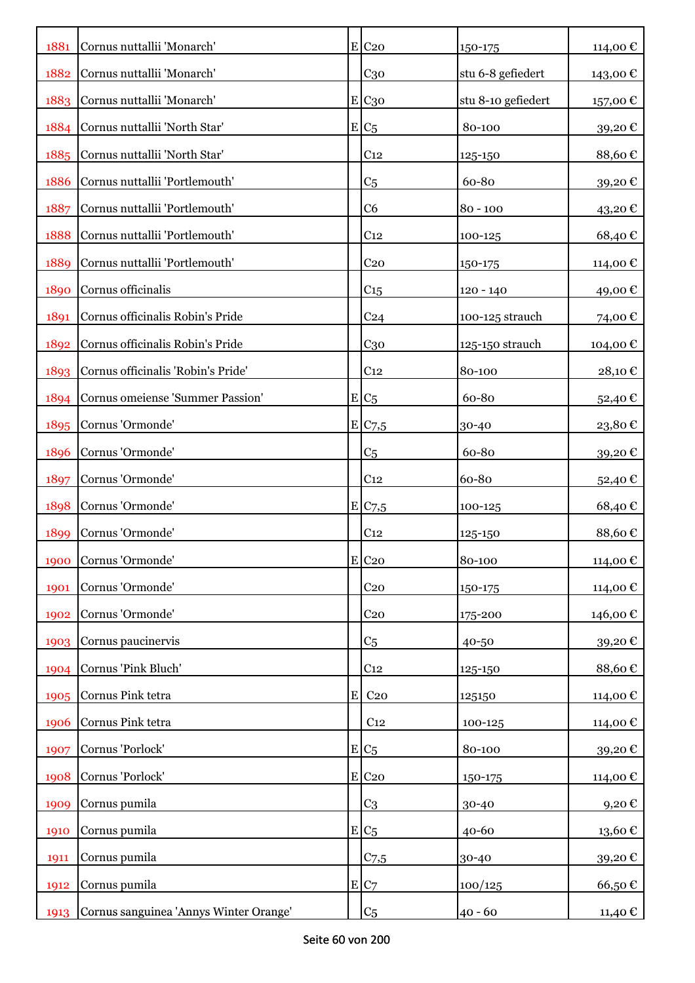| 1881 | Cornus nuttallii 'Monarch'             |           | $E$ C <sub>20</sub> | 150-175            | 114,00 €               |
|------|----------------------------------------|-----------|---------------------|--------------------|------------------------|
| 1882 | Cornus nuttallii 'Monarch'             |           | $C_{30}$            | stu 6-8 gefiedert  | 143,00 €               |
| 1883 | Cornus nuttallii 'Monarch'             |           | E C <sub>30</sub>   | stu 8-10 gefiedert | 157,00 €               |
| 1884 | Cornus nuttallii 'North Star'          |           | $E C_5$             | 80-100             | 39,20€                 |
| 1885 | Cornus nuttallii 'North Star'          |           | C <sub>12</sub>     | 125-150            | 88,60€                 |
| 1886 | Cornus nuttallii 'Portlemouth'         |           | C <sub>5</sub>      | 60-80              | 39,20€                 |
| 1887 | Cornus nuttallii 'Portlemouth'         |           | C <sub>6</sub>      | $80 - 100$         | 43,20€                 |
| 1888 | Cornus nuttallii 'Portlemouth'         |           | C <sub>12</sub>     | 100-125            | 68,40€                 |
| 1889 | Cornus nuttallii 'Portlemouth'         |           | C <sub>20</sub>     | 150-175            | 114,00 €               |
| 1890 | Cornus officinalis                     |           | C <sub>15</sub>     | 120 - 140          | 49,00€                 |
| 1891 | Cornus officinalis Robin's Pride       |           | C <sub>24</sub>     | 100-125 strauch    | 74,00 €                |
| 1892 | Cornus officinalis Robin's Pride       |           | C <sub>30</sub>     | 125-150 strauch    | 104,00 €               |
| 1893 | Cornus officinalis 'Robin's Pride'     |           | C <sub>12</sub>     | 80-100             | 28,10€                 |
| 1894 | Cornus omeiense 'Summer Passion'       |           | $E C_5$             | 60-80              | 52,40 €                |
| 1895 | Cornus 'Ormonde'                       |           | E/C <sub>7,5</sub>  | 30-40              | $23,\!80$ $\mathbb{C}$ |
| 1896 | Cornus 'Ormonde'                       |           | C <sub>5</sub>      | 60-80              | 39,20€                 |
| 1897 | Cornus 'Ormonde'                       |           | C <sub>12</sub>     | 60-80              | 52,40 €                |
| 1898 | Cornus 'Ormonde'                       |           | E C7,5              | 100-125            | 68,40€                 |
| 1899 | Cornus 'Ormonde'                       |           | C <sub>12</sub>     | 125-150            | 88,60€                 |
| 1900 | Cornus 'Ormonde'                       |           | $E$ C <sub>20</sub> | 80-100             | 114,00€                |
| 1901 | Cornus 'Ormonde'                       |           | C <sub>20</sub>     | 150-175            | 114,00 €               |
| 1902 | Cornus 'Ormonde'                       |           | C <sub>20</sub>     | 175-200            | 146,00 €               |
| 1903 | Cornus paucinervis                     |           | C <sub>5</sub>      | 40-50              | 39,20€                 |
| 1904 | Cornus 'Pink Bluch'                    |           | C <sub>12</sub>     | 125-150            | 88,60€                 |
| 1905 | Cornus Pink tetra                      | ${\bf E}$ | C <sub>20</sub>     | 125150             | 114,00€                |
| 1906 | Cornus Pink tetra                      |           | C <sub>12</sub>     | 100-125            | 114,00€                |
| 1907 | Cornus 'Porlock'                       |           | $E/C_5$             | 80-100             | 39,20€                 |
| 1908 | Cornus 'Porlock'                       |           | E C20               | 150-175            | 114,00€                |
| 1909 | Cornus pumila                          |           | C <sub>3</sub>      | 30-40              | 9,20€                  |
| 1910 | Cornus pumila                          |           | $E C_5$             | $40 - 60$          | 13,60€                 |
| 1911 | Cornus pumila                          |           | C <sub>7,5</sub>    | 30-40              | 39,20€                 |
| 1912 | Cornus pumila                          |           | E C7                | 100/125            | 66,50€                 |
| 1913 | Cornus sanguinea 'Annys Winter Orange' |           | C <sub>5</sub>      | $40 - 60$          | 11,40 €                |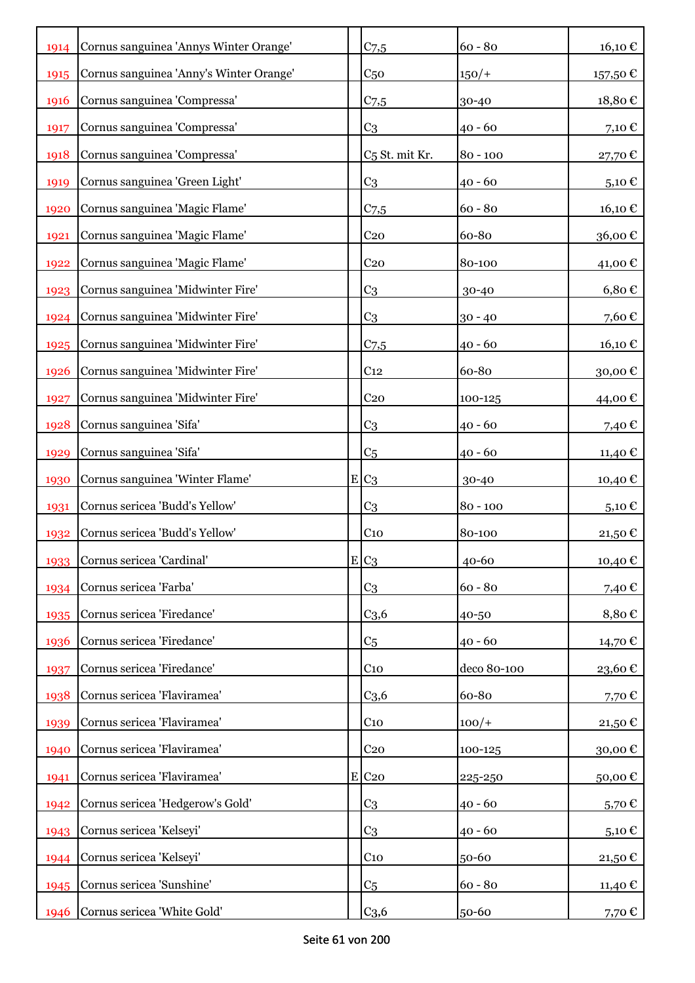| 1914 | Cornus sanguinea 'Annys Winter Orange'  | C <sub>7,5</sub>           | $60 - 80$   | $16,10 \text{ } \in$ |
|------|-----------------------------------------|----------------------------|-------------|----------------------|
| 1915 | Cornus sanguinea 'Anny's Winter Orange' | C <sub>50</sub>            | $150/+$     | 157,50 €             |
| 1916 | Cornus sanguinea 'Compressa'            | $C_{7,5}$                  | 30-40       | 18,80€               |
| 1917 | Cornus sanguinea 'Compressa'            | C <sub>3</sub>             | $40 - 60$   | 7,10 €               |
| 1918 | Cornus sanguinea 'Compressa'            | C <sub>5</sub> St. mit Kr. | $80 - 100$  | 27,70€               |
| 1919 | Cornus sanguinea 'Green Light'          | C <sub>3</sub>             | $40 - 60$   | 5,10€                |
| 1920 | Cornus sanguinea 'Magic Flame'          | C <sub>7,5</sub>           | $60 - 80$   | 16,10 €              |
| 1921 | Cornus sanguinea 'Magic Flame'          | C <sub>20</sub>            | 60-80       | 36,00€               |
| 1922 | Cornus sanguinea 'Magic Flame'          | C <sub>20</sub>            | 80-100      | 41,00€               |
| 1923 | Cornus sanguinea 'Midwinter Fire'       | C <sub>3</sub>             | 30-40       | $6,80 \in$           |
| 1924 | Cornus sanguinea 'Midwinter Fire'       | C <sub>3</sub>             | $30 - 40$   | 7,60€                |
| 1925 | Cornus sanguinea 'Midwinter Fire'       | $C$ 7,5                    | $40 - 60$   | 16,10€               |
| 1926 | Cornus sanguinea 'Midwinter Fire'       | C <sub>12</sub>            | 60-80       | 30,00€               |
| 1927 | Cornus sanguinea 'Midwinter Fire'       | C <sub>20</sub>            | 100-125     | 44,00 €              |
| 1928 | Cornus sanguinea 'Sifa'                 | C <sub>3</sub>             | $40 - 60$   | 7,40 €               |
| 1929 | Cornus sanguinea 'Sifa'                 | C <sub>5</sub>             | $40 - 60$   | 11,40 €              |
| 1930 | Cornus sanguinea 'Winter Flame'         | $E C_3$                    | 30-40       | 10,40 €              |
| 1931 | Cornus sericea 'Budd's Yellow'          | C <sub>3</sub>             | $80 - 100$  | $5,10 \in$           |
| 1932 | Cornus sericea 'Budd's Yellow'          | C <sub>10</sub>            | 80-100      | 21,50€               |
| 1933 | Cornus sericea 'Cardinal'               | $E C_3$                    | 40-60       | 10,40€               |
| 1934 | Cornus sericea 'Farba'                  | C <sub>3</sub>             | $60 - 80$   | 7,40€                |
| 1935 | Cornus sericea 'Firedance'              | C <sub>3,6</sub>           | 40-50       | 8,80€                |
| 1936 | Cornus sericea 'Firedance'              | C <sub>5</sub>             | $40 - 60$   | 14,70 €              |
| 1937 | Cornus sericea 'Firedance'              | $C_{10}$                   | deco 80-100 | 23,60€               |
| 1938 | Cornus sericea 'Flaviramea'             | C <sub>3,6</sub>           | 60-80       | 7,70€                |
| 1939 | Cornus sericea 'Flaviramea'             | C <sub>10</sub>            | $100/+$     | 21,50€               |
| 1940 | Cornus sericea 'Flaviramea'             | C <sub>20</sub>            | 100-125     | 30,00€               |
| 1941 | Cornus sericea 'Flaviramea'             | $E$ C <sub>20</sub>        | 225-250     | 50,00€               |
| 1942 | Cornus sericea 'Hedgerow's Gold'        | C <sub>3</sub>             | $40 - 60$   | $5,70 \in$           |
| 1943 | Cornus sericea 'Kelseyi'                | C <sub>3</sub>             | $40 - 60$   | 5,10 $\in$           |
| 1944 | Cornus sericea 'Kelseyi'                | $C_{10}$                   | $50 - 60$   | 21,50€               |
| 1945 | Cornus sericea 'Sunshine'               | C <sub>5</sub>             | $60 - 80$   | 11,40 $\epsilon$     |
| 1946 | Cornus sericea 'White Gold'             | C <sub>3,6</sub>           | 50-60       | 7,70 €               |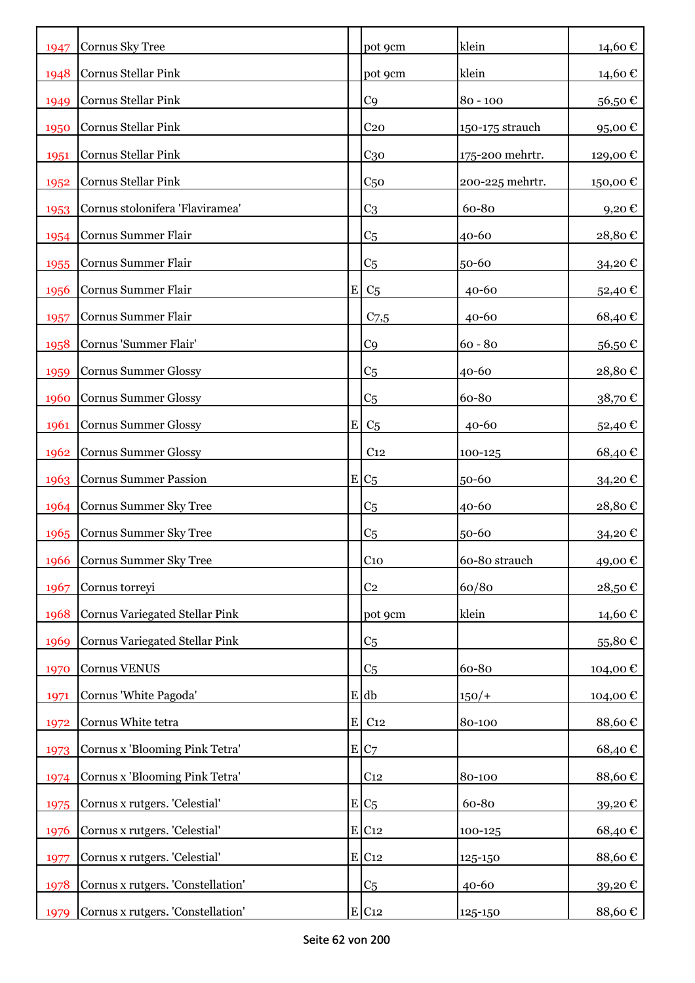| 1947 | Cornus Sky Tree                       |             | pot 9cm             | klein           | 14,60€   |
|------|---------------------------------------|-------------|---------------------|-----------------|----------|
| 1948 | Cornus Stellar Pink                   |             | pot 9cm             | klein           | 14,60 €  |
| 1949 | Cornus Stellar Pink                   |             | C <sub>9</sub>      | $80 - 100$      | 56,50€   |
| 1950 | Cornus Stellar Pink                   |             | C <sub>20</sub>     | 150-175 strauch | 95,00€   |
| 1951 | Cornus Stellar Pink                   |             | $C_{30}$            | 175-200 mehrtr. | 129,00€  |
| 1952 | Cornus Stellar Pink                   |             | C <sub>50</sub>     | 200-225 mehrtr. | 150,00€  |
| 1953 | Cornus stolonifera 'Flaviramea'       |             | C <sub>3</sub>      | 60-80           | 9,20€    |
| 1954 | Cornus Summer Flair                   |             | C <sub>5</sub>      | 40-60           | 28,80€   |
| 1955 | Cornus Summer Flair                   |             | C <sub>5</sub>      | 50-60           | 34,20€   |
| 1956 | Cornus Summer Flair                   | $\mathbf E$ | C <sub>5</sub>      | $40 - 60$       | 52,40€   |
| 1957 | Cornus Summer Flair                   |             | $C$ 7,5             | $40 - 60$       | 68,40€   |
| 1958 | Cornus 'Summer Flair'                 |             | C <sub>9</sub>      | $60 - 80$       | 56,50€   |
| 1959 | <b>Cornus Summer Glossy</b>           |             | C <sub>5</sub>      | 40-60           | 28,80€   |
| 1960 | <b>Cornus Summer Glossy</b>           |             | C <sub>5</sub>      | 60-80           | 38,70€   |
| 1961 | <b>Cornus Summer Glossy</b>           | $\mathbf E$ | C <sub>5</sub>      | $40 - 60$       | 52,40€   |
| 1962 | <b>Cornus Summer Glossy</b>           |             | C <sub>12</sub>     | 100-125         | 68,40€   |
| 1963 | <b>Cornus Summer Passion</b>          |             | $E C_5$             | 50-60           | 34,20€   |
| 1964 | Cornus Summer Sky Tree                |             | C <sub>5</sub>      | 40-60           | 28,80€   |
| 1965 | <b>Cornus Summer Sky Tree</b>         |             | C <sub>5</sub>      | 50-60           | 34,20€   |
| 1966 | Cornus Summer Sky Tree                |             | C <sub>10</sub>     | 60-80 strauch   | 49,00€   |
| 1967 | Cornus torreyi                        |             | C <sub>2</sub>      | 60/80           | 28,50€   |
| 1968 | <b>Cornus Variegated Stellar Pink</b> |             | pot 9cm             | klein           | 14,60€   |
| 1969 | Cornus Variegated Stellar Pink        |             | C <sub>5</sub>      |                 | 55,80€   |
| 1970 | Cornus VENUS                          |             | C <sub>5</sub>      | 60-80           | 104,00 € |
| 1971 | Cornus 'White Pagoda'                 |             | $E$ db              | $150/+$         | 104,00€  |
| 1972 | Cornus White tetra                    | ${\bf E}$   | C <sub>12</sub>     | 80-100          | 88,60€   |
| 1973 | Cornus x 'Blooming Pink Tetra'        |             | E C7                |                 | 68,40€   |
| 1974 | Cornus x 'Blooming Pink Tetra'        |             | C <sub>12</sub>     | 80-100          | 88,60€   |
| 1975 | Cornus x rutgers. 'Celestial'         |             | $E/C_5$             | 60-80           | 39,20€   |
| 1976 | Cornus x rutgers. 'Celestial'         |             | $E$ C <sub>12</sub> | 100-125         | 68,40€   |
| 1977 | Cornus x rutgers. 'Celestial'         |             | E C12               | 125-150         | 88,60€   |
| 1978 | Cornus x rutgers. 'Constellation'     |             | C <sub>5</sub>      | $40 - 60$       | 39,20€   |
| 1979 | Cornus x rutgers. 'Constellation'     |             | $E$ C <sub>12</sub> | 125-150         | 88,60€   |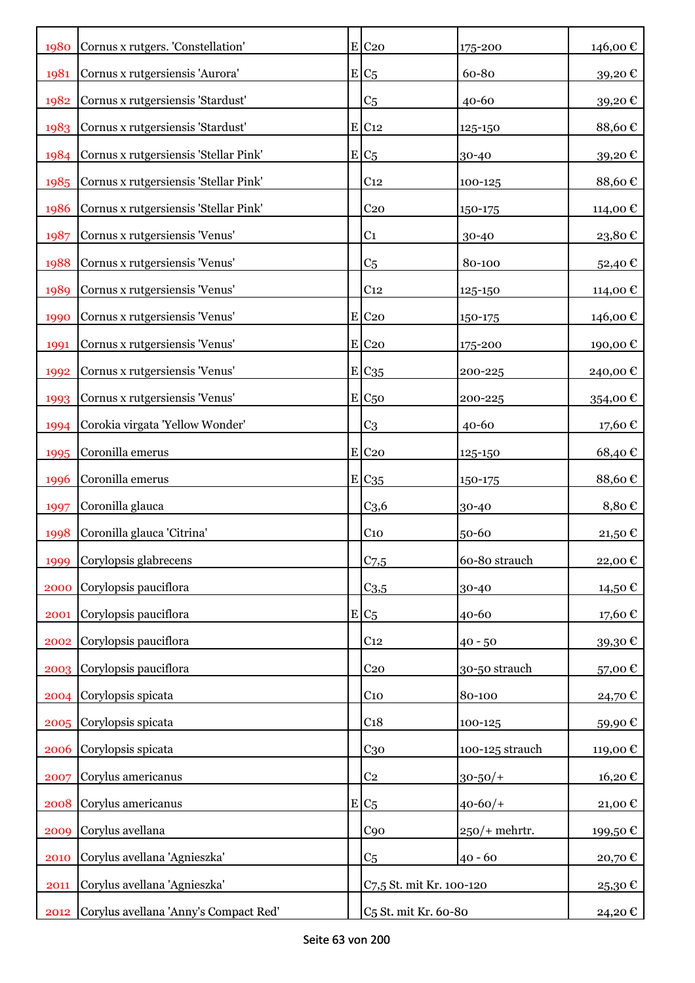| 1980 | Cornus x rutgers. 'Constellation'     | $E$ C <sub>20</sub>              | 175-200          | 146,00€  |
|------|---------------------------------------|----------------------------------|------------------|----------|
| 1981 | Cornus x rutgersiensis 'Aurora'       | $E/C_5$                          | 60-80            | 39,20€   |
| 1982 | Cornus x rutgersiensis 'Stardust'     | C <sub>5</sub>                   | $40 - 60$        | 39,20€   |
| 1983 | Cornus x rutgersiensis 'Stardust'     | $E$ C <sub>12</sub>              | 125-150          | 88,60€   |
| 1984 | Cornus x rutgersiensis 'Stellar Pink' | $E C_5$                          | 30-40            | 39,20€   |
| 1985 | Cornus x rutgersiensis 'Stellar Pink' | C <sub>12</sub>                  | 100-125          | 88,60€   |
| 1986 | Cornus x rutgersiensis 'Stellar Pink' | C <sub>20</sub>                  | 150-175          | 114,00 € |
| 1987 | Cornus x rutgersiensis 'Venus'        | C <sub>1</sub>                   | 30-40            | 23,80€   |
| 1988 | Cornus x rutgersiensis 'Venus'        | C <sub>5</sub>                   | 80-100           | 52,40€   |
| 1989 | Cornus x rutgersiensis 'Venus'        | C <sub>12</sub>                  | 125-150          | 114,00 € |
| 1990 | Cornus x rutgersiensis 'Venus'        | $E$ C <sub>20</sub>              | 150-175          | 146,00 € |
| 1991 | Cornus x rutgersiensis 'Venus'        | $E$ C <sub>20</sub>              | 175-200          | 190,00€  |
| 1992 | Cornus x rutgersiensis 'Venus'        | E C <sub>35</sub>                | 200-225          | 240,00€  |
| 1993 | Cornus x rutgersiensis 'Venus'        | $E C_{50}$                       | 200-225          | 354,00€  |
| 1994 | Corokia virgata 'Yellow Wonder'       | C <sub>3</sub>                   | $40 - 60$        | 17,60€   |
| 1995 | Coronilla emerus                      | E C20                            | 125-150          | 68,40€   |
| 1996 | Coronilla emerus                      | E C <sub>35</sub>                | 150-175          | 88,60€   |
| 1997 | Coronilla glauca                      | C <sub>3,6</sub>                 | 30-40            | 8,80€    |
| 1998 | Coronilla glauca 'Citrina'            | C <sub>10</sub>                  | 50-60            | 21,50€   |
| 1999 | Corylopsis glabrecens                 | $C$ 7,5                          | 60-80 strauch    | 22,00€   |
| 2000 | Corylopsis pauciflora                 | $C_{3,5}$                        | 30-40            | 14,50 €  |
| 2001 | Corylopsis pauciflora                 | $E C_5$                          | 40-60            | 17,60€   |
| 2002 | Corylopsis pauciflora                 | C <sub>12</sub>                  | $40 - 50$        | 39,30€   |
| 2003 | Corylopsis pauciflora                 | C <sub>20</sub>                  | 30-50 strauch    | 57,00€   |
| 2004 | Corylopsis spicata                    | C <sub>10</sub>                  | 80-100           | 24,70€   |
| 2005 | Corylopsis spicata                    | C <sub>18</sub>                  | 100-125          | 59,90€   |
| 2006 | Corylopsis spicata                    | C <sub>30</sub>                  | 100-125 strauch  | 119,00€  |
| 2007 | Corylus americanus                    | C <sub>2</sub>                   | $30 - 50/$ +     | 16,20€   |
| 2008 | Corylus americanus                    | $E/C_5$                          | $40 - 60/$       | 21,00€   |
| 2009 | Corylus avellana                      | C <sub>90</sub>                  | $250$ /+ mehrtr. | 199,50€  |
| 2010 | Corylus avellana 'Agnieszka'          | C <sub>5</sub>                   | $40 - 60$        | 20,70€   |
| 2011 | Corylus avellana 'Agnieszka'          | C7,5 St. mit Kr. 100-120         |                  | 25,30€   |
| 2012 | Corylus avellana 'Anny's Compact Red' | C <sub>5</sub> St. mit Kr. 60-80 |                  | 24,20 €  |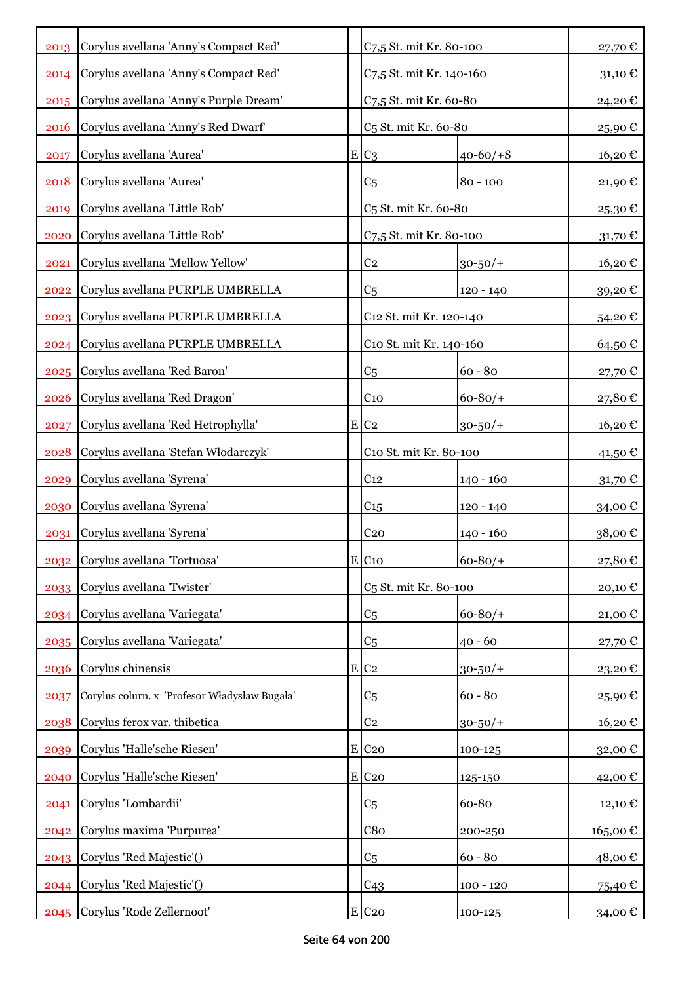|      | 2013 Corylus avellana 'Anny's Compact Red'    | C7,5 St. mit Kr. 80-100           |                | 27,70 € |
|------|-----------------------------------------------|-----------------------------------|----------------|---------|
| 2014 | Corylus avellana 'Anny's Compact Red'         | C7,5 St. mit Kr. 140-160          |                | 31,10€  |
| 2015 | Corylus avellana 'Anny's Purple Dream'        | C7,5 St. mit Kr. 60-80            |                | 24,20€  |
| 2016 | Corylus avellana 'Anny's Red Dwarf'           | C <sub>5</sub> St. mit Kr. 60-80  |                | 25,90€  |
| 2017 | Corylus avellana 'Aurea'                      | $E C_3$                           | $40 - 60/ + S$ | 16,20€  |
| 2018 | Corylus avellana 'Aurea'                      | C <sub>5</sub>                    | $80 - 100$     | 21,90€  |
| 2019 | Corylus avellana 'Little Rob'                 | C <sub>5</sub> St. mit Kr. 60-80  |                | 25,30€  |
| 2020 | Corylus avellana 'Little Rob'                 | C7,5 St. mit Kr. 80-100           |                | 31,70€  |
| 2021 | Corylus avellana 'Mellow Yellow'              | C <sub>2</sub>                    | $30 - 50/$     | 16,20€  |
| 2022 | Corylus avellana PURPLE UMBRELLA              | C <sub>5</sub>                    | $120 - 140$    | 39,20€  |
| 2023 | Corylus avellana PURPLE UMBRELLA              | C12 St. mit Kr. 120-140           |                | 54,20€  |
|      | 2024 Corylus avellana PURPLE UMBRELLA         | C10 St. mit Kr. 140-160           |                | 64,50€  |
|      | 2025 Corylus avellana 'Red Baron'             | C <sub>5</sub>                    | $60 - 80$      | 27,70€  |
| 2026 | Corylus avellana 'Red Dragon'                 | C <sub>10</sub>                   | $60 - 80/$     | 27,80€  |
| 2027 | Corylus avellana 'Red Hetrophylla'            | $E C_2$                           | $30 - 50/$     | 16,20€  |
| 2028 | Corylus avellana 'Stefan Włodarczyk'          | C10 St. mit Kr. 80-100            |                | 41,50 € |
| 2029 | Corylus avellana 'Syrena'                     | C <sub>12</sub>                   | $140 - 160$    | 31,70€  |
| 2030 | Corylus avellana 'Syrena'                     | C <sub>15</sub>                   | $120 - 140$    | 34,00 € |
| 2031 | Corylus avellana 'Syrena'                     | C <sub>20</sub>                   | $140 - 160$    | 38,00€  |
| 2032 | Corylus avellana 'Tortuosa'                   | $E$ C <sub>10</sub>               | $60 - 80/$     | 27,80€  |
| 2033 | Corylus avellana 'Twister'                    | C <sub>5</sub> St. mit Kr. 80-100 |                | 20,10€  |
| 2034 | Corylus avellana 'Variegata'                  | C <sub>5</sub>                    | $60 - 80/$     | 21,00€  |
| 2035 | Corylus avellana 'Variegata'                  | C <sub>5</sub>                    | $40 - 60$      | 27,70 € |
| 2036 | Corylus chinensis                             | $E$ C <sub>2</sub>                | $30 - 50/$ +   | 23,20€  |
| 2037 | Corylus colurn. x 'Profesor Władysław Bugała' | C <sub>5</sub>                    | $60 - 80$      | 25,90€  |
| 2038 | Corylus ferox var. thibetica                  | C <sub>2</sub>                    | $30 - 50/$ +   | 16,20€  |
| 2039 | Corylus 'Halle'sche Riesen'                   | $E$ C <sub>20</sub>               | 100-125        | 32,00€  |
| 2040 | Corylus 'Halle'sche Riesen'                   | $E$ C <sub>20</sub>               | 125-150        | 42,00€  |
| 2041 | Corylus 'Lombardii'                           | C <sub>5</sub>                    | 60-80          | 12,10€  |
| 2042 | Corylus maxima 'Purpurea'                     | C8 <sub>0</sub>                   | 200-250        | 165,00€ |
|      | 2043 Corylus 'Red Majestic'()                 | C <sub>5</sub>                    | $60 - 80$      | 48,00€  |
|      | 2044 Corylus 'Red Majestic'()                 | C43                               | $100 - 120$    | 75,40 € |
|      | 2045 Corylus 'Rode Zellernoot'                | $E$ C <sub>20</sub>               | $100 - 125$    | 34,00 € |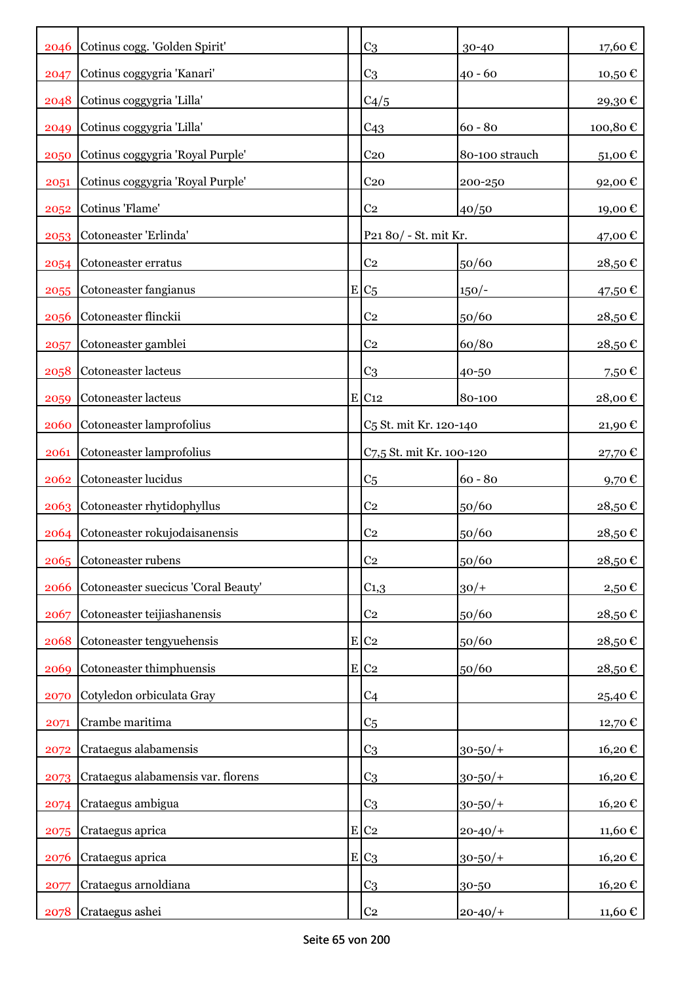|      | 2046 Cotinus cogg. 'Golden Spirit'  | C <sub>3</sub>                     | 30-40                    | 17,60€    |
|------|-------------------------------------|------------------------------------|--------------------------|-----------|
| 2047 | Cotinus coggygria 'Kanari'          | C <sub>3</sub>                     | $40 - 60$                | 10,50€    |
| 2048 | Cotinus coggygria 'Lilla'           | C4/5                               |                          | 29,30€    |
| 2049 | Cotinus coggygria 'Lilla'           | C43                                | $60 - 80$                | 100,80€   |
| 2050 | Cotinus coggygria 'Royal Purple'    | C <sub>20</sub>                    | 80-100 strauch           | 51,00€    |
| 2051 | Cotinus coggygria 'Royal Purple'    | C <sub>20</sub>                    | 200-250                  | 92,00€    |
| 2052 | Cotinus 'Flame'                     | C <sub>2</sub>                     | 40/50                    | 19,00€    |
|      | 2053 Cotoneaster 'Erlinda'          | P21 80/ - St. mit Kr.              |                          | 47,00 €   |
|      | 2054 Cotoneaster erratus            | C <sub>2</sub>                     | 50/60                    | 28,50€    |
|      | 2055 Cotoneaster fangianus          | $E C_5$                            | $150/-$                  | 47,50 €   |
| 2056 | Cotoneaster flinckii                | C <sub>2</sub>                     | 50/60                    | 28,50€    |
| 2057 | Cotoneaster gamblei                 | C <sub>2</sub>                     | 60/80                    | 28,50€    |
| 2058 | Cotoneaster lacteus                 | C <sub>3</sub>                     | 40-50                    | 7,50€     |
| 2059 | Cotoneaster lacteus                 | E C12                              | 80-100                   | 28,00€    |
| 2060 | Cotoneaster lamprofolius            | C <sub>5</sub> St. mit Kr. 120-140 |                          | 21,90€    |
| 2061 | Cotoneaster lamprofolius            |                                    | C7,5 St. mit Kr. 100-120 |           |
| 2062 | Cotoneaster lucidus                 | C <sub>5</sub>                     | $60 - 80$                | 9,70€     |
|      | 2063 Cotoneaster rhytidophyllus     | C <sub>2</sub>                     | 50/60                    | 28,50€    |
| 2064 | Cotoneaster rokujodaisanensis       | C <sub>2</sub>                     | 50/60                    | 28,50€    |
|      | 2065 Cotoneaster rubens             | C <sub>2</sub>                     | 50/60                    | 28,50€    |
| 2066 | Cotoneaster suecicus 'Coral Beauty' | $C_{1,3}$                          | $30/+$                   | 2,50€     |
| 2067 | Cotoneaster teijiashanensis         | $\rm{C}2$                          | 50/60                    | 28,50€    |
| 2068 | Cotoneaster tengyuehensis           | $E$ C <sub>2</sub>                 | 50/60                    | 28,50€    |
| 2069 | Cotoneaster thimphuensis            | $E$ C <sub>2</sub>                 | 50/60                    | $28,50$ € |
| 2070 | Cotyledon orbiculata Gray           | C <sub>4</sub>                     |                          | 25,40€    |
| 2071 | Crambe maritima                     | C <sub>5</sub>                     |                          | 12,70€    |
| 2072 | Crataegus alabamensis               | C <sub>3</sub>                     | $30 - 50/$ +             | 16,20€    |
| 2073 | Crataegus alabamensis var. florens  | C <sub>3</sub>                     | $30 - 50/$ +             | 16,20€    |
| 2074 | Crataegus ambigua                   | C <sub>3</sub>                     | $30 - 50/$ +             | 16,20€    |
| 2075 | Crataegus aprica                    | $E$ C <sub>2</sub>                 | $20 - 40/$               | 11,60€    |
| 2076 | Crataegus aprica                    | $E C_3$                            | $30 - 50/$ +             | 16,20€    |
| 2077 | Crataegus arnoldiana                | C <sub>3</sub>                     | 30-50                    | 16,20€    |
| 2078 | Crataegus ashei                     | $\rm{C}2$                          | $20 - 40/$               | 11,60 €   |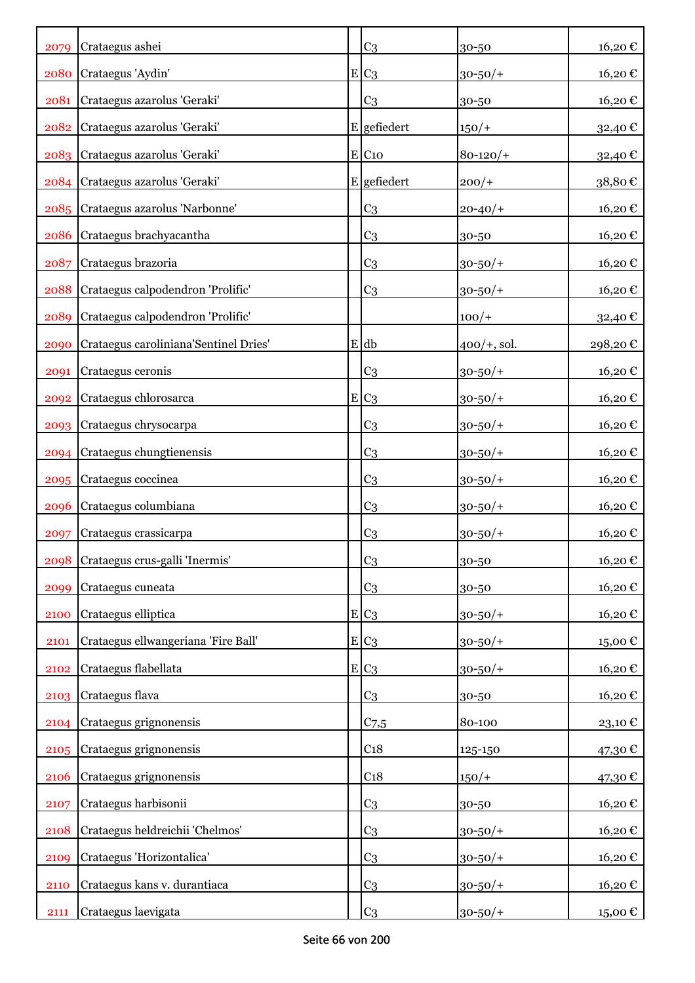| 2079 | Crataegus ashei                       | C <sub>3</sub>      | 30-50          | 16,20€  |
|------|---------------------------------------|---------------------|----------------|---------|
| 2080 | Crataegus 'Aydin'                     | $E C_3$             | $30 - 50/$ +   | 16,20€  |
| 2081 | Crataegus azarolus 'Geraki'           | C <sub>3</sub>      | 30-50          | 16,20€  |
|      | 2082 Crataegus azarolus 'Geraki'      | $E$ gefiedert       | $150/+$        | 32,40€  |
|      | 2083 Crataegus azarolus 'Geraki'      | $E$ C <sub>10</sub> | $80 - 120/$    | 32,40€  |
|      | 2084 Crataegus azarolus 'Geraki'      | E gefiedert         | $200/+$        | 38,80€  |
|      | 2085 Crataegus azarolus 'Narbonne'    | C <sub>3</sub>      | $20 - 40/$     | 16,20€  |
| 2086 | Crataegus brachyacantha               | C <sub>3</sub>      | 30-50          | 16,20€  |
| 2087 | Crataegus brazoria                    | C <sub>3</sub>      | $30 - 50/$ +   | 16,20€  |
| 2088 | Crataegus calpodendron 'Prolific'     | C <sub>3</sub>      | $30 - 50/$ +   | 16,20€  |
| 2089 | Crataegus calpodendron 'Prolific'     |                     | $100/+$        | 32,40 € |
| 2090 | Crataegus caroliniana'Sentinel Dries' | $E$ db              | $400/+$ , sol. | 298,20€ |
| 2091 | Crataegus ceronis                     | C <sub>3</sub>      | $30 - 50/$ +   | 16,20€  |
| 2092 | Crataegus chlorosarca                 | $E C_3$             | $30 - 50/$ +   | 16,20€  |
| 2093 | Crataegus chrysocarpa                 | C <sub>3</sub>      | $30 - 50/$ +   | 16,20€  |
| 2094 | Crataegus chungtienensis              | C <sub>3</sub>      | $30 - 50/$ +   | 16,20€  |
| 2095 | Crataegus coccinea                    | C <sub>3</sub>      | $30 - 50/$ +   | 16,20€  |
| 2096 | Crataegus columbiana                  | C <sub>3</sub>      | $30 - 50/$ +   | 16,20€  |
| 2097 | Crataegus crassicarpa                 | C <sub>3</sub>      | $30 - 50/$ +   | 16,20€  |
|      | 2098 Crataegus crus-galli 'Inermis'   | C <sub>3</sub>      | 30-50          | 16,20€  |
| 2099 | Crataegus cuneata                     | C <sub>3</sub>      | 30-50          | 16,20€  |
| 2100 | Crataegus elliptica                   | $E C_3$             | $30 - 50/$ +   | 16,20€  |
| 2101 | Crataegus ellwangeriana 'Fire Ball'   | $E C_3$             | $30 - 50/$ +   | 15,00€  |
| 2102 | Crataegus flabellata                  | $E C_3$             | $30 - 50/$ +   | 16,20€  |
| 2103 | Crataegus flava                       | C <sub>3</sub>      | 30-50          | 16,20€  |
| 2104 | Crataegus grignonensis                | $C$ 7,5             | 80-100         | 23,10€  |
| 2105 | Crataegus grignonensis                | C <sub>18</sub>     | 125-150        | 47,30€  |
| 2106 | Crataegus grignonensis                | C <sub>18</sub>     | $150/+$        | 47,30€  |
| 2107 | Crataegus harbisonii                  | C <sub>3</sub>      | 30-50          | 16,20€  |
| 2108 | Crataegus heldreichii 'Chelmos'       | C <sub>3</sub>      | $30 - 50/$ +   | 16,20€  |
| 2109 | Crataegus 'Horizontalica'             | C <sub>3</sub>      | $30 - 50/$ +   | 16,20€  |
| 2110 | Crataegus kans v. durantiaca          | C <sub>3</sub>      | $30 - 50/$ +   | 16,20€  |
| 2111 | Crataegus laevigata                   | C <sub>3</sub>      | $30 - 50/$ +   | 15,00 € |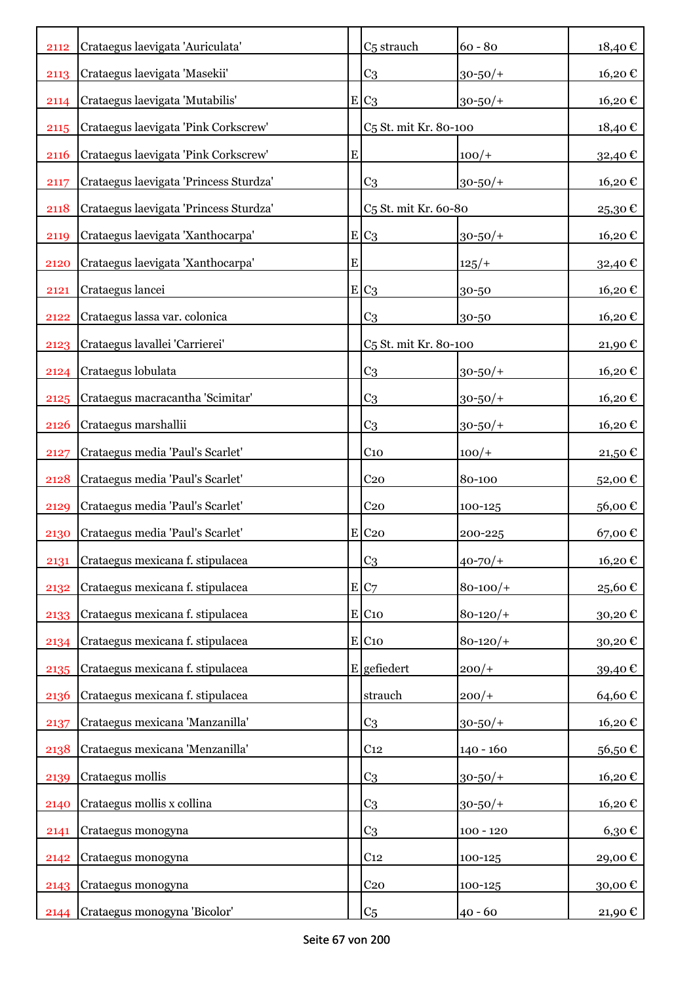| 2112 | Crataegus laevigata 'Auriculata'       |           | C <sub>5</sub> strauch            | $60 - 80$     | 18,40€  |
|------|----------------------------------------|-----------|-----------------------------------|---------------|---------|
| 2113 | Crataegus laevigata 'Masekii'          |           | C <sub>3</sub>                    | $30 - 50/$    | 16,20€  |
| 2114 | Crataegus laevigata 'Mutabilis'        |           | $E C_3$                           | $30 - 50/$ +  | 16,20€  |
| 2115 | Crataegus laevigata 'Pink Corkscrew'   |           | C <sub>5</sub> St. mit Kr. 80-100 |               | 18,40€  |
| 2116 | Crataegus laevigata 'Pink Corkscrew'   | ${\bf E}$ |                                   | $100/+$       | 32,40€  |
| 2117 | Crataegus laevigata 'Princess Sturdza' |           | C <sub>3</sub>                    | $30 - 50/$ +  | 16,20€  |
| 2118 | Crataegus laevigata 'Princess Sturdza' |           | C <sub>5</sub> St. mit Kr. 60-80  |               | 25,30€  |
| 2119 | Crataegus laevigata 'Xanthocarpa'      |           | $E C_3$                           | $30 - 50/$ +  | 16,20€  |
| 2120 | Crataegus laevigata 'Xanthocarpa'      | ${\bf E}$ |                                   | $125/+$       | 32,40 € |
| 2121 | Crataegus lancei                       |           | $E C_3$                           | 30-50         | 16,20€  |
| 2122 | Crataegus lassa var. colonica          |           | C <sub>3</sub>                    | 30-50         | 16,20€  |
| 2123 | Crataegus lavallei 'Carrierei'         |           | C <sub>5</sub> St. mit Kr. 80-100 |               | 21,90€  |
| 2124 | Crataegus lobulata                     |           | C <sub>3</sub>                    | $30 - 50/$ +  | 16,20€  |
| 2125 | Crataegus macracantha 'Scimitar'       |           | C <sub>3</sub>                    | $30 - 50/$ +  | 16,20€  |
| 2126 | Crataegus marshallii                   |           | C <sub>3</sub>                    | $30 - 50/$ +  | 16,20€  |
| 2127 | Crataegus media 'Paul's Scarlet'       |           | C <sub>10</sub>                   | $100/+$       | 21,50€  |
| 2128 | Crataegus media 'Paul's Scarlet'       |           | C <sub>20</sub>                   | 80-100        | 52,00€  |
| 2129 | Crataegus media 'Paul's Scarlet'       |           | C <sub>20</sub>                   | 100-125       | 56,00€  |
| 2130 | Crataegus media 'Paul's Scarlet'       |           | $E$ C <sub>20</sub>               | 200-225       | 67,00€  |
| 2131 | Crataegus mexicana f. stipulacea       |           | C <sub>3</sub>                    | $40 - 70/$    | 16,20€  |
| 2132 | Crataegus mexicana f. stipulacea       |           | $E C_7$                           | $80 - 100/$ + | 25,60€  |
| 2133 | Crataegus mexicana f. stipulacea       |           | $E$ C <sub>10</sub>               | $80 - 120/$   | 30,20€  |
| 2134 | Crataegus mexicana f. stipulacea       |           | E C10                             | $80 - 120/$   | 30,20€  |
| 2135 | Crataegus mexicana f. stipulacea       |           | $E$ gefiedert                     | $200/+$       | 39,40€  |
| 2136 | Crataegus mexicana f. stipulacea       |           | strauch                           | $200/+$       | 64,60€  |
| 2137 | Crataegus mexicana 'Manzanilla'        |           | C <sub>3</sub>                    | $30 - 50/$ +  | 16,20€  |
| 2138 | Crataegus mexicana 'Menzanilla'        |           | C <sub>12</sub>                   | 140 - 160     | 56,50€  |
| 2139 | Crataegus mollis                       |           | C <sub>3</sub>                    | $30 - 50/$ +  | 16,20€  |
| 2140 | Crataegus mollis x collina             |           | C <sub>3</sub>                    | $30 - 50/$ +  | 16,20€  |
| 2141 | Crataegus monogyna                     |           | C <sub>3</sub>                    | $100 - 120$   | 6,30€   |
| 2142 | Crataegus monogyna                     |           | C <sub>12</sub>                   | 100-125       | 29,00€  |
| 2143 | Crataegus monogyna                     |           | C <sub>20</sub>                   | 100-125       | 30,00€  |
| 2144 | Crataegus monogyna 'Bicolor'           |           | C <sub>5</sub>                    | $40 - 60$     | 21,90 € |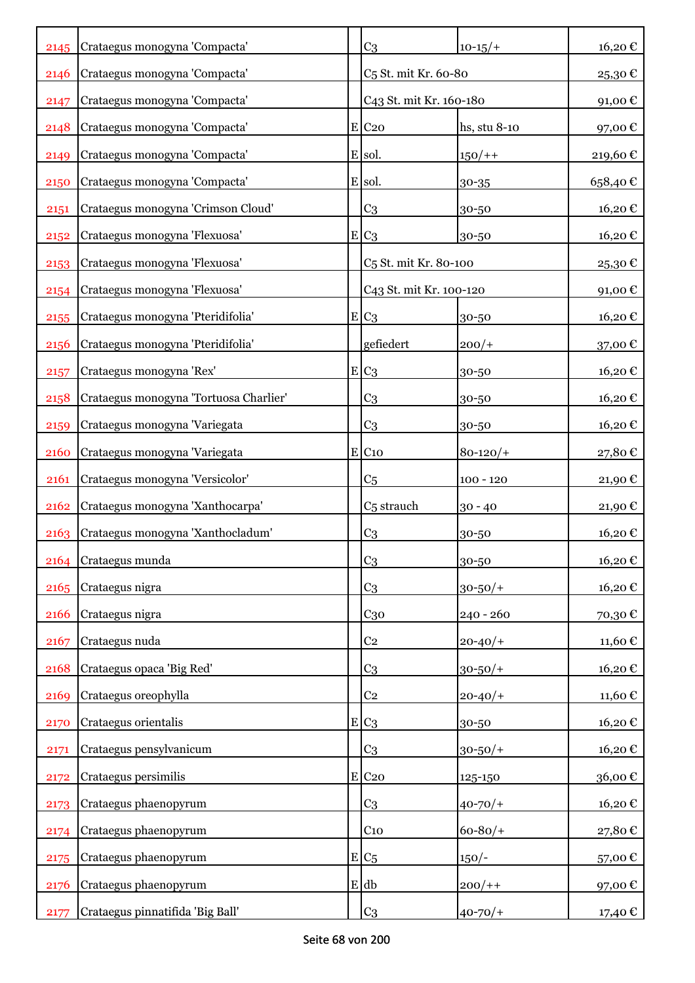|      | 2145 Crataegus monogyna 'Compacta'     | C <sub>3</sub>                    | $10-15/+$    | 16,20€  |
|------|----------------------------------------|-----------------------------------|--------------|---------|
| 2146 | Crataegus monogyna 'Compacta'          | C <sub>5</sub> St. mit Kr. 60-80  |              | 25,30€  |
| 2147 | Crataegus monogyna 'Compacta'          | C43 St. mit Kr. 160-180           |              | 91,00€  |
| 2148 | Crataegus monogyna 'Compacta'          | $E$ C <sub>20</sub>               | hs, stu 8-10 | 97,00€  |
| 2149 | Crataegus monogyna 'Compacta'          | E sol.                            | $150/+$      | 219,60€ |
| 2150 | Crataegus monogyna 'Compacta'          | E sol.                            | 30-35        | 658,40€ |
| 2151 | Crataegus monogyna 'Crimson Cloud'     | C <sub>3</sub>                    | 30-50        | 16,20€  |
| 2152 | Crataegus monogyna 'Flexuosa'          | $E C_3$                           | 30-50        | 16,20€  |
| 2153 | Crataegus monogyna 'Flexuosa'          | C <sub>5</sub> St. mit Kr. 80-100 |              | 25,30€  |
| 2154 | Crataegus monogyna 'Flexuosa'          | C43 St. mit Kr. 100-120           |              | 91,00€  |
| 2155 | Crataegus monogyna 'Pteridifolia'      | $E C_3$                           | 30-50        | 16,20€  |
| 2156 | Crataegus monogyna 'Pteridifolia'      | gefiedert                         | $200/+$      | 37,00€  |
| 2157 | Crataegus monogyna 'Rex'               | $E C_3$                           | 30-50        | 16,20€  |
| 2158 | Crataegus monogyna 'Tortuosa Charlier' | C3                                | 30-50        | 16,20€  |
| 2159 | Crataegus monogyna 'Variegata          | C3                                | 30-50        | 16,20€  |
| 2160 | Crataegus monogyna 'Variegata          | $E$ C <sub>10</sub>               | $80 - 120/$  | 27,80€  |
| 2161 | Crataegus monogyna 'Versicolor'        | C <sub>5</sub>                    | $100 - 120$  | 21,90€  |
| 2162 | Crataegus monogyna 'Xanthocarpa'       | C <sub>5</sub> strauch            | $30 - 40$    | 21,90€  |
| 2163 | Crataegus monogyna 'Xanthocladum'      | C <sub>3</sub>                    | 30-50        | 16,20€  |
| 2164 | Crataegus munda                        | C <sub>3</sub>                    | 30-50        | 16,20€  |
| 2165 | Crataegus nigra                        | C <sub>3</sub>                    | $30 - 50/$ + | 16,20€  |
| 2166 | Crataegus nigra                        | $C_{30}$                          | $240 - 260$  | 70,30€  |
| 2167 | Crataegus nuda                         | C <sub>2</sub>                    | $20 - 40/$   | 11,60€  |
| 2168 | Crataegus opaca 'Big Red'              | C <sub>3</sub>                    | $30 - 50/$ + | 16,20€  |
| 2169 | Crataegus oreophylla                   | C <sub>2</sub>                    | $20 - 40/$   | 11,60€  |
| 2170 | Crataegus orientalis                   | $E C_3$                           | 30-50        | 16,20€  |
| 2171 | Crataegus pensylvanicum                | C <sub>3</sub>                    | $30 - 50/$ + | 16,20€  |
| 2172 | Crataegus persimilis                   | E C20                             | 125-150      | 36,00€  |
| 2173 | Crataegus phaenopyrum                  | C <sub>3</sub>                    | $40 - 70/$   | 16,20€  |
| 2174 | Crataegus phaenopyrum                  | $C_{10}$                          | $60 - 80/$   | 27,80€  |
| 2175 | Crataegus phaenopyrum                  | $E C_5$                           | $150/-$      | 57,00€  |
| 2176 | Crataegus phaenopyrum                  | $E$ db                            | $200/+$      | 97,00€  |
| 2177 | Crataegus pinnatifida 'Big Ball'       | C <sub>3</sub>                    | $40 - 70/$   | 17,40 € |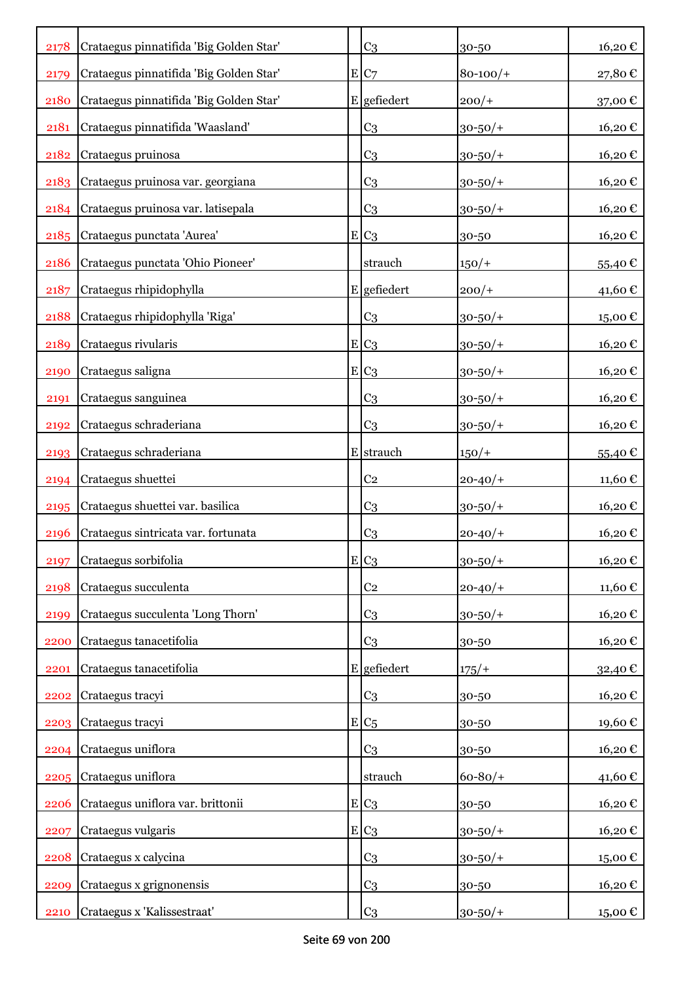| 2178 | Crataegus pinnatifida 'Big Golden Star' |   | C <sub>3</sub> | 30-50        | 16,20€                 |
|------|-----------------------------------------|---|----------------|--------------|------------------------|
| 2179 | Crataegus pinnatifida 'Big Golden Star' |   | E C7           | $80 - 100/$  | $27,\!80$ $\mathbb{C}$ |
| 2180 | Crataegus pinnatifida 'Big Golden Star' |   | E gefiedert    | $200/+$      | 37,00€                 |
| 2181 | Crataegus pinnatifida 'Waasland'        |   | C <sub>3</sub> | $30 - 50/$ + | 16,20€                 |
| 2182 | Crataegus pruinosa                      |   | C <sub>3</sub> | $30 - 50/$ + | 16,20€                 |
| 2183 | Crataegus pruinosa var. georgiana       |   | C <sub>3</sub> | $30 - 50/$ + | 16,20€                 |
| 2184 | Crataegus pruinosa var. latisepala      |   | C <sub>3</sub> | $30 - 50/$ + | 16,20€                 |
| 2185 | Crataegus punctata 'Aurea'              |   | $E C_3$        | 30-50        | 16,20€                 |
| 2186 | Crataegus punctata 'Ohio Pioneer'       |   | strauch        | $150/+$      | 55,40€                 |
| 2187 | Crataegus rhipidophylla                 |   | E gefiedert    | $200/+$      | 41,60 €                |
| 2188 | Crataegus rhipidophylla 'Riga'          |   | C <sub>3</sub> | $30 - 50/$   | $15,00 \text{ }€$      |
| 2189 | Crataegus rivularis                     |   | $E C_3$        | $30 - 50/$ + | 16,20€                 |
| 2190 | Crataegus saligna                       |   | E C3           | $30 - 50/$ + | 16,20€                 |
| 2191 | Crataegus sanguinea                     |   | C <sub>3</sub> | $30 - 50/$ + | 16,20€                 |
| 2192 | Crataegus schraderiana                  |   | C <sub>3</sub> | $30 - 50/$ + | 16,20€                 |
| 2193 | Crataegus schraderiana                  |   | E strauch      | $150/+$      | 55,40€                 |
| 2194 | Crataegus shuettei                      |   | C <sub>2</sub> | $20 - 40/$   | 11,60€                 |
| 2195 | Crataegus shuettei var. basilica        |   | C <sub>3</sub> | $30 - 50/$ + | 16,20€                 |
| 2196 | Crataegus sintricata var. fortunata     |   | C <sub>3</sub> | $20 - 40/$   | 16,20€                 |
| 2197 | Crataegus sorbifolia                    |   | $E C_3$        | $30 - 50/$ + | 16,20€                 |
| 2198 | Crataegus succulenta                    |   | C <sub>2</sub> | $20 - 40/$   | 11,60€                 |
| 2199 | Crataegus succulenta 'Long Thorn'       |   | C <sub>3</sub> | $30 - 50/$ + | 16,20€                 |
| 2200 | Crataegus tanacetifolia                 |   | C <sub>3</sub> | 30-50        | 16,20€                 |
| 2201 | Crataegus tanacetifolia                 |   | E gefiedert    | 175/         | 32,40€                 |
| 2202 | Crataegus tracyi                        |   | C <sub>3</sub> | 30-50        | 16,20€                 |
| 2203 | Crataegus tracyi                        | E | C <sub>5</sub> | 30-50        | 19,60€                 |
| 2204 | Crataegus uniflora                      |   | C <sub>3</sub> | 30-50        | 16,20€                 |
| 2205 | Crataegus uniflora                      |   | strauch        | $60 - 80/$   | 41,60€                 |
| 2206 | Crataegus uniflora var. brittonii       |   | $E C_3$        | 30-50        | 16,20€                 |
| 2207 | Crataegus vulgaris                      |   | $E C_3$        | $30 - 50/$ + | 16,20€                 |
| 2208 | Crataegus x calycina                    |   | C <sub>3</sub> | $30 - 50/$ + | 15,00€                 |
| 2209 | Crataegus x grignonensis                |   | C <sub>3</sub> | 30-50        | 16,20€                 |
| 2210 | Crataegus x 'Kalissestraat'             |   | C <sub>3</sub> | $30 - 50/$ + | 15,00 €                |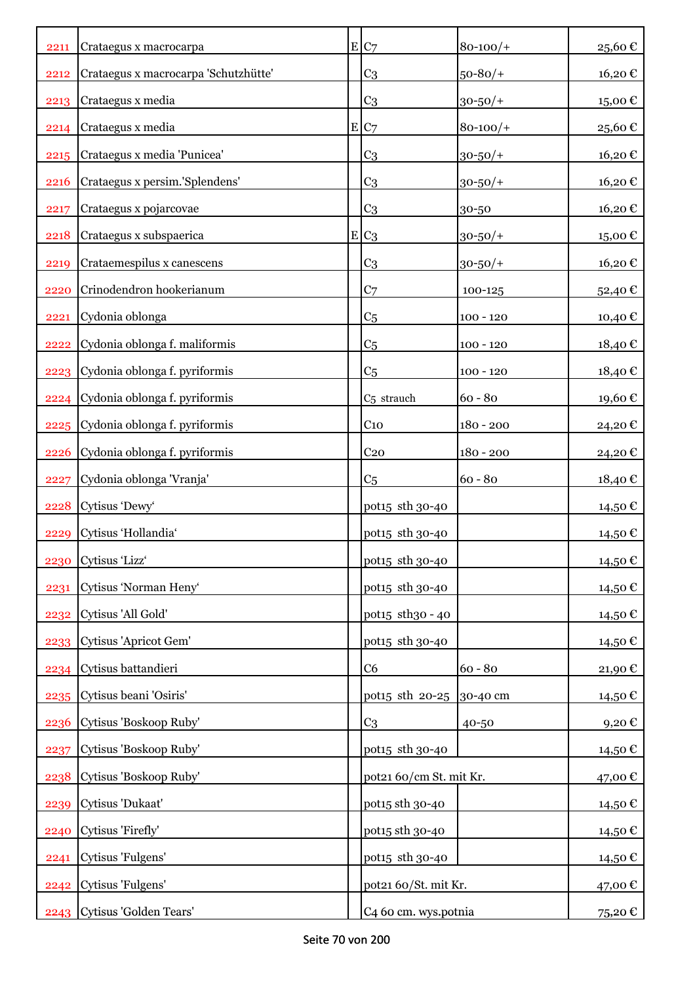| 2211 | Crataegus x macrocarpa               | E C7                        | $80 - 100/$  | 25,60€              |
|------|--------------------------------------|-----------------------------|--------------|---------------------|
| 2212 | Crataegus x macrocarpa 'Schutzhütte' | C <sub>3</sub>              | $50 - 80/$   | 16,20€              |
| 2213 | Crataegus x media                    | C <sub>3</sub>              | $30 - 50/$ + | 15,00€              |
| 2214 | Crataegus x media                    | E C7                        | $80 - 100/$  | 25,60€              |
| 2215 | Crataegus x media 'Punicea'          | C <sub>3</sub>              | $30 - 50/$ + | 16,20€              |
| 2216 | Crataegus x persim.'Splendens'       | C <sub>3</sub>              | $30 - 50/$ + | 16,20€              |
| 2217 | Crataegus x pojarcovae               | C <sub>3</sub>              | 30-50        | 16,20€              |
| 2218 | Crataegus x subspaerica              | $E C_3$                     | $30 - 50/$ + | 15,00€              |
| 2219 | Crataemespilus x canescens           | C <sub>3</sub>              | $30 - 50/$ + | 16,20€              |
| 2220 | Crinodendron hookerianum             | C <sub>7</sub>              | 100-125      | 52,40€              |
| 2221 | Cydonia oblonga                      | C <sub>5</sub>              | $100 - 120$  | 10,40 €             |
| 2222 | Cydonia oblonga f. maliformis        | C <sub>5</sub>              | $100 - 120$  | 18,40€              |
| 2223 | Cydonia oblonga f. pyriformis        | C <sub>5</sub>              | $100 - 120$  | 18,40 €             |
| 2224 | Cydonia oblonga f. pyriformis        | C <sub>5</sub> strauch      | $60 - 80$    | 19,60€              |
| 2225 | Cydonia oblonga f. pyriformis        | C <sub>10</sub>             | $180 - 200$  | 24,20€              |
| 2226 | Cydonia oblonga f. pyriformis        | C <sub>20</sub>             | $180 - 200$  | 24,20€              |
| 2227 | Cydonia oblonga 'Vranja'             | C <sub>5</sub>              | $60 - 80$    | 18,40 €             |
|      | 2228 Cytisus 'Dewy'                  | pot15 sth 30-40             |              | 14,50 €             |
| 2229 | Cytisus 'Hollandia'                  | pot <sub>15</sub> sth 30-40 |              | 14,50 €             |
|      | 2230 Cytisus 'Lizz'                  | pot15 sth 30-40             |              | 14,50€              |
| 2231 | Cytisus 'Norman Heny'                | pot15 sth 30-40             |              | 14,50 €             |
| 2232 | Cytisus 'All Gold'                   | pot15 sth30 - 40            |              | 14,50 €             |
| 2233 | Cytisus 'Apricot Gem'                | pot15 sth 30-40             |              | 14,50€              |
| 2234 | Cytisus battandieri                  | C <sub>6</sub>              | $60 - 80$    | 21,90€              |
|      | 2235 Cytisus beani 'Osiris'          | pot <sub>15</sub> sth 20-25 | 30-40 cm     | 14,50 €             |
| 2236 | Cytisus 'Boskoop Ruby'               | C <sub>3</sub>              | 40-50        | $9,20 \text{ } \in$ |
| 2237 | Cytisus 'Boskoop Ruby'               | pot15 sth 30-40             |              | 14,50 €             |
| 2238 | Cytisus 'Boskoop Ruby'               | pot21 60/cm St. mit Kr.     |              | 47,00€              |
| 2239 | Cytisus 'Dukaat'                     | pot15 sth 30-40             |              | 14,50€              |
| 2240 | Cytisus 'Firefly'                    | pot15 sth 30-40             |              | 14,50 €             |
| 2241 | Cytisus 'Fulgens'                    | pot15 sth 30-40             |              | 14,50 €             |
| 2242 | Cytisus 'Fulgens'                    | pot21 60/St. mit Kr.        |              | 47,00€              |
| 2243 | Cytisus 'Golden Tears'               | C4 60 cm. wys.potnia        |              | 75,20 €             |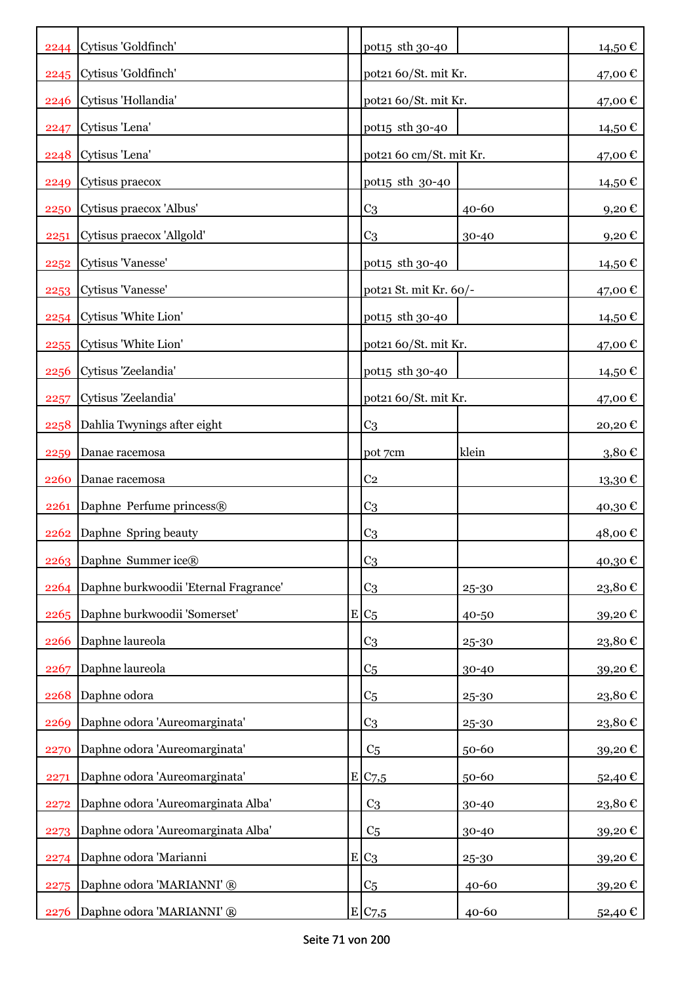|      | 2244 Cytisus 'Goldfinch'              | pot15 sth 30-40         |       | 14,50€              |
|------|---------------------------------------|-------------------------|-------|---------------------|
|      | 2245 Cytisus 'Goldfinch'              | pot21 60/St. mit Kr.    |       | 47,00 €             |
| 2246 | Cytisus 'Hollandia'                   | pot21 60/St. mit Kr.    |       | 47,00 €             |
| 2247 | Cytisus 'Lena'                        | pot15 sth 30-40         |       | 14,50 €             |
| 2248 | Cytisus 'Lena'                        | pot21 60 cm/St. mit Kr. |       | 47,00€              |
| 2249 | Cytisus praecox                       | pot15 sth 30-40         |       | 14,50 €             |
| 2250 | Cytisus praecox 'Albus'               | C <sub>3</sub>          | 40-60 | 9,20€               |
| 2251 | Cytisus praecox 'Allgold'             | C <sub>3</sub>          | 30-40 | $9,20 \text{ } \in$ |
|      | 2252 Cytisus 'Vanesse'                | pot15 sth 30-40         |       | 14,50 €             |
|      | 2253 Cytisus 'Vanesse'                | pot21 St. mit Kr. 60/-  |       | 47,00 €             |
| 2254 | Cytisus 'White Lion'                  | pot15 sth 30-40         |       | 14,50 €             |
| 2255 | Cytisus 'White Lion'                  | pot21 60/St. mit Kr.    |       | 47,00 €             |
| 2256 | Cytisus 'Zeelandia'                   | pot15 sth 30-40         |       | 14,50 €             |
| 2257 | Cytisus 'Zeelandia'                   | pot21 60/St. mit Kr.    |       | 47,00 €             |
| 2258 | Dahlia Twynings after eight           | C <sub>3</sub>          |       | 20,20€              |
| 2259 | Danae racemosa                        | pot 7cm                 | klein | 3,80€               |
| 2260 | Danae racemosa                        | C <sub>2</sub>          |       | 13,30€              |
| 2261 | Daphne Perfume princess®              | C <sub>3</sub>          |       | 40,30€              |
| 2262 | Daphne Spring beauty                  | C <sub>3</sub>          |       | 48,00€              |
|      | 2263 Daphne Summer ice®               | C <sub>3</sub>          |       | 40,30€              |
| 2264 | Daphne burkwoodii 'Eternal Fragrance' | C <sub>3</sub>          | 25-30 | 23,80€              |
| 2265 | Daphne burkwoodii 'Somerset'          | $E C_5$                 | 40-50 | 39,20€              |
| 2266 | Daphne laureola                       | C <sub>3</sub>          | 25-30 | 23,80€              |
| 2267 | Daphne laureola                       | C <sub>5</sub>          | 30-40 | 39,20€              |
| 2268 | Daphne odora                          | C <sub>5</sub>          | 25-30 | 23,80€              |
| 2269 | Daphne odora 'Aureomarginata'         | C <sub>3</sub>          | 25-30 | 23,80€              |
| 2270 | Daphne odora 'Aureomarginata'         | C <sub>5</sub>          | 50-60 | 39,20€              |
| 2271 | Daphne odora 'Aureomarginata'         | E/C <sub>7,5</sub>      | 50-60 | 52,40€              |
| 2272 | Daphne odora 'Aureomarginata Alba'    | C <sub>3</sub>          | 30-40 | 23,80€              |
| 2273 | Daphne odora 'Aureomarginata Alba'    | C <sub>5</sub>          | 30-40 | 39,20€              |
| 2274 | Daphne odora 'Marianni                | $E C_3$                 | 25-30 | 39,20€              |
| 2275 | Daphne odora 'MARIANNI' ®             | C <sub>5</sub>          | 40-60 | 39,20€              |
| 2276 | Daphne odora 'MARIANNI' ®             | E C7,5                  | 40-60 | 52,40 €             |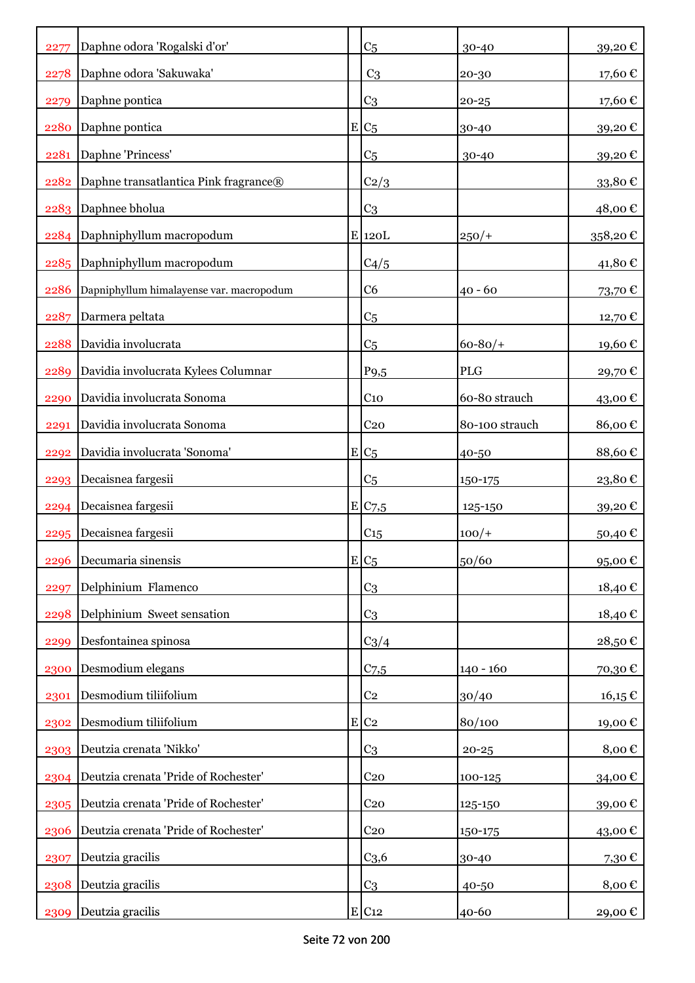| 2277 | Daphne odora 'Rogalski d'or'             | C <sub>5</sub>      | 30-40          | 39,20€          |
|------|------------------------------------------|---------------------|----------------|-----------------|
| 2278 | Daphne odora 'Sakuwaka'                  | C <sub>3</sub>      | 20-30          | 17,60€          |
| 2279 | Daphne pontica                           | C <sub>3</sub>      | $20 - 25$      | 17,60€          |
| 2280 | Daphne pontica                           | $E C_5$             | 30-40          | 39,20€          |
| 2281 | Daphne 'Princess'                        | C <sub>5</sub>      | 30-40          | 39,20€          |
| 2282 | Daphne transatlantica Pink fragrance®    | C2/3                |                | 33,80€          |
| 2283 | Daphnee bholua                           | C <sub>3</sub>      |                | 48,00€          |
|      | 2284 Daphniphyllum macropodum            | $E$ 120 $L$         | $250/+$        | 358,20€         |
| 2285 | Daphniphyllum macropodum                 | C4/5                |                | 41,80€          |
| 2286 | Dapniphyllum himalayense var. macropodum | C <sub>6</sub>      | $40 - 60$      | 73,70€          |
| 2287 | Darmera peltata                          | C <sub>5</sub>      |                | 12,70€          |
| 2288 | Davidia involucrata                      | C <sub>5</sub>      | $60 - 80/$     | 19,60€          |
| 2289 | Davidia involucrata Kylees Columnar      | P <sub>9</sub> ,5   | <b>PLG</b>     | 29,70€          |
| 2290 | Davidia involucrata Sonoma               | C <sub>10</sub>     | 60-80 strauch  | 43,00€          |
| 2291 | Davidia involucrata Sonoma               | C <sub>20</sub>     | 80-100 strauch | 86,00€          |
| 2292 | Davidia involucrata 'Sonoma'             | $E C_5$             | 40-50          | 88,60€          |
| 2293 | Decaisnea fargesii                       | C <sub>5</sub>      | 150-175        | 23,80€          |
| 2294 | Decaisnea fargesii                       | E C7,5              | 125-150        | 39,20€          |
| 2295 | Decaisnea fargesii                       | C15                 | $100/+$        | 50,40€          |
| 2296 | Decumaria sinensis                       | $E C_5$             | 50/60          | 95,00€          |
| 2297 | Delphinium Flamenco                      | C <sub>3</sub>      |                | 18,40€          |
| 2298 | Delphinium Sweet sensation               | C <sub>3</sub>      |                | 18,40€          |
| 2299 | Desfontainea spinosa                     | $C_3/4$             |                | 28,50€          |
| 2300 | Desmodium elegans                        | $C$ 7,5             | $140 - 160$    | 70,30€          |
| 2301 | Desmodium tiliifolium                    | C <sub>2</sub>      | 30/40          | $16,15 \in$     |
| 2302 | Desmodium tiliifolium                    | $E$ C <sub>2</sub>  | 80/100         | 19,00€          |
| 2303 | Deutzia crenata 'Nikko'                  | C <sub>3</sub>      | $20 - 25$      | 8,00€           |
| 2304 | Deutzia crenata 'Pride of Rochester'     | C <sub>20</sub>     | 100-125        | 34,00€          |
| 2305 | Deutzia crenata 'Pride of Rochester'     | C <sub>20</sub>     | 125-150        | 39,00€          |
| 2306 | Deutzia crenata 'Pride of Rochester'     | C <sub>20</sub>     | 150-175        | 43,00 €         |
| 2307 | Deutzia gracilis                         | C <sub>3,6</sub>    | 30-40          | 7,30 $\epsilon$ |
| 2308 | Deutzia gracilis                         | C <sub>3</sub>      | 40-50          | 8,00€           |
| 2309 | Deutzia gracilis                         | $E$ C <sub>12</sub> | 40-60          | 29,00€          |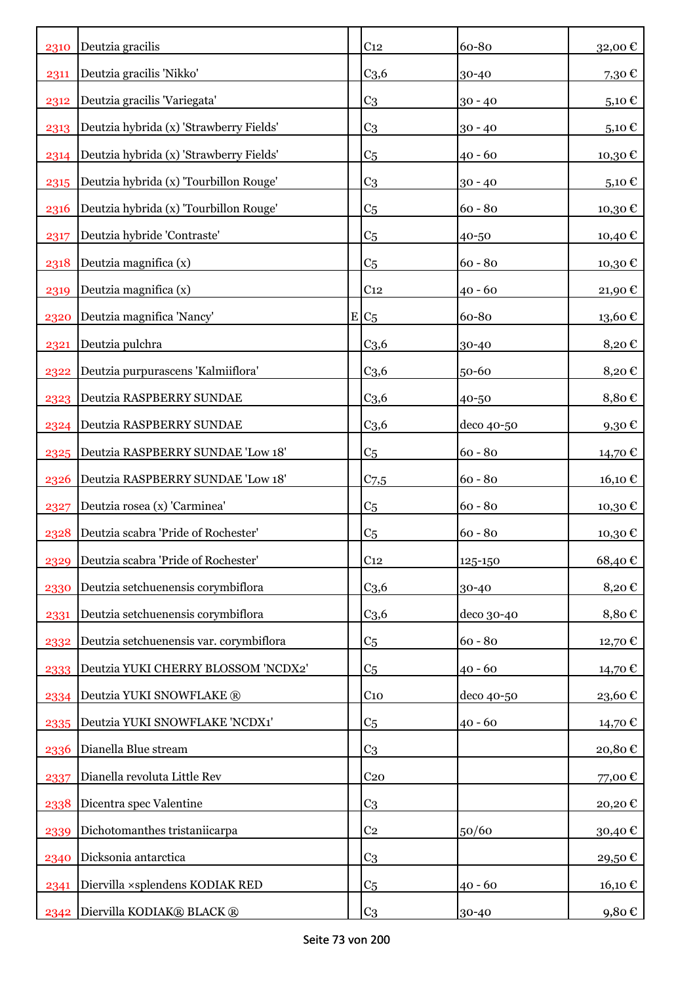| 2310 | Deutzia gracilis                        | C <sub>12</sub>  | 60-80      | 32,00€  |
|------|-----------------------------------------|------------------|------------|---------|
| 2311 | Deutzia gracilis 'Nikko'                | C <sub>3,6</sub> | 30-40      | 7,30€   |
| 2312 | Deutzia gracilis 'Variegata'            | C <sub>3</sub>   | $30 - 40$  | 5,10 €  |
| 2313 | Deutzia hybrida (x) 'Strawberry Fields' | C <sub>3</sub>   | $30 - 40$  | 5,10€   |
| 2314 | Deutzia hybrida (x) 'Strawberry Fields' | C <sub>5</sub>   | $40 - 60$  | 10,30€  |
| 2315 | Deutzia hybrida (x) 'Tourbillon Rouge'  | C <sub>3</sub>   | $30 - 40$  | 5,10€   |
| 2316 | Deutzia hybrida (x) 'Tourbillon Rouge'  | C <sub>5</sub>   | $60 - 80$  | 10,30€  |
| 2317 | Deutzia hybride 'Contraste'             | C <sub>5</sub>   | 40-50      | 10,40 € |
| 2318 | Deutzia magnifica (x)                   | C <sub>5</sub>   | $60 - 80$  | 10,30€  |
| 2319 | Deutzia magnifica (x)                   | C <sub>12</sub>  | $40 - 60$  | 21,90€  |
| 2320 | Deutzia magnifica 'Nancy'               | $E C_5$          | 60-80      | 13,60€  |
| 2321 | Deutzia pulchra                         | C <sub>3,6</sub> | 30-40      | 8,20€   |
| 2322 | Deutzia purpurascens 'Kalmiiflora'      | C <sub>3,6</sub> | 50-60      | 8,20€   |
| 2323 | Deutzia RASPBERRY SUNDAE                | C <sub>3,6</sub> | 40-50      | 8,80€   |
| 2324 | Deutzia RASPBERRY SUNDAE                | C <sub>3,6</sub> | deco 40-50 | 9,30€   |
| 2325 | Deutzia RASPBERRY SUNDAE 'Low 18'       | C <sub>5</sub>   | $60 - 80$  | 14,70 € |
| 2326 | Deutzia RASPBERRY SUNDAE 'Low 18'       | C <sub>7,5</sub> | $60 - 80$  | 16,10 € |
| 2327 | Deutzia rosea (x) 'Carminea'            | C <sub>5</sub>   | $60 - 80$  | 10,30 € |
| 2328 | Deutzia scabra 'Pride of Rochester'     | C <sub>5</sub>   | $60 - 80$  | 10,30€  |
| 2329 | Deutzia scabra 'Pride of Rochester'     | C <sub>12</sub>  | 125-150    | 68,40€  |
| 2330 | Deutzia setchuenensis corymbiflora      | C <sub>3,6</sub> | 30-40      | 8,20€   |
| 2331 | Deutzia setchuenensis corymbiflora      | C <sub>3,6</sub> | deco 30-40 | 8,80€   |
| 2332 | Deutzia setchuenensis var. corymbiflora | C <sub>5</sub>   | $60 - 80$  | 12,70€  |
| 2333 | Deutzia YUKI CHERRY BLOSSOM 'NCDX2'     | C <sub>5</sub>   | $40 - 60$  | 14,70 € |
| 2334 | Deutzia YUKI SNOWFLAKE ®                | $C_{10}$         | deco 40-50 | 23,60€  |
| 2335 | Deutzia YUKI SNOWFLAKE 'NCDX1'          | C <sub>5</sub>   | $40 - 60$  | 14,70€  |
| 2336 | Dianella Blue stream                    | C <sub>3</sub>   |            | 20,80€  |
| 2337 | Dianella revoluta Little Rev            | C <sub>20</sub>  |            | 77,00€  |
| 2338 | Dicentra spec Valentine                 | C <sub>3</sub>   |            | 20,20€  |
| 2339 | Dichotomanthes tristaniicarpa           | C <sub>2</sub>   | 50/60      | 30,40€  |
| 2340 | Dicksonia antarctica                    | C <sub>3</sub>   |            | 29,50€  |
| 2341 | Diervilla ×splendens KODIAK RED         | C <sub>5</sub>   | $40 - 60$  | 16,10 € |
| 2342 | Diervilla KODIAK® BLACK®                | C <sub>3</sub>   | 30-40      | 9,80 €  |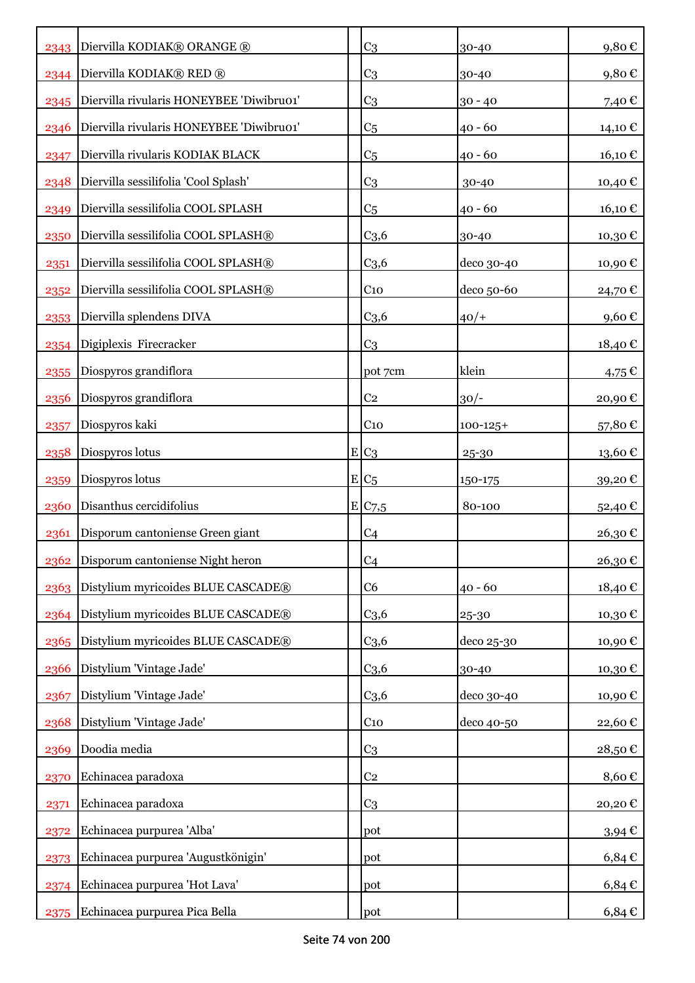|      | 2343 Diervilla KODIAK® ORANGE ®          | C <sub>3</sub>     | 30-40         | 9,80€      |
|------|------------------------------------------|--------------------|---------------|------------|
| 2344 | Diervilla KODIAK® RED ®                  | C <sub>3</sub>     | 30-40         | 9,80€      |
| 2345 | Diervilla rivularis HONEYBEE 'Diwibru01' | C <sub>3</sub>     | $30 - 40$     | 7,40 €     |
| 2346 | Diervilla rivularis HONEYBEE 'Diwibru01' | C <sub>5</sub>     | $40 - 60$     | 14,10 €    |
| 2347 | Diervilla rivularis KODIAK BLACK         | C <sub>5</sub>     | 40 - 60       | 16,10€     |
| 2348 | Diervilla sessilifolia 'Cool Splash'     | C <sub>3</sub>     | 30-40         | 10,40€     |
| 2349 | Diervilla sessilifolia COOL SPLASH       | C <sub>5</sub>     | $40 - 60$     | 16,10€     |
| 2350 | Diervilla sessilifolia COOL SPLASH®      | $C_{3,6}$          | 30-40         | 10,30€     |
| 2351 | Diervilla sessilifolia COOL SPLASH®      | C <sub>3,6</sub>   | deco 30-40    | 10,90€     |
| 2352 | Diervilla sessilifolia COOL SPLASH®      | $C_{10}$           | deco 50-60    | 24,70 €    |
| 2353 | Diervilla splendens DIVA                 | C <sub>3,6</sub>   | $40/+$        | 9,60€      |
| 2354 | Digiplexis Firecracker                   | C <sub>3</sub>     |               | 18,40 €    |
| 2355 | Diospyros grandiflora                    | pot 7cm            | klein         | $4,75 \in$ |
| 2356 | Diospyros grandiflora                    | C <sub>2</sub>     | $30/-$        | 20,90€     |
| 2357 | Diospyros kaki                           | C <sub>10</sub>    | $100 - 125 +$ | 57,80€     |
| 2358 | Diospyros lotus                          | $E C_3$            | 25-30         | 13,60€     |
| 2359 | Diospyros lotus                          | $E C_5$            | 150-175       | 39,20€     |
| 2360 | Disanthus cercidifolius                  | E/C <sub>7,5</sub> | 80-100        | 52,40€     |
| 2361 | Disporum cantoniense Green giant         | C <sub>4</sub>     |               | 26,30€     |
|      | 2362 Disporum cantoniense Night heron    | C <sub>4</sub>     |               | 26,30€     |
|      | 2363 Distylium myricoides BLUE CASCADE®  | C <sub>6</sub>     | $40 - 60$     | 18,40€     |
| 2364 | Distylium myricoides BLUE CASCADE®       | C <sub>3,6</sub>   | 25-30         | 10,30€     |
| 2365 | Distylium myricoides BLUE CASCADE®       | C <sub>3,6</sub>   | deco 25-30    | 10,90€     |
| 2366 | Distylium 'Vintage Jade'                 | C <sub>3,6</sub>   | 30-40         | 10,30€     |
| 2367 | Distylium 'Vintage Jade'                 | C <sub>3,6</sub>   | deco 30-40    | 10,90€     |
| 2368 | Distylium 'Vintage Jade'                 | $C_{10}$           | deco 40-50    | 22,60€     |
| 2369 | Doodia media                             | C <sub>3</sub>     |               | 28,50€     |
| 2370 | Echinacea paradoxa                       | C <sub>2</sub>     |               | 8,60€      |
| 2371 | Echinacea paradoxa                       | C <sub>3</sub>     |               | 20,20€     |
| 2372 | Echinacea purpurea 'Alba'                | pot                |               | $3,94 \in$ |
| 2373 | Echinacea purpurea 'Augustkönigin'       | pot                |               | $6,84 \in$ |
| 2374 | Echinacea purpurea 'Hot Lava'            | pot                |               | $6,84 \in$ |
| 2375 | Echinacea purpurea Pica Bella            | pot                |               | $6,84 \in$ |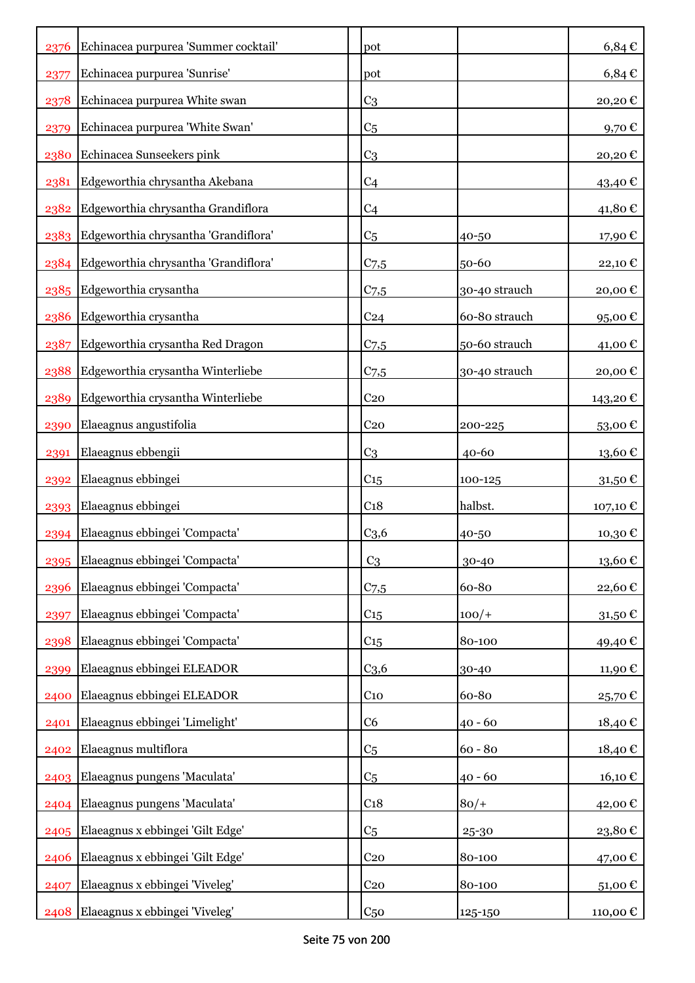| 2376 | Echinacea purpurea 'Summer cocktail'      | pot              |               | $6,84 \in$             |
|------|-------------------------------------------|------------------|---------------|------------------------|
| 2377 | Echinacea purpurea 'Sunrise'              | pot              |               | $6,84 \in$             |
| 2378 | Echinacea purpurea White swan             | C <sub>3</sub>   |               | 20,20€                 |
| 2379 | Echinacea purpurea 'White Swan'           | C <sub>5</sub>   |               | 9,70 $\epsilon$        |
| 2380 | Echinacea Sunseekers pink                 | C <sub>3</sub>   |               | 20,20€                 |
| 2381 | Edgeworthia chrysantha Akebana            | C <sub>4</sub>   |               | 43,40 €                |
| 2382 | Edgeworthia chrysantha Grandiflora        | C <sub>4</sub>   |               | 41,80€                 |
| 2383 | Edgeworthia chrysantha 'Grandiflora'      | C <sub>5</sub>   | 40-50         | 17,90€                 |
|      | 2384 Edgeworthia chrysantha 'Grandiflora' | $C_{7,5}$        | 50-60         | 22,10€                 |
|      | 2385 Edgeworthia crysantha                | C <sub>7,5</sub> | 30-40 strauch | 20,00€                 |
| 2386 | Edgeworthia crysantha                     | C <sub>24</sub>  | 60-80 strauch | 95,00€                 |
| 2387 | Edgeworthia crysantha Red Dragon          | $C$ 7,5          | 50-60 strauch | 41,00 €                |
| 2388 | Edgeworthia crysantha Winterliebe         | $C$ 7,5          | 30-40 strauch | 20,00€                 |
| 2389 | Edgeworthia crysantha Winterliebe         | C <sub>20</sub>  |               | 143,20€                |
| 2390 | Elaeagnus angustifolia                    | C <sub>20</sub>  | 200-225       | 53,00€                 |
| 2391 | Elaeagnus ebbengii                        | C <sub>3</sub>   | $40 - 60$     | 13,60€                 |
| 2392 | Elaeagnus ebbingei                        | $C_{15}$         | 100-125       | 31,50€                 |
| 2393 | Elaeagnus ebbingei                        | C <sub>18</sub>  | halbst.       | 107,10 €               |
| 2394 | Elaeagnus ebbingei 'Compacta'             | C <sub>3,6</sub> | 40-50         | 10,30€                 |
|      | 2395 Elaeagnus ebbingei 'Compacta'        | C <sub>3</sub>   | 30-40         | $13{,}60$ $\mathbb{C}$ |
| 2396 | Elaeagnus ebbingei 'Compacta'             | $C$ 7,5          | 60-80         | 22,60€                 |
| 2397 | Elaeagnus ebbingei 'Compacta'             | $C_{15}$         | $100/+$       | 31,50€                 |
| 2398 | Elaeagnus ebbingei 'Compacta'             | $C_{15}$         | 80-100        | 49,40€                 |
| 2399 | Elaeagnus ebbingei ELEADOR                | C <sub>3,6</sub> | 30-40         | 11,90€                 |
| 2400 | Elaeagnus ebbingei ELEADOR                | $C_{10}$         | 60-80         | 25,70€                 |
| 2401 | Elaeagnus ebbingei 'Limelight'            | C <sub>6</sub>   | $40 - 60$     | 18,40€                 |
| 2402 | Elaeagnus multiflora                      | C <sub>5</sub>   | $60 - 80$     | 18,40€                 |
| 2403 | Elaeagnus pungens 'Maculata'              | C <sub>5</sub>   | $40 - 60$     | 16,10€                 |
|      | 2404 Elaeagnus pungens 'Maculata'         | C <sub>18</sub>  | $80/+$        | 42,00€                 |
| 2405 | Elaeagnus x ebbingei 'Gilt Edge'          | C <sub>5</sub>   | 25-30         | 23,80€                 |
| 2406 | Elaeagnus x ebbingei 'Gilt Edge'          | C <sub>20</sub>  | 80-100        | 47,00€                 |
| 2407 | Elaeagnus x ebbingei 'Viveleg'            | C <sub>20</sub>  | 80-100        | 51,00€                 |
| 2408 | Elaeagnus x ebbingei 'Viveleg'            | C <sub>50</sub>  | 125-150       | 110,00 €               |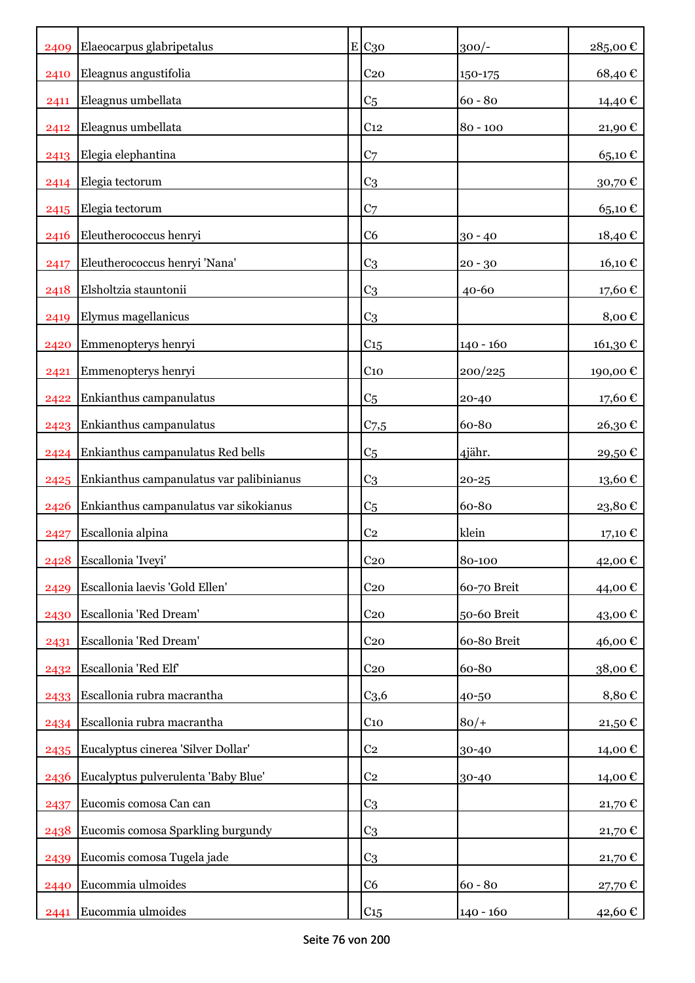|      | 2409 Elaeocarpus glabripetalus           | E C30            | $300/-$     | 285,00€               |
|------|------------------------------------------|------------------|-------------|-----------------------|
| 2410 | Eleagnus angustifolia                    | C <sub>20</sub>  | 150-175     | 68,40€                |
| 2411 | Eleagnus umbellata                       | C <sub>5</sub>   | $60 - 80$   | 14,40 €               |
| 2412 | Eleagnus umbellata                       | C <sub>12</sub>  | $80 - 100$  | 21,90€                |
| 2413 | Elegia elephantina                       | C <sub>7</sub>   |             | 65,10€                |
| 2414 | Elegia tectorum                          | C <sub>3</sub>   |             | $30{,}70 \in$         |
| 2415 | Elegia tectorum                          | C <sub>7</sub>   |             | 65,10€                |
| 2416 | Eleutherococcus henryi                   | C <sub>6</sub>   | $30 - 40$   | 18,40€                |
| 2417 | Eleutherococcus henryi 'Nana'            | C <sub>3</sub>   | $20 - 30$   | 16,10€                |
| 2418 | Elsholtzia stauntonii                    | C <sub>3</sub>   | $40 - 60$   | 17,60€                |
| 2419 | Elymus magellanicus                      | C <sub>3</sub>   |             | 8,00€                 |
| 2420 | Emmenopterys henryi                      | C15              | $140 - 160$ | 161,30€               |
| 2421 | Emmenopterys henryi                      | C <sub>10</sub>  | 200/225     | 190,00€               |
| 2422 | Enkianthus campanulatus                  | C <sub>5</sub>   | $20 - 40$   | 17,60 €               |
| 2423 | Enkianthus campanulatus                  | $C$ 7,5          | 60-80       | 26,30€                |
| 2424 | Enkianthus campanulatus Red bells        | C <sub>5</sub>   | 4jähr.      | 29,50€                |
| 2425 | Enkianthus campanulatus var palibinianus | C <sub>3</sub>   | $20 - 25$   | $13{,}60$ $\mathbb C$ |
| 2426 | Enkianthus campanulatus var sikokianus   | C <sub>5</sub>   | 60-80       | 23,80€                |
| 2427 | Escallonia alpina                        | C <sub>2</sub>   | klein       | 17,10€                |
| 2428 | Escallonia 'Iveyi'                       | C <sub>20</sub>  | 80-100      | 42,00€                |
| 2429 | Escallonia laevis 'Gold Ellen'           | C <sub>20</sub>  | 60-70 Breit | 44,00 €               |
| 2430 | Escallonia 'Red Dream'                   | C <sub>20</sub>  | 50-60 Breit | 43,00 €               |
| 2431 | Escallonia 'Red Dream'                   | C <sub>20</sub>  | 60-80 Breit | 46,00€                |
| 2432 | Escallonia 'Red Elf'                     | C <sub>20</sub>  | 60-80       | 38,00€                |
| 2433 | Escallonia rubra macrantha               | C <sub>3,6</sub> | 40-50       | 8,80€                 |
| 2434 | Escallonia rubra macrantha               | $C_{10}$         | $80/+$      | 21,50€                |
| 2435 | Eucalyptus cinerea 'Silver Dollar'       | C <sub>2</sub>   | 30-40       | 14,00€                |
| 2436 | Eucalyptus pulverulenta 'Baby Blue'      | C <sub>2</sub>   | 30-40       | 14,00€                |
| 2437 | Eucomis comosa Can can                   | C <sub>3</sub>   |             | 21,70€                |
| 2438 | Eucomis comosa Sparkling burgundy        | C <sub>3</sub>   |             | 21,70 €               |
| 2439 | Eucomis comosa Tugela jade               | C <sub>3</sub>   |             | 21,70€                |
| 2440 | Eucommia ulmoides                        | C6               | $60 - 80$   | 27,70€                |
| 2441 | Eucommia ulmoides                        | C15              | $140 - 160$ | 42,60 €               |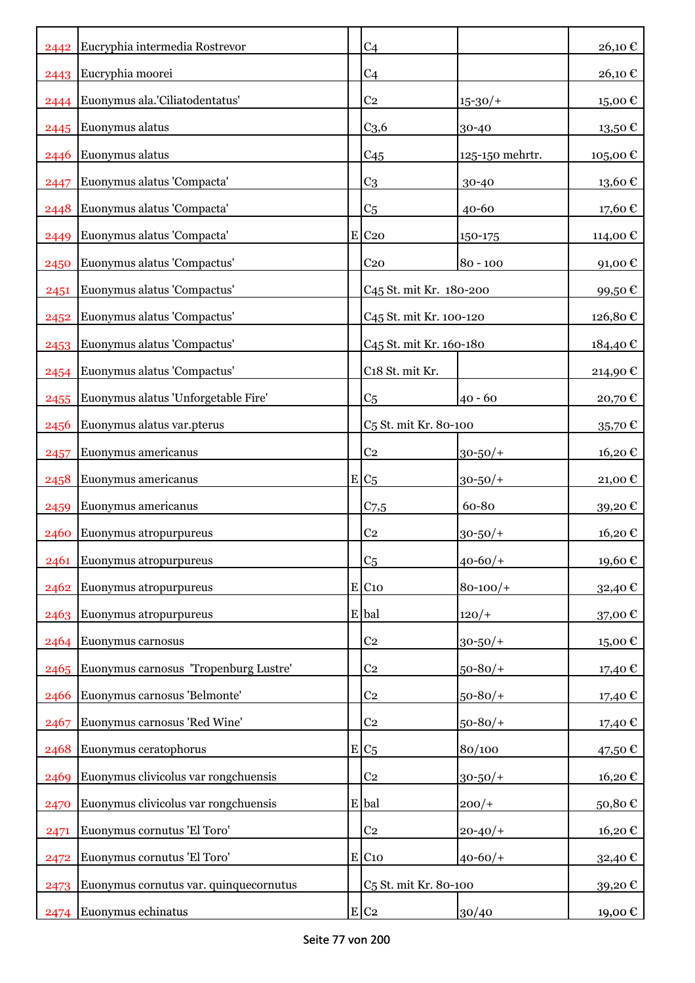| 2442 | Eucryphia intermedia Rostrevor         | C <sub>4</sub>                      |                 | 26,10€   |
|------|----------------------------------------|-------------------------------------|-----------------|----------|
| 2443 | Eucryphia moorei                       | C <sub>4</sub>                      |                 | 26,10€   |
| 2444 | Euonymus ala.'Ciliatodentatus'         | C <sub>2</sub>                      | $15 - 30/$      | 15,00 €  |
| 2445 | Euonymus alatus                        | C <sub>3,6</sub>                    | 30-40           | 13,50€   |
| 2446 | Euonymus alatus                        | C <sub>45</sub>                     | 125-150 mehrtr. | 105,00€  |
| 2447 | Euonymus alatus 'Compacta'             | C <sub>3</sub>                      | 30-40           | 13,60 €  |
| 2448 | Euonymus alatus 'Compacta'             | C <sub>5</sub>                      | $40 - 60$       | 17,60€   |
| 2449 | Euonymus alatus 'Compacta'             | E C20                               | 150-175         | 114,00€  |
| 2450 | Euonymus alatus 'Compactus'            | C <sub>20</sub>                     | $80 - 100$      | 91,00€   |
| 2451 | Euonymus alatus 'Compactus'            | C <sub>45</sub> St. mit Kr. 180-200 |                 | 99,50€   |
| 2452 | Euonymus alatus 'Compactus'            | C45 St. mit Kr. 100-120             |                 | 126,80€  |
| 2453 | Euonymus alatus 'Compactus'            | C45 St. mit Kr. 160-180             |                 | 184,40 € |
| 2454 | Euonymus alatus 'Compactus'            | C18 St. mit Kr.                     |                 | 214,90€  |
| 2455 | Euonymus alatus 'Unforgetable Fire'    | C <sub>5</sub>                      | $40 - 60$       | 20,70€   |
| 2456 | Euonymus alatus var.pterus             | C <sub>5</sub> St. mit Kr. 80-100   |                 | 35,70€   |
| 2457 | Euonymus americanus                    | C <sub>2</sub>                      | $30 - 50/$ +    | 16,20€   |
| 2458 | Euonymus americanus                    | $E/C_5$                             | $30 - 50/$      | 21,00€   |
| 2459 | Euonymus americanus                    | $C_{7,5}$                           | 60-80           | 39,20€   |
| 2460 | Euonymus atropurpureus                 | C <sub>2</sub>                      | $30 - 50/$ +    | 16,20€   |
| 2461 | Euonymus atropurpureus                 | C <sub>5</sub>                      | $40 - 60/$      | 19,60€   |
| 2462 | Euonymus atropurpureus                 | $E$ C <sub>10</sub>                 | $80 - 100/$     | 32,40€   |
| 2463 | Euonymus atropurpureus                 | E bal                               | $120/+$         | 37,00€   |
| 2464 | Euonymus carnosus                      | C <sub>2</sub>                      | $30 - 50/$ +    | 15,00€   |
| 2465 | Euonymus carnosus 'Tropenburg Lustre'  | C <sub>2</sub>                      | $50 - 80/$      | 17,40 €  |
| 2466 | Euonymus carnosus 'Belmonte'           | C <sub>2</sub>                      | $50 - 80/$      | 17,40 €  |
| 2467 | Euonymus carnosus 'Red Wine'           | C <sub>2</sub>                      | $50 - 80/$      | 17,40 €  |
| 2468 | Euonymus ceratophorus                  | $E/C_5$                             | 80/100          | 47,50€   |
| 2469 | Euonymus clivicolus var rongchuensis   | C <sub>2</sub>                      | $30 - 50/$ +    | 16,20€   |
| 2470 | Euonymus clivicolus var rongchuensis   | E bal                               | $200/+$         | 50,80€   |
| 2471 | Euonymus cornutus 'El Toro'            | C <sub>2</sub>                      | $20 - 40/$      | 16,20€   |
| 2472 | Euonymus cornutus 'El Toro'            | $E$ C <sub>10</sub>                 | $40 - 60/$      | 32,40€   |
| 2473 | Euonymus cornutus var. quinquecornutus | C <sub>5</sub> St. mit Kr. 80-100   |                 | 39,20€   |
| 2474 | Euonymus echinatus                     | E C2                                | 30/40           | 19,00 €  |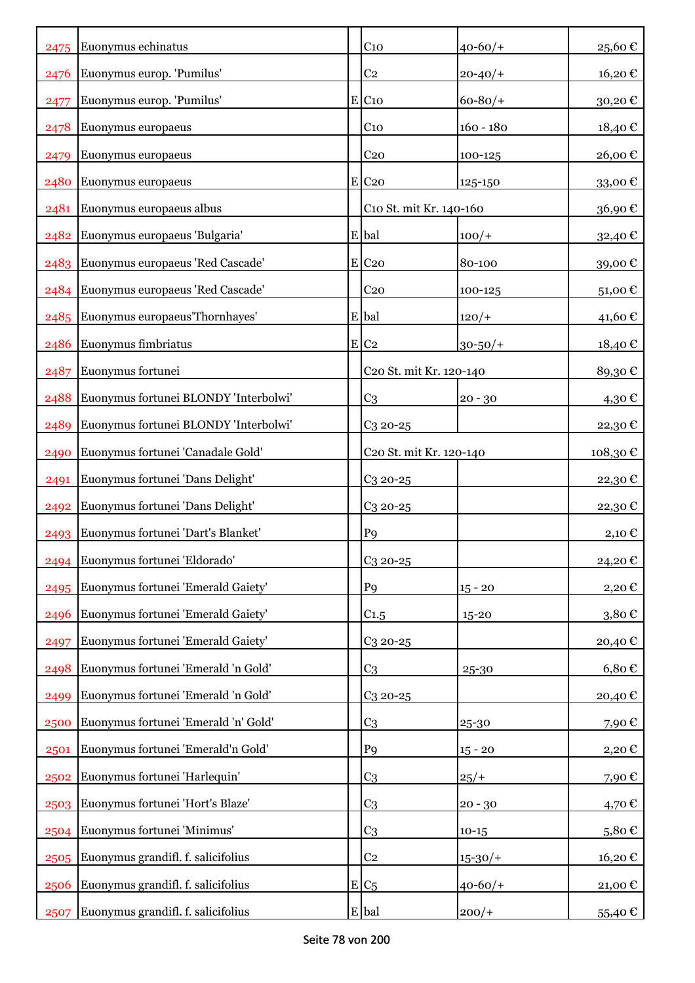| 2475 | Euonymus echinatus                    | C <sub>10</sub>                     | $40 - 60/$   | 25,60€            |
|------|---------------------------------------|-------------------------------------|--------------|-------------------|
| 2476 | Euonymus europ. 'Pumilus'             | C <sub>2</sub>                      | $20 - 40/$   | 16,20€            |
| 2477 | Euonymus europ. 'Pumilus'             | $E$ C <sub>10</sub>                 | $60 - 80/$   | 30,20€            |
| 2478 | Euonymus europaeus                    | C <sub>10</sub>                     | $160 - 180$  | 18,40€            |
| 2479 | Euonymus europaeus                    | C <sub>20</sub>                     | 100-125      | 26,00€            |
| 2480 | Euonymus europaeus                    | E C20                               | 125-150      | 33,00 $\mathbb C$ |
| 2481 | Euonymus europaeus albus              | C10 St. mit Kr. 140-160             |              | 36,90€            |
| 2482 | Euonymus europaeus 'Bulgaria'         | E bal                               | $100/+$      | 32,40€            |
|      | 2483 Euonymus europaeus 'Red Cascade' | $E$ C <sub>20</sub>                 | 80-100       | 39,00€            |
|      | 2484 Euonymus europaeus 'Red Cascade' | C <sub>20</sub>                     | 100-125      | 51,00€            |
| 2485 | Euonymus europaeus Thornhayes'        | E bal                               | $120/+$      | 41,60€            |
| 2486 | Euonymus fimbriatus                   | E C2                                | $30 - 50/$ + | 18,40€            |
| 2487 | Euonymus fortunei                     | C20 St. mit Kr. 120-140             |              | 89,30€            |
| 2488 | Euonymus fortunei BLONDY 'Interbolwi' | C <sub>3</sub>                      | $20 - 30$    | 4,30€             |
| 2489 | Euonymus fortunei BLONDY 'Interbolwi' | $C_3$ 20-25                         |              | 22,30€            |
| 2490 | Euonymus fortunei 'Canadale Gold'     | C <sub>20</sub> St. mit Kr. 120-140 |              | 108,30€           |
| 2491 | Euonymus fortunei 'Dans Delight'      | $C_3$ 20-25                         |              | 22,30€            |
| 2492 | Euonymus fortunei 'Dans Delight'      | $C_3$ 20-25                         |              | 22,30€            |
| 2493 | Euonymus fortunei 'Dart's Blanket'    | P <sub>9</sub>                      |              | 2,10 €            |
|      | 2494 Euonymus fortunei 'Eldorado'     | C <sub>3</sub> 20-25                |              | 24,20€            |
| 2495 | Euonymus fortunei 'Emerald Gaiety'    | P <sub>9</sub>                      | $15 - 20$    | 2,20€             |
| 2496 | Euonymus fortunei 'Emerald Gaiety'    | C1.5                                | $15 - 20$    | 3,80€             |
| 2497 | Euonymus fortunei 'Emerald Gaiety'    | $C_3$ 20-25                         |              | 20,40€            |
| 2498 | Euonymus fortunei 'Emerald 'n Gold'   | C <sub>3</sub>                      | 25-30        | $6,80 \in$        |
| 2499 | Euonymus fortunei 'Emerald 'n Gold'   | $C_3$ 20-25                         |              | 20,40€            |
| 2500 | Euonymus fortunei 'Emerald 'n' Gold'  | C <sub>3</sub>                      | 25-30        | 7,90€             |
| 2501 | Euonymus fortunei 'Emerald'n Gold'    | P <sub>9</sub>                      | $15 - 20$    | 2,20€             |
| 2502 | Euonymus fortunei 'Harlequin'         | C <sub>3</sub>                      | $25/+$       | 7,90€             |
| 2503 | Euonymus fortunei 'Hort's Blaze'      | C <sub>3</sub>                      | $20 - 30$    | 4,70€             |
| 2504 | Euonymus fortunei 'Minimus'           | C <sub>3</sub>                      | $10-15$      | 5,80€             |
| 2505 | Euonymus grandifl. f. salicifolius    | C <sub>2</sub>                      | $15 - 30/$   | 16,20€            |
| 2506 | Euonymus grandifl. f. salicifolius    | $E/C_5$                             | $40 - 60/$ + | 21,00€            |
| 2507 | Euonymus grandifl. f. salicifolius    | E bal                               | $200/+$      | 55,40€            |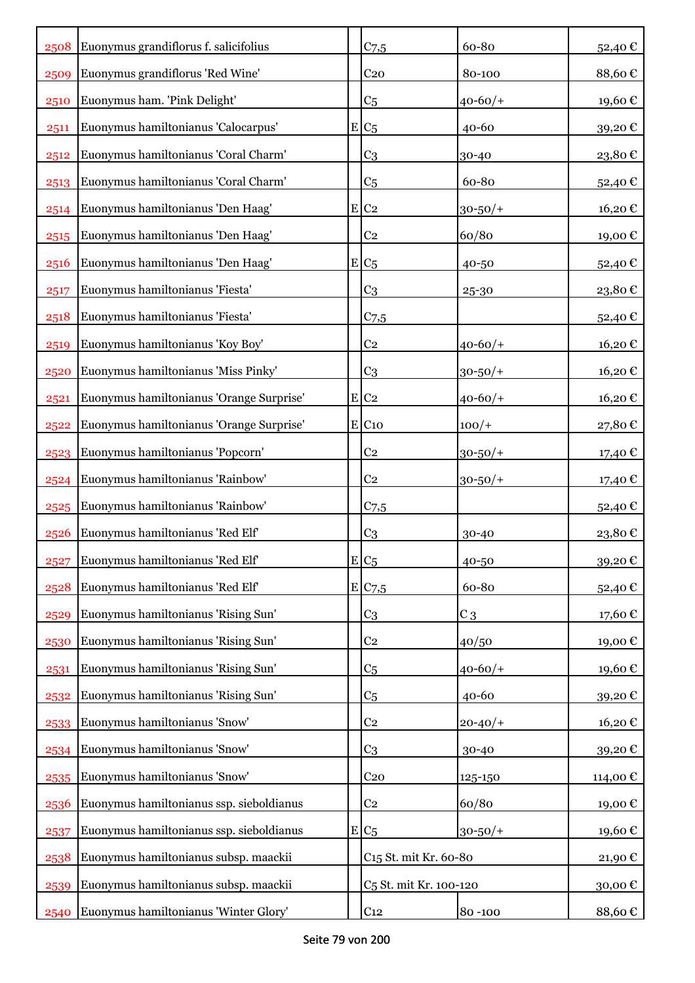| 2508 | Euonymus grandiflorus f. salicifolius    | $C_{7,5}$                          | 60-80        | 52,40€  |
|------|------------------------------------------|------------------------------------|--------------|---------|
| 2509 | Euonymus grandiflorus 'Red Wine'         | C <sub>20</sub>                    | 80-100       | 88,60€  |
| 2510 | Euonymus ham. 'Pink Delight'             | C <sub>5</sub>                     | $40 - 60/$   | 19,60€  |
| 2511 | Euonymus hamiltonianus 'Calocarpus'      | $E C_5$                            | 40-60        | 39,20€  |
| 2512 | Euonymus hamiltonianus 'Coral Charm'     | C <sub>3</sub>                     | 30-40        | 23,80€  |
| 2513 | Euonymus hamiltonianus 'Coral Charm'     | C <sub>5</sub>                     | 60-80        | 52,40€  |
| 2514 | Euonymus hamiltonianus 'Den Haag'        | E C2                               | $30 - 50/$ + | 16,20€  |
| 2515 | Euonymus hamiltonianus 'Den Haag'        | C <sub>2</sub>                     | 60/80        | 19,00€  |
| 2516 | Euonymus hamiltonianus 'Den Haag'        | $E/C_5$                            | 40-50        | 52,40€  |
| 2517 | Euonymus hamiltonianus 'Fiesta'          | C <sub>3</sub>                     | 25-30        | 23,80€  |
| 2518 | Euonymus hamiltonianus 'Fiesta'          | $C_{7,5}$                          |              | 52,40€  |
| 2519 | Euonymus hamiltonianus 'Koy Boy'         | C <sub>2</sub>                     | $40 - 60/$   | 16,20€  |
| 2520 | Euonymus hamiltonianus 'Miss Pinky'      | C <sub>3</sub>                     | $30 - 50/$ + | 16,20€  |
| 2521 | Euonymus hamiltonianus 'Orange Surprise' | $E$ C <sub>2</sub>                 | $40 - 60/$   | 16,20€  |
| 2522 | Euonymus hamiltonianus 'Orange Surprise' | $E$ C <sub>10</sub>                | $100/+$      | 27,80€  |
| 2523 | Euonymus hamiltonianus 'Popcorn'         | C <sub>2</sub>                     | $30 - 50/$ + | 17,40 € |
| 2524 | Euonymus hamiltonianus 'Rainbow'         | C <sub>2</sub>                     | $30 - 50/$ + | 17,40 € |
| 2525 | Euonymus hamiltonianus 'Rainbow'         | C <sub>7,5</sub>                   |              | 52,40€  |
| 2526 | Euonymus hamiltonianus 'Red Elf'         | C <sub>3</sub>                     | 30-40        | 23,80€  |
| 2527 | Euonymus hamiltonianus 'Red Elf'         | $E C_5$                            | 40-50        | 39,20€  |
| 2528 | Euonymus hamiltonianus 'Red Elf'         | E C7,5                             | 60-80        | 52,40€  |
| 2529 | Euonymus hamiltonianus 'Rising Sun'      | C <sub>3</sub>                     | $C_3$        | 17,60€  |
| 2530 | Euonymus hamiltonianus 'Rising Sun'      | C <sub>2</sub>                     | 40/50        | 19,00€  |
| 2531 | Euonymus hamiltonianus 'Rising Sun'      | C <sub>5</sub>                     | $40 - 60/$   | 19,60€  |
| 2532 | Euonymus hamiltonianus 'Rising Sun'      | C <sub>5</sub>                     | 40-60        | 39,20€  |
| 2533 | Euonymus hamiltonianus 'Snow'            | C <sub>2</sub>                     | $20 - 40/$   | 16,20€  |
| 2534 | Euonymus hamiltonianus 'Snow'            | C <sub>3</sub>                     | 30-40        | 39,20€  |
| 2535 | Euonymus hamiltonianus 'Snow'            | C <sub>20</sub>                    | 125-150      | 114,00€ |
| 2536 | Euonymus hamiltonianus ssp. sieboldianus | C <sub>2</sub>                     | 60/80        | 19,00€  |
| 2537 | Euonymus hamiltonianus ssp. sieboldianus | $E C_5$                            | $30 - 50/$ + | 19,60€  |
| 2538 | Euonymus hamiltonianus subsp. maackii    | C <sub>15</sub> St. mit Kr. 60-80  |              | 21,90€  |
| 2539 | Euonymus hamiltonianus subsp. maackii    | C <sub>5</sub> St. mit Kr. 100-120 |              | 30,00€  |
| 2540 | Euonymus hamiltonianus 'Winter Glory'    | C <sub>12</sub>                    | 80-100       | 88,60€  |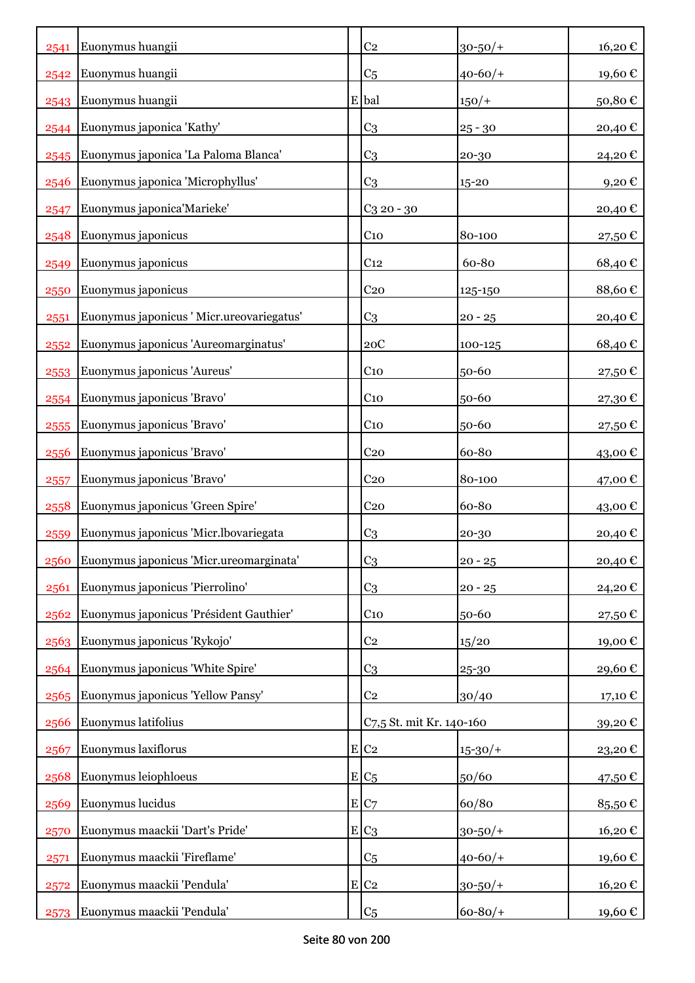| 2541 | Euonymus huangii                          | C <sub>2</sub>           | $30 - 50/$ + | 16,20€  |
|------|-------------------------------------------|--------------------------|--------------|---------|
| 2542 | Euonymus huangii                          | C <sub>5</sub>           | $40 - 60/$   | 19,60€  |
| 2543 | Euonymus huangii                          | E bal                    | $150/+$      | 50,80€  |
| 2544 | Euonymus japonica 'Kathy'                 | C <sub>3</sub>           | $25 - 30$    | 20,40€  |
| 2545 | Euonymus japonica 'La Paloma Blanca'      | C <sub>3</sub>           | 20-30        | 24,20€  |
| 2546 | Euonymus japonica 'Microphyllus'          | C3                       | 15-20        | 9,20€   |
| 2547 | Euonymus japonica'Marieke'                | $C3$ 20 - 30             |              | 20,40€  |
| 2548 | Euonymus japonicus                        | $C_{10}$                 | 80-100       | 27,50€  |
| 2549 | Euonymus japonicus                        | C <sub>12</sub>          | 60-80        | 68,40€  |
| 2550 | Euonymus japonicus                        | C <sub>20</sub>          | 125-150      | 88,60€  |
| 2551 | Euonymus japonicus ' Micr.ureovariegatus' | C <sub>3</sub>           | $20 - 25$    | 20,40€  |
| 2552 | Euonymus japonicus 'Aureomarginatus'      | 20C                      | 100-125      | 68,40€  |
| 2553 | Euonymus japonicus 'Aureus'               | $C_{10}$                 | 50-60        | 27,50€  |
| 2554 | Euonymus japonicus 'Bravo'                | $C_{10}$                 | 50-60        | 27,30€  |
| 2555 | Euonymus japonicus 'Bravo'                | $C_{10}$                 | 50-60        | 27,50€  |
| 2556 | Euonymus japonicus 'Bravo'                | C <sub>20</sub>          | 60-80        | 43,00€  |
| 2557 | Euonymus japonicus 'Bravo'                | C <sub>20</sub>          | 80-100       | 47,00 € |
| 2558 | Euonymus japonicus 'Green Spire'          | C <sub>20</sub>          | 60-80        | 43,00 € |
| 2559 | Euonymus japonicus 'Micr.lbovariegata     | C <sub>3</sub>           | 20-30        | 20,40€  |
| 2560 | Euonymus japonicus 'Micr.ureomarginata'   | C <sub>3</sub>           | $20 - 25$    | 20,40€  |
| 2561 | Euonymus japonicus 'Pierrolino'           | C <sub>3</sub>           | $20 - 25$    | 24,20€  |
| 2562 | Euonymus japonicus 'Président Gauthier'   | $C_{10}$                 | 50-60        | 27,50€  |
| 2563 | Euonymus japonicus 'Rykojo'               | C <sub>2</sub>           | 15/20        | 19,00€  |
| 2564 | Euonymus japonicus 'White Spire'          | C3                       | 25-30        | 29,60€  |
| 2565 | Euonymus japonicus 'Yellow Pansy'         | C <sub>2</sub>           | 30/40        | 17,10 € |
| 2566 | Euonymus latifolius                       | C7,5 St. mit Kr. 140-160 |              | 39,20€  |
| 2567 | Euonymus laxiflorus                       | E C2                     | $15 - 30/$   | 23,20€  |
| 2568 | Euonymus leiophloeus                      | $E/C_5$                  | 50/60        | 47,50€  |
| 2569 | Euonymus lucidus                          | E C7                     | 60/80        | 85,50€  |
| 2570 | Euonymus maackii 'Dart's Pride'           | $E C_3$                  | $30 - 50/$ + | 16,20€  |
| 2571 | Euonymus maackii 'Fireflame'              | C <sub>5</sub>           | $40 - 60/$   | 19,60€  |
| 2572 | Euonymus maackii 'Pendula'                | $E$ C <sub>2</sub>       | $30 - 50/$ + | 16,20€  |
| 2573 | Euonymus maackii 'Pendula'                | C <sub>5</sub>           | $60 - 80/$   | 19,60 € |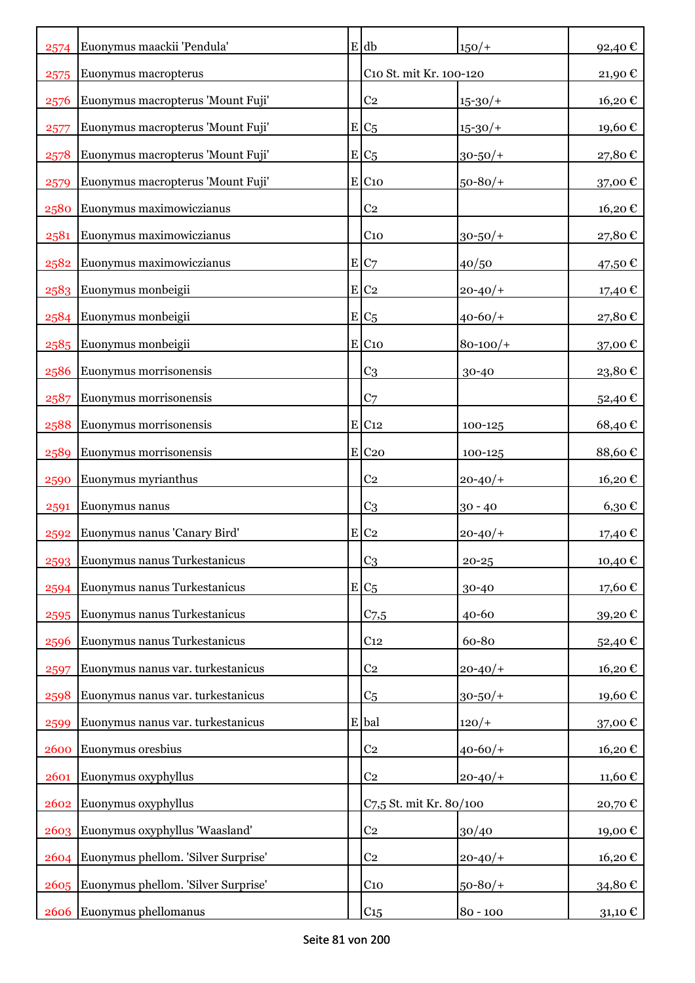| 2574 | Euonymus maackii 'Pendula'          | $E$ db                  | $150/+$      | 92,40€                 |
|------|-------------------------------------|-------------------------|--------------|------------------------|
| 2575 | Euonymus macropterus                | C10 St. mit Kr. 100-120 |              | $21,\!90$ $\mathbb{C}$ |
| 2576 | Euonymus macropterus 'Mount Fuji'   | C <sub>2</sub>          | $15 - 30/$   | 16,20€                 |
| 2577 | Euonymus macropterus 'Mount Fuji'   | $E C_5$                 | $15 - 30/$   | 19,60€                 |
| 2578 | Euonymus macropterus 'Mount Fuji'   | $E C_5$                 | $30 - 50/$ + | 27,80€                 |
| 2579 | Euonymus macropterus 'Mount Fuji'   | E C10                   | $50 - 80/$   | 37,00€                 |
| 2580 | Euonymus maximowiczianus            | C <sub>2</sub>          |              | 16,20€                 |
| 2581 | Euonymus maximowiczianus            | C <sub>10</sub>         | $30 - 50/$ + | 27,80€                 |
| 2582 | Euonymus maximowiczianus            | E C7                    | 40/50        | 47,50 €                |
| 2583 | Euonymus monbeigii                  | $E$ C <sub>2</sub>      | $20 - 40/$   | 17,40 €                |
| 2584 | Euonymus monbeigii                  | $E C_5$                 | $40 - 60/$   | 27,80€                 |
| 2585 | Euonymus monbeigii                  | E C10                   | $80 - 100/$  | 37,00€                 |
| 2586 | Euonymus morrisonensis              | C <sub>3</sub>          | 30-40        | 23,80€                 |
| 2587 | Euonymus morrisonensis              | C <sub>7</sub>          |              | 52,40€                 |
| 2588 | Euonymus morrisonensis              | $E$ C <sub>12</sub>     | 100-125      | 68,40€                 |
| 2589 | Euonymus morrisonensis              | $E$ C <sub>20</sub>     | 100-125      | 88,60€                 |
| 2590 | Euonymus myrianthus                 | C <sub>2</sub>          | $20 - 40/$   | 16,20€                 |
| 2591 | Euonymus nanus                      | C <sub>3</sub>          | $30 - 40$    | $6,30 \in$             |
| 2592 | Euonymus nanus 'Canary Bird'        | $E$ C <sub>2</sub>      | $20 - 40/$   | 17,40 €                |
| 2593 | Euonymus nanus Turkestanicus        | C <sub>3</sub>          | $20 - 25$    | 10,40€                 |
| 2594 | Euonymus nanus Turkestanicus        | $E C_5$                 | 30-40        | 17,60€                 |
| 2595 | Euonymus nanus Turkestanicus        | $C_{7,5}$               | 40-60        | 39,20€                 |
| 2596 | Euonymus nanus Turkestanicus        | C <sub>12</sub>         | 60-80        | 52,40€                 |
| 2597 | Euonymus nanus var. turkestanicus   | C <sub>2</sub>          | $20 - 40/$   | 16,20€                 |
| 2598 | Euonymus nanus var. turkestanicus   | C <sub>5</sub>          | $30 - 50/$ + | 19,60€                 |
| 2599 | Euonymus nanus var. turkestanicus   | E bal                   | $120/+$      | 37,00€                 |
| 2600 | Euonymus oresbius                   | C <sub>2</sub>          | $40 - 60/$   | 16,20€                 |
| 2601 | Euonymus oxyphyllus                 | C <sub>2</sub>          | $20 - 40/$   | 11,60€                 |
| 2602 | Euonymus oxyphyllus                 | C7,5 St. mit Kr. 80/100 |              | 20,70€                 |
| 2603 | Euonymus oxyphyllus 'Waasland'      | C <sub>2</sub>          | 30/40        | 19,00€                 |
| 2604 | Euonymus phellom. 'Silver Surprise' | C <sub>2</sub>          | $20 - 40/$   | 16,20€                 |
| 2605 | Euonymus phellom. 'Silver Surprise' | C <sub>10</sub>         | $50 - 80/$   | 34,80€                 |
| 2606 | Euonymus phellomanus                | C <sub>15</sub>         | $80 - 100$   | 31,10 €                |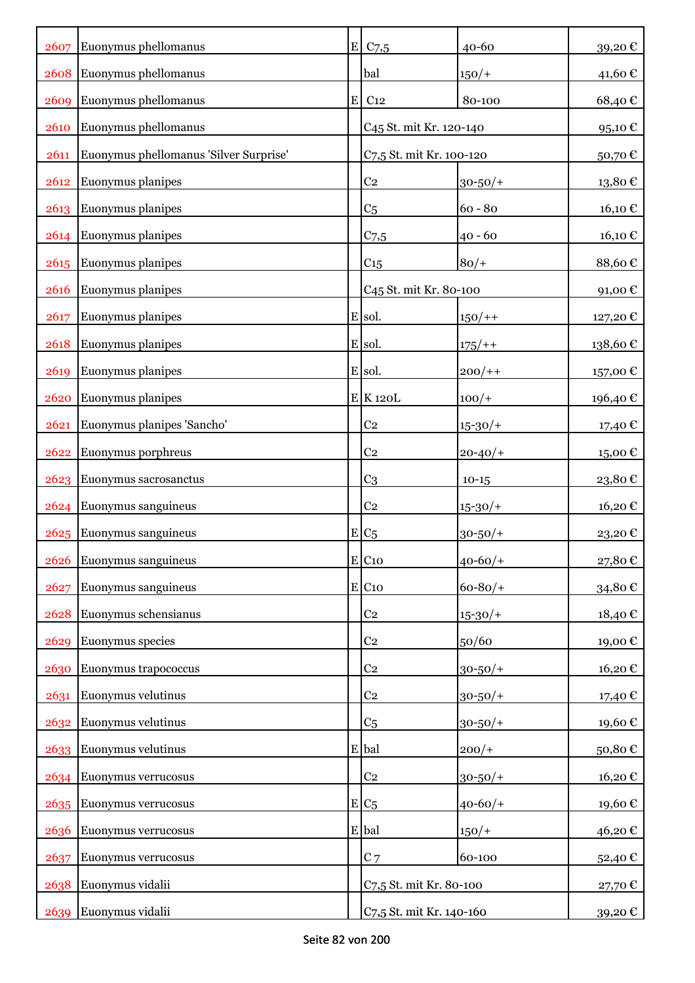| 2607 | Euonymus phellomanus                   | $E$ C <sub>7</sub> ,5               | $40 - 60$    | 39,20€            |
|------|----------------------------------------|-------------------------------------|--------------|-------------------|
| 2608 | Euonymus phellomanus                   | bal                                 | $150/+$      | 41,60€            |
| 2609 | Euonymus phellomanus                   | $E$ C <sub>12</sub>                 | 80-100       | 68,40€            |
| 2610 | Euonymus phellomanus                   | C <sub>45</sub> St. mit Kr. 120-140 |              | 95,10€            |
| 2611 | Euonymus phellomanus 'Silver Surprise' | C7,5 St. mit Kr. 100-120            |              | 50,70€            |
| 2612 | Euonymus planipes                      | C <sub>2</sub>                      | $30 - 50/$ + | 13,80€            |
| 2613 | Euonymus planipes                      | C <sub>5</sub>                      | $60 - 80$    | 16,10€            |
| 2614 | Euonymus planipes                      | $C$ 7,5                             | $40 - 60$    | 16,10€            |
| 2615 | Euonymus planipes                      | C <sub>15</sub>                     | $80/+$       | 88,60€            |
| 2616 | Euonymus planipes                      | C <sub>45</sub> St. mit Kr. 80-100  |              | 91,00€            |
| 2617 | Euonymus planipes                      | E sol.                              | $150/+$      | 127,20 €          |
| 2618 | Euonymus planipes                      | E sol.                              | $175/+$      | 138,60€           |
| 2619 | Euonymus planipes                      | E sol.                              | $200/+$      | 157,00€           |
| 2620 | Euonymus planipes                      | $E$ K 120L                          | $100/+$      | 196,40€           |
| 2621 | Euonymus planipes 'Sancho'             | C <sub>2</sub>                      | $15 - 30/$   | 17,40 €           |
| 2622 | Euonymus porphreus                     | C <sub>2</sub>                      | $20 - 40/$   | 15,00€            |
| 2623 | Euonymus sacrosanctus                  | C <sub>3</sub>                      | $10 - 15$    | 23,80€            |
| 2624 | Euonymus sanguineus                    | C <sub>2</sub>                      | $15 - 30/$   | 16,20€            |
| 2625 | Euonymus sanguineus                    | $E C_5$                             | $30 - 50/$ + | 23,20€            |
| 2626 | Euonymus sanguineus                    | E C10                               | $40 - 60/$   | 27,80 $\mathbb C$ |
| 2627 | Euonymus sanguineus                    | E C10                               | $60 - 80/$   | 34,80€            |
| 2628 | Euonymus schensianus                   | C <sub>2</sub>                      | $15 - 30/$   | 18,40€            |
| 2629 | Euonymus species                       | C <sub>2</sub>                      | 50/60        | 19,00€            |
| 2630 | Euonymus trapococcus                   | C <sub>2</sub>                      | $30 - 50/$   | 16,20€            |
| 2631 | Euonymus velutinus                     | C <sub>2</sub>                      | $30 - 50/$ + | 17,40€            |
| 2632 | Euonymus velutinus                     | C <sub>5</sub>                      | $30 - 50/$ + | 19,60€            |
| 2633 | Euonymus velutinus                     | E bal                               | $200/+$      | 50,80€            |
| 2634 | Euonymus verrucosus                    | C <sub>2</sub>                      | $30 - 50/$ + | 16,20€            |
| 2635 | Euonymus verrucosus                    | $E/C_5$                             | $40 - 60/$   | 19,60€            |
| 2636 | Euonymus verrucosus                    | E bal                               | $150/+$      | 46,20€            |
| 2637 | Euonymus verrucosus                    | $C$ 7                               | 60-100       | 52,40€            |
| 2638 | Euonymus vidalii                       | C7,5 St. mit Kr. 80-100             |              | 27,70 €           |
| 2639 | Euonymus vidalii                       | C7,5 St. mit Kr. 140-160            |              | 39,20€            |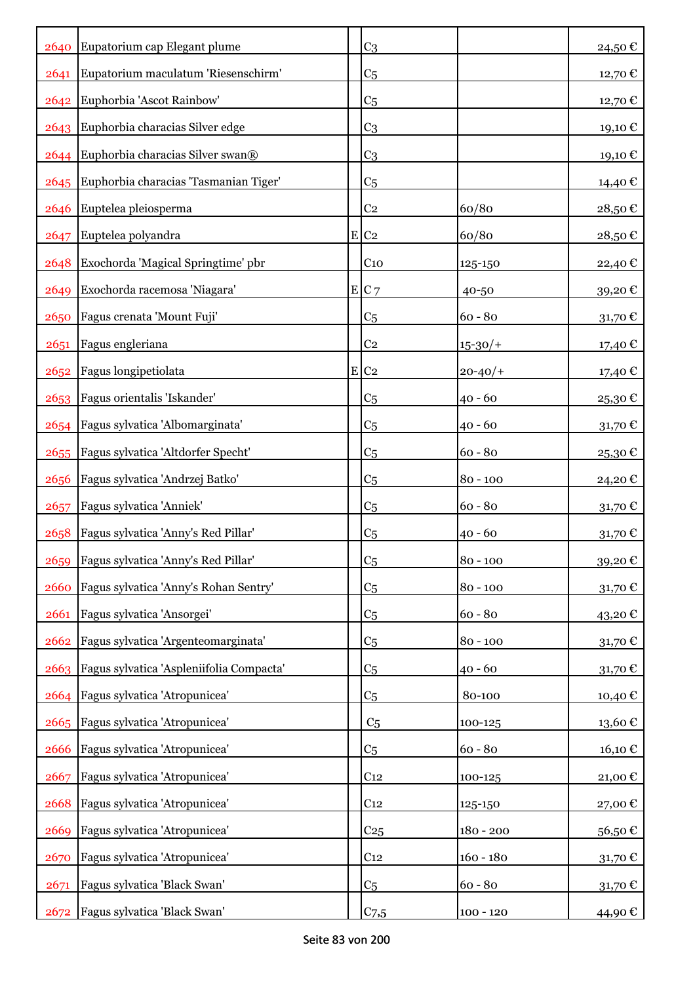|      | 2640 Eupatorium cap Elegant plume        | C <sub>3</sub>     |             | 24,50€  |
|------|------------------------------------------|--------------------|-------------|---------|
| 2641 | Eupatorium maculatum 'Riesenschirm'      | C <sub>5</sub>     |             | 12,70 € |
| 2642 | Euphorbia 'Ascot Rainbow'                | C <sub>5</sub>     |             | 12,70 € |
|      | 2643 Euphorbia characias Silver edge     | C <sub>3</sub>     |             | 19,10 € |
|      | 2644 Euphorbia characias Silver swan®    | C <sub>3</sub>     |             | 19,10 € |
| 2645 | Euphorbia characias 'Tasmanian Tiger'    | C <sub>5</sub>     |             | 14,40 € |
| 2646 | Euptelea pleiosperma                     | C <sub>2</sub>     | 60/80       | 28,50€  |
| 2647 | Euptelea polyandra                       | E C2               | 60/80       | 28,50€  |
| 2648 | Exochorda 'Magical Springtime' pbr       | C <sub>10</sub>    | 125-150     | 22,40 € |
| 2649 | Exochorda racemosa 'Niagara'             | E C7               | 40-50       | 39,20€  |
| 2650 | Fagus crenata 'Mount Fuji'               | C <sub>5</sub>     | $60 - 80$   | 31,70€  |
| 2651 | Fagus engleriana                         | C <sub>2</sub>     | $15 - 30/$  | 17,40 € |
| 2652 | Fagus longipetiolata                     | $E$ C <sub>2</sub> | $20 - 40/$  | 17,40 € |
|      | 2653   Fagus orientalis 'Iskander'       | C <sub>5</sub>     | $40 - 60$   | 25,30€  |
| 2654 | Fagus sylvatica 'Albomarginata'          | C <sub>5</sub>     | $40 - 60$   | 31,70€  |
| 2655 | Fagus sylvatica 'Altdorfer Specht'       | C <sub>5</sub>     | $60 - 80$   | 25,30€  |
| 2656 | Fagus sylvatica 'Andrzej Batko'          | C <sub>5</sub>     | $80 - 100$  | 24,20€  |
| 2657 | Fagus sylvatica 'Anniek'                 | C <sub>5</sub>     | $60 - 80$   | 31,70€  |
| 2658 | Fagus sylvatica 'Anny's Red Pillar'      | C <sub>5</sub>     | $40 - 60$   | 31,70€  |
| 2659 | Fagus sylvatica 'Anny's Red Pillar'      | C <sub>5</sub>     | $80 - 100$  | 39,20€  |
| 2660 | Fagus sylvatica 'Anny's Rohan Sentry'    | C <sub>5</sub>     | $80 - 100$  | 31,70 € |
| 2661 | Fagus sylvatica 'Ansorgei'               | C <sub>5</sub>     | $60 - 80$   | 43,20€  |
| 2662 | Fagus sylvatica 'Argenteomarginata'      | C <sub>5</sub>     | $80 - 100$  | 31,70€  |
| 2663 | Fagus sylvatica 'Aspleniifolia Compacta' | C <sub>5</sub>     | $40 - 60$   | 31,70€  |
| 2664 | Fagus sylvatica 'Atropunicea'            | C <sub>5</sub>     | 80-100      | 10,40€  |
| 2665 | Fagus sylvatica 'Atropunicea'            | C <sub>5</sub>     | 100-125     | 13,60€  |
| 2666 | Fagus sylvatica 'Atropunicea'            | C <sub>5</sub>     | $60 - 80$   | 16,10€  |
| 2667 | Fagus sylvatica 'Atropunicea'            | C <sub>12</sub>    | 100-125     | 21,00€  |
| 2668 | Fagus sylvatica 'Atropunicea'            | C <sub>12</sub>    | 125-150     | 27,00€  |
| 2669 | Fagus sylvatica 'Atropunicea'            | C <sub>25</sub>    | $180 - 200$ | 56,50€  |
| 2670 | Fagus sylvatica 'Atropunicea'            | C <sub>12</sub>    | $160 - 180$ | 31,70€  |
| 2671 | Fagus sylvatica 'Black Swan'             | C <sub>5</sub>     | $60 - 80$   | 31,70€  |
| 2672 | Fagus sylvatica 'Black Swan'             | C <sub>7,5</sub>   | $100 - 120$ | 44,90 € |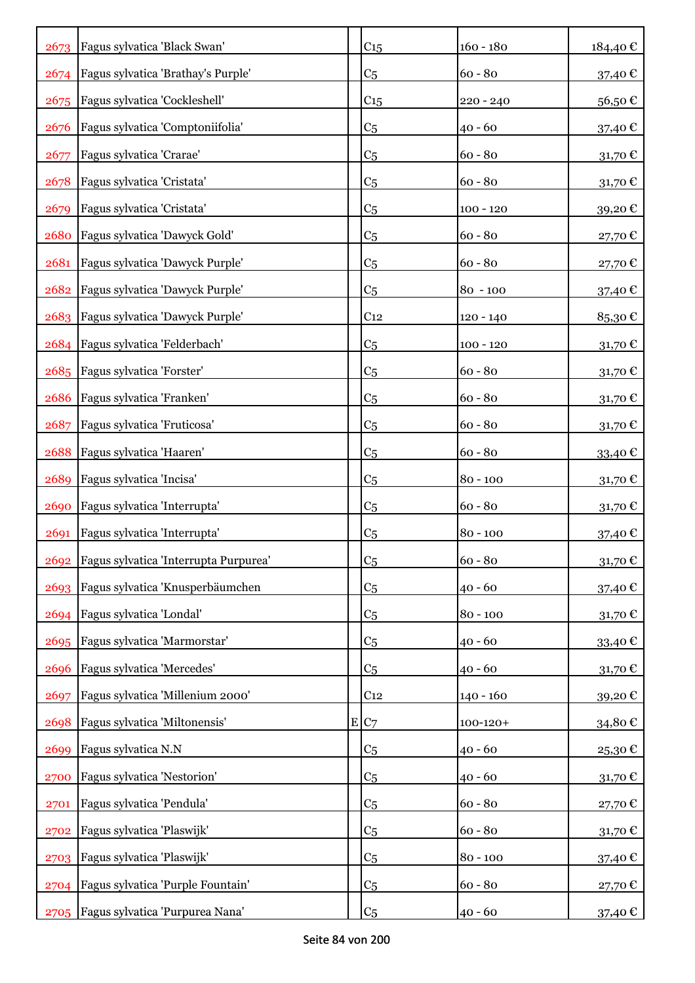| 2673 | Fagus sylvatica 'Black Swan'               | C15             | $160 - 180$   | 184,40€          |
|------|--------------------------------------------|-----------------|---------------|------------------|
| 2674 | Fagus sylvatica 'Brathay's Purple'         | C <sub>5</sub>  | $60 - 80$     | 37,40€           |
| 2675 | Fagus sylvatica 'Cockleshell'              | C <sub>15</sub> | $220 - 240$   | 56,50€           |
| 2676 | Fagus sylvatica 'Comptoniifolia'           | C <sub>5</sub>  | $40 - 60$     | 37,40 €          |
| 2677 | Fagus sylvatica 'Crarae'                   | C <sub>5</sub>  | $60 - 80$     | 31,70€           |
| 2678 | Fagus sylvatica 'Cristata'                 | C <sub>5</sub>  | $60 - 80$     | 31,70€           |
| 2679 | Fagus sylvatica 'Cristata'                 | C <sub>5</sub>  | $100 - 120$   | 39,20€           |
| 2680 | Fagus sylvatica 'Dawyck Gold'              | C <sub>5</sub>  | $60 - 80$     | 27,70€           |
| 2681 | Fagus sylvatica 'Dawyck Purple'            | C <sub>5</sub>  | $60 - 80$     | 27,70€           |
| 2682 | Fagus sylvatica 'Dawyck Purple'            | C <sub>5</sub>  | $80 - 100$    | 37,40 €          |
|      | 2683 Fagus sylvatica 'Dawyck Purple'       | C <sub>12</sub> | 120 - 140     | 85,30€           |
|      | 2684 Fagus sylvatica 'Felderbach'          | C <sub>5</sub>  | $100 - 120$   | $31,70 \in$      |
|      | 2685   Fagus sylvatica 'Forster'           | C <sub>5</sub>  | $60 - 80$     | $31,70 \in$      |
| 2686 | Fagus sylvatica 'Franken'                  | C <sub>5</sub>  | $60 - 80$     | 31,70€           |
| 2687 | Fagus sylvatica 'Fruticosa'                | C <sub>5</sub>  | $60 - 80$     | 31,70€           |
| 2688 | Fagus sylvatica 'Haaren'                   | C <sub>5</sub>  | $60 - 80$     | 33,40€           |
| 2689 | Fagus sylvatica 'Incisa'                   | C <sub>5</sub>  | $80 - 100$    | $31,70 \in$      |
| 2690 | Fagus sylvatica 'Interrupta'               | C <sub>5</sub>  | $60 - 80$     | $31,70$ €        |
| 2691 | Fagus sylvatica 'Interrupta'               | C <sub>5</sub>  | $80 - 100$    | 37,40€           |
|      | 2692 Fagus sylvatica 'Interrupta Purpurea' | C <sub>5</sub>  | $60 - 80$     | 31,70 $\epsilon$ |
| 2693 | Fagus sylvatica 'Knusperbäumchen           | C5              | $40 - 60$     | 37,40€           |
| 2694 | Fagus sylvatica 'Londal'                   | C5              | $80 - 100$    | 31,70€           |
| 2695 | Fagus sylvatica 'Marmorstar'               | C5              | $40 - 60$     | 33,40€           |
| 2696 | Fagus sylvatica 'Mercedes'                 | C <sub>5</sub>  | $40 - 60$     | 31,70€           |
| 2697 | Fagus sylvatica 'Millenium 2000'           | C <sub>12</sub> | $140 - 160$   | 39,20€           |
| 2698 | Fagus sylvatica 'Miltonensis'              | E/C7            | $100 - 120 +$ | 34,80€           |
| 2699 | Fagus sylvatica N.N                        | C <sub>5</sub>  | $40 - 60$     | 25,30€           |
| 2700 | Fagus sylvatica 'Nestorion'                | C <sub>5</sub>  | $40 - 60$     | 31,70€           |
| 2701 | Fagus sylvatica 'Pendula'                  | C <sub>5</sub>  | $60 - 80$     | 27,70 €          |
| 2702 | Fagus sylvatica 'Plaswijk'                 | C5              | $60 - 80$     | 31,70€           |
| 2703 | Fagus sylvatica 'Plaswijk'                 | C <sub>5</sub>  | $80 - 100$    | 37,40€           |
| 2704 | Fagus sylvatica 'Purple Fountain'          | C <sub>5</sub>  | $60 - 80$     | 27,70€           |
| 2705 | Fagus sylvatica 'Purpurea Nana'            | C <sub>5</sub>  | $40 - 60$     | 37,40 €          |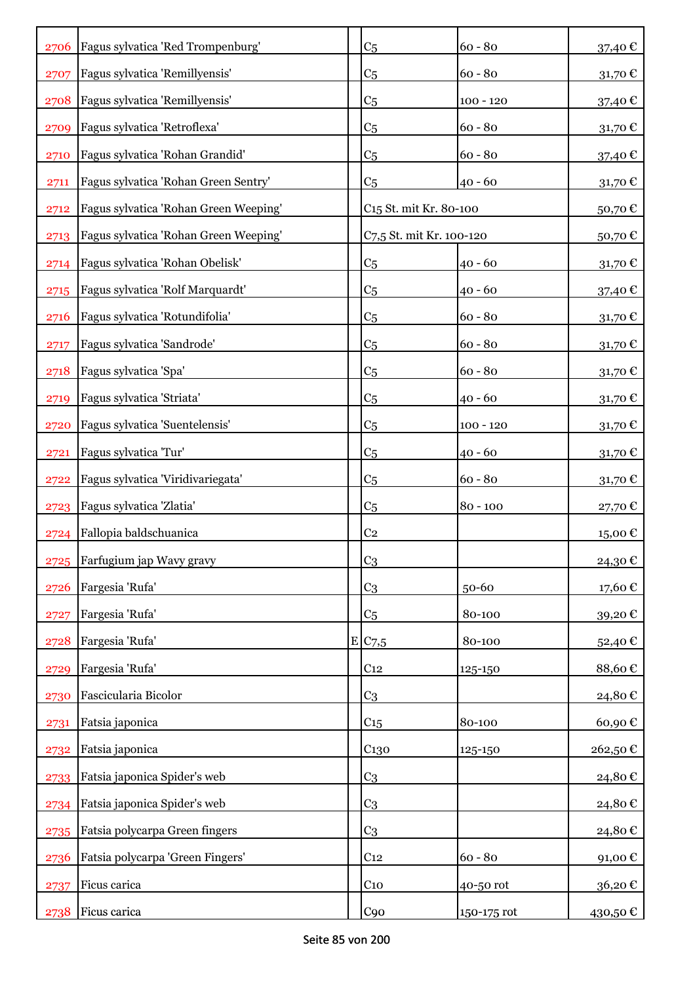| 2706 | Fagus sylvatica 'Red Trompenburg'     | C <sub>5</sub>                     | $60 - 80$   | 37,40 €              |
|------|---------------------------------------|------------------------------------|-------------|----------------------|
| 2707 | Fagus sylvatica 'Remillyensis'        | C <sub>5</sub>                     | $60 - 80$   | 31,70€               |
| 2708 | Fagus sylvatica 'Remillyensis'        | C <sub>5</sub>                     | $100 - 120$ | 37,40 €              |
| 2709 | Fagus sylvatica 'Retroflexa'          | C <sub>5</sub>                     | $60 - 80$   | $31,70$ €            |
| 2710 | Fagus sylvatica 'Rohan Grandid'       | C <sub>5</sub>                     | $60 - 80$   | 37,40 €              |
| 2711 | Fagus sylvatica 'Rohan Green Sentry'  | C <sub>5</sub>                     | $40 - 60$   | 31,70 $\epsilon$     |
| 2712 | Fagus sylvatica 'Rohan Green Weeping' | C <sub>15</sub> St. mit Kr. 80-100 |             | 50,70€               |
| 2713 | Fagus sylvatica 'Rohan Green Weeping' | C7,5 St. mit Kr. 100-120           |             | 50,70€               |
| 2714 | Fagus sylvatica 'Rohan Obelisk'       | C <sub>5</sub>                     | $40 - 60$   | 31,70€               |
| 2715 | Fagus sylvatica 'Rolf Marquardt'      | C <sub>5</sub>                     | $40 - 60$   | 37,40 €              |
| 2716 | Fagus sylvatica 'Rotundifolia'        | C <sub>5</sub>                     | $60 - 80$   | 31,70€               |
| 2717 | Fagus sylvatica 'Sandrode'            | C <sub>5</sub>                     | $60 - 80$   | $31,70 \in$          |
| 2718 | Fagus sylvatica 'Spa'                 | C <sub>5</sub>                     | $60 - 80$   | 31,70€               |
| 2719 | Fagus sylvatica 'Striata'             | C <sub>5</sub>                     | $40 - 60$   | 31,70€               |
| 2720 | Fagus sylvatica 'Suentelensis'        | C <sub>5</sub>                     | $100 - 120$ | 31,70€               |
| 2721 | Fagus sylvatica 'Tur'                 | C <sub>5</sub>                     | $40 - 60$   | $31,70 \text{ } \in$ |
| 2722 | Fagus sylvatica 'Viridivariegata'     | C <sub>5</sub>                     | $60 - 80$   | $31,70 \in$          |
| 2723 | Fagus sylvatica 'Zlatia'              | C <sub>5</sub>                     | $80 - 100$  | 27,70€               |
| 2724 | Fallopia baldschuanica                | C <sub>2</sub>                     |             | 15,00€               |
| 2725 | Farfugium jap Wavy gravy              | C <sub>3</sub>                     |             | 24,30€               |
| 2726 | Fargesia 'Rufa'                       | C <sub>3</sub>                     | 50-60       | 17,60€               |
| 2727 | Fargesia 'Rufa'                       | C <sub>5</sub>                     | 80-100      | 39,20€               |
| 2728 | Fargesia 'Rufa'                       | E/C7,5                             | 80-100      | 52,40€               |
| 2729 | Fargesia 'Rufa'                       | C <sub>12</sub>                    | 125-150     | 88,60€               |
| 2730 | Fascicularia Bicolor                  | C <sub>3</sub>                     |             | 24,80€               |
| 2731 | Fatsia japonica                       | C <sub>15</sub>                    | 80-100      | 60,90€               |
| 2732 | Fatsia japonica                       | C <sub>130</sub>                   | 125-150     | 262,50€              |
| 2733 | Fatsia japonica Spider's web          | C <sub>3</sub>                     |             | 24,80€               |
| 2734 | Fatsia japonica Spider's web          | C <sub>3</sub>                     |             | 24,80€               |
| 2735 | Fatsia polycarpa Green fingers        | C <sub>3</sub>                     |             | 24,80€               |
| 2736 | Fatsia polycarpa 'Green Fingers'      | C <sub>12</sub>                    | $60 - 80$   | 91,00€               |
| 2737 | Ficus carica                          | C <sub>10</sub>                    | 40-50 rot   | 36,20€               |
| 2738 | Ficus carica                          | C90                                | 150-175 rot | 430,50€              |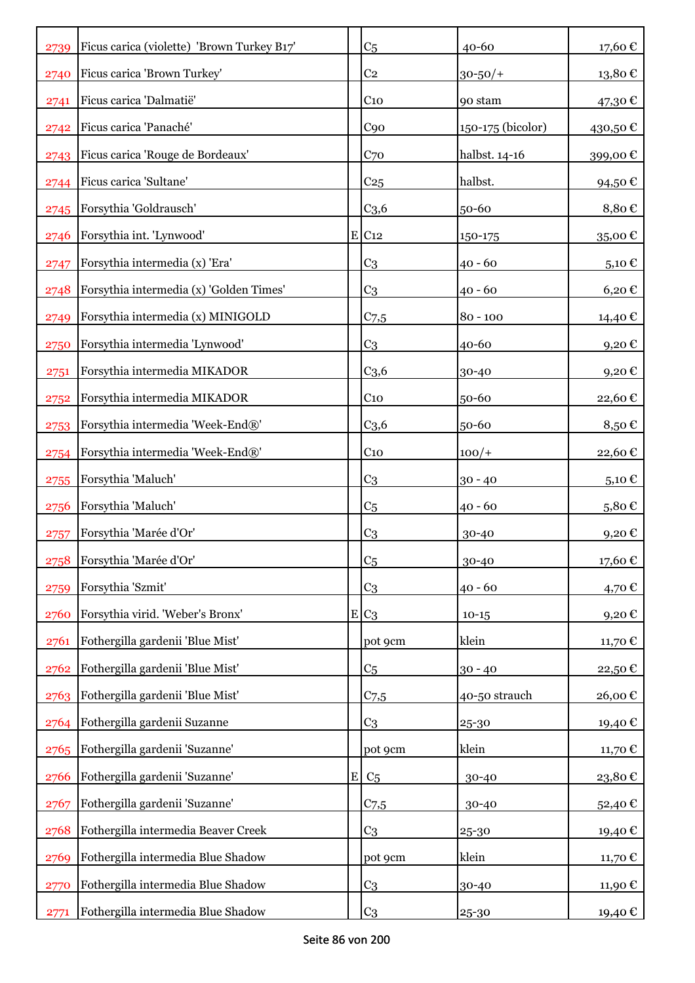| 2739 | Ficus carica (violette) 'Brown Turkey B17' |           | C <sub>5</sub>      | 40-60             | 17,60€                 |
|------|--------------------------------------------|-----------|---------------------|-------------------|------------------------|
| 2740 | Ficus carica 'Brown Turkey'                |           | C <sub>2</sub>      | $30 - 50/$        | 13,80€                 |
| 2741 | Ficus carica 'Dalmatië'                    |           | C <sub>10</sub>     | 90 stam           | 47,30 €                |
| 2742 | Ficus carica 'Panaché'                     |           | C <sub>90</sub>     | 150-175 (bicolor) | 430,50€                |
| 2743 | Ficus carica 'Rouge de Bordeaux'           |           | C <sub>70</sub>     | halbst. 14-16     | 399,00€                |
| 2744 | Ficus carica 'Sultane'                     |           | C <sub>25</sub>     | halbst.           | 94,50€                 |
| 2745 | Forsythia 'Goldrausch'                     |           | C <sub>3,6</sub>    | 50-60             | 8,80€                  |
| 2746 | Forsythia int. 'Lynwood'                   |           | $E$ C <sub>12</sub> | 150-175           | 35,00€                 |
| 2747 | Forsythia intermedia (x) 'Era'             |           | C <sub>3</sub>      | $40 - 60$         | $5,10 \in$             |
| 2748 | Forsythia intermedia (x) 'Golden Times'    |           | C <sub>3</sub>      | $40 - 60$         | $6,20 \in$             |
| 2749 | Forsythia intermedia (x) MINIGOLD          |           | $C_{7,5}$           | $80 - 100$        | 14,40 €                |
| 2750 | Forsythia intermedia 'Lynwood'             |           | C <sub>3</sub>      | 40-60             | $9,20$ €               |
| 2751 | Forsythia intermedia MIKADOR               |           | C <sub>3,6</sub>    | 30-40             | 9,20€                  |
| 2752 | Forsythia intermedia MIKADOR               |           | C <sub>10</sub>     | 50-60             | 22,60€                 |
| 2753 | Forsythia intermedia 'Week-End®'           |           | C <sub>3,6</sub>    | 50-60             | 8,50€                  |
| 2754 | Forsythia intermedia 'Week-End®'           |           | C <sub>10</sub>     | $100/+$           | 22,60€                 |
| 2755 | Forsythia 'Maluch'                         |           | C <sub>3</sub>      | $30 - 40$         | 5,10 $\epsilon$        |
| 2756 | Forsythia 'Maluch'                         |           | C <sub>5</sub>      | $40 - 60$         | 5,80€                  |
| 2757 | Forsythia 'Marée d'Or'                     |           | C <sub>3</sub>      | 30-40             | 9,20€                  |
| 2758 | Forsythia 'Marée d'Or'                     |           | C <sub>5</sub>      | 30-40             | $17{,}60$ $\mathbb{C}$ |
| 2759 | Forsythia 'Szmit'                          |           | C <sub>3</sub>      | $40 - 60$         | 4,70 €                 |
| 2760 | Forsythia virid. 'Weber's Bronx'           |           | $E C_3$             | $10-15$           | 9,20€                  |
| 2761 | Fothergilla gardenii 'Blue Mist'           |           | pot 9cm             | klein             | 11,70€                 |
| 2762 | Fothergilla gardenii 'Blue Mist'           |           | C <sub>5</sub>      | $30 - 40$         | 22,50€                 |
| 2763 | Fothergilla gardenii 'Blue Mist'           |           | $C_{7,5}$           | 40-50 strauch     | 26,00€                 |
| 2764 | Fothergilla gardenii Suzanne               |           | C <sub>3</sub>      | 25-30             | 19,40€                 |
| 2765 | Fothergilla gardenii 'Suzanne'             |           | pot 9cm             | klein             | 11,70 €                |
| 2766 | Fothergilla gardenii 'Suzanne'             | ${\bf E}$ | C <sub>5</sub>      | 30-40             | 23,80€                 |
| 2767 | Fothergilla gardenii 'Suzanne'             |           | $C_{7,5}$           | 30-40             | 52,40€                 |
| 2768 | Fothergilla intermedia Beaver Creek        |           | C <sub>3</sub>      | 25-30             | 19,40€                 |
| 2769 | Fothergilla intermedia Blue Shadow         |           | pot 9cm             | klein             | 11,70 €                |
| 2770 | Fothergilla intermedia Blue Shadow         |           | C <sub>3</sub>      | 30-40             | 11,90 €                |
| 2771 | Fothergilla intermedia Blue Shadow         |           | C <sub>3</sub>      | 25-30             | 19,40 €                |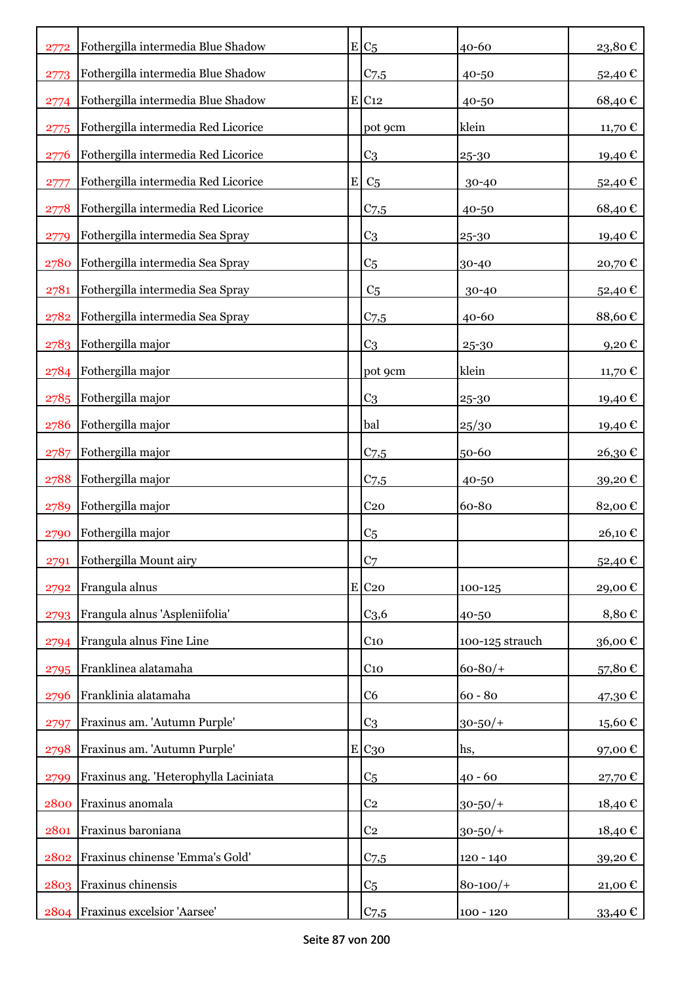| 2772 | Fothergilla intermedia Blue Shadow    |   | $E C_5$             | 40-60           | 23,80€        |
|------|---------------------------------------|---|---------------------|-----------------|---------------|
| 2773 | Fothergilla intermedia Blue Shadow    |   | $C_{7,5}$           | 40-50           | 52,40€        |
| 2774 | Fothergilla intermedia Blue Shadow    |   | $E$ C <sub>12</sub> | 40-50           | 68,40€        |
| 2775 | Fothergilla intermedia Red Licorice   |   | pot 9cm             | klein           | 11,70 €       |
| 2776 | Fothergilla intermedia Red Licorice   |   | C <sub>3</sub>      | 25-30           | 19,40€        |
| 2777 | Fothergilla intermedia Red Licorice   | E | C <sub>5</sub>      | 30-40           | 52,40€        |
| 2778 | Fothergilla intermedia Red Licorice   |   | $C$ 7,5             | 40-50           | 68,40€        |
| 2779 | Fothergilla intermedia Sea Spray      |   | C <sub>3</sub>      | 25-30           | 19,40 €       |
| 2780 | Fothergilla intermedia Sea Spray      |   | C <sub>5</sub>      | 30-40           | 20,70€        |
| 2781 | Fothergilla intermedia Sea Spray      |   | C <sub>5</sub>      | 30-40           | 52,40€        |
| 2782 | Fothergilla intermedia Sea Spray      |   | C <sub>7,5</sub>    | $40 - 60$       | 88,60€        |
| 2783 | Fothergilla major                     |   | C <sub>3</sub>      | 25-30           | $9,20$ €      |
| 2784 | Fothergilla major                     |   | pot 9cm             | klein           | 11,70 €       |
| 2785 | Fothergilla major                     |   | C <sub>3</sub>      | 25-30           | 19,40 €       |
| 2786 | Fothergilla major                     |   | bal                 | 25/30           | 19,40€        |
| 2787 | Fothergilla major                     |   | $C$ 7,5             | 50-60           | 26,30€        |
| 2788 | Fothergilla major                     |   | C <sub>7,5</sub>    | 40-50           | 39,20€        |
| 2789 | Fothergilla major                     |   | C <sub>20</sub>     | 60-80           | 82,00€        |
| 2790 | Fothergilla major                     |   | C <sub>5</sub>      |                 | 26,10€        |
| 2791 | Fothergilla Mount airy                |   | C <sub>7</sub>      |                 | 52,40€        |
| 2792 | Frangula alnus                        |   | E C20               | 100-125         | 29,00€        |
| 2793 | Frangula alnus 'Aspleniifolia'        |   | C <sub>3,6</sub>    | 40-50           | 8,80€         |
| 2794 | Frangula alnus Fine Line              |   | C <sub>10</sub>     | 100-125 strauch | 36,00€        |
| 2795 | Franklinea alatamaha                  |   | C <sub>10</sub>     | $60 - 80/$      | 57,80€        |
| 2796 | Franklinia alatamaha                  |   | C <sub>6</sub>      | $60 - 80$       | 47,30€        |
| 2797 | Fraxinus am. 'Autumn Purple'          |   | C <sub>3</sub>      | $30 - 50/$ +    | 15,60€        |
| 2798 | Fraxinus am. 'Autumn Purple'          |   | E C <sub>30</sub>   | hs,             | 97,00€        |
| 2799 | Fraxinus ang. 'Heterophylla Laciniata |   | C <sub>5</sub>      | $40 - 60$       | 27,70€        |
| 2800 | Fraxinus anomala                      |   | C <sub>2</sub>      | $30 - 50/$ +    | $18{,}40 \in$ |
| 2801 | Fraxinus baroniana                    |   | C <sub>2</sub>      | $30 - 50/$ +    | 18,40€        |
| 2802 | Fraxinus chinense 'Emma's Gold'       |   | $C$ 7,5             | $120 - 140$     | 39,20€        |
| 2803 | Fraxinus chinensis                    |   | C <sub>5</sub>      | $80 - 100/$     | 21,00 €       |
| 2804 | Fraxinus excelsior 'Aarsee'           |   | C <sub>7,5</sub>    | $100 - 120$     | 33,40 €       |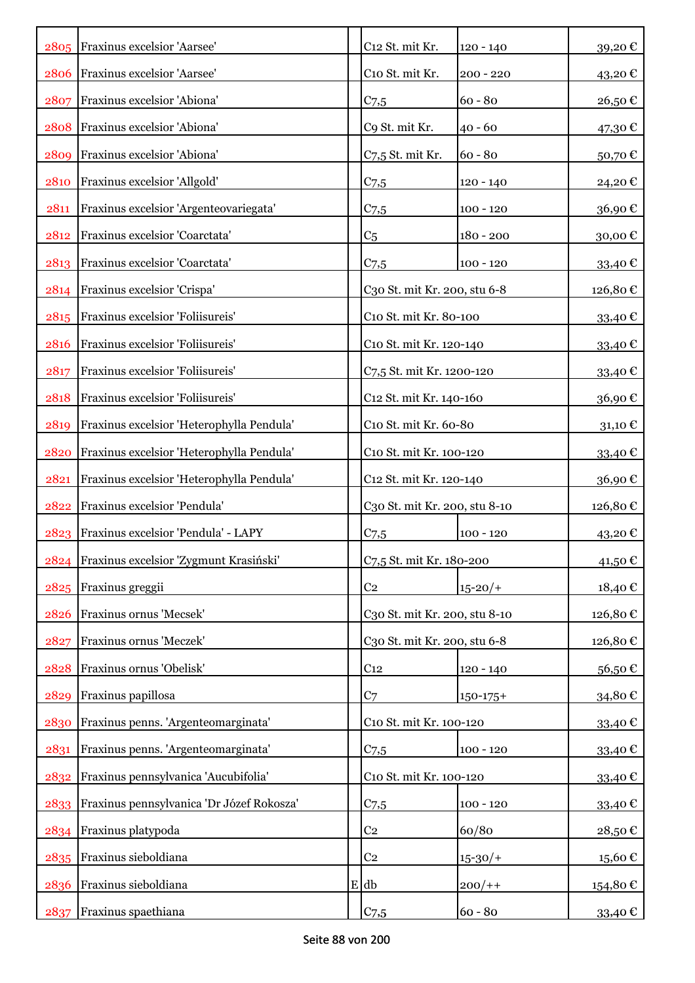|      | 2805 Fraxinus excelsior 'Aarsee'            | C12 St. mit Kr.               | $120 - 140$          | 39,20€           |
|------|---------------------------------------------|-------------------------------|----------------------|------------------|
| 2806 | Fraxinus excelsior 'Aarsee'                 | C10 St. mit Kr.               | $200 - 220$          | 43,20€           |
| 2807 | Fraxinus excelsior 'Abiona'                 | C <sub>7,5</sub>              | $60 - 80$            | 26,50€           |
| 2808 | Fraxinus excelsior 'Abiona'                 | C9 St. mit Kr.                | $40 - 60$            | 47,30 €          |
| 2809 | Fraxinus excelsior 'Abiona'                 | C7,5 St. mit Kr.              | $60 - 80$            | 50,70€           |
| 2810 | Fraxinus excelsior 'Allgold'                | C <sub>7.5</sub>              | $120 - 140$          | 24,20€           |
| 2811 | Fraxinus excelsior 'Argenteovariegata'      | $C_{7,5}$                     | $100 - 120$          | 36,90€           |
| 2812 | Fraxinus excelsior 'Coarctata'              | C <sub>5</sub>                | $180 - 200$          | 30,00€           |
| 2813 | Fraxinus excelsior 'Coarctata'              | C <sub>7,5</sub>              | $100 - 120$          | 33,40 €          |
| 2814 | Fraxinus excelsior 'Crispa'                 | C30 St. mit Kr. 200, stu 6-8  |                      | 126,80€          |
| 2815 | Fraxinus excelsior 'Foliisureis'            | C10 St. mit Kr. 80-100        |                      | 33,40 $\epsilon$ |
| 2816 | Fraxinus excelsior 'Foliisureis'            | C10 St. mit Kr. 120-140       |                      | 33,40 €          |
| 2817 | Fraxinus excelsior 'Foliisureis'            | C7,5 St. mit Kr. 1200-120     |                      | 33,40 €          |
| 2818 | Fraxinus excelsior 'Foliisureis'            | C12 St. mit Kr. 140-160       |                      | 36,90€           |
| 2819 | Fraxinus excelsior 'Heterophylla Pendula'   | C10 St. mit Kr. 60-80         | $31,10 \text{ } \in$ |                  |
| 2820 | Fraxinus excelsior 'Heterophylla Pendula'   | C10 St. mit Kr. 100-120       |                      | 33,40 €          |
| 2821 | Fraxinus excelsior 'Heterophylla Pendula'   | C12 St. mit Kr. 120-140       |                      | 36,90€           |
| 2822 | Fraxinus excelsior 'Pendula'                | C30 St. mit Kr. 200, stu 8-10 |                      | 126,80€          |
| 2823 | Fraxinus excelsior 'Pendula' - LAPY         | C <sub>7,5</sub>              | $100 - 120$          | 43,20€           |
|      | 2824 Fraxinus excelsior 'Zygmunt Krasiński' | C7,5 St. mit Kr. 180-200      |                      | 41,50€           |
|      | 2825 Fraxinus greggii                       | C <sub>2</sub>                | $15 - 20/$           | 18,40€           |
| 2826 | Fraxinus ornus 'Mecsek'                     | C30 St. mit Kr. 200, stu 8-10 |                      | 126,80€          |
| 2827 | Fraxinus ornus 'Meczek'                     | C30 St. mit Kr. 200, stu 6-8  |                      | 126,80 €         |
| 2828 | Fraxinus ornus 'Obelisk'                    | C <sub>12</sub>               | $120 - 140$          | 56,50€           |
| 2829 | Fraxinus papillosa                          | C <sub>7</sub>                | $150 - 175 +$        | 34,80€           |
| 2830 | Fraxinus penns. 'Argenteomarginata'         | C10 St. mit Kr. 100-120       |                      | 33,40€           |
| 2831 | Fraxinus penns. 'Argenteomarginata'         | $C$ 7,5                       | $100 - 120$          | 33,40€           |
| 2832 | Fraxinus pennsylvanica 'Aucubifolia'        | C10 St. mit Kr. 100-120       |                      | 33,40€           |
| 2833 | Fraxinus pennsylvanica 'Dr Józef Rokosza'   | $C$ 7,5                       | $100 - 120$          | 33,40€           |
|      | 2834 Fraxinus platypoda                     | C <sub>2</sub>                | 60/80                | 28,50€           |
|      | 2835 Fraxinus sieboldiana                   | C <sub>2</sub>                | $15 - 30/$           | 15,60€           |
| 2836 | Fraxinus sieboldiana                        | $E$ db                        | $200/+$              | 154,80 €         |
| 2837 | Fraxinus spaethiana                         | $C_{7,5}$                     | $60 - 80$            | 33,40 €          |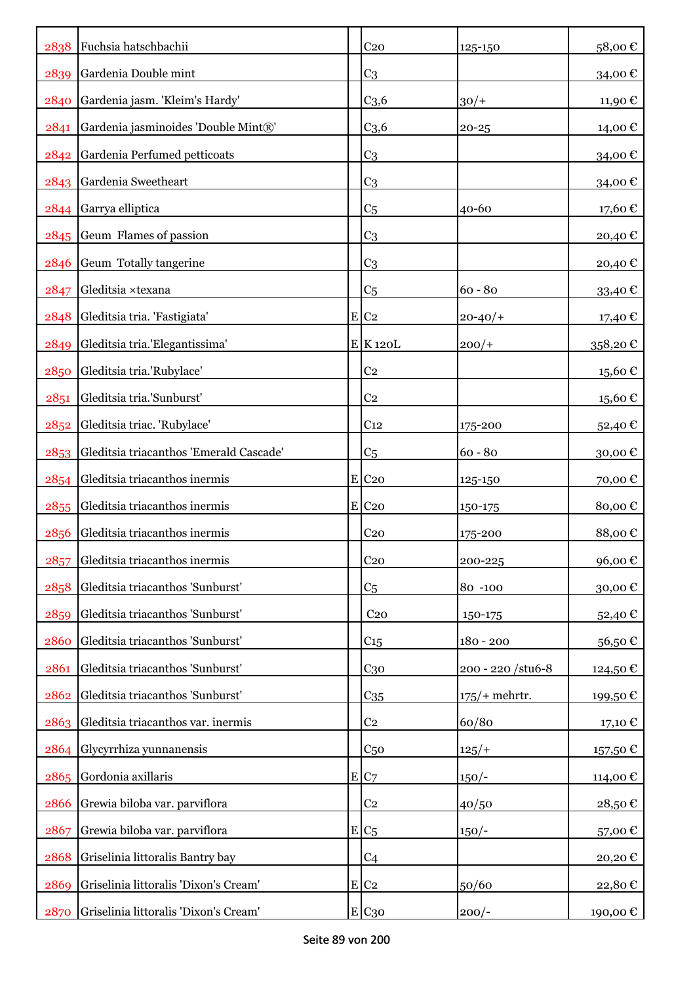| 2838 | Fuchsia hatschbachii                    | C <sub>20</sub>     | 125-150            | 58,00€   |
|------|-----------------------------------------|---------------------|--------------------|----------|
| 2839 | Gardenia Double mint                    | C <sub>3</sub>      |                    | 34,00€   |
| 2840 | Gardenia jasm. 'Kleim's Hardy'          | C <sub>3,6</sub>    | $30/+$             | 11,90€   |
| 2841 | Gardenia jasminoides 'Double Mint®'     | C <sub>3,6</sub>    | $20 - 25$          | 14,00 €  |
| 2842 | Gardenia Perfumed petticoats            | C <sub>3</sub>      |                    | 34,00€   |
| 2843 | Gardenia Sweetheart                     | C <sub>3</sub>      |                    | 34,00€   |
| 2844 | Garrya elliptica                        | C <sub>5</sub>      | 40-60              | 17,60€   |
|      | 2845 Geum Flames of passion             | C <sub>3</sub>      |                    | 20,40€   |
| 2846 | Geum Totally tangerine                  | C <sub>3</sub>      |                    | 20,40€   |
| 2847 | Gleditsia ×texana                       | C <sub>5</sub>      | $60 - 80$          | 33,40 €  |
| 2848 | Gleditsia tria. 'Fastigiata'            | $E C_2$             | $20 - 40/$         | 17,40 €  |
| 2849 | Gleditsia tria.'Elegantissima'          | $E$ K 120L          | $200/+$            | 358,20€  |
| 2850 | Gleditsia tria.'Rubylace'               | C <sub>2</sub>      |                    | 15,60€   |
| 2851 | Gleditsia tria.'Sunburst'               | C <sub>2</sub>      |                    | 15,60€   |
| 2852 | Gleditsia triac. 'Rubylace'             | C <sub>12</sub>     | 175-200            | 52,40 €  |
| 2853 | Gleditsia triacanthos 'Emerald Cascade' | C <sub>5</sub>      | $60 - 80$          | 30,00€   |
| 2854 | Gleditsia triacanthos inermis           | $E$ C <sub>20</sub> | 125-150            | 70,00€   |
| 2855 | Gleditsia triacanthos inermis           | $E$ C <sub>20</sub> | 150-175            | 80,00€   |
| 2856 | Gleditsia triacanthos inermis           | C <sub>20</sub>     | 175-200            | 88,00€   |
| 2857 | Gleditsia triacanthos inermis           | C <sub>20</sub>     | 200-225            | 96,00€   |
| 2858 | Gleditsia triacanthos 'Sunburst'        | C <sub>5</sub>      | 80 -100            | 30,00€   |
| 2859 | Gleditsia triacanthos 'Sunburst'        | C <sub>20</sub>     | 150-175            | 52,40 €  |
| 2860 | Gleditsia triacanthos 'Sunburst'        | $C_{15}$            | $180 - 200$        | 56,50€   |
| 2861 | Gleditsia triacanthos 'Sunburst'        | $C_{30}$            | 200 - 220 / stu6-8 | 124,50 € |
| 2862 | Gleditsia triacanthos 'Sunburst'        | C <sub>35</sub>     | $175/$ + mehrtr.   | 199,50€  |
| 2863 | Gleditsia triacanthos var. inermis      | C <sub>2</sub>      | 60/80              | 17,10 €  |
| 2864 | Glycyrrhiza yunnanensis                 | C <sub>50</sub>     | $125/+$            | 157,50€  |
| 2865 | Gordonia axillaris                      | E C7                | $150/-$            | 114,00€  |
| 2866 | Grewia biloba var. parviflora           | C <sub>2</sub>      | 40/50              | 28,50€   |
| 2867 | Grewia biloba var. parviflora           | $E C_5$             | $150/-$            | 57,00€   |
| 2868 | Griselinia littoralis Bantry bay        | C <sub>4</sub>      |                    | 20,20€   |
| 2869 | Griselinia littoralis 'Dixon's Cream'   | $E$ C <sub>2</sub>  | 50/60              | 22,80€   |
| 2870 | Griselinia littoralis 'Dixon's Cream'   | E C <sub>30</sub>   | $200/-$            | 190,00 € |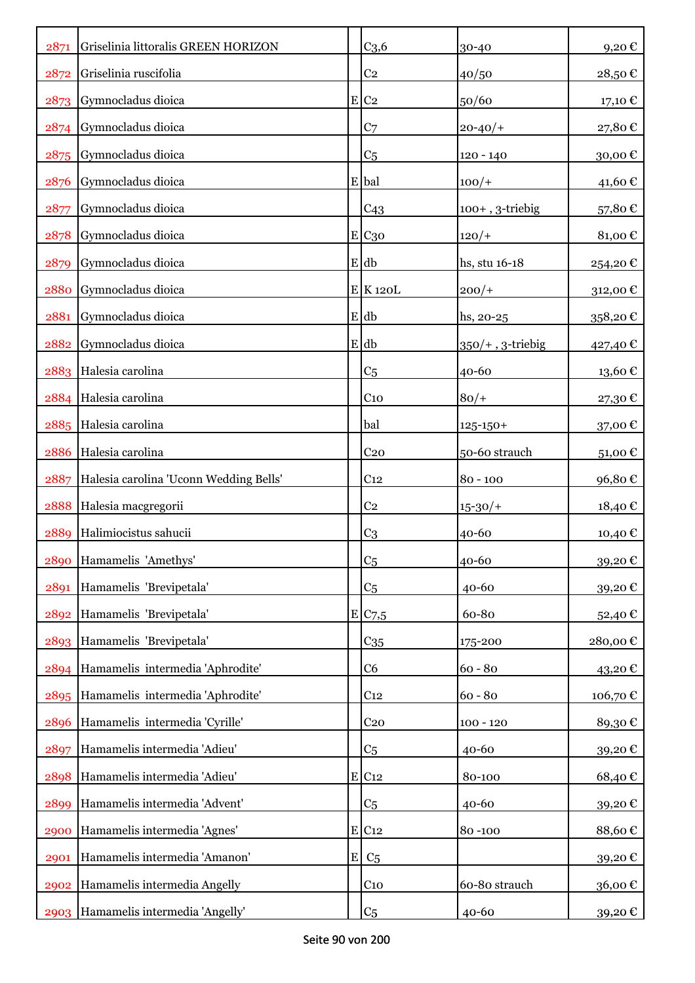| 2871 | Griselinia littoralis GREEN HORIZON    |           | C <sub>3,6</sub>    | 30-40               | 9,20€    |
|------|----------------------------------------|-----------|---------------------|---------------------|----------|
| 2872 | Griselinia ruscifolia                  |           | C <sub>2</sub>      | 40/50               | 28,50€   |
| 2873 | Gymnocladus dioica                     |           | $E$ C <sub>2</sub>  | 50/60               | 17,10 €  |
| 2874 | Gymnocladus dioica                     |           | C <sub>7</sub>      | $20 - 40/$          | 27,80€   |
| 2875 | Gymnocladus dioica                     |           | C <sub>5</sub>      | $120 - 140$         | 30,00€   |
| 2876 | Gymnocladus dioica                     |           | E bal               | $100/+$             | 41,60€   |
| 2877 | Gymnocladus dioica                     |           | C <sub>43</sub>     | $100+$ , 3-triebig  | 57,80€   |
| 2878 | Gymnocladus dioica                     |           | E C30               | $120/+$             | 81,00€   |
| 2879 | Gymnocladus dioica                     |           | $E$ db              | hs, stu 16-18       | 254,20€  |
| 2880 | Gymnocladus dioica                     |           | $E$ K 120L          | $200/+$             | 312,00€  |
| 2881 | Gymnocladus dioica                     |           | E db                | hs, 20-25           | 358,20€  |
| 2882 | Gymnocladus dioica                     |           | E db                | $350/+$ , 3-triebig | 427,40 € |
| 2883 | Halesia carolina                       |           | C <sub>5</sub>      | $40 - 60$           | 13,60€   |
| 2884 | Halesia carolina                       |           | C <sub>10</sub>     | $80/+$              | 27,30€   |
| 2885 | Halesia carolina                       |           | bal                 | $125 - 150 +$       | 37,00€   |
| 2886 | Halesia carolina                       |           | C <sub>20</sub>     | 50-60 strauch       | 51,00€   |
| 2887 | Halesia carolina 'Uconn Wedding Bells' |           | C <sub>12</sub>     | $80 - 100$          | 96,80€   |
| 2888 | Halesia macgregorii                    |           | C <sub>2</sub>      | $15 - 30/$          | 18,40 €  |
| 2889 | Halimiocistus sahucii                  |           | C <sub>3</sub>      | 40-60               | 10,40 €  |
| 2890 | Hamamelis 'Amethys'                    |           | C <sub>5</sub>      | 40-60               | 39,20€   |
| 2891 | Hamamelis 'Brevipetala'                |           | C <sub>5</sub>      | $40 - 60$           | 39,20€   |
| 2892 | Hamamelis 'Brevipetala'                |           | E/C <sub>7,5</sub>  | 60-80               | 52,40€   |
| 2893 | Hamamelis 'Brevipetala'                |           | C <sub>35</sub>     | 175-200             | 280,00€  |
| 2894 | Hamamelis intermedia 'Aphrodite'       |           | C <sub>6</sub>      | $60 - 80$           | 43,20€   |
| 2895 | Hamamelis intermedia 'Aphrodite'       |           | C <sub>12</sub>     | $60 - 80$           | 106,70€  |
| 2896 | Hamamelis intermedia 'Cyrille'         |           | C <sub>20</sub>     | $100 - 120$         | 89,30€   |
| 2897 | Hamamelis intermedia 'Adieu'           |           | C <sub>5</sub>      | 40-60               | 39,20€   |
| 2898 | Hamamelis intermedia 'Adieu'           |           | $E$ C <sub>12</sub> | 80-100              | 68,40€   |
| 2899 | Hamamelis intermedia 'Advent'          |           | C <sub>5</sub>      | 40-60               | 39,20€   |
| 2900 | Hamamelis intermedia 'Agnes'           |           | $E$ C <sub>12</sub> | 80-100              | 88,60€   |
| 2901 | Hamamelis intermedia 'Amanon'          | ${\bf E}$ | C <sub>5</sub>      |                     | 39,20€   |
| 2902 | Hamamelis intermedia Angelly           |           | $C_{10}$            | 60-80 strauch       | 36,00€   |
| 2903 | Hamamelis intermedia 'Angelly'         |           | C <sub>5</sub>      | 40-60               | 39,20 €  |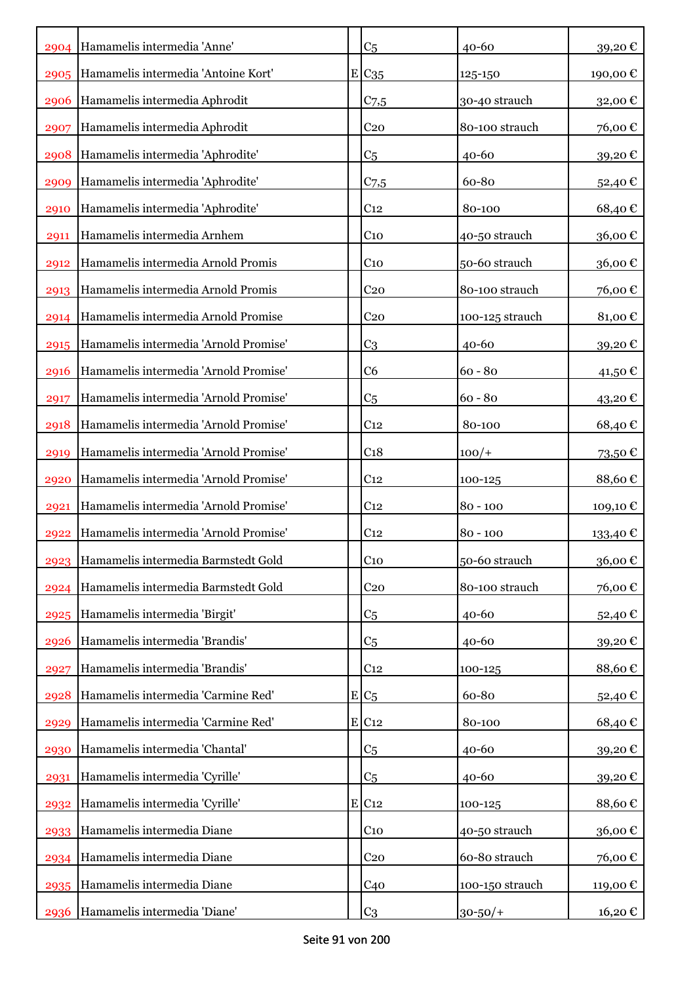|      | 2904 Hamamelis intermedia 'Anne'         | C <sub>5</sub>  | $40 - 60$       | 39,20€   |
|------|------------------------------------------|-----------------|-----------------|----------|
| 2905 | Hamamelis intermedia 'Antoine Kort'      | $E C_{35}$      | 125-150         | 190,00€  |
| 2906 | Hamamelis intermedia Aphrodit            | $C$ 7,5         | 30-40 strauch   | 32,00 €  |
| 2907 | Hamamelis intermedia Aphrodit            | C <sub>20</sub> | 80-100 strauch  | 76,00€   |
| 2908 | Hamamelis intermedia 'Aphrodite'         | C <sub>5</sub>  | 40-60           | 39,20€   |
| 2909 | Hamamelis intermedia 'Aphrodite'         | $C_{7,5}$       | 60-80           | 52,40€   |
| 2910 | Hamamelis intermedia 'Aphrodite'         | C <sub>12</sub> | 80-100          | 68,40€   |
| 2911 | Hamamelis intermedia Arnhem              | C <sub>10</sub> | 40-50 strauch   | 36,00€   |
| 2912 | Hamamelis intermedia Arnold Promis       | C <sub>10</sub> | 50-60 strauch   | 36,00€   |
| 2913 | Hamamelis intermedia Arnold Promis       | C <sub>20</sub> | 80-100 strauch  | 76,00€   |
| 2914 | Hamamelis intermedia Arnold Promise      | C <sub>20</sub> | 100-125 strauch | 81,00€   |
| 2915 | Hamamelis intermedia 'Arnold Promise'    | C <sub>3</sub>  | 40-60           | 39,20€   |
| 2916 | Hamamelis intermedia 'Arnold Promise'    | C <sub>6</sub>  | $60 - 80$       | 41,50 €  |
| 2917 | Hamamelis intermedia 'Arnold Promise'    | C <sub>5</sub>  | $60 - 80$       | 43,20€   |
| 2918 | Hamamelis intermedia 'Arnold Promise'    | C <sub>12</sub> | 80-100          | 68,40€   |
| 2919 | Hamamelis intermedia 'Arnold Promise'    | C <sub>18</sub> | $100/+$         | 73,50€   |
| 2920 | Hamamelis intermedia 'Arnold Promise'    | C <sub>12</sub> | 100-125         | 88,60€   |
| 2921 | Hamamelis intermedia 'Arnold Promise'    | C <sub>12</sub> | $80 - 100$      | 109,10€  |
| 2922 | Hamamelis intermedia 'Arnold Promise'    | C <sub>12</sub> | $80 - 100$      | 133,40 € |
|      | 2923 Hamamelis intermedia Barmstedt Gold | C <sub>10</sub> | 50-60 strauch   | 36,00€   |
| 2924 | Hamamelis intermedia Barmstedt Gold      | C <sub>20</sub> | 80-100 strauch  | 76,00€   |
| 2925 | Hamamelis intermedia 'Birgit'            | C <sub>5</sub>  | $40 - 60$       | 52,40 €  |
| 2926 | Hamamelis intermedia 'Brandis'           | C <sub>5</sub>  | 40-60           | 39,20€   |
| 2927 | Hamamelis intermedia 'Brandis'           | C <sub>12</sub> | 100-125         | 88,60€   |
| 2928 | Hamamelis intermedia 'Carmine Red'       | $E C_5$         | 60-80           | 52,40€   |
| 2929 | Hamamelis intermedia 'Carmine Red'       | E C12           | 80-100          | 68,40€   |
| 2930 | Hamamelis intermedia 'Chantal'           | C <sub>5</sub>  | 40-60           | 39,20€   |
| 2931 | Hamamelis intermedia 'Cyrille'           | C <sub>5</sub>  | 40-60           | 39,20€   |
| 2932 | Hamamelis intermedia 'Cyrille'           | E C12           | 100-125         | 88,60€   |
| 2933 | Hamamelis intermedia Diane               | C <sub>10</sub> | 40-50 strauch   | 36,00€   |
| 2934 | Hamamelis intermedia Diane               | C <sub>20</sub> | 60-80 strauch   | 76,00€   |
| 2935 | Hamamelis intermedia Diane               | C <sub>40</sub> | 100-150 strauch | 119,00 € |
| 2936 | Hamamelis intermedia 'Diane'             | C <sub>3</sub>  | $30 - 50/$ +    | 16,20€   |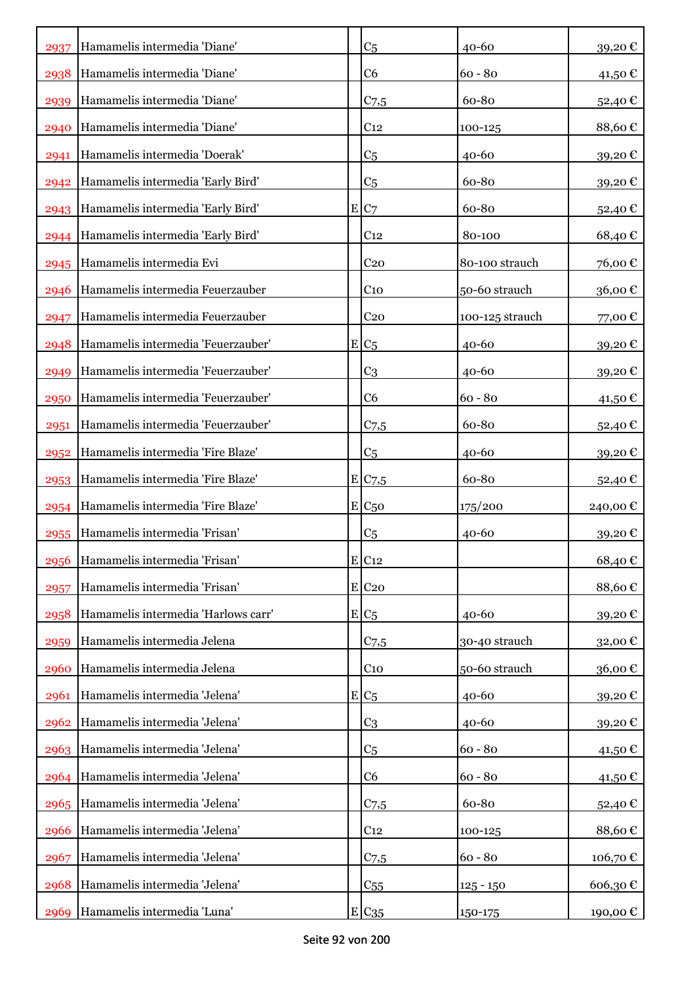| 2937 | Hamamelis intermedia 'Diane'           | C <sub>5</sub>        | $40 - 60$       | 39,20€   |
|------|----------------------------------------|-----------------------|-----------------|----------|
| 2938 | Hamamelis intermedia 'Diane'           | C <sub>6</sub>        | $60 - 80$       | 41,50 €  |
| 2939 | Hamamelis intermedia 'Diane'           | $C_{7,5}$             | 60-80           | 52,40€   |
| 2940 | Hamamelis intermedia 'Diane'           | C <sub>12</sub>       | 100-125         | 88,60€   |
| 2941 | Hamamelis intermedia 'Doerak'          | C <sub>5</sub>        | 40-60           | 39,20€   |
| 2942 | Hamamelis intermedia 'Early Bird'      | C <sub>5</sub>        | 60-80           | 39,20€   |
|      | 2943 Hamamelis intermedia 'Early Bird' | E C7                  | 60-80           | 52,40€   |
|      | 2944 Hamamelis intermedia 'Early Bird' | C <sub>12</sub>       | 80-100          | 68,40€   |
|      | 2945 Hamamelis intermedia Evi          | C <sub>20</sub>       | 80-100 strauch  | 76,00€   |
| 2946 | Hamamelis intermedia Feuerzauber       | C <sub>10</sub>       | 50-60 strauch   | 36,00€   |
| 2947 | Hamamelis intermedia Feuerzauber       | C <sub>20</sub>       | 100-125 strauch | 77,00 €  |
| 2948 | Hamamelis intermedia 'Feuerzauber'     | $E/C_5$               | 40-60           | 39,20€   |
| 2949 | Hamamelis intermedia 'Feuerzauber'     | C <sub>3</sub>        | 40-60           | 39,20€   |
| 2950 | Hamamelis intermedia 'Feuerzauber'     | C <sub>6</sub>        | $60 - 80$       | 41,50 €  |
| 2951 | Hamamelis intermedia 'Feuerzauber'     | $C_{7,5}$             | 60-80           | 52,40€   |
| 2952 | Hamamelis intermedia 'Fire Blaze'      | C <sub>5</sub>        | $40 - 60$       | 39,20€   |
| 2953 | Hamamelis intermedia 'Fire Blaze'      | $E$ C <sub>7</sub> ,5 | 60-80           | 52,40 €  |
| 2954 | Hamamelis intermedia 'Fire Blaze'      | $E C_{50}$            | 175/200         | 240,00€  |
| 2955 | Hamamelis intermedia 'Frisan'          | C <sub>5</sub>        | 40-60           | 39,20€   |
|      | 2956 Hamamelis intermedia 'Frisan'     | $E$ C <sub>12</sub>   |                 | 68,40€   |
| 2957 | Hamamelis intermedia 'Frisan'          | E C20                 |                 | 88,60€   |
| 2958 | Hamamelis intermedia 'Harlows carr'    | $E/C_5$               | 40-60           | 39,20€   |
| 2959 | Hamamelis intermedia Jelena            | C <sub>7,5</sub>      | 30-40 strauch   | 32,00€   |
| 2960 | Hamamelis intermedia Jelena            | C <sub>10</sub>       | 50-60 strauch   | 36,00€   |
| 2961 | Hamamelis intermedia 'Jelena'          | $E C_{\underline{5}}$ | 40-60           | 39,20€   |
| 2962 | Hamamelis intermedia 'Jelena'          | C <sub>3</sub>        | 40-60           | 39,20€   |
|      | 2963 Hamamelis intermedia 'Jelena'     | C <sub>5</sub>        | $60 - 80$       | 41,50€   |
| 2964 | Hamamelis intermedia 'Jelena'          | C <sub>6</sub>        | $60 - 80$       | 41,50€   |
| 2965 | Hamamelis intermedia 'Jelena'          | $C_{7,5}$             | 60-80           | 52,40€   |
| 2966 | Hamamelis intermedia 'Jelena'          | C <sub>12</sub>       | 100-125         | 88,60€   |
| 2967 | Hamamelis intermedia 'Jelena'          | C <sub>7,5</sub>      | $60 - 80$       | 106,70€  |
| 2968 | Hamamelis intermedia 'Jelena'          | C <sub>55</sub>       | $125 - 150$     | 606,30€  |
| 2969 | Hamamelis intermedia 'Luna'            | $E C_{35}$            | 150-175         | 190,00 € |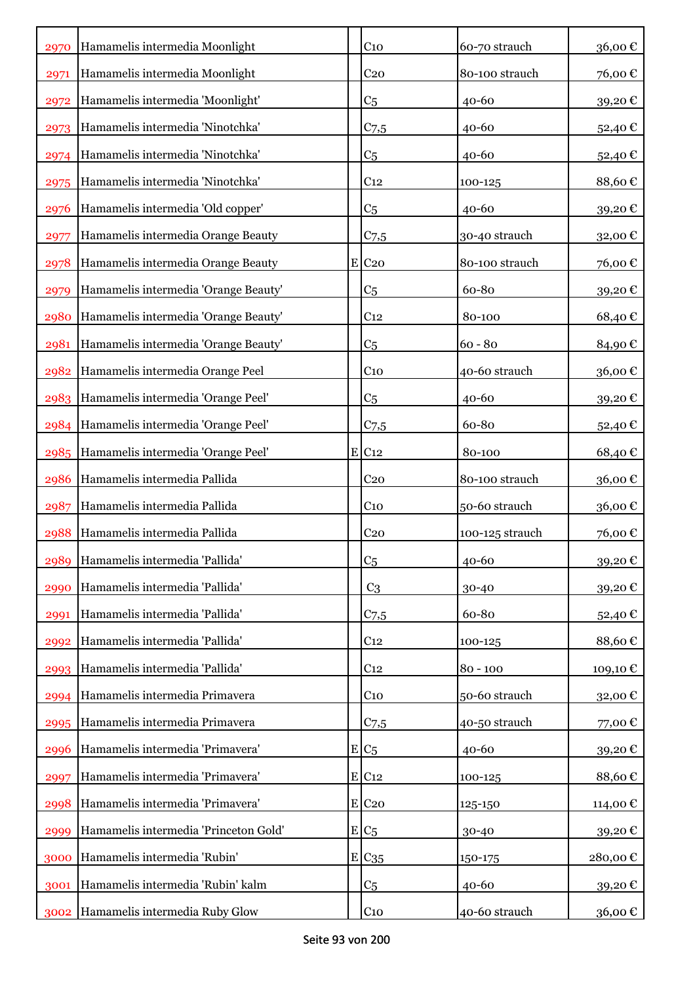| 2970 | Hamamelis intermedia Moonlight          | C <sub>10</sub>     | 60-70 strauch   | 36,00€   |
|------|-----------------------------------------|---------------------|-----------------|----------|
| 2971 | Hamamelis intermedia Moonlight          | C <sub>20</sub>     | 80-100 strauch  | 76,00€   |
| 2972 | Hamamelis intermedia 'Moonlight'        | C <sub>5</sub>      | $40 - 60$       | 39,20€   |
| 2973 | Hamamelis intermedia 'Ninotchka'        | C <sub>7,5</sub>    | 40-60           | 52,40€   |
| 2974 | Hamamelis intermedia 'Ninotchka'        | C <sub>5</sub>      | 40-60           | 52,40€   |
| 2975 | Hamamelis intermedia 'Ninotchka'        | C <sub>12</sub>     | 100-125         | 88,60€   |
| 2976 | Hamamelis intermedia 'Old copper'       | C <sub>5</sub>      | $40 - 60$       | 39,20€   |
| 2977 | Hamamelis intermedia Orange Beauty      | $C_{7,5}$           | 30-40 strauch   | 32,00€   |
| 2978 | Hamamelis intermedia Orange Beauty      | $E$ C <sub>20</sub> | 80-100 strauch  | 76,00€   |
| 2979 | Hamamelis intermedia 'Orange Beauty'    | C <sub>5</sub>      | 60-80           | 39,20€   |
| 2980 | Hamamelis intermedia 'Orange Beauty'    | C <sub>12</sub>     | 80-100          | 68,40€   |
| 2981 | Hamamelis intermedia 'Orange Beauty'    | C <sub>5</sub>      | $60 - 80$       | 84,90€   |
| 2982 | Hamamelis intermedia Orange Peel        | $C_{10}$            | 40-60 strauch   | 36,00€   |
|      | 2983 Hamamelis intermedia 'Orange Peel' | C <sub>5</sub>      | 40-60           | 39,20€   |
| 2984 | Hamamelis intermedia 'Orange Peel'      | $C_{7,5}$           | 60-80           | 52,40€   |
| 2985 | Hamamelis intermedia 'Orange Peel'      | E C12               | 80-100          | 68,40€   |
| 2986 | Hamamelis intermedia Pallida            | C <sub>20</sub>     | 80-100 strauch  | 36,00€   |
| 2987 | Hamamelis intermedia Pallida            | C <sub>10</sub>     | 50-60 strauch   | 36,00€   |
| 2988 | Hamamelis intermedia Pallida            | C <sub>20</sub>     | 100-125 strauch | 76,00€   |
|      | 2989 Hamamelis intermedia 'Pallida'     | C <sub>5</sub>      | 40-60           | 39,20€   |
| 2990 | Hamamelis intermedia 'Pallida'          | C <sub>3</sub>      | 30-40           | 39,20€   |
| 2991 | Hamamelis intermedia 'Pallida'          | $C_{7,5}$           | 60-80           | 52,40€   |
| 2992 | Hamamelis intermedia 'Pallida'          | C <sub>12</sub>     | 100-125         | 88,60€   |
| 2993 | Hamamelis intermedia 'Pallida'          | C <sub>12</sub>     | $80 - 100$      | 109,10 € |
| 2994 | Hamamelis intermedia Primavera          | $C_{10}$            | 50-60 strauch   | 32,00€   |
| 2995 | Hamamelis intermedia Primavera          | $C$ 7,5             | 40-50 strauch   | 77,00€   |
| 2996 | Hamamelis intermedia 'Primavera'        | $E/C_5$             | $40 - 60$       | 39,20€   |
| 2997 | Hamamelis intermedia 'Primavera'        | E C12               | 100-125         | 88,60€   |
| 2998 | Hamamelis intermedia 'Primavera'        | $E$ C <sub>20</sub> | 125-150         | 114,00€  |
| 2999 | Hamamelis intermedia 'Princeton Gold'   | $E/C_5$             | 30-40           | 39,20€   |
| 3000 | Hamamelis intermedia 'Rubin'            | $E C_{35}$          | 150-175         | 280,00€  |
| 3001 | Hamamelis intermedia 'Rubin' kalm       | C <sub>5</sub>      | $40 - 60$       | 39,20€   |
|      | 3002 Hamamelis intermedia Ruby Glow     | C <sub>10</sub>     | 40-60 strauch   | 36,00 €  |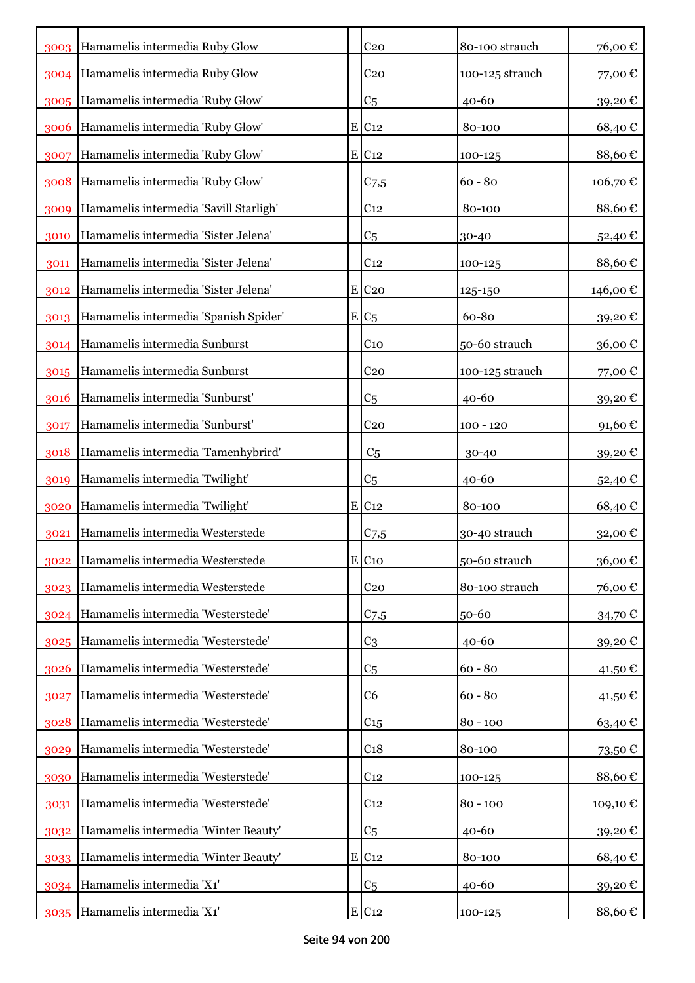|      | 3003 Hamamelis intermedia Ruby Glow    | C <sub>20</sub>     | 80-100 strauch  | 76,00€   |
|------|----------------------------------------|---------------------|-----------------|----------|
|      | 3004 Hamamelis intermedia Ruby Glow    | C <sub>20</sub>     | 100-125 strauch | 77,00€   |
|      | 3005 Hamamelis intermedia 'Ruby Glow'  | C <sub>5</sub>      | $40 - 60$       | 39,20€   |
| 3006 | Hamamelis intermedia 'Ruby Glow'       | $E$ C <sub>12</sub> | 80-100          | 68,40€   |
| 3007 | Hamamelis intermedia 'Ruby Glow'       | $E$ C <sub>12</sub> | 100-125         | 88,60€   |
| 3008 | Hamamelis intermedia 'Ruby Glow'       | C <sub>7,5</sub>    | $60 - 80$       | 106,70€  |
| 3009 | Hamamelis intermedia 'Savill Starligh' | C <sub>12</sub>     | 80-100          | 88,60€   |
| 3010 | Hamamelis intermedia 'Sister Jelena'   | C <sub>5</sub>      | 30-40           | 52,40€   |
| 3011 | Hamamelis intermedia 'Sister Jelena'   | C <sub>12</sub>     | 100-125         | 88,60€   |
| 3012 | Hamamelis intermedia 'Sister Jelena'   | $E$ C <sub>20</sub> | 125-150         | 146,00€  |
| 3013 | Hamamelis intermedia 'Spanish Spider'  | $E/C_5$             | 60-80           | 39,20€   |
| 3014 | Hamamelis intermedia Sunburst          | C <sub>10</sub>     | 50-60 strauch   | 36,00€   |
| 3015 | Hamamelis intermedia Sunburst          | C <sub>20</sub>     | 100-125 strauch | 77,00€   |
| 3016 | Hamamelis intermedia 'Sunburst'        | C <sub>5</sub>      | $40 - 60$       | 39,20€   |
| 3017 | Hamamelis intermedia 'Sunburst'        | C <sub>20</sub>     | $100 - 120$     | 91,60€   |
| 3018 | Hamamelis intermedia 'Tamenhybrird'    | C <sub>5</sub>      | 30-40           | 39,20€   |
| 3019 | Hamamelis intermedia 'Twilight'        | C <sub>5</sub>      | 40-60           | 52,40€   |
| 3020 | Hamamelis intermedia 'Twilight'        | $E$ C <sub>12</sub> | 80-100          | 68,40€   |
| 3021 | Hamamelis intermedia Westerstede       | $C$ 7,5             | 30-40 strauch   | 32,00€   |
|      | 3022 Hamamelis intermedia Westerstede  | $E$ C <sub>10</sub> | 50-60 strauch   | 36,00€   |
| 3023 | Hamamelis intermedia Westerstede       | C <sub>20</sub>     | 80-100 strauch  | 76,00€   |
| 3024 | Hamamelis intermedia 'Westerstede'     | $C_{7,5}$           | 50-60           | 34,70€   |
| 3025 | Hamamelis intermedia 'Westerstede'     | C <sub>3</sub>      | $40 - 60$       | 39,20€   |
| 3026 | Hamamelis intermedia 'Westerstede'     | C <sub>5</sub>      | $60 - 80$       | 41,50€   |
| 3027 | Hamamelis intermedia 'Westerstede'     | C <sub>6</sub>      | $60 - 80$       | 41,50€   |
| 3028 | Hamamelis intermedia 'Westerstede'     | C <sub>15</sub>     | $80 - 100$      | 63,40€   |
| 3029 | Hamamelis intermedia 'Westerstede'     | C <sub>18</sub>     | 80-100          | 73,50€   |
| 3030 | Hamamelis intermedia 'Westerstede'     | C <sub>12</sub>     | 100-125         | 88,60€   |
| 3031 | Hamamelis intermedia 'Westerstede'     | C <sub>12</sub>     | $80 - 100$      | 109,10 € |
| 3032 | Hamamelis intermedia 'Winter Beauty'   | C <sub>5</sub>      | $40 - 60$       | 39,20€   |
| 3033 | Hamamelis intermedia 'Winter Beauty'   | $E$ C <sub>12</sub> | 80-100          | 68,40€   |
| 3034 | Hamamelis intermedia 'X1'              | C <sub>5</sub>      | $40 - 60$       | 39,20€   |
| 3035 | Hamamelis intermedia 'X1'              | $E$ C <sub>12</sub> | 100-125         | 88,60€   |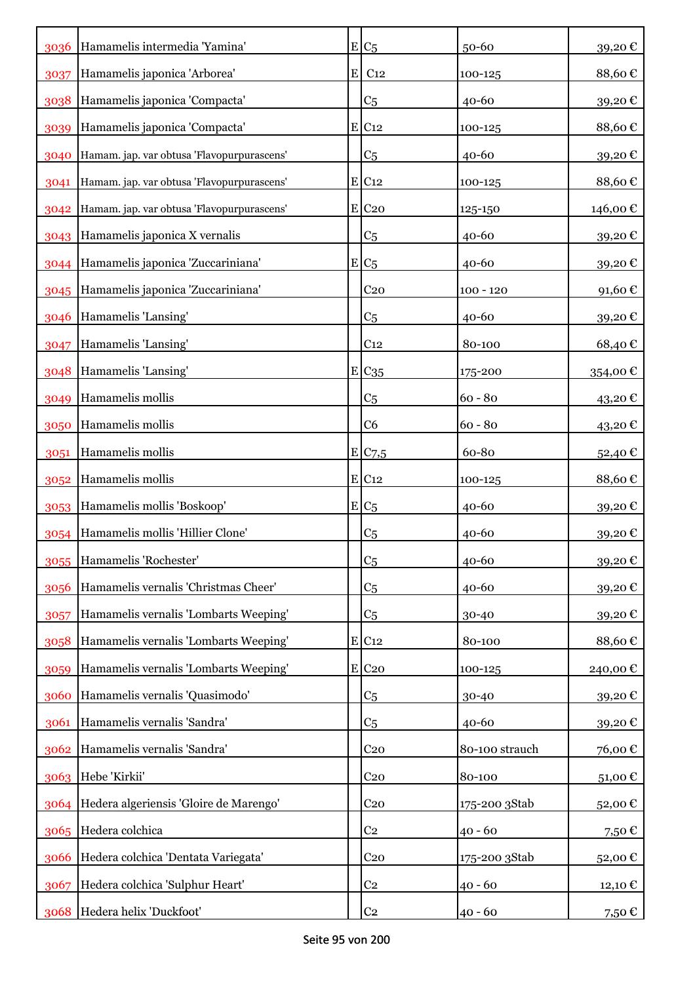| 3036 | Hamamelis intermedia 'Yamina'              |   | $E C_5$             | $50 - 60$      | 39,20€          |
|------|--------------------------------------------|---|---------------------|----------------|-----------------|
| 3037 | Hamamelis japonica 'Arborea'               | E | C <sub>12</sub>     | 100-125        | 88,60€          |
| 3038 | Hamamelis japonica 'Compacta'              |   | C <sub>5</sub>      | $40 - 60$      | 39,20€          |
| 3039 | Hamamelis japonica 'Compacta'              |   | $E$ C <sub>12</sub> | 100-125        | 88,60€          |
| 3040 | Hamam. jap. var obtusa 'Flavopurpurascens' |   | C <sub>5</sub>      | $40 - 60$      | 39,20€          |
| 3041 | Hamam. jap. var obtusa 'Flavopurpurascens' |   | E C12               | 100-125        | 88,60€          |
| 3042 | Hamam. jap. var obtusa 'Flavopurpurascens' |   | E C20               | 125-150        | 146,00 €        |
| 3043 | Hamamelis japonica X vernalis              |   | C <sub>5</sub>      | $40 - 60$      | 39,20€          |
| 3044 | Hamamelis japonica 'Zuccariniana'          |   | $E/C_5$             | 40-60          | 39,20€          |
| 3045 | Hamamelis japonica 'Zuccariniana'          |   | C <sub>20</sub>     | $100 - 120$    | 91,60€          |
| 3046 | Hamamelis 'Lansing'                        |   | C <sub>5</sub>      | $40 - 60$      | 39,20€          |
| 3047 | Hamamelis 'Lansing'                        |   | C <sub>12</sub>     | 80-100         | 68,40€          |
| 3048 | Hamamelis 'Lansing'                        |   | E C <sub>35</sub>   | 175-200        | 354,00 €        |
| 3049 | Hamamelis mollis                           |   | C <sub>5</sub>      | $60 - 80$      | 43,20€          |
| 3050 | Hamamelis mollis                           |   | C <sub>6</sub>      | $60 - 80$      | 43,20€          |
| 3051 | Hamamelis mollis                           |   | E/C7,5              | 60-80          | 52,40 €         |
| 3052 | Hamamelis mollis                           |   | $E$ C <sub>12</sub> | 100-125        | 88,60€          |
| 3053 | Hamamelis mollis 'Boskoop'                 |   | $E/C_5$             | 40-60          | 39,20€          |
| 3054 | Hamamelis mollis 'Hillier Clone'           |   | C <sub>5</sub>      | $40 - 60$      | 39,20€          |
|      | 3055 Hamamelis 'Rochester'                 |   | C <sub>5</sub>      | 40-60          | 39,20€          |
| 3056 | Hamamelis vernalis 'Christmas Cheer'       |   | C <sub>5</sub>      | $40 - 60$      | 39,20€          |
| 3057 | Hamamelis vernalis 'Lombarts Weeping'      |   | C5                  | 30-40          | 39,20€          |
| 3058 | Hamamelis vernalis 'Lombarts Weeping'      |   | $E$ C <sub>12</sub> | 80-100         | 88,60€          |
| 3059 | Hamamelis vernalis 'Lombarts Weeping'      |   | $E$ C <sub>20</sub> | 100-125        | 240,00€         |
| 3060 | Hamamelis vernalis 'Quasimodo'             |   | C <sub>5</sub>      | 30-40          | 39,20€          |
| 3061 | Hamamelis vernalis 'Sandra'                |   | C <sub>5</sub>      | 40-60          | 39,20€          |
|      | 3062 Hamamelis vernalis 'Sandra'           |   | C <sub>20</sub>     | 80-100 strauch | 76,00€          |
| 3063 | Hebe 'Kirkii'                              |   | C <sub>20</sub>     | 80-100         | 51,00 €         |
| 3064 | Hedera algeriensis 'Gloire de Marengo'     |   | C <sub>20</sub>     | 175-200 3Stab  | 52,00€          |
|      | 3065 Hedera colchica                       |   | C <sub>2</sub>      | $40 - 60$      | 7,50€           |
| 3066 | Hedera colchica 'Dentata Variegata'        |   | C <sub>20</sub>     | 175-200 3Stab  | 52,00€          |
| 3067 | Hedera colchica 'Sulphur Heart'            |   | C <sub>2</sub>      | $40 - 60$      | 12,10 €         |
| 3068 | Hedera helix 'Duckfoot'                    |   | C <sub>2</sub>      | $40 - 60$      | 7,50 $\epsilon$ |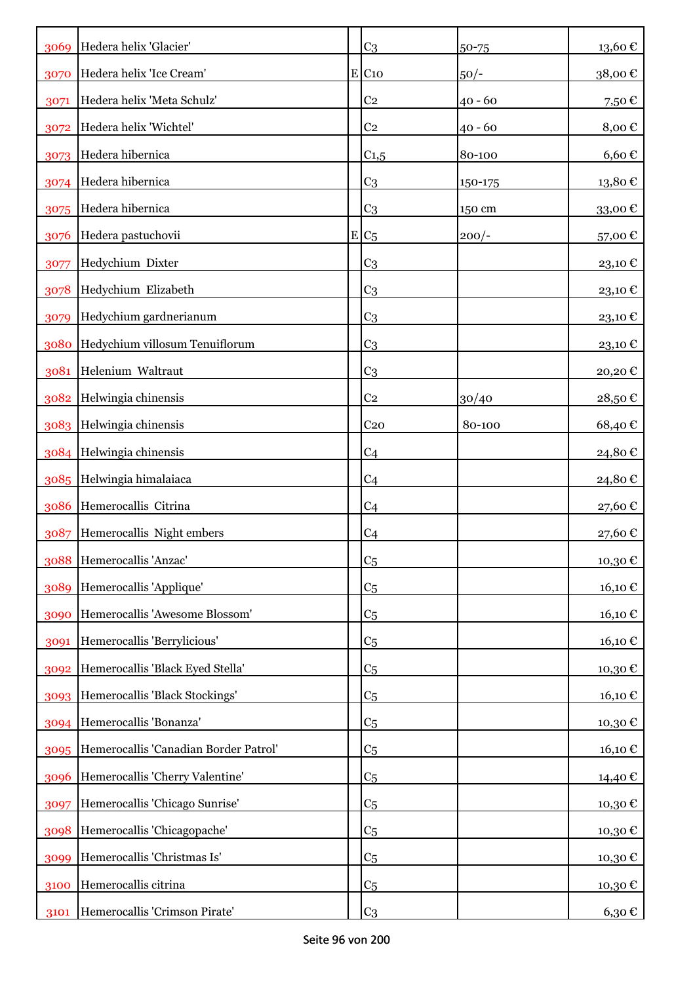| 3069 | Hedera helix 'Glacier'                     | C <sub>3</sub>      | 50-75     | 13,60€                 |
|------|--------------------------------------------|---------------------|-----------|------------------------|
| 3070 | Hedera helix 'Ice Cream'                   | $E$ C <sub>10</sub> | $50/-$    | $38{,}00$ $\mathbb{C}$ |
| 3071 | Hedera helix 'Meta Schulz'                 | C <sub>2</sub>      | $40 - 60$ | 7,50€                  |
| 3072 | Hedera helix 'Wichtel'                     | C <sub>2</sub>      | $40 - 60$ | 8,00€                  |
| 3073 | Hedera hibernica                           | $C_{1,5}$           | 80-100    | $6,60 \in$             |
| 3074 | Hedera hibernica                           | C <sub>3</sub>      | 150-175   | 13,80€                 |
|      | 3075 Hedera hibernica                      | C <sub>3</sub>      | 150 cm    | 33,00€                 |
| 3076 | Hedera pastuchovii                         | $E C_5$             | $200/-$   | 57,00€                 |
| 3077 | Hedychium Dixter                           | C <sub>3</sub>      |           | 23,10€                 |
| 3078 | Hedychium Elizabeth                        | C <sub>3</sub>      |           | 23,10€                 |
| 3079 | Hedychium gardnerianum                     | C <sub>3</sub>      |           | 23,10€                 |
| 3080 | Hedychium villosum Tenuiflorum             | C <sub>3</sub>      |           | 23,10€                 |
| 3081 | Helenium Waltraut                          | C <sub>3</sub>      |           | 20,20€                 |
| 3082 | Helwingia chinensis                        | C <sub>2</sub>      | 30/40     | 28,50€                 |
| 3083 | Helwingia chinensis                        | C <sub>20</sub>     | 80-100    | 68,40€                 |
|      | 3084 Helwingia chinensis                   | C <sub>4</sub>      |           | 24,80€                 |
|      | 3085 Helwingia himalaiaca                  | C <sub>4</sub>      |           | 24,80€                 |
| 3086 | Hemerocallis Citrina                       | C <sub>4</sub>      |           | 27,60€                 |
| 3087 | Hemerocallis Night embers                  | C <sub>4</sub>      |           | 27,60€                 |
|      | 3088 Hemerocallis 'Anzac'                  | C <sub>5</sub>      |           | 10,30€                 |
| 3089 | Hemerocallis 'Applique'                    | C <sub>5</sub>      |           | 16,10 €                |
| 3090 | Hemerocallis 'Awesome Blossom'             | C <sub>5</sub>      |           | 16,10€                 |
| 3091 | Hemerocallis 'Berrylicious'                | C <sub>5</sub>      |           | 16,10€                 |
| 3092 | Hemerocallis 'Black Eyed Stella'           | C <sub>5</sub>      |           | 10,30€                 |
| 3093 | Hemerocallis 'Black Stockings'             | C <sub>5</sub>      |           | 16,10 €                |
| 3094 | Hemerocallis 'Bonanza'                     | C <sub>5</sub>      |           | 10,30€                 |
|      | 3095 Hemerocallis 'Canadian Border Patrol' | C <sub>5</sub>      |           | 16,10 €                |
| 3096 | Hemerocallis 'Cherry Valentine'            | C <sub>5</sub>      |           | 14,40 €                |
| 3097 | Hemerocallis 'Chicago Sunrise'             | C <sub>5</sub>      |           | 10,30€                 |
| 3098 | Hemerocallis 'Chicagopache'                | C <sub>5</sub>      |           | 10,30€                 |
| 3099 | Hemerocallis 'Christmas Is'                | C <sub>5</sub>      |           | 10,30€                 |
| 3100 | Hemerocallis citrina                       | C <sub>5</sub>      |           | 10,30€                 |
| 3101 | Hemerocallis 'Crimson Pirate'              | C <sub>3</sub>      |           | 6,30 €                 |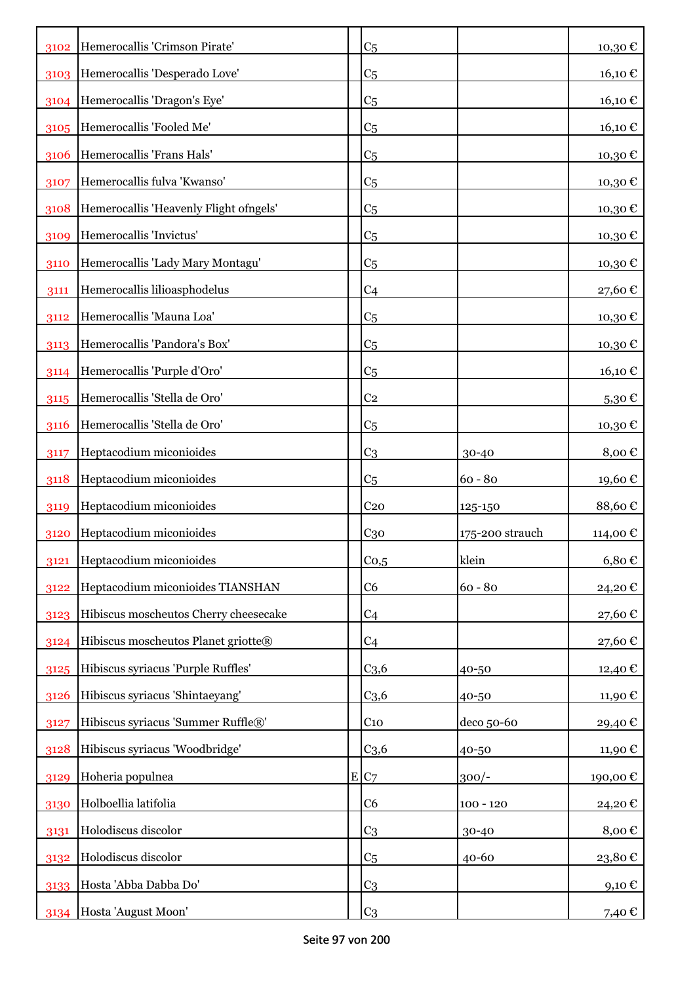| 3102 | Hemerocallis 'Crimson Pirate'          | C <sub>5</sub>   |                 | 10,30€               |
|------|----------------------------------------|------------------|-----------------|----------------------|
| 3103 | Hemerocallis 'Desperado Love'          | C <sub>5</sub>   |                 | 16,10€               |
| 3104 | Hemerocallis 'Dragon's Eye'            | C <sub>5</sub>   |                 | 16,10€               |
| 3105 | Hemerocallis 'Fooled Me'               | C <sub>5</sub>   |                 | 16,10€               |
| 3106 | Hemerocallis 'Frans Hals'              | C <sub>5</sub>   |                 | 10,30€               |
| 3107 | Hemerocallis fulva 'Kwanso'            | C <sub>5</sub>   |                 | 10,30€               |
| 3108 | Hemerocallis 'Heavenly Flight ofngels' | C <sub>5</sub>   |                 | 10,30€               |
| 3109 | Hemerocallis 'Invictus'                | C <sub>5</sub>   |                 | 10,30€               |
| 3110 | Hemerocallis 'Lady Mary Montagu'       | C <sub>5</sub>   |                 | 10,30€               |
| 3111 | Hemerocallis lilioasphodelus           | C <sub>4</sub>   |                 | 27,60€               |
| 3112 | Hemerocallis 'Mauna Loa'               | C <sub>5</sub>   |                 | 10,30€               |
| 3113 | Hemerocallis 'Pandora's Box'           | C <sub>5</sub>   |                 | 10,30€               |
| 3114 | Hemerocallis 'Purple d'Oro'            | C <sub>5</sub>   |                 | 16,10 €              |
| 3115 | Hemerocallis 'Stella de Oro'           | C <sub>2</sub>   |                 |                      |
| 3116 | Hemerocallis 'Stella de Oro'           | C <sub>5</sub>   |                 | $5,30 \in$<br>10,30€ |
| 3117 | Heptacodium miconioides                | C <sub>3</sub>   |                 | 8,00€                |
|      | Heptacodium miconioides                |                  | 30-40           |                      |
| 3118 |                                        | C <sub>5</sub>   | $60 - 80$       | 19,60€               |
| 3119 | Heptacodium miconioides                | C <sub>20</sub>  | 125-150         | 88,60€               |
| 3120 | Heptacodium miconioides                | C <sub>30</sub>  | 175-200 strauch | 114,00€              |
| 3121 | Heptacodium miconioides                | Co, 5            | klein           | $6,80 \in$           |
| 3122 | Heptacodium miconioides TIANSHAN       | C <sub>6</sub>   | $60 - 80$       | 24,20€               |
| 3123 | Hibiscus moscheutos Cherry cheesecake  | C <sub>4</sub>   |                 | 27,60€               |
| 3124 | Hibiscus moscheutos Planet griotte®    | C <sub>4</sub>   |                 | 27,60€               |
| 3125 | Hibiscus syriacus 'Purple Ruffles'     | C <sub>3,6</sub> | 40-50           | 12,40€               |
| 3126 | Hibiscus syriacus 'Shintaeyang'        | C <sub>3,6</sub> | 40-50           | 11,90€               |
| 3127 | Hibiscus syriacus 'Summer Ruffle®'     | C <sub>10</sub>  | deco 50-60      | 29,40€               |
| 3128 | Hibiscus syriacus 'Woodbridge'         | C <sub>3,6</sub> | 40-50           | 11,90€               |
| 3129 | Hoheria populnea                       | E C7             | $300/-$         | 190,00€              |
| 3130 | Holboellia latifolia                   | C <sub>6</sub>   | $100 - 120$     | 24,20€               |
| 3131 | Holodiscus discolor                    | C <sub>3</sub>   | 30-40           | 8,00€                |
| 3132 | Holodiscus discolor                    | C <sub>5</sub>   | $40 - 60$       | 23,80€               |
| 3133 | Hosta 'Abba Dabba Do'                  | C <sub>3</sub>   |                 | 9,10€                |
| 3134 | Hosta 'August Moon'                    | C <sub>3</sub>   |                 | 7,40 $\epsilon$      |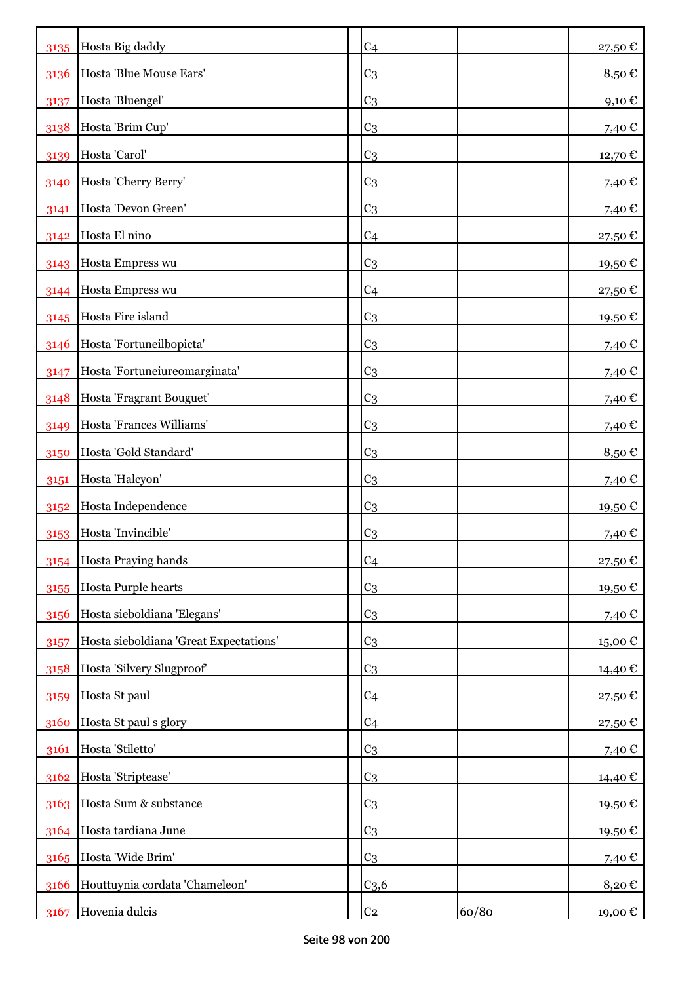| 3135 | Hosta Big daddy                        | C <sub>4</sub>   |       | 27,50€  |
|------|----------------------------------------|------------------|-------|---------|
| 3136 | Hosta 'Blue Mouse Ears'                | C <sub>3</sub>   |       | 8,50€   |
| 3137 | Hosta 'Bluengel'                       | C <sub>3</sub>   |       | 9,10€   |
| 3138 | Hosta 'Brim Cup'                       | C <sub>3</sub>   |       | 7,40 €  |
| 3139 | Hosta 'Carol'                          | C <sub>3</sub>   |       | 12,70€  |
| 3140 | Hosta 'Cherry Berry'                   | C <sub>3</sub>   |       | 7,40€   |
| 3141 | Hosta 'Devon Green'                    | C <sub>3</sub>   |       | 7,40€   |
| 3142 | Hosta El nino                          | C <sub>4</sub>   |       | 27,50€  |
| 3143 | Hosta Empress wu                       | C <sub>3</sub>   |       | 19,50 € |
|      | 3144   Hosta Empress wu                | C <sub>4</sub>   |       | 27,50 € |
| 3145 | Hosta Fire island                      | C <sub>3</sub>   |       | 19,50€  |
| 3146 | Hosta 'Fortuneilbopicta'               | C <sub>3</sub>   |       | 7,40 €  |
| 3147 | Hosta 'Fortuneiureomarginata'          | C <sub>3</sub>   |       | 7,40€   |
| 3148 | Hosta 'Fragrant Bouguet'               | C <sub>3</sub>   |       | 7,40 €  |
| 3149 | Hosta 'Frances Williams'               | C <sub>3</sub>   |       | 7,40 €  |
| 3150 | Hosta 'Gold Standard'                  | C <sub>3</sub>   |       | 8,50€   |
| 3151 | Hosta 'Halcyon'                        | C <sub>3</sub>   |       | 7,40 €  |
| 3152 | Hosta Independence                     | C <sub>3</sub>   |       | 19,50€  |
| 3153 | Hosta 'Invincible'                     | C <sub>3</sub>   |       | 7,40 €  |
| 3154 | Hosta Praying hands                    | C <sub>4</sub>   |       | 27,50€  |
| 3155 | Hosta Purple hearts                    | C <sub>3</sub>   |       | 19,50€  |
| 3156 | Hosta sieboldiana 'Elegans'            | C <sub>3</sub>   |       | 7,40 €  |
| 3157 | Hosta sieboldiana 'Great Expectations' | C <sub>3</sub>   |       | 15,00€  |
| 3158 | Hosta 'Silvery Slugproof'              | C <sub>3</sub>   |       | 14,40 € |
| 3159 | Hosta St paul                          | C <sub>4</sub>   |       | 27,50€  |
| 3160 | Hosta St paul s glory                  | C <sub>4</sub>   |       | 27,50€  |
| 3161 | Hosta 'Stiletto'                       | C <sub>3</sub>   |       | 7,40€   |
| 3162 | Hosta 'Striptease'                     | C <sub>3</sub>   |       | 14,40 € |
| 3163 | Hosta Sum & substance                  | C <sub>3</sub>   |       | 19,50€  |
| 3164 | Hosta tardiana June                    | C <sub>3</sub>   |       | 19,50€  |
| 3165 | Hosta 'Wide Brim'                      | C <sub>3</sub>   |       | 7,40€   |
| 3166 | Houttuynia cordata 'Chameleon'         | C <sub>3,6</sub> |       | 8,20€   |
| 3167 | Hovenia dulcis                         | C <sub>2</sub>   | 60/80 | 19,00 € |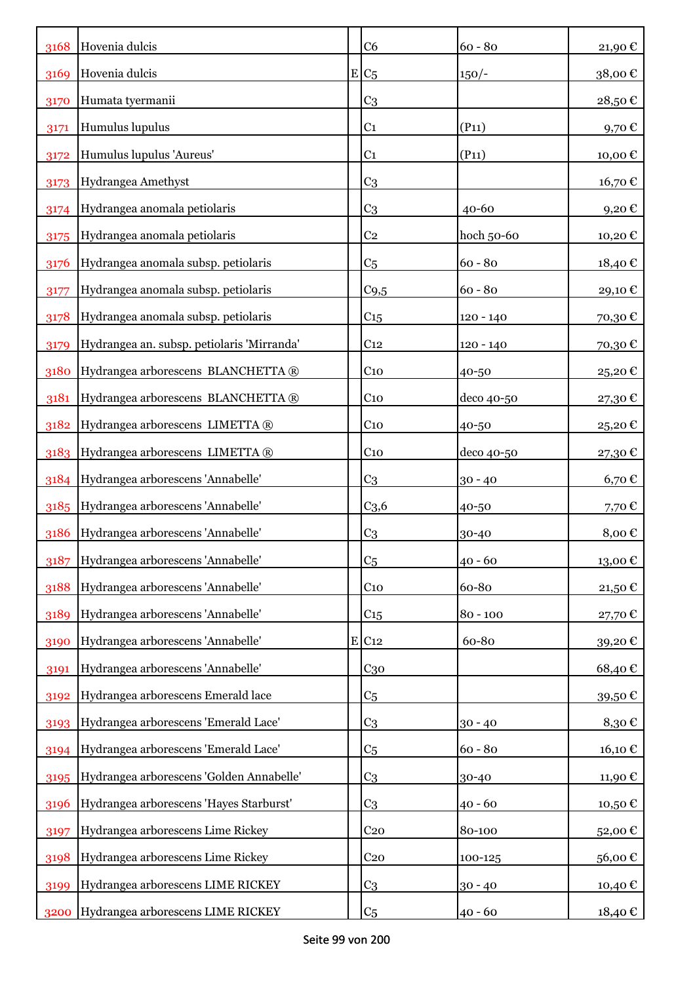| 3168 | Hovenia dulcis                             | C <sub>6</sub>      | $60 - 80$   | 21,90€                |
|------|--------------------------------------------|---------------------|-------------|-----------------------|
| 3169 | Hovenia dulcis                             | $E C_5$             | $150/-$     | 38,00€                |
| 3170 | Humata tyermanii                           | C <sub>3</sub>      |             | 28,50€                |
| 3171 | Humulus lupulus                            | C <sub>1</sub>      | (P11)       | 9,70€                 |
| 3172 | Humulus lupulus 'Aureus'                   | C <sub>1</sub>      | (P11)       | 10,00€                |
| 3173 | Hydrangea Amethyst                         | C <sub>3</sub>      |             | 16,70 €               |
| 3174 | Hydrangea anomala petiolaris               | C <sub>3</sub>      | $40 - 60$   | 9,20€                 |
| 3175 | Hydrangea anomala petiolaris               | C <sub>2</sub>      | hoch 50-60  | 10,20€                |
| 3176 | Hydrangea anomala subsp. petiolaris        | C <sub>5</sub>      | $60 - 80$   | 18,40€                |
| 3177 | Hydrangea anomala subsp. petiolaris        | C <sub>9,5</sub>    | $60 - 80$   | 29,10€                |
| 3178 | Hydrangea anomala subsp. petiolaris        | C15                 | $120 - 140$ | 70,30€                |
| 3179 | Hydrangea an. subsp. petiolaris 'Mirranda' | C <sub>12</sub>     | 120 - 140   | 70,30€                |
| 3180 | Hydrangea arborescens BLANCHETTA ®         | $C_{10}$            | 40-50       | 25,20€                |
| 3181 | Hydrangea arborescens BLANCHETTA ®         | C <sub>10</sub>     | deco 40-50  | 27,30€                |
| 3182 | Hydrangea arborescens LIMETTA ®            | $C_{10}$            | 40-50       | 25,20€                |
| 3183 | Hydrangea arborescens LIMETTA ®            | C <sub>10</sub>     | deco 40-50  | 27,30€                |
| 3184 | Hydrangea arborescens 'Annabelle'          | C <sub>3</sub>      | $30 - 40$   | $6,70 \in$            |
| 3185 | Hydrangea arborescens 'Annabelle'          | C <sub>3,6</sub>    | 40-50       | 7,70€                 |
| 3186 | Hydrangea arborescens 'Annabelle'          | C <sub>3</sub>      | 30-40       | 8,00€                 |
| 3187 | Hydrangea arborescens 'Annabelle'          | C <sub>5</sub>      | $40 - 60$   | $13{,}00$ $\mathbb C$ |
| 3188 | Hydrangea arborescens 'Annabelle'          | $C_{10}$            | 60-80       | 21,50€                |
| 3189 | Hydrangea arborescens 'Annabelle'          | C <sub>15</sub>     | $80 - 100$  | 27,70€                |
| 3190 | Hydrangea arborescens 'Annabelle'          | $E$ C <sub>12</sub> | 60-80       | 39,20€                |
| 3191 | Hydrangea arborescens 'Annabelle'          | $C_{30}$            |             | 68,40€                |
| 3192 | Hydrangea arborescens Emerald lace         | C <sub>5</sub>      |             | 39,50€                |
| 3193 | Hydrangea arborescens 'Emerald Lace'       | C <sub>3</sub>      | $30 - 40$   | 8,30€                 |
| 3194 | Hydrangea arborescens 'Emerald Lace'       | C <sub>5</sub>      | $60 - 80$   | 16,10€                |
| 3195 | Hydrangea arborescens 'Golden Annabelle'   | C <sub>3</sub>      | 30-40       | 11,90€                |
| 3196 | Hydrangea arborescens 'Hayes Starburst'    | C <sub>3</sub>      | $40 - 60$   | 10,50€                |
| 3197 | Hydrangea arborescens Lime Rickey          | C <sub>20</sub>     | 80-100      | 52,00€                |
| 3198 | Hydrangea arborescens Lime Rickey          | C <sub>20</sub>     | 100-125     | 56,00€                |
| 3199 | Hydrangea arborescens LIME RICKEY          | C <sub>3</sub>      | $30 - 40$   | 10,40€                |
| 3200 | Hydrangea arborescens LIME RICKEY          | C <sub>5</sub>      | $40 - 60$   | 18,40€                |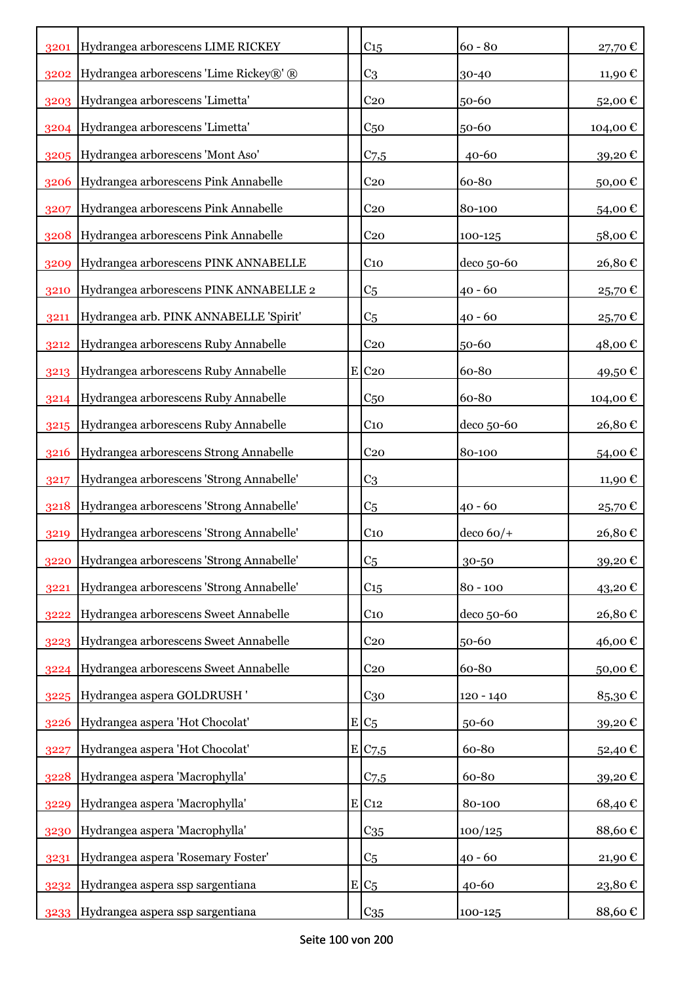| 3201 | Hydrangea arborescens LIME RICKEY        | C <sub>15</sub>     | $60 - 80$     | 27,70€   |
|------|------------------------------------------|---------------------|---------------|----------|
| 3202 | Hydrangea arborescens 'Lime Rickey®' ®   | C <sub>3</sub>      | 30-40         | 11,90 €  |
| 3203 | Hydrangea arborescens 'Limetta'          | C <sub>20</sub>     | 50-60         | 52,00€   |
| 3204 | Hydrangea arborescens 'Limetta'          | C <sub>50</sub>     | 50-60         | 104,00€  |
| 3205 | Hydrangea arborescens 'Mont Aso'         | C <sub>7,5</sub>    | 40-60         | 39,20€   |
| 3206 | Hydrangea arborescens Pink Annabelle     | C <sub>20</sub>     | 60-80         | 50,00€   |
| 3207 | Hydrangea arborescens Pink Annabelle     | C <sub>20</sub>     | 80-100        | 54,00€   |
| 3208 | Hydrangea arborescens Pink Annabelle     | C <sub>20</sub>     | 100-125       | 58,00€   |
| 3209 | Hydrangea arborescens PINK ANNABELLE     | C <sub>10</sub>     | deco 50-60    | 26,80€   |
| 3210 | Hydrangea arborescens PINK ANNABELLE 2   | C <sub>5</sub>      | $40 - 60$     | 25,70€   |
| 3211 | Hydrangea arb. PINK ANNABELLE 'Spirit'   | C <sub>5</sub>      | $40 - 60$     | 25,70€   |
| 3212 | Hydrangea arborescens Ruby Annabelle     | C <sub>20</sub>     | 50-60         | 48,00 €  |
| 3213 | Hydrangea arborescens Ruby Annabelle     | $E$ C <sub>20</sub> | 60-80         | 49,50€   |
| 3214 | Hydrangea arborescens Ruby Annabelle     | C <sub>50</sub>     | 60-80         | 104,00 € |
| 3215 | Hydrangea arborescens Ruby Annabelle     | C <sub>10</sub>     | deco 50-60    | 26,80€   |
| 3216 | Hydrangea arborescens Strong Annabelle   | C <sub>20</sub>     | 80-100        | 54,00€   |
| 3217 | Hydrangea arborescens 'Strong Annabelle' | C <sub>3</sub>      |               | 11,90 €  |
| 3218 | Hydrangea arborescens 'Strong Annabelle' | C <sub>5</sub>      | $40 - 60$     | 25,70€   |
| 3219 | Hydrangea arborescens 'Strong Annabelle' | C <sub>10</sub>     | $ $ deco 60/+ | 26,80€   |
| 3220 | Hydrangea arborescens 'Strong Annabelle' | C <sub>5</sub>      | 30-50         | 39,20€   |
| 3221 | Hydrangea arborescens 'Strong Annabelle' | $C_{15}$            | $80 - 100$    | 43,20€   |
| 3222 | Hydrangea arborescens Sweet Annabelle    | $C_{10}$            | deco 50-60    | 26,80€   |
| 3223 | Hydrangea arborescens Sweet Annabelle    | C <sub>20</sub>     | 50-60         | 46,00€   |
| 3224 | Hydrangea arborescens Sweet Annabelle    | C <sub>20</sub>     | 60-80         | 50,00€   |
| 3225 | Hydrangea aspera GOLDRUSH'               | $C_{30}$            | $120 - 140$   | 85,30€   |
| 3226 | Hydrangea aspera 'Hot Chocolat'          | $E/C_5$             | 50-60         | 39,20€   |
| 3227 | Hydrangea aspera 'Hot Chocolat'          | E C7,5              | 60-80         | 52,40€   |
| 3228 | Hydrangea aspera 'Macrophylla'           | C <sub>7,5</sub>    | 60-80         | 39,20€   |
| 3229 | Hydrangea aspera 'Macrophylla'           | $E$ C <sub>12</sub> | 80-100        | 68,40€   |
| 3230 | Hydrangea aspera 'Macrophylla'           | $C_{35}$            | 100/125       | 88,60€   |
| 3231 | Hydrangea aspera 'Rosemary Foster'       | C <sub>5</sub>      | $40 - 60$     | 21,90€   |
| 3232 | Hydrangea aspera ssp sargentiana         | $E/C_5$             | 40-60         | 23,80€   |
| 3233 | Hydrangea aspera ssp sargentiana         | $C_{35}$            | 100-125       | 88,60€   |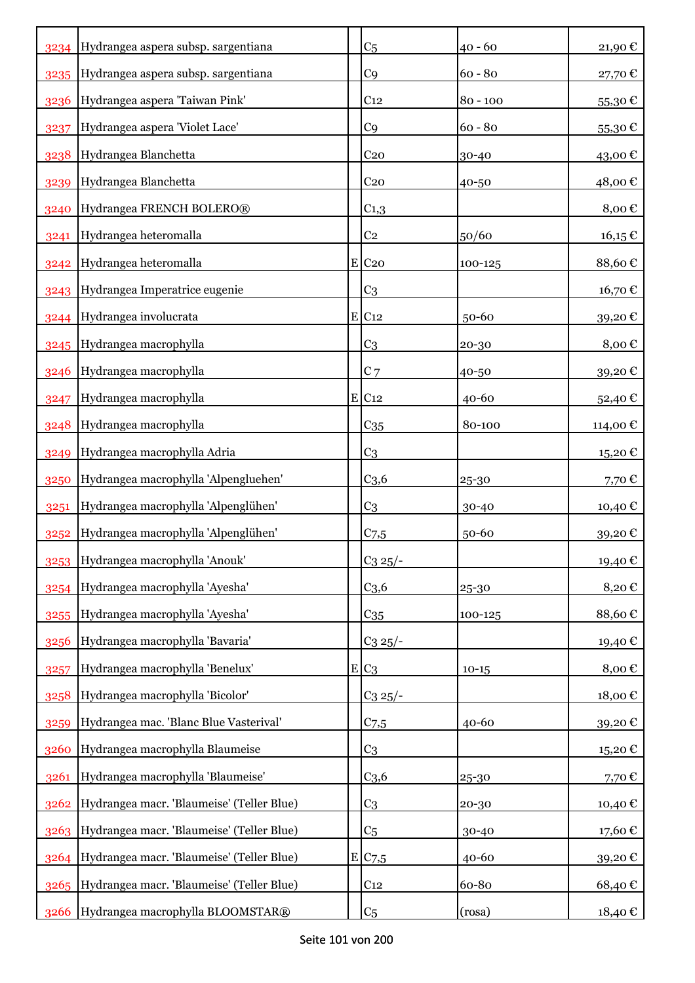|      | 3234 Hydrangea aspera subsp. sargentiana       | C <sub>5</sub>      | $40 - 60$  | 21,90€   |
|------|------------------------------------------------|---------------------|------------|----------|
| 3235 | Hydrangea aspera subsp. sargentiana            | C <sub>9</sub>      | $60 - 80$  | 27,70€   |
| 3236 | Hydrangea aspera 'Taiwan Pink'                 | C <sub>12</sub>     | $80 - 100$ | 55,30€   |
| 3237 | Hydrangea aspera 'Violet Lace'                 | C <sub>9</sub>      | $60 - 80$  | 55,30€   |
| 3238 | Hydrangea Blanchetta                           | C <sub>20</sub>     | 30-40      | 43,00€   |
| 3239 | Hydrangea Blanchetta                           | C <sub>20</sub>     | 40-50      | 48,00€   |
| 3240 | Hydrangea FRENCH BOLERO®                       | $C_{1,3}$           |            | 8,00€    |
| 3241 | Hydrangea heteromalla                          | C <sub>2</sub>      | 50/60      | 16,15€   |
|      | 3242 Hydrangea heteromalla                     | $E$ C <sub>20</sub> | 100-125    | 88,60€   |
|      | 3243 Hydrangea Imperatrice eugenie             | C <sub>3</sub>      |            | 16,70€   |
|      | 3244 Hydrangea involucrata                     | E C12               | 50-60      | 39,20€   |
| 3245 | Hydrangea macrophylla                          | C <sub>3</sub>      | 20-30      | 8,00€    |
| 3246 | Hydrangea macrophylla                          | C <sub>7</sub>      | 40-50      | 39,20€   |
| 3247 | Hydrangea macrophylla                          | $E$ C <sub>12</sub> | 40-60      | 52,40€   |
| 3248 | Hydrangea macrophylla                          | $C_{35}$            | 80-100     | 114,00 € |
| 3249 | Hydrangea macrophylla Adria                    | C <sub>3</sub>      |            | 15,20€   |
| 3250 | Hydrangea macrophylla 'Alpengluehen'           | C <sub>3,6</sub>    | 25-30      | 7,70€    |
| 3251 | Hydrangea macrophylla 'Alpenglühen'            | C <sub>3</sub>      | 30-40      | 10,40 €  |
| 3252 | Hydrangea macrophylla 'Alpenglühen'            | $C_{7,5}$           | 50-60      | 39,20€   |
|      | 3253 Hydrangea macrophylla 'Anouk'             | $C_3 25/-$          |            | 19,40€   |
| 3254 | Hydrangea macrophylla 'Ayesha'                 | C <sub>3,6</sub>    | 25-30      | 8,20€    |
| 3255 | Hydrangea macrophylla 'Ayesha'                 | $C_{35}$            | 100-125    | 88,60€   |
| 3256 | Hydrangea macrophylla 'Bavaria'                | $C_3 25/-$          |            | 19,40€   |
| 3257 | Hydrangea macrophylla 'Benelux'                | $E C_3$             | $10-15$    | 8,00€    |
| 3258 | Hydrangea macrophylla 'Bicolor'                | $C_3 25/-$          |            | 18,00€   |
| 3259 | Hydrangea mac. 'Blanc Blue Vasterival'         | C <sub>7,5</sub>    | 40-60      | 39,20€   |
| 3260 | Hydrangea macrophylla Blaumeise                | C <sub>3</sub>      |            | 15,20€   |
| 3261 | Hydrangea macrophylla 'Blaumeise'              | C <sub>3,6</sub>    | 25-30      | 7,70€    |
| 3262 | Hydrangea macr. 'Blaumeise' (Teller Blue)      | C <sub>3</sub>      | 20-30      | 10,40€   |
|      | 3263 Hydrangea macr. 'Blaumeise' (Teller Blue) | C <sub>5</sub>      | 30-40      | 17,60€   |
|      | 3264 Hydrangea macr. 'Blaumeise' (Teller Blue) | E/C <sub>7,5</sub>  | 40-60      | 39,20€   |
| 3265 | Hydrangea macr. 'Blaumeise' (Teller Blue)      | C <sub>12</sub>     | 60-80      | 68,40€   |
| 3266 | Hydrangea macrophylla BLOOMSTAR®               | C <sub>5</sub>      | (rosa)     | 18,40 €  |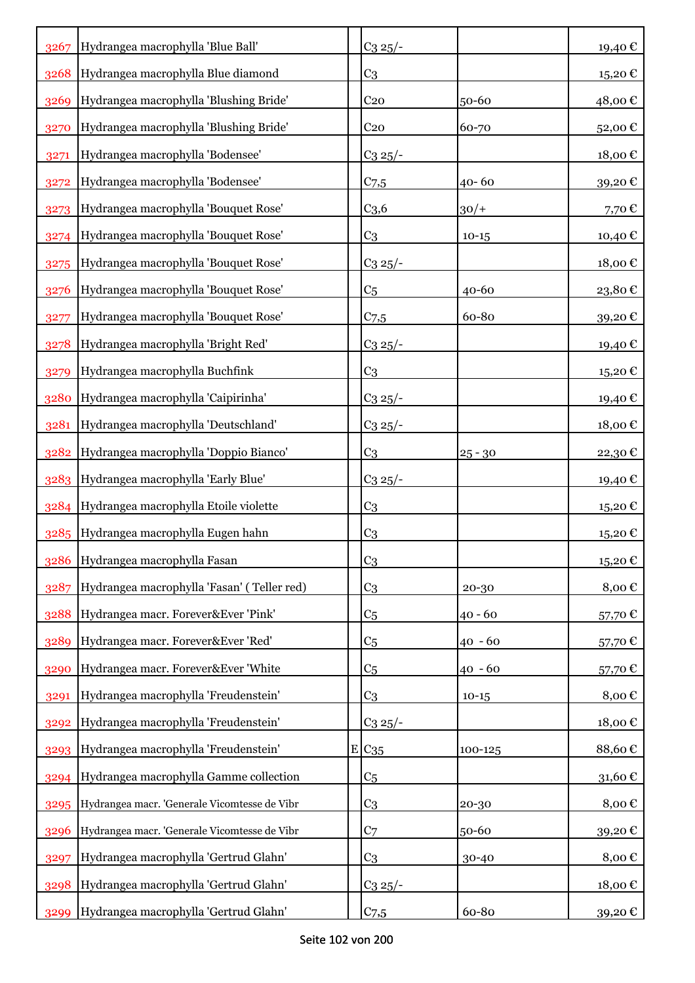| 3267 | Hydrangea macrophylla 'Blue Ball'            | $C_3 25/$ -      |           | 19,40€                     |
|------|----------------------------------------------|------------------|-----------|----------------------------|
| 3268 | Hydrangea macrophylla Blue diamond           | C <sub>3</sub>   |           | 15,20€                     |
| 3269 | Hydrangea macrophylla 'Blushing Bride'       | C <sub>20</sub>  | 50-60     | 48,00€                     |
| 3270 | Hydrangea macrophylla 'Blushing Bride'       | C <sub>20</sub>  | 60-70     | 52,00€                     |
| 3271 | Hydrangea macrophylla 'Bodensee'             | $C_3 25/$ -      |           | 18,00€                     |
| 3272 | Hydrangea macrophylla 'Bodensee'             | $C$ 7,5          | 40-60     | 39,20€                     |
| 3273 | Hydrangea macrophylla 'Bouquet Rose'         | C <sub>3,6</sub> | $30/+$    | 7,70€                      |
| 3274 | Hydrangea macrophylla 'Bouquet Rose'         | C <sub>3</sub>   | $10 - 15$ | 10,40€                     |
| 3275 | Hydrangea macrophylla 'Bouquet Rose'         | $C_3 25/$ -      |           | 18,00€                     |
| 3276 | Hydrangea macrophylla 'Bouquet Rose'         | C <sub>5</sub>   | 40-60     | 23,80€                     |
| 3277 | Hydrangea macrophylla 'Bouquet Rose'         | $C_{7,5}$        | 60-80     | 39,20€                     |
| 3278 | Hydrangea macrophylla 'Bright Red'           | $C_3$ 25/-       |           | 19,40 €                    |
| 3279 | Hydrangea macrophylla Buchfink               | C <sub>3</sub>   |           | 15,20€                     |
| 3280 | Hydrangea macrophylla 'Caipirinha'           | $C_3$ 25/-       |           | 19,40 €                    |
| 3281 | Hydrangea macrophylla 'Deutschland'          | $C_3 25/$ -      |           | 18,00€                     |
| 3282 | Hydrangea macrophylla 'Doppio Bianco'        | C <sub>3</sub>   | $25 - 30$ | 22,30€                     |
| 3283 | Hydrangea macrophylla 'Early Blue'           | $C_3 25$ /-      |           | 19,40 €                    |
| 3284 | Hydrangea macrophylla Etoile violette        | C <sub>3</sub>   |           | 15,20€                     |
| 3285 | Hydrangea macrophylla Eugen hahn             | C <sub>3</sub>   |           | 15,20€                     |
| 3286 | Hydrangea macrophylla Fasan                  | C <sub>3</sub>   |           | 15,20€                     |
| 3287 | Hydrangea macrophylla 'Fasan' (Teller red)   | C <sub>3</sub>   | 20-30     | 8,00€                      |
| 3288 | Hydrangea macr. Forever&Ever 'Pink'          | C <sub>5</sub>   | $40 - 60$ | 57,70€                     |
| 3289 | Hydrangea macr. Forever&Ever 'Red'           | C <sub>5</sub>   | $40 - 60$ | 57,70€                     |
| 3290 | Hydrangea macr. Forever&Ever 'White          | C <sub>5</sub>   | $40 - 60$ | 57,70€                     |
| 3291 | Hydrangea macrophylla 'Freudenstein'         | C <sub>3</sub>   | $10-15$   | 8,00€                      |
| 3292 | Hydrangea macrophylla 'Freudenstein'         | $C_3 25/$ -      |           | $18,00 \text{ }\mathbb{C}$ |
| 3293 | Hydrangea macrophylla 'Freudenstein'         | $E C_{35}$       | 100-125   | 88,60€                     |
| 3294 | Hydrangea macrophylla Gamme collection       | C <sub>5</sub>   |           | 31,60€                     |
| 3295 | Hydrangea macr. 'Generale Vicomtesse de Vibr | C <sub>3</sub>   | 20-30     | 8,00€                      |
| 3296 | Hydrangea macr. 'Generale Vicomtesse de Vibr | C <sub>7</sub>   | 50-60     | 39,20€                     |
| 3297 | Hydrangea macrophylla 'Gertrud Glahn'        | C <sub>3</sub>   | 30-40     | 8,00€                      |
| 3298 | Hydrangea macrophylla 'Gertrud Glahn'        | $C_3 25/$ -      |           | 18,00€                     |
| 3299 | Hydrangea macrophylla 'Gertrud Glahn'        | C <sub>7,5</sub> | 60-80     | 39,20€                     |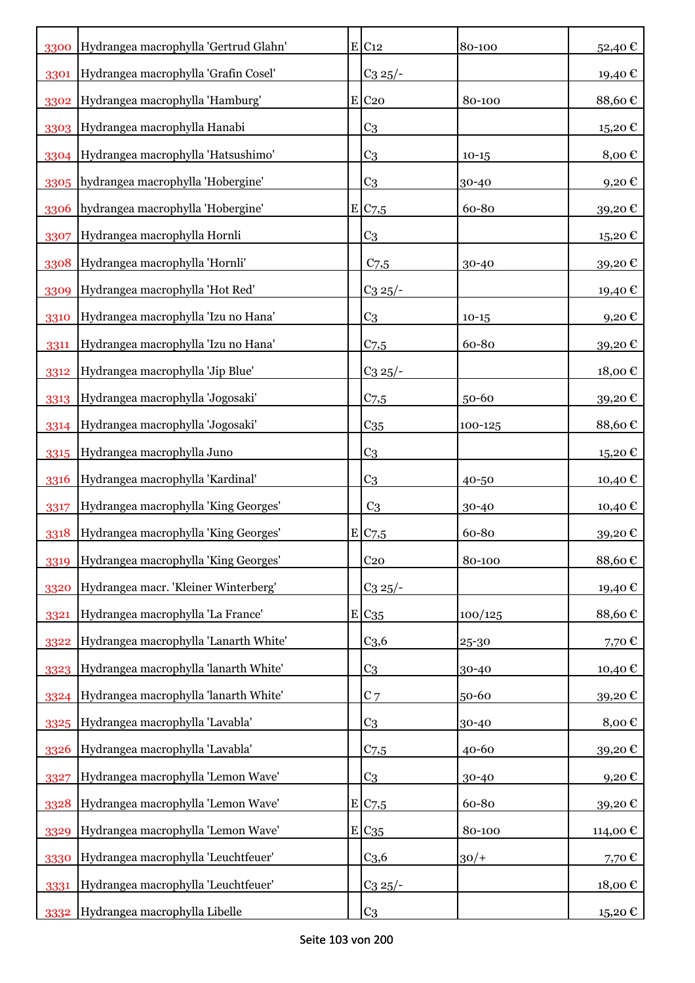| 3300 | Hydrangea macrophylla 'Gertrud Glahn' | $E$ C <sub>12</sub> | 80-100    | 52,40€                     |
|------|---------------------------------------|---------------------|-----------|----------------------------|
| 3301 | Hydrangea macrophylla 'Grafin Cosel'  | $C_3 25$ /-         |           | 19,40€                     |
| 3302 | Hydrangea macrophylla 'Hamburg'       | $E$ C <sub>20</sub> | 80-100    | 88,60€                     |
| 3303 | Hydrangea macrophylla Hanabi          | C <sub>3</sub>      |           | 15,20€                     |
| 3304 | Hydrangea macrophylla 'Hatsushimo'    | C <sub>3</sub>      | $10 - 15$ | 8,00€                      |
| 3305 | hydrangea macrophylla 'Hobergine'     | C <sub>3</sub>      | 30-40     | 9,20€                      |
| 3306 | hydrangea macrophylla 'Hobergine'     | E/C <sub>7,5</sub>  | 60-80     | 39,20€                     |
| 3307 | Hydrangea macrophylla Hornli          | C <sub>3</sub>      |           | 15,20€                     |
| 3308 | Hydrangea macrophylla 'Hornli'        | C <sub>7,5</sub>    | 30-40     | 39,20€                     |
| 3309 | Hydrangea macrophylla 'Hot Red'       | $C_3$ 25/-          |           | 19,40 €                    |
| 3310 | Hydrangea macrophylla 'Izu no Hana'   | C <sub>3</sub>      | $10 - 15$ | 9,20 $\epsilon$            |
| 3311 | Hydrangea macrophylla 'Izu no Hana'   | C <sub>7,5</sub>    | 60-80     | 39,20€                     |
| 3312 | Hydrangea macrophylla 'Jip Blue'      | $C_3$ 25/-          |           | 18,00€                     |
| 3313 | Hydrangea macrophylla 'Jogosaki'      | $C_{7,5}$           | 50-60     | 39,20€                     |
| 3314 | Hydrangea macrophylla 'Jogosaki'      | $C_{35}$            | 100-125   | 88,60€                     |
| 3315 | Hydrangea macrophylla Juno            | C <sub>3</sub>      |           | 15,20€                     |
| 3316 | Hydrangea macrophylla 'Kardinal'      | C <sub>3</sub>      | 40-50     | 10,40 €                    |
| 3317 | Hydrangea macrophylla 'King Georges'  | C <sub>3</sub>      | 30-40     | 10,40€                     |
| 3318 | Hydrangea macrophylla 'King Georges'  | E C7,5              | 60-80     | 39,20€                     |
| 3319 | Hydrangea macrophylla 'King Georges'  | C <sub>20</sub>     | 80-100    | 88,60€                     |
| 3320 | Hydrangea macr. 'Kleiner Winterberg'  | $C_3 25/-$          |           | 19,40€                     |
| 3321 | Hydrangea macrophylla 'La France'     | E C <sub>35</sub>   | 100/125   | 88,60€                     |
| 3322 | Hydrangea macrophylla 'Lanarth White' | C <sub>3,6</sub>    | 25-30     | 7,70€                      |
| 3323 | Hydrangea macrophylla 'lanarth White' | C <sub>3</sub>      | 30-40     | 10,40€                     |
| 3324 | Hydrangea macrophylla 'lanarth White' | $C$ 7               | 50-60     | 39,20€                     |
| 3325 | Hydrangea macrophylla 'Lavabla'       | C <sub>3</sub>      | 30-40     | 8,00€                      |
| 3326 | Hydrangea macrophylla 'Lavabla'       | C <sub>7,5</sub>    | 40-60     | 39,20€                     |
| 3327 | Hydrangea macrophylla 'Lemon Wave'    | C <sub>3</sub>      | 30-40     | 9,20€                      |
| 3328 | Hydrangea macrophylla 'Lemon Wave'    | E C7,5              | 60-80     | 39,20€                     |
| 3329 | Hydrangea macrophylla 'Lemon Wave'    | E/C35               | 80-100    | 114,00€                    |
| 3330 | Hydrangea macrophylla 'Leuchtfeuer'   | C <sub>3,6</sub>    | $30/+$    | 7,70€                      |
| 3331 | Hydrangea macrophylla 'Leuchtfeuer'   | $C_3 25/$ -         |           | $18,00 \text{ }\mathbb{C}$ |
| 3332 | Hydrangea macrophylla Libelle         | C <sub>3</sub>      |           | 15,20€                     |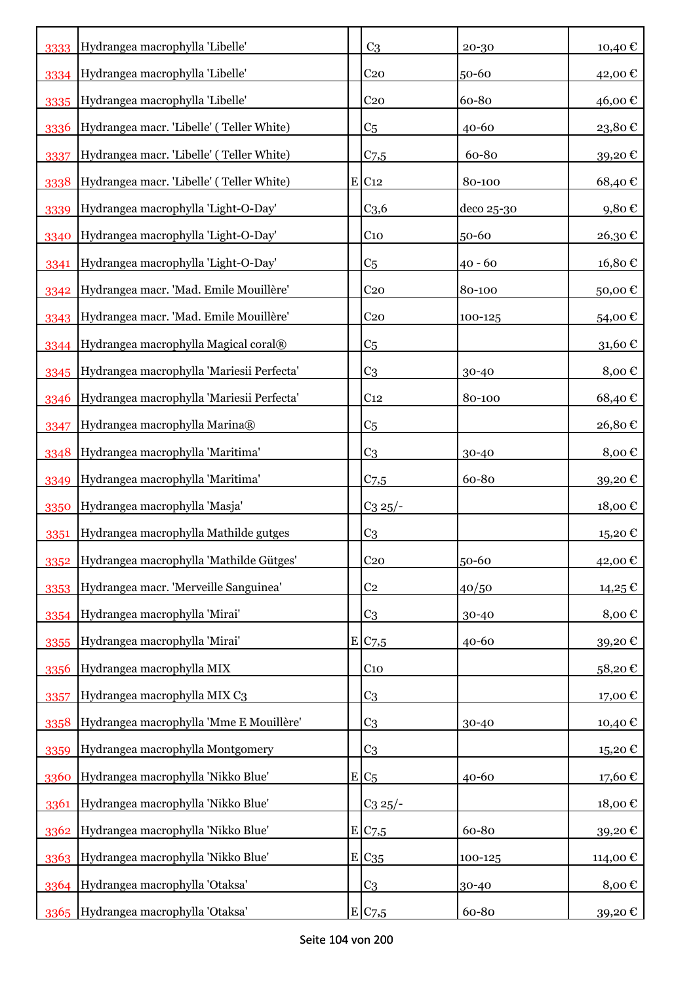| 3333 | Hydrangea macrophylla 'Libelle'           | C <sub>3</sub>      | 20-30      | 10,40€               |
|------|-------------------------------------------|---------------------|------------|----------------------|
| 3334 | Hydrangea macrophylla 'Libelle'           | C <sub>20</sub>     | 50-60      | 42,00€               |
| 3335 | Hydrangea macrophylla 'Libelle'           | C <sub>20</sub>     | 60-80      | 46,00€               |
| 3336 | Hydrangea macr. 'Libelle' (Teller White)  | C <sub>5</sub>      | 40-60      | 23,80€               |
| 3337 | Hydrangea macr. 'Libelle' (Teller White)  | $C$ 7,5             | 60-80      | 39,20€               |
| 3338 | Hydrangea macr. 'Libelle' (Teller White)  | $E$ C <sub>12</sub> | 80-100     | 68,40€               |
| 3339 | Hydrangea macrophylla 'Light-O-Day'       | C <sub>3,6</sub>    | deco 25-30 | 9,80€                |
| 3340 | Hydrangea macrophylla 'Light-O-Day'       | C <sub>10</sub>     | 50-60      | 26,30€               |
| 3341 | Hydrangea macrophylla 'Light-O-Day'       | C <sub>5</sub>      | $40 - 60$  | 16,80€               |
| 3342 | Hydrangea macr. 'Mad. Emile Mouillère'    | C <sub>20</sub>     | 80-100     | 50,00€               |
| 3343 | Hydrangea macr. 'Mad. Emile Mouillère'    | C <sub>20</sub>     | 100-125    | 54,00€               |
| 3344 | Hydrangea macrophylla Magical coral®      | C <sub>5</sub>      |            | 31,60€               |
| 3345 | Hydrangea macrophylla 'Mariesii Perfecta' | C <sub>3</sub>      | 30-40      | 8,00€                |
| 3346 | Hydrangea macrophylla 'Mariesii Perfecta' | C <sub>12</sub>     | 80-100     | 68,40€               |
| 3347 | Hydrangea macrophylla Marina®             | C <sub>5</sub>      |            | 26,80€               |
| 3348 | Hydrangea macrophylla 'Maritima'          | C <sub>3</sub>      | 30-40      | 8,00€                |
| 3349 | Hydrangea macrophylla 'Maritima'          | $C$ 7,5             | 60-80      | 39,20€               |
| 3350 | Hydrangea macrophylla 'Masja'             | $C_3 25$ /-         |            | 18,00€               |
| 3351 | Hydrangea macrophylla Mathilde gutges     | C <sub>3</sub>      |            | 15,20€               |
| 3352 | Hydrangea macrophylla 'Mathilde Gütges'   | C <sub>20</sub>     | 50-60      | 42,00€               |
| 3353 | Hydrangea macr. 'Merveille Sanguinea'     | C <sub>2</sub>      | 40/50      | 14,25€               |
| 3354 | Hydrangea macrophylla 'Mirai'             | C <sub>3</sub>      | 30-40      | 8,00 $\epsilon$      |
| 3355 | Hydrangea macrophylla 'Mirai'             | E C7,5              | 40-60      | 39,20€               |
| 3356 | Hydrangea macrophylla MIX                 | C <sub>10</sub>     |            | 58,20€               |
| 3357 | Hydrangea macrophylla MIX C3              | C <sub>3</sub>      |            | 17,00€               |
| 3358 | Hydrangea macrophylla 'Mme E Mouillère'   | C <sub>3</sub>      | 30-40      | 10,40€               |
| 3359 | Hydrangea macrophylla Montgomery          | C <sub>3</sub>      |            | 15,20€               |
| 3360 | Hydrangea macrophylla 'Nikko Blue'        | $E/C_5$             | 40-60      | 17,60€               |
| 3361 | Hydrangea macrophylla 'Nikko Blue'        | $C_3 25/$ -         |            | $18,00 \text{ } \in$ |
| 3362 | Hydrangea macrophylla 'Nikko Blue'        | E C7,5              | 60-80      | 39,20€               |
|      | 3363 Hydrangea macrophylla 'Nikko Blue'   | E/C35               | 100-125    | 114,00€              |
|      | 3364 Hydrangea macrophylla 'Otaksa'       | C <sub>3</sub>      | 30-40      | 8,00€                |
| 3365 | Hydrangea macrophylla 'Otaksa'            | E C7,5              | 60-80      | 39,20€               |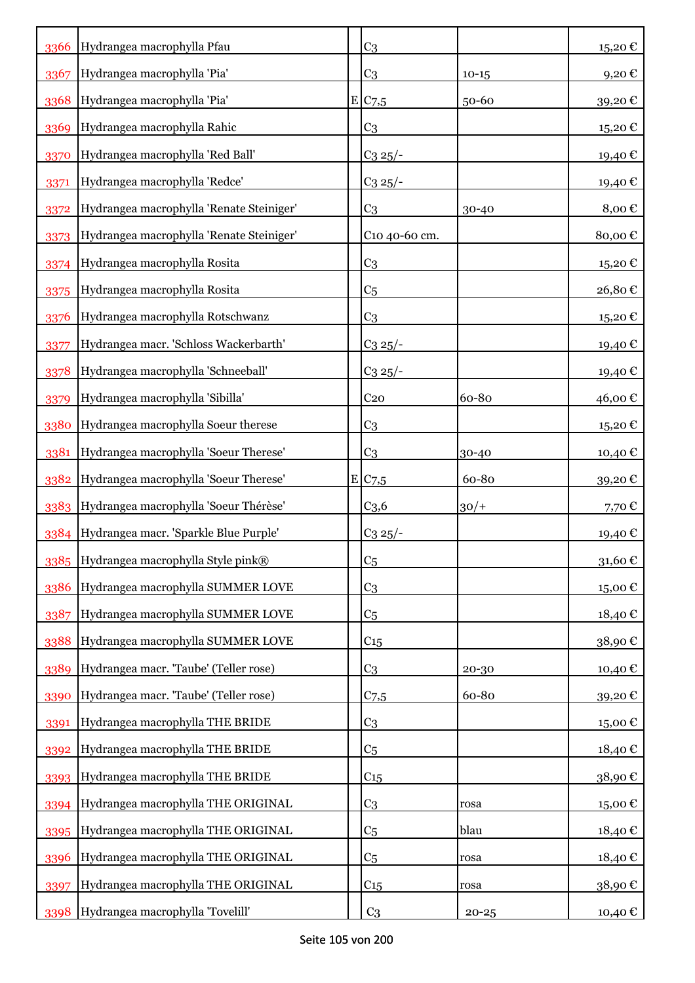| 3366 | Hydrangea macrophylla Pfau                 | C <sub>3</sub>     |           | 15,20€            |
|------|--------------------------------------------|--------------------|-----------|-------------------|
| 3367 | Hydrangea macrophylla 'Pia'                | C <sub>3</sub>     | $10 - 15$ | 9,20€             |
| 3368 | Hydrangea macrophylla 'Pia'                | E/C <sub>7,5</sub> | $50 - 60$ | 39,20€            |
| 3369 | Hydrangea macrophylla Rahic                | C <sub>3</sub>     |           | 15,20€            |
| 3370 | Hydrangea macrophylla 'Red Ball'           | $C_3 25/$ -        |           | 19,40€            |
| 3371 | Hydrangea macrophylla 'Redce'              | $C_3$ $25/-$       |           | 19,40€            |
| 3372 | Hydrangea macrophylla 'Renate Steiniger'   | C <sub>3</sub>     | $30 - 40$ | 8,00€             |
| 3373 | Hydrangea macrophylla 'Renate Steiniger'   | C10 40-60 cm.      |           | 80,00€            |
| 3374 | Hydrangea macrophylla Rosita               | C <sub>3</sub>     |           | 15,20€            |
| 3375 | Hydrangea macrophylla Rosita               | C <sub>5</sub>     |           | 26,80€            |
| 3376 | Hydrangea macrophylla Rotschwanz           | C <sub>3</sub>     |           | 15,20€            |
| 3377 | Hydrangea macr. 'Schloss Wackerbarth'      | $C_3 25/$ -        |           | 19,40€            |
| 3378 | Hydrangea macrophylla 'Schneeball'         | $C_3 \frac{25}{-}$ |           | 19,40€            |
| 3379 | Hydrangea macrophylla 'Sibilla'            | C <sub>20</sub>    | 60-80     | 46,00€            |
| 3380 | Hydrangea macrophylla Soeur therese        | C <sub>3</sub>     |           | 15,20€            |
| 3381 | Hydrangea macrophylla 'Soeur Therese'      | C <sub>3</sub>     | 30-40     | 10,40 €           |
| 3382 | Hydrangea macrophylla 'Soeur Therese'      | E C7,5             | 60-80     | 39,20€            |
|      | 3383 Hydrangea macrophylla 'Soeur Thérèse' | C <sub>3,6</sub>   | $30/+$    | 7,70€             |
| 3384 | Hydrangea macr. 'Sparkle Blue Purple'      | $C_3 25/$ -        |           | 19,40€            |
|      | 3385 Hydrangea macrophylla Style pink®     | C <sub>5</sub>     |           | 31,60 $\epsilon$  |
| 3386 | Hydrangea macrophylla SUMMER LOVE          | C <sub>3</sub>     |           | 15,00€            |
| 3387 | Hydrangea macrophylla SUMMER LOVE          | C <sub>5</sub>     |           | 18,40€            |
| 3388 | Hydrangea macrophylla SUMMER LOVE          | C <sub>15</sub>    |           | 38,90€            |
| 3389 | Hydrangea macr. 'Taube' (Teller rose)      | C <sub>3</sub>     | 20-30     | 10,40€            |
| 3390 | Hydrangea macr. 'Taube' (Teller rose)      | C <sub>7,5</sub>   | 60-80     | 39,20€            |
| 3391 | Hydrangea macrophylla THE BRIDE            | C <sub>3</sub>     |           | 15,00€            |
| 3392 | Hydrangea macrophylla THE BRIDE            | C <sub>5</sub>     |           | 18,40€            |
| 3393 | Hydrangea macrophylla THE BRIDE            | C <sub>15</sub>    |           | 38,90€            |
| 3394 | Hydrangea macrophylla THE ORIGINAL         | C <sub>3</sub>     | rosa      | $15,00 \text{ }€$ |
| 3395 | Hydrangea macrophylla THE ORIGINAL         | C <sub>5</sub>     | blau      | 18,40€            |
| 3396 | Hydrangea macrophylla THE ORIGINAL         | C <sub>5</sub>     | rosa      | 18,40€            |
| 3397 | Hydrangea macrophylla THE ORIGINAL         | $C_{15}$           | rosa      | 38,90€            |
| 3398 | Hydrangea macrophylla 'Tovelill'           | C <sub>3</sub>     | $20 - 25$ | 10,40 €           |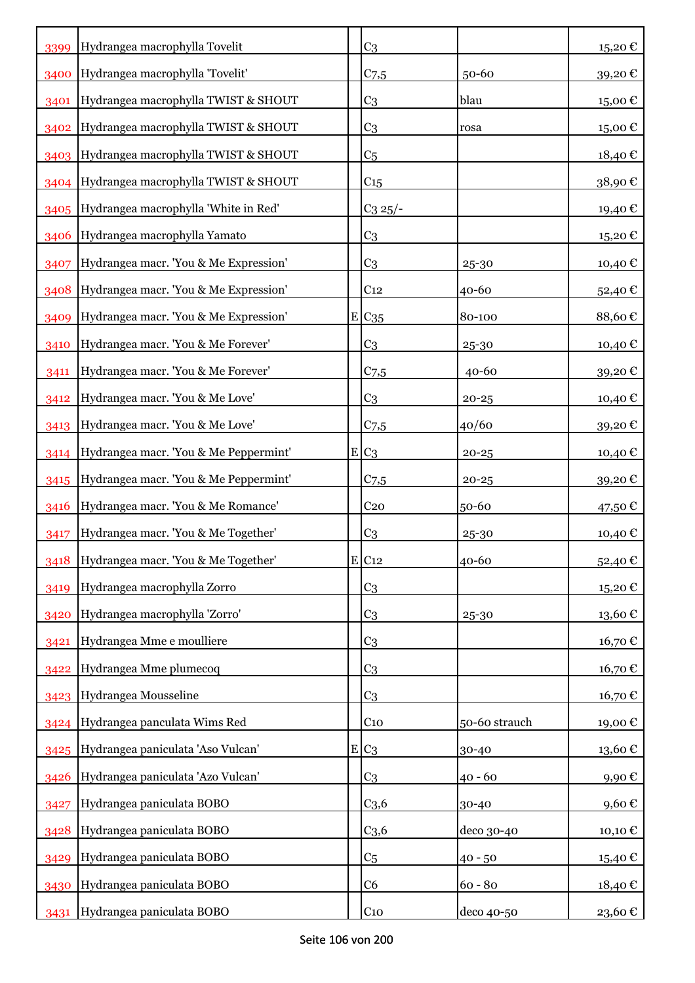| 3399 | Hydrangea macrophylla Tovelit              |   | C <sub>3</sub>      |               | $15,20 \text{ } \in$   |
|------|--------------------------------------------|---|---------------------|---------------|------------------------|
| 3400 | Hydrangea macrophylla 'Tovelit'            |   | $C_{7,5}$           | $50 - 60$     | 39,20€                 |
| 3401 | Hydrangea macrophylla TWIST & SHOUT        |   | C <sub>3</sub>      | blau          | 15,00€                 |
| 3402 | Hydrangea macrophylla TWIST & SHOUT        |   | C <sub>3</sub>      | rosa          | $15,00 \text{ }€$      |
|      | 3403 Hydrangea macrophylla TWIST & SHOUT   |   | C <sub>5</sub>      |               | 18,40€                 |
|      | 3404 Hydrangea macrophylla TWIST & SHOUT   |   | C <sub>15</sub>     |               | 38,90€                 |
|      | 3405 Hydrangea macrophylla 'White in Red'  |   | $C_3$ 25/-          |               | 19,40€                 |
| 3406 | Hydrangea macrophylla Yamato               |   | C <sub>3</sub>      |               | 15,20€                 |
| 3407 | Hydrangea macr. 'You & Me Expression'      |   | C <sub>3</sub>      | 25-30         | 10,40€                 |
|      | 3408 Hydrangea macr. 'You & Me Expression' |   | C <sub>12</sub>     | 40-60         | 52,40€                 |
| 3409 | Hydrangea macr. 'You & Me Expression'      |   | $E C_{35}$          | 80-100        | 88,60€                 |
| 3410 | Hydrangea macr. 'You & Me Forever'         |   | C <sub>3</sub>      | 25-30         | 10,40€                 |
| 3411 | Hydrangea macr. 'You & Me Forever'         |   | C <sub>7,5</sub>    | $40 - 60$     | 39,20€                 |
| 3412 | Hydrangea macr. 'You & Me Love'            |   | C <sub>3</sub>      | $20 - 25$     | 10,40€                 |
| 3413 | Hydrangea macr. 'You & Me Love'            |   | $C$ 7,5             | 40/60         | 39,20€                 |
| 3414 | Hydrangea macr. 'You & Me Peppermint'      |   | $E C_3$             | $20 - 25$     | 10,40 €                |
| 3415 | Hydrangea macr. 'You & Me Peppermint'      |   | $C_{7,5}$           | $20 - 25$     | 39,20€                 |
| 3416 | Hydrangea macr. 'You & Me Romance'         |   | C <sub>20</sub>     | 50-60         | 47,50€                 |
| 3417 | Hydrangea macr. 'You & Me Together'        |   | C <sub>3</sub>      | $25 - 30$     | 10,40€                 |
| 3418 | Hydrangea macr. 'You & Me Together'        |   | $E$ C <sub>12</sub> | 40-60         | 52,40€                 |
| 3419 | Hydrangea macrophylla Zorro                |   | C <sub>3</sub>      |               | 15,20€                 |
| 3420 | Hydrangea macrophylla 'Zorro'              |   | C <sub>3</sub>      | 25-30         | 13,60€                 |
| 3421 | Hydrangea Mme e moulliere                  |   | C <sub>3</sub>      |               | 16,70€                 |
| 3422 | Hydrangea Mme plumecoq                     |   | C <sub>3</sub>      |               | 16,70 €                |
| 3423 | Hydrangea Mousseline                       |   | C <sub>3</sub>      |               | 16,70€                 |
| 3424 | Hydrangea panculata Wims Red               |   | C <sub>10</sub>     | 50-60 strauch | 19,00€                 |
| 3425 | Hydrangea paniculata 'Aso Vulcan'          | E | C <sub>3</sub>      | 30-40         | $13{,}60$ $\mathbb{C}$ |
| 3426 | Hydrangea paniculata 'Azo Vulcan'          |   | C <sub>3</sub>      | $40 - 60$     | 9,90€                  |
| 3427 | Hydrangea paniculata BOBO                  |   | C <sub>3,6</sub>    | 30-40         | 9,60€                  |
| 3428 | Hydrangea paniculata BOBO                  |   | C <sub>3,6</sub>    | deco 30-40    | 10,10 €                |
| 3429 | Hydrangea paniculata BOBO                  |   | C <sub>5</sub>      | $40 - 50$     | 15,40€                 |
| 3430 | Hydrangea paniculata BOBO                  |   | C <sub>6</sub>      | $60 - 80$     | 18,40€                 |
| 3431 | Hydrangea paniculata BOBO                  |   | C <sub>10</sub>     | deco 40-50    | 23,60 €                |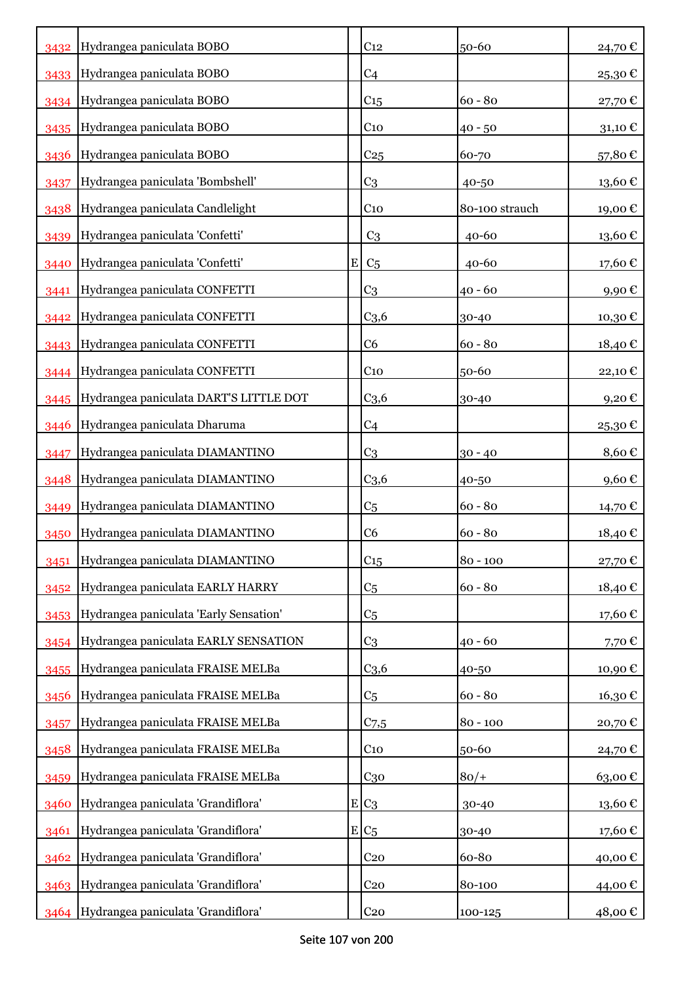|      | 3432 Hydrangea paniculata BOBO              |             | C <sub>12</sub>  | 50-60          | 24,70€                |
|------|---------------------------------------------|-------------|------------------|----------------|-----------------------|
|      | 3433 Hydrangea paniculata BOBO              |             | C <sub>4</sub>   |                | 25,30€                |
|      | 3434 Hydrangea paniculata BOBO              |             | C15              | $60 - 80$      | 27,70€                |
| 3435 | Hydrangea paniculata BOBO                   |             | C <sub>10</sub>  | $40 - 50$      | 31,10 $\mathcal C$    |
| 3436 | Hydrangea paniculata BOBO                   |             | C <sub>25</sub>  | 60-70          | 57,80€                |
| 3437 | Hydrangea paniculata 'Bombshell'            |             | C <sub>3</sub>   | 40-50          | $13{,}60$ $\mathbb C$ |
| 3438 | Hydrangea paniculata Candlelight            |             | C <sub>10</sub>  | 80-100 strauch | 19,00€                |
| 3439 | Hydrangea paniculata 'Confetti'             |             | C <sub>3</sub>   | $40 - 60$      | 13,60€                |
| 3440 | Hydrangea paniculata 'Confetti'             | $\mathbf E$ | C <sub>5</sub>   | 40-60          | 17,60€                |
| 3441 | Hydrangea paniculata CONFETTI               |             | C <sub>3</sub>   | $40 - 60$      | 9,90€                 |
| 3442 | Hydrangea paniculata CONFETTI               |             | C <sub>3,6</sub> | 30-40          | 10,30€                |
|      | 3443 Hydrangea paniculata CONFETTI          |             | C6               | $60 - 80$      | 18,40€                |
|      | 3444 Hydrangea paniculata CONFETTI          |             | C <sub>10</sub>  | 50-60          | 22,10€                |
|      | 3445 Hydrangea paniculata DART'S LITTLE DOT |             | C <sub>3,6</sub> | 30-40          | 9,20€                 |
| 3446 | Hydrangea paniculata Dharuma                |             | C <sub>4</sub>   |                | 25,30€                |
| 3447 | Hydrangea paniculata DIAMANTINO             |             | C <sub>3</sub>   | $30 - 40$      | 8,60€                 |
| 3448 | Hydrangea paniculata DIAMANTINO             |             | C <sub>3,6</sub> | 40-50          | 9,60€                 |
| 3449 | Hydrangea paniculata DIAMANTINO             |             | C <sub>5</sub>   | $60 - 80$      | 14,70 €               |
| 3450 | Hydrangea paniculata DIAMANTINO             |             | C <sub>6</sub>   | $60 - 80$      | 18,40€                |
| 3451 | Hydrangea paniculata DIAMANTINO             |             | C <sub>15</sub>  | $80 - 100$     | 27,70 €               |
| 3452 | Hydrangea paniculata EARLY HARRY            |             | C <sub>5</sub>   | $60 - 80$      | 18,40€                |
| 3453 | Hydrangea paniculata 'Early Sensation'      |             | C <sub>5</sub>   |                | 17,60€                |
|      | 3454 Hydrangea paniculata EARLY SENSATION   |             | C <sub>3</sub>   | $40 - 60$      | 7,70€                 |
| 3455 | Hydrangea paniculata FRAISE MELBa           |             | C <sub>3,6</sub> | 40-50          | 10,90€                |
| 3456 | Hydrangea paniculata FRAISE MELBa           |             | C <sub>5</sub>   | $60 - 80$      | 16,30€                |
| 3457 | Hydrangea paniculata FRAISE MELBa           |             | $C$ 7,5          | $80 - 100$     | 20,70€                |
| 3458 | Hydrangea paniculata FRAISE MELBa           |             | $C_{10}$         | 50-60          | 24,70€                |
| 3459 | Hydrangea paniculata FRAISE MELBa           |             | $C_{30}$         | $80/+$         | 63,00€                |
| 3460 | Hydrangea paniculata 'Grandiflora'          |             | $E C_3$          | 30-40          | 13,60€                |
| 3461 | Hydrangea paniculata 'Grandiflora'          |             | $E/C_5$          | 30-40          | 17,60€                |
|      | 3462 Hydrangea paniculata 'Grandiflora'     |             | C <sub>20</sub>  | 60-80          | 40,00€                |
|      | 3463 Hydrangea paniculata 'Grandiflora'     |             | C <sub>20</sub>  | 80-100         | 44,00 €               |
|      | 3464 Hydrangea paniculata 'Grandiflora'     |             | C <sub>20</sub>  | 100-125        | 48,00 €               |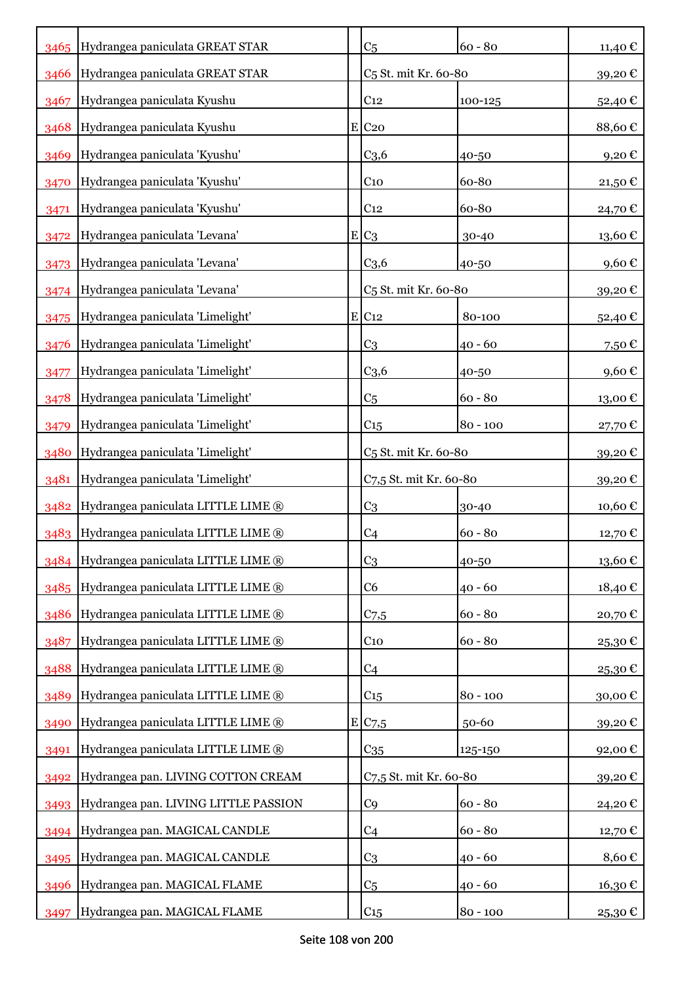|      | 3465 Hydrangea paniculata GREAT STAR    | C <sub>5</sub>                   | $60 - 80$  | 11,40€        |
|------|-----------------------------------------|----------------------------------|------------|---------------|
| 3466 | Hydrangea paniculata GREAT STAR         | C <sub>5</sub> St. mit Kr. 60-80 |            | 39,20€        |
| 3467 | Hydrangea paniculata Kyushu             | C <sub>12</sub>                  | 100-125    | 52,40€        |
| 3468 | Hydrangea paniculata Kyushu             | $E$ C <sub>20</sub>              |            | 88,60€        |
| 3469 | Hydrangea paniculata 'Kyushu'           | C <sub>3,6</sub>                 | 40-50      | 9,20€         |
| 3470 | Hydrangea paniculata 'Kyushu'           | C <sub>10</sub>                  | 60-80      | 21,50 €       |
| 3471 | Hydrangea paniculata 'Kyushu'           | C <sub>12</sub>                  | 60-80      | 24,70€        |
| 3472 | Hydrangea paniculata 'Levana'           | $E C_3$                          | 30-40      | 13,60€        |
| 3473 | Hydrangea paniculata 'Levana'           | $C_{3,6}$                        | 40-50      | 9,60€         |
| 3474 | Hydrangea paniculata 'Levana'           | C <sub>5</sub> St. mit Kr. 60-80 |            | 39,20€        |
| 3475 | Hydrangea paniculata 'Limelight'        | $E$ C <sub>12</sub>              | 80-100     | 52,40€        |
| 3476 | Hydrangea paniculata 'Limelight'        | C <sub>3</sub>                   | 40 - 60    | 7,50€         |
| 3477 | Hydrangea paniculata 'Limelight'        | C <sub>3,6</sub>                 | 40-50      | 9,60€         |
| 3478 | Hydrangea paniculata 'Limelight'        | C <sub>5</sub>                   | $60 - 80$  | 13,00€        |
| 3479 | Hydrangea paniculata 'Limelight'        | C <sub>15</sub>                  | $80 - 100$ | 27,70€        |
| 3480 | Hydrangea paniculata 'Limelight'        | C <sub>5</sub> St. mit Kr. 60-80 |            | 39,20€        |
| 3481 | Hydrangea paniculata 'Limelight'        | C7,5 St. mit Kr. 60-80           |            | 39,20€        |
| 3482 | Hydrangea paniculata LITTLE LIME ®      | C <sub>3</sub>                   | 30-40      | 10,60€        |
| 3483 | Hydrangea paniculata LITTLE LIME ®      | C <sub>4</sub>                   | $60 - 80$  | 12,70€        |
|      | 3484 Hydrangea paniculata LITTLE LIME ® | C <sub>3</sub>                   | 40-50      | $13{,}60 \in$ |
| 3485 | Hydrangea paniculata LITTLE LIME ®      | C <sub>6</sub>                   | $40 - 60$  | 18,40€        |
| 3486 | Hydrangea paniculata LITTLE LIME ®      | $C_{7,5}$                        | $60 - 80$  | 20,70€        |
| 3487 | Hydrangea paniculata LITTLE LIME ®      | C <sub>10</sub>                  | $60 - 80$  | 25,30€        |
| 3488 | Hydrangea paniculata LITTLE LIME ®      | C <sub>4</sub>                   |            | 25,30€        |
| 3489 | Hydrangea paniculata LITTLE LIME ®      | C <sub>15</sub>                  | $80 - 100$ | 30,00€        |
| 3490 | Hydrangea paniculata LITTLE LIME ®      | E C7,5                           | 50-60      | 39,20€        |
| 3491 | Hydrangea paniculata LITTLE LIME ®      | C <sub>35</sub>                  | 125-150    | 92,00€        |
| 3492 | Hydrangea pan. LIVING COTTON CREAM      | C7,5 St. mit Kr. 60-80           |            | 39,20€        |
| 3493 | Hydrangea pan. LIVING LITTLE PASSION    | C <sub>9</sub>                   | $60 - 80$  | 24,20€        |
| 3494 | Hydrangea pan. MAGICAL CANDLE           | C <sub>4</sub>                   | $60 - 80$  | 12,70€        |
| 3495 | Hydrangea pan. MAGICAL CANDLE           | C <sub>3</sub>                   | $40 - 60$  | 8,60€         |
| 3496 | Hydrangea pan. MAGICAL FLAME            | C <sub>5</sub>                   | $40 - 60$  | 16,30€        |
| 3497 | Hydrangea pan. MAGICAL FLAME            | C15                              | $80 - 100$ | 25,30 €       |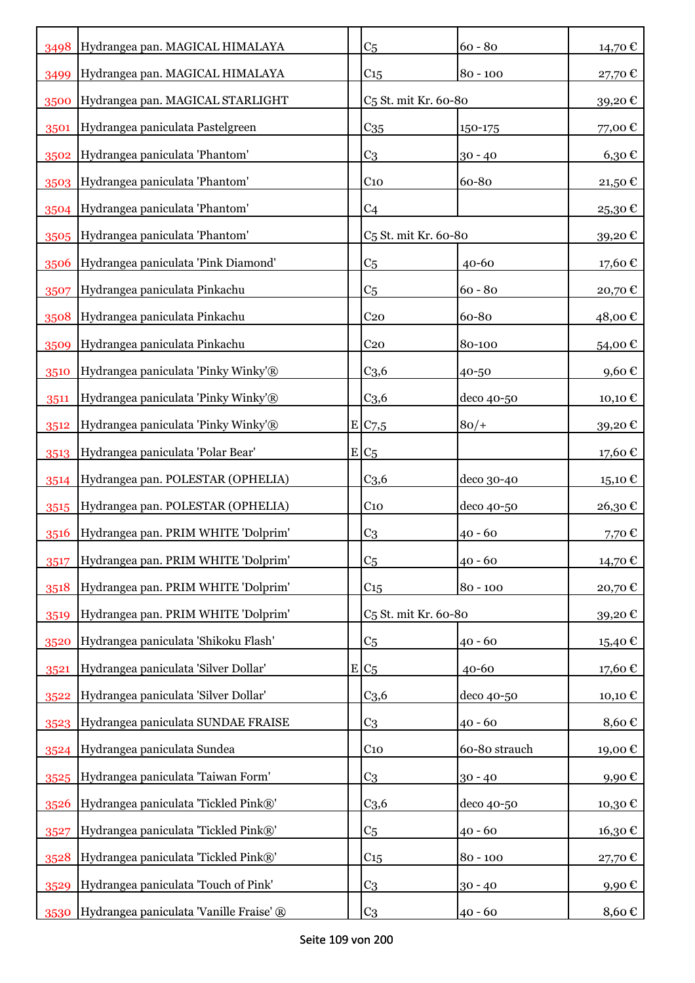| 3498 | Hydrangea pan. MAGICAL HIMALAYA         | C <sub>5</sub>                   | $60 - 80$     | 14,70 €   |
|------|-----------------------------------------|----------------------------------|---------------|-----------|
| 3499 | Hydrangea pan. MAGICAL HIMALAYA         | C <sub>15</sub>                  | $80 - 100$    | 27,70€    |
| 3500 | Hydrangea pan. MAGICAL STARLIGHT        | C <sub>5</sub> St. mit Kr. 60-80 |               | 39,20€    |
| 3501 | Hydrangea paniculata Pastelgreen        | C <sub>35</sub>                  | 150-175       | 77,00€    |
| 3502 | Hydrangea paniculata 'Phantom'          | C <sub>3</sub>                   | $30 - 40$     | 6,30€     |
| 3503 | Hydrangea paniculata 'Phantom'          | $C_{10}$                         | 60-80         | 21,50€    |
| 3504 | Hydrangea paniculata 'Phantom'          | C <sub>4</sub>                   |               | 25,30€    |
| 3505 | Hydrangea paniculata 'Phantom'          | C <sub>5</sub> St. mit Kr. 60-80 |               | 39,20€    |
| 3506 | Hydrangea paniculata 'Pink Diamond'     | C <sub>5</sub>                   | $40 - 60$     | 17,60€    |
| 3507 | Hydrangea paniculata Pinkachu           | C <sub>5</sub>                   | $60 - 80$     | 20,70€    |
| 3508 | Hydrangea paniculata Pinkachu           | C <sub>20</sub>                  | 60-80         | 48,00 €   |
| 3509 | Hydrangea paniculata Pinkachu           | C <sub>20</sub>                  | 80-100        | 54,00€    |
| 3510 | Hydrangea paniculata 'Pinky Winky'®     | C <sub>3,6</sub>                 | 40-50         | 9,60€     |
| 3511 | Hydrangea paniculata 'Pinky Winky'®     | C <sub>3,6</sub>                 | deco 40-50    | 10,10 €   |
| 3512 | Hydrangea paniculata 'Pinky Winky'®     | E/C <sub>7,5</sub>               | $80/+$        | 39,20€    |
| 3513 | Hydrangea paniculata 'Polar Bear'       | $E/C_5$                          |               | 17,60 €   |
| 3514 | Hydrangea pan. POLESTAR (OPHELIA)       | C <sub>3,6</sub>                 | deco 30-40    | $15,10$ € |
| 3515 | Hydrangea pan. POLESTAR (OPHELIA)       | C <sub>10</sub>                  | deco 40-50    | 26,30€    |
| 3516 | Hydrangea pan. PRIM WHITE 'Dolprim'     | C <sub>3</sub>                   | $40 - 60$     | 7,70€     |
| 3517 | Hydrangea pan. PRIM WHITE 'Dolprim'     | C <sub>5</sub>                   | $40 - 60$     | 14,70 €   |
| 3518 | Hydrangea pan. PRIM WHITE 'Dolprim'     | C <sub>15</sub>                  | $80 - 100$    | 20,70€    |
| 3519 | Hydrangea pan. PRIM WHITE 'Dolprim'     | C <sub>5</sub> St. mit Kr. 60-80 |               | 39,20€    |
| 3520 | Hydrangea paniculata 'Shikoku Flash'    | C <sub>5</sub>                   | $40 - 60$     | 15,40 €   |
| 3521 | Hydrangea paniculata 'Silver Dollar'    | $E/C_5$                          | 40-60         | 17,60€    |
| 3522 | Hydrangea paniculata 'Silver Dollar'    | C <sub>3,6</sub>                 | deco 40-50    | 10,10€    |
| 3523 | Hydrangea paniculata SUNDAE FRAISE      | C <sub>3</sub>                   | $40 - 60$     | 8,60€     |
| 3524 | Hydrangea paniculata Sundea             | $C_{10}$                         | 60-80 strauch | 19,00€    |
| 3525 | Hydrangea paniculata 'Taiwan Form'      | C <sub>3</sub>                   | $30 - 40$     | 9,90€     |
| 3526 | Hydrangea paniculata 'Tickled Pink®'    | C <sub>3,6</sub>                 | deco 40-50    | 10,30€    |
| 3527 | Hydrangea paniculata 'Tickled Pink®'    | C <sub>5</sub>                   | $40 - 60$     | 16,30€    |
| 3528 | Hydrangea paniculata 'Tickled Pink®'    | $C_{15}$                         | $80 - 100$    | 27,70€    |
| 3529 | Hydrangea paniculata 'Touch of Pink'    | C <sub>3</sub>                   | $30 - 40$     | 9,90€     |
| 3530 | Hydrangea paniculata 'Vanille Fraise' ® | C <sub>3</sub>                   | $40 - 60$     | 8,60€     |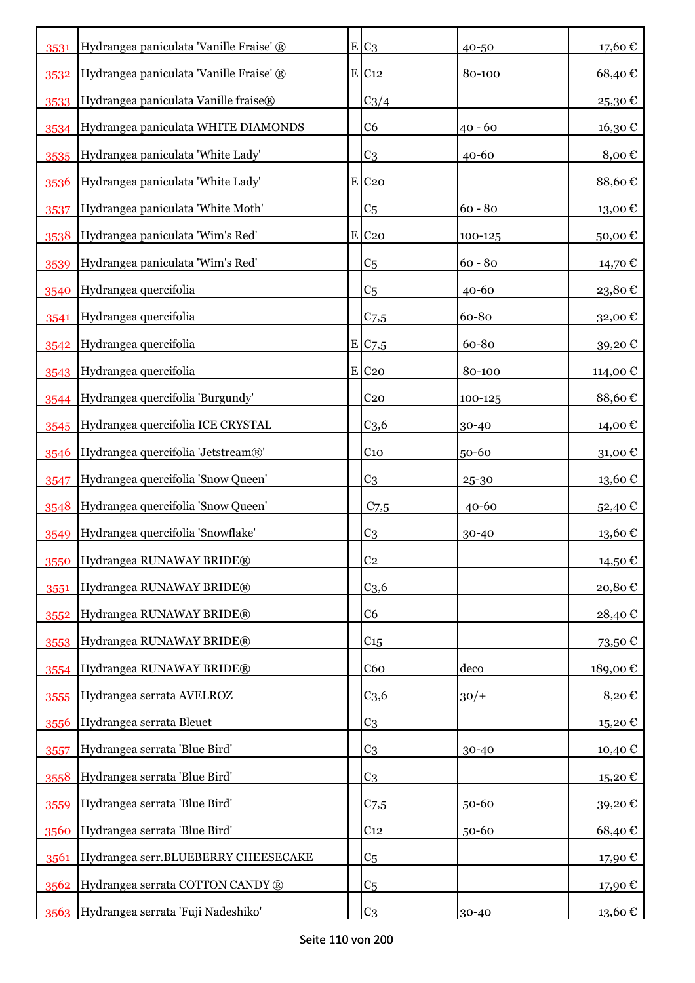| 3531 | Hydrangea paniculata 'Vanille Fraise' ® | $E C_3$             | 40-50     | 17,60€   |
|------|-----------------------------------------|---------------------|-----------|----------|
| 3532 | Hydrangea paniculata 'Vanille Fraise' ® | $E$ C <sub>12</sub> | 80-100    | 68,40€   |
| 3533 | Hydrangea paniculata Vanille fraise®    | $C_3/4$             |           | 25,30€   |
| 3534 | Hydrangea paniculata WHITE DIAMONDS     | C6                  | $40 - 60$ | 16,30€   |
| 3535 | Hydrangea paniculata 'White Lady'       | C <sub>3</sub>      | $40 - 60$ | 8,00€    |
| 3536 | Hydrangea paniculata 'White Lady'       | $E$ C <sub>20</sub> |           | 88,60€   |
| 3537 | Hydrangea paniculata 'White Moth'       | C <sub>5</sub>      | $60 - 80$ | 13,00€   |
| 3538 | Hydrangea paniculata 'Wim's Red'        | $E$ C <sub>20</sub> | 100-125   | 50,00€   |
| 3539 | Hydrangea paniculata 'Wim's Red'        | C <sub>5</sub>      | $60 - 80$ | 14,70 €  |
| 3540 | Hydrangea quercifolia                   | C <sub>5</sub>      | 40-60     | 23,80€   |
| 3541 | Hydrangea quercifolia                   | $C$ 7,5             | 60-80     | 32,00€   |
| 3542 | Hydrangea quercifolia                   | E C7,5              | 60-80     | 39,20€   |
| 3543 | Hydrangea quercifolia                   | $E$ C <sub>20</sub> | 80-100    | 114,00 € |
| 3544 | Hydrangea quercifolia 'Burgundy'        | C <sub>20</sub>     | 100-125   | 88,60€   |
| 3545 | Hydrangea quercifolia ICE CRYSTAL       | C <sub>3,6</sub>    | 30-40     | 14,00 €  |
| 3546 | Hydrangea quercifolia 'Jetstream®'      | C <sub>10</sub>     | 50-60     | 31,00€   |
| 3547 | Hydrangea quercifolia 'Snow Queen'      | C <sub>3</sub>      | $25 - 30$ | 13,60 €  |
| 3548 | Hydrangea quercifolia 'Snow Queen'      | C <sub>7,5</sub>    | $40 - 60$ | 52,40€   |
| 3549 | Hydrangea quercifolia 'Snowflake'       | C <sub>3</sub>      | 30-40     | 13,60€   |
| 3550 | Hydrangea RUNAWAY BRIDE®                | C <sub>2</sub>      |           | 14,50 €  |
| 3551 | Hydrangea RUNAWAY BRIDE®                | C <sub>3,6</sub>    |           | 20,80€   |
| 3552 | Hydrangea RUNAWAY BRIDE®                | C <sub>6</sub>      |           | 28,40€   |
| 3553 | Hydrangea RUNAWAY BRIDE®                | $C_{15}$            |           | 73,50€   |
| 3554 | Hydrangea RUNAWAY BRIDE®                | C60                 | deco      | 189,00€  |
| 3555 | Hydrangea serrata AVELROZ               | C <sub>3,6</sub>    | $30/+$    | 8,20€    |
| 3556 | Hydrangea serrata Bleuet                | C <sub>3</sub>      |           | 15,20€   |
| 3557 | Hydrangea serrata 'Blue Bird'           | C <sub>3</sub>      | 30-40     | 10,40€   |
| 3558 | Hydrangea serrata 'Blue Bird'           | C <sub>3</sub>      |           | 15,20€   |
| 3559 | Hydrangea serrata 'Blue Bird'           | C <sub>7,5</sub>    | 50-60     | 39,20€   |
| 3560 | Hydrangea serrata 'Blue Bird'           | C <sub>12</sub>     | 50-60     | 68,40€   |
| 3561 | Hydrangea serr.BLUEBERRY CHEESECAKE     | C <sub>5</sub>      |           | 17,90€   |
| 3562 | Hydrangea serrata COTTON CANDY ®        | C <sub>5</sub>      |           | 17,90€   |
| 3563 | Hydrangea serrata 'Fuji Nadeshiko'      | C <sub>3</sub>      | 30-40     | 13,60 €  |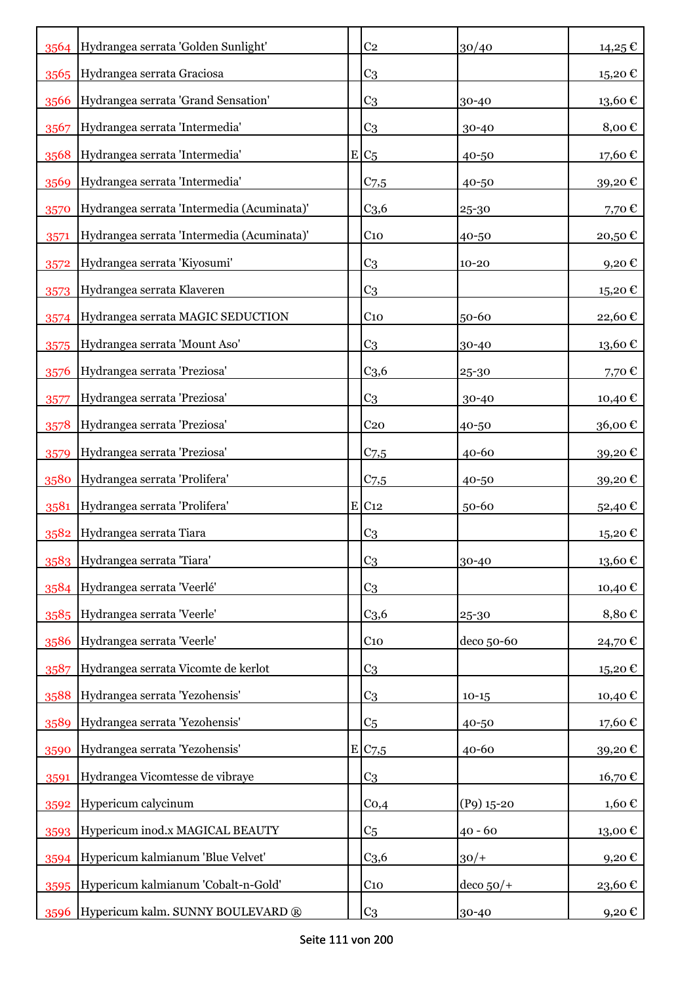|      | 3564 Hydrangea serrata 'Golden Sunlight'   | C <sub>2</sub>      | 30/40           | 14,25€                 |
|------|--------------------------------------------|---------------------|-----------------|------------------------|
|      | 3565 Hydrangea serrata Graciosa            | C <sub>3</sub>      |                 | 15,20€                 |
| 3566 | Hydrangea serrata 'Grand Sensation'        | C <sub>3</sub>      | 30-40           | $13{,}60$ $\mathbb{C}$ |
| 3567 | Hydrangea serrata 'Intermedia'             | C <sub>3</sub>      | 30-40           | 8,00€                  |
| 3568 | Hydrangea serrata 'Intermedia'             | $E C_5$             | 40-50           | 17,60€                 |
| 3569 | Hydrangea serrata 'Intermedia'             | $C$ 7,5             | 40-50           | 39,20€                 |
| 3570 | Hydrangea serrata 'Intermedia (Acuminata)' | C <sub>3,6</sub>    | 25-30           | 7,70€                  |
| 3571 | Hydrangea serrata 'Intermedia (Acuminata)' | C <sub>10</sub>     | 40-50           | 20,50€                 |
| 3572 | Hydrangea serrata 'Kiyosumi'               | C <sub>3</sub>      | $10 - 20$       | $9,20 \text{ } \in$    |
| 3573 | Hydrangea serrata Klaveren                 | C <sub>3</sub>      |                 | 15,20€                 |
| 3574 | Hydrangea serrata MAGIC SEDUCTION          | C <sub>10</sub>     | 50-60           | 22,60€                 |
| 3575 | Hydrangea serrata 'Mount Aso'              | C <sub>3</sub>      | 30-40           | 13,60€                 |
| 3576 | Hydrangea serrata 'Preziosa'               | C <sub>3,6</sub>    | 25-30           | 7,70€                  |
| 3577 | Hydrangea serrata 'Preziosa'               | C <sub>3</sub>      | 30-40           | 10,40 €                |
| 3578 | Hydrangea serrata 'Preziosa'               | C <sub>20</sub>     | 40-50           | 36,00€                 |
| 3579 | Hydrangea serrata 'Preziosa'               | C <sub>7,5</sub>    | $40 - 60$       | 39,20€                 |
| 3580 | Hydrangea serrata 'Prolifera'              | C <sub>7,5</sub>    | 40-50           | 39,20€                 |
| 3581 | Hydrangea serrata 'Prolifera'              | $E$ C <sub>12</sub> | 50-60           | 52,40€                 |
| 3582 | Hydrangea serrata Tiara                    | C <sub>3</sub>      |                 | 15,20€                 |
|      | 3583 Hydrangea serrata 'Tiara'             | C <sub>3</sub>      | 30-40           | $13{,}60 \in$          |
| 3584 | Hydrangea serrata 'Veerlé'                 | C <sub>3</sub>      |                 | 10,40€                 |
|      | 3585 Hydrangea serrata 'Veerle'            | C <sub>3,6</sub>    | 25-30           | 8,80€                  |
| 3586 | Hydrangea serrata 'Veerle'                 | $C_{10}$            | deco 50-60      | 24,70€                 |
| 3587 | Hydrangea serrata Vicomte de kerlot        | C <sub>3</sub>      |                 | 15,20€                 |
| 3588 | Hydrangea serrata 'Yezohensis'             | C <sub>3</sub>      | $10 - 15$       | 10,40€                 |
| 3589 | Hydrangea serrata 'Yezohensis'             | C <sub>5</sub>      | 40-50           | 17,60€                 |
| 3590 | Hydrangea serrata 'Yezohensis'             | E C7,5              | 40-60           | 39,20€                 |
| 3591 | Hydrangea Vicomtesse de vibraye            | C <sub>3</sub>      |                 | 16,70€                 |
| 3592 | Hypericum calycinum                        | Co,4                | $(P9)$ 15-20    | 1,60€                  |
| 3593 | Hypericum inod.x MAGICAL BEAUTY            | C <sub>5</sub>      | $40 - 60$       | 13,00€                 |
|      | 3594 Hypericum kalmianum 'Blue Velvet'     | C <sub>3,6</sub>    | $30/+$          | 9,20€                  |
|      | 3595 Hypericum kalmianum 'Cobalt-n-Gold'   | $C_{10}$            | $ $ deco $50/+$ | 23,60€                 |
| 3596 | Hypericum kalm. SUNNY BOULEVARD ®          | C <sub>3</sub>      | 30-40           | 9,20 €                 |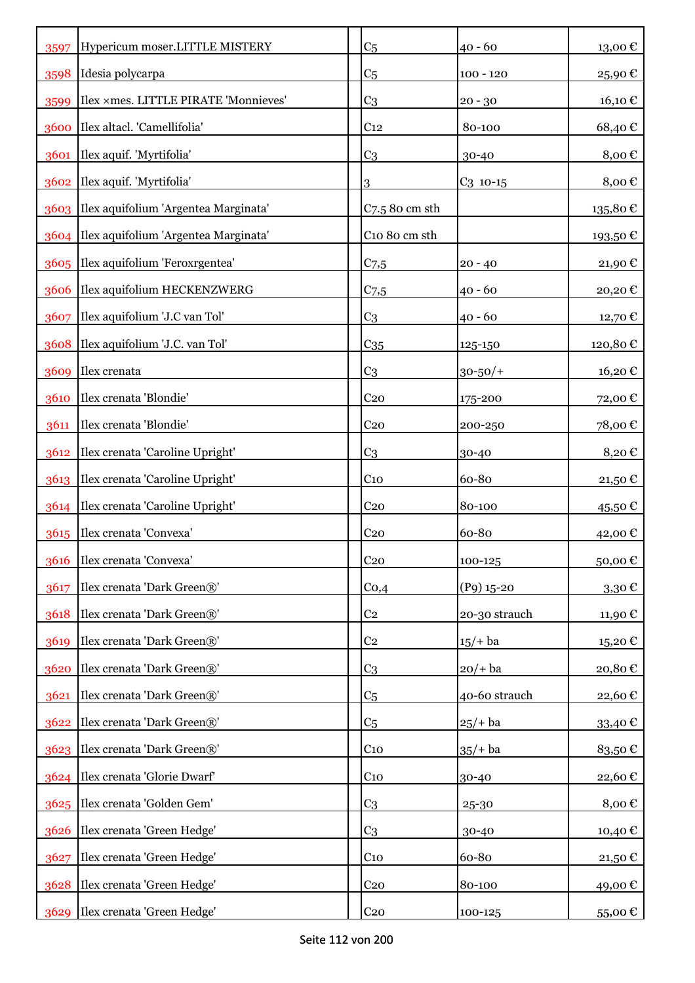| 3597 | Hypericum moser.LITTLE MISTERY            | C <sub>5</sub>    | $40 - 60$     | 13,00€    |
|------|-------------------------------------------|-------------------|---------------|-----------|
| 3598 | Idesia polycarpa                          | C <sub>5</sub>    | $100 - 120$   | 25,90€    |
| 3599 | Ilex ×mes. LITTLE PIRATE 'Monnieves'      | C <sub>3</sub>    | $20 - 30$     | 16,10 €   |
| 3600 | Ilex altacl. 'Camellifolia'               | C <sub>12</sub>   | 80-100        | 68,40€    |
| 3601 | Ilex aquif. 'Myrtifolia'                  | C <sub>3</sub>    | 30-40         | 8,00€     |
| 3602 | Ilex aquif. 'Myrtifolia'                  | 3                 | $C_3$ 10-15   | 8,00€     |
|      | 3603 Ilex aquifolium 'Argentea Marginata' | $C$ 7.5 80 cm sth |               | 135,80€   |
|      | 3604 Ilex aquifolium 'Argentea Marginata' | C10 80 cm sth     |               | 193,50€   |
|      | 3605 Ilex aquifolium 'Feroxrgentea'       | $C_{7,5}$         | $20 - 40$     | 21,90€    |
|      | 3606 Ilex aquifolium HECKENZWERG          | C <sub>7,5</sub>  | $40 - 60$     | 20,20€    |
| 3607 | Ilex aquifolium 'J.C van Tol'             | C <sub>3</sub>    | $40 - 60$     | 12,70 €   |
| 3608 | Ilex aquifolium 'J.C. van Tol'            | $C_{35}$          | 125-150       | 120,80€   |
|      | 3609 Ilex crenata                         | C <sub>3</sub>    | $30 - 50/$ +  | 16,20€    |
| 3610 | Ilex crenata 'Blondie'                    | C <sub>20</sub>   | 175-200       | 72,00€    |
| 3611 | Ilex crenata 'Blondie'                    | C <sub>20</sub>   | 200-250       | 78,00€    |
| 3612 | Ilex crenata 'Caroline Upright'           | C <sub>3</sub>    | 30-40         | 8,20€     |
| 3613 | Ilex crenata 'Caroline Upright'           | C <sub>10</sub>   | 60-80         | 21,50€    |
| 3614 | Ilex crenata 'Caroline Upright'           | C <sub>20</sub>   | 80-100        | $45,50$ € |
| 3615 | Ilex crenata 'Convexa'                    | C <sub>20</sub>   | 60-80         | 42,00€    |
|      | 3616 Ilex crenata 'Convexa'               | C <sub>20</sub>   | 100-125       | 50,00€    |
| 3617 | Ilex crenata 'Dark Green®'                | Co,4              | $(P9)$ 15-20  | 3,30€     |
| 3618 | Ilex crenata 'Dark Green®'                | C <sub>2</sub>    | 20-30 strauch | 11,90 €   |
| 3619 | Ilex crenata 'Dark Green®'                | C <sub>2</sub>    | $15/+$ ba     | 15,20€    |
| 3620 | Ilex crenata 'Dark Green®'                | C <sub>3</sub>    | $20/+$ ba     | 20,80€    |
| 3621 | Ilex crenata 'Dark Green®'                | C <sub>5</sub>    | 40-60 strauch | 22,60€    |
| 3622 | Ilex crenata 'Dark Green®'                | C <sub>5</sub>    | $25/+$ ba     | 33,40€    |
|      | 3623 Ilex crenata 'Dark Green®'           | $C_{10}$          | $35/+$ ba     | 83,50€    |
|      | 3624 Ilex crenata 'Glorie Dwarf'          | $C_{10}$          | 30-40         | 22,60€    |
|      | 3625 Ilex crenata 'Golden Gem'            | C <sub>3</sub>    | 25-30         | 8,00€     |
| 3626 | Ilex crenata 'Green Hedge'                | C <sub>3</sub>    | 30-40         | 10,40€    |
| 3627 | Ilex crenata 'Green Hedge'                | $C_{10}$          | 60-80         | 21,50€    |
| 3628 | Ilex crenata 'Green Hedge'                | C <sub>20</sub>   | 80-100        | 49,00€    |
| 3629 | Ilex crenata 'Green Hedge'                | C <sub>20</sub>   | 100-125       | 55,00 €   |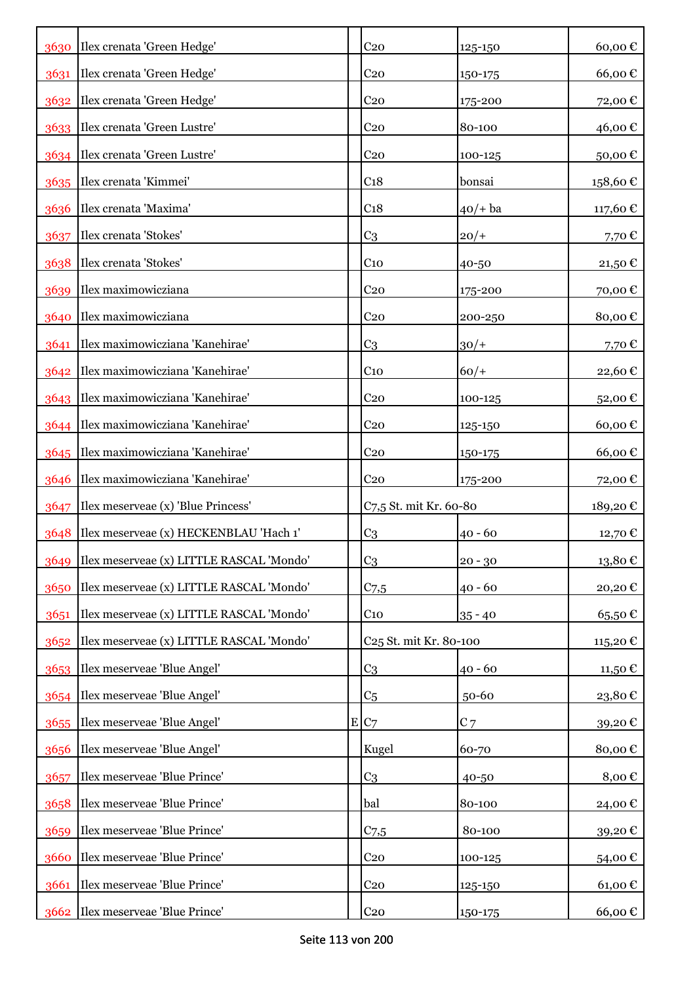|      | 3630 Ilex crenata 'Green Hedge'               | C <sub>20</sub>                    | 125-150    | 60,00€    |
|------|-----------------------------------------------|------------------------------------|------------|-----------|
| 3631 | Ilex crenata 'Green Hedge'                    | C <sub>20</sub>                    | 150-175    | 66,00€    |
|      | 3632   Ilex crenata 'Green Hedge'             | C <sub>20</sub>                    | 175-200    | 72,00€    |
|      | 3633 Ilex crenata 'Green Lustre'              | C <sub>20</sub>                    | 80-100     | 46,00€    |
|      | 3634   Ilex crenata 'Green Lustre'            | C <sub>20</sub>                    | 100-125    | 50,00€    |
|      | 3635 Ilex crenata 'Kimmei'                    | C <sub>18</sub>                    | bonsai     | 158,60€   |
| 3636 | Ilex crenata 'Maxima'                         | C <sub>18</sub>                    | $40/+$ ba  | 117,60€   |
| 3637 | Ilex crenata 'Stokes'                         | C <sub>3</sub>                     | $20/+$     | 7,70 €    |
| 3638 | Ilex crenata 'Stokes'                         | C <sub>10</sub>                    | 40-50      | $21,50$ € |
| 3639 | Ilex maximowicziana                           | C <sub>20</sub>                    | 175-200    | 70,00€    |
| 3640 | Ilex maximowicziana                           | C <sub>20</sub>                    | 200-250    | 80,00€    |
| 3641 | Ilex maximowicziana 'Kanehirae'               | C <sub>3</sub>                     | $30/+$     | 7,70€     |
|      | 3642 Ilex maximowicziana 'Kanehirae'          | $C_{10}$                           | $60/+$     | 22,60€    |
|      | 3643 Ilex maximowicziana 'Kanehirae'          | C <sub>20</sub>                    | 100-125    | 52,00€    |
| 3644 | Ilex maximowicziana 'Kanehirae'               | C <sub>20</sub>                    | 125-150    | 60,00€    |
| 3645 | Ilex maximowicziana 'Kanehirae'               | C <sub>20</sub>                    | 150-175    | 66,00€    |
| 3646 | Ilex maximowicziana 'Kanehirae'               | C <sub>20</sub>                    | 175-200    | 72,00 €   |
| 3647 | Ilex meserveae (x) 'Blue Princess'            | C7,5 St. mit Kr. 60-80             |            | 189,20€   |
| 3648 | Ilex meserveae (x) HECKENBLAU 'Hach 1'        | C <sub>3</sub>                     | $40 - 60$  | 12,70 €   |
|      | 3649 Ilex meserveae (x) LITTLE RASCAL 'Mondo' | C <sub>3</sub>                     | $ 20 - 30$ | 13,80€    |
| 3650 | Ilex meserveae (x) LITTLE RASCAL 'Mondo'      | $C$ 7,5                            | $40 - 60$  | 20,20€    |
| 3651 | Ilex meserveae (x) LITTLE RASCAL 'Mondo'      | $C_{10}$                           | $35 - 40$  | 65,50€    |
| 3652 | Ilex meserveae (x) LITTLE RASCAL 'Mondo'      | C <sub>25</sub> St. mit Kr. 80-100 |            | 115,20€   |
|      | 3653   Ilex meserveae 'Blue Angel'            | C <sub>3</sub>                     | $40 - 60$  | 11,50 €   |
|      | 3654 Ilex meserveae 'Blue Angel'              | C <sub>5</sub>                     | 50-60      | 23,80€    |
|      | 3655 Ilex meserveae 'Blue Angel'              | E C7                               | $C$ 7      | 39,20€    |
| 3656 | Ilex meserveae 'Blue Angel'                   | Kugel                              | 60-70      | 80,00€    |
| 3657 | Ilex meserveae 'Blue Prince'                  | C <sub>3</sub>                     | 40-50      | 8,00€     |
| 3658 | Ilex meserveae 'Blue Prince'                  | bal                                | 80-100     | 24,00€    |
| 3659 | Ilex meserveae 'Blue Prince'                  | C <sub>7,5</sub>                   | 80-100     | 39,20€    |
| 3660 | Ilex meserveae 'Blue Prince'                  | C <sub>20</sub>                    | 100-125    | 54,00€    |
| 3661 | Ilex meserveae 'Blue Prince'                  | C <sub>20</sub>                    | 125-150    | 61,00€    |
|      | 3662 Ilex meserveae 'Blue Prince'             | C <sub>20</sub>                    | 150-175    | 66,00€    |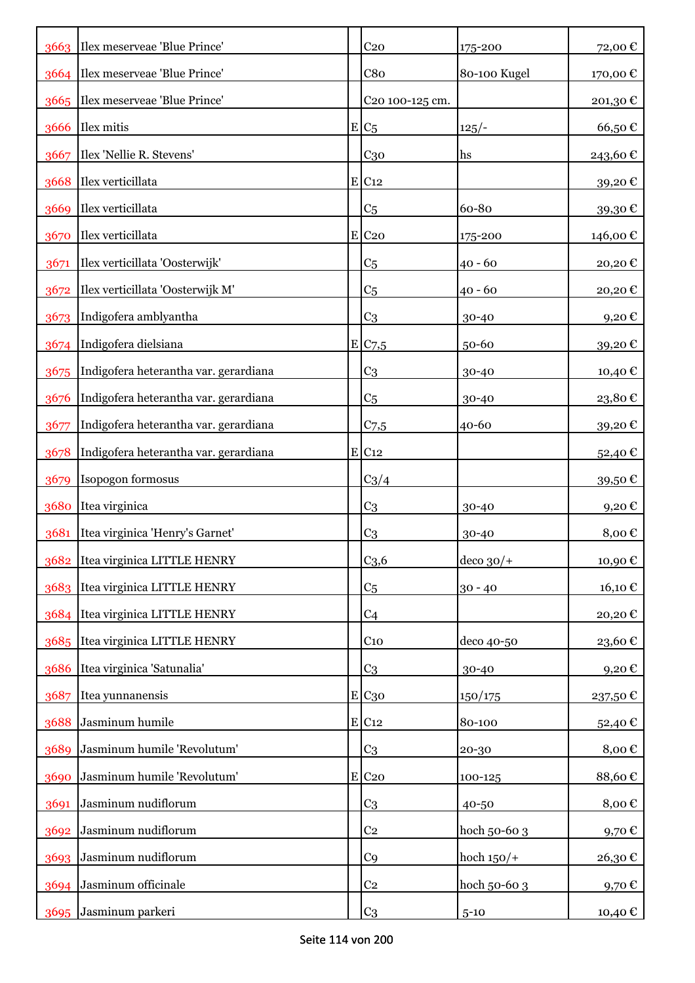|      | 3663 Ilex meserveae 'Blue Prince'     | C <sub>20</sub>     | 175-200         | 72,00€   |
|------|---------------------------------------|---------------------|-----------------|----------|
|      | 3664 Ilex meserveae 'Blue Prince'     | C8 <sub>0</sub>     | 80-100 Kugel    | 170,00€  |
|      | 3665   Ilex meserveae 'Blue Prince'   | C20 100-125 cm.     |                 | 201,30€  |
|      | 3666 Ilex mitis                       | $E/C_5$             | $125/-$         | 66,50€   |
| 3667 | Ilex 'Nellie R. Stevens'              | C <sub>30</sub>     | hs              | 243,60€  |
|      | 3668 Ilex verticillata                | $E$ C <sub>12</sub> |                 | 39,20€   |
|      | 3669 Ilex verticillata                | C <sub>5</sub>      | 60-80           | 39,30€   |
|      | 3670 Ilex verticillata                | $E$ C <sub>20</sub> | 175-200         | 146,00 € |
| 3671 | Ilex verticillata 'Oosterwijk'        | C <sub>5</sub>      | $40 - 60$       | 20,20€   |
|      | 3672 Ilex verticillata 'Oosterwijk M' | C <sub>5</sub>      | $40 - 60$       | 20,20€   |
| 3673 | Indigofera amblyantha                 | C <sub>3</sub>      | 30-40           | 9,20€    |
|      | 3674 Indigofera dielsiana             | E C7,5              | 50-60           | 39,20€   |
| 3675 | Indigofera heterantha var. gerardiana | C <sub>3</sub>      | 30-40           | 10,40 €  |
| 3676 | Indigofera heterantha var. gerardiana | C <sub>5</sub>      | 30-40           | 23,80€   |
| 3677 | Indigofera heterantha var. gerardiana | $C$ 7,5             | 40-60           | 39,20€   |
| 3678 | Indigofera heterantha var. gerardiana | $E$ C <sub>12</sub> |                 | 52,40 €  |
| 3679 | Isopogon formosus                     | $C_3/4$             |                 | 39,50€   |
| 3680 | Itea virginica                        | C <sub>3</sub>      | 30-40           | 9,20€    |
| 3681 | Itea virginica 'Henry's Garnet'       | C <sub>3</sub>      | 30-40           | 8,00€    |
|      | 3682 Itea virginica LITTLE HENRY      | C <sub>3,6</sub>    | $ $ deco $30/+$ | 10,90€   |
| 3683 | Itea virginica LITTLE HENRY           | C <sub>5</sub>      | $30 - 40$       | 16,10€   |
| 3684 | Itea virginica LITTLE HENRY           | C <sub>4</sub>      |                 | 20,20€   |
| 3685 | Itea virginica LITTLE HENRY           | C <sub>10</sub>     | deco 40-50      | 23,60€   |
| 3686 | Itea virginica 'Satunalia'            | C <sub>3</sub>      | 30-40           | 9,20€    |
| 3687 | Itea yunnanensis                      | E C30               | 150/175         | 237,50€  |
| 3688 | Jasminum humile                       | $E$ C <sub>12</sub> | 80-100          | 52,40€   |
| 3689 | Jasminum humile 'Revolutum'           | C <sub>3</sub>      | 20-30           | 8,00€    |
| 3690 | Jasminum humile 'Revolutum'           | $E$ C <sub>20</sub> | 100-125         | 88,60€   |
| 3691 | Jasminum nudiflorum                   | C <sub>3</sub>      | 40-50           | 8,00€    |
| 3692 | Jasminum nudiflorum                   | C <sub>2</sub>      | hoch 50-60 3    | 9,70€    |
| 3693 | Jasminum nudiflorum                   | C <sub>9</sub>      | hoch $150/+$    | 26,30€   |
| 3694 | Jasminum officinale                   | C <sub>2</sub>      | hoch 50-60 3    | 9,70€    |
| 3695 | Jasminum parkeri                      | C <sub>3</sub>      | $5 - 10$        | 10,40 €  |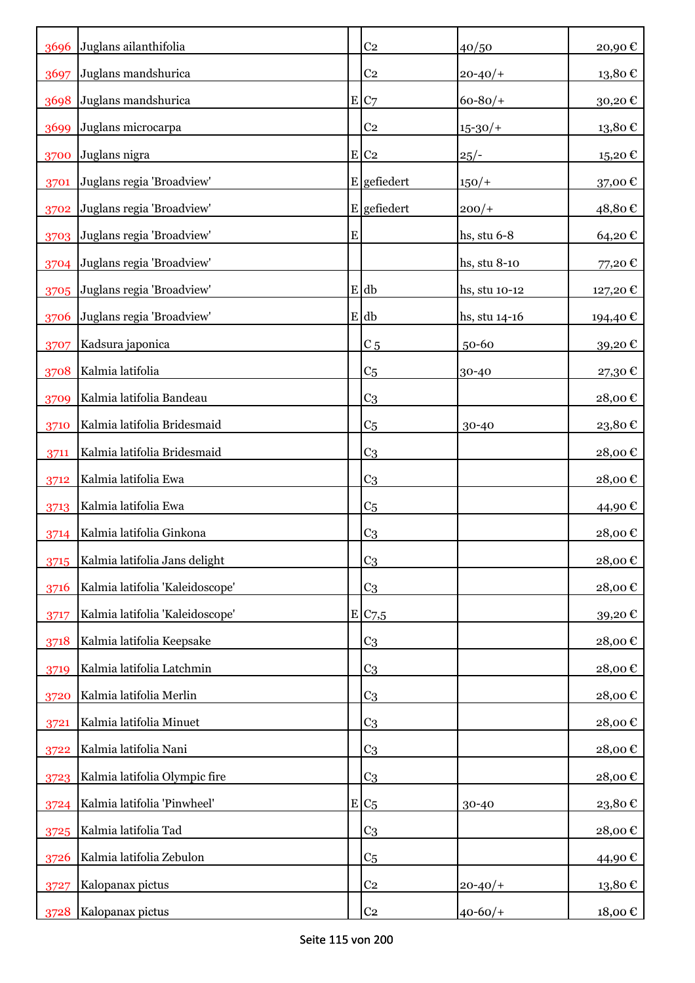| 3696 | Juglans ailanthifolia           |           | C <sub>2</sub>     | 40/50         | 20,90€                 |
|------|---------------------------------|-----------|--------------------|---------------|------------------------|
| 3697 | Juglans mandshurica             |           | C <sub>2</sub>     | $20 - 40/$    | $13,\!80$ $\in$        |
| 3698 | Juglans mandshurica             |           | E C7               | $60 - 80/$    | 30,20€                 |
| 3699 | Juglans microcarpa              |           | C <sub>2</sub>     | $15 - 30/$    | 13,80€                 |
| 3700 | Juglans nigra                   |           | $E$ C <sub>2</sub> | $25/-$        | 15,20€                 |
| 3701 | Juglans regia 'Broadview'       |           | $E$ gefiedert      | $150/+$       | 37,00€                 |
| 3702 | Juglans regia 'Broadview'       |           | E gefiedert        | $200/+$       | 48,80€                 |
| 3703 | Juglans regia 'Broadview'       | ${\bf E}$ |                    | hs, stu 6-8   | 64,20€                 |
| 3704 | Juglans regia 'Broadview'       |           |                    | hs, stu 8-10  | 77,20€                 |
| 3705 | Juglans regia 'Broadview'       |           | E db               | hs, stu 10-12 | 127,20€                |
| 3706 | Juglans regia 'Broadview'       |           | E db               | hs, stu 14-16 | 194,40 €               |
| 3707 | Kadsura japonica                |           | C <sub>5</sub>     | 50-60         | 39,20€                 |
| 3708 | Kalmia latifolia                |           | C <sub>5</sub>     | 30-40         | 27,30€                 |
| 3709 | Kalmia latifolia Bandeau        |           | C <sub>3</sub>     |               | 28,00€                 |
| 3710 | Kalmia latifolia Bridesmaid     |           | C <sub>5</sub>     | 30-40         | $23,\!80$ $\mathbb{C}$ |
| 3711 | Kalmia latifolia Bridesmaid     |           | C <sub>3</sub>     |               | 28,00€                 |
| 3712 | Kalmia latifolia Ewa            |           | C <sub>3</sub>     |               | 28,00€                 |
| 3713 | Kalmia latifolia Ewa            |           | C <sub>5</sub>     |               | 44,90 €                |
| 3714 | Kalmia latifolia Ginkona        |           | C <sub>3</sub>     |               | 28,00€                 |
| 3715 | Kalmia latifolia Jans delight   |           | C <sub>3</sub>     |               | $28,00$ €              |
| 3716 | Kalmia latifolia 'Kaleidoscope' |           | C <sub>3</sub>     |               | 28,00€                 |
| 3717 | Kalmia latifolia 'Kaleidoscope' |           | E C7,5             |               | 39,20€                 |
| 3718 | Kalmia latifolia Keepsake       |           | C <sub>3</sub>     |               | 28,00€                 |
| 3719 | Kalmia latifolia Latchmin       |           | C <sub>3</sub>     |               | 28,00€                 |
| 3720 | Kalmia latifolia Merlin         |           | C <sub>3</sub>     |               | 28,00€                 |
| 3721 | Kalmia latifolia Minuet         |           | C <sub>3</sub>     |               | 28,00€                 |
| 3722 | Kalmia latifolia Nani           |           | C <sub>3</sub>     |               | 28,00€                 |
| 3723 | Kalmia latifolia Olympic fire   |           | C <sub>3</sub>     |               | 28,00€                 |
| 3724 | Kalmia latifolia 'Pinwheel'     |           | $E C_5$            | 30-40         | 23,80€                 |
| 3725 | Kalmia latifolia Tad            |           | C <sub>3</sub>     |               | 28,00€                 |
| 3726 | Kalmia latifolia Zebulon        |           | C <sub>5</sub>     |               | 44,90€                 |
| 3727 | Kalopanax pictus                |           | C <sub>2</sub>     | $20 - 40/$    | 13,80€                 |
| 3728 | Kalopanax pictus                |           | C <sub>2</sub>     | $40 - 60/$    | 18,00 €                |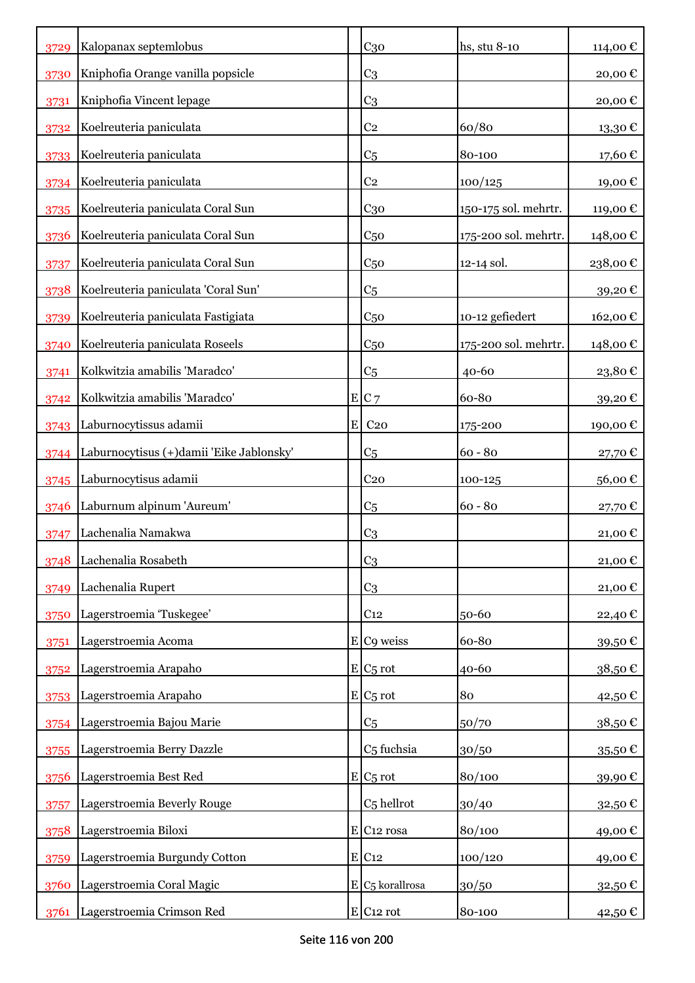|      | Kalopanax septemlobus                    |   | C <sub>30</sub>          | hs, stu 8-10         | 114,00€                 |
|------|------------------------------------------|---|--------------------------|----------------------|-------------------------|
| 3729 |                                          |   |                          |                      |                         |
| 3730 | Kniphofia Orange vanilla popsicle        |   | C <sub>3</sub>           |                      | 20,00€                  |
| 3731 | Kniphofia Vincent lepage                 |   | C <sub>3</sub>           |                      | 20,00€                  |
| 3732 | Koelreuteria paniculata                  |   | C <sub>2</sub>           | 60/80                | 13,30€                  |
| 3733 | Koelreuteria paniculata                  |   | C <sub>5</sub>           | 80-100               | 17,60€                  |
| 3734 | Koelreuteria paniculata                  |   | C <sub>2</sub>           | 100/125              | 19,00€                  |
| 3735 | Koelreuteria paniculata Coral Sun        |   | $C_{30}$                 | 150-175 sol. mehrtr. | 119,00€                 |
| 3736 | Koelreuteria paniculata Coral Sun        |   | C <sub>50</sub>          | 175-200 sol. mehrtr. | 148,00€                 |
| 3737 | Koelreuteria paniculata Coral Sun        |   | C <sub>50</sub>          | 12-14 sol.           | 238,00€                 |
| 3738 | Koelreuteria paniculata 'Coral Sun'      |   | C <sub>5</sub>           |                      | 39,20€                  |
| 3739 | Koelreuteria paniculata Fastigiata       |   | C <sub>50</sub>          | 10-12 gefiedert      | 162,00€                 |
| 3740 | Koelreuteria paniculata Roseels          |   | C <sub>50</sub>          | 175-200 sol. mehrtr. | 148,00€                 |
| 3741 | Kolkwitzia amabilis 'Maradco'            |   | C <sub>5</sub>           | 40-60                | 23,80€                  |
| 3742 | Kolkwitzia amabilis 'Maradco'            |   | E C7                     | 60-80                | 39,20€                  |
| 3743 | Laburnocytissus adamii                   | E | C <sub>20</sub>          | 175-200              | 190,00 €                |
| 3744 | Laburnocytisus (+)damii 'Eike Jablonsky' |   | C <sub>5</sub>           | $60 - 80$            | 27,70€                  |
| 3745 | Laburnocytisus adamii                    |   | C <sub>20</sub>          | 100-125              | 56,00€                  |
| 3746 | Laburnum alpinum 'Aureum'                |   | C <sub>5</sub>           | $60 - 80$            | 27,70€                  |
| 3747 | Lachenalia Namakwa                       |   | C <sub>3</sub>           |                      | 21,00€                  |
| 3748 | Lachenalia Rosabeth                      |   | C <sub>3</sub>           |                      | 21,00€                  |
| 3749 | Lachenalia Rupert                        |   | C <sub>3</sub>           |                      | 21,00€                  |
| 3750 | Lagerstroemia 'Tuskegee'                 |   | C <sub>12</sub>          | $50 - 60$            | 22,40 €                 |
| 3751 | Lagerstroemia Acoma                      |   | E C9 weiss               | 60-80                | 39,50€                  |
| 3752 | Lagerstroemia Arapaho                    |   | $E C_5$ rot              | 40-60                | 38,50€                  |
| 3753 | Lagerstroemia Arapaho                    |   | $E/C_5$ rot              | 80                   | 42,50€                  |
| 3754 | Lagerstroemia Bajou Marie                |   | C <sub>5</sub>           | 50/70                | 38,50€                  |
| 3755 | Lagerstroemia Berry Dazzle               |   | C <sub>5</sub> fuchsia   | 30/50                | 35,50 €                 |
| 3756 | Lagerstroemia Best Red                   |   | $E/C5$ rot               | 80/100               | 39,90€                  |
| 3757 | Lagerstroemia Beverly Rouge              |   | C <sub>5</sub> hellrot   | 30/40                | $_{32,50\, \mathbb{C}}$ |
| 3758 | Lagerstroemia Biloxi                     |   | $E$ C <sub>12</sub> rosa | 80/100               | 49,00€                  |
| 3759 | Lagerstroemia Burgundy Cotton            |   | $E$ C <sub>12</sub>      | 100/120              | 49,00€                  |
| 3760 | Lagerstroemia Coral Magic                |   | $E C5$ korallrosa        | 30/50                | 32,50 €                 |
| 3761 | Lagerstroemia Crimson Red                |   | $E$ C <sub>12</sub> rot  | 80-100               | 42,50 €                 |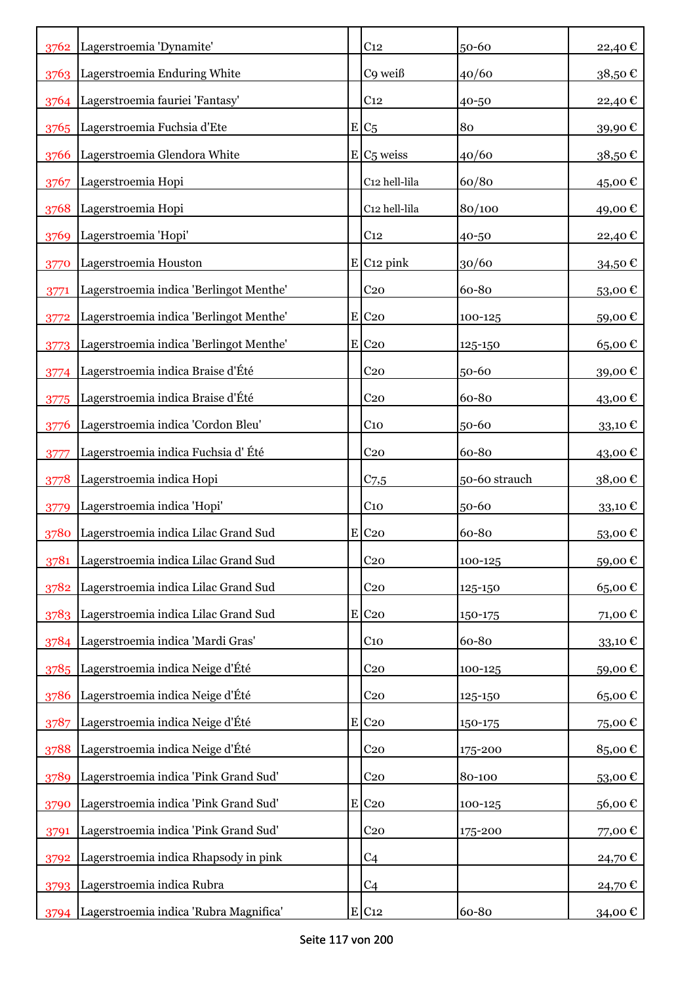|      | 3762 Lagerstroemia 'Dynamite'           | C <sub>12</sub>          | 50-60         | 22,40€  |
|------|-----------------------------------------|--------------------------|---------------|---------|
|      | 3763 Lagerstroemia Enduring White       | C9 weiß                  | 40/60         | 38,50€  |
|      | 3764 Lagerstroemia fauriei 'Fantasy'    | C <sub>12</sub>          | 40-50         | 22,40 € |
| 3765 | Lagerstroemia Fuchsia d'Ete             | $E/C_5$                  | 80            | 39,90€  |
| 3766 | Lagerstroemia Glendora White            | $E/C5$ weiss             | 40/60         | 38,50€  |
| 3767 | Lagerstroemia Hopi                      | C12 hell-lila            | 60/80         | 45,00€  |
| 3768 | Lagerstroemia Hopi                      | C12 hell-lila            | 80/100        | 49,00€  |
| 3769 | Lagerstroemia 'Hopi'                    | C <sub>12</sub>          | 40-50         | 22,40 € |
| 3770 | Lagerstroemia Houston                   | $E$ C <sub>12</sub> pink | 30/60         | 34,50€  |
| 3771 | Lagerstroemia indica 'Berlingot Menthe' | C <sub>20</sub>          | 60-80         | 53,00€  |
| 3772 | Lagerstroemia indica 'Berlingot Menthe' | E C <sub>20</sub>        | 100-125       | 59,00€  |
| 3773 | Lagerstroemia indica 'Berlingot Menthe' | $E$ C <sub>20</sub>      | 125-150       | 65,00€  |
| 3774 | Lagerstroemia indica Braise d'Été       | C <sub>20</sub>          | 50-60         | 39,00€  |
| 3775 | Lagerstroemia indica Braise d'Été       | C <sub>20</sub>          | 60-80         | 43,00 € |
| 3776 | Lagerstroemia indica 'Cordon Bleu'      | $C_{10}$                 | 50-60         | 33,10€  |
| 3777 | Lagerstroemia indica Fuchsia d'Été      | C <sub>20</sub>          | 60-80         | 43,00€  |
| 3778 | Lagerstroemia indica Hopi               | C <sub>7,5</sub>         | 50-60 strauch | 38,00€  |
| 3779 | Lagerstroemia indica 'Hopi'             | C <sub>10</sub>          | 50-60         | 33,10€  |
| 3780 | Lagerstroemia indica Lilac Grand Sud    | $E$ C <sub>20</sub>      | 60-80         | 53,00€  |
| 3781 | Lagerstroemia indica Lilac Grand Sud    | C <sub>20</sub>          | 100-125       | 59,00€  |
| 3782 | Lagerstroemia indica Lilac Grand Sud    | C <sub>20</sub>          | 125-150       | 65,00€  |
| 3783 | Lagerstroemia indica Lilac Grand Sud    | E C <sub>20</sub>        | 150-175       | 71,00€  |
|      | 3784 Lagerstroemia indica 'Mardi Gras'  | $C_{10}$                 | 60-80         | 33,10€  |
| 3785 | Lagerstroemia indica Neige d'Été        | C <sub>20</sub>          | 100-125       | 59,00€  |
| 3786 | Lagerstroemia indica Neige d'Été        | C <sub>20</sub>          | 125-150       | 65,00€  |
| 3787 | Lagerstroemia indica Neige d'Été        | E C <sub>20</sub>        | 150-175       | 75,00€  |
| 3788 | Lagerstroemia indica Neige d'Été        | $C_{20}$                 | 175-200       | 85,00€  |
| 3789 | Lagerstroemia indica 'Pink Grand Sud'   | $C_{20}$                 | 80-100        | 53,00€  |
| 3790 | Lagerstroemia indica 'Pink Grand Sud'   | E C <sub>20</sub>        | 100-125       | 56,00€  |
| 3791 | Lagerstroemia indica 'Pink Grand Sud'   | C <sub>20</sub>          | 175-200       | 77,00€  |
| 3792 | Lagerstroemia indica Rhapsody in pink   | C <sub>4</sub>           |               | 24,70€  |
| 3793 | Lagerstroemia indica Rubra              | C <sub>4</sub>           |               | 24,70 € |
| 3794 | Lagerstroemia indica 'Rubra Magnifica'  | $E$ C <sub>12</sub>      | 60-80         | 34,00€  |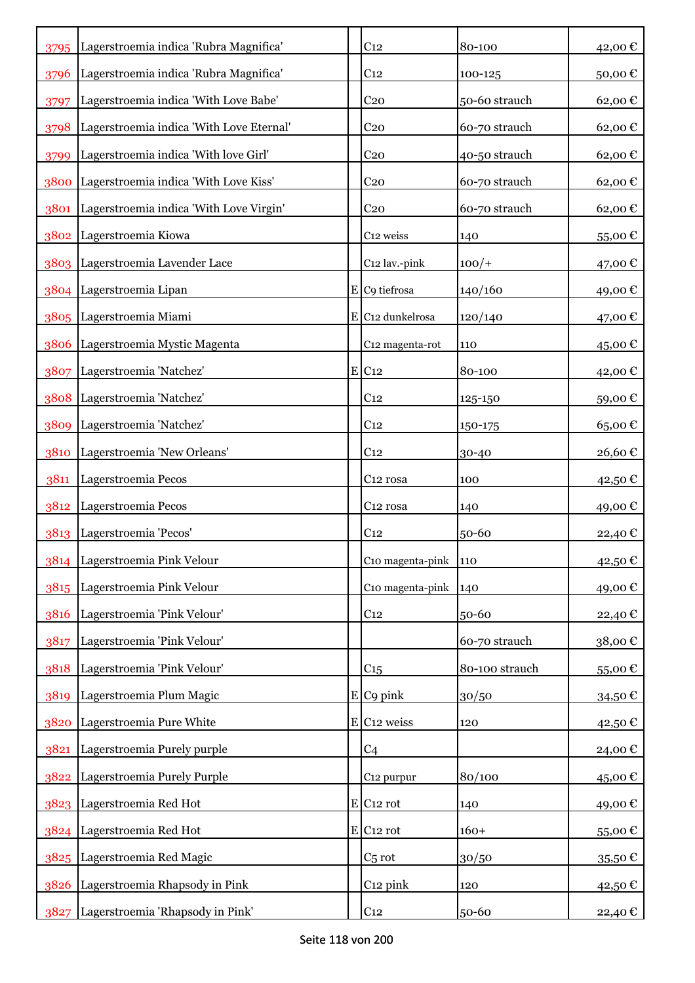| 3795 | Lagerstroemia indica 'Rubra Magnifica'   | C <sub>12</sub>                | 80-100         | 42,00€  |
|------|------------------------------------------|--------------------------------|----------------|---------|
| 3796 | Lagerstroemia indica 'Rubra Magnifica'   | C <sub>12</sub>                | 100-125        | 50,00€  |
| 3797 | Lagerstroemia indica 'With Love Babe'    | C <sub>20</sub>                | 50-60 strauch  | 62,00€  |
| 3798 | Lagerstroemia indica 'With Love Eternal' | C <sub>20</sub>                | 60-70 strauch  | 62,00€  |
| 3799 | Lagerstroemia indica 'With love Girl'    | C <sub>20</sub>                | 40-50 strauch  | 62,00€  |
| 3800 | Lagerstroemia indica 'With Love Kiss'    | C <sub>20</sub>                | 60-70 strauch  | 62,00€  |
| 3801 | Lagerstroemia indica 'With Love Virgin'  | C <sub>20</sub>                | 60-70 strauch  | 62,00€  |
|      | 3802 Lagerstroemia Kiowa                 | C12 weiss                      | 140            | 55,00€  |
|      | 3803 Lagerstroemia Lavender Lace         | C12 lav.-pink                  | $100/+$        | 47,00 € |
|      | 3804 Lagerstroemia Lipan                 | $E$ C9 tiefrosa                | 140/160        | 49,00€  |
|      | 3805 Lagerstroemia Miami                 | $E$ C <sub>12</sub> dunkelrosa | 120/140        | 47,00 € |
| 3806 | Lagerstroemia Mystic Magenta             | C12 magenta-rot                | 110            | 45,00€  |
| 3807 | Lagerstroemia 'Natchez'                  | $E$ C <sub>12</sub>            | 80-100         | 42,00€  |
|      | 3808 Lagerstroemia 'Natchez'             | C <sub>12</sub>                | 125-150        | 59,00€  |
| 3809 | Lagerstroemia 'Natchez'                  | C <sub>12</sub>                | 150-175        | 65,00€  |
| 3810 | Lagerstroemia 'New Orleans'              | C <sub>12</sub>                | 30-40          | 26,60€  |
| 3811 | Lagerstroemia Pecos                      | C <sub>12</sub> rosa           | 100            | 42,50 € |
| 3812 | Lagerstroemia Pecos                      | C <sub>12</sub> rosa           | 140            | 49,00€  |
| 3813 | Lagerstroemia 'Pecos'                    | C <sub>12</sub>                | 50-60          | 22,40 € |
|      | 3814 Lagerstroemia Pink Velour           | C10 magenta-pink               | 110            | 42,50€  |
| 3815 | Lagerstroemia Pink Velour                | C10 magenta-pink               | 140            | 49,00€  |
| 3816 | Lagerstroemia 'Pink Velour'              | C <sub>12</sub>                | 50-60          | 22,40 € |
| 3817 | Lagerstroemia 'Pink Velour'              |                                | 60-70 strauch  | 38,00€  |
| 3818 | Lagerstroemia 'Pink Velour'              | C <sub>15</sub>                | 80-100 strauch | 55,00€  |
| 3819 | Lagerstroemia Plum Magic                 | $E$ C9 pink                    | 30/50          | 34,50€  |
| 3820 | Lagerstroemia Pure White                 | E C <sub>12</sub> weiss        | 120            | 42,50€  |
| 3821 | Lagerstroemia Purely purple              | C <sub>4</sub>                 |                | 24,00€  |
| 3822 | Lagerstroemia Purely Purple              | C <sub>12</sub> purpur         | 80/100         | 45,00€  |
|      | 3823 Lagerstroemia Red Hot               | $E$ C <sub>12</sub> rot        | 140            | 49,00€  |
|      | 3824 Lagerstroemia Red Hot               | $E$ C <sub>12</sub> rot        | $160+$         | 55,00€  |
|      | 3825 Lagerstroemia Red Magic             | $C5$ rot                       | 30/50          | 35,50€  |
| 3826 | Lagerstroemia Rhapsody in Pink           | C <sub>12</sub> pink           | 120            | 42,50 € |
| 3827 | Lagerstroemia 'Rhapsody in Pink'         | C <sub>12</sub>                | 50-60          | 22,40 € |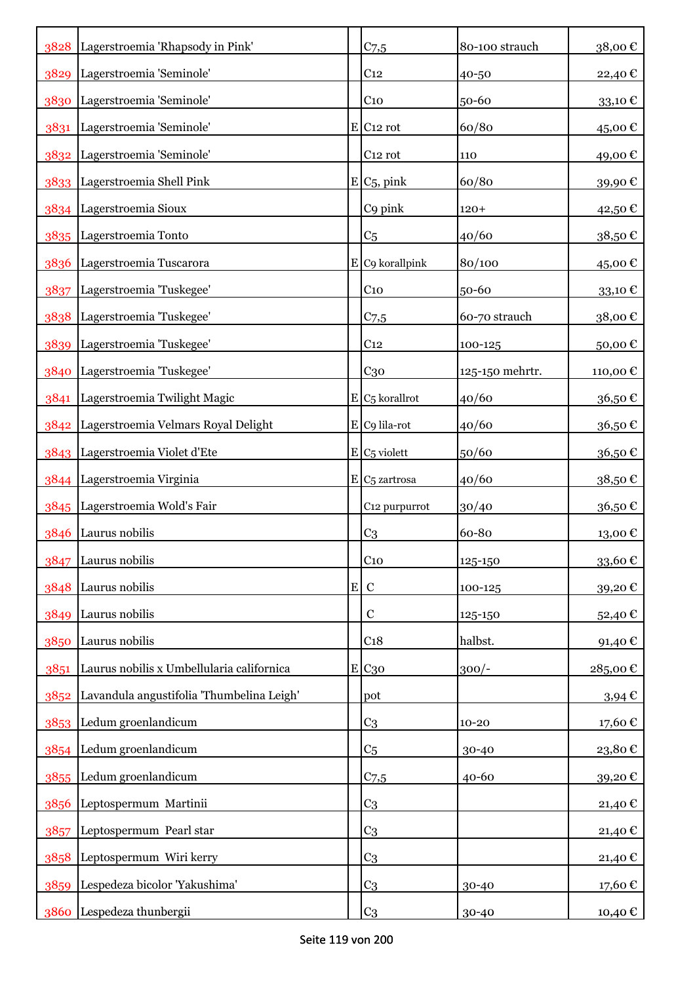|      | 3828 Lagerstroemia 'Rhapsody in Pink'     |           | $C_{7,5}$                 | 80-100 strauch  | 38,00€     |
|------|-------------------------------------------|-----------|---------------------------|-----------------|------------|
|      | 3829 Lagerstroemia 'Seminole'             |           | C <sub>12</sub>           | 40-50           | 22,40€     |
|      | 3830 Lagerstroemia 'Seminole'             |           | $C_{10}$                  | 50-60           | 33,10€     |
|      | 3831 Lagerstroemia 'Seminole'             |           | $E$ C <sub>12</sub> rot   | 60/80           | 45,00€     |
|      | 3832 Lagerstroemia 'Seminole'             |           | C <sub>12</sub> rot       | 110             | 49,00€     |
|      | 3833 Lagerstroemia Shell Pink             |           | $E/C_5$ , pink            | 60/80           | 39,90€     |
|      | 3834 Lagerstroemia Sioux                  |           | C9 pink                   | $120+$          | 42,50€     |
|      | 3835 Lagerstroemia Tonto                  |           | C <sub>5</sub>            | 40/60           | 38,50€     |
|      | 3836 Lagerstroemia Tuscarora              |           | $E$ C9 korallpink         | 80/100          | 45,00€     |
| 3837 | Lagerstroemia 'Tuskegee'                  |           | C <sub>10</sub>           | 50-60           | 33,10€     |
| 3838 | Lagerstroemia 'Tuskegee'                  |           | $C$ 7,5                   | 60-70 strauch   | 38,00€     |
| 3839 | Lagerstroemia 'Tuskegee'                  |           | C <sub>12</sub>           | 100-125         | 50,00€     |
| 3840 | Lagerstroemia 'Tuskegee'                  |           | $C_{30}$                  | 125-150 mehrtr. | 110,00€    |
| 3841 | Lagerstroemia Twilight Magic              |           | $E/C5$ korallrot          | 40/60           | 36,50€     |
|      | 3842 Lagerstroemia Velmars Royal Delight  |           | $E C9$ lila-rot           | 40/60           | 36,50€     |
|      | 3843 Lagerstroemia Violet d'Ete           |           | $E/C5$ violett            | 50/60           | 36,50€     |
|      | 3844 Lagerstroemia Virginia               |           | E C <sub>5</sub> zartrosa | 40/60           | 38,50€     |
|      | 3845 Lagerstroemia Wold's Fair            |           | C12 purpurrot             | 30/40           | 36,50€     |
| 3846 | Laurus nobilis                            |           | C <sub>3</sub>            | 60-80           | 13,00€     |
| 3847 | Laurus nobilis                            |           | C <sub>10</sub>           | 125-150         | 33,60€     |
| 3848 | Laurus nobilis                            | ${\bf E}$ | $\mathbf C$               | 100-125         | 39,20€     |
| 3849 | Laurus nobilis                            |           | $\mathbf C$               | 125-150         | 52,40€     |
| 3850 | Laurus nobilis                            |           | C <sub>18</sub>           | halbst.         | 91,40€     |
| 3851 | Laurus nobilis x Umbellularia californica |           | E C <sub>30</sub>         | $300/-$         | 285,00€    |
| 3852 | Lavandula angustifolia 'Thumbelina Leigh' |           | pot                       |                 | $3,94 \in$ |
|      | 3853 Ledum groenlandicum                  |           | C <sub>3</sub>            | $10 - 20$       | 17,60€     |
|      | 3854 Ledum groenlandicum                  |           | C <sub>5</sub>            | 30-40           | 23,80€     |
|      | 3855 Ledum groenlandicum                  |           | $C_{7,5}$                 | 40-60           | 39,20€     |
| 3856 | Leptospermum Martinii                     |           | C <sub>3</sub>            |                 | 21,40€     |
| 3857 | Leptospermum Pearl star                   |           | C <sub>3</sub>            |                 | 21,40€     |
| 3858 | Leptospermum Wiri kerry                   |           | C <sub>3</sub>            |                 | 21,40€     |
| 3859 | Lespedeza bicolor 'Yakushima'             |           | C <sub>3</sub>            | 30-40           | 17,60€     |
|      | 3860 Lespedeza thunbergii                 |           | C <sub>3</sub>            | 30-40           | 10,40 €    |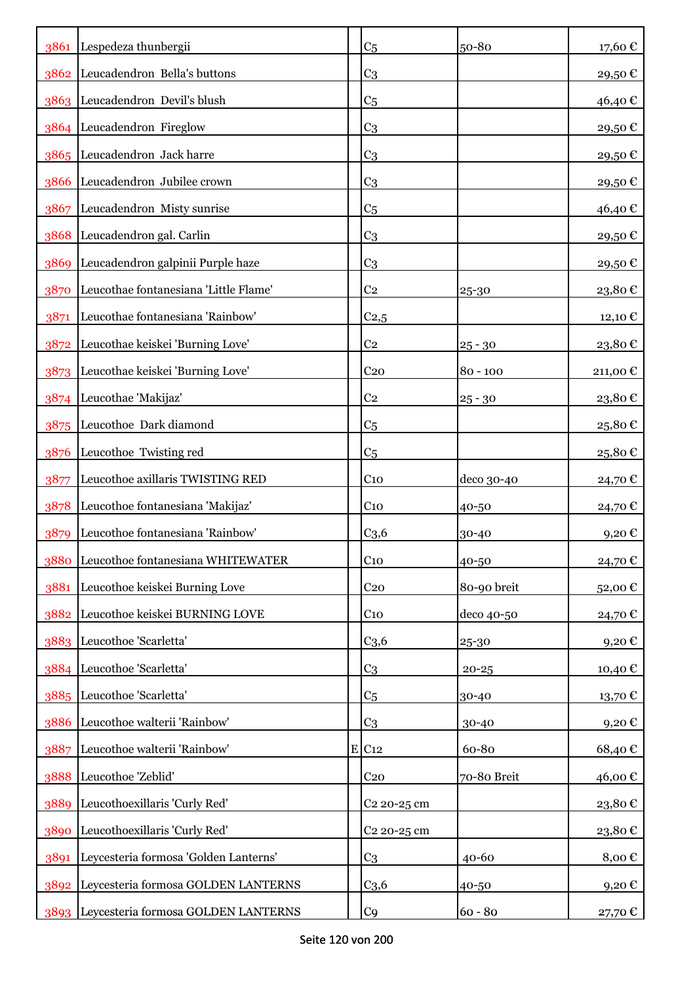|      | 3861 Lespedeza thunbergii                | C <sub>5</sub>          | 50-80       | 17,60€              |
|------|------------------------------------------|-------------------------|-------------|---------------------|
| 3862 | Leucadendron Bella's buttons             | C <sub>3</sub>          |             | 29,50€              |
|      | 3863 Leucadendron Devil's blush          | C <sub>5</sub>          |             | 46,40€              |
|      | 3864 Leucadendron Fireglow               | C <sub>3</sub>          |             | 29,50€              |
|      | 3865 Leucadendron Jack harre             | C <sub>3</sub>          |             | 29,50€              |
| 3866 | Leucadendron Jubilee crown               | C <sub>3</sub>          |             | 29,50€              |
| 3867 | Leucadendron Misty sunrise               | C <sub>5</sub>          |             | 46,40€              |
|      | 3868 Leucadendron gal. Carlin            | C <sub>3</sub>          |             | 29,50€              |
| 3869 | Leucadendron galpinii Purple haze        | C <sub>3</sub>          |             | 29,50€              |
| 3870 | Leucothae fontanesiana 'Little Flame'    | C <sub>2</sub>          | 25-30       | 23,80€              |
| 3871 | Leucothae fontanesiana 'Rainbow'         | C <sub>2,5</sub>        |             | 12,10 €             |
| 3872 | Leucothae keiskei 'Burning Love'         | C <sub>2</sub>          | $25 - 30$   | 23,80€              |
| 3873 | Leucothae keiskei 'Burning Love'         | C <sub>20</sub>         | $80 - 100$  | 211,00€             |
|      | 3874 Leucothae 'Makijaz'                 | C <sub>2</sub>          | $25 - 30$   | 23,80€              |
| 3875 | Leucothoe Dark diamond                   | C <sub>5</sub>          |             | 25,80€              |
| 3876 | Leucothoe Twisting red                   | C <sub>5</sub>          |             | 25,80€              |
| 3877 | Leucothoe axillaris TWISTING RED         | C <sub>10</sub>         | deco 30-40  | 24,70 €             |
| 3878 | Leucothoe fontanesiana 'Makijaz'         | C <sub>10</sub>         | 40-50       | 24,70€              |
| 3879 | Leucothoe fontanesiana 'Rainbow'         | C <sub>3,6</sub>        | 30-40       | 9,20€               |
|      | 3880 Leucothoe fontanesiana WHITEWATER   | C <sub>10</sub>         | 40-50       | 24,70€              |
| 3881 | Leucothoe keiskei Burning Love           | C <sub>20</sub>         | 80-90 breit | 52,00€              |
| 3882 | Leucothoe keiskei BURNING LOVE           | $C_{10}$                | deco 40-50  | 24,70 €             |
|      | 3883 Leucothoe 'Scarletta'               | C <sub>3,6</sub>        | 25-30       | 9,20€               |
|      | 3884 Leucothoe 'Scarletta'               | C <sub>3</sub>          | $20 - 25$   | 10,40€              |
| 3885 | Leucothoe 'Scarletta'                    | C <sub>5</sub>          | 30-40       | 13,70€              |
| 3886 | Leucothoe walterii 'Rainbow'             | C <sub>3</sub>          | 30-40       | 9,20€               |
| 3887 | Leucothoe walterii 'Rainbow'             | E C12                   | 60-80       | 68,40€              |
| 3888 | Leucothoe 'Zeblid'                       | C <sub>20</sub>         | 70-80 Breit | 46,00€              |
| 3889 | Leucothoexillaris 'Curly Red'            | C <sub>2</sub> 20-25 cm |             | 23,80€              |
| 3890 | Leucothoexillaris 'Curly Red'            | C <sub>2</sub> 20-25 cm |             | 23,80€              |
| 3891 | Leycesteria formosa 'Golden Lanterns'    | C <sub>3</sub>          | $40 - 60$   | 8,00€               |
|      | 3892 Leycesteria formosa GOLDEN LANTERNS | C <sub>3,6</sub>        | 40-50       | $9,20 \text{ } \in$ |
|      | 3893 Leycesteria formosa GOLDEN LANTERNS | C <sub>9</sub>          | $60 - 80$   | 27,70 €             |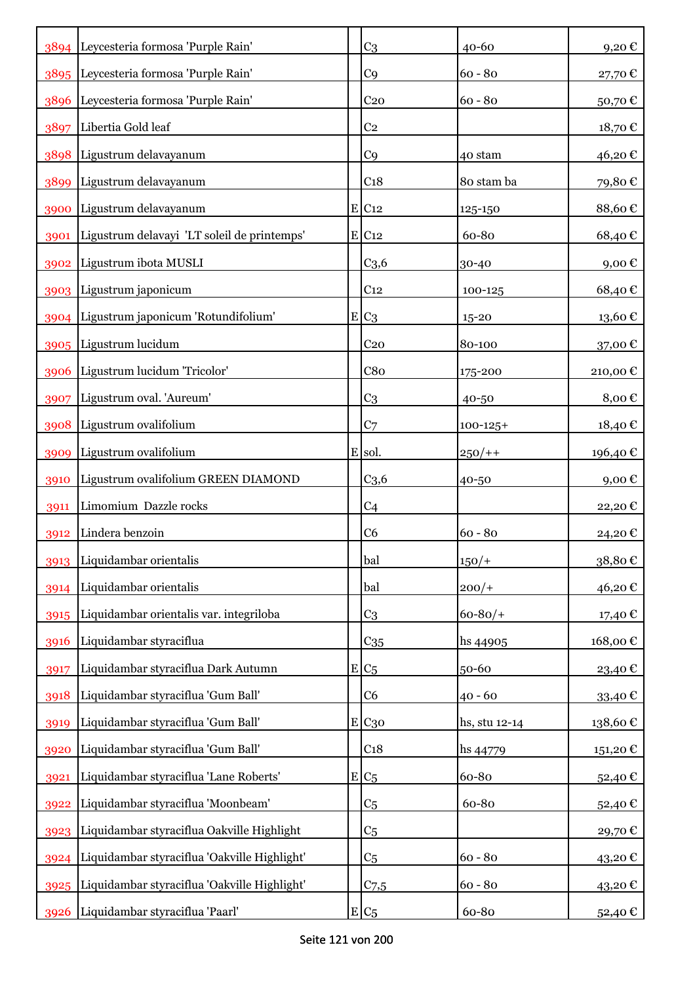|      | 3894 Leycesteria formosa 'Purple Rain'            | C <sub>3</sub>      | $40 - 60$     | 9,20€       |
|------|---------------------------------------------------|---------------------|---------------|-------------|
|      | 3895   Leycesteria formosa 'Purple Rain'          | C <sub>9</sub>      | $60 - 80$     | 27,70€      |
|      | 3896 Leycesteria formosa 'Purple Rain'            | C <sub>20</sub>     | $60 - 80$     | 50,70€      |
| 3897 | Libertia Gold leaf                                | C <sub>2</sub>      |               | 18,70€      |
|      | 3898 Ligustrum delavayanum                        | C <sub>9</sub>      | 40 stam       | 46,20€      |
| 3899 | Ligustrum delavayanum                             | C <sub>18</sub>     | 80 stam ba    | 79,80€      |
| 3900 | Ligustrum delavayanum                             | $E$ C <sub>12</sub> | 125-150       | 88,60€      |
| 3901 | Ligustrum delavayi 'LT soleil de printemps'       | $E$ C <sub>12</sub> | 60-80         | 68,40€      |
| 3902 | Ligustrum ibota MUSLI                             | C <sub>3,6</sub>    | 30-40         | $9,00 \in$  |
|      | 3903 Ligustrum japonicum                          | C <sub>12</sub>     | 100-125       | 68,40€      |
|      | 3904 Ligustrum japonicum 'Rotundifolium'          | $E C_3$             | $15 - 20$     | 13,60€      |
|      | 3905 Ligustrum lucidum                            | C <sub>20</sub>     | 80-100        | 37,00€      |
| 3906 | Ligustrum lucidum 'Tricolor'                      | C8 <sub>0</sub>     | 175-200       | 210,00€     |
| 3907 | Ligustrum oval. 'Aureum'                          | C <sub>3</sub>      | 40-50         | 8,00€       |
| 3908 | Ligustrum ovalifolium                             | C <sub>7</sub>      | $100 - 125 +$ | 18,40 €     |
| 3909 | Ligustrum ovalifolium                             | E sol.              | $250/+$       | 196,40 €    |
| 3910 | Ligustrum ovalifolium GREEN DIAMOND               | C <sub>3,6</sub>    | 40-50         | $9,00 \in$  |
| 3911 | Limomium Dazzle rocks                             | C <sub>4</sub>      |               | 22,20€      |
| 3912 | Lindera benzoin                                   | C <sub>6</sub>      | $60 - 80$     | 24,20€      |
|      | 3913 Liquidambar orientalis                       | bal                 | $150/+$       | $38,80 \in$ |
| 3914 | Liquidambar orientalis                            | bal                 | $200/+$       | 46,20€      |
| 3915 | Liquidambar orientalis var. integriloba           | C <sub>3</sub>      | $60 - 80/$    | 17,40 €     |
| 3916 | Liquidambar styraciflua                           | $C_{35}$            | hs 44905      | 168,00€     |
| 3917 | Liquidambar styraciflua Dark Autumn               | $E C_5$             | 50-60         | 23,40€      |
| 3918 | Liquidambar styraciflua 'Gum Ball'                | C <sub>6</sub>      | $40 - 60$     | 33,40€      |
| 3919 | Liquidambar styraciflua 'Gum Ball'                | E C <sub>30</sub>   | hs, stu 12-14 | 138,60€     |
| 3920 | Liquidambar styraciflua 'Gum Ball'                | C <sub>18</sub>     | hs 44779      | 151,20€     |
| 3921 | Liquidambar styraciflua 'Lane Roberts'            | $E C_5$             | 60-80         | 52,40€      |
| 3922 | Liquidambar styraciflua 'Moonbeam'                | C <sub>5</sub>      | 60-80         | 52,40€      |
| 3923 | Liquidambar styraciflua Oakville Highlight        | C <sub>5</sub>      |               | 29,70€      |
|      | 3924 Liquidambar styraciflua 'Oakville Highlight' | C <sub>5</sub>      | $60 - 80$     | 43,20€      |
|      | 3925 Liquidambar styraciflua 'Oakville Highlight' | $C_{7,5}$           | $60 - 80$     | 43,20€      |
| 3926 | Liquidambar styraciflua 'Paarl'                   | $E C_5$             | 60-80         | 52,40 €     |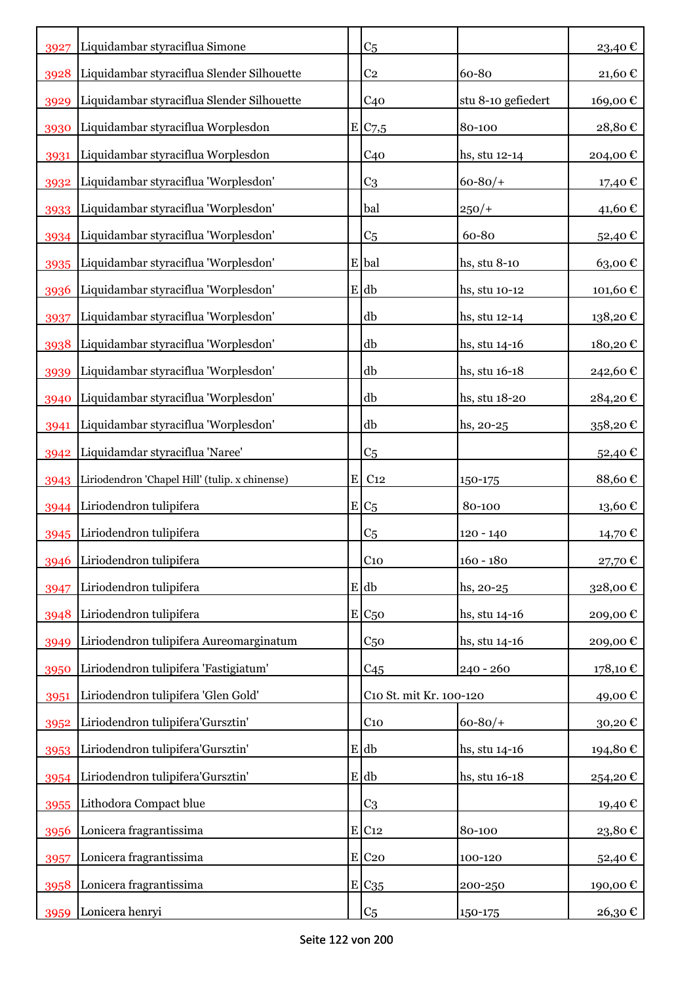| 3927 | Liquidambar styraciflua Simone                 |   | C <sub>5</sub>          |                    | 23,40 €  |
|------|------------------------------------------------|---|-------------------------|--------------------|----------|
| 3928 | Liquidambar styraciflua Slender Silhouette     |   | C <sub>2</sub>          | 60-80              | 21,60€   |
| 3929 | Liquidambar styraciflua Slender Silhouette     |   | C <sub>40</sub>         | stu 8-10 gefiedert | 169,00€  |
| 3930 | Liquidambar styraciflua Worplesdon             |   | E C7,5                  | 80-100             | 28,80€   |
| 3931 | Liquidambar styraciflua Worplesdon             |   | C <sub>40</sub>         | hs, stu 12-14      | 204,00€  |
| 3932 | Liquidambar styraciflua 'Worplesdon'           |   | C <sub>3</sub>          | $60 - 80/$         | 17,40 €  |
| 3933 | Liquidambar styraciflua 'Worplesdon'           |   | bal                     | $250/+$            | 41,60€   |
| 3934 | Liquidambar styraciflua 'Worplesdon'           |   | C <sub>5</sub>          | 60-80              | 52,40€   |
| 3935 | Liquidambar styraciflua 'Worplesdon'           |   | E bal                   | hs, stu 8-10       | 63,00€   |
| 3936 | Liquidambar styraciflua 'Worplesdon'           |   | E db                    | hs, stu 10-12      | 101,60€  |
| 3937 | Liquidambar styraciflua 'Worplesdon'           |   | db                      | hs, stu 12-14      | 138,20€  |
| 3938 | Liquidambar styraciflua 'Worplesdon'           |   | db                      | hs, stu 14-16      | 180,20€  |
| 3939 | Liquidambar styraciflua 'Worplesdon'           |   | db                      | hs, stu 16-18      | 242,60€  |
| 3940 | Liquidambar styraciflua 'Worplesdon'           |   | db                      | hs, stu 18-20      | 284,20€  |
| 3941 | Liquidambar styraciflua 'Worplesdon'           |   | db                      | hs, 20-25          | 358,20€  |
| 3942 | Liquidamdar styraciflua 'Naree'                |   | C <sub>5</sub>          |                    | 52,40 €  |
| 3943 | Liriodendron 'Chapel Hill' (tulip. x chinense) | E | C <sub>12</sub>         | 150-175            | 88,60€   |
| 3944 | Liriodendron tulipifera                        |   | $E_{C5}$                | 80-100             | 13,60€   |
| 3945 | Liriodendron tulipifera                        |   | C <sub>5</sub>          | 120 - 140          | 14,70 €  |
| 3946 | Liriodendron tulipifera                        |   | $C_{10}$                | $160 - 180$        | 27,70€   |
| 3947 | Liriodendron tulipifera                        |   | E db                    | hs, 20-25          | 328,00€  |
| 3948 | Liriodendron tulipifera                        |   | $E C_{50}$              | hs, stu 14-16      | 209,00€  |
| 3949 | Liriodendron tulipifera Aureomarginatum        |   | C <sub>50</sub>         | hs, stu 14-16      | 209,00€  |
| 3950 | Liriodendron tulipifera 'Fastigiatum'          |   | C45                     | $240 - 260$        | 178,10 € |
| 3951 | Liriodendron tulipifera 'Glen Gold'            |   | C10 St. mit Kr. 100-120 |                    | 49,00€   |
| 3952 | Liriodendron tulipifera'Gursztin'              |   | C <sub>10</sub>         | $60 - 80/$         | 30,20€   |
| 3953 | Liriodendron tulipifera'Gursztin'              |   | E db                    | hs, stu 14-16      | 194,80€  |
| 3954 | Liriodendron tulipifera'Gursztin'              |   | E db                    | hs, stu 16-18      | 254,20€  |
| 3955 | Lithodora Compact blue                         |   | C <sub>3</sub>          |                    | 19,40€   |
| 3956 | Lonicera fragrantissima                        |   | E C12                   | 80-100             | 23,80€   |
| 3957 | Lonicera fragrantissima                        |   | $E$ C <sub>20</sub>     | 100-120            | 52,40€   |
| 3958 | Lonicera fragrantissima                        |   | $E C_{35}$              | 200-250            | 190,00€  |
| 3959 | Lonicera henryi                                |   | C <sub>5</sub>          | 150-175            | 26,30€   |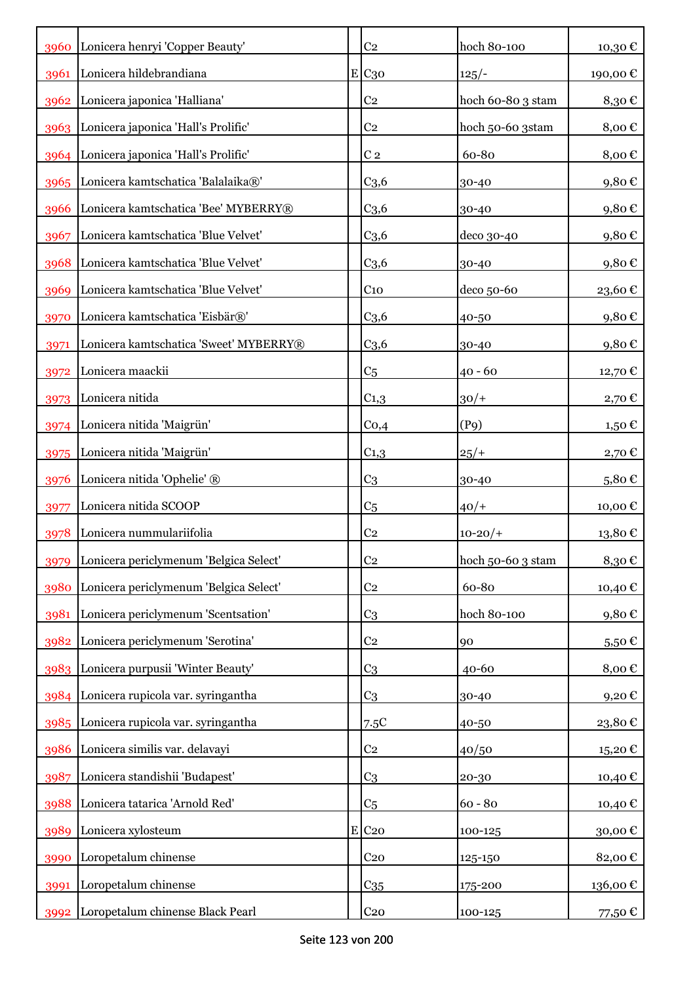|      | 3960 Lonicera henryi 'Copper Beauty'     | C <sub>2</sub>      | hoch 80-100       | 10,30€            |
|------|------------------------------------------|---------------------|-------------------|-------------------|
| 3961 | Lonicera hildebrandiana                  | E C30               | $125/-$           | 190,00€           |
|      | 3962 Lonicera japonica 'Halliana'        | C <sub>2</sub>      | hoch 60-80 3 stam | 8,30€             |
|      | 3963 Lonicera japonica 'Hall's Prolific' | C <sub>2</sub>      | hoch 50-60 3stam  | 8,00€             |
|      | 3964 Lonicera japonica 'Hall's Prolific' | C <sub>2</sub>      | 60-80             | 8,00€             |
|      | 3965 Lonicera kamtschatica 'Balalaika®'  | C <sub>3,6</sub>    | 30-40             | 9,80€             |
| 3966 | Lonicera kamtschatica 'Bee' MYBERRY®     | C <sub>3,6</sub>    | 30-40             | 9,80€             |
| 3967 | Lonicera kamtschatica 'Blue Velvet'      | C <sub>3,6</sub>    | deco 30-40        | 9,80€             |
| 3968 | Lonicera kamtschatica 'Blue Velvet'      | C <sub>3,6</sub>    | 30-40             | 9,80€             |
| 3969 | Lonicera kamtschatica 'Blue Velvet'      | C <sub>10</sub>     | deco 50-60        | 23,60€            |
| 3970 | Lonicera kamtschatica 'Eisbär®'          | C <sub>3,6</sub>    | 40-50             | 9,80€             |
| 3971 | Lonicera kamtschatica 'Sweet' MYBERRY®   | C <sub>3,6</sub>    | 30-40             | 9,80€             |
| 3972 | Lonicera maackii                         | C <sub>5</sub>      | $40 - 60$         | 12,70 €           |
| 3973 | Lonicera nitida                          | $C_{1,3}$           | $30/+$            | 2,70 €            |
| 3974 | Lonicera nitida 'Maigrün'                | Co,4                | (P9)              | 1,50 €            |
| 3975 | Lonicera nitida 'Maigrün'                | $C_{1,3}$           | $25/+$            | 2,70 €            |
| 3976 | Lonicera nitida 'Ophelie' ®              | C <sub>3</sub>      | 30-40             | 5,80€             |
| 3977 | Lonicera nitida SCOOP                    | C <sub>5</sub>      | $40/+$            | 10,00€            |
| 3978 | Lonicera nummulariifolia                 | C <sub>2</sub>      | $10 - 20/$        | 13,80€            |
| 3979 | Lonicera periclymenum 'Belgica Select'   | C <sub>2</sub>      | hoch 50-60 3 stam | 8,30€             |
| 3980 | Lonicera periclymenum 'Belgica Select'   | C <sub>2</sub>      | 60-80             | 10,40€            |
| 3981 | Lonicera periclymenum 'Scentsation'      | C <sub>3</sub>      | hoch 80-100       | 9,80€             |
|      | 3982 Lonicera periclymenum 'Serotina'    | C <sub>2</sub>      | 90                | 5,50€             |
|      | 3983 Lonicera purpusii 'Winter Beauty'   | C <sub>3</sub>      | 40-60             | 8,00€             |
|      | 3984 Lonicera rupicola var. syringantha  | C <sub>3</sub>      | 30-40             | 9,20€             |
|      | 3985 Lonicera rupicola var. syringantha  | 7.5C                | 40-50             | 23,80€            |
| 3986 | Lonicera similis var. delavayi           | C <sub>2</sub>      | 40/50             | $15,20 \text{ }€$ |
| 3987 | Lonicera standishii 'Budapest'           | C <sub>3</sub>      | 20-30             | 10,40€            |
| 3988 | Lonicera tatarica 'Arnold Red'           | C <sub>5</sub>      | $60 - 80$         | 10,40€            |
| 3989 | Lonicera xylosteum                       | $E$ C <sub>20</sub> | 100-125           | 30,00€            |
| 3990 | Loropetalum chinense                     | C <sub>20</sub>     | 125-150           | 82,00€            |
| 3991 | Loropetalum chinense                     | $C_{35}$            | 175-200           | 136,00€           |
| 3992 | Loropetalum chinense Black Pearl         | C <sub>20</sub>     | $100 - 125$       | 77,50 €           |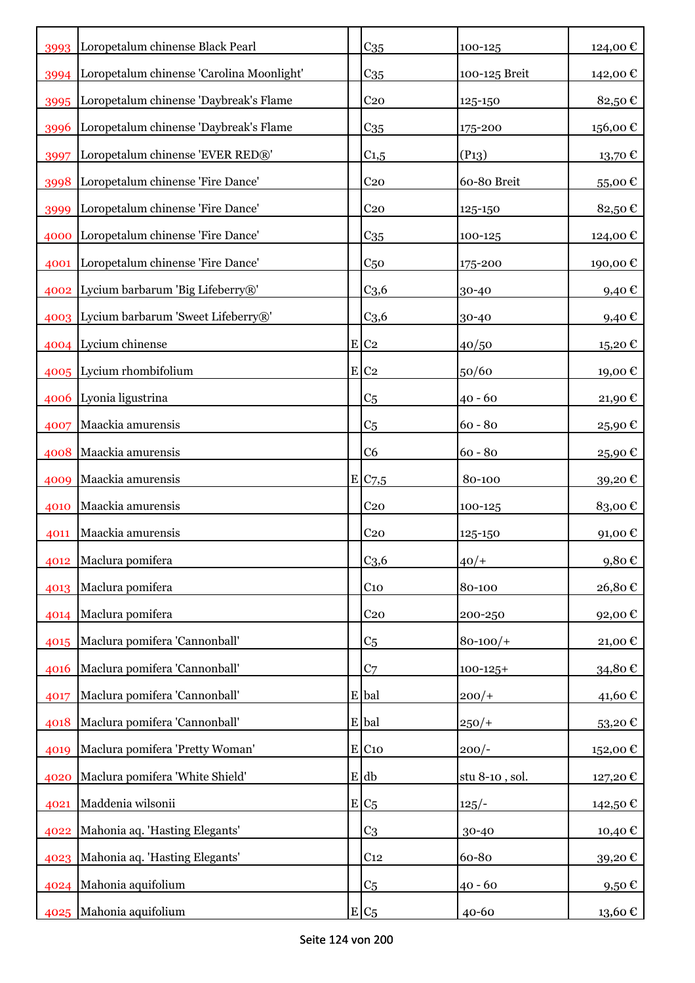|      | 3993 Loropetalum chinense Black Pearl          | $C_{35}$              | 100-125        | 124,00€    |
|------|------------------------------------------------|-----------------------|----------------|------------|
|      | 3994 Loropetalum chinense 'Carolina Moonlight' | C <sub>35</sub>       | 100-125 Breit  | 142,00 €   |
|      | 3995 Loropetalum chinense 'Daybreak's Flame    | C <sub>20</sub>       | 125-150        | 82,50€     |
| 3996 | Loropetalum chinense 'Daybreak's Flame         | C <sub>35</sub>       | 175-200        | 156,00€    |
| 3997 | Loropetalum chinense 'EVER RED®'               | $C_{1,5}$             | $(P_{13})$     | 13,70€     |
| 3998 | Loropetalum chinense 'Fire Dance'              | C <sub>20</sub>       | 60-80 Breit    | 55,00€     |
| 3999 | Loropetalum chinense 'Fire Dance'              | C <sub>20</sub>       | 125-150        | 82,50€     |
| 4000 | Loropetalum chinense 'Fire Dance'              | C <sub>35</sub>       | 100-125        | 124,00€    |
| 4001 | Loropetalum chinense 'Fire Dance'              | C <sub>50</sub>       | 175-200        | 190,00€    |
|      | 4002 Lycium barbarum 'Big Lifeberry®'          | C <sub>3,6</sub>      | 30-40          | 9,40€      |
|      | 4003 Lycium barbarum 'Sweet Lifeberry®'        | C <sub>3,6</sub>      | 30-40          | $9,40 \in$ |
|      | 4004 Lycium chinense                           | $E$ C <sub>2</sub>    | 40/50          | 15,20€     |
|      | 4005 Lycium rhombifolium                       | $E$ C <sub>2</sub>    | 50/60          | 19,00€     |
|      | 4006 Lyonia ligustrina                         | C <sub>5</sub>        | $40 - 60$      | 21,90€     |
| 4007 | Maackia amurensis                              | C <sub>5</sub>        | $60 - 80$      | 25,90€     |
| 4008 | Maackia amurensis                              | C <sub>6</sub>        | $60 - 80$      | 25,90€     |
| 4009 | Maackia amurensis                              | $E$ C <sub>7</sub> ,5 | 80-100         | 39,20€     |
| 4010 | Maackia amurensis                              | C <sub>20</sub>       | 100-125        | 83,00€     |
| 4011 | Maackia amurensis                              | C <sub>20</sub>       | 125-150        | 91,00€     |
| 4012 | Maclura pomifera                               | C <sub>3,6</sub>      | $40/+$         | 9,80€      |
| 4013 | Maclura pomifera                               | C <sub>10</sub>       | 80-100         | 26,80€     |
| 4014 | Maclura pomifera                               | C <sub>20</sub>       | 200-250        | 92,00€     |
| 4015 | Maclura pomifera 'Cannonball'                  | C <sub>5</sub>        | $80 - 100/$    | 21,00€     |
| 4016 | Maclura pomifera 'Cannonball'                  | C <sub>7</sub>        | $100 - 125 +$  | 34,80€     |
| 4017 | Maclura pomifera 'Cannonball'                  | E bal                 | $200/+$        | 41,60€     |
| 4018 | Maclura pomifera 'Cannonball'                  | E bal                 | $250/+$        | 53,20€     |
| 4019 | Maclura pomifera 'Pretty Woman'                | $E$ C <sub>10</sub>   | $200/-$        | 152,00€    |
| 4020 | Maclura pomifera 'White Shield'                | E db                  | stu 8-10, sol. | 127,20€    |
| 4021 | Maddenia wilsonii                              | $E/C_5$               | $125/-$        | 142,50 €   |
| 4022 | Mahonia aq. 'Hasting Elegants'                 | C <sub>3</sub>        | 30-40          | 10,40€     |
| 4023 | Mahonia aq. 'Hasting Elegants'                 | C <sub>12</sub>       | 60-80          | 39,20€     |
| 4024 | Mahonia aquifolium                             | C <sub>5</sub>        | $40 - 60$      | $9,50 \in$ |
|      | 4025 Mahonia aquifolium                        | $E C_5$               | 40-60          | 13,60€     |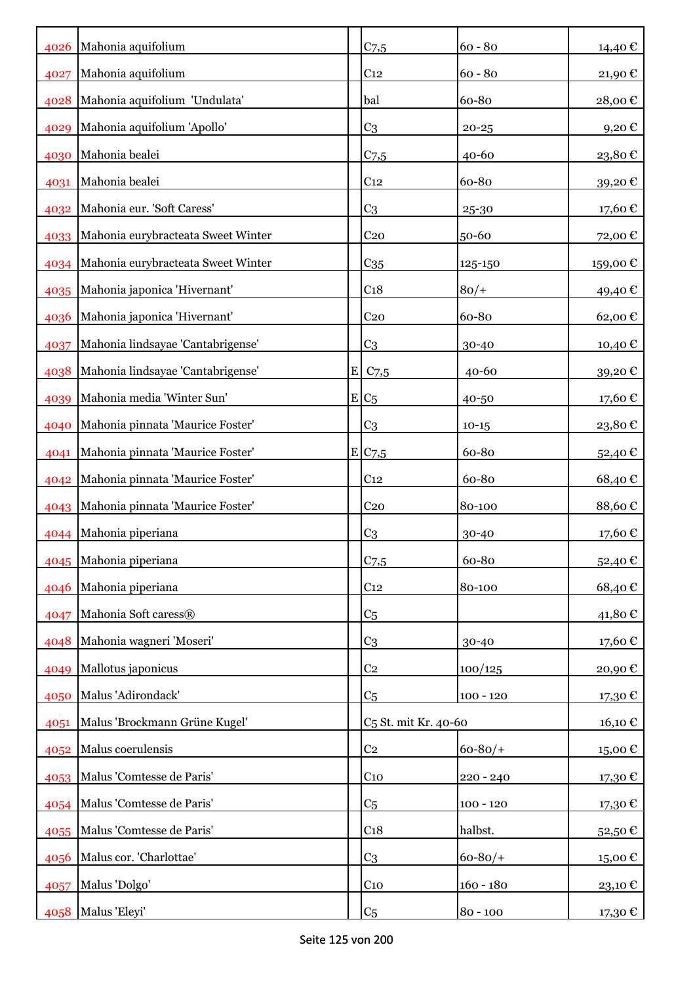| 4026 | Mahonia aquifolium                      |   | C <sub>7,5</sub>                 | $60 - 80$   | 14,40€            |
|------|-----------------------------------------|---|----------------------------------|-------------|-------------------|
| 4027 | Mahonia aquifolium                      |   | C <sub>12</sub>                  | $60 - 80$   | 21,90€            |
| 4028 | Mahonia aquifolium 'Undulata'           |   | bal                              | 60-80       | 28,00€            |
| 4029 | Mahonia aquifolium 'Apollo'             |   | C <sub>3</sub>                   | $20 - 25$   | 9,20€             |
| 4030 | Mahonia bealei                          |   | C <sub>7,5</sub>                 | 40-60       | 23,80€            |
| 4031 | Mahonia bealei                          |   | C <sub>12</sub>                  | 60-80       | 39,20€            |
| 4032 | Mahonia eur. 'Soft Caress'              |   | C <sub>3</sub>                   | 25-30       | 17,60€            |
| 4033 | Mahonia eurybracteata Sweet Winter      |   | C <sub>20</sub>                  | 50-60       | 72,00€            |
|      | 4034 Mahonia eurybracteata Sweet Winter |   | C <sub>35</sub>                  | 125-150     | 159,00€           |
| 4035 | Mahonia japonica 'Hivernant'            |   | C <sub>18</sub>                  | $80/+$      | 49,40 €           |
| 4036 | Mahonia japonica 'Hivernant'            |   | C <sub>20</sub>                  | 60-80       | 62,00€            |
| 4037 | Mahonia lindsayae 'Cantabrigense'       |   | C <sub>3</sub>                   | 30-40       | 10,40 €           |
| 4038 | Mahonia lindsayae 'Cantabrigense'       | E | C <sub>7,5</sub>                 | 40-60       | 39,20€            |
| 4039 | Mahonia media 'Winter Sun'              |   | $E C_5$                          | 40-50       | 17,60€            |
| 4040 | Mahonia pinnata 'Maurice Foster'        |   | C3                               | $10-15$     | 23,80€            |
| 4041 | Mahonia pinnata 'Maurice Foster'        |   | E C7,5                           | 60-80       | 52,40 €           |
| 4042 | Mahonia pinnata 'Maurice Foster'        |   | C <sub>12</sub>                  | 60-80       | 68,40€            |
| 4043 | Mahonia pinnata 'Maurice Foster'        |   | C <sub>20</sub>                  | 80-100      | 88,60€            |
| 4044 | Mahonia piperiana                       |   | C <sub>3</sub>                   | 30-40       | 17,60€            |
|      | 4045 Mahonia piperiana                  |   | $C$ 7,5                          | 60-80       | 52,40€            |
|      | 4046 Mahonia piperiana                  |   | C <sub>12</sub>                  | 80-100      | 68,40€            |
| 4047 | Mahonia Soft caress®                    |   | C <sub>5</sub>                   |             | 41,80€            |
| 4048 | Mahonia wagneri 'Moseri'                |   | C3                               | 30-40       | 17,60€            |
| 4049 | Mallotus japonicus                      |   | C <sub>2</sub>                   | 100/125     | 20,90 $\mathbb C$ |
| 4050 | Malus 'Adirondack'                      |   | C <sub>5</sub>                   | $100 - 120$ | 17,30€            |
| 4051 | Malus 'Brockmann Grüne Kugel'           |   | C <sub>5</sub> St. mit Kr. 40-60 |             | 16,10€            |
| 4052 | Malus coerulensis                       |   | C <sub>2</sub>                   | $60 - 80/$  | 15,00€            |
| 4053 | Malus 'Comtesse de Paris'               |   | $C_{10}$                         | 220 - 240   | 17,30 €           |
| 4054 | Malus 'Comtesse de Paris'               |   | C <sub>5</sub>                   | $100 - 120$ | 17,30€            |
| 4055 | Malus 'Comtesse de Paris'               |   | C <sub>18</sub>                  | halbst.     | 52,50€            |
| 4056 | Malus cor. 'Charlottae'                 |   | C <sub>3</sub>                   | $60 - 80/$  | 15,00€            |
| 4057 | Malus 'Dolgo'                           |   | C <sub>10</sub>                  | $160 - 180$ | 23,10 €           |
| 4058 | Malus 'Eleyi'                           |   | C <sub>5</sub>                   | $80 - 100$  | 17,30 €           |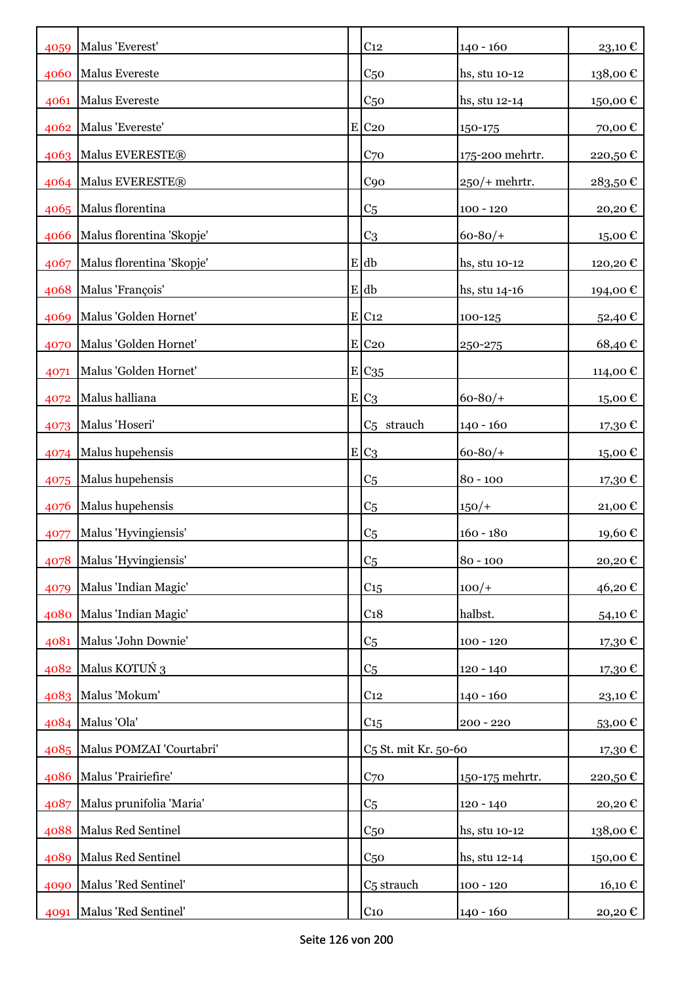| 4059 | Malus 'Everest'               | C <sub>12</sub>                  | $140 - 160$      | 23,10€   |
|------|-------------------------------|----------------------------------|------------------|----------|
| 4060 | Malus Evereste                | C <sub>50</sub>                  | hs, stu 10-12    | 138,00€  |
| 4061 | Malus Evereste                | C <sub>50</sub>                  | hs, stu 12-14    | 150,00€  |
| 4062 | Malus 'Evereste'              | $E$ C <sub>20</sub>              | 150-175          | 70,00€   |
|      | 4063 Malus EVERESTE®          | C <sub>70</sub>                  | 175-200 mehrtr.  | 220,50€  |
|      | 4064 Malus EVERESTE®          | C90                              | $250$ /+ mehrtr. | 283,50€  |
| 4065 | Malus florentina              | C <sub>5</sub>                   | $100 - 120$      | 20,20€   |
| 4066 | Malus florentina 'Skopje'     | C <sub>3</sub>                   | $60 - 80/$       | 15,00€   |
| 4067 | Malus florentina 'Skopje'     | $E$ db                           | hs, stu 10-12    | 120,20€  |
| 4068 | Malus 'François'              | E db                             | hs, stu 14-16    | 194,00€  |
| 4069 | Malus 'Golden Hornet'         | $E$ C <sub>12</sub>              | 100-125          | 52,40€   |
| 4070 | Malus 'Golden Hornet'         | $E$ C <sub>20</sub>              | 250-275          | 68,40€   |
| 4071 | Malus 'Golden Hornet'         | $E C_{35}$                       |                  | 114,00 € |
| 4072 | Malus halliana                | $E C_3$                          | $60 - 80/$       | 15,00€   |
| 4073 | Malus 'Hoseri'                | C <sub>5</sub> strauch           | $140 - 160$      | 17,30 €  |
| 4074 | Malus hupehensis              | $E C_3$                          | $60 - 80/$       | 15,00€   |
| 4075 | Malus hupehensis              | C <sub>5</sub>                   | $80 - 100$       | 17,30 €  |
| 4076 | Malus hupehensis              | C <sub>5</sub>                   | $150/+$          | 21,00€   |
| 4077 | Malus 'Hyvingiensis'          | C <sub>5</sub>                   | $160 - 180$      | 19,60€   |
|      | 4078 Malus 'Hyvingiensis'     | C <sub>5</sub>                   | 80 - 100         | 20,20€   |
| 4079 | Malus 'Indian Magic'          | C <sub>15</sub>                  | $100/+$          | 46,20€   |
| 4080 | Malus 'Indian Magic'          | C <sub>18</sub>                  | halbst.          | 54,10€   |
| 4081 | Malus 'John Downie'           | C <sub>5</sub>                   | $100 - 120$      | 17,30€   |
| 4082 | Malus KOTUŃ 3                 | C <sub>5</sub>                   | $120 - 140$      | 17,30€   |
|      | 4083 Malus 'Mokum'            | C <sub>12</sub>                  | $140 - 160$      | 23,10€   |
|      | 4084 Malus 'Ola'              | C <sub>15</sub>                  | $200 - 220$      | 53,00€   |
|      | 4085 Malus POMZAI 'Courtabri' | C <sub>5</sub> St. mit Kr. 50-60 |                  | 17,30€   |
| 4086 | Malus 'Prairiefire'           | C <sub>70</sub>                  | 150-175 mehrtr.  | 220,50€  |
| 4087 | Malus prunifolia 'Maria'      | C <sub>5</sub>                   | $120 - 140$      | 20,20€   |
| 4088 | Malus Red Sentinel            | C <sub>50</sub>                  | hs, stu 10-12    | 138,00€  |
| 4089 | Malus Red Sentinel            | C <sub>50</sub>                  | hs, stu 12-14    | 150,00€  |
| 4090 | Malus 'Red Sentinel'          | C <sub>5</sub> strauch           | $100 - 120$      | 16,10€   |
| 4091 | Malus 'Red Sentinel'          | C10                              | 140 - 160        | 20,20€   |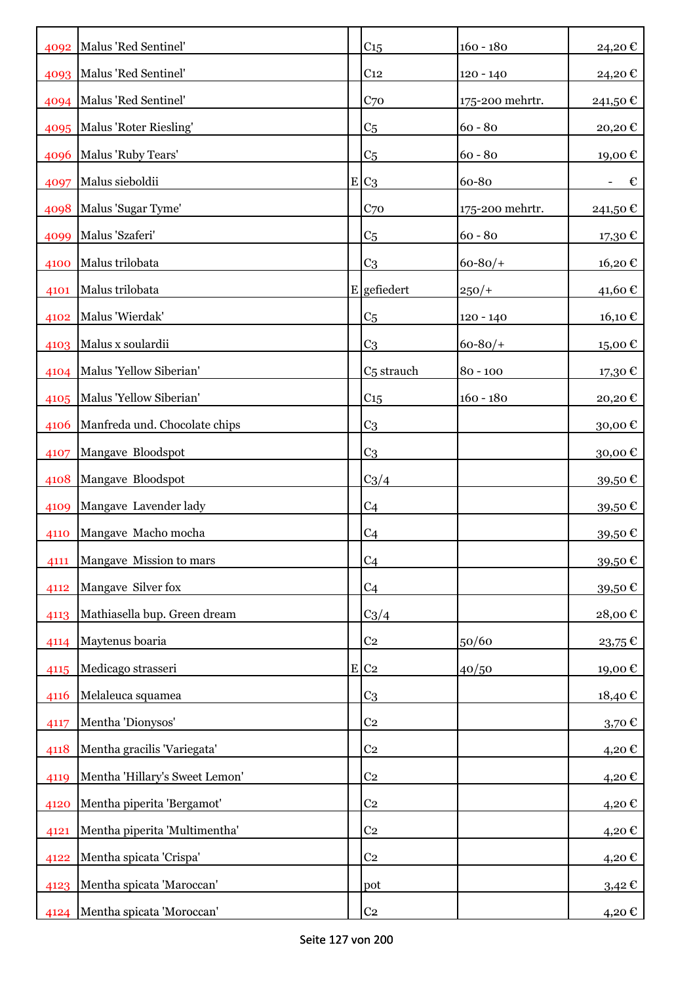|      | 4092 Malus 'Red Sentinel'      | C <sub>15</sub>        | $160 - 180$     | 24,20€             |
|------|--------------------------------|------------------------|-----------------|--------------------|
|      | 4093   Malus 'Red Sentinel'    | C <sub>12</sub>        | $120 - 140$     | 24,20€             |
|      | 4094   Malus 'Red Sentinel'    | C <sub>70</sub>        | 175-200 mehrtr. | 241,50€            |
|      | 4095   Malus 'Roter Riesling'  | C <sub>5</sub>         | $60 - 80$       | 20,20€             |
| 4096 | Malus 'Ruby Tears'             | C <sub>5</sub>         | $60 - 80$       | 19,00€             |
| 4097 | Malus sieboldii                | $E C_3$                | 60-80           | €                  |
|      | 4098 Malus 'Sugar Tyme'        | C <sub>70</sub>        | 175-200 mehrtr. | 241,50€            |
| 4099 | Malus 'Szaferi'                | C <sub>5</sub>         | $60 - 80$       | 17,30 €            |
| 4100 | Malus trilobata                | C <sub>3</sub>         | $60 - 80/$      | 16,20€             |
| 4101 | Malus trilobata                | E gefiedert            | $250/+$         | 41,60 €            |
| 4102 | Malus 'Wierdak'                | C <sub>5</sub>         | 120 - 140       | 16,10€             |
| 4103 | Malus x soulardii              | C <sub>3</sub>         | $60 - 80/$ +    | 15,00€             |
|      | 4104 Malus 'Yellow Siberian'   | C <sub>5</sub> strauch | $80 - 100$      | 17,30€             |
| 4105 | Malus 'Yellow Siberian'        | C15                    | $160 - 180$     | 20,20€             |
| 4106 | Manfreda und. Chocolate chips  | C <sub>3</sub>         |                 | 30,00€             |
| 4107 | Mangave Bloodspot              | C <sub>3</sub>         |                 | 30,00€             |
| 4108 | Mangave Bloodspot              | $C_3/4$                |                 | 39,50€             |
| 4109 | Mangave Lavender lady          | C <sub>4</sub>         |                 | 39,50€             |
| 4110 | Mangave Macho mocha            | C <sub>4</sub>         |                 | 39,50€             |
| 4111 | Mangave Mission to mars        | C <sub>4</sub>         |                 | 39,50 $\mathbb C$  |
| 4112 | Mangave Silver fox             | C <sub>4</sub>         |                 | 39,50€             |
| 4113 | Mathiasella bup. Green dream   | $C_3/4$                |                 | 28,00€             |
| 4114 | Maytenus boaria                | C <sub>2</sub>         | 50/60           | 23,75€             |
| 4115 | Medicago strasseri             | E C2                   | 40/50           | 19,00€             |
| 4116 | Melaleuca squamea              | C <sub>3</sub>         |                 | 18,40€             |
| 4117 | Mentha 'Dionysos'              | C <sub>2</sub>         |                 | 3,70 $\varepsilon$ |
| 4118 | Mentha gracilis 'Variegata'    | C <sub>2</sub>         |                 | 4,20€              |
| 4119 | Mentha 'Hillary's Sweet Lemon' | C <sub>2</sub>         |                 | 4,20€              |
| 4120 | Mentha piperita 'Bergamot'     | C <sub>2</sub>         |                 | 4,20€              |
| 4121 | Mentha piperita 'Multimentha'  | C <sub>2</sub>         |                 | 4,20€              |
| 4122 | Mentha spicata 'Crispa'        | C <sub>2</sub>         |                 | 4,20€              |
| 4123 | Mentha spicata 'Maroccan'      | pot                    |                 | $3,42 \in$         |
| 4124 | Mentha spicata 'Moroccan'      | C <sub>2</sub>         |                 | 4,20 €             |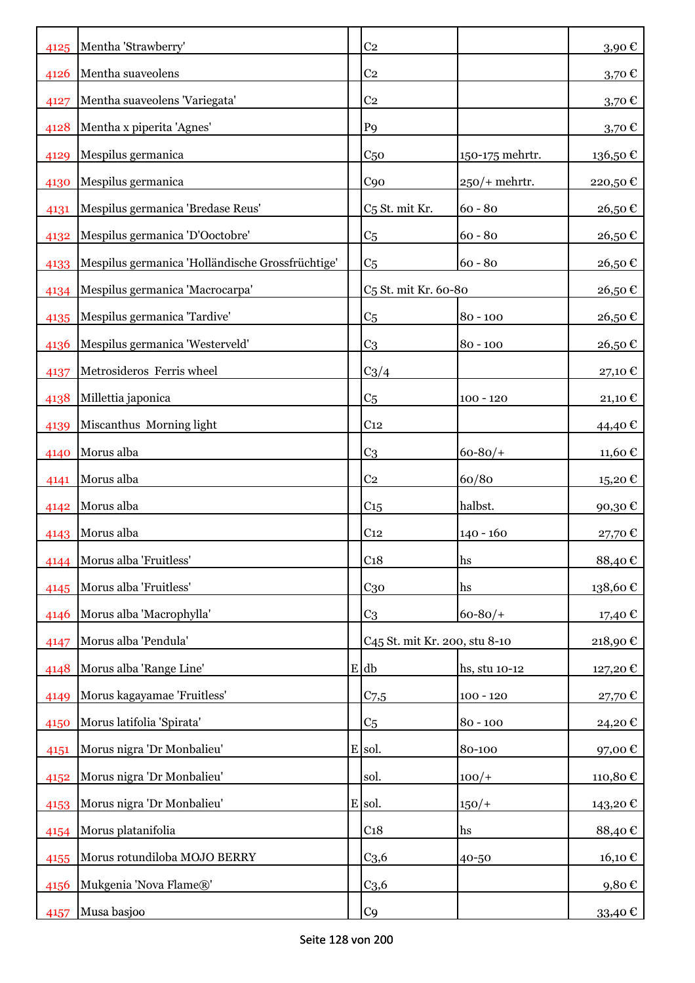|      | 4125 Mentha 'Strawberry'                         | C <sub>2</sub>                            |                 | 3,90€               |
|------|--------------------------------------------------|-------------------------------------------|-----------------|---------------------|
| 4126 | Mentha suaveolens                                | C <sub>2</sub>                            |                 | $3,70$ €            |
| 4127 | Mentha suaveolens 'Variegata'                    | C <sub>2</sub>                            |                 | 3,70€               |
| 4128 | Mentha x piperita 'Agnes'                        | P <sub>9</sub>                            |                 | $3,70 \text{ } \in$ |
| 4129 | Mespilus germanica                               | C <sub>50</sub>                           | 150-175 mehrtr. | 136,50€             |
| 4130 | Mespilus germanica                               | C <sub>90</sub>                           | $250/+$ mehrtr. | 220,50€             |
| 4131 | Mespilus germanica 'Bredase Reus'                | C <sub>5</sub> St. mit Kr.                | $60 - 80$       | 26,50€              |
| 4132 | Mespilus germanica 'D'Ooctobre'                  | C <sub>5</sub>                            | $60 - 80$       | 26,50€              |
| 4133 | Mespilus germanica 'Holländische Grossfrüchtige' | C <sub>5</sub>                            | $60 - 80$       | 26,50€              |
| 4134 | Mespilus germanica 'Macrocarpa'                  | C <sub>5</sub> St. mit Kr. 60-80          |                 | 26,50€              |
| 4135 | Mespilus germanica 'Tardive'                     | C <sub>5</sub>                            | $80 - 100$      | 26,50€              |
| 4136 | Mespilus germanica 'Westerveld'                  | C <sub>3</sub>                            | $80 - 100$      | 26,50€              |
| 4137 | Metrosideros Ferris wheel                        | $C_3/4$                                   |                 | 27,10€              |
| 4138 | Millettia japonica                               | C <sub>5</sub>                            | $100 - 120$     | 21,10 €             |
| 4139 | Miscanthus Morning light                         | C <sub>12</sub>                           |                 | 44,40 €             |
| 4140 | Morus alba                                       | C <sub>3</sub>                            | $60 - 80/$      | 11,60 €             |
| 4141 | Morus alba                                       | C <sub>2</sub>                            | 60/80           | 15,20€              |
| 4142 | Morus alba                                       | $C_{15}$                                  | halbst.         | 90,30€              |
| 4143 | Morus alba                                       | C <sub>12</sub>                           | $140 - 160$     | 27,70€              |
|      | 4144 Morus alba 'Fruitless'                      | C <sub>18</sub>                           | hs              | 88,40€              |
| 4145 | Morus alba 'Fruitless'                           | $C_{30}$                                  | hs              | 138,60€             |
| 4146 | Morus alba 'Macrophylla'                         | C <sub>3</sub>                            | $60 - 80/$      | 17,40 €             |
| 4147 | Morus alba 'Pendula'                             | C <sub>45</sub> St. mit Kr. 200, stu 8-10 |                 | 218,90€             |
| 4148 | Morus alba 'Range Line'                          | E db                                      | hs, stu 10-12   | 127,20€             |
| 4149 | Morus kagayamae 'Fruitless'                      | $C$ 7,5                                   | $100 - 120$     | 27,70€              |
| 4150 | Morus latifolia 'Spirata'                        | C <sub>5</sub>                            | $80 - 100$      | 24,20€              |
| 4151 | Morus nigra 'Dr Monbalieu'                       | E sol.                                    | 80-100          | 97,00€              |
| 4152 | Morus nigra 'Dr Monbalieu'                       | sol.                                      | $100/+$         | 110,80€             |
| 4153 | Morus nigra 'Dr Monbalieu'                       | E sol.                                    | $150/+$         | 143,20€             |
| 4154 | Morus platanifolia                               | C <sub>18</sub>                           | hs              | 88,40€              |
| 4155 | Morus rotundiloba MOJO BERRY                     | C <sub>3,6</sub>                          | 40-50           | 16,10€              |
| 4156 | Mukgenia 'Nova Flame®'                           | C <sub>3,6</sub>                          |                 | 9,80€               |
| 4157 | Musa basjoo                                      | C <sub>9</sub>                            |                 | 33,40 $\epsilon$    |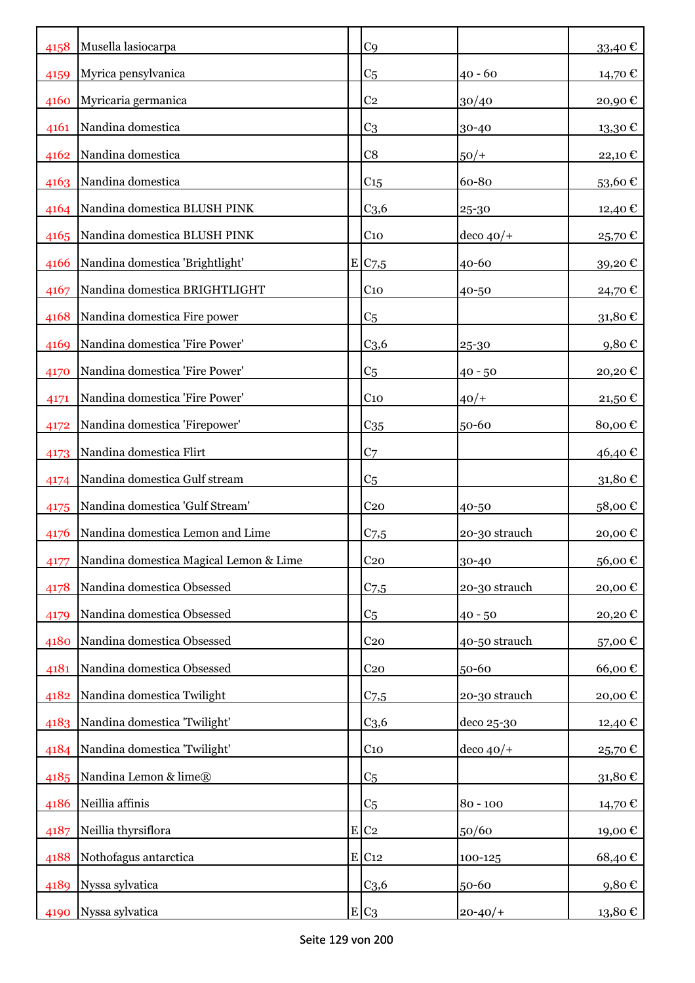| 4158 | Musella lasiocarpa                     | C <sub>9</sub>        |               | 33,40€            |
|------|----------------------------------------|-----------------------|---------------|-------------------|
| 4159 | Myrica pensylvanica                    | C <sub>5</sub>        | $40 - 60$     | 14,70€            |
| 4160 | Myricaria germanica                    | C <sub>2</sub>        | 30/40         | 20,90€            |
| 4161 | Nandina domestica                      | C <sub>3</sub>        | 30-40         | 13,30€            |
| 4162 | Nandina domestica                      | C8                    | $50/+$        | 22,10€            |
| 4163 | Nandina domestica                      | C <sub>15</sub>       | 60-80         | 53,60€            |
| 4164 | Nandina domestica BLUSH PINK           | C <sub>3,6</sub>      | 25-30         | 12,40 €           |
| 4165 | Nandina domestica BLUSH PINK           | $C_{10}$              | $ $ deco 40/+ | 25,70€            |
| 4166 | Nandina domestica 'Brightlight'        | $E$ C <sub>7</sub> ,5 | 40-60         | 39,20€            |
| 4167 | Nandina domestica BRIGHTLIGHT          | C <sub>10</sub>       | 40-50         | 24,70 €           |
| 4168 | Nandina domestica Fire power           | C <sub>5</sub>        |               | 31,80€            |
| 4169 | Nandina domestica 'Fire Power'         | C <sub>3,6</sub>      | 25-30         | 9,80€             |
| 4170 | Nandina domestica 'Fire Power'         | C <sub>5</sub>        | $40 - 50$     | 20,20€            |
| 4171 | Nandina domestica 'Fire Power'         | C <sub>10</sub>       | $40/+$        | $21,50$ €         |
| 4172 | Nandina domestica 'Firepower'          | $C_{35}$              | 50-60         | 80,00€            |
| 4173 | Nandina domestica Flirt                | C <sub>7</sub>        |               | 46,40 €           |
| 4174 | Nandina domestica Gulf stream          | C <sub>5</sub>        |               | 31,80€            |
| 4175 | Nandina domestica 'Gulf Stream'        | C <sub>20</sub>       | 40-50         | 58,00€            |
| 4176 | Nandina domestica Lemon and Lime       | C <sub>7,5</sub>      | 20-30 strauch | 20,00€            |
| 4177 | Nandina domestica Magical Lemon & Lime | C <sub>20</sub>       | 30-40         | 56,00€            |
| 4178 | Nandina domestica Obsessed             | $C_{7,5}$             | 20-30 strauch | 20,00€            |
| 4179 | Nandina domestica Obsessed             | C5                    | $40 - 50$     | 20,20€            |
| 4180 | Nandina domestica Obsessed             | C <sub>20</sub>       | 40-50 strauch | 57,00€            |
| 4181 | Nandina domestica Obsessed             | C <sub>20</sub>       | 50-60         | 66,00€            |
| 4182 | Nandina domestica Twilight             | C <sub>7,5</sub>      | 20-30 strauch | 20,00€            |
| 4183 | Nandina domestica 'Twilight'           | C <sub>3,6</sub>      | deco 25-30    | 12,40 €           |
| 4184 | Nandina domestica 'Twilight'           | $C_{10}$              | $ $ deco 40/+ | 25,70€            |
| 4185 | Nandina Lemon & lime®                  | C <sub>5</sub>        |               | 31,80€            |
| 4186 | Neillia affinis                        | C5                    | $80 - 100$    | 14,70 $\mathbb C$ |
| 4187 | Neillia thyrsiflora                    | $E$ C <sub>2</sub>    | 50/60         | 19,00€            |
| 4188 | Nothofagus antarctica                  | E C12                 | 100-125       | 68,40€            |
| 4189 | Nyssa sylvatica                        | C <sub>3,6</sub>      | 50-60         | 9,80€             |
| 4190 | Nyssa sylvatica                        | $E C_3$               | $20 - 40/$    | 13,80 €           |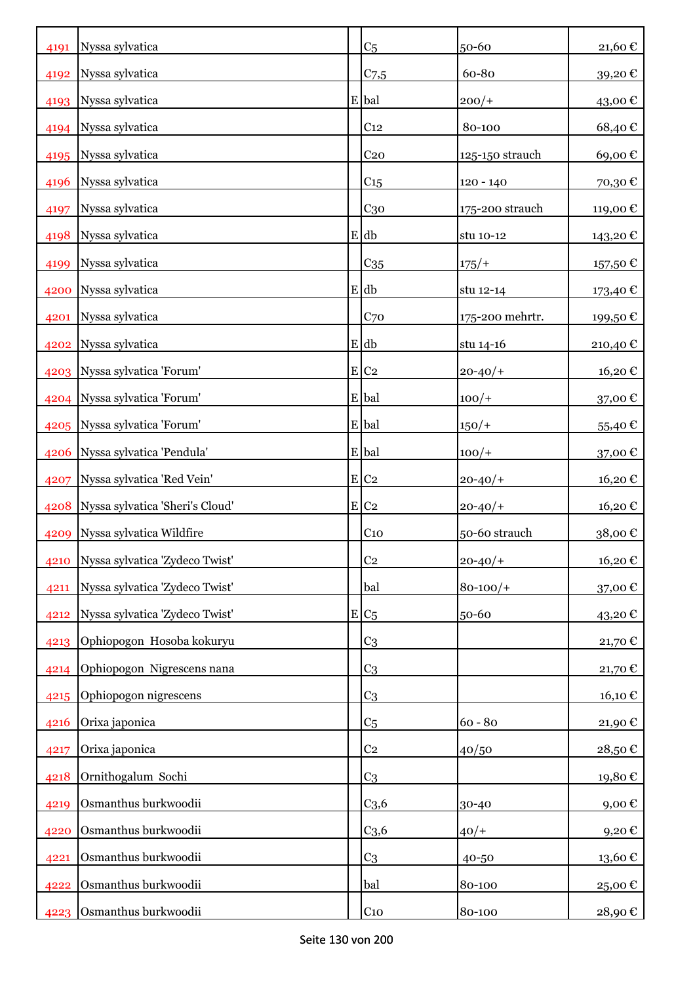| 4191 | Nyssa sylvatica                      | C <sub>5</sub>     | 50-60           | 21,60€                 |
|------|--------------------------------------|--------------------|-----------------|------------------------|
| 4192 | Nyssa sylvatica                      | C <sub>7,5</sub>   | 60-80           | 39,20€                 |
| 4193 | Nyssa sylvatica                      | E bal              | $200/+$         | 43,00€                 |
| 4194 | Nyssa sylvatica                      | C <sub>12</sub>    | 80-100          | 68,40€                 |
| 4195 | Nyssa sylvatica                      | C <sub>20</sub>    | 125-150 strauch | 69,00€                 |
| 4196 | Nyssa sylvatica                      | C <sub>15</sub>    | 120 - 140       | 70,30€                 |
| 4197 | Nyssa sylvatica                      | $C_{30}$           | 175-200 strauch | 119,00 €               |
| 4198 | Nyssa sylvatica                      | $E$ db             | stu 10-12       | 143,20€                |
| 4199 | Nyssa sylvatica                      | $C_{35}$           | $175/+$         | 157,50 €               |
| 4200 | Nyssa sylvatica                      | $E$ db             | stu 12-14       | 173,40 €               |
| 4201 | Nyssa sylvatica                      | C70                | 175-200 mehrtr. | 199,50 €               |
| 4202 | Nyssa sylvatica                      | E db               | stu 14-16       | 210,40€                |
| 4203 | Nyssa sylvatica 'Forum'              | $E$ C <sub>2</sub> | $20 - 40/$      | 16,20€                 |
|      | 4204 Nyssa sylvatica 'Forum'         | E bal              | $100/+$         | 37,00€                 |
|      | 4205   Nyssa sylvatica 'Forum'       | E bal              | $150/+$         | $55,40 \in$            |
| 4206 | Nyssa sylvatica 'Pendula'            | E bal              | $100/+$         | 37,00€                 |
| 4207 | Nyssa sylvatica 'Red Vein'           | E C2               | $20 - 40/$      | 16,20€                 |
|      | 4208 Nyssa sylvatica 'Sheri's Cloud' | E C2               | $20 - 40/$      | 16,20€                 |
| 4209 | Nyssa sylvatica Wildfire             | C <sub>10</sub>    | 50-60 strauch   | 38,00€                 |
| 4210 | Nyssa sylvatica 'Zydeco Twist'       | C <sub>2</sub>     | $20 - 40/$      | 16,20€                 |
| 4211 | Nyssa sylvatica 'Zydeco Twist'       | bal                | $80 - 100/$     | 37,00€                 |
| 4212 | Nyssa sylvatica 'Zydeco Twist'       | $E/C_5$            | 50-60           | 43,20€                 |
| 4213 | Ophiopogon Hosoba kokuryu            | C <sub>3</sub>     |                 | 21,70€                 |
| 4214 | Ophiopogon Nigrescens nana           | C <sub>3</sub>     |                 | 21,70€                 |
| 4215 | Ophiopogon nigrescens                | C <sub>3</sub>     |                 | 16,10€                 |
| 4216 | Orixa japonica                       | C <sub>5</sub>     | $60 - 80$       | 21,90€                 |
| 4217 | Orixa japonica                       | C <sub>2</sub>     | 40/50           | 28,50€                 |
| 4218 | Ornithogalum Sochi                   | C <sub>3</sub>     |                 | 19,80€                 |
| 4219 | Osmanthus burkwoodii                 | C <sub>3,6</sub>   | 30-40           | 9,00€                  |
| 4220 | Osmanthus burkwoodii                 | C <sub>3,6</sub>   | $40/+$          | 9,20€                  |
| 4221 | Osmanthus burkwoodii                 | C <sub>3</sub>     | 40-50           | $13{,}60$ $\mathbb{C}$ |
| 4222 | Osmanthus burkwoodii                 | bal                | 80-100          | 25,00€                 |
| 4223 | Osmanthus burkwoodii                 | C <sub>10</sub>    | 80-100          | 28,90€                 |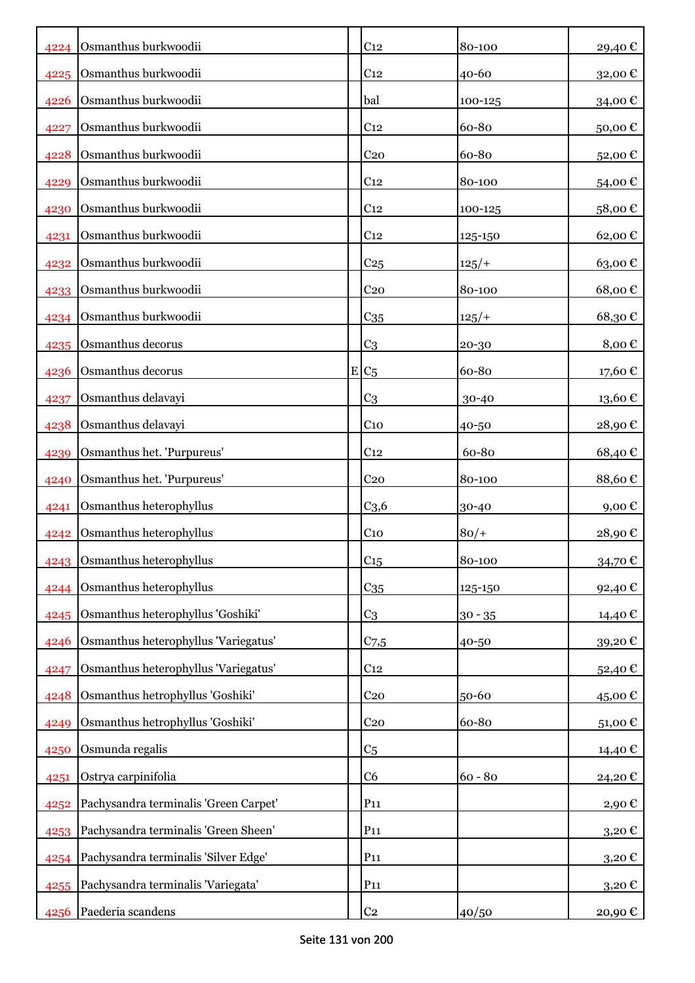| 4224 | Osmanthus burkwoodii                  | C <sub>12</sub>  | 80-100    | 29,40€              |
|------|---------------------------------------|------------------|-----------|---------------------|
| 4225 | Osmanthus burkwoodii                  | C <sub>12</sub>  | 40-60     | 32,00€              |
| 4226 | Osmanthus burkwoodii                  | bal              | 100-125   | 34,00€              |
| 4227 | Osmanthus burkwoodii                  | C <sub>12</sub>  | 60-80     | 50,00€              |
| 4228 | Osmanthus burkwoodii                  | C <sub>20</sub>  | 60-80     | 52,00€              |
| 4229 | Osmanthus burkwoodii                  | C <sub>12</sub>  | 80-100    | 54,00€              |
| 4230 | Osmanthus burkwoodii                  | C <sub>12</sub>  | 100-125   | 58,00€              |
| 4231 | Osmanthus burkwoodii                  | C <sub>12</sub>  | 125-150   | 62,00€              |
| 4232 | Osmanthus burkwoodii                  | C <sub>25</sub>  | $125/+$   | 63,00€              |
| 4233 | Osmanthus burkwoodii                  | C <sub>20</sub>  | 80-100    | 68,00€              |
| 4234 | Osmanthus burkwoodii                  | C <sub>35</sub>  | 125/      | 68,30€              |
| 4235 | Osmanthus decorus                     | C <sub>3</sub>   | $20 - 30$ | 8,00€               |
| 4236 | Osmanthus decorus                     | $E C_5$          | 60-80     | 17,60 €             |
| 4237 | Osmanthus delavayi                    | C <sub>3</sub>   | 30-40     | 13,60€              |
| 4238 | Osmanthus delavayi                    | C <sub>10</sub>  | 40-50     | 28,90€              |
| 4239 | Osmanthus het. 'Purpureus'            | C <sub>12</sub>  | 60-80     | 68,40€              |
| 4240 | Osmanthus het. 'Purpureus'            | C <sub>20</sub>  | 80-100    | 88,60€              |
| 4241 | Osmanthus heterophyllus               | C <sub>3,6</sub> | 30-40     | $9,00 \text{ } \in$ |
| 4242 | Osmanthus heterophyllus               | C <sub>10</sub>  | $80/+$    | 28,90€              |
| 4243 | Osmanthus heterophyllus               | C <sub>15</sub>  | 80-100    | 34,70€              |
| 4244 | Osmanthus heterophyllus               | $C_{35}$         | 125-150   | 92,40€              |
| 4245 | Osmanthus heterophyllus 'Goshiki'     | C <sub>3</sub>   | $30 - 35$ | 14,40 €             |
| 4246 | Osmanthus heterophyllus 'Variegatus'  | $C$ 7,5          | 40-50     | 39,20€              |
| 4247 | Osmanthus heterophyllus 'Variegatus'  | C <sub>12</sub>  |           | 52,40€              |
| 4248 | Osmanthus hetrophyllus 'Goshiki'      | C <sub>20</sub>  | 50-60     | 45,00€              |
| 4249 | Osmanthus hetrophyllus 'Goshiki'      | C <sub>20</sub>  | 60-80     | 51,00€              |
| 4250 | Osmunda regalis                       | C <sub>5</sub>   |           | 14,40€              |
| 4251 | Ostrya carpinifolia                   | C <sub>6</sub>   | $60 - 80$ | 24,20€              |
| 4252 | Pachysandra terminalis 'Green Carpet' | $P_{11}$         |           | 2,90€               |
| 4253 | Pachysandra terminalis 'Green Sheen'  | P <sub>11</sub>  |           | 3,20€               |
| 4254 | Pachysandra terminalis 'Silver Edge'  | P <sub>11</sub>  |           | $3,20 \text{ } \in$ |
| 4255 | Pachysandra terminalis 'Variegata'    | P <sub>11</sub>  |           | $3,20 \in$          |
| 4256 | Paederia scandens                     | C <sub>2</sub>   | 40/50     | 20,90€              |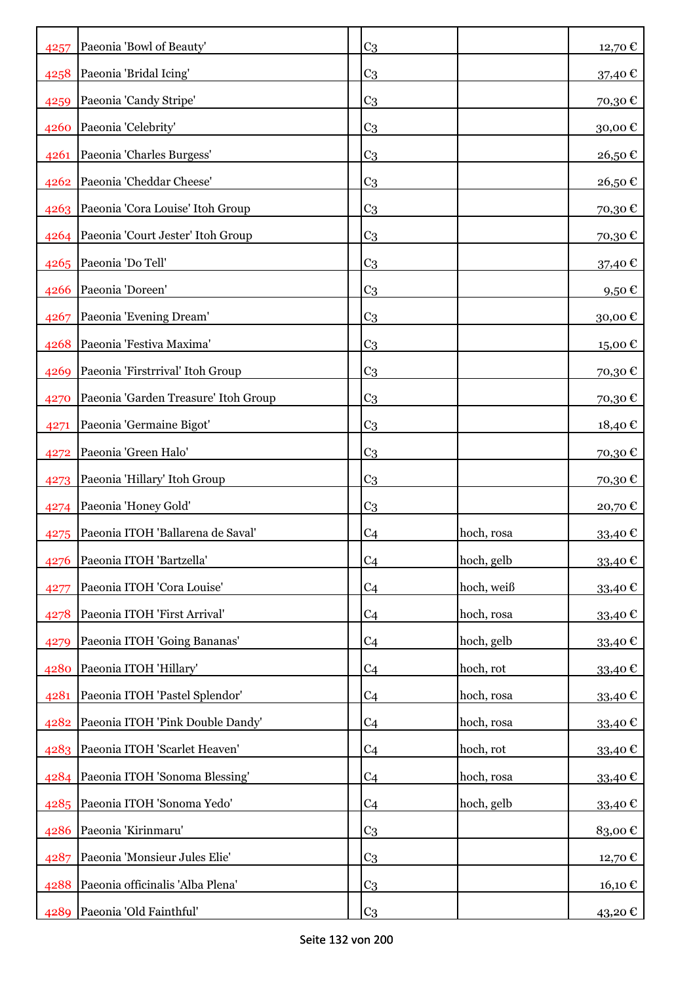| 4257 | Paeonia 'Bowl of Beauty'               | C <sub>3</sub> |            | 12,70€            |
|------|----------------------------------------|----------------|------------|-------------------|
| 4258 | Paeonia 'Bridal Icing'                 | C <sub>3</sub> |            | 37,40 €           |
| 4259 | Paeonia 'Candy Stripe'                 | C <sub>3</sub> |            | 70,30€            |
| 4260 | Paeonia 'Celebrity'                    | C <sub>3</sub> |            | 30,00€            |
| 4261 | Paeonia 'Charles Burgess'              | C <sub>3</sub> |            | 26,50€            |
| 4262 | Paeonia 'Cheddar Cheese'               | C <sub>3</sub> |            | 26,50€            |
|      | 4263 Paeonia 'Cora Louise' Itoh Group  | C <sub>3</sub> |            | 70,30€            |
|      | 4264 Paeonia 'Court Jester' Itoh Group | C <sub>3</sub> |            | 70,30€            |
|      | 4265 Paeonia 'Do Tell'                 | C <sub>3</sub> |            | 37,40 €           |
| 4266 | Paeonia 'Doreen'                       | C <sub>3</sub> |            | 9,50 $\epsilon$   |
| 4267 | Paeonia 'Evening Dream'                | C <sub>3</sub> |            | 30,00€            |
| 4268 | Paeonia 'Festiva Maxima'               | C <sub>3</sub> |            | 15,00€            |
| 4269 | Paeonia 'Firstrrival' Itoh Group       | C <sub>3</sub> |            | 70,30€            |
| 4270 | Paeonia 'Garden Treasure' Itoh Group   | C <sub>3</sub> |            | 70,30€            |
| 4271 | Paeonia 'Germaine Bigot'               | C <sub>3</sub> |            | 18,40 €           |
| 4272 | Paeonia 'Green Halo'                   | C <sub>3</sub> |            | 70,30€            |
| 4273 | Paeonia 'Hillary' Itoh Group           | C <sub>3</sub> |            | 70,30€            |
|      | 4274 Paeonia 'Honey Gold'              | C <sub>3</sub> |            | 20,70€            |
| 4275 | Paeonia ITOH 'Ballarena de Saval'      | C <sub>4</sub> | hoch, rosa | 33,40€            |
| 4276 | Paeonia ITOH 'Bartzella'               | C <sub>4</sub> | hoch, gelb | 33,40€            |
| 4277 | Paeonia ITOH 'Cora Louise'             | C <sub>4</sub> | hoch, weiß | 33,40 €           |
| 4278 | Paeonia ITOH 'First Arrival'           | C <sub>4</sub> | hoch, rosa | 33,40€            |
| 4279 | Paeonia ITOH 'Going Bananas'           | C <sub>4</sub> | hoch, gelb | 33,40€            |
| 4280 | Paeonia ITOH 'Hillary'                 | C <sub>4</sub> | hoch, rot  | 33,40€            |
| 4281 | Paeonia ITOH 'Pastel Splendor'         | C <sub>4</sub> | hoch, rosa | 33,40€            |
| 4282 | Paeonia ITOH 'Pink Double Dandy'       | C <sub>4</sub> | hoch, rosa | 33,40€            |
|      | 4283 Paeonia ITOH 'Scarlet Heaven'     | C <sub>4</sub> | hoch, rot  | 33,40€            |
|      | 4284 Paeonia ITOH 'Sonoma Blessing'    | C <sub>4</sub> | hoch, rosa | 33,40€            |
|      | 4285 Paeonia ITOH 'Sonoma Yedo'        | C <sub>4</sub> | hoch, gelb | 33,40€            |
|      | 4286 Paeonia 'Kirinmaru'               | C <sub>3</sub> |            | 83,00€            |
| 4287 | Paeonia 'Monsieur Jules Elie'          | C <sub>3</sub> |            | 12,70 €           |
| 4288 | Paeonia officinalis 'Alba Plena'       | C <sub>3</sub> |            | $16,10 \text{ }€$ |
| 4289 | Paeonia 'Old Fainthful'                | C <sub>3</sub> |            | 43,20€            |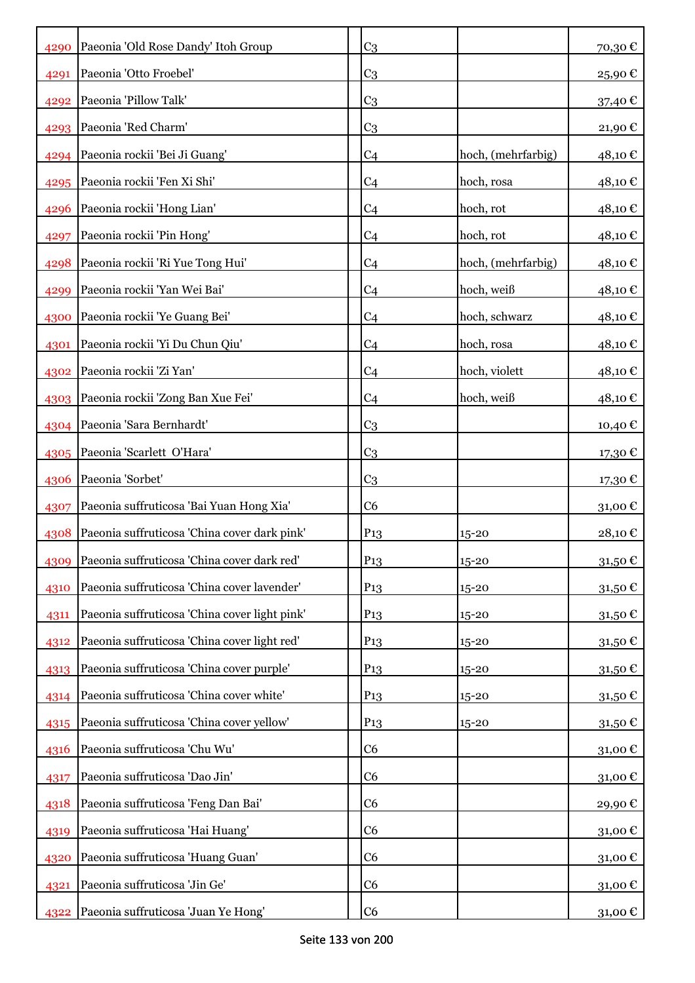| 4290 | Paeonia 'Old Rose Dandy' Itoh Group           | C <sub>3</sub>  |                    | 70,30€        |
|------|-----------------------------------------------|-----------------|--------------------|---------------|
| 4291 | Paeonia 'Otto Froebel'                        | C <sub>3</sub>  |                    | 25,90€        |
| 4292 | Paeonia 'Pillow Talk'                         | C <sub>3</sub>  |                    | 37,40 €       |
| 4293 | Paeonia 'Red Charm'                           | C <sub>3</sub>  |                    | 21,90€        |
| 4294 | Paeonia rockii 'Bei Ji Guang'                 | C <sub>4</sub>  | hoch, (mehrfarbig) | 48,10€        |
| 4295 | Paeonia rockii 'Fen Xi Shi'                   | C <sub>4</sub>  | hoch, rosa         | 48,10€        |
| 4296 | Paeonia rockii 'Hong Lian'                    | C <sub>4</sub>  | hoch, rot          | 48,10€        |
| 4297 | Paeonia rockii 'Pin Hong'                     | C <sub>4</sub>  | hoch, rot          | 48,10€        |
| 4298 | Paeonia rockii 'Ri Yue Tong Hui'              | C <sub>4</sub>  | hoch, (mehrfarbig) | 48,10€        |
| 4299 | Paeonia rockii 'Yan Wei Bai'                  | C <sub>4</sub>  | hoch, weiß         | 48,10 €       |
| 4300 | Paeonia rockii 'Ye Guang Bei'                 | C <sub>4</sub>  | hoch, schwarz      | 48,10 €       |
| 4301 | Paeonia rockii 'Yi Du Chun Qiu'               | C <sub>4</sub>  | hoch, rosa         | 48,10 €       |
| 4302 | Paeonia rockii 'Zi Yan'                       | C <sub>4</sub>  | hoch, violett      | 48,10€        |
| 4303 | Paeonia rockii 'Zong Ban Xue Fei'             | C <sub>4</sub>  | hoch, weiß         | 48,10 €       |
| 4304 | Paeonia 'Sara Bernhardt'                      | C <sub>3</sub>  |                    | 10,40 €       |
| 4305 | Paeonia 'Scarlett O'Hara'                     | C <sub>3</sub>  |                    | 17,30€        |
| 4306 | Paeonia 'Sorbet'                              | C <sub>3</sub>  |                    | 17,30€        |
| 4307 | Paeonia suffruticosa 'Bai Yuan Hong Xia'      | C6              |                    | 31,00€        |
| 4308 | Paeonia suffruticosa 'China cover dark pink'  | P <sub>13</sub> | $15 - 20$          | 28,10€        |
| 4309 | Paeonia suffruticosa 'China cover dark red'   | P <sub>13</sub> | 15-20              | $31{,}50 \in$ |
| 4310 | Paeonia suffruticosa 'China cover lavender'   | P <sub>13</sub> | 15-20              | 31,50€        |
| 4311 | Paeonia suffruticosa 'China cover light pink' | P <sub>13</sub> | 15-20              | 31,50€        |
| 4312 | Paeonia suffruticosa 'China cover light red'  | P <sub>13</sub> | $15 - 20$          | 31,50€        |
| 4313 | Paeonia suffruticosa 'China cover purple'     | P <sub>13</sub> | $15 - 20$          | 31,50€        |
| 4314 | Paeonia suffruticosa 'China cover white'      | P <sub>13</sub> | $15 - 20$          | 31,50€        |
| 4315 | Paeonia suffruticosa 'China cover yellow'     | P <sub>13</sub> | $15 - 20$          | 31,50€        |
| 4316 | Paeonia suffruticosa 'Chu Wu'                 | C <sub>6</sub>  |                    | 31,00€        |
| 4317 | Paeonia suffruticosa 'Dao Jin'                | C <sub>6</sub>  |                    | 31,00€        |
| 4318 | Paeonia suffruticosa 'Feng Dan Bai'           | C <sub>6</sub>  |                    | 29,90€        |
| 4319 | Paeonia suffruticosa 'Hai Huang'              | C <sub>6</sub>  |                    | 31,00€        |
| 4320 | Paeonia suffruticosa 'Huang Guan'             | C <sub>6</sub>  |                    | 31,00€        |
| 4321 | Paeonia suffruticosa 'Jin Ge'                 | C <sub>6</sub>  |                    | 31,00€        |
| 4322 | Paeonia suffruticosa 'Juan Ye Hong'           | C6              |                    | 31,00 €       |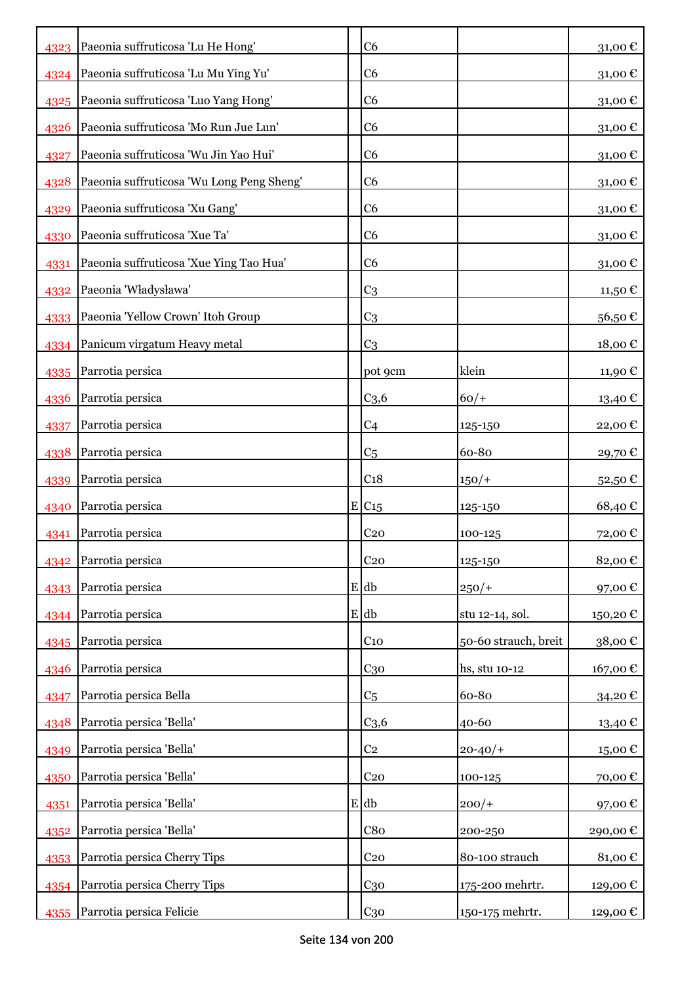| 4323 Paeonia suffruticosa 'Lu He Hong'<br>C <sub>6</sub>                   | 31,00€   |
|----------------------------------------------------------------------------|----------|
|                                                                            |          |
| Paeonia suffruticosa 'Lu Mu Ying Yu'<br>C6<br>4324                         | 31,00€   |
| Paeonia suffruticosa 'Luo Yang Hong'<br>C6<br>4325                         | 31,00€   |
| Paeonia suffruticosa 'Mo Run Jue Lun'<br>C6<br>4326                        | 31,00€   |
| Paeonia suffruticosa 'Wu Jin Yao Hui'<br>C <sub>6</sub><br>4327            | 31,00€   |
| Paeonia suffruticosa 'Wu Long Peng Sheng'<br>C <sub>6</sub><br>4328        | 31,00€   |
| Paeonia suffruticosa 'Xu Gang'<br>C6<br>4329                               | 31,00€   |
| Paeonia suffruticosa 'Xue Ta'<br>C6<br>4330                                | 31,00€   |
| Paeonia suffruticosa 'Xue Ying Tao Hua'<br>C6<br>4331                      | 31,00€   |
| Paeonia 'Władysława'<br>C <sub>3</sub><br>4332                             | 11,50 €  |
| Paeonia 'Yellow Crown' Itoh Group<br>C <sub>3</sub><br>4333                | 56,50€   |
| 4334 Panicum virgatum Heavy metal<br>C <sub>3</sub>                        | 18,00€   |
| Parrotia persica<br>klein<br>pot 9cm<br>4335                               | 11,90€   |
| Parrotia persica<br>C <sub>3,6</sub><br>$60/+$<br>4336                     | 13,40 €  |
| Parrotia persica<br>C <sub>4</sub><br>4337<br>125-150                      | 22,00€   |
| Parrotia persica<br>60-80<br>C <sub>5</sub><br>4338                        | 29,70€   |
| Parrotia persica<br>C <sub>18</sub><br>$150/+$<br>4339                     | 52,50€   |
| Parrotia persica<br>E/C15<br>4340<br>125-150                               | 68,40€   |
| Parrotia persica<br>C <sub>20</sub><br>100-125<br>4341                     | 72,00€   |
| C <sub>20</sub><br>Parrotia persica<br>125-150<br>4342                     | 82,00€   |
| 4343 Parrotia persica<br>$E$ db<br>$250/+$                                 | 97,00€   |
| $E$ db<br>Parrotia persica<br>stu 12-14, sol.<br>4344                      | 150,20€  |
| Parrotia persica<br>50-60 strauch, breit<br>C <sub>10</sub><br>4345        | 38,00€   |
| Parrotia persica<br>$C_{30}$<br>hs, stu 10-12<br>4346                      | 167,00€  |
| Parrotia persica Bella<br>60-80<br>C <sub>5</sub><br>4347                  | 34,20€   |
| Parrotia persica 'Bella'<br>C <sub>3,6</sub><br>40-60<br>4348              | 13,40€   |
| C <sub>2</sub><br>Parrotia persica 'Bella'<br>$20 - 40/$<br>4349           | 15,00€   |
| Parrotia persica 'Bella'<br>C <sub>20</sub><br>100-125<br>4350             | 70,00€   |
| Parrotia persica 'Bella'<br>$E$ db<br>$200/+$<br>4351                      | 97,00€   |
| Parrotia persica 'Bella'<br>C8 <sub>0</sub><br>200-250<br>4352             | 290,00€  |
| Parrotia persica Cherry Tips<br>80-100 strauch<br>C <sub>20</sub><br>4353  | 81,00€   |
| Parrotia persica Cherry Tips<br>175-200 mehrtr.<br>C <sub>30</sub><br>4354 | 129,00€  |
| Parrotia persica Felicie<br>C <sub>30</sub><br>150-175 mehrtr.<br>4355     | 129,00 € |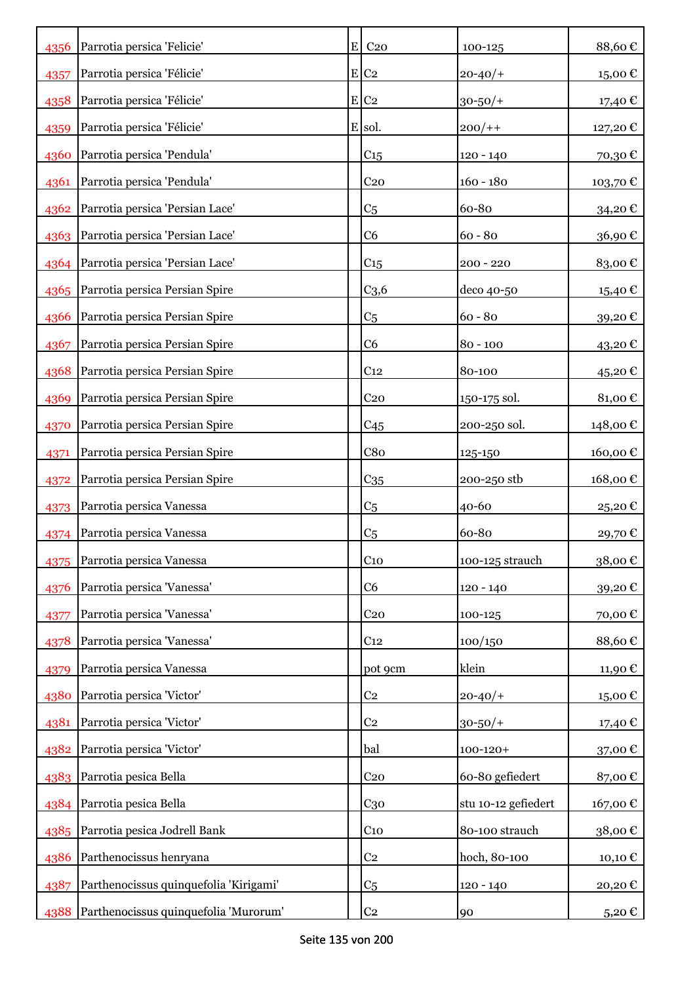| 4356 | Parrotia persica 'Felicie'             | $E$ C <sub>20</sub> | 100-125             | 88,60€     |
|------|----------------------------------------|---------------------|---------------------|------------|
| 4357 | Parrotia persica 'Félicie'             | $E$ C <sub>2</sub>  | $20 - 40/$          | 15,00€     |
| 4358 | Parrotia persica 'Félicie'             | $E$ C <sub>2</sub>  | $30 - 50/$ +        | 17,40 €    |
| 4359 | Parrotia persica 'Félicie'             | E sol.              | $200/+$             | 127,20 €   |
| 4360 | Parrotia persica 'Pendula'             | C <sub>15</sub>     | 120 - 140           | 70,30€     |
| 4361 | Parrotia persica 'Pendula'             | C <sub>20</sub>     | $160 - 180$         | 103,70€    |
| 4362 | Parrotia persica 'Persian Lace'        | C <sub>5</sub>      | 60-80               | 34,20€     |
|      | 4363   Parrotia persica 'Persian Lace' | C6                  | $60 - 80$           | 36,90€     |
|      | 4364 Parrotia persica 'Persian Lace'   | C <sub>15</sub>     | $200 - 220$         | 83,00€     |
| 4365 | Parrotia persica Persian Spire         | C <sub>3,6</sub>    | deco 40-50          | 15,40 €    |
| 4366 | Parrotia persica Persian Spire         | C <sub>5</sub>      | $60 - 80$           | 39,20€     |
| 4367 | Parrotia persica Persian Spire         | C <sub>6</sub>      | $80 - 100$          | 43,20€     |
| 4368 | Parrotia persica Persian Spire         | C <sub>12</sub>     | 80-100              | 45,20€     |
| 4369 | Parrotia persica Persian Spire         | C <sub>20</sub>     | 150-175 sol.        | 81,00€     |
| 4370 | Parrotia persica Persian Spire         | C45                 | 200-250 sol.        | 148,00€    |
| 4371 | Parrotia persica Persian Spire         | C8 <sub>0</sub>     | 125-150             | 160,00€    |
| 4372 | Parrotia persica Persian Spire         | $C_{35}$            | 200-250 stb         | 168,00€    |
| 4373 | Parrotia persica Vanessa               | C <sub>5</sub>      | 40-60               | 25,20€     |
| 4374 | Parrotia persica Vanessa               | C <sub>5</sub>      | 60-80               | 29,70€     |
|      | 4375 Parrotia persica Vanessa          | C <sub>10</sub>     | 100-125 strauch     | 38,00€     |
| 4376 | Parrotia persica 'Vanessa'             | C <sub>6</sub>      | $120 - 140$         | 39,20€     |
| 4377 | Parrotia persica 'Vanessa'             | C <sub>20</sub>     | 100-125             | 70,00€     |
| 4378 | Parrotia persica 'Vanessa'             | C <sub>12</sub>     | 100/150             | 88,60€     |
| 4379 | Parrotia persica Vanessa               | pot 9cm             | klein               | 11,90€     |
| 4380 | Parrotia persica 'Victor'              | C <sub>2</sub>      | $20 - 40/$          | 15,00€     |
| 4381 | Parrotia persica 'Victor'              | C <sub>2</sub>      | $30 - 50/$ +        | 17,40€     |
| 4382 | Parrotia persica 'Victor'              | bal                 | $100 - 120 +$       | 37,00€     |
| 4383 | Parrotia pesica Bella                  | C <sub>20</sub>     | 60-80 gefiedert     | 87,00€     |
|      | 4384 Parrotia pesica Bella             | C <sub>30</sub>     | stu 10-12 gefiedert | 167,00€    |
|      | 4385 Parrotia pesica Jodrell Bank      | C <sub>10</sub>     | 80-100 strauch      | 38,00€     |
| 4386 | Parthenocissus henryana                | C <sub>2</sub>      | hoch, 80-100        | 10,10€     |
| 4387 | Parthenocissus quinquefolia 'Kirigami' | C <sub>5</sub>      | 120 - 140           | 20,20€     |
| 4388 | Parthenocissus quinquefolia 'Murorum'  | C <sub>2</sub>      | 90                  | $5,20 \in$ |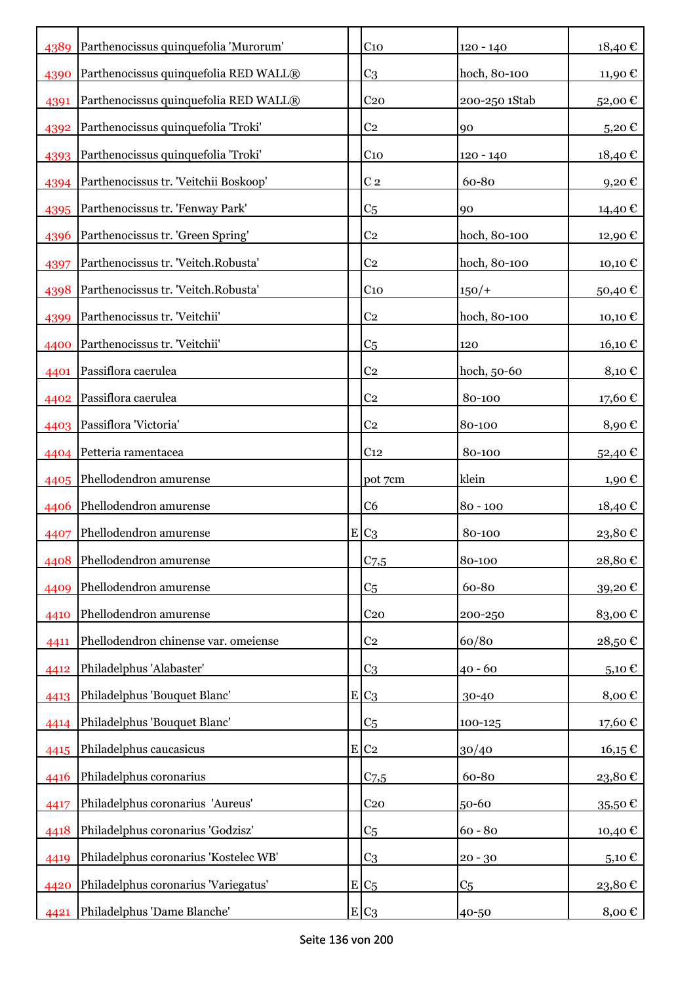| 4389 | Parthenocissus quinquefolia 'Murorum' |   | C <sub>10</sub>  | $120 - 140$    | 18,40€              |
|------|---------------------------------------|---|------------------|----------------|---------------------|
| 4390 | Parthenocissus quinquefolia RED WALL® |   | C <sub>3</sub>   | hoch, 80-100   | 11,90 €             |
| 4391 | Parthenocissus quinquefolia RED WALL® |   | C <sub>20</sub>  | 200-250 1Stab  | 52,00€              |
| 4392 | Parthenocissus quinquefolia 'Troki'   |   | C <sub>2</sub>   | 90             | $5,20 \text{ } \in$ |
| 4393 | Parthenocissus quinquefolia 'Troki'   |   | C <sub>10</sub>  | 120 - 140      | 18,40€              |
| 4394 | Parthenocissus tr. 'Veitchii Boskoop' |   | C <sub>2</sub>   | 60-80          | 9,20€               |
| 4395 | Parthenocissus tr. 'Fenway Park'      |   | C <sub>5</sub>   | 90             | 14,40 €             |
| 4396 | Parthenocissus tr. 'Green Spring'     |   | C <sub>2</sub>   | hoch, 80-100   | 12,90€              |
| 4397 | Parthenocissus tr. 'Veitch.Robusta'   |   | C <sub>2</sub>   | hoch, 80-100   | 10,10€              |
| 4398 | Parthenocissus tr. 'Veitch.Robusta'   |   | C <sub>10</sub>  | $150/+$        | 50,40€              |
| 4399 | Parthenocissus tr. 'Veitchii'         |   | C <sub>2</sub>   | hoch, 80-100   | 10,10 €             |
| 4400 | Parthenocissus tr. 'Veitchii'         |   | C <sub>5</sub>   | 120            | 16,10 €             |
| 4401 | Passiflora caerulea                   |   | C <sub>2</sub>   | hoch, 50-60    | 8,10€               |
| 4402 | Passiflora caerulea                   |   | C <sub>2</sub>   | 80-100         | 17,60€              |
|      | 4403 Passiflora 'Victoria'            |   | C <sub>2</sub>   | 80-100         | 8,90€               |
| 4404 | Petteria ramentacea                   |   | C <sub>12</sub>  | 80-100         | 52,40€              |
|      | 4405 Phellodendron amurense           |   | pot 7cm          | klein          | 1,90€               |
| 4406 | Phellodendron amurense                |   | C <sub>6</sub>   | $80 - 100$     | 18,40 €             |
| 4407 | Phellodendron amurense                |   | $E C_3$          | 80-100         | 23,80€              |
|      | 4408 Phellodendron amurense           |   | C <sub>7,5</sub> | 80-100         | 28,80€              |
| 4409 | Phellodendron amurense                |   | C <sub>5</sub>   | 60-80          | 39,20€              |
| 4410 | Phellodendron amurense                |   | C <sub>20</sub>  | 200-250        | 83,00€              |
| 4411 | Phellodendron chinense var. omeiense  |   | C <sub>2</sub>   | 60/80          | 28,50€              |
| 4412 | Philadelphus 'Alabaster'              |   | C <sub>3</sub>   | $40 - 60$      | $5{,}10 \in$        |
| 4413 | Philadelphus 'Bouquet Blanc'          |   | $E C_3$          | 30-40          | 8,00€               |
| 4414 | Philadelphus 'Bouquet Blanc'          |   | C <sub>5</sub>   | 100-125        | 17,60 $\mathbb C$   |
| 4415 | Philadelphus caucasicus               | E | C <sub>2</sub>   | 30/40          | $16, 15 \n∈$        |
| 4416 | Philadelphus coronarius               |   | C <sub>7,5</sub> | 60-80          | 23,80€              |
| 4417 | Philadelphus coronarius 'Aureus'      |   | C <sub>20</sub>  | 50-60          | 35,50 $\epsilon$    |
| 4418 | Philadelphus coronarius 'Godzisz'     |   | C <sub>5</sub>   | $60 - 80$      | 10,40€              |
| 4419 | Philadelphus coronarius 'Kostelec WB' |   | C <sub>3</sub>   | $20 - 30$      | 5,10 $\in$          |
| 4420 | Philadelphus coronarius 'Variegatus'  |   | $E/C_5$          | C <sub>5</sub> | 23,80€              |
| 4421 | Philadelphus 'Dame Blanche'           |   | $E C_3$          | 40-50          | 8,00 €              |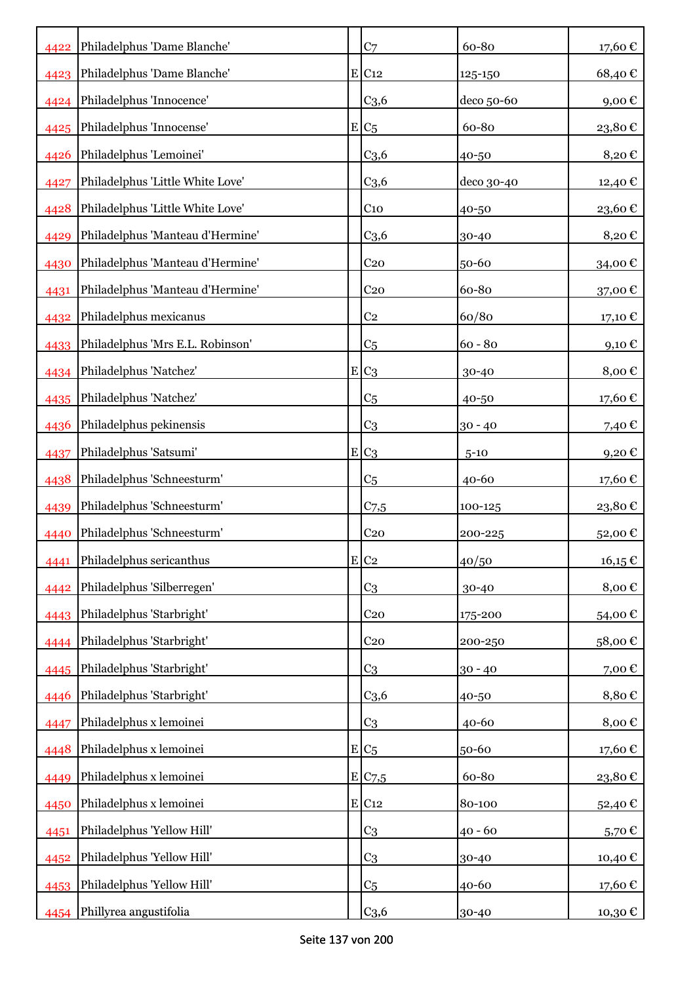| 4422 | Philadelphus 'Dame Blanche'      | C <sub>7</sub>      | 60-80      | 17,60€      |
|------|----------------------------------|---------------------|------------|-------------|
| 4423 | Philadelphus 'Dame Blanche'      | $E$ C <sub>12</sub> | 125-150    | 68,40€      |
| 4424 | Philadelphus 'Innocence'         | C <sub>3,6</sub>    | deco 50-60 | 9,00€       |
| 4425 | Philadelphus 'Innocense'         | $E/C_5$             | 60-80      | 23,80€      |
| 4426 | Philadelphus 'Lemoinei'          | C <sub>3,6</sub>    | 40-50      | 8,20€       |
| 4427 | Philadelphus 'Little White Love' | C <sub>3,6</sub>    | deco 30-40 | 12,40€      |
| 4428 | Philadelphus 'Little White Love' | $C_{10}$            | 40-50      | 23,60€      |
| 4429 | Philadelphus 'Manteau d'Hermine' | C <sub>3,6</sub>    | 30-40      | 8,20€       |
| 4430 | Philadelphus 'Manteau d'Hermine' | C <sub>20</sub>     | 50-60      | 34,00€      |
| 4431 | Philadelphus 'Manteau d'Hermine' | C <sub>20</sub>     | 60-80      | 37,00€      |
| 4432 | Philadelphus mexicanus           | C <sub>2</sub>      | 60/80      | 17,10 €     |
| 4433 | Philadelphus 'Mrs E.L. Robinson' | C <sub>5</sub>      | $60 - 80$  | 9,10€       |
|      | 4434 Philadelphus 'Natchez'      | $E_{C3}$            | 30-40      | 8,00€       |
| 4435 | Philadelphus 'Natchez'           | C <sub>5</sub>      | 40-50      | 17,60€      |
| 4436 | Philadelphus pekinensis          | C <sub>3</sub>      | $30 - 40$  | 7,40 €      |
| 4437 | Philadelphus 'Satsumi'           | $E C_3$             | $5 - 10$   | 9,20€       |
| 4438 | Philadelphus 'Schneesturm'       | C <sub>5</sub>      | $40 - 60$  | 17,60€      |
| 4439 | Philadelphus 'Schneesturm'       | $C$ 7,5             | 100-125    | 23,80€      |
| 4440 | Philadelphus 'Schneesturm'       | C <sub>20</sub>     | 200-225    | 52,00€      |
| 4441 | Philadelphus sericanthus         | $E$ C <sub>2</sub>  | 40/50      | $16,15 \in$ |
| 4442 | Philadelphus 'Silberregen'       | C <sub>3</sub>      | 30-40      | 8,00€       |
| 4443 | Philadelphus 'Starbright'        | C <sub>20</sub>     | 175-200    | 54,00€      |
| 4444 | Philadelphus 'Starbright'        | C <sub>20</sub>     | 200-250    | 58,00€      |
| 4445 | Philadelphus 'Starbright'        | C <sub>3</sub>      | $30 - 40$  | 7,00€       |
| 4446 | Philadelphus 'Starbright'        | C <sub>3,6</sub>    | 40-50      | 8,80€       |
| 4447 | Philadelphus x lemoinei          | C <sub>3</sub>      | 40-60      | 8,00€       |
| 4448 | Philadelphus x lemoinei          | $E/C_5$             | 50-60      | 17,60€      |
| 4449 | Philadelphus x lemoinei          | E C7,5              | 60-80      | 23,80€      |
| 4450 | Philadelphus x lemoinei          | $E$ C <sub>12</sub> | 80-100     | 52,40€      |
| 4451 | Philadelphus 'Yellow Hill'       | C <sub>3</sub>      | $40 - 60$  | 5,70€       |
| 4452 | Philadelphus 'Yellow Hill'       | C <sub>3</sub>      | 30-40      | 10,40 €     |
| 4453 | Philadelphus 'Yellow Hill'       | C <sub>5</sub>      | 40-60      | 17,60 €     |
| 4454 | Phillyrea angustifolia           | C <sub>3,6</sub>    | 30-40      | 10,30 €     |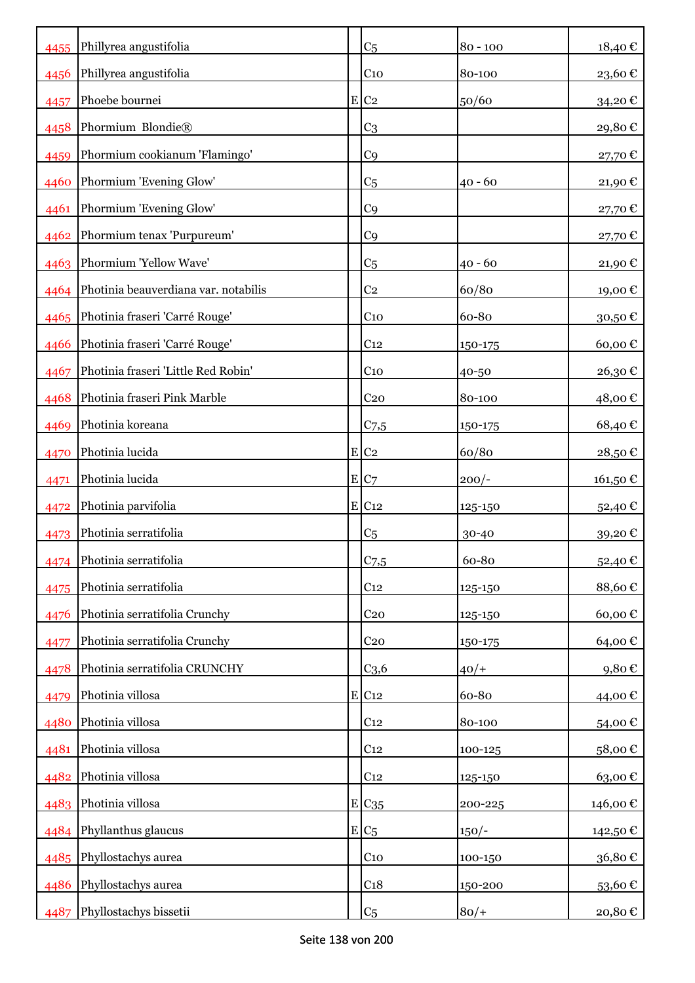| 4455 | Phillyrea angustifolia                    | C <sub>5</sub>      | $80 - 100$ | 18,40€                 |
|------|-------------------------------------------|---------------------|------------|------------------------|
| 4456 | Phillyrea angustifolia                    | C <sub>10</sub>     | 80-100     | $23{,}60$ $\mathbb C$  |
| 4457 | Phoebe bournei                            | $E$ C <sub>2</sub>  | 50/60      | 34,20€                 |
| 4458 | Phormium Blondie®                         | C <sub>3</sub>      |            | 29,80€                 |
| 4459 | Phormium cookianum 'Flamingo'             | C <sub>9</sub>      |            | 27,70€                 |
| 4460 | Phormium 'Evening Glow'                   | C <sub>5</sub>      | $40 - 60$  | $21,\!90$ $\mathbb{C}$ |
| 4461 | Phormium 'Evening Glow'                   | C <sub>9</sub>      |            | 27,70€                 |
|      | 4462 Phormium tenax 'Purpureum'           | C <sub>9</sub>      |            | 27,70€                 |
|      | 4463 Phormium 'Yellow Wave'               | C <sub>5</sub>      | $40 - 60$  | 21,90€                 |
|      | 4464 Photinia beauverdiana var. notabilis | C <sub>2</sub>      | 60/80      | 19,00€                 |
|      | 4465   Photinia fraseri 'Carré Rouge'     | C <sub>10</sub>     | 60-80      | 30,50€                 |
| 4466 | Photinia fraseri 'Carré Rouge'            | C <sub>12</sub>     | 150-175    | 60,00€                 |
| 4467 | Photinia fraseri 'Little Red Robin'       | C <sub>10</sub>     | 40-50      | 26,30€                 |
| 4468 | Photinia fraseri Pink Marble              | C <sub>20</sub>     | 80-100     | 48,00€                 |
| 4469 | Photinia koreana                          | $C_{7,5}$           | 150-175    | 68,40€                 |
| 4470 | Photinia lucida                           | E C2                | 60/80      | 28,50€                 |
| 4471 | Photinia lucida                           | E C7                | $200/-$    | 161,50€                |
| 4472 | Photinia parvifolia                       | $E$ C <sub>12</sub> | 125-150    | 52,40 €                |
| 4473 | Photinia serratifolia                     | C <sub>5</sub>      | 30-40      | 39,20€                 |
|      | 4474 Photinia serratifolia                | C <sub>7,5</sub>    | 60-80      | 52,40€                 |
| 4475 | Photinia serratifolia                     | C <sub>12</sub>     | 125-150    | 88,60€                 |
| 4476 | Photinia serratifolia Crunchy             | C <sub>20</sub>     | 125-150    | 60,00€                 |
| 4477 | Photinia serratifolia Crunchy             | C <sub>20</sub>     | 150-175    | 64,00€                 |
| 4478 | Photinia serratifolia CRUNCHY             | C <sub>3,6</sub>    | $40/+$     | 9,80€                  |
| 4479 | Photinia villosa                          | $E$ C <sub>12</sub> | 60-80      | 44,00€                 |
| 4480 | Photinia villosa                          | C <sub>12</sub>     | 80-100     | 54,00€                 |
| 4481 | Photinia villosa                          | C <sub>12</sub>     | 100-125    | 58,00€                 |
| 4482 | Photinia villosa                          | C <sub>12</sub>     | 125-150    | 63,00€                 |
|      | 4483 Photinia villosa                     | $E$ $C_{35}$        | 200-225    | 146,00 €               |
|      | 4484 Phyllanthus glaucus                  | $E C_5$             | $150/-$    | 142,50 €               |
|      | 4485 Phyllostachys aurea                  | C <sub>10</sub>     | 100-150    | 36,80€                 |
| 4486 | Phyllostachys aurea                       | C <sub>18</sub>     | 150-200    | 53,60€                 |
| 4487 | Phyllostachys bissetii                    | C <sub>5</sub>      | $80/+$     | 20,80€                 |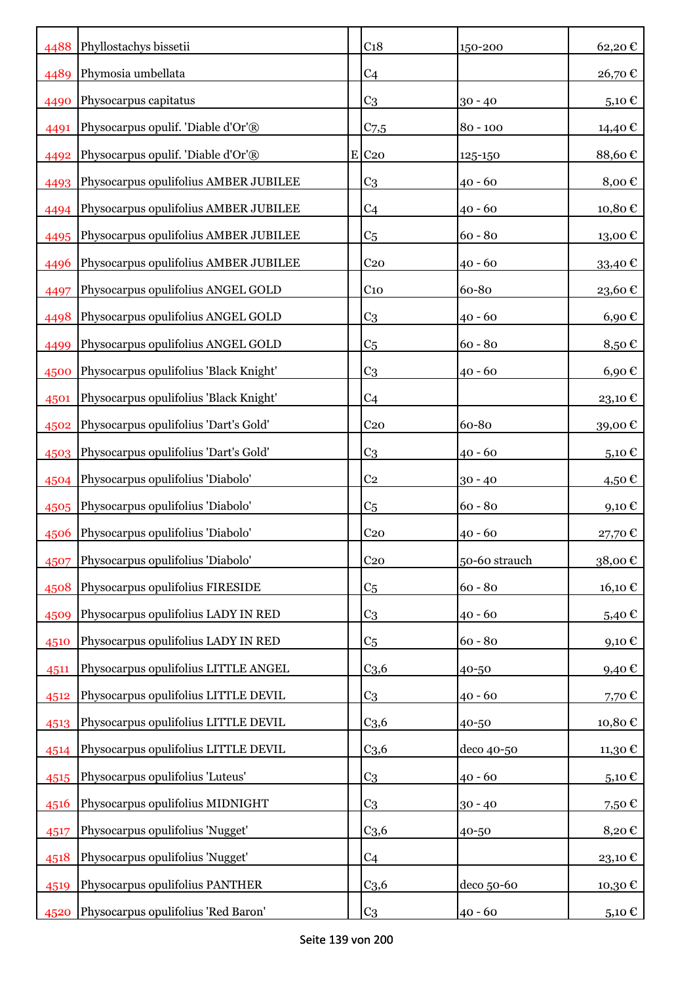|      | 4488 Phyllostachys bissetii            | C <sub>18</sub>     | 150-200       | 62,20€              |
|------|----------------------------------------|---------------------|---------------|---------------------|
| 4489 | Phymosia umbellata                     | C <sub>4</sub>      |               | 26,70€              |
| 4490 | Physocarpus capitatus                  | C <sub>3</sub>      | $30 - 40$     | 5,10€               |
| 4491 | Physocarpus opulif. 'Diable d'Or'®     | C <sub>7,5</sub>    | $80 - 100$    | 14,40 €             |
| 4492 | Physocarpus opulif. 'Diable d'Or'®     | $E$ C <sub>20</sub> | 125-150       | 88,60€              |
| 4493 | Physocarpus opulifolius AMBER JUBILEE  | C <sub>3</sub>      | $40 - 60$     | 8,00 $\epsilon$     |
| 4494 | Physocarpus opulifolius AMBER JUBILEE  | C <sub>4</sub>      | $40 - 60$     | 10,80€              |
| 4495 | Physocarpus opulifolius AMBER JUBILEE  | C <sub>5</sub>      | $60 - 80$     | 13,00€              |
| 4496 | Physocarpus opulifolius AMBER JUBILEE  | C <sub>20</sub>     | $40 - 60$     | 33,40€              |
| 4497 | Physocarpus opulifolius ANGEL GOLD     | C <sub>10</sub>     | 60-80         | 23,60€              |
| 4498 | Physocarpus opulifolius ANGEL GOLD     | C <sub>3</sub>      | $40 - 60$     | $6,90 \text{ } \in$ |
| 4499 | Physocarpus opulifolius ANGEL GOLD     | C <sub>5</sub>      | $60 - 80$     | 8,50€               |
| 4500 | Physocarpus opulifolius 'Black Knight' | C <sub>3</sub>      | $40 - 60$     | 6,90€               |
| 4501 | Physocarpus opulifolius 'Black Knight' | C <sub>4</sub>      |               | 23,10€              |
| 4502 | Physocarpus opulifolius 'Dart's Gold'  | C <sub>20</sub>     | 60-80         | 39,00€              |
| 4503 | Physocarpus opulifolius 'Dart's Gold'  | C <sub>3</sub>      | $40 - 60$     | 5,10€               |
| 4504 | Physocarpus opulifolius 'Diabolo'      | C <sub>2</sub>      | $30 - 40$     | 4,50€               |
| 4505 | Physocarpus opulifolius 'Diabolo'      | C <sub>5</sub>      | $60 - 80$     | $9,10 \in$          |
| 4506 | Physocarpus opulifolius 'Diabolo'      | C <sub>20</sub>     | $40 - 60$     | 27,70€              |
| 4507 | Physocarpus opulifolius 'Diabolo'      | C <sub>20</sub>     | 50-60 strauch | 38,00€              |
| 4508 | Physocarpus opulifolius FIRESIDE       | C <sub>5</sub>      | $60 - 80$     | $16,10 \text{ }€$   |
| 4509 | Physocarpus opulifolius LADY IN RED    | C <sub>3</sub>      | $40 - 60$     | 5,40 $\epsilon$     |
| 4510 | Physocarpus opulifolius LADY IN RED    | C <sub>5</sub>      | $60 - 80$     | 9,10€               |
| 4511 | Physocarpus opulifolius LITTLE ANGEL   | C <sub>3,6</sub>    | 40-50         | 9,40€               |
| 4512 | Physocarpus opulifolius LITTLE DEVIL   | C <sub>3</sub>      | $40 - 60$     | 7,70€               |
| 4513 | Physocarpus opulifolius LITTLE DEVIL   | C <sub>3,6</sub>    | 40-50         | 10,80€              |
| 4514 | Physocarpus opulifolius LITTLE DEVIL   | C <sub>3,6</sub>    | deco 40-50    | 11,30 €             |
| 4515 | Physocarpus opulifolius 'Luteus'       | C <sub>3</sub>      | $40 - 60$     | 5,10 $\epsilon$     |
| 4516 | Physocarpus opulifolius MIDNIGHT       | C <sub>3</sub>      | $30 - 40$     | 7,50€               |
| 4517 | Physocarpus opulifolius 'Nugget'       | C <sub>3,6</sub>    | 40-50         | 8,20€               |
| 4518 | Physocarpus opulifolius 'Nugget'       | C <sub>4</sub>      |               | 23,10€              |
| 4519 | Physocarpus opulifolius PANTHER        | C <sub>3,6</sub>    | deco 50-60    | 10,30€              |
| 4520 | Physocarpus opulifolius 'Red Baron'    | C <sub>3</sub>      | $40 - 60$     | 5,10 $\in$          |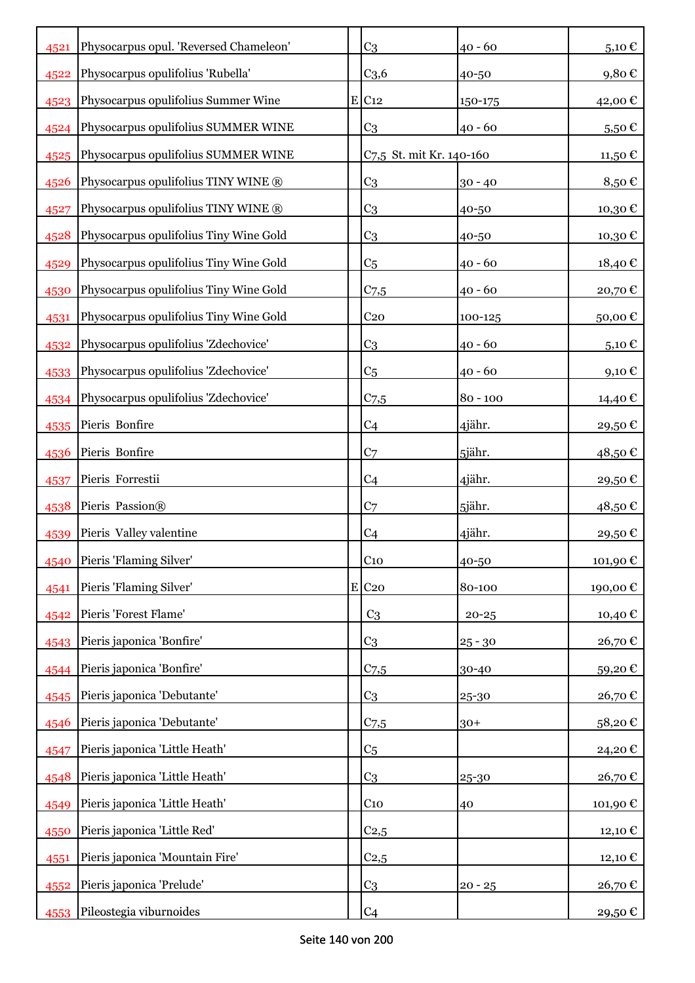| 4521 | Physocarpus opul. 'Reversed Chameleon' | C <sub>3</sub>           | $40 - 60$   | 5,10€              |
|------|----------------------------------------|--------------------------|-------------|--------------------|
| 4522 | Physocarpus opulifolius 'Rubella'      | C <sub>3,6</sub>         | 40-50       | 9,80€              |
| 4523 | Physocarpus opulifolius Summer Wine    | $E$ C <sub>12</sub>      | $150 - 175$ | 42,00 €            |
| 4524 | Physocarpus opulifolius SUMMER WINE    | C <sub>3</sub>           | $40 - 60$   | $5,50 \in$         |
| 4525 | Physocarpus opulifolius SUMMER WINE    | C7,5 St. mit Kr. 140-160 |             | 11,50 €            |
| 4526 | Physocarpus opulifolius TINY WINE ®    | C <sub>3</sub>           | $30 - 40$   | 8,50€              |
| 4527 | Physocarpus opulifolius TINY WINE ®    | C <sub>3</sub>           | 40-50       | 10,30€             |
| 4528 | Physocarpus opulifolius Tiny Wine Gold | C <sub>3</sub>           | 40-50       | 10,30€             |
| 4529 | Physocarpus opulifolius Tiny Wine Gold | C <sub>5</sub>           | $40 - 60$   | 18,40€             |
| 4530 | Physocarpus opulifolius Tiny Wine Gold | $C_{7,5}$                | $40 - 60$   | 20,70€             |
| 4531 | Physocarpus opulifolius Tiny Wine Gold | C <sub>20</sub>          | 100-125     | 50,00€             |
| 4532 | Physocarpus opulifolius 'Zdechovice'   | C <sub>3</sub>           | $40 - 60$   | 5,10 $\epsilon$    |
| 4533 | Physocarpus opulifolius 'Zdechovice'   | C <sub>5</sub>           | 40 - 60     | 9,10€              |
| 4534 | Physocarpus opulifolius 'Zdechovice'   | $C$ 7,5                  | $80 - 100$  | 14,40 €            |
| 4535 | Pieris Bonfire                         | C <sub>4</sub>           | 4jähr.      | 29,50€             |
| 4536 | Pieris Bonfire                         | C <sub>7</sub>           | 5jähr.      | 48,50€             |
| 4537 | Pieris Forrestii                       | C <sub>4</sub>           | 4jähr.      | 29,50€             |
| 4538 | Pieris Passion®                        | C <sub>7</sub>           | 5jähr.      | 48,50€             |
| 4539 | Pieris Valley valentine                | C <sub>4</sub>           | 4jähr.      | 29,50€             |
| 4540 | Pieris 'Flaming Silver'                | C <sub>10</sub>          | 40-50       | 101,90€            |
| 4541 | Pieris 'Flaming Silver'                | $E$ C <sub>20</sub>      | 80-100      | 190,00€            |
| 4542 | Pieris 'Forest Flame'                  | C <sub>3</sub>           | $20 - 25$   | 10,40 €            |
| 4543 | Pieris japonica 'Bonfire'              | C <sub>3</sub>           | $25 - 30$   | 26,70€             |
| 4544 | Pieris japonica 'Bonfire'              | $C_{7,5}$                | 30-40       | 59,20€             |
| 4545 | Pieris japonica 'Debutante'            | C <sub>3</sub>           | 25-30       | 26,70€             |
| 4546 | Pieris japonica 'Debutante'            | $C_{7,5}$                | $30+$       | 58,20€             |
| 4547 | Pieris japonica 'Little Heath'         | C <sub>5</sub>           |             | 24,20€             |
| 4548 | Pieris japonica 'Little Heath'         | C <sub>3</sub>           | 25-30       | 26,70€             |
| 4549 | Pieris japonica 'Little Heath'         | $C_{10}$                 | 40          | 101,90 $\mathbb C$ |
| 4550 | Pieris japonica 'Little Red'           | C <sub>2,5</sub>         |             | 12,10€             |
| 4551 | Pieris japonica 'Mountain Fire'        | C <sub>2,5</sub>         |             | 12,10 €            |
| 4552 | Pieris japonica 'Prelude'              | C <sub>3</sub>           | $20 - 25$   | 26,70€             |
| 4553 | Pileostegia viburnoides                | C <sub>4</sub>           |             | 29,50 €            |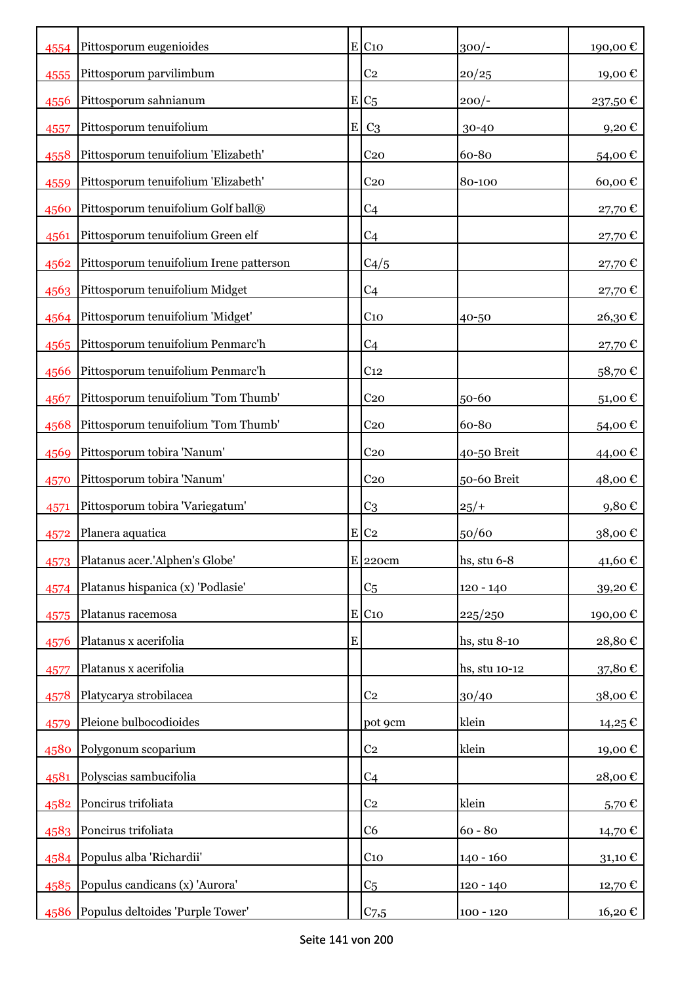| 4554 | Pittosporum eugenioides                 |           | E C10               | $300/-$       | 190,00€ |
|------|-----------------------------------------|-----------|---------------------|---------------|---------|
| 4555 | Pittosporum parvilimbum                 |           | C <sub>2</sub>      | 20/25         | 19,00€  |
| 4556 | Pittosporum sahnianum                   |           | $E/C_5$             | $200/-$       | 237,50€ |
| 4557 | Pittosporum tenuifolium                 | E         | C <sub>3</sub>      | 30-40         | 9,20€   |
| 4558 | Pittosporum tenuifolium 'Elizabeth'     |           | C <sub>20</sub>     | 60-80         | 54,00€  |
| 4559 | Pittosporum tenuifolium 'Elizabeth'     |           | C <sub>20</sub>     | 80-100        | 60,00€  |
| 4560 | Pittosporum tenuifolium Golf ball®      |           | C <sub>4</sub>      |               | 27,70€  |
| 4561 | Pittosporum tenuifolium Green elf       |           | C <sub>4</sub>      |               | 27,70€  |
| 4562 | Pittosporum tenuifolium Irene patterson |           | C4/5                |               | 27,70€  |
|      | 4563 Pittosporum tenuifolium Midget     |           | C <sub>4</sub>      |               | 27,70€  |
|      | 4564 Pittosporum tenuifolium 'Midget'   |           | C <sub>10</sub>     | 40-50         | 26,30€  |
| 4565 | Pittosporum tenuifolium Penmarc'h       |           | C <sub>4</sub>      |               | 27,70€  |
| 4566 | Pittosporum tenuifolium Penmarc'h       |           | C <sub>12</sub>     |               | 58,70€  |
| 4567 | Pittosporum tenuifolium 'Tom Thumb'     |           | C <sub>20</sub>     | 50-60         | 51,00€  |
| 4568 | Pittosporum tenuifolium 'Tom Thumb'     |           | C <sub>20</sub>     | 60-80         | 54,00€  |
| 4569 | Pittosporum tobira 'Nanum'              |           | C <sub>20</sub>     | 40-50 Breit   | 44,00€  |
| 4570 | Pittosporum tobira 'Nanum'              |           | C <sub>20</sub>     | 50-60 Breit   | 48,00 € |
| 4571 | Pittosporum tobira 'Variegatum'         |           | C <sub>3</sub>      | $25/+$        | 9,80€   |
| 4572 | Planera aquatica                        |           | $E$ C <sub>2</sub>  | 50/60         | 38,00€  |
| 4573 | Platanus acer.'Alphen's Globe'          |           | $E$ 220cm           | hs, stu 6-8   | 41,60€  |
| 4574 | Platanus hispanica (x) 'Podlasie'       |           | C <sub>5</sub>      | $120 - 140$   | 39,20€  |
| 4575 | Platanus racemosa                       |           | $E$ C <sub>10</sub> | 225/250       | 190,00€ |
| 4576 | Platanus x acerifolia                   | ${\bf E}$ |                     | hs, stu 8-10  | 28,80€  |
| 4577 | Platanus x acerifolia                   |           |                     | hs, stu 10-12 | 37,80€  |
| 4578 | Platycarya strobilacea                  |           | C <sub>2</sub>      | 30/40         | 38,00€  |
| 4579 | Pleione bulbocodioides                  |           | pot 9cm             | klein         | 14,25€  |
| 4580 | Polygonum scoparium                     |           | C <sub>2</sub>      | klein         | 19,00€  |
| 4581 | Polyscias sambucifolia                  |           | C <sub>4</sub>      |               | 28,00€  |
| 4582 | Poncirus trifoliata                     |           | C <sub>2</sub>      | klein         | 5,70€   |
|      | 4583 Poncirus trifoliata                |           | C6                  | $60 - 80$     | 14,70€  |
|      | 4584 Populus alba 'Richardii'           |           | C <sub>10</sub>     | $140 - 160$   | 31,10€  |
|      | 4585 Populus candicans (x) 'Aurora'     |           | C <sub>5</sub>      | $120 - 140$   | 12,70€  |
| 4586 | Populus deltoides 'Purple Tower'        |           | C <sub>7,5</sub>    | $100 - 120$   | 16,20€  |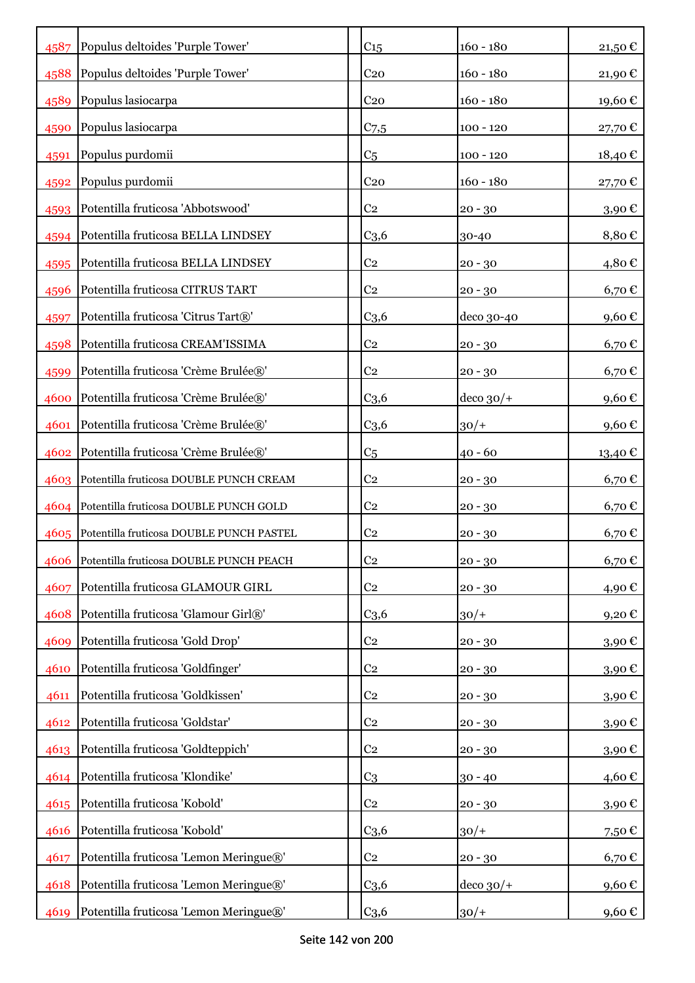| 4587 | Populus deltoides 'Purple Tower'         | C <sub>15</sub>  | $160 - 180$     | 21,50€     |
|------|------------------------------------------|------------------|-----------------|------------|
| 4588 | Populus deltoides 'Purple Tower'         | C <sub>20</sub>  | $160 - 180$     | 21,90€     |
| 4589 | Populus lasiocarpa                       | C <sub>20</sub>  | $160 - 180$     | 19,60€     |
| 4590 | Populus lasiocarpa                       | $C_{7,5}$        | $100 - 120$     | 27,70€     |
| 4591 | Populus purdomii                         | C <sub>5</sub>   | $100 - 120$     | 18,40€     |
| 4592 | Populus purdomii                         | C <sub>20</sub>  | $160 - 180$     | 27,70 €    |
| 4593 | Potentilla fruticosa 'Abbotswood'        | C <sub>2</sub>   | $20 - 30$       | $3,90$ €   |
| 4594 | Potentilla fruticosa BELLA LINDSEY       | C <sub>3,6</sub> | 30-40           | 8,80€      |
| 4595 | Potentilla fruticosa BELLA LINDSEY       | C <sub>2</sub>   | $20 - 30$       | 4,80€      |
| 4596 | Potentilla fruticosa CITRUS TART         | C <sub>2</sub>   | $20 - 30$       | $6,70 \in$ |
| 4597 | Potentilla fruticosa 'Citrus Tart®'      | C <sub>3,6</sub> | deco 30-40      | 9,60€      |
| 4598 | Potentilla fruticosa CREAM'ISSIMA        | C <sub>2</sub>   | $20 - 30$       | $6,70 \in$ |
| 4599 | Potentilla fruticosa 'Crème Brulée®'     | C <sub>2</sub>   | $20 - 30$       | 6,70€      |
| 4600 | Potentilla fruticosa 'Crème Brulée®'     | C <sub>3,6</sub> | $ $ deco $30/+$ | 9,60€      |
| 4601 | Potentilla fruticosa 'Crème Brulée®'     | C <sub>3,6</sub> | $30/+$          | 9,60€      |
| 4602 | Potentilla fruticosa 'Crème Brulée®'     | C <sub>5</sub>   | $40 - 60$       | 13,40 €    |
| 4603 | Potentilla fruticosa DOUBLE PUNCH CREAM  | C <sub>2</sub>   | $20 - 30$       | $6,70 \in$ |
| 4604 | Potentilla fruticosa DOUBLE PUNCH GOLD   | C <sub>2</sub>   | $20 - 30$       | $6,70 \in$ |
| 4605 | Potentilla fruticosa DOUBLE PUNCH PASTEL | C <sub>2</sub>   | $20 - 30$       | 6,70€      |
| 4606 | Potentilla fruticosa DOUBLE PUNCH PEACH  | C <sub>2</sub>   | $20 - 30$       | 6,70€      |
| 4607 | Potentilla fruticosa GLAMOUR GIRL        | C <sub>2</sub>   | $20 - 30$       | 4,90€      |
| 4608 | Potentilla fruticosa 'Glamour Girl®'     | C <sub>3,6</sub> | $30/+$          | 9,20€      |
| 4609 | Potentilla fruticosa 'Gold Drop'         | C <sub>2</sub>   | $20 - 30$       | 3,90€      |
| 4610 | Potentilla fruticosa 'Goldfinger'        | C <sub>2</sub>   | $20 - 30$       | 3,90€      |
| 4611 | Potentilla fruticosa 'Goldkissen'        | C <sub>2</sub>   | $20 - 30$       | 3,90€      |
| 4612 | Potentilla fruticosa 'Goldstar'          | C <sub>2</sub>   | $20 - 30$       | 3,90€      |
| 4613 | Potentilla fruticosa 'Goldteppich'       | C <sub>2</sub>   | $20 - 30$       | 3,90€      |
| 4614 | Potentilla fruticosa 'Klondike'          | C <sub>3</sub>   | $30 - 40$       | 4,60€      |
| 4615 | Potentilla fruticosa 'Kobold'            | C <sub>2</sub>   | $20 - 30$       | 3,90€      |
| 4616 | Potentilla fruticosa 'Kobold'            | C <sub>3,6</sub> | $30/+$          | 7,50€      |
| 4617 | Potentilla fruticosa 'Lemon Meringue®'   | C <sub>2</sub>   | $20 - 30$       | 6,70€      |
| 4618 | Potentilla fruticosa 'Lemon Meringue®'   | C <sub>3,6</sub> | deco $30/+$     | 9,60€      |
| 4619 | Potentilla fruticosa 'Lemon Meringue®'   | C <sub>3,6</sub> | $30/+$          | 9,60€      |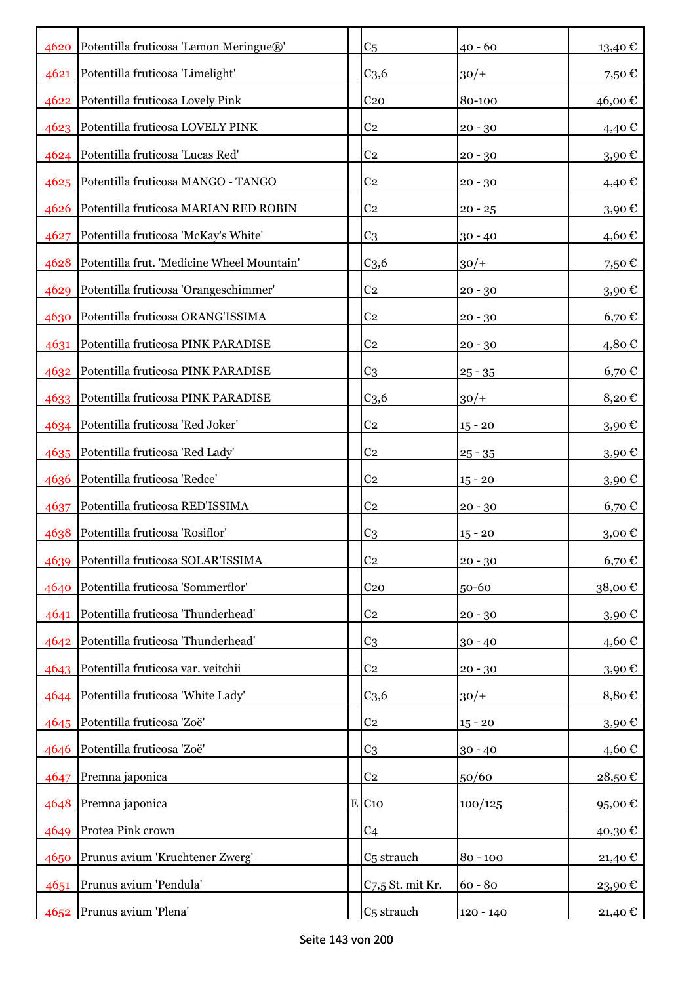|      | 4620 Potentilla fruticosa 'Lemon Meringue®' | C <sub>5</sub>         | $40 - 60$  | 13,40 €             |
|------|---------------------------------------------|------------------------|------------|---------------------|
| 4621 | Potentilla fruticosa 'Limelight'            | C <sub>3,6</sub>       | $30/+$     | 7,50€               |
| 4622 | Potentilla fruticosa Lovely Pink            | C <sub>20</sub>        | 80-100     | 46,00€              |
|      | 4623 Potentilla fruticosa LOVELY PINK       | C <sub>2</sub>         | $20 - 30$  | 4,40€               |
|      | 4624 Potentilla fruticosa 'Lucas Red'       | C <sub>2</sub>         | $20 - 30$  | 3,90€               |
| 4625 | Potentilla fruticosa MANGO - TANGO          | C <sub>2</sub>         | $20 - 30$  | 4,40€               |
| 4626 | Potentilla fruticosa MARIAN RED ROBIN       | C <sub>2</sub>         | $20 - 25$  | 3,90€               |
| 4627 | Potentilla fruticosa 'McKay's White'        | C <sub>3</sub>         | $30 - 40$  | 4,60€               |
| 4628 | Potentilla frut. 'Medicine Wheel Mountain'  | C <sub>3,6</sub>       | $30/+$     | 7,50€               |
|      | 4629 Potentilla fruticosa 'Orangeschimmer'  | C <sub>2</sub>         | $20 - 30$  | 3,90€               |
|      | 4630 Potentilla fruticosa ORANG'ISSIMA      | C <sub>2</sub>         | $20 - 30$  | $6,70 \in$          |
| 4631 | Potentilla fruticosa PINK PARADISE          | C <sub>2</sub>         | $20 - 30$  | 4,80€               |
|      | 4632 Potentilla fruticosa PINK PARADISE     | C <sub>3</sub>         | $25 - 35$  | 6,70€               |
|      | 4633 Potentilla fruticosa PINK PARADISE     | C <sub>3,6</sub>       | $30/+$     | 8,20€               |
|      | 4634 Potentilla fruticosa 'Red Joker'       | C <sub>2</sub>         | $15 - 20$  | 3,90€               |
|      | 4635 Potentilla fruticosa 'Red Lady'        | C <sub>2</sub>         | $25 - 35$  | 3,90€               |
|      | 4636 Potentilla fruticosa 'Redce'           | C <sub>2</sub>         | $15 - 20$  | 3,90€               |
| 4637 | Potentilla fruticosa RED'ISSIMA             | C <sub>2</sub>         | $20 - 30$  | $6,70 \in$          |
| 4638 | Potentilla fruticosa 'Rosiflor'             | C <sub>3</sub>         | $15 - 20$  | $3,00 \text{ } \in$ |
|      | 4639 Potentilla fruticosa SOLAR'ISSIMA      | C <sub>2</sub>         | $20 - 30$  | 6,70€               |
| 4640 | Potentilla fruticosa 'Sommerflor'           | C <sub>20</sub>        | 50-60      | 38,00€              |
| 4641 | Potentilla fruticosa 'Thunderhead'          | C <sub>2</sub>         | $20 - 30$  | 3,90€               |
| 4642 | Potentilla fruticosa 'Thunderhead'          | C <sub>3</sub>         | $30 - 40$  | 4,60€               |
|      | 4643 Potentilla fruticosa var. veitchii     | C <sub>2</sub>         | $20 - 30$  | 3,90€               |
|      | 4644 Potentilla fruticosa 'White Lady'      | C <sub>3,6</sub>       | $30/+$     | 8,80€               |
|      | 4645 Potentilla fruticosa 'Zoë'             | C <sub>2</sub>         | $15 - 20$  | 3,90€               |
| 4646 | Potentilla fruticosa 'Zoë'                  | C <sub>3</sub>         | $30 - 40$  | 4,60€               |
| 4647 | Premna japonica                             | C <sub>2</sub>         | 50/60      | 28,50€              |
| 4648 | Premna japonica                             | E C10                  | 100/125    | 95,00€              |
| 4649 | Protea Pink crown                           | C <sub>4</sub>         |            | 40,30€              |
| 4650 | Prunus avium 'Kruchtener Zwerg'             | C <sub>5</sub> strauch | $80 - 100$ | 21,40€              |
| 4651 | Prunus avium 'Pendula'                      | C7,5 St. mit Kr.       | $60 - 80$  | 23,90€              |
| 4652 | Prunus avium 'Plena'                        | C <sub>5</sub> strauch | 120 - 140  | 21,40 €             |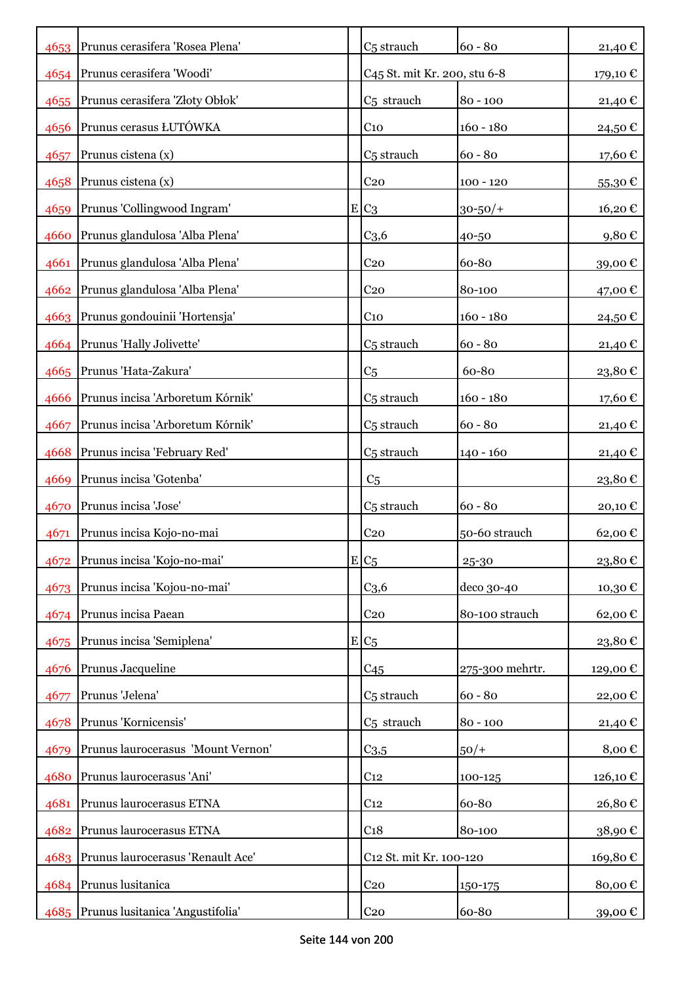|      | 4653 Prunus cerasifera 'Rosea Plena'   | C <sub>5</sub> strauch                   | $60 - 80$       | 21,40€     |
|------|----------------------------------------|------------------------------------------|-----------------|------------|
|      | 4654   Prunus cerasifera 'Woodi'       | C <sub>45</sub> St. mit Kr. 200, stu 6-8 |                 | 179,10 €   |
|      | 4655 Prunus cerasifera 'Złoty Obłok'   | C <sub>5</sub> strauch                   | $80 - 100$      | 21,40 €    |
| 4656 | Prunus cerasus ŁUTÓWKA                 | C <sub>10</sub>                          | $160 - 180$     | 24,50€     |
| 4657 | Prunus cistena (x)                     | C <sub>5</sub> strauch                   | $60 - 80$       | 17,60€     |
| 4658 | Prunus cistena (x)                     | C <sub>20</sub>                          | $100 - 120$     | 55,30€     |
| 4659 | Prunus 'Collingwood Ingram'            | $E C_3$                                  | $30 - 50/$ +    | 16,20€     |
| 4660 | Prunus glandulosa 'Alba Plena'         | C <sub>3,6</sub>                         | 40-50           | $9,80 \in$ |
|      | 4661 Prunus glandulosa 'Alba Plena'    | C <sub>20</sub>                          | 60-80           | 39,00€     |
|      | 4662 Prunus glandulosa 'Alba Plena'    | C <sub>20</sub>                          | 80-100          | 47,00 €    |
|      | 4663 Prunus gondouinii 'Hortensja'     | C <sub>10</sub>                          | $160 - 180$     | 24,50 €    |
|      | 4664 Prunus 'Hally Jolivette'          | C <sub>5</sub> strauch                   | $60 - 80$       | 21,40€     |
|      | 4665 Prunus 'Hata-Zakura'              | C <sub>5</sub>                           | 60-80           | 23,80€     |
| 4666 | Prunus incisa 'Arboretum Kórnik'       | C <sub>5</sub> strauch                   | $160 - 180$     | 17,60€     |
| 4667 | Prunus incisa 'Arboretum Kórnik'       | C <sub>5</sub> strauch                   | $60 - 80$       | 21,40 €    |
|      | 4668 Prunus incisa 'February Red'      | C <sub>5</sub> strauch                   | $140 - 160$     | 21,40€     |
| 4669 | Prunus incisa 'Gotenba'                | C <sub>5</sub>                           |                 | 23,80€     |
| 4670 | Prunus incisa 'Jose'                   | C <sub>5</sub> strauch                   | $60 - 80$       | 20,10€     |
| 4671 | Prunus incisa Kojo-no-mai              | C <sub>20</sub>                          | 50-60 strauch   | 62,00€     |
|      | 4672 Prunus incisa 'Kojo-no-mai'       | $E C_5$                                  | 25-30           | 23,80€     |
| 4673 | Prunus incisa 'Kojou-no-mai'           | C <sub>3,6</sub>                         | deco 30-40      | 10,30€     |
| 4674 | Prunus incisa Paean                    | C <sub>20</sub>                          | 80-100 strauch  | 62,00€     |
| 4675 | Prunus incisa 'Semiplena'              | $E/C_5$                                  |                 | 23,80€     |
| 4676 | Prunus Jacqueline                      | C <sub>45</sub>                          | 275-300 mehrtr. | 129,00€    |
| 4677 | Prunus 'Jelena'                        | C <sub>5</sub> strauch                   | $60 - 80$       | 22,00€     |
| 4678 | Prunus 'Kornicensis'                   | C <sub>5</sub> strauch                   | $80 - 100$      | 21,40€     |
| 4679 | Prunus laurocerasus 'Mount Vernon'     | $C_{3,5}$                                | $50/+$          | 8,00€      |
| 4680 | Prunus laurocerasus 'Ani'              | C <sub>12</sub>                          | 100-125         | 126,10€    |
| 4681 | Prunus laurocerasus ETNA               | C <sub>12</sub>                          | 60-80           | 26,80€     |
|      | 4682 Prunus laurocerasus ETNA          | C <sub>18</sub>                          | 80-100          | 38,90€     |
|      | 4683 Prunus laurocerasus 'Renault Ace' | C12 St. mit Kr. 100-120                  |                 | 169,80€    |
|      | 4684 Prunus lusitanica                 | C <sub>20</sub>                          | 150-175         | 80,00€     |
|      | 4685 Prunus lusitanica 'Angustifolia'  | C <sub>20</sub>                          | 60-80           | 39,00 €    |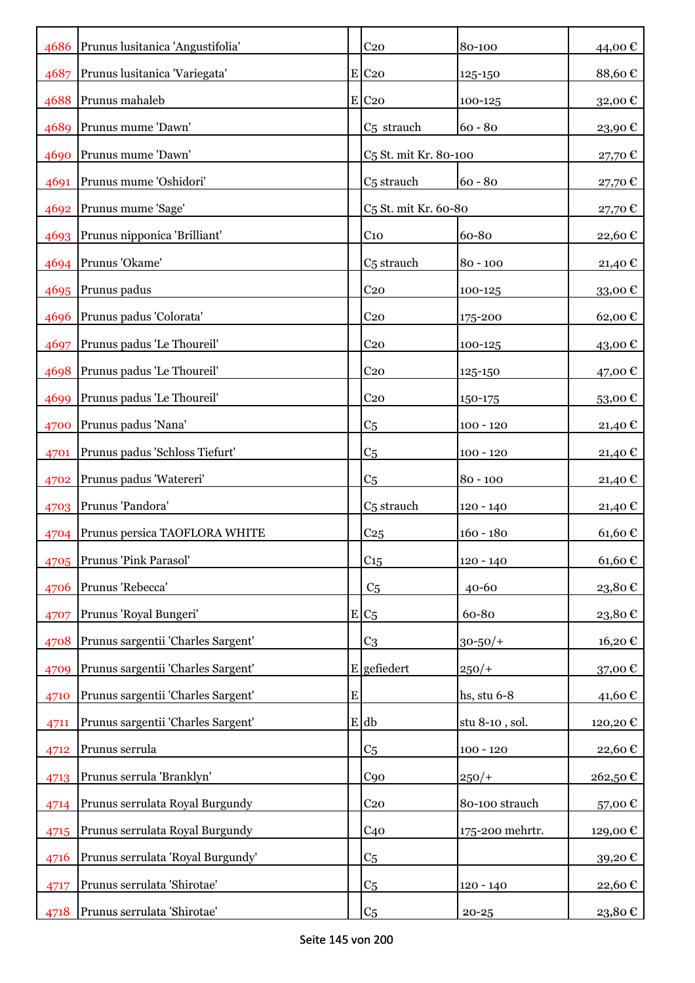|      | 4686 Prunus lusitanica 'Angustifolia' |           | C <sub>20</sub>                   | 80-100          | 44,00€           |
|------|---------------------------------------|-----------|-----------------------------------|-----------------|------------------|
| 4687 | Prunus lusitanica 'Variegata'         |           | $E$ C <sub>20</sub>               | 125-150         | 88,60€           |
| 4688 | Prunus mahaleb                        |           | $E$ C <sub>20</sub>               | 100-125         | 32,00€           |
| 4689 | Prunus mume 'Dawn'                    |           | C <sub>5</sub> strauch            | $60 - 80$       | 23,90€           |
|      | 4690 Prunus mume 'Dawn'               |           | C <sub>5</sub> St. mit Kr. 80-100 |                 | 27,70€           |
| 4691 | Prunus mume 'Oshidori'                |           | C <sub>5</sub> strauch            | $60 - 80$       | 27,70€           |
|      | 4692 Prunus mume 'Sage'               |           | C <sub>5</sub> St. mit Kr. 60-80  |                 | 27,70€           |
|      | 4693 Prunus nipponica 'Brilliant'     |           | C <sub>10</sub>                   | 60-80           | 22,60€           |
|      | 4694 Prunus 'Okame'                   |           | C <sub>5</sub> strauch            | $80 - 100$      | 21,40 $\epsilon$ |
|      | 4695 Prunus padus                     |           | C <sub>20</sub>                   | 100-125         | 33,00€           |
| 4696 | Prunus padus 'Colorata'               |           | C <sub>20</sub>                   | 175-200         | 62,00€           |
| 4697 | Prunus padus 'Le Thoureil'            |           | C <sub>20</sub>                   | 100-125         | 43,00 €          |
| 4698 | Prunus padus 'Le Thoureil'            |           | C <sub>20</sub>                   | 125-150         | 47,00 €          |
| 4699 | Prunus padus 'Le Thoureil'            |           | C <sub>20</sub>                   | 150-175         | 53,00€           |
| 4700 | Prunus padus 'Nana'                   |           | C <sub>5</sub>                    | $100 - 120$     | 21,40 €          |
| 4701 | Prunus padus 'Schloss Tiefurt'        |           | C <sub>5</sub>                    | $100 - 120$     | 21,40 €          |
| 4702 | Prunus padus 'Watereri'               |           | C <sub>5</sub>                    | $80 - 100$      | 21,40 €          |
|      | 4703 Prunus 'Pandora'                 |           | C <sub>5</sub> strauch            | $120 - 140$     | 21,40 €          |
| 4704 | Prunus persica TAOFLORA WHITE         |           | C <sub>25</sub>                   | $160 - 180$     | 61,60€           |
|      | 4705 Prunus 'Pink Parasol'            |           | C <sub>15</sub>                   | $120 - 140$     | 61,60€           |
| 4706 | Prunus 'Rebecca'                      |           | C <sub>5</sub>                    | 40-60           | 23,80€           |
| 4707 | Prunus 'Royal Bungeri'                |           | $E/C_5$                           | 60-80           | 23,80€           |
| 4708 | Prunus sargentii 'Charles Sargent'    |           | C <sub>3</sub>                    | $30 - 50/$ +    | 16,20€           |
| 4709 | Prunus sargentii 'Charles Sargent'    |           | $E$ gefiedert                     | $250/+$         | 37,00€           |
| 4710 | Prunus sargentii 'Charles Sargent'    | ${\bf E}$ |                                   | hs, stu $6-8$   | 41,60€           |
| 4711 | Prunus sargentii 'Charles Sargent'    |           | $E$ db                            | stu 8-10, sol.  | 120,20€          |
| 4712 | Prunus serrula                        |           | C <sub>5</sub>                    | $100 - 120$     | 22,60€           |
| 4713 | Prunus serrula 'Branklyn'             |           | C90                               | $250/+$         | 262,50€          |
| 4714 | Prunus serrulata Royal Burgundy       |           | C <sub>20</sub>                   | 80-100 strauch  | 57,00€           |
| 4715 | Prunus serrulata Royal Burgundy       |           | C <sub>40</sub>                   | 175-200 mehrtr. | 129,00€          |
| 4716 | Prunus serrulata 'Royal Burgundy'     |           | C <sub>5</sub>                    |                 | 39,20€           |
| 4717 | Prunus serrulata 'Shirotae'           |           | C <sub>5</sub>                    | 120 - 140       | 22,60€           |
| 4718 | Prunus serrulata 'Shirotae'           |           | C <sub>5</sub>                    | $20 - 25$       | 23,80€           |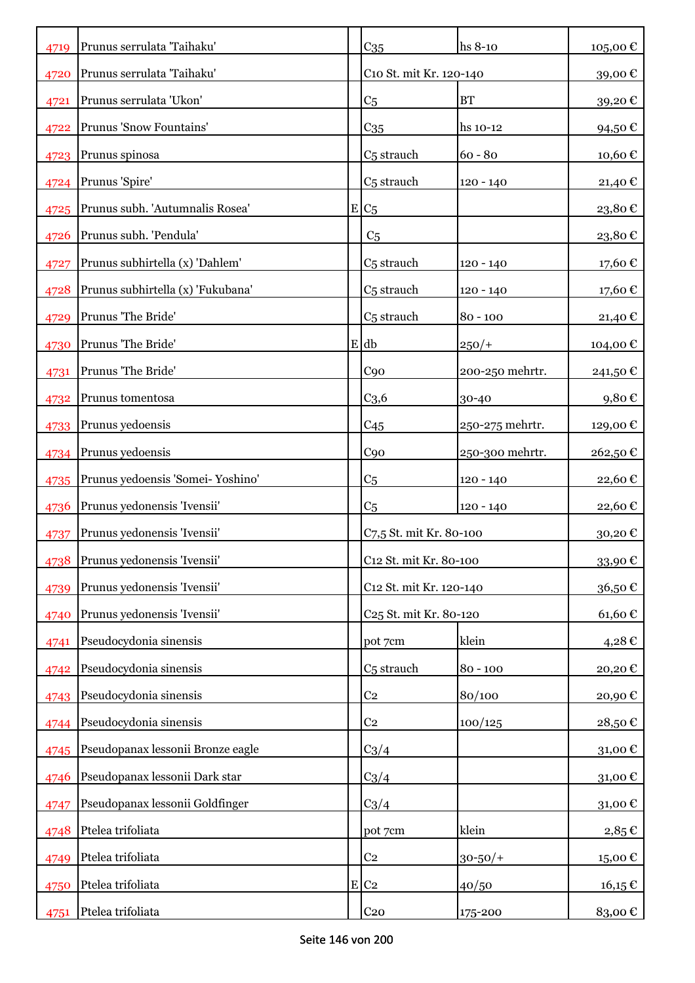| 4719 | Prunus serrulata 'Taihaku'        | C <sub>35</sub>                    | hs 8-10         | 105,00€     |
|------|-----------------------------------|------------------------------------|-----------------|-------------|
| 4720 | Prunus serrulata 'Taihaku'        | C10 St. mit Kr. 120-140            |                 | 39,00€      |
| 4721 | Prunus serrulata 'Ukon'           | C <sub>5</sub>                     | <b>BT</b>       | 39,20€      |
| 4722 | Prunus 'Snow Fountains'           | $C_{35}$                           | hs 10-12        | 94,50€      |
| 4723 | Prunus spinosa                    | C <sub>5</sub> strauch             | $60 - 80$       | 10,60€      |
| 4724 | Prunus 'Spire'                    | C <sub>5</sub> strauch             | $120 - 140$     | 21,40 €     |
| 4725 | Prunus subh. 'Autumnalis Rosea'   | $E/C_5$                            |                 | 23,80€      |
| 4726 | Prunus subh. 'Pendula'            | C <sub>5</sub>                     |                 | 23,80€      |
| 4727 | Prunus subhirtella (x) 'Dahlem'   | C <sub>5</sub> strauch             | 120 - 140       | 17,60 €     |
| 4728 | Prunus subhirtella (x) 'Fukubana' | C <sub>5</sub> strauch             | 120 - 140       | 17,60 €     |
| 4729 | Prunus 'The Bride'                | C <sub>5</sub> strauch             | $80 - 100$      | 21,40 €     |
| 4730 | Prunus 'The Bride'                | $E$ db                             | $250/+$         | 104,00 €    |
| 4731 | Prunus 'The Bride'                | C90                                | 200-250 mehrtr. | 241,50 €    |
| 4732 | Prunus tomentosa                  | C <sub>3,6</sub>                   | 30-40           | $9,80 \in$  |
| 4733 | Prunus yedoensis                  | C <sub>45</sub>                    | 250-275 mehrtr. | 129,00 €    |
| 4734 | Prunus yedoensis                  | C <sub>90</sub>                    | 250-300 mehrtr. | 262,50€     |
| 4735 | Prunus yedoensis 'Somei-Yoshino'  | C <sub>5</sub>                     | $120 - 140$     | 22,60€      |
| 4736 | Prunus yedonensis 'Ivensii'       | C <sub>5</sub>                     | $120 - 140$     | 22,60€      |
| 4737 | Prunus yedonensis 'Ivensii'       | C7,5 St. mit Kr. 80-100            |                 | 30,20€      |
| 4738 | Prunus yedonensis 'Ivensii'       | C <sub>12</sub> St. mit Kr. 80-100 |                 | 33,90€      |
| 4739 | Prunus yedonensis 'Ivensii'       | C12 St. mit Kr. 120-140            |                 | 36,50€      |
| 4740 | Prunus yedonensis 'Ivensii'       | C <sub>25</sub> St. mit Kr. 80-120 |                 | 61,60€      |
| 4741 | Pseudocydonia sinensis            | pot 7cm                            | klein           | 4,28€       |
| 4742 | Pseudocydonia sinensis            | C <sub>5</sub> strauch             | $80 - 100$      | 20,20€      |
| 4743 | Pseudocydonia sinensis            | C <sub>2</sub>                     | 80/100          | 20,90€      |
| 4744 | Pseudocydonia sinensis            | C <sub>2</sub>                     | 100/125         | 28,50€      |
| 4745 | Pseudopanax lessonii Bronze eagle | $C_3/4$                            |                 | 31,00€      |
| 4746 | Pseudopanax lessonii Dark star    | $C_3/4$                            |                 | 31,00€      |
| 4747 | Pseudopanax lessonii Goldfinger   | $C_3/4$                            |                 | 31,00€      |
| 4748 | Ptelea trifoliata                 | pot 7cm                            | klein           | $2,85 \in$  |
| 4749 | Ptelea trifoliata                 | C <sub>2</sub>                     | $30 - 50/$      | 15,00€      |
| 4750 | Ptelea trifoliata                 | $E$ C <sub>2</sub>                 | 40/50           | $16,15 \in$ |
| 4751 | Ptelea trifoliata                 | C <sub>20</sub>                    | 175-200         | 83,00€      |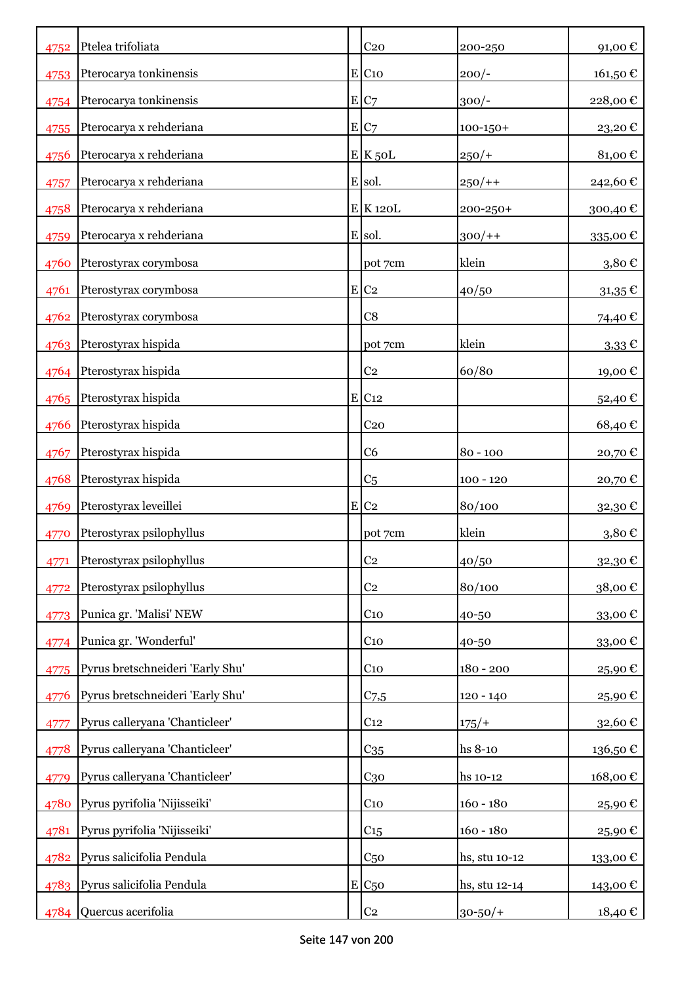| 4752 | Ptelea trifoliata                | C <sub>20</sub>     | 200-250       | 91,00€      |
|------|----------------------------------|---------------------|---------------|-------------|
| 4753 | Pterocarya tonkinensis           | $E$ C <sub>10</sub> | $200/-$       | 161,50€     |
| 4754 | Pterocarya tonkinensis           | E C7                | $300/-$       | 228,00€     |
| 4755 | Pterocarya x rehderiana          | E/C7                | $100 - 150 +$ | 23,20€      |
| 4756 | Pterocarya x rehderiana          | $E$ K $50L$         | $250/+$       | 81,00€      |
| 4757 | Pterocarya x rehderiana          | E sol.              | $250/+$       | 242,60€     |
| 4758 | Pterocarya x rehderiana          | E K120L             | $200 - 250 +$ | 300,40€     |
| 4759 | Pterocarya x rehderiana          | E sol.              | $300/+$       | 335,00€     |
| 4760 | Pterostyrax corymbosa            | pot 7cm             | klein         | 3,80€       |
| 4761 | Pterostyrax corymbosa            | E C2                | 40/50         | $31,35 \in$ |
| 4762 | Pterostyrax corymbosa            | C8                  |               | 74,40 €     |
|      | 4763 Pterostyrax hispida         | pot 7cm             | klein         | $3,33 \in$  |
| 4764 | Pterostyrax hispida              | C <sub>2</sub>      | 60/80         | 19,00€      |
| 4765 | Pterostyrax hispida              | E C12               |               | 52,40 €     |
| 4766 | Pterostyrax hispida              | C <sub>20</sub>     |               | 68,40€      |
| 4767 | Pterostyrax hispida              | C <sub>6</sub>      | $80 - 100$    | 20,70€      |
| 4768 | Pterostyrax hispida              | C <sub>5</sub>      | $100 - 120$   | 20,70€      |
| 4769 | Pterostyrax leveillei            | $E$ C <sub>2</sub>  | 80/100        | 32,30€      |
| 4770 | Pterostyrax psilophyllus         | pot 7cm             | klein         | 3,80€       |
| 4771 | Pterostyrax psilophyllus         | C <sub>2</sub>      | 40/50         | 32,30€      |
| 4772 | Pterostyrax psilophyllus         | C <sub>2</sub>      | 80/100        | 38,00€      |
| 4773 | Punica gr. 'Malisi' NEW          | C <sub>10</sub>     | 40-50         | 33,00€      |
| 4774 | Punica gr. 'Wonderful'           | C <sub>10</sub>     | 40-50         | 33,00€      |
| 4775 | Pyrus bretschneideri 'Early Shu' | $C_{10}$            | $180 - 200$   | 25,90€      |
| 4776 | Pyrus bretschneideri 'Early Shu' | C <sub>7,5</sub>    | $120 - 140$   | 25,90€      |
| 4777 | Pyrus calleryana 'Chanticleer'   | C <sub>12</sub>     | $175/+$       | 32,60€      |
| 4778 | Pyrus calleryana 'Chanticleer'   | $C_{35}$            | hs 8-10       | 136,50€     |
| 4779 | Pyrus calleryana 'Chanticleer'   | C <sub>30</sub>     | hs 10-12      | 168,00€     |
| 4780 | Pyrus pyrifolia 'Nijisseiki'     | C <sub>10</sub>     | $160 - 180$   | 25,90€      |
| 4781 | Pyrus pyrifolia 'Nijisseiki'     | C15                 | $160 - 180$   | 25,90€      |
| 4782 | Pyrus salicifolia Pendula        | C <sub>50</sub>     | hs, stu 10-12 | 133,00€     |
|      | 4783 Pyrus salicifolia Pendula   | $E C_{50}$          | hs, stu 12-14 | 143,00 €    |
| 4784 | Quercus acerifolia               | C <sub>2</sub>      | $30 - 50/$ +  | 18,40 €     |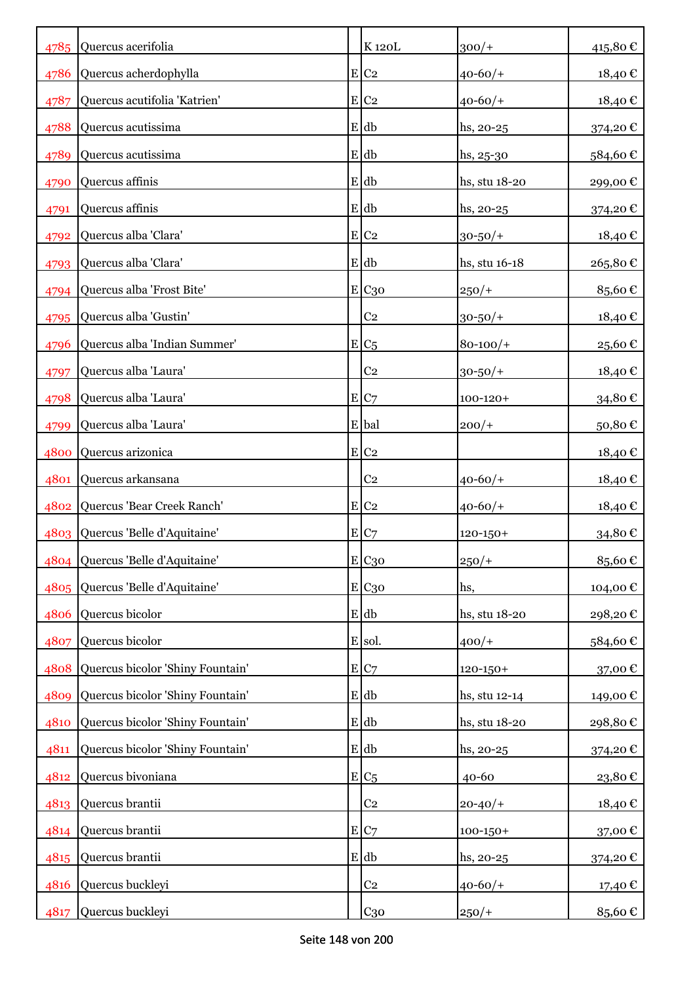|      | 4785 Quercus acerifolia          | K120L               | $300/+$       | 415,80€ |
|------|----------------------------------|---------------------|---------------|---------|
| 4786 | Quercus acherdophylla            | $E$ C <sub>2</sub>  | $40 - 60/$    | 18,40€  |
| 4787 | Quercus acutifolia 'Katrien'     | $E$ C <sub>2</sub>  | $40 - 60/$    | 18,40€  |
| 4788 | Quercus acutissima               | $E$ db              | hs, 20-25     | 374,20€ |
| 4789 | Quercus acutissima               | E db                | $hs, 25-30$   | 584,60€ |
| 4790 | Quercus affinis                  | E db                | hs, stu 18-20 | 299,00€ |
| 4791 | Quercus affinis                  | E db                | $hs, 20-25$   | 374,20€ |
| 4792 | Quercus alba 'Clara'             | $E$ C <sub>2</sub>  | $30 - 50/$ +  | 18,40 € |
|      | 4793 Quercus alba 'Clara'        | E db                | hs, stu 16-18 | 265,80€ |
| 4794 | Quercus alba 'Frost Bite'        | E C <sub>30</sub>   | $250/+$       | 85,60€  |
| 4795 | Quercus alba 'Gustin'            | C <sub>2</sub>      | $30 - 50/$ +  | 18,40 € |
| 4796 | Quercus alba 'Indian Summer'     | $E/C_5$             | $80 - 100/$   | 25,60€  |
| 4797 | Quercus alba 'Laura'             | C <sub>2</sub>      | $30 - 50/$ +  | 18,40€  |
| 4798 | Quercus alba 'Laura'             | E C7                | $100 - 120 +$ | 34,80€  |
| 4799 | Quercus alba 'Laura'             | E bal               | $200/+$       | 50,80€  |
| 4800 | Quercus arizonica                | $E$ C <sub>2</sub>  |               | 18,40€  |
| 4801 | Quercus arkansana                | C <sub>2</sub>      | $40 - 60/$    | 18,40€  |
| 4802 | Quercus 'Bear Creek Ranch'       | $E$ C <sub>2</sub>  | $40 - 60/$    | 18,40€  |
|      | 4803 Quercus 'Belle d'Aquitaine' | E/C7                | $120 - 150 +$ | 34,80€  |
|      | 4804 Quercus 'Belle d'Aquitaine' | $E$ C <sub>30</sub> | $250/+$       | 85,60€  |
|      | 4805 Quercus 'Belle d'Aquitaine' | E C <sub>30</sub>   | hs,           | 104,00€ |
| 4806 | Quercus bicolor                  | $E$ db              | hs, stu 18-20 | 298,20€ |
| 4807 | Quercus bicolor                  | E sol.              | $400/+$       | 584,60€ |
| 4808 | Quercus bicolor 'Shiny Fountain' | E C7                | $120 - 150 +$ | 37,00€  |
| 4809 | Quercus bicolor 'Shiny Fountain' | $E$ db              | hs, stu 12-14 | 149,00€ |
| 4810 | Quercus bicolor 'Shiny Fountain' | $E$ db              | hs, stu 18-20 | 298,80€ |
| 4811 | Quercus bicolor 'Shiny Fountain' | $E$ db              | hs, 20-25     | 374,20€ |
| 4812 | Quercus bivoniana                | $E/C_5$             | $40 - 60$     | 23,80€  |
| 4813 | Quercus brantii                  | C <sub>2</sub>      | $20 - 40/$    | 18,40€  |
| 4814 | Quercus brantii                  | E C7                | $100 - 150 +$ | 37,00€  |
| 4815 | Quercus brantii                  | E db                | $hs, 20-25$   | 374,20€ |
| 4816 | Quercus buckleyi                 | C <sub>2</sub>      | $40 - 60/$    | 17,40 € |
| 4817 | Quercus buckleyi                 | $C_{30}$            | $250/+$       | 85,60€  |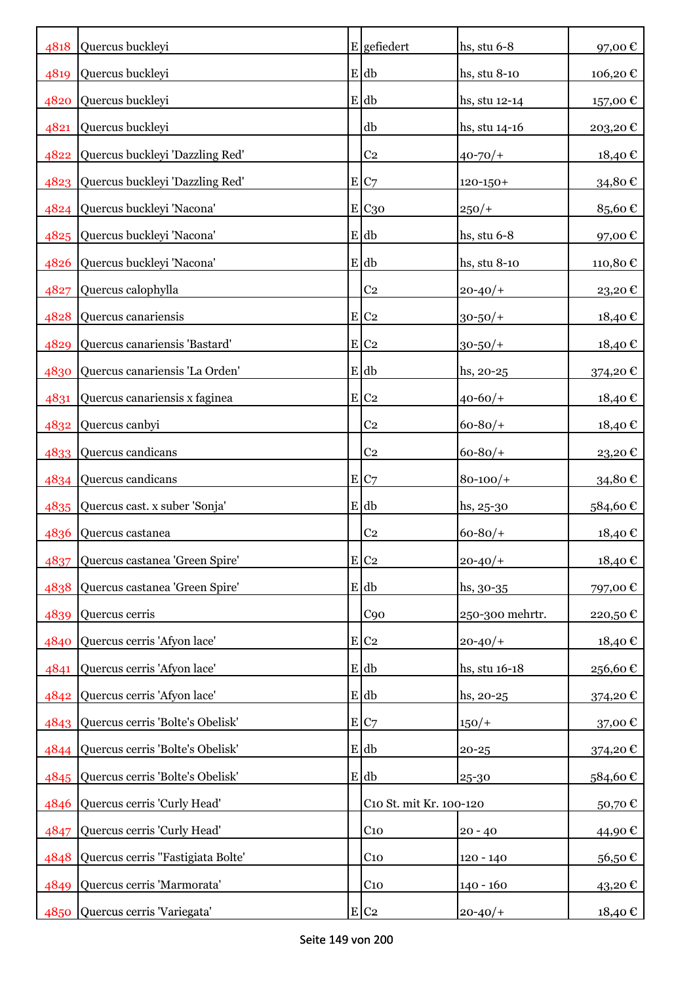|      | 4818 Quercus buckleyi                 | $E$ gefiedert           | hs, stu $6-8$   | 97,00€   |
|------|---------------------------------------|-------------------------|-----------------|----------|
| 4819 | Quercus buckleyi                      | $E$ db                  | hs, stu $8-10$  | 106,20€  |
| 4820 | Quercus buckleyi                      | E db                    | hs, stu 12-14   | 157,00 € |
| 4821 | Quercus buckleyi                      | db                      | hs, stu 14-16   | 203,20€  |
| 4822 | Quercus buckleyi 'Dazzling Red'       | C <sub>2</sub>          | $40 - 70/$      | 18,40€   |
| 4823 | Quercus buckleyi 'Dazzling Red'       | E C7                    | $120 - 150 +$   | 34,80€   |
| 4824 | Quercus buckleyi 'Nacona'             | E C <sub>30</sub>       | $250/+$         | 85,60€   |
|      | 4825 Quercus buckleyi 'Nacona'        | $E$ db                  | hs, stu 6-8     | 97,00€   |
| 4826 | Quercus buckleyi 'Nacona'             | E db                    | hs, stu 8-10    | 110,80€  |
| 4827 | Quercus calophylla                    | C <sub>2</sub>          | $20 - 40/$      | 23,20€   |
| 4828 | Quercus canariensis                   | $E$ C <sub>2</sub>      | $30 - 50/$ +    | 18,40€   |
| 4829 | Quercus canariensis 'Bastard'         | $E$ C <sub>2</sub>      | $30 - 50/$ +    | 18,40€   |
| 4830 | Quercus canariensis 'La Orden'        | E db                    | $hs, 20-25$     | 374,20€  |
| 4831 | Quercus canariensis x faginea         | $E$ C <sub>2</sub>      | $40 - 60/$      | 18,40€   |
| 4832 | Quercus canbyi                        | C <sub>2</sub>          | $60 - 80/$      | 18,40€   |
| 4833 | Quercus candicans                     | C <sub>2</sub>          | $60 - 80/$      | 23,20€   |
|      | 4834 Quercus candicans                | E C7                    | $80 - 100/$     | 34,80€   |
|      | 4835 Quercus cast. x suber 'Sonja'    | $E$ db                  | $hs, 25-30$     | 584,60€  |
| 4836 | Quercus castanea                      | C <sub>2</sub>          | $60 - 80/$      | 18,40€   |
| 4837 | Quercus castanea 'Green Spire'        | $E$ C <sub>2</sub>      | $20 - 40/$      | 18,40€   |
| 4838 | Quercus castanea 'Green Spire'        | E db                    | $hs, 30-35$     | 797,00€  |
| 4839 | Quercus cerris                        | C90                     | 250-300 mehrtr. | 220,50€  |
| 4840 | Quercus cerris 'Afyon lace'           | $E C_2$                 | $20 - 40/$      | 18,40€   |
| 4841 | Quercus cerris 'Afyon lace'           | $E$ db                  | hs, stu 16-18   | 256,60€  |
| 4842 | Quercus cerris 'Afyon lace'           | E db                    | hs, 20-25       | 374,20€  |
|      | 4843 Quercus cerris 'Bolte's Obelisk' | E C7                    | $150/+$         | 37,00€   |
|      | 4844 Quercus cerris 'Bolte's Obelisk' | $E$ db                  | $20 - 25$       | 374,20 € |
|      | 4845 Quercus cerris 'Bolte's Obelisk' | $E$ db                  | 25-30           | 584,60€  |
| 4846 | Quercus cerris 'Curly Head'           | C10 St. mit Kr. 100-120 |                 | 50,70€   |
| 4847 | Quercus cerris 'Curly Head'           | $C_{10}$                | $20 - 40$       | 44,90€   |
| 4848 | Quercus cerris "Fastigiata Bolte'     | C <sub>10</sub>         | $120 - 140$     | 56,50€   |
| 4849 | Quercus cerris 'Marmorata'            | $C_{10}$                | $140 - 160$     | 43,20€   |
| 4850 | Quercus cerris 'Variegata'            | E C2                    | $20 - 40/$      | 18,40€   |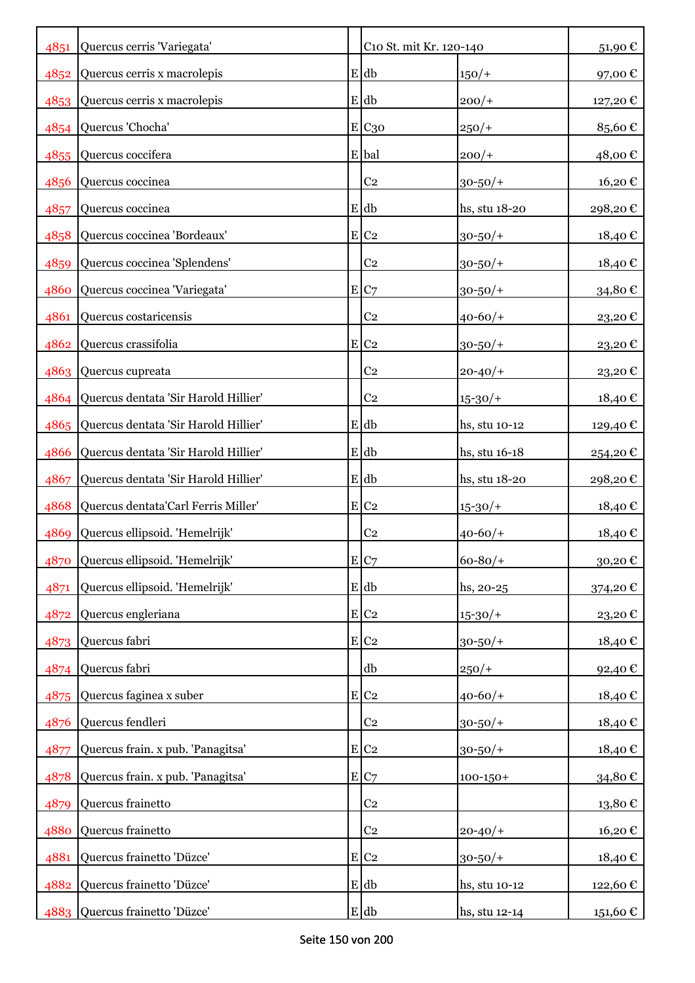| 4851 | Quercus cerris 'Variegata'           | C10 St. mit Kr. 120-140 |               | 51,90€          |
|------|--------------------------------------|-------------------------|---------------|-----------------|
| 4852 | Quercus cerris x macrolepis          | $E$ db                  | $150/+$       | 97,00€          |
|      | 4853 Quercus cerris x macrolepis     | E db                    | $200/+$       | 127,20€         |
|      | 4854 Quercus 'Chocha'                | E C <sub>30</sub>       | $250/+$       | 85,60€          |
| 4855 | Quercus coccifera                    | E bal                   | $200/+$       | 48,00€          |
| 4856 | Quercus coccinea                     | C <sub>2</sub>          | $30 - 50/$ +  | 16,20€          |
| 4857 | Quercus coccinea                     | $E$ db                  | hs, stu 18-20 | 298,20€         |
| 4858 | Quercus coccinea 'Bordeaux'          | $E$ C <sub>2</sub>      | $30 - 50/$ +  | 18,40€          |
| 4859 | Quercus coccinea 'Splendens'         | C <sub>2</sub>          | $30 - 50/$ +  | 18,40€          |
| 4860 | Quercus coccinea 'Variegata'         | E C7                    | $30 - 50/$ +  | 34,80€          |
| 4861 | Quercus costaricensis                | C <sub>2</sub>          | $40 - 60/$    | 23,20€          |
| 4862 | Quercus crassifolia                  | $E$ C <sub>2</sub>      | $30 - 50/$ +  | 23,20€          |
|      | 4863 Quercus cupreata                | C <sub>2</sub>          | $20 - 40/$    | 23,20€          |
| 4864 | Quercus dentata 'Sir Harold Hillier' | C <sub>2</sub>          | $15 - 30/$    | 18,40 €         |
| 4865 | Quercus dentata 'Sir Harold Hillier' | E db                    | hs, stu 10-12 | 129,40 €        |
| 4866 | Quercus dentata 'Sir Harold Hillier' | E db                    | hs, stu 16-18 | 254,20€         |
| 4867 | Quercus dentata 'Sir Harold Hillier' | $E$ db                  | hs, stu 18-20 | 298,20€         |
| 4868 | Quercus dentata'Carl Ferris Miller'  | $E$ C <sub>2</sub>      | $15 - 30/$    | 18,40€          |
| 4869 | Quercus ellipsoid. 'Hemelrijk'       | C <sub>2</sub>          | $40 - 60/$    | 18,40€          |
| 4870 | Quercus ellipsoid. 'Hemelrijk'       | E C7                    | $60 - 80/$    | 30,20€          |
| 4871 | Quercus ellipsoid. 'Hemelrijk'       | $E$ db                  | hs, 20-25     | 374,20€         |
| 4872 | Quercus engleriana                   | $E$ C <sub>2</sub>      | $15 - 30/$    | 23,20€          |
| 4873 | Quercus fabri                        | $E$ C <sub>2</sub>      | $30 - 50/$ +  | 18,40€          |
| 4874 | Quercus fabri                        | db                      | $250/+$       | 92,40€          |
| 4875 | Quercus faginea x suber              | $E$ C <sub>2</sub>      | $40 - 60/$    | 18,40€          |
| 4876 | Quercus fendleri                     | C <sub>2</sub>          | $30 - 50/$ +  | 18,40€          |
| 4877 | Quercus frain. x pub. 'Panagitsa'    | E C2                    | $30 - 50/$ +  | 18,40€          |
| 4878 | Quercus frain. x pub. 'Panagitsa'    | E C7                    | $100 - 150 +$ | 34,80€          |
| 4879 | Quercus frainetto                    | C <sub>2</sub>          |               | $13,\!80$ $\in$ |
| 4880 | Quercus frainetto                    | C <sub>2</sub>          | $20 - 40/$    | 16,20€          |
| 4881 | Quercus frainetto 'Düzce'            | $E$ C <sub>2</sub>      | $30 - 50/$ +  | 18,40€          |
| 4882 | Quercus frainetto 'Düzce'            | E db                    | hs, stu 10-12 | 122,60€         |
| 4883 | Quercus frainetto 'Düzce'            | $E$ db                  | hs, stu 12-14 | 151,60 €        |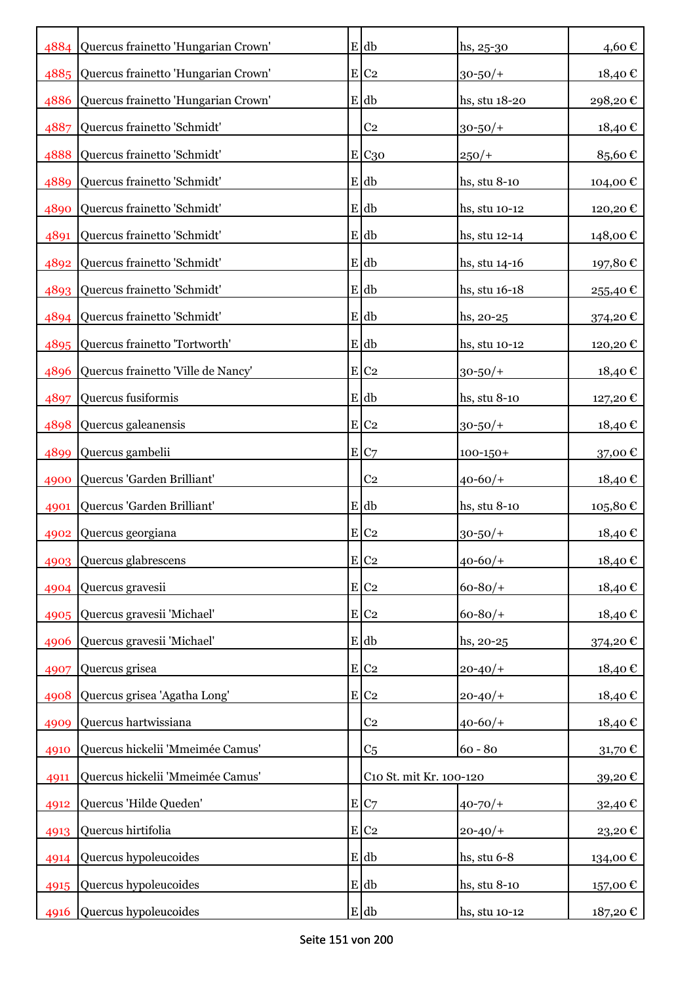|      | 4884 Quercus frainetto 'Hungarian Crown' | $E$ db                  | $hs, 25-30$   | 4,60€         |
|------|------------------------------------------|-------------------------|---------------|---------------|
| 4885 | Quercus frainetto 'Hungarian Crown'      | $E$ C <sub>2</sub>      | $30 - 50/$    | $18{,}40 \in$ |
| 4886 | Quercus frainetto 'Hungarian Crown'      | $E$ db                  | hs, stu 18-20 | 298,20€       |
| 4887 | Quercus frainetto 'Schmidt'              | C <sub>2</sub>          | $30 - 50/$ +  | 18,40€        |
| 4888 | Quercus frainetto 'Schmidt'              | $E$ C <sub>30</sub>     | $250/+$       | 85,60€        |
| 4889 | Quercus frainetto 'Schmidt'              | $E$ db                  | hs, stu 8-10  | 104,00€       |
| 4890 | Quercus frainetto 'Schmidt'              | E db                    | hs, stu 10-12 | 120,20€       |
| 4891 | Quercus frainetto 'Schmidt'              | $E$ db                  | hs, stu 12-14 | 148,00€       |
|      | 4892 Quercus frainetto 'Schmidt'         | E db                    | hs, stu 14-16 | 197,80€       |
|      | 4893 Quercus frainetto 'Schmidt'         | E db                    | hs, stu 16-18 | 255,40€       |
|      | 4894 Quercus frainetto 'Schmidt'         | $E$ db                  | hs, 20-25     | 374,20€       |
|      | 4895 Quercus frainetto 'Tortworth'       | E db                    | hs, stu 10-12 | 120,20€       |
| 4896 | Quercus frainetto 'Ville de Nancy'       | $E$ C <sub>2</sub>      | $30 - 50/$ +  | 18,40€        |
| 4897 | Quercus fusiformis                       | E db                    | hs, stu 8-10  | 127,20€       |
| 4898 | Quercus galeanensis                      | $E$ C <sub>2</sub>      | $30 - 50/$ +  | 18,40€        |
| 4899 | Quercus gambelii                         | E C7                    | $100 - 150 +$ | 37,00€        |
| 4900 | Quercus 'Garden Brilliant'               | C <sub>2</sub>          | $40 - 60/$    | 18,40€        |
| 4901 | Quercus 'Garden Brilliant'               | E db                    | hs, stu 8-10  | 105,80€       |
| 4902 | Quercus georgiana                        | $E$ C <sub>2</sub>      | $30 - 50/$    | 18,40€        |
|      | 4903 Quercus glabrescens                 | E C2                    | $40 - 60/$    | 18,40€        |
| 4904 | Quercus gravesii                         | E C2                    | $60 - 80/$    | 18,40€        |
| 4905 | Quercus gravesii 'Michael'               | $E$ C <sub>2</sub>      | $60 - 80/$    | 18,40€        |
| 4906 | Quercus gravesii 'Michael'               | $E$ db                  | hs, 20-25     | 374,20€       |
| 4907 | Quercus grisea                           | $E$ C <sub>2</sub>      | $20 - 40/$    | 18,40€        |
| 4908 | Quercus grisea 'Agatha Long'             | $E$ C <sub>2</sub>      | $20 - 40/$    | 18,40€        |
| 4909 | Quercus hartwissiana                     | C <sub>2</sub>          | $40 - 60/$    | 18,40€        |
| 4910 | Quercus hickelii 'Mmeimée Camus'         | C <sub>5</sub>          | $60 - 80$     | 31,70€        |
| 4911 | Quercus hickelii 'Mmeimée Camus'         | C10 St. mit Kr. 100-120 |               | 39,20€        |
| 4912 | Quercus 'Hilde Queden'                   | E C7                    | $40 - 70/$    | 32,40€        |
| 4913 | Quercus hirtifolia                       | $E$ C <sub>2</sub>      | $20 - 40/$    | 23,20€        |
| 4914 | Quercus hypoleucoides                    | E db                    | hs, stu $6-8$ | 134,00€       |
| 4915 | Quercus hypoleucoides                    | $E$ db                  | hs, stu 8-10  | 157,00€       |
| 4916 | Quercus hypoleucoides                    | $E$ db                  | hs, stu 10-12 | 187,20 €      |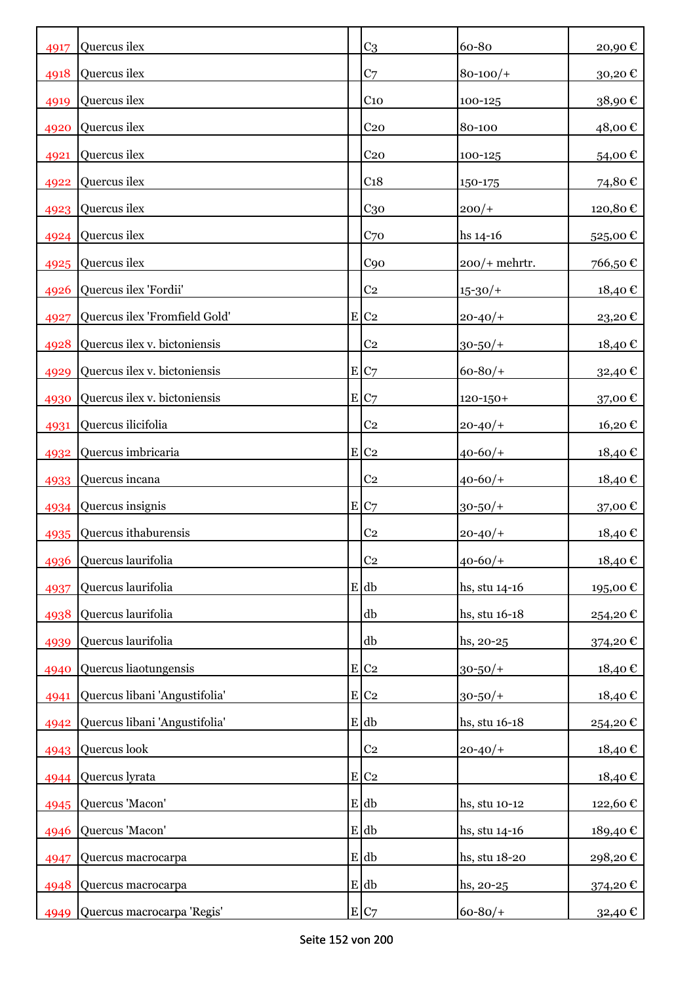| 4917 | Quercus ilex                  | C <sub>3</sub>     | 60-80           | 20,90€  |
|------|-------------------------------|--------------------|-----------------|---------|
| 4918 | Quercus ilex                  | C <sub>7</sub>     | $80 - 100/$     | 30,20€  |
| 4919 | Quercus ilex                  | C <sub>10</sub>    | 100-125         | 38,90€  |
| 4920 | Quercus ilex                  | C <sub>20</sub>    | 80-100          | 48,00€  |
| 4921 | Quercus ilex                  | C <sub>20</sub>    | 100-125         | 54,00€  |
| 4922 | Quercus ilex                  | C <sub>18</sub>    | 150-175         | 74,80€  |
| 4923 | Quercus ilex                  | C <sub>30</sub>    | $200/+$         | 120,80€ |
| 4924 | Quercus ilex                  | C70                | $hs 14-16$      | 525,00€ |
|      | 4925 Quercus ilex             | C90                | $200/+$ mehrtr. | 766,50€ |
| 4926 | Quercus ilex 'Fordii'         | C <sub>2</sub>     | $15 - 30/$      | 18,40€  |
| 4927 | Quercus ilex 'Fromfield Gold' | E C2               | $20 - 40/$      | 23,20€  |
| 4928 | Quercus ilex v. bictoniensis  | C <sub>2</sub>     | $30 - 50/$ +    | 18,40€  |
| 4929 | Quercus ilex v. bictoniensis  | E C7               | $60 - 80/$      | 32,40€  |
| 4930 | Quercus ilex v. bictoniensis  | E C7               | $120 - 150 +$   | 37,00€  |
| 4931 | Quercus ilicifolia            | C <sub>2</sub>     | $20 - 40/$      | 16,20€  |
| 4932 | Quercus imbricaria            | $E C_2$            | $40 - 60/$      | 18,40 € |
| 4933 | Quercus incana                | C <sub>2</sub>     | $40 - 60/$      | 18,40€  |
|      | 4934 Quercus insignis         | E C7               | $30 - 50/$ +    | 37,00 € |
| 4935 | Quercus ithaburensis          | C <sub>2</sub>     | $20 - 40/$      | 18,40€  |
|      | 4936 Quercus laurifolia       | C <sub>2</sub>     | $40 - 60/$      | 18,40€  |
| 4937 | Quercus laurifolia            | E db               | hs, stu 14-16   | 195,00€ |
| 4938 | Quercus laurifolia            | db                 | hs, stu 16-18   | 254,20€ |
| 4939 | Quercus laurifolia            | db                 | hs, 20-25       | 374,20€ |
| 4940 | Quercus liaotungensis         | E C2               | $30 - 50/$      | 18,40€  |
| 4941 | Quercus libani 'Angustifolia' | $E C_2$            | $30 - 50/$ +    | 18,40€  |
| 4942 | Quercus libani 'Angustifolia' | E db               | hs, stu 16-18   | 254,20€ |
|      | 4943 Quercus look             | C <sub>2</sub>     | $20 - 40/$      | 18,40€  |
| 4944 | Quercus lyrata                | $E$ C <sub>2</sub> |                 | 18,40€  |
| 4945 | Quercus 'Macon'               | $E$ db             | hs, stu 10-12   | 122,60€ |
| 4946 | Quercus 'Macon'               | E db               | hs, stu 14-16   | 189,40€ |
| 4947 | Quercus macrocarpa            | $E$ db             | hs, stu 18-20   | 298,20€ |
| 4948 | Quercus macrocarpa            | $E$ db             | hs, 20-25       | 374,20€ |
| 4949 | Quercus macrocarpa 'Regis'    | E C7               | $60 - 80/$      | 32,40 € |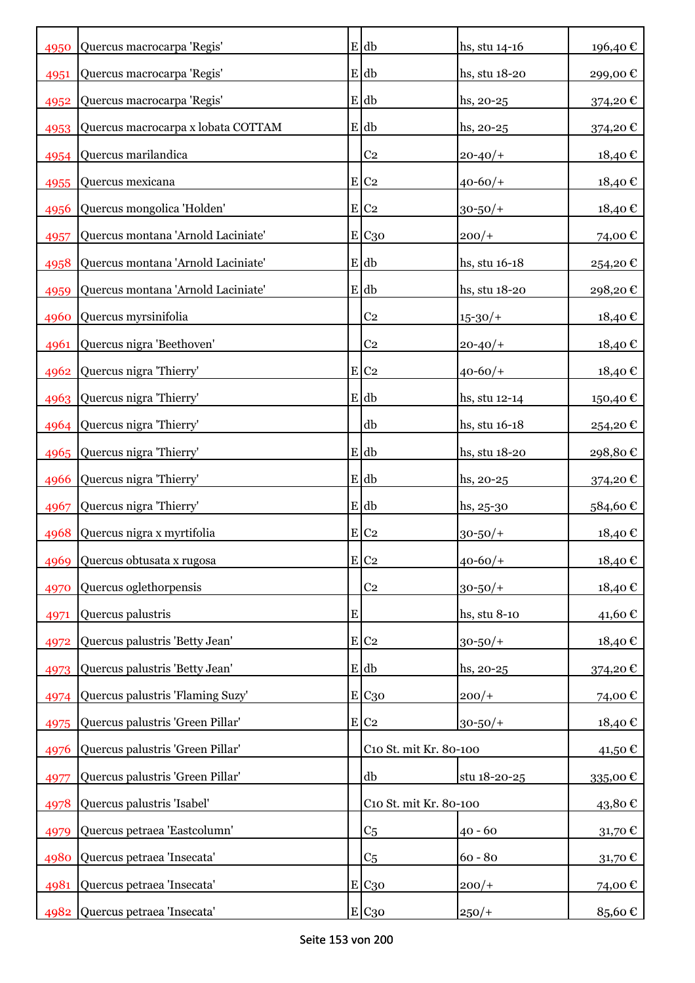| 4950         | Quercus macrocarpa 'Regis'                               |           | $E$ db                 | hs, stu 14-16 | 196,40€            |
|--------------|----------------------------------------------------------|-----------|------------------------|---------------|--------------------|
|              |                                                          |           | E db                   | hs, stu 18-20 |                    |
| 4951<br>4952 | Quercus macrocarpa 'Regis'<br>Quercus macrocarpa 'Regis' |           | E db                   | $hs, 20-25$   | 299,00€<br>374,20€ |
| 4953         | Quercus macrocarpa x lobata COTTAM                       |           | E db                   | hs, 20-25     | 374,20€            |
|              | 4954 Quercus marilandica                                 |           | C <sub>2</sub>         |               |                    |
|              |                                                          |           |                        | $20 - 40/$    | 18,40€             |
| 4955         | Quercus mexicana                                         |           | E C2                   | $40 - 60/$    | 18,40€             |
| 4956         | Quercus mongolica 'Holden'                               |           | $E$ C <sub>2</sub>     | $30 - 50/$ +  | 18,40€             |
| 4957         | Quercus montana 'Arnold Laciniate'                       |           | E C <sub>30</sub>      | $200/+$       | 74,00€             |
| 4958         | Quercus montana 'Arnold Laciniate'                       |           | E db                   | hs, stu 16-18 | 254,20€            |
| 4959         | Quercus montana 'Arnold Laciniate'                       |           | E db                   | hs, stu 18-20 | 298,20€            |
| 4960         | Quercus myrsinifolia                                     |           | C <sub>2</sub>         | $15 - 30/$    | 18,40€             |
| 4961         | Quercus nigra 'Beethoven'                                |           | C <sub>2</sub>         | $20 - 40/$    | 18,40€             |
|              | 4962 Quercus nigra 'Thierry'                             |           | E C2                   | $40 - 60/$    | 18,40€             |
| 4963         | Quercus nigra 'Thierry'                                  |           | E db                   | hs, stu 12-14 | 150,40€            |
| 4964         | Quercus nigra 'Thierry'                                  |           | db                     | hs, stu 16-18 | 254,20€            |
|              | 4965 Quercus nigra 'Thierry'                             |           | E db                   | hs, stu 18-20 | 298,80€            |
| 4966         | Quercus nigra 'Thierry'                                  |           | E db                   | hs, 20-25     | 374,20€            |
| 4967         | Quercus nigra 'Thierry'                                  |           | E db                   | $hs, 25-30$   | 584,60€            |
| 4968         | Quercus nigra x myrtifolia                               |           | $E$ C <sub>2</sub>     | $30 - 50/$ +  | 18,40€             |
|              | 4969 Quercus obtusata x rugosa                           |           | E C2                   | $40 - 60/$    | 18,40€             |
| 4970         | Quercus oglethorpensis                                   |           | C <sub>2</sub>         | $30 - 50/$ +  | 18,40€             |
| 4971         | Quercus palustris                                        | ${\bf E}$ |                        | hs, stu 8-10  | 41,60€             |
| 4972         | Quercus palustris 'Betty Jean'                           |           | $E$ C <sub>2</sub>     | $30 - 50/$ +  | 18,40€             |
| 4973         | Quercus palustris 'Betty Jean'                           |           | $E$ db                 | $hs, 20-25$   | 374,20€            |
| 4974         | Quercus palustris 'Flaming Suzy'                         |           | E C30                  | $200/+$       | 74,00€             |
| 4975         | Quercus palustris 'Green Pillar'                         |           | $E$ C <sub>2</sub>     | $30 - 50/$ +  | 18,40€             |
| 4976         | Quercus palustris 'Green Pillar'                         |           | C10 St. mit Kr. 80-100 |               | 41,50 €            |
| 4977         | Quercus palustris 'Green Pillar'                         |           | db                     | stu 18-20-25  | 335,00€            |
| 4978         | Quercus palustris 'Isabel'                               |           | C10 St. mit Kr. 80-100 |               | 43,80€             |
| 4979         | Quercus petraea 'Eastcolumn'                             |           | C <sub>5</sub>         | $40 - 60$     | 31,70€             |
| 4980         | Quercus petraea 'Insecata'                               |           | C <sub>5</sub>         | $60 - 80$     | 31,70€             |
| 4981         | Quercus petraea 'Insecata'                               |           | E C <sub>30</sub>      | $200/+$       | 74,00€             |
| 4982         | Quercus petraea 'Insecata'                               |           | E C30                  | $250/+$       | 85,60€             |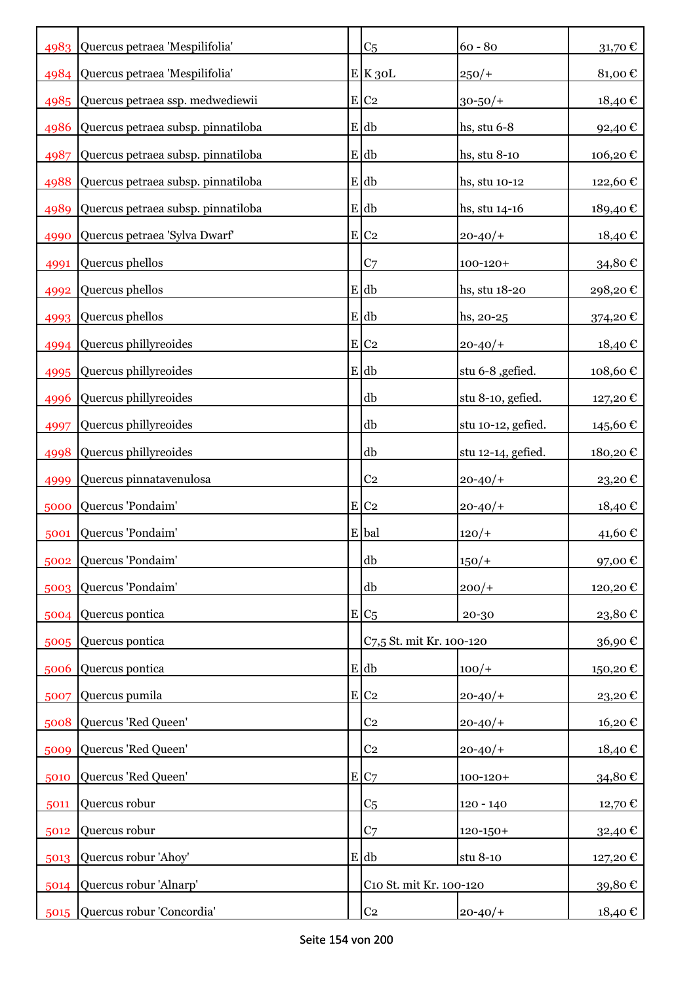|      | 4983 Quercus petraea 'Mespilifolia'   | C <sub>5</sub>           | $60 - 80$          | 31,70 $\mathbb C$ |
|------|---------------------------------------|--------------------------|--------------------|-------------------|
|      | 4984 Quercus petraea 'Mespilifolia'   | $E$ <sub>K</sub> 30L     | $250/+$            | 81,00€            |
|      | 4985 Quercus petraea ssp. medwediewii | $E$ C <sub>2</sub>       | $30 - 50/$ +       | 18,40€            |
| 4986 | Quercus petraea subsp. pinnatiloba    | E db                     | hs, stu 6-8        | 92,40€            |
| 4987 | Quercus petraea subsp. pinnatiloba    | $E$ db                   | hs, stu 8-10       | 106,20€           |
| 4988 | Quercus petraea subsp. pinnatiloba    | E db                     | hs, stu 10-12      | 122,60€           |
| 4989 | Quercus petraea subsp. pinnatiloba    | E db                     | hs, stu 14-16      | 189,40€           |
| 4990 | Quercus petraea 'Sylva Dwarf'         | $E$ C <sub>2</sub>       | $20 - 40/$         | 18,40€            |
| 4991 | Quercus phellos                       | C <sub>7</sub>           | $100 - 120 +$      | 34,80€            |
| 4992 | Quercus phellos                       | E db                     | hs, stu 18-20      | 298,20€           |
| 4993 | Quercus phellos                       | E db                     | $hs, 20-25$        | 374,20€           |
|      | 4994 Quercus phillyreoides            | $E$ C <sub>2</sub>       | $20 - 40/$         | 18,40€            |
|      | 4995 Quercus phillyreoides            | E db                     | stu 6-8 , gefied.  | 108,60€           |
| 4996 | Quercus phillyreoides                 | db                       | stu 8-10, gefied.  | 127,20€           |
| 4997 | Quercus phillyreoides                 | db                       | stu 10-12, gefied. | 145,60 €          |
| 4998 | Quercus phillyreoides                 | db                       | stu 12-14, gefied. | 180,20€           |
| 4999 | Quercus pinnatavenulosa               | C <sub>2</sub>           | $20 - 40/$         | 23,20€            |
| 5000 | Quercus 'Pondaim'                     | $E$ C <sub>2</sub>       | $20 - 40/$         | 18,40€            |
| 5001 | Quercus 'Pondaim'                     | E bal                    | $120/+$            | 41,60 €           |
|      | 5002 Quercus 'Pondaim'                | db                       | $150/+$            | 97,00€            |
| 5003 | Quercus 'Pondaim'                     | db                       | $200/+$            | 120,20€           |
| 5004 | Quercus pontica                       | $E/C_5$                  | 20-30              | 23,80€            |
| 5005 | Quercus pontica                       | C7,5 St. mit Kr. 100-120 |                    | 36,90€            |
| 5006 | Quercus pontica                       | E db                     | $100/+$            | 150,20€           |
| 5007 | Quercus pumila                        | E C2                     | $20 - 40/$         | 23,20€            |
| 5008 | Quercus 'Red Queen'                   | C <sub>2</sub>           | $20 - 40/$         | 16,20€            |
| 5009 | Quercus 'Red Queen'                   | C <sub>2</sub>           | $20 - 40/$         | 18,40€            |
| 5010 | Quercus 'Red Queen'                   | E C7                     | $100 - 120 +$      | 34,80€            |
| 5011 | Quercus robur                         | C <sub>5</sub>           | $120 - 140$        | 12,70€            |
| 5012 | Quercus robur                         | C <sub>7</sub>           | $120 - 150 +$      | 32,40€            |
| 5013 | Quercus robur 'Ahoy'                  | $E$ db                   | stu 8-10           | 127,20€           |
| 5014 | Quercus robur 'Alnarp'                | C10 St. mit Kr. 100-120  |                    | 39,80€            |
| 5015 | Quercus robur 'Concordia'             | C <sub>2</sub>           | $20 - 40/$         | 18,40 €           |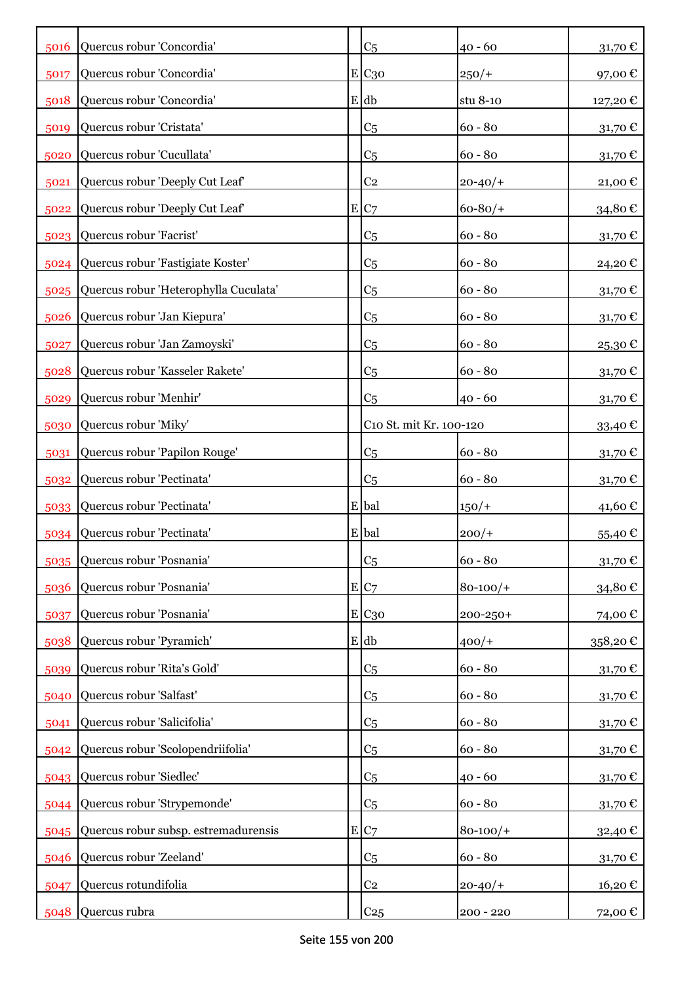| 5016 | Quercus robur 'Concordia'                  | C <sub>5</sub>          | $40 - 60$   | 31,70 $\epsilon$  |
|------|--------------------------------------------|-------------------------|-------------|-------------------|
| 5017 | Quercus robur 'Concordia'                  | $E$ C <sub>30</sub>     | $250/+$     | 97,00€            |
| 5018 | Quercus robur 'Concordia'                  | $E$ db                  | stu 8-10    | 127,20€           |
| 5019 | Quercus robur 'Cristata'                   | C <sub>5</sub>          | $60 - 80$   | 31,70 $\mathbb C$ |
| 5020 | Quercus robur 'Cucullata'                  | C <sub>5</sub>          | $60 - 80$   | 31,70€            |
| 5021 | Quercus robur 'Deeply Cut Leaf'            | C <sub>2</sub>          | $20 - 40/$  | 21,00€            |
| 5022 | Quercus robur 'Deeply Cut Leaf'            | E C7                    | $60 - 80/$  | 34,80€            |
|      | 5023 Quercus robur 'Facrist'               | C <sub>5</sub>          | $60 - 80$   | 31,70€            |
|      | 5024 Quercus robur 'Fastigiate Koster'     | C <sub>5</sub>          | $60 - 80$   | 24,20€            |
|      | 5025 Quercus robur 'Heterophylla Cuculata' | C <sub>5</sub>          | $60 - 80$   | 31,70 €           |
| 5026 | Quercus robur 'Jan Kiepura'                | C <sub>5</sub>          | $60 - 80$   | 31,70€            |
| 5027 | Quercus robur 'Jan Zamoyski'               | C <sub>5</sub>          | $60 - 80$   | 25,30€            |
| 5028 | Quercus robur 'Kasseler Rakete'            | C <sub>5</sub>          | $60 - 80$   | 31,70€            |
| 5029 | Quercus robur 'Menhir'                     | C <sub>5</sub>          | $40 - 60$   | 31,70€            |
| 5030 | Quercus robur 'Miky'                       | C10 St. mit Kr. 100-120 |             | 33,40€            |
| 5031 | Quercus robur 'Papilon Rouge'              | C <sub>5</sub>          | $60 - 80$   | 31,70€            |
| 5032 | Quercus robur 'Pectinata'                  | C <sub>5</sub>          | $60 - 80$   | 31,70€            |
| 5033 | Quercus robur 'Pectinata'                  | E bal                   | $150/+$     | 41,60€            |
|      | 5034 Quercus robur 'Pectinata'             | E bal                   | $200/+$     | 55,40€            |
|      | 5035 Quercus robur 'Posnania'              | C <sub>5</sub>          | $60 - 80$   | 31,70 $\epsilon$  |
| 5036 | Quercus robur 'Posnania'                   | E C7                    | $80 - 100/$ | 34,80€            |
| 5037 | Quercus robur 'Posnania'                   | E C30                   | 200-250+    | 74,00€            |
| 5038 | Quercus robur 'Pyramich'                   | $E$ db                  | $400/+$     | 358,20€           |
| 5039 | Quercus robur 'Rita's Gold'                | C <sub>5</sub>          | $60 - 80$   | 31,70€            |
| 5040 | Quercus robur 'Salfast'                    | C <sub>5</sub>          | $60 - 80$   | 31,70€            |
| 5041 | Quercus robur 'Salicifolia'                | C <sub>5</sub>          | $60 - 80$   | 31,70€            |
| 5042 | Quercus robur 'Scolopendriifolia'          | C <sub>5</sub>          | $60 - 80$   | 31,70€            |
| 5043 | Quercus robur 'Siedlec'                    | C <sub>5</sub>          | $40 - 60$   | 31,70€            |
| 5044 | Quercus robur 'Strypemonde'                | C <sub>5</sub>          | $60 - 80$   | 31,70€            |
| 5045 | Quercus robur subsp. estremadurensis       | E C7                    | $80 - 100/$ | 32,40€            |
| 5046 | Quercus robur 'Zeeland'                    | C <sub>5</sub>          | $60 - 80$   | 31,70 €           |
| 5047 | Quercus rotundifolia                       | C <sub>2</sub>          | $20 - 40/$  | 16,20€            |
|      | 5048 Quercus rubra                         | C <sub>25</sub>         | $200 - 220$ | 72,00 €           |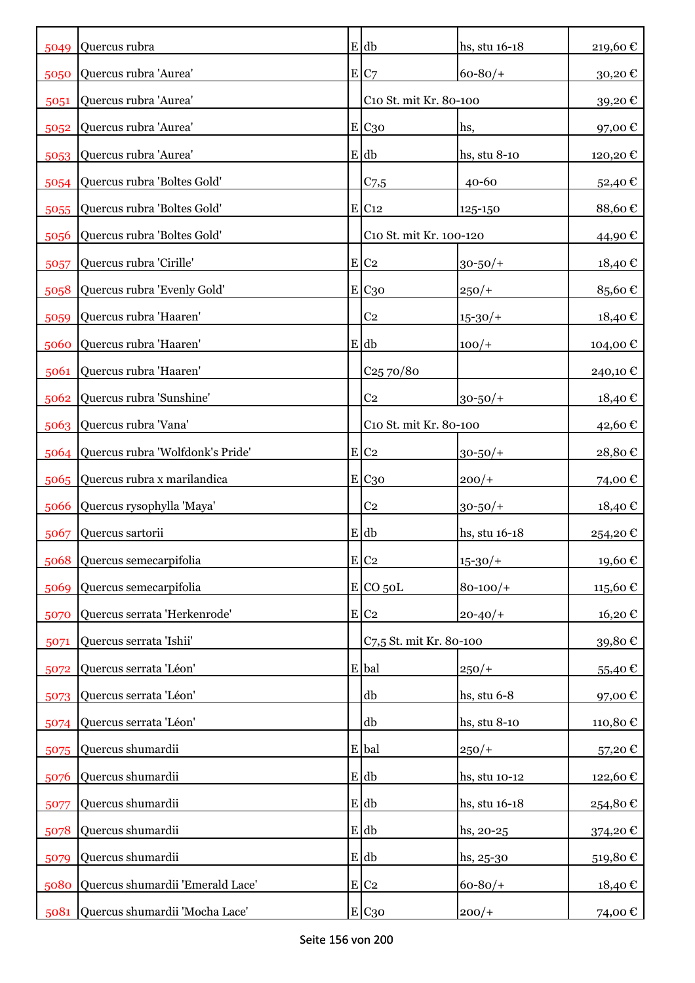| 5049 | Quercus rubra                         | $E$ db                  | hs, stu 16-18 | 219,60€  |
|------|---------------------------------------|-------------------------|---------------|----------|
| 5050 | Quercus rubra 'Aurea'                 | E C7                    | $60 - 80/$    | 30,20€   |
| 5051 | Quercus rubra 'Aurea'                 | C10 St. mit Kr. 80-100  |               | 39,20€   |
| 5052 | Quercus rubra 'Aurea'                 | E C <sub>30</sub>       | hs,           | 97,00€   |
| 5053 | Quercus rubra 'Aurea'                 | E db                    | hs, stu 8-10  | 120,20€  |
| 5054 | Quercus rubra 'Boltes Gold'           | C <sub>7,5</sub>        | $40 - 60$     | 52,40€   |
| 5055 | Quercus rubra 'Boltes Gold'           | E C12                   | 125-150       | 88,60€   |
| 5056 | Quercus rubra 'Boltes Gold'           | C10 St. mit Kr. 100-120 |               | 44,90 €  |
| 5057 | Quercus rubra 'Cirille'               | $E$ C <sub>2</sub>      | $30 - 50/$ +  | 18,40 €  |
| 5058 | Quercus rubra 'Evenly Gold'           | E C <sub>30</sub>       | $250/+$       | 85,60€   |
| 5059 | Quercus rubra 'Haaren'                | C <sub>2</sub>          | $15 - 30/$    | 18,40€   |
| 5060 | Quercus rubra 'Haaren'                | $E$ db                  | $100/+$       | 104,00 € |
| 5061 | Quercus rubra 'Haaren'                | $C_{25}70/80$           |               | 240,10 € |
| 5062 | Quercus rubra 'Sunshine'              | C <sub>2</sub>          | $30 - 50/$ +  | 18,40 €  |
|      | 5063 Quercus rubra 'Vana'             | C10 St. mit Kr. 80-100  |               | 42,60 €  |
|      | 5064 Quercus rubra 'Wolfdonk's Pride' | $E$ C <sub>2</sub>      | $30 - 50/$ +  | 28,80€   |
|      | 5065 Quercus rubra x marilandica      | E C <sub>30</sub>       | $200/+$       | 74,00 €  |
| 5066 | Quercus rysophylla 'Maya'             | C <sub>2</sub>          | $30 - 50/$ +  | 18,40€   |
| 5067 | Quercus sartorii                      | E db                    | hs, stu 16-18 | 254,20€  |
| 5068 | Quercus semecarpifolia                | $E$ C <sub>2</sub>      | $15 - 30/$    | 19,60€   |
| 5069 | Quercus semecarpifolia                | $E$ CO 50L              | $80 - 100/$ + | 115,60€  |
| 5070 | Quercus serrata 'Herkenrode'          | $E$ C <sub>2</sub>      | $20 - 40/$    | 16,20€   |
| 5071 | Quercus serrata 'Ishii'               | C7,5 St. mit Kr. 80-100 |               | 39,80€   |
| 5072 | Quercus serrata 'Léon'                | E bal                   | $250/+$       | 55,40€   |
| 5073 | Quercus serrata 'Léon'                | db                      | hs, stu 6-8   | 97,00€   |
|      | 5074 Quercus serrata 'Léon'           | db                      | hs, stu 8-10  | 110,80€  |
| 5075 | Quercus shumardii                     | E bal                   | $250/+$       | 57,20€   |
| 5076 | Quercus shumardii                     | $E$ db                  | hs, stu 10-12 | 122,60€  |
| 5077 | Quercus shumardii                     | $E$ db                  | hs, stu 16-18 | 254,80€  |
| 5078 | Quercus shumardii                     | $E$ db                  | $hs, 20-25$   | 374,20 € |
| 5079 | Quercus shumardii                     | E db                    | $hs, 25-30$   | 519,80€  |
| 5080 | Quercus shumardii 'Emerald Lace'      | $E$ C <sub>2</sub>      | $60 - 80/$    | 18,40€   |
| 5081 | Quercus shumardii 'Mocha Lace'        | E C30                   | $200/+$       | 74,00 €  |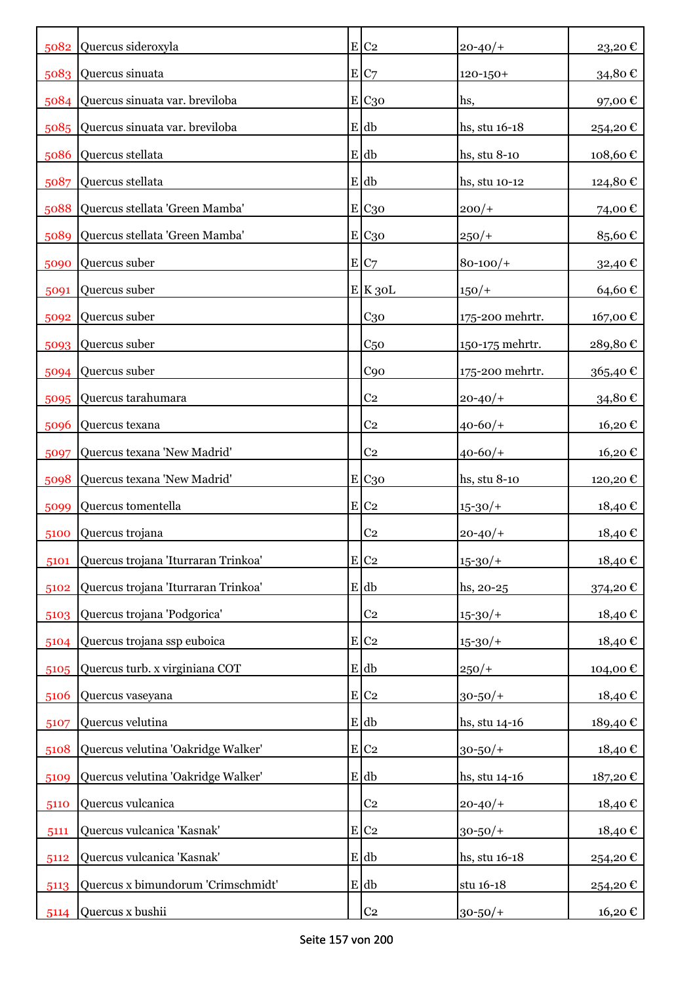|      | 5082 Quercus sideroxyla             | $E$ C <sub>2</sub> | $20 - 40/$      | 23,20€   |
|------|-------------------------------------|--------------------|-----------------|----------|
|      | 5083 Quercus sinuata                | E C7               | $120 - 150 +$   | 34,80€   |
|      | 5084 Quercus sinuata var. breviloba | E C <sub>30</sub>  | hs,             | 97,00€   |
|      | 5085 Quercus sinuata var. breviloba | E db               | hs, stu 16-18   | 254,20€  |
| 5086 | Quercus stellata                    | $E$ db             | hs, stu 8-10    | 108,60€  |
| 5087 | Quercus stellata                    | E db               | hs, stu 10-12   | 124,80€  |
| 5088 | Quercus stellata 'Green Mamba'      | E C <sub>30</sub>  | $200/+$         | 74,00€   |
| 5089 | Quercus stellata 'Green Mamba'      | E C <sub>30</sub>  | $250/+$         | 85,60€   |
| 5090 | Quercus suber                       | E C7               | $80 - 100/$     | 32,40€   |
| 5091 | Quercus suber                       | E K30L             | $150/+$         | 64,60€   |
| 5092 | Quercus suber                       | C <sub>30</sub>    | 175-200 mehrtr. | 167,00€  |
|      | 5093 Quercus suber                  | C <sub>50</sub>    | 150-175 mehrtr. | 289,80€  |
| 5094 | Quercus suber                       | C90                | 175-200 mehrtr. | 365,40€  |
| 5095 | Quercus tarahumara                  | C <sub>2</sub>     | $20 - 40/$      | 34,80€   |
| 5096 | Quercus texana                      | C <sub>2</sub>     | $40 - 60/$      | 16,20€   |
| 5097 | Quercus texana 'New Madrid'         | C <sub>2</sub>     | $40 - 60/$      | 16,20€   |
| 5098 | Quercus texana 'New Madrid'         | E C <sub>30</sub>  | hs, stu 8-10    | 120,20€  |
| 5099 | Quercus tomentella                  | $E C_2$            | $15 - 30/$      | 18,40 €  |
| 5100 | Quercus trojana                     | C <sub>2</sub>     | $20 - 40/$      | 18,40 €  |
| 5101 | Quercus trojana 'Iturraran Trinkoa' | $E$ C <sub>2</sub> | $15 - 30/$      | 18,40€   |
| 5102 | Quercus trojana 'Iturraran Trinkoa' | E db               | hs, 20-25       | 374,20€  |
| 5103 | Quercus trojana 'Podgorica'         | C <sub>2</sub>     | $15 - 30/$      | 18,40€   |
| 5104 | Quercus trojana ssp euboica         | $E C_2$            | $15 - 30/$      | 18,40€   |
| 5105 | Quercus turb. x virginiana COT      | $E$ db             | $250/+$         | 104,00€  |
| 5106 | Quercus vaseyana                    | E C2               | $30 - 50/$ +    | 18,40€   |
| 5107 | Quercus velutina                    | $E$ db             | hs, stu 14-16   | 189,40€  |
| 5108 | Quercus velutina 'Oakridge Walker'  | E C2               | $30 - 50/$ +    | 18,40€   |
| 5109 | Quercus velutina 'Oakridge Walker'  | $E$ db             | hs, stu 14-16   | 187,20€  |
| 5110 | Quercus vulcanica                   | C <sub>2</sub>     | $20 - 40/$      | 18,40€   |
| 5111 | Quercus vulcanica 'Kasnak'          | $E C_2$            | $30 - 50/$ +    | 18,40€   |
| 5112 | Quercus vulcanica 'Kasnak'          | E db               | hs, stu 16-18   | 254,20 € |
| 5113 | Quercus x bimundorum 'Crimschmidt'  | $E$ db             | stu 16-18       | 254,20€  |
| 5114 | Quercus x bushii                    | C <sub>2</sub>     | $30 - 50/$ +    | 16,20€   |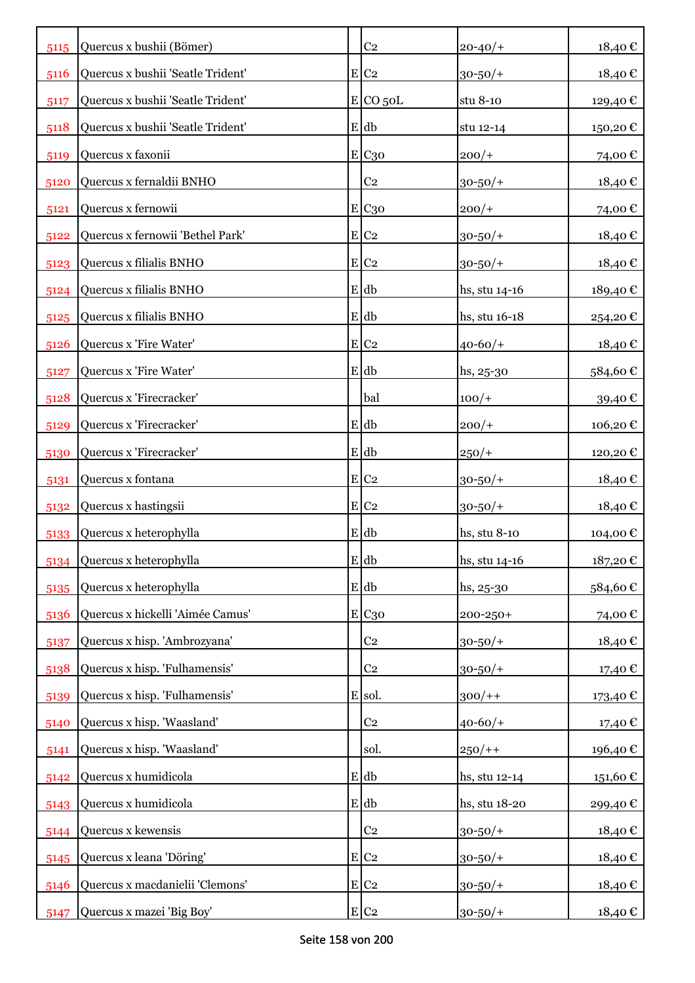| 5115 | Quercus x bushii (Bömer)          | C <sub>2</sub>     | $20 - 40/$    | 18,40€                 |
|------|-----------------------------------|--------------------|---------------|------------------------|
| 5116 | Quercus x bushii 'Seatle Trident' | $E$ C <sub>2</sub> | $30 - 50/$ +  | 18,40€                 |
| 5117 | Quercus x bushii 'Seatle Trident' | $E$ CO 50L         | stu 8-10      | 129,40 €               |
| 5118 | Quercus x bushii 'Seatle Trident' | $E$ db             | stu 12-14     | 150,20€                |
| 5119 | Quercus x faxonii                 | E C <sub>30</sub>  | $200/+$       | 74,00€                 |
| 5120 | Quercus x fernaldii BNHO          | C <sub>2</sub>     | $30 - 50/$ +  | 18,40€                 |
| 5121 | Quercus x fernowii                | E C <sub>30</sub>  | $200/+$       | 74,00€                 |
| 5122 | Quercus x fernowii 'Bethel Park'  | $E$ C <sub>2</sub> | $30 - 50/$ +  | 18,40€                 |
| 5123 | Quercus x filialis BNHO           | $E$ C <sub>2</sub> | $30 - 50/$ +  | 18,40€                 |
| 5124 | Quercus x filialis BNHO           | E db               | hs, stu 14-16 | 189,40€                |
| 5125 | Quercus x filialis BNHO           | $E$ db             | hs, stu 16-18 | 254,20€                |
| 5126 | Quercus x 'Fire Water'            | $E$ C <sub>2</sub> | $40 - 60/$    | 18,40€                 |
| 5127 | Quercus x 'Fire Water'            | E db               | hs, 25-30     | 584,60€                |
| 5128 | Quercus x 'Firecracker'           | bal                | $100/+$       | 39,40€                 |
| 5129 | Quercus x 'Firecracker'           | E db               | $200/+$       | 106,20€                |
| 5130 | Quercus x 'Firecracker'           | $E$ db             | $250/+$       | 120,20€                |
| 5131 | Quercus x fontana                 | $E C_2$            | $30 - 50/$ +  | 18,40 €                |
| 5132 | Quercus x hastingsii              | E C2               | $30 - 50/$ +  | 18,40 €                |
| 5133 | Quercus x heterophylla            | E db               | hs, stu 8-10  | 104,00€                |
| 5134 | Quercus x heterophylla            | $E$ db             | hs, stu 14-16 | 187,20€                |
| 5135 | Quercus x heterophylla            | $E$ db             | $hs, 25-30$   | 584,60€                |
| 5136 | Quercus x hickelli 'Aimée Camus'  | E C30              | 200-250+      | 74,00€                 |
| 5137 | Quercus x hisp. 'Ambrozyana'      | C <sub>2</sub>     | $30 - 50/$ +  | 18,40€                 |
| 5138 | Quercus x hisp. 'Fulhamensis'     | C <sub>2</sub>     | $30 - 50/$ +  | 17,40€                 |
| 5139 | Quercus x hisp. 'Fulhamensis'     | E sol.             | $300/+$       | 173,40 €               |
| 5140 | Quercus x hisp. 'Waasland'        | C <sub>2</sub>     | $40 - 60/$    | 17,40 €                |
| 5141 | Quercus x hisp. 'Waasland'        | sol.               | $250/+$       | 196,40€                |
| 5142 | Quercus x humidicola              | $E$ db             | hs, stu 12-14 | $151{,}60$ $\mathbb C$ |
| 5143 | Quercus x humidicola              | $E$ db             | hs, stu 18-20 | 299,40€                |
| 5144 | Quercus x kewensis                | C <sub>2</sub>     | $30 - 50/$ +  | 18,40€                 |
| 5145 | Quercus x leana 'Döring'          | $E$ C <sub>2</sub> | $30 - 50/$ +  | 18,40€                 |
| 5146 | Quercus x macdanielii 'Clemons'   | $E C_2$            | $30 - 50/$ +  | 18,40 €                |
| 5147 | Quercus x mazei 'Big Boy'         | $E C_2$            | $30 - 50/$ +  | 18,40 €                |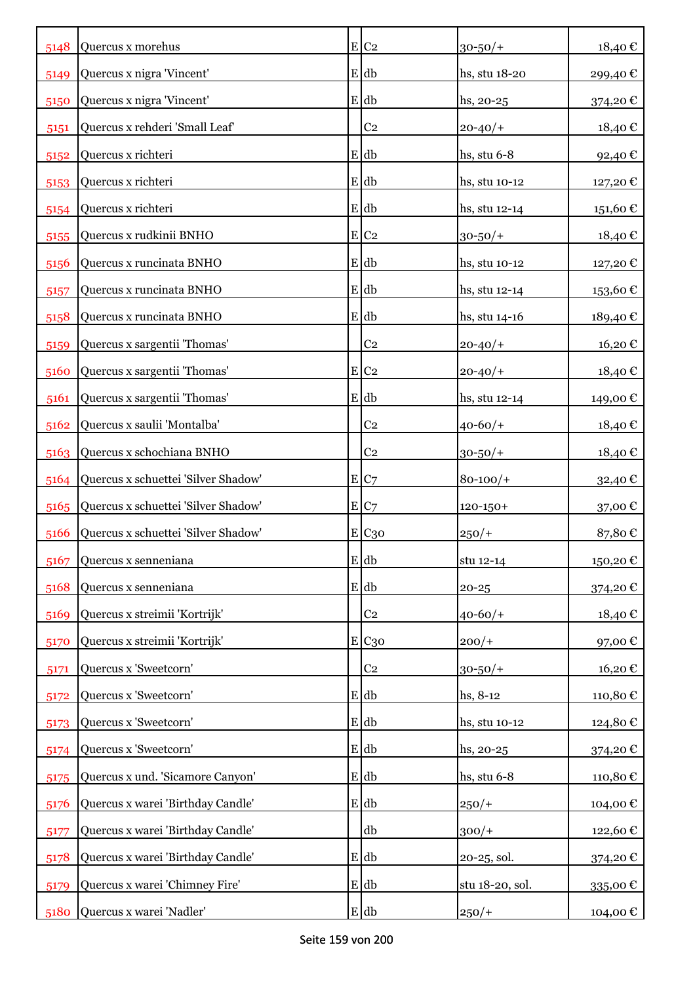| 5148 | Quercus x morehus                   | $E$ C <sub>2</sub> | $30 - 50/$ +    | 18,40€   |
|------|-------------------------------------|--------------------|-----------------|----------|
| 5149 | Quercus x nigra 'Vincent'           | E db               | hs, stu 18-20   | 299,40€  |
| 5150 | Quercus x nigra 'Vincent'           | E db               | hs, 20-25       | 374,20€  |
| 5151 | Quercus x rehderi 'Small Leaf'      | C <sub>2</sub>     | $20 - 40/$      | 18,40€   |
| 5152 | Quercus x richteri                  | $E$ db             | hs, stu 6-8     | 92,40€   |
| 5153 | Quercus x richteri                  | E db               | hs, stu 10-12   | 127,20€  |
| 5154 | Quercus x richteri                  | E db               | hs, stu 12-14   | 151,60€  |
| 5155 | Quercus x rudkinii BNHO             | $E$ C <sub>2</sub> | $30 - 50/$ +    | 18,40€   |
| 5156 | Quercus x runcinata BNHO            | E db               | hs, stu 10-12   | 127,20€  |
| 5157 | Quercus x runcinata BNHO            | E db               | hs, stu 12-14   | 153,60€  |
| 5158 | Quercus x runcinata BNHO            | E db               | hs, stu 14-16   | 189,40€  |
| 5159 | Quercus x sargentii 'Thomas'        | C <sub>2</sub>     | $20 - 40/$      | 16,20€   |
| 5160 | Quercus x sargentii 'Thomas'        | $E$ C <sub>2</sub> | $20 - 40/$      | 18,40€   |
| 5161 | Quercus x sargentii 'Thomas'        | E db               | hs, stu 12-14   | 149,00 € |
| 5162 | Quercus x saulii 'Montalba'         | C <sub>2</sub>     | $40 - 60/$      | 18,40€   |
| 5163 | Quercus x schochiana BNHO           | C <sub>2</sub>     | $30 - 50/$ +    | 18,40€   |
| 5164 | Quercus x schuettei 'Silver Shadow' | E C7               | $80 - 100/$     | 32,40€   |
| 5165 | Quercus x schuettei 'Silver Shadow' | E C7               | $120 - 150 +$   | 37,00€   |
| 5166 | Quercus x schuettei 'Silver Shadow' | E C <sub>30</sub>  | $250/+$         | 87,80€   |
| 5167 | Quercus x senneniana                | $E$ db             | stu 12-14       | 150,20€  |
| 5168 | Quercus x senneniana                | $E$ db             | $20 - 25$       | 374,20€  |
| 5169 | Quercus x streimii 'Kortrijk'       | C <sub>2</sub>     | $40 - 60/$      | 18,40€   |
| 5170 | Quercus x streimii 'Kortrijk'       | E C30              | $200/+$         | 97,00€   |
| 5171 | Quercus x 'Sweetcorn'               | C <sub>2</sub>     | $30 - 50/$ +    | 16,20€   |
| 5172 | Quercus x 'Sweetcorn'               | E db               | hs, 8-12        | 110,80€  |
| 5173 | Quercus x 'Sweetcorn'               | $E$ db             | hs, stu 10-12   | 124,80€  |
| 5174 | Quercus x 'Sweetcorn'               | $E$ db             | hs, 20-25       | 374,20€  |
| 5175 | Quercus x und. 'Sicamore Canyon'    | $E$ db             | hs, stu $6-8$   | 110,80€  |
| 5176 | Quercus x warei 'Birthday Candle'   | E db               | $250/+$         | 104,00€  |
| 5177 | Quercus x warei 'Birthday Candle'   | db                 | $300/+$         | 122,60€  |
| 5178 | Quercus x warei 'Birthday Candle'   | $E$ db             | 20-25, sol.     | 374,20 € |
| 5179 | Quercus x warei 'Chimney Fire'      | E db               | stu 18-20, sol. | 335,00€  |
| 5180 | Quercus x warei 'Nadler'            | $E$ db             | $250/+$         | 104,00 € |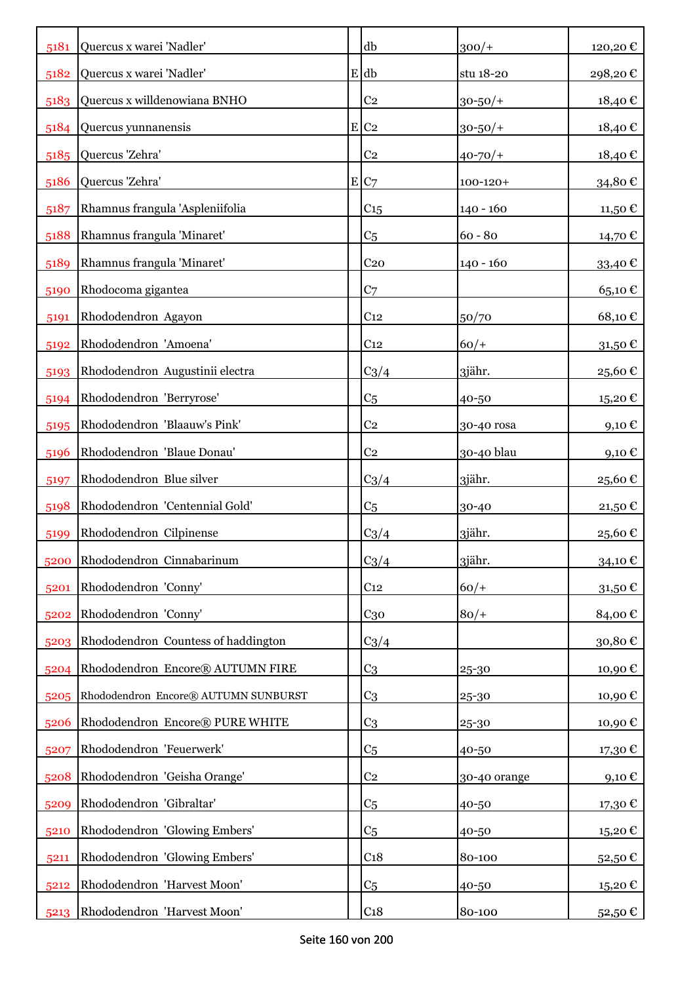| 5181 | Quercus x warei 'Nadler'             | db                 | $300/+$       | 120,20€    |
|------|--------------------------------------|--------------------|---------------|------------|
| 5182 | Quercus x warei 'Nadler'             | E db               | stu 18-20     | 298,20€    |
| 5183 | Quercus x willdenowiana BNHO         | C <sub>2</sub>     | $30 - 50/$ +  | 18,40€     |
| 5184 | Quercus yunnanensis                  | $E$ C <sub>2</sub> | $30 - 50/$ +  | 18,40€     |
| 5185 | Quercus 'Zehra'                      | C <sub>2</sub>     | $40 - 70/$    | 18,40€     |
| 5186 | Quercus 'Zehra'                      | E C7               | $100 - 120 +$ | 34,80€     |
| 5187 | Rhamnus frangula 'Aspleniifolia      | C <sub>15</sub>    | $140 - 160$   | 11,50 €    |
| 5188 | Rhamnus frangula 'Minaret'           | C <sub>5</sub>     | $60 - 80$     | 14,70 €    |
| 5189 | Rhamnus frangula 'Minaret'           | C <sub>20</sub>    | 140 - 160     | 33,40€     |
| 5190 | Rhodocoma gigantea                   | C <sub>7</sub>     |               | 65,10€     |
| 5191 | Rhododendron Agayon                  | C <sub>12</sub>    | 50/70         | 68,10€     |
| 5192 | Rhododendron 'Amoena'                | C <sub>12</sub>    | $60/+$        | 31,50€     |
| 5193 | Rhododendron Augustinii electra      | $C_3/4$            | 3jähr.        | 25,60€     |
| 5194 | Rhododendron 'Berryrose'             | C <sub>5</sub>     | 40-50         | 15,20€     |
| 5195 | Rhododendron 'Blaauw's Pink'         | C <sub>2</sub>     | 30-40 rosa    | 9,10€      |
| 5196 | Rhododendron 'Blaue Donau'           | C <sub>2</sub>     | 30-40 blau    | $9,10 \in$ |
| 5197 | Rhododendron Blue silver             | $C_3/4$            | 3jähr.        | 25,60€     |
| 5198 | Rhododendron 'Centennial Gold'       | C <sub>5</sub>     | 30-40         | 21,50€     |
| 5199 | Rhododendron Cilpinense              | $C_3/4$            | 3jähr.        | 25,60€     |
|      | 5200 Rhododendron Cinnabarinum       | $C_3/4$            | 3jähr.        | 34,10€     |
| 5201 | Rhododendron 'Conny'                 | C <sub>12</sub>    | $60/+$        | 31,50€     |
| 5202 | Rhododendron 'Conny'                 | $C_{30}$           | $80/+$        | 84,00€     |
| 5203 | Rhododendron Countess of haddington  | $C_3/4$            |               | 30,80€     |
| 5204 | Rhododendron Encore® AUTUMN FIRE     | C <sub>3</sub>     | 25-30         | 10,90€     |
| 5205 | Rhododendron Encore® AUTUMN SUNBURST | C <sub>3</sub>     | 25-30         | 10,90€     |
| 5206 | Rhododendron Encore® PURE WHITE      | C <sub>3</sub>     | 25-30         | 10,90€     |
| 5207 | Rhododendron 'Feuerwerk'             | C <sub>5</sub>     | 40-50         | 17,30 €    |
| 5208 | Rhododendron 'Geisha Orange'         | C <sub>2</sub>     | 30-40 orange  | 9,10€      |
| 5209 | Rhododendron 'Gibraltar'             | C <sub>5</sub>     | 40-50         | 17,30€     |
| 5210 | Rhododendron 'Glowing Embers'        | C <sub>5</sub>     | 40-50         | 15,20€     |
| 5211 | Rhododendron 'Glowing Embers'        | C <sub>18</sub>    | 80-100        | 52,50€     |
| 5212 | Rhododendron 'Harvest Moon'          | C <sub>5</sub>     | 40-50         | 15,20€     |
| 5213 | Rhododendron 'Harvest Moon'          | C <sub>18</sub>    | 80-100        | 52,50 €    |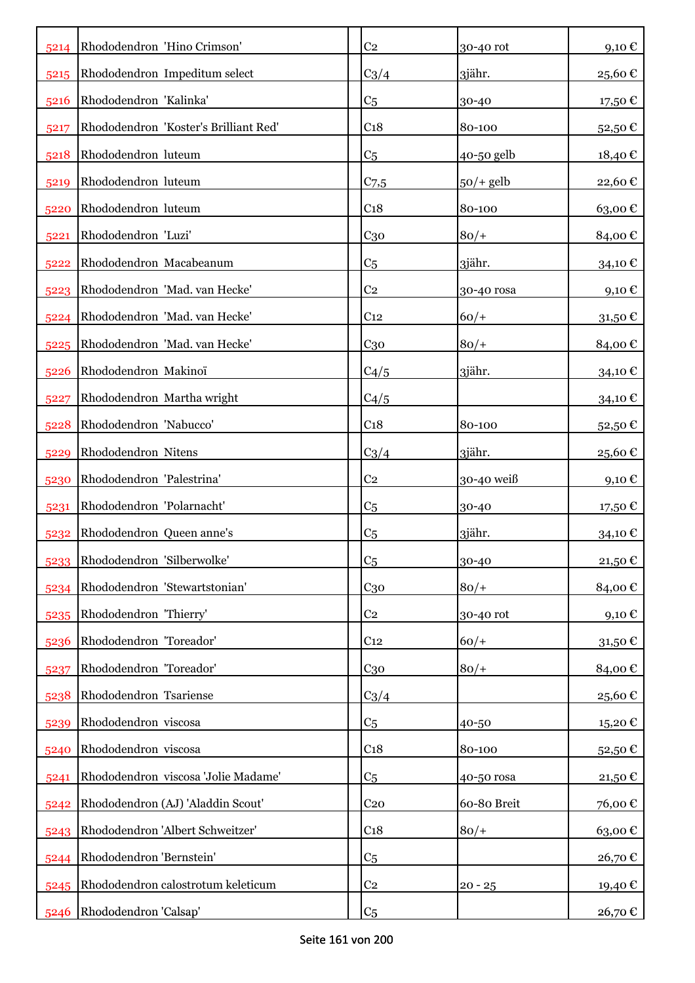| 5214 | Rhododendron 'Hino Crimson'           | C <sub>2</sub>  | 30-40 rot   | $9,10 \text{ } \in$ |
|------|---------------------------------------|-----------------|-------------|---------------------|
| 5215 | Rhododendron Impeditum select         | $C_3/4$         | 3jähr.      | 25,60€              |
| 5216 | Rhododendron 'Kalinka'                | C <sub>5</sub>  | 30-40       | 17,50 €             |
| 5217 | Rhododendron 'Koster's Brilliant Red' | C <sub>18</sub> | 80-100      | 52,50€              |
| 5218 | Rhododendron luteum                   | C <sub>5</sub>  | 40-50 gelb  | 18,40€              |
| 5219 | Rhododendron luteum                   | $C_{7,5}$       | $50/+$ gelb | 22,60€              |
| 5220 | Rhododendron luteum                   | C <sub>18</sub> | 80-100      | 63,00€              |
| 5221 | Rhododendron 'Luzi'                   | $C_{30}$        | $80/+$      | 84,00€              |
| 5222 | Rhododendron Macabeanum               | C <sub>5</sub>  | 3jähr.      | 34,10 €             |
| 5223 | Rhododendron 'Mad. van Hecke'         | C <sub>2</sub>  | 30-40 rosa  | 9,10 $\epsilon$     |
| 5224 | Rhododendron 'Mad. van Hecke'         | C <sub>12</sub> | $60/+$      | $31,50 \in$         |
| 5225 | Rhododendron 'Mad. van Hecke'         | $C_{30}$        | $80/+$      | 84,00€              |
| 5226 | Rhododendron Makinoï                  | C4/5            | 3jähr.      | $34,10 \in$         |
| 5227 | Rhododendron Martha wright            | C4/5            |             | 34,10€              |
| 5228 | Rhododendron 'Nabucco'                | C <sub>18</sub> | 80-100      | 52,50€              |
| 5229 | Rhododendron Nitens                   | $C_3/4$         | 3jähr.      | 25,60€              |
| 5230 | Rhododendron 'Palestrina'             | C <sub>2</sub>  | 30-40 weiß  | 9,10 $\epsilon$     |
| 5231 | Rhododendron 'Polarnacht'             | C <sub>5</sub>  | 30-40       | 17,50 €             |
| 5232 | Rhododendron Queen anne's             | C <sub>5</sub>  | 3jähr.      | 34,10 €             |
| 5233 | Rhododendron 'Silberwolke'            | C <sub>5</sub>  | 30-40       | 21,50 €             |
| 5234 | Rhododendron 'Stewartstonian'         | $C_{30}$        | $80/+$      | 84,00€              |
| 5235 | Rhododendron 'Thierry'                | C <sub>2</sub>  | 30-40 rot   | 9,10€               |
| 5236 | Rhododendron 'Toreador'               | C <sub>12</sub> | $60/+$      | 31,50€              |
| 5237 | Rhododendron 'Toreador'               | C <sub>30</sub> | $80/+$      | 84,00€              |
| 5238 | Rhododendron Tsariense                | $C_3/4$         |             | 25,60€              |
| 5239 | Rhododendron viscosa                  | C <sub>5</sub>  | 40-50       | 15,20€              |
| 5240 | Rhododendron viscosa                  | C <sub>18</sub> | 80-100      | 52,50€              |
| 5241 | Rhododendron viscosa 'Jolie Madame'   | C <sub>5</sub>  | 40-50 rosa  | 21,50€              |
| 5242 | Rhododendron (AJ) 'Aladdin Scout'     | C <sub>20</sub> | 60-80 Breit | 76,00€              |
| 5243 | Rhododendron 'Albert Schweitzer'      | C <sub>18</sub> | $80/+$      | 63,00€              |
| 5244 | Rhododendron 'Bernstein'              | C <sub>5</sub>  |             | 26,70€              |
| 5245 | Rhododendron calostrotum keleticum    | C <sub>2</sub>  | $20 - 25$   | 19,40 €             |
| 5246 | Rhododendron 'Calsap'                 | C <sub>5</sub>  |             | 26,70€              |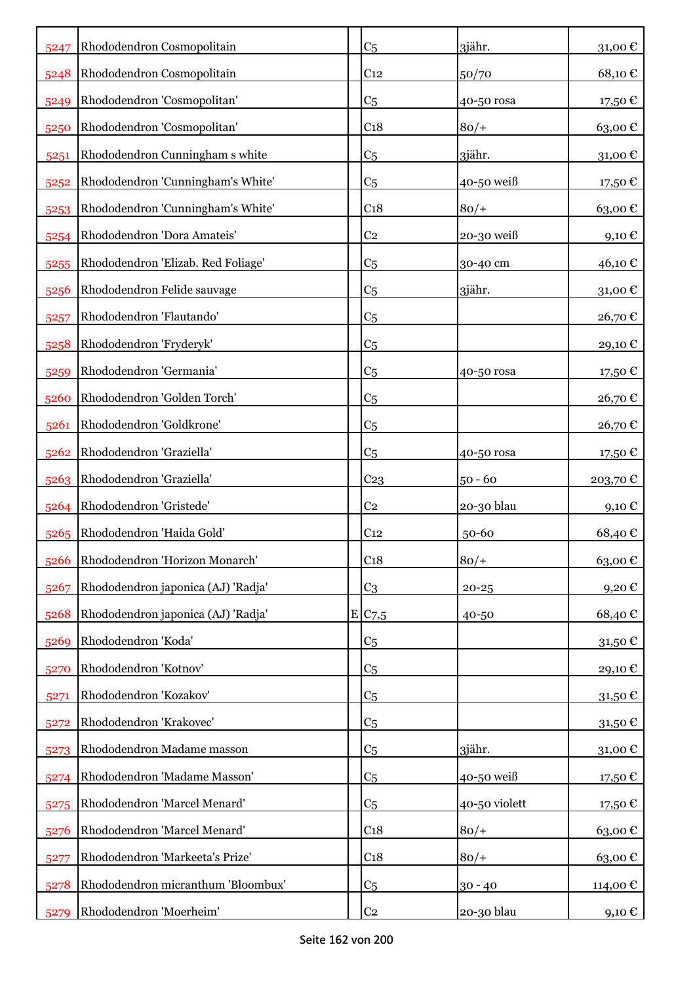| 5247 | Rhododendron Cosmopolitain         | C <sub>5</sub>     | 3jähr.        | 31,00€            |
|------|------------------------------------|--------------------|---------------|-------------------|
| 5248 | Rhododendron Cosmopolitain         | C <sub>12</sub>    | 50/70         | 68,10€            |
| 5249 | Rhododendron 'Cosmopolitan'        | C <sub>5</sub>     | 40-50 rosa    | 17,50€            |
| 5250 | Rhododendron 'Cosmopolitan'        | C <sub>18</sub>    | $80/+$        | 63,00€            |
| 5251 | Rhododendron Cunningham s white    | C <sub>5</sub>     | 3jähr.        | 31,00€            |
| 5252 | Rhododendron 'Cunningham's White'  | C <sub>5</sub>     | 40-50 weiß    | 17,50€            |
| 5253 | Rhododendron 'Cunningham's White'  | C <sub>18</sub>    | $80/+$        | 63,00€            |
| 5254 | Rhododendron 'Dora Amateis'        | C <sub>2</sub>     | 20-30 weiß    | 9,10 $\epsilon$   |
| 5255 | Rhododendron 'Elizab. Red Foliage' | C <sub>5</sub>     | 30-40 cm      | 46,10 €           |
| 5256 | Rhododendron Felide sauvage        | C <sub>5</sub>     | 3jähr.        | 31,00€            |
| 5257 | Rhododendron 'Flautando'           | C <sub>5</sub>     |               | 26,70€            |
| 5258 | Rhododendron 'Fryderyk'            | C <sub>5</sub>     |               | 29,10€            |
| 5259 | Rhododendron 'Germania'            | C <sub>5</sub>     | 40-50 rosa    | 17,50 €           |
| 5260 | Rhododendron 'Golden Torch'        | C <sub>5</sub>     |               | 26,70€            |
| 5261 | Rhododendron 'Goldkrone'           | C <sub>5</sub>     |               | 26,70€            |
| 5262 | Rhododendron 'Graziella'           | C <sub>5</sub>     | 40-50 rosa    | 17,50 €           |
| 5263 | Rhododendron 'Graziella'           | C <sub>23</sub>    | $50 - 60$     | 203,70€           |
| 5264 | Rhododendron 'Gristede'            | C <sub>2</sub>     | 20-30 blau    | 9,10 $\epsilon$   |
| 5265 | Rhododendron 'Haida Gold'          | C <sub>12</sub>    | 50-60         | 68,40€            |
| 5266 | Rhododendron 'Horizon Monarch'     | C <sub>18</sub>    | $80/+$        | 63,00€            |
| 5267 | Rhododendron japonica (AJ) 'Radja' | C <sub>3</sub>     | $20 - 25$     | 9,20€             |
| 5268 | Rhododendron japonica (AJ) 'Radja' | E/C <sub>7,5</sub> | 40-50         | 68,40€            |
| 5269 | Rhododendron 'Koda'                | C <sub>5</sub>     |               | 31,50€            |
| 5270 | Rhododendron 'Kotnov'              | C <sub>5</sub>     |               | 29,10€            |
| 5271 | Rhododendron 'Kozakov'             | C <sub>5</sub>     |               | 31,50 $\mathbb C$ |
| 5272 | Rhododendron 'Krakovec'            | C <sub>5</sub>     |               | 31,50€            |
| 5273 | Rhododendron Madame masson         | C <sub>5</sub>     | 3jähr.        | 31,00 $\mathbb C$ |
| 5274 | Rhododendron 'Madame Masson'       | C <sub>5</sub>     | 40-50 weiß    | 17,50€            |
| 5275 | Rhododendron 'Marcel Menard'       | C <sub>5</sub>     | 40-50 violett | 17,50€            |
| 5276 | Rhododendron 'Marcel Menard'       | C <sub>18</sub>    | $80/+$        | 63,00€            |
| 5277 | Rhododendron 'Markeeta's Prize'    | C <sub>18</sub>    | $80/+$        | 63,00€            |
| 5278 | Rhododendron micranthum 'Bloombux' | C <sub>5</sub>     | $30 - 40$     | 114,00 €          |
| 5279 | Rhododendron 'Moerheim'            | C <sub>2</sub>     | 20-30 blau    | 9,10 $\in$        |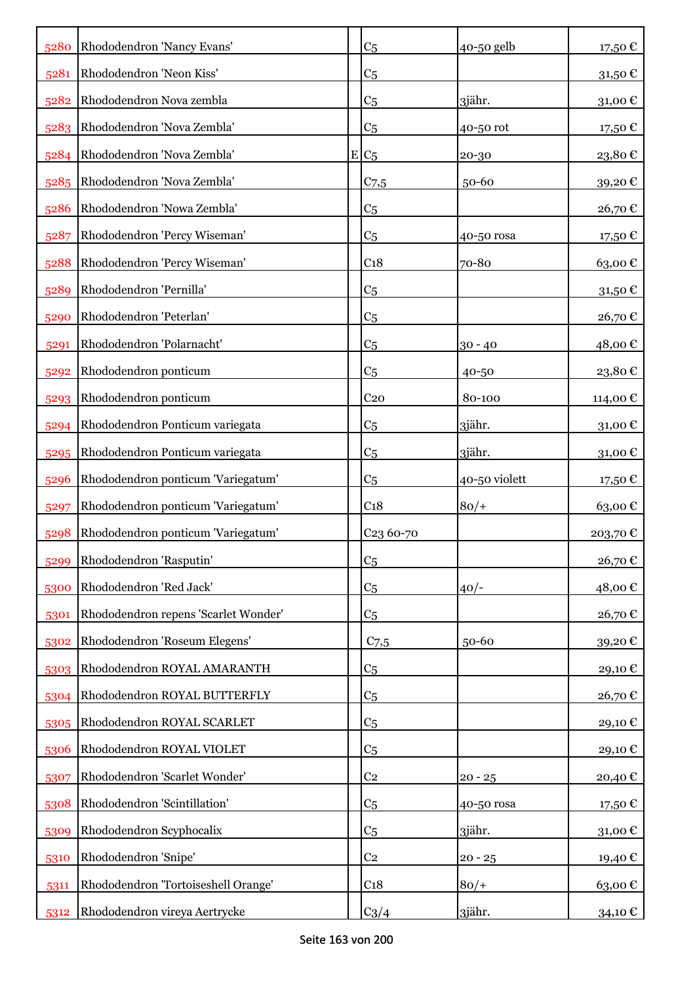|      | 5280 Rhododendron 'Nancy Evans'      | C <sub>5</sub>        | 40-50 gelb    | 17,50€  |
|------|--------------------------------------|-----------------------|---------------|---------|
| 5281 | Rhododendron 'Neon Kiss'             | C <sub>5</sub>        |               | 31,50€  |
| 5282 | Rhododendron Nova zembla             | C <sub>5</sub>        | 3jähr.        | 31,00€  |
| 5283 | Rhododendron 'Nova Zembla'           | C <sub>5</sub>        | 40-50 rot     | 17,50 € |
| 5284 | Rhododendron 'Nova Zembla'           | $E C_5$               | 20-30         | 23,80€  |
| 5285 | Rhododendron 'Nova Zembla'           | C <sub>7,5</sub>      | $50 - 60$     | 39,20€  |
| 5286 | Rhododendron 'Nowa Zembla'           | C <sub>5</sub>        |               | 26,70€  |
| 5287 | Rhododendron 'Percy Wiseman'         | C <sub>5</sub>        | 40-50 rosa    | 17,50 € |
| 5288 | Rhododendron 'Percy Wiseman'         | C <sub>18</sub>       | 70-80         | 63,00€  |
| 5289 | Rhododendron 'Pernilla'              | C <sub>5</sub>        |               | 31,50€  |
| 5290 | Rhododendron 'Peterlan'              | C <sub>5</sub>        |               | 26,70€  |
| 5291 | Rhododendron 'Polarnacht'            | C <sub>5</sub>        | $30 - 40$     | 48,00€  |
| 5292 | Rhododendron ponticum                | C <sub>5</sub>        | 40-50         | 23,80€  |
| 5293 | Rhododendron ponticum                | C <sub>20</sub>       | 80-100        | 114,00€ |
| 5294 | Rhododendron Ponticum variegata      | C <sub>5</sub>        | 3jähr.        | 31,00€  |
| 5295 | Rhododendron Ponticum variegata      | C <sub>5</sub>        | 3jähr.        | 31,00€  |
| 5296 | Rhododendron ponticum 'Variegatum'   | C <sub>5</sub>        | 40-50 violett | 17,50 € |
| 5297 | Rhododendron ponticum 'Variegatum'   | C <sub>18</sub>       | $80/+$        | 63,00€  |
| 5298 | Rhododendron ponticum 'Variegatum'   | C <sub>23</sub> 60-70 |               | 203,70€ |
| 5299 | Rhododendron 'Rasputin'              | C <sub>5</sub>        |               | 26,70€  |
| 5300 | Rhododendron 'Red Jack'              | C <sub>5</sub>        | $40/-$        | 48,00€  |
| 5301 | Rhododendron repens 'Scarlet Wonder' | C <sub>5</sub>        |               | 26,70€  |
| 5302 | Rhododendron 'Roseum Elegens'        | $C$ 7,5               | $50 - 60$     | 39,20€  |
| 5303 | Rhododendron ROYAL AMARANTH          | C <sub>5</sub>        |               | 29,10€  |
| 5304 | Rhododendron ROYAL BUTTERFLY         | C <sub>5</sub>        |               | 26,70€  |
| 5305 | Rhododendron ROYAL SCARLET           | C <sub>5</sub>        |               | 29,10€  |
| 5306 | Rhododendron ROYAL VIOLET            | C <sub>5</sub>        |               | 29,10€  |
| 5307 | Rhododendron 'Scarlet Wonder'        | C <sub>2</sub>        | $20 - 25$     | 20,40€  |
| 5308 | Rhododendron 'Scintillation'         | C <sub>5</sub>        | 40-50 rosa    | 17,50€  |
| 5309 | Rhododendron Scyphocalix             | C <sub>5</sub>        | 3jähr.        | 31,00€  |
| 5310 | Rhododendron 'Snipe'                 | C <sub>2</sub>        | $20 - 25$     | 19,40 € |
| 5311 | Rhododendron 'Tortoiseshell Orange'  | C <sub>18</sub>       | $80/+$        | 63,00€  |
| 5312 | Rhododendron vireya Aertrycke        | $C_3/4$               | 3jähr.        | 34,10 € |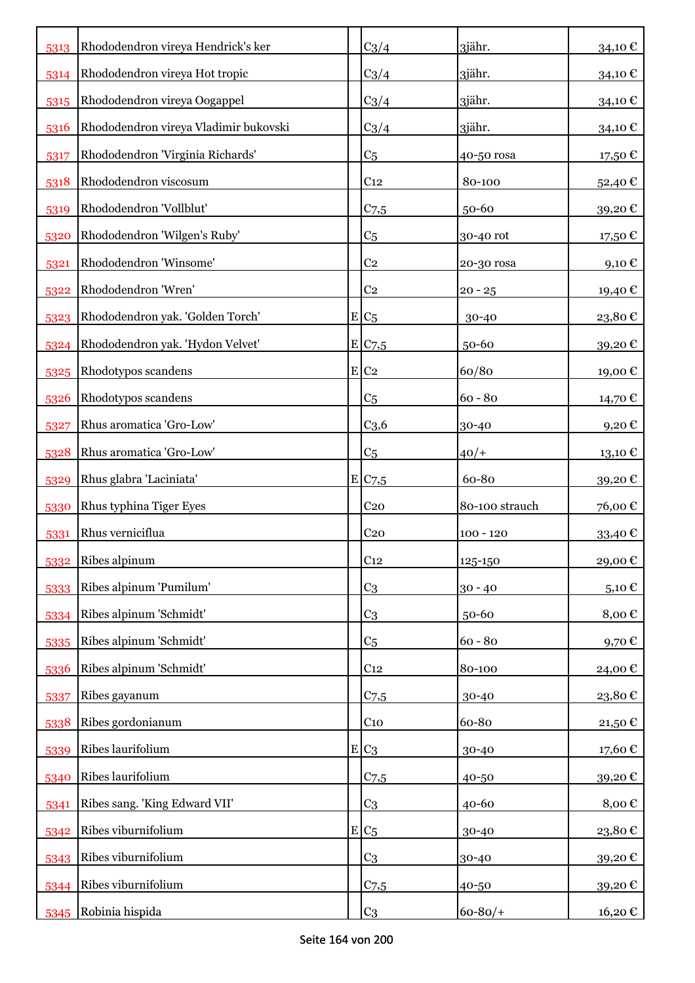| 5313 | Rhododendron vireya Hendrick's ker    | $C_3/4$            | 3jähr.         | 34,10€            |
|------|---------------------------------------|--------------------|----------------|-------------------|
| 5314 | Rhododendron vireya Hot tropic        | $C_3/4$            | 3jähr.         | 34,10 €           |
| 5315 | Rhododendron vireya Oogappel          | $C_3/4$            | 3jähr.         | 34,10€            |
| 5316 | Rhododendron vireya Vladimir bukovski | $C_3/4$            | 3jähr.         | 34,10€            |
| 5317 | Rhododendron 'Virginia Richards'      | C <sub>5</sub>     | 40-50 rosa     | 17,50€            |
| 5318 | Rhododendron viscosum                 | C <sub>12</sub>    | 80-100         | 52,40€            |
| 5319 | Rhododendron 'Vollblut'               | $C$ 7,5            | 50-60          | 39,20€            |
| 5320 | Rhododendron 'Wilgen's Ruby'          | C <sub>5</sub>     | 30-40 rot      | 17,50 €           |
| 5321 | Rhododendron 'Winsome'                | C <sub>2</sub>     | 20-30 rosa     | 9,10 $\epsilon$   |
| 5322 | Rhododendron 'Wren'                   | C <sub>2</sub>     | $20 - 25$      | 19,40 €           |
| 5323 | Rhododendron yak. 'Golden Torch'      | $E/C_5$            | 30-40          | 23,80€            |
| 5324 | Rhododendron yak. 'Hydon Velvet'      | E C7,5             | 50-60          | 39,20€            |
| 5325 | Rhodotypos scandens                   | $E$ C <sub>2</sub> | 60/80          | 19,00€            |
| 5326 | Rhodotypos scandens                   | C <sub>5</sub>     | $60 - 80$      | 14,70 €           |
| 5327 | Rhus aromatica 'Gro-Low'              | C <sub>3,6</sub>   | 30-40          | 9,20€             |
| 5328 | Rhus aromatica 'Gro-Low'              | C <sub>5</sub>     | $40/+$         | $13,10 \text{ }€$ |
| 5329 | Rhus glabra 'Laciniata'               | E C7,5             | 60-80          | 39,20€            |
| 5330 | Rhus typhina Tiger Eyes               | C <sub>20</sub>    | 80-100 strauch | 76,00€            |
| 5331 | Rhus verniciflua                      | C <sub>20</sub>    | $100 - 120$    | 33,40 €           |
| 5332 | Ribes alpinum                         | C <sub>12</sub>    | 125-150        | 29,00€            |
| 5333 | Ribes alpinum 'Pumilum'               | C <sub>3</sub>     | $30 - 40$      | 5,10€             |
| 5334 | Ribes alpinum 'Schmidt'               | C <sub>3</sub>     | 50-60          | 8,00€             |
| 5335 | Ribes alpinum 'Schmidt'               | C <sub>5</sub>     | $60 - 80$      | 9,70€             |
| 5336 | Ribes alpinum 'Schmidt'               | C <sub>12</sub>    | 80-100         | 24,00€            |
| 5337 | Ribes gayanum                         | $C$ 7,5            | 30-40          | 23,80€            |
| 5338 | Ribes gordonianum                     | C <sub>10</sub>    | 60-80          | 21,50€            |
| 5339 | Ribes laurifolium                     | $E C_3$            | 30-40          | 17,60€            |
| 5340 | Ribes laurifolium                     | $C$ 7,5            | 40-50          | 39,20€            |
| 5341 | Ribes sang. 'King Edward VII'         | C <sub>3</sub>     | 40-60          | 8,00€             |
| 5342 | Ribes viburnifolium                   | $E C_5$            | 30-40          | 23,80€            |
| 5343 | Ribes viburnifolium                   | C <sub>3</sub>     | 30-40          | 39,20€            |
| 5344 | Ribes viburnifolium                   | $C$ 7,5            | 40-50          | 39,20€            |
| 5345 | Robinia hispida                       | C <sub>3</sub>     | $60 - 80/$     | 16,20 €           |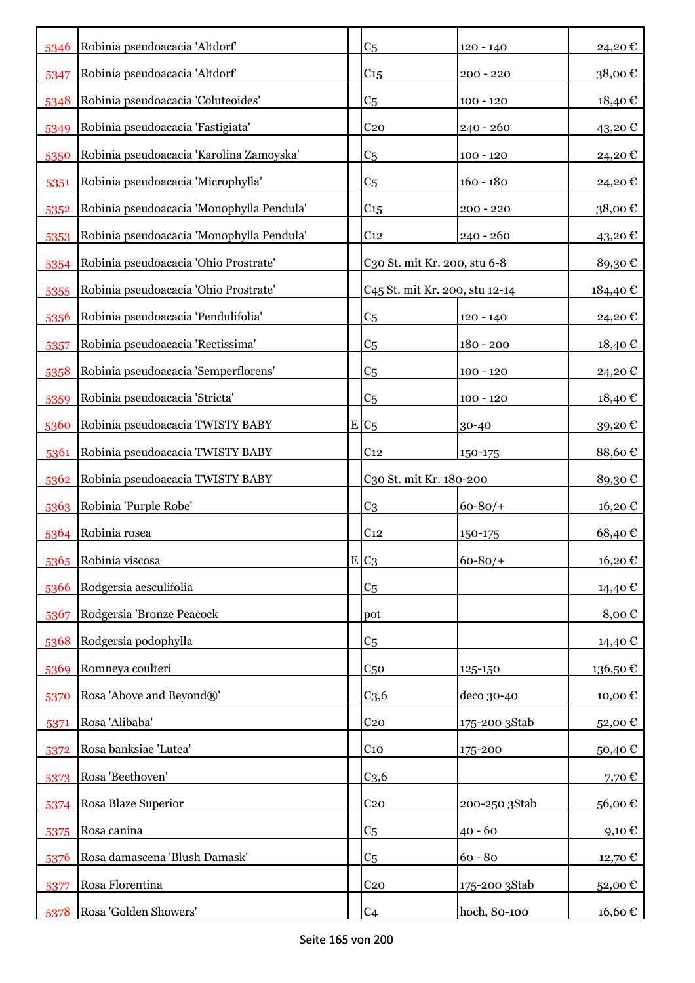| 5346 | Robinia pseudoacacia 'Altdorf'            | C <sub>5</sub>                             | $120 - 140$   | 24,20€  |
|------|-------------------------------------------|--------------------------------------------|---------------|---------|
| 5347 | Robinia pseudoacacia 'Altdorf'            | C <sub>15</sub>                            | $200 - 220$   | 38,00€  |
| 5348 | Robinia pseudoacacia 'Coluteoides'        | C <sub>5</sub>                             | $100 - 120$   | 18,40€  |
| 5349 | Robinia pseudoacacia 'Fastigiata'         | C <sub>20</sub>                            | $240 - 260$   | 43,20 € |
| 5350 | Robinia pseudoacacia 'Karolina Zamoyska'  | C <sub>5</sub>                             | $100 - 120$   | 24,20€  |
| 5351 | Robinia pseudoacacia 'Microphylla'        | C <sub>5</sub>                             | $160 - 180$   | 24,20€  |
| 5352 | Robinia pseudoacacia 'Monophylla Pendula' | C <sub>15</sub>                            | $200 - 220$   | 38,00€  |
| 5353 | Robinia pseudoacacia 'Monophylla Pendula' | C <sub>12</sub>                            | $240 - 260$   | 43,20€  |
| 5354 | Robinia pseudoacacia 'Ohio Prostrate'     | C30 St. mit Kr. 200, stu 6-8               |               | 89,30€  |
| 5355 | Robinia pseudoacacia 'Ohio Prostrate'     | C <sub>45</sub> St. mit Kr. 200, stu 12-14 |               | 184,40€ |
| 5356 | Robinia pseudoacacia 'Pendulifolia'       | C <sub>5</sub>                             | $120 - 140$   | 24,20€  |
| 5357 | Robinia pseudoacacia 'Rectissima'         | C <sub>5</sub>                             | $180 - 200$   | 18,40 € |
| 5358 | Robinia pseudoacacia 'Semperflorens'      | C <sub>5</sub>                             | $100 - 120$   | 24,20€  |
| 5359 | Robinia pseudoacacia 'Stricta'            | C <sub>5</sub>                             | $100 - 120$   | 18,40 € |
| 5360 | Robinia pseudoacacia TWISTY BABY          | $E/C_5$                                    | 30-40         | 39,20€  |
| 5361 | Robinia pseudoacacia TWISTY BABY          | C <sub>12</sub>                            | 150-175       | 88,60€  |
| 5362 | Robinia pseudoacacia TWISTY BABY          | C30 St. mit Kr. 180-200                    |               | 89,30€  |
| 5363 | Robinia 'Purple Robe'                     | C <sub>3</sub>                             | $60 - 80/$    | 16,20€  |
| 5364 | Robinia rosea                             | C <sub>12</sub>                            | 150-175       | 68,40€  |
| 5365 | Robinia viscosa                           | $E C_3$                                    | $60 - 80/$    | 16,20€  |
| 5366 | Rodgersia aesculifolia                    | C <sub>5</sub>                             |               | 14,40 € |
| 5367 | Rodgersia 'Bronze Peacock                 | pot                                        |               | 8,00€   |
| 5368 | Rodgersia podophylla                      | C <sub>5</sub>                             |               | 14,40 € |
| 5369 | Romneya coulteri                          | C <sub>50</sub>                            | 125-150       | 136,50€ |
| 5370 | Rosa 'Above and Beyond®'                  | C <sub>3,6</sub>                           | deco 30-40    | 10,00€  |
| 5371 | Rosa 'Alibaba'                            | C <sub>20</sub>                            | 175-200 3Stab | 52,00€  |
| 5372 | Rosa banksiae 'Lutea'                     | $C_{10}$                                   | 175-200       | 50,40€  |
| 5373 | Rosa 'Beethoven'                          | C <sub>3,6</sub>                           |               | 7,70€   |
| 5374 | Rosa Blaze Superior                       | C <sub>20</sub>                            | 200-250 3Stab | 56,00€  |
| 5375 | Rosa canina                               | C <sub>5</sub>                             | $40 - 60$     | 9,10€   |
| 5376 | Rosa damascena 'Blush Damask'             | C <sub>5</sub>                             | $60 - 80$     | 12,70 € |
| 5377 | Rosa Florentina                           | C <sub>20</sub>                            | 175-200 3Stab | 52,00€  |
| 5378 | Rosa 'Golden Showers'                     | C <sub>4</sub>                             | hoch, 80-100  | 16,60 € |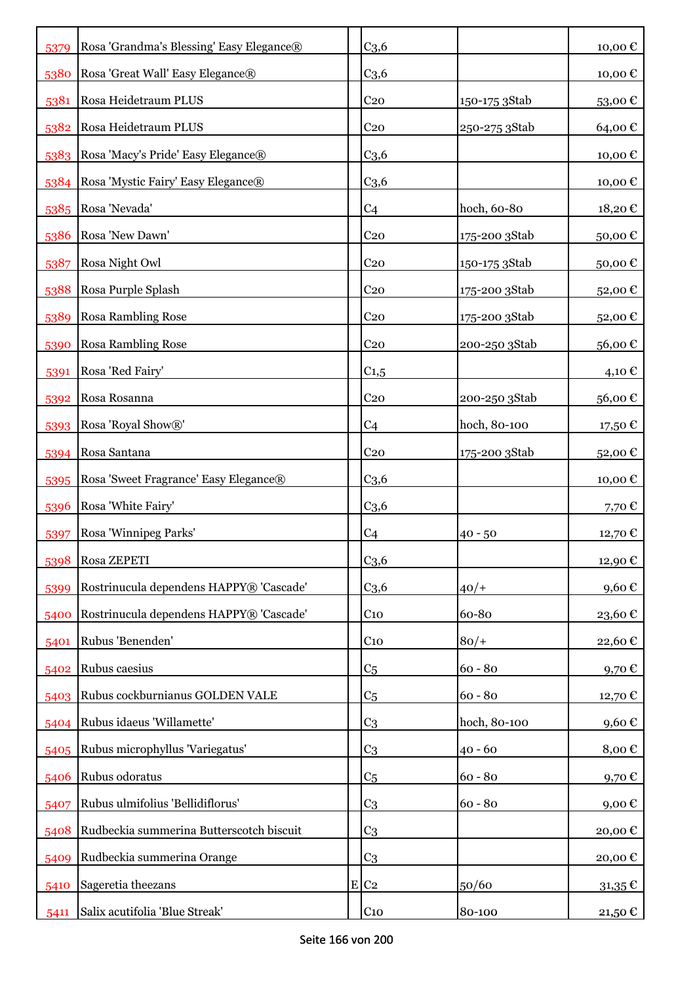| 5379 | Rosa 'Grandma's Blessing' Easy Elegance® | C <sub>3,6</sub>   |               | 10,00€          |
|------|------------------------------------------|--------------------|---------------|-----------------|
| 5380 | Rosa 'Great Wall' Easy Elegance®         | C <sub>3,6</sub>   |               | 10,00€          |
| 5381 | Rosa Heidetraum PLUS                     | C <sub>20</sub>    | 150-175 3Stab | 53,00€          |
| 5382 | Rosa Heidetraum PLUS                     | C <sub>20</sub>    | 250-275 3Stab | 64,00€          |
| 5383 | Rosa 'Macy's Pride' Easy Elegance®       | C <sub>3,6</sub>   |               | 10,00€          |
| 5384 | Rosa 'Mystic Fairy' Easy Elegance®       | C <sub>3,6</sub>   |               | 10,00€          |
| 5385 | Rosa 'Nevada'                            | C <sub>4</sub>     | hoch, 60-80   | 18,20€          |
| 5386 | Rosa 'New Dawn'                          | C <sub>20</sub>    | 175-200 3Stab | 50,00€          |
| 5387 | Rosa Night Owl                           | C <sub>20</sub>    | 150-175 3Stab | 50,00€          |
|      |                                          |                    |               |                 |
| 5388 | Rosa Purple Splash                       | C <sub>20</sub>    | 175-200 3Stab | 52,00€          |
| 5389 | <b>Rosa Rambling Rose</b>                | C <sub>20</sub>    | 175-200 3Stab | 52,00€          |
| 5390 | <b>Rosa Rambling Rose</b>                | C <sub>20</sub>    | 200-250 3Stab | 56,00€          |
| 5391 | Rosa 'Red Fairy'                         | $C_{1,5}$          |               | 4,10 €          |
| 5392 | Rosa Rosanna                             | C <sub>20</sub>    | 200-250 3Stab | 56,00€          |
| 5393 | Rosa 'Royal Show®'                       | C <sub>4</sub>     | hoch, 80-100  | 17,50 €         |
| 5394 | Rosa Santana                             | C <sub>20</sub>    | 175-200 3Stab | 52,00€          |
| 5395 | Rosa 'Sweet Fragrance' Easy Elegance®    | C <sub>3,6</sub>   |               | 10,00€          |
| 5396 | Rosa 'White Fairy'                       | C <sub>3,6</sub>   |               | 7,70 $\epsilon$ |
| 5397 | Rosa 'Winnipeg Parks'                    | C <sub>4</sub>     | $40 - 50$     | 12,70€          |
| 5398 | Rosa ZEPETI                              | C <sub>3,6</sub>   |               | 12,90€          |
| 5399 | Rostrinucula dependens HAPPY® 'Cascade'  | C <sub>3,6</sub>   | $40/+$        | 9,60€           |
| 5400 | Rostrinucula dependens HAPPY® 'Cascade'  | C <sub>10</sub>    | 60-80         | 23,60€          |
| 5401 | Rubus 'Benenden'                         | C <sub>10</sub>    | $80/+$        | 22,60€          |
| 5402 | Rubus caesius                            | C <sub>5</sub>     | $60 - 80$     | 9,70€           |
| 5403 | Rubus cockburnianus GOLDEN VALE          | C <sub>5</sub>     | $60 - 80$     | 12,70€          |
| 5404 | Rubus idaeus 'Willamette'                | C <sub>3</sub>     | hoch, 80-100  | 9,60€           |
| 5405 | Rubus microphyllus 'Variegatus'          | C <sub>3</sub>     | $40 - 60$     | 8,00€           |
| 5406 | Rubus odoratus                           | C <sub>5</sub>     | $60 - 80$     | 9,70€           |
| 5407 | Rubus ulmifolius 'Bellidiflorus'         | C <sub>3</sub>     | $60 - 80$     | 9,00€           |
| 5408 | Rudbeckia summerina Butterscotch biscuit | C <sub>3</sub>     |               | 20,00€          |
| 5409 | Rudbeckia summerina Orange               | C <sub>3</sub>     |               | 20,00€          |
| 5410 | Sageretia theezans                       | $E$ C <sub>2</sub> | 50/60         | $31,35 \in$     |
| 5411 | Salix acutifolia 'Blue Streak'           | C <sub>10</sub>    | 80-100        | 21,50 €         |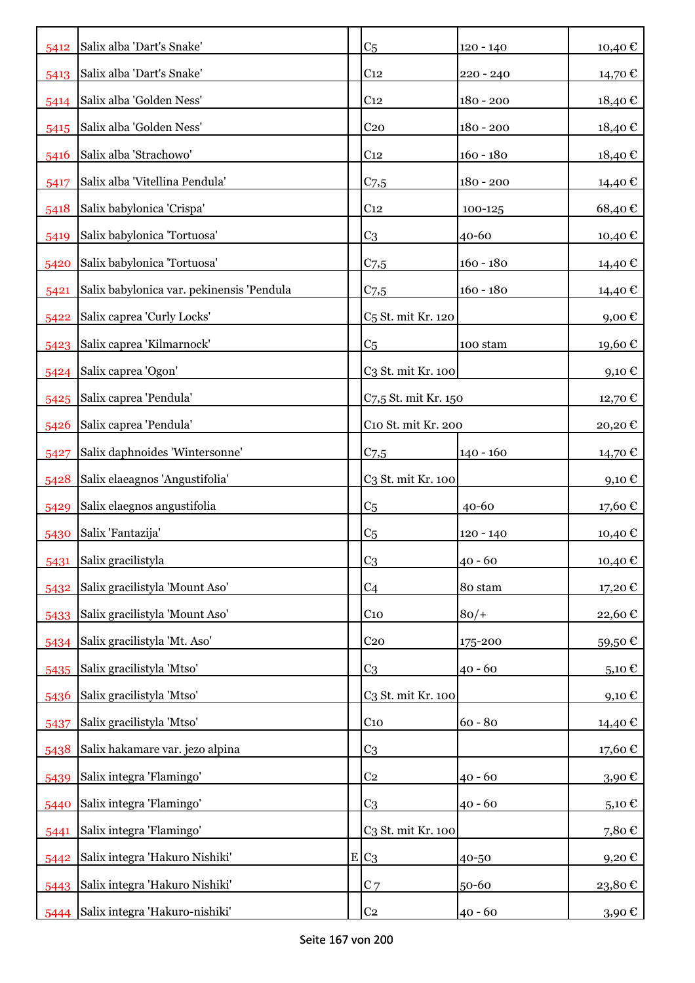| 5412 | Salix alba 'Dart's Snake'                 | C <sub>5</sub>                 | $120 - 140$ | 10,40€                                  |
|------|-------------------------------------------|--------------------------------|-------------|-----------------------------------------|
| 5413 | Salix alba 'Dart's Snake'                 | C <sub>12</sub>                | $220 - 240$ | 14,70 €                                 |
| 5414 | Salix alba 'Golden Ness'                  | C <sub>12</sub>                | $180 - 200$ | 18,40€                                  |
| 5415 | Salix alba 'Golden Ness'                  | C <sub>20</sub>                | 180 - 200   | 18,40€                                  |
| 5416 | Salix alba 'Strachowo'                    | C <sub>12</sub>                | $160 - 180$ | 18,40€                                  |
| 5417 | Salix alba 'Vitellina Pendula'            | $C_{7,5}$                      | $180 - 200$ | 14,40 €                                 |
| 5418 | Salix babylonica 'Crispa'                 | C <sub>12</sub>                | 100-125     | 68,40€                                  |
| 5419 | Salix babylonica 'Tortuosa'               | C <sub>3</sub>                 | 40-60       | 10,40 €                                 |
| 5420 | Salix babylonica 'Tortuosa'               | C <sub>7,5</sub>               | $160 - 180$ | 14,40 €                                 |
| 5421 | Salix babylonica var. pekinensis 'Pendula | C <sub>7,5</sub>               | $160 - 180$ | 14,40 €                                 |
| 5422 | Salix caprea 'Curly Locks'                | C <sub>5</sub> St. mit Kr. 120 |             | $9,00 \text{ } \in$                     |
| 5423 | Salix caprea 'Kilmarnock'                 | C <sub>5</sub>                 | 100 stam    | 19,60 €                                 |
| 5424 | Salix caprea 'Ogon'                       | C3 St. mit Kr. 100             |             | $9,10 \in$                              |
| 5425 | Salix caprea 'Pendula'                    | C7,5 St. mit Kr. 150           |             | 12,70 €                                 |
| 5426 | Salix caprea 'Pendula'                    | C10 St. mit Kr. 200            |             | 20,20€                                  |
| 5427 | Salix daphnoides 'Wintersonne'            | C <sub>7,5</sub>               | $140 - 160$ | 14,70 €                                 |
| 5428 | Salix elaeagnos 'Angustifolia'            | C3 St. mit Kr. 100             |             | $9,10 \in$                              |
| 5429 | Salix elaegnos angustifolia               | C <sub>5</sub>                 | $40 - 60$   | 17,60 €                                 |
| 5430 | Salix 'Fantazija'                         | C <sub>5</sub>                 | $120 - 140$ | 10,40€                                  |
| 5431 | Salix gracilistyla                        | C <sub>3</sub>                 | $40 - 60$   | $\scriptstyle{10,40\text{ }\mathbb{C}}$ |
| 5432 | Salix gracilistyla 'Mount Aso'            | C4                             | 80 stam     | 17,20€                                  |
| 5433 | Salix gracilistyla 'Mount Aso'            | $C_{10}$                       | $80/+$      | 22,60€                                  |
| 5434 | Salix gracilistyla 'Mt. Aso'              | C <sub>20</sub>                | 175-200     | 59,50€                                  |
| 5435 | Salix gracilistyla 'Mtso'                 | C <sub>3</sub>                 | $40 - 60$   | $5,10 \in$                              |
| 5436 | Salix gracilistyla 'Mtso'                 | C3 St. mit Kr. 100             |             | 9,10€                                   |
| 5437 | Salix gracilistyla 'Mtso'                 | C <sub>10</sub>                | $60 - 80$   | 14,40€                                  |
| 5438 | Salix hakamare var. jezo alpina           | C <sub>3</sub>                 |             | 17,60€                                  |
| 5439 | Salix integra 'Flamingo'                  | C <sub>2</sub>                 | $40 - 60$   | 3,90€                                   |
| 5440 | Salix integra 'Flamingo'                  | C3                             | $40 - 60$   | $_{5,10}$ $\in$                         |
| 5441 | Salix integra 'Flamingo'                  | C3 St. mit Kr. 100             |             | 7,80€                                   |
| 5442 | Salix integra 'Hakuro Nishiki'            | $E C_3$                        | 40-50       | 9,20€                                   |
| 5443 | Salix integra 'Hakuro Nishiki'            | $C$ 7                          | 50-60       | 23,80€                                  |
| 5444 | Salix integra 'Hakuro-nishiki'            | C <sub>2</sub>                 | $40 - 60$   | 3,90€                                   |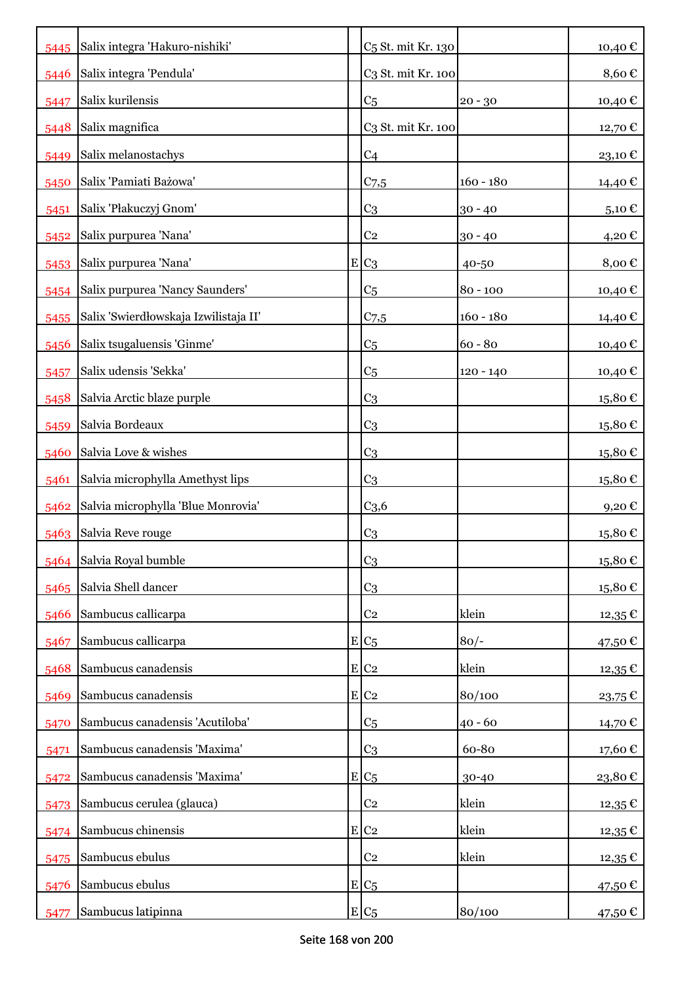|      | 5445 Salix integra 'Hakuro-nishiki'   | C <sub>5</sub> St. mit Kr. 130 |             | 10,40€    |
|------|---------------------------------------|--------------------------------|-------------|-----------|
| 5446 | Salix integra 'Pendula'               | C <sub>3</sub> St. mit Kr. 100 |             | 8,60€     |
| 5447 | Salix kurilensis                      | C <sub>5</sub>                 | $20 - 30$   | 10,40 €   |
| 5448 | Salix magnifica                       | C3 St. mit Kr. 100             |             | 12,70€    |
| 5449 | Salix melanostachys                   | C <sub>4</sub>                 |             | 23,10€    |
| 5450 | Salix 'Pamiati Bażowa'                | $C$ 7,5                        | $160 - 180$ | 14,40 €   |
| 5451 | Salix 'Płakuczyj Gnom'                | C <sub>3</sub>                 | $30 - 40$   | 5,10 €    |
| 5452 | Salix purpurea 'Nana'                 | C <sub>2</sub>                 | $30 - 40$   | 4,20€     |
| 5453 | Salix purpurea 'Nana'                 | $E C_3$                        | 40-50       | 8,00€     |
| 5454 | Salix purpurea 'Nancy Saunders'       | C <sub>5</sub>                 | $80 - 100$  | 10,40 €   |
| 5455 | Salix 'Swierdłowskaja Izwilistaja II' | $C$ 7,5                        | $160 - 180$ | 14,40 €   |
| 5456 | Salix tsugaluensis 'Ginme'            | C <sub>5</sub>                 | $60 - 80$   | 10,40 €   |
| 5457 | Salix udensis 'Sekka'                 | C <sub>5</sub>                 | $120 - 140$ | 10,40 €   |
| 5458 | Salvia Arctic blaze purple            | C <sub>3</sub>                 |             | 15,80€    |
| 5459 | Salvia Bordeaux                       | C <sub>3</sub>                 |             | 15,80€    |
| 5460 | Salvia Love & wishes                  | C <sub>3</sub>                 |             | 15,80€    |
| 5461 | Salvia microphylla Amethyst lips      | C <sub>3</sub>                 |             | 15,80€    |
| 5462 | Salvia microphylla 'Blue Monrovia'    | C <sub>3,6</sub>               |             | 9,20€     |
| 5463 | Salvia Reve rouge                     | C <sub>3</sub>                 |             | 15,80€    |
|      | 5464 Salvia Royal bumble              | C <sub>3</sub>                 |             | 15,80€    |
| 5465 | Salvia Shell dancer                   | C <sub>3</sub>                 |             | 15,80€    |
| 5466 | Sambucus callicarpa                   | C <sub>2</sub>                 | klein       | $12,35$ € |
| 5467 | Sambucus callicarpa                   | $E C_5$                        | $80/-$      | 47,50 €   |
| 5468 | Sambucus canadensis                   | E C2                           | klein       | 12,35 €   |
| 5469 | Sambucus canadensis                   | $E$ C <sub>2</sub>             | 80/100      | 23,75€    |
| 5470 | Sambucus canadensis 'Acutiloba'       | C <sub>5</sub>                 | $40 - 60$   | 14,70 €   |
| 5471 | Sambucus canadensis 'Maxima'          | C <sub>3</sub>                 | 60-80       | 17,60€    |
| 5472 | Sambucus canadensis 'Maxima'          | $E C_5$                        | 30-40       | 23,80€    |
| 5473 | Sambucus cerulea (glauca)             | C <sub>2</sub>                 | klein       | $12,35$ € |
| 5474 | Sambucus chinensis                    | $E$ C <sub>2</sub>             | klein       | 12,35€    |
| 5475 | Sambucus ebulus                       | C <sub>2</sub>                 | klein       | 12,35€    |
| 5476 | Sambucus ebulus                       | $E/C_5$                        |             | 47,50€    |
| 5477 | Sambucus latipinna                    | $E C_5$                        | 80/100      | 47,50 €   |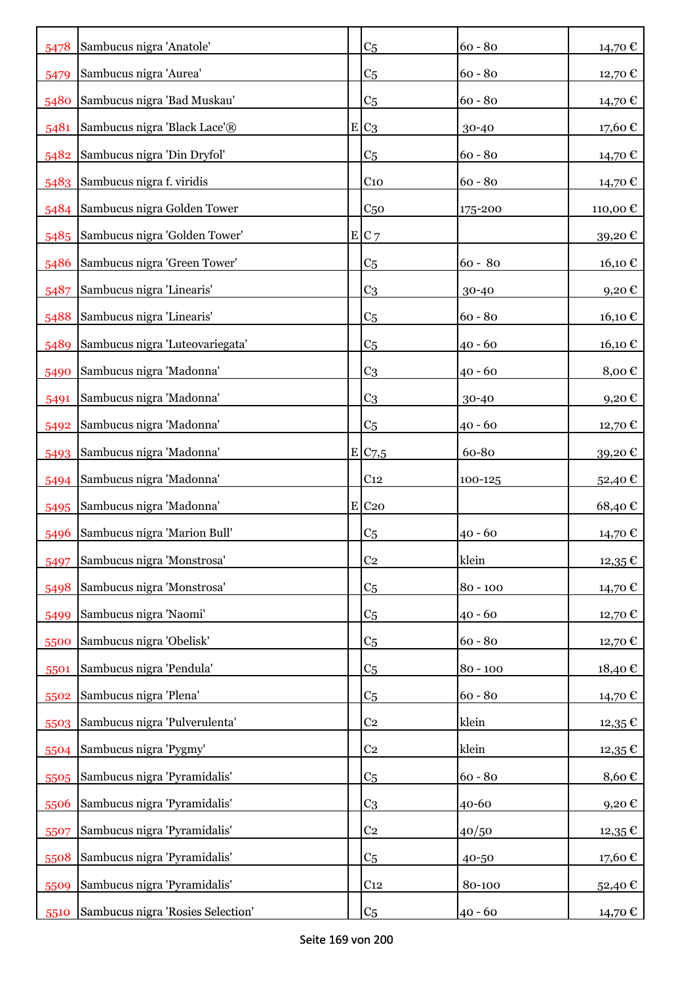| 5478 | Sambucus nigra 'Anatole'          | C <sub>5</sub>        | $60 - 80$  | 14,70€    |
|------|-----------------------------------|-----------------------|------------|-----------|
| 5479 | Sambucus nigra 'Aurea'            | C <sub>5</sub>        | $60 - 80$  | 12,70 €   |
| 5480 | Sambucus nigra 'Bad Muskau'       | C <sub>5</sub>        | $60 - 80$  | 14,70€    |
| 5481 | Sambucus nigra 'Black Lace'®      | $E C_3$               | 30-40      | 17,60€    |
| 5482 | Sambucus nigra 'Din Dryfol'       | C <sub>5</sub>        | $60 - 80$  | 14,70€    |
| 5483 | Sambucus nigra f. viridis         | C <sub>10</sub>       | $60 - 80$  | 14,70€    |
| 5484 | Sambucus nigra Golden Tower       | C <sub>50</sub>       | 175-200    | 110,00€   |
| 5485 | Sambucus nigra 'Golden Tower'     | E C7                  |            | 39,20€    |
| 5486 | Sambucus nigra 'Green Tower'      | C <sub>5</sub>        | $60 - 80$  | 16,10€    |
| 5487 | Sambucus nigra 'Linearis'         | C <sub>3</sub>        | 30-40      | 9,20€     |
| 5488 | Sambucus nigra 'Linearis'         | C <sub>5</sub>        | $60 - 80$  | 16,10€    |
| 5489 | Sambucus nigra 'Luteovariegata'   | C <sub>5</sub>        | $40 - 60$  | 16,10€    |
| 5490 | Sambucus nigra 'Madonna'          | C <sub>3</sub>        | 40 - 60    | 8,00€     |
| 5491 | Sambucus nigra 'Madonna'          | C <sub>3</sub>        | 30-40      | 9,20€     |
| 5492 | Sambucus nigra 'Madonna'          | C <sub>5</sub>        | $40 - 60$  | 12,70 €   |
| 5493 | Sambucus nigra 'Madonna'          | $E$ C <sub>7</sub> ,5 | 60-80      | 39,20€    |
| 5494 | Sambucus nigra 'Madonna'          | C <sub>12</sub>       | 100-125    | 52,40€    |
| 5495 | Sambucus nigra 'Madonna'          | $E$ C <sub>20</sub>   |            | 68,40€    |
| 5496 | Sambucus nigra 'Marion Bull'      | C <sub>5</sub>        | $40 - 60$  | 14,70 €   |
| 5497 | Sambucus nigra 'Monstrosa'        | C <sub>2</sub>        | klein      | $12,35$ € |
| 5498 | Sambucus nigra 'Monstrosa'        | C <sub>5</sub>        | $80 - 100$ | 14,70 €   |
| 5499 | Sambucus nigra 'Naomi'            | C <sub>5</sub>        | $40 - 60$  | 12,70 €   |
| 5500 | Sambucus nigra 'Obelisk'          | C <sub>5</sub>        | $60 - 80$  | 12,70€    |
| 5501 | Sambucus nigra 'Pendula'          | C <sub>5</sub>        | $80 - 100$ | 18,40€    |
| 5502 | Sambucus nigra 'Plena'            | C <sub>5</sub>        | $60 - 80$  | 14,70 €   |
| 5503 | Sambucus nigra 'Pulverulenta'     | C <sub>2</sub>        | klein      | 12,35 €   |
| 5504 | Sambucus nigra 'Pygmy'            | C <sub>2</sub>        | klein      | 12,35 €   |
| 5505 | Sambucus nigra 'Pyramidalis'      | C <sub>5</sub>        | $60 - 80$  | 8,60€     |
| 5506 | Sambucus nigra 'Pyramidalis'      | C <sub>3</sub>        | 40-60      | 9,20€     |
| 5507 | Sambucus nigra 'Pyramidalis'      | C <sub>2</sub>        | 40/50      | $12,35$ € |
| 5508 | Sambucus nigra 'Pyramidalis'      | C <sub>5</sub>        | 40-50      | 17,60 €   |
| 5509 | Sambucus nigra 'Pyramidalis'      | C <sub>12</sub>       | 80-100     | 52,40 €   |
| 5510 | Sambucus nigra 'Rosies Selection' | C <sub>5</sub>        | 40 - 60    | 14,70 €   |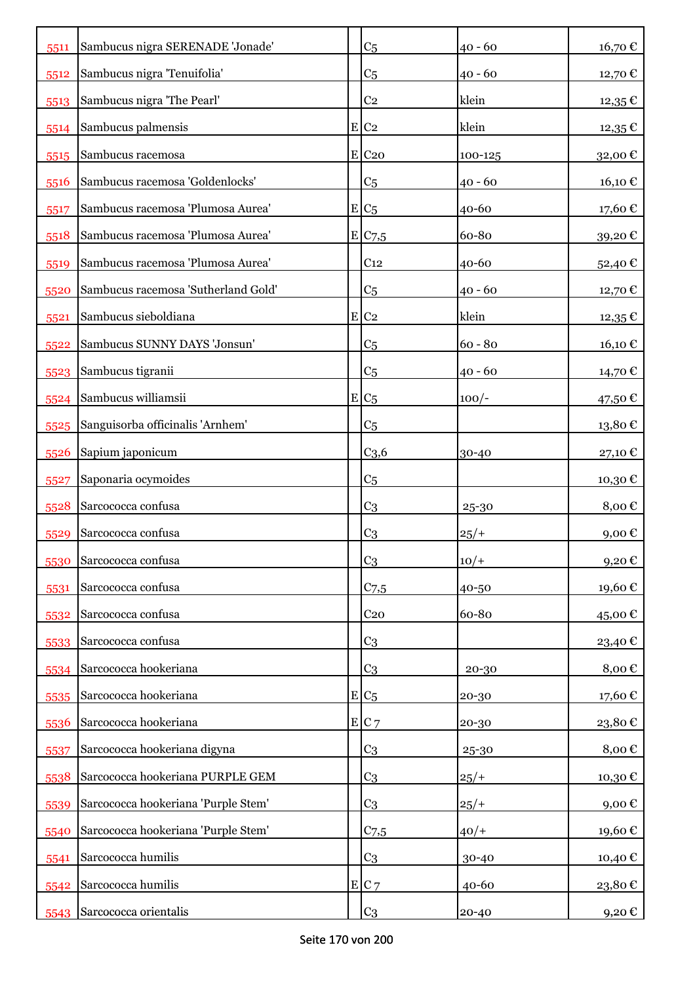| 5511 | Sambucus nigra SERENADE 'Jonade'    | C <sub>5</sub>      | $40 - 60$ | 16,70 €                |
|------|-------------------------------------|---------------------|-----------|------------------------|
| 5512 | Sambucus nigra 'Tenuifolia'         | C <sub>5</sub>      | $40 - 60$ | 12,70€                 |
| 5513 | Sambucus nigra 'The Pearl'          | C <sub>2</sub>      | klein     | $12,35$ €              |
| 5514 | Sambucus palmensis                  | $E$ C <sub>2</sub>  | klein     | 12,35€                 |
| 5515 | Sambucus racemosa                   | $E$ C <sub>20</sub> | 100-125   | 32,00€                 |
| 5516 | Sambucus racemosa 'Goldenlocks'     | C <sub>5</sub>      | $40 - 60$ | 16,10€                 |
| 5517 | Sambucus racemosa 'Plumosa Aurea'   | $E C_5$             | 40-60     | 17,60€                 |
| 5518 | Sambucus racemosa 'Plumosa Aurea'   | E C7,5              | 60-80     | 39,20€                 |
| 5519 | Sambucus racemosa 'Plumosa Aurea'   | C <sub>12</sub>     | 40-60     | 52,40 €                |
| 5520 | Sambucus racemosa 'Sutherland Gold' | C <sub>5</sub>      | $40 - 60$ | 12,70 €                |
| 5521 | Sambucus sieboldiana                | $E$ C <sub>2</sub>  | klein     | $12,35 \in$            |
| 5522 | Sambucus SUNNY DAYS 'Jonsun'        | C <sub>5</sub>      | $60 - 80$ | 16,10 €                |
| 5523 | Sambucus tigranii                   | C <sub>5</sub>      | $40 - 60$ | 14,70 €                |
| 5524 | Sambucus williamsii                 | $E C_5$             | $100/-$   | 47,50€                 |
| 5525 | Sanguisorba officinalis 'Arnhem'    | C <sub>5</sub>      |           | $13,\!80$ $\mathbb{C}$ |
| 5526 | Sapium japonicum                    | C <sub>3,6</sub>    | 30-40     | 27,10€                 |
| 5527 | Saponaria ocymoides                 | C <sub>5</sub>      |           | 10,30€                 |
| 5528 | Sarcococca confusa                  | C <sub>3</sub>      | 25-30     | 8,00€                  |
| 5529 | Sarcococca confusa                  | C <sub>3</sub>      | $25/+$    | 9,00€                  |
| 5530 | Sarcococca confusa                  | C <sub>3</sub>      | $10/+$    | 9,20€                  |
| 5531 | Sarcococca confusa                  | $C_{7,5}$           | 40-50     | 19,60€                 |
| 5532 | Sarcococca confusa                  | C <sub>20</sub>     | 60-80     | 45,00€                 |
| 5533 | Sarcococca confusa                  | C <sub>3</sub>      |           | 23,40 €                |
| 5534 | Sarcococca hookeriana               | C <sub>3</sub>      | 20-30     | 8,00€                  |
| 5535 | Sarcococca hookeriana               | $E C_5$             | 20-30     | 17,60€                 |
| 5536 | Sarcococca hookeriana               | E C7                | 20-30     | 23,80€                 |
| 5537 | Sarcococca hookeriana digyna        | C <sub>3</sub>      | 25-30     | 8,00€                  |
| 5538 | Sarcococca hookeriana PURPLE GEM    | C <sub>3</sub>      | $25/+$    | 10,30€                 |
| 5539 | Sarcococca hookeriana 'Purple Stem' | C <sub>3</sub>      | $25/+$    | 9,00€                  |
| 5540 | Sarcococca hookeriana 'Purple Stem' | $C_{7,5}$           | $40/+$    | 19,60€                 |
| 5541 | Sarcococca humilis                  | C <sub>3</sub>      | 30-40     | 10,40 €                |
| 5542 | Sarcococca humilis                  | E C7                | 40-60     | 23,80€                 |
| 5543 | Sarcococca orientalis               | C <sub>3</sub>      | 20-40     | 9,20€                  |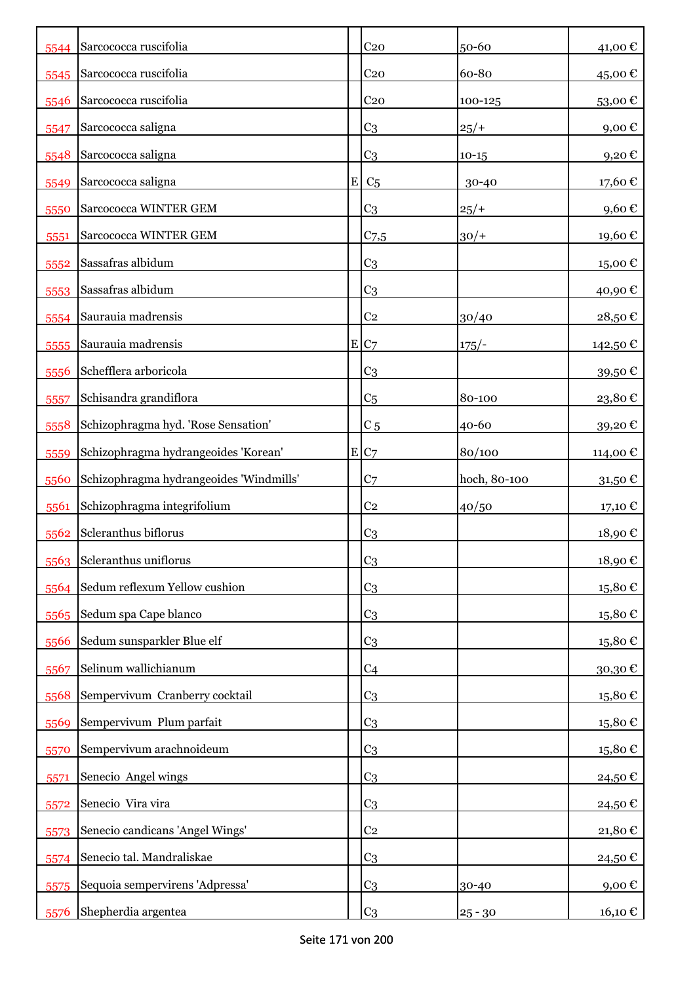| 5544 | Sarcococca ruscifolia                   |           | C <sub>20</sub>  | 50-60        | 41,00€                 |
|------|-----------------------------------------|-----------|------------------|--------------|------------------------|
| 5545 | Sarcococca ruscifolia                   |           | C <sub>20</sub>  | 60-80        | 45,00€                 |
| 5546 | Sarcococca ruscifolia                   |           | C <sub>20</sub>  | 100-125      | 53,00€                 |
| 5547 | Sarcococca saligna                      |           | C <sub>3</sub>   | $25/+$       | 9,00 $\epsilon$        |
| 5548 | Sarcococca saligna                      |           | C <sub>3</sub>   | $10 - 15$    | 9,20€                  |
| 5549 | Sarcococca saligna                      | ${\bf E}$ | C <sub>5</sub>   | 30-40        | 17,60€                 |
| 5550 | Sarcococca WINTER GEM                   |           | C <sub>3</sub>   | $25/+$       | 9,60€                  |
| 5551 | Sarcococca WINTER GEM                   |           | C <sub>7,5</sub> | $30/+$       | 19,60€                 |
| 5552 | Sassafras albidum                       |           | C <sub>3</sub>   |              | 15,00€                 |
| 5553 | Sassafras albidum                       |           | C <sub>3</sub>   |              | 40,90€                 |
| 5554 | Saurauia madrensis                      |           | C <sub>2</sub>   | 30/40        | 28,50€                 |
| 5555 | Saurauia madrensis                      |           | E C7             | $175/-$      | 142,50 €               |
| 5556 | Schefflera arboricola                   |           | C <sub>3</sub>   |              | 39,50€                 |
| 5557 | Schisandra grandiflora                  |           | C <sub>5</sub>   | 80-100       | 23,80€                 |
| 5558 | Schizophragma hyd. 'Rose Sensation'     |           | C <sub>5</sub>   | 40-60        | 39,20€                 |
| 5559 | Schizophragma hydrangeoides 'Korean'    |           | E C7             | 80/100       | 114,00€                |
| 5560 | Schizophragma hydrangeoides 'Windmills' |           | C <sub>7</sub>   | hoch, 80-100 | 31,50€                 |
| 5561 | Schizophragma integrifolium             |           | C <sub>2</sub>   | 40/50        | 17,10 €                |
| 5562 | Scleranthus biflorus                    |           | C <sub>3</sub>   |              | 18,90€                 |
|      | 5563 Scleranthus uniflorus              |           | C <sub>3</sub>   |              | 18,90€                 |
| 5564 | Sedum reflexum Yellow cushion           |           | C <sub>3</sub>   |              | $15,\!80$ $\mathbb{C}$ |
| 5565 | Sedum spa Cape blanco                   |           | C <sub>3</sub>   |              | 15,80€                 |
| 5566 | Sedum sunsparkler Blue elf              |           | C <sub>3</sub>   |              | $15,80 \in$            |
| 5567 | Selinum wallichianum                    |           | C <sub>4</sub>   |              | 30,30€                 |
| 5568 | Sempervivum Cranberry cocktail          |           | C <sub>3</sub>   |              | 15,80€                 |
| 5569 | Sempervivum Plum parfait                |           | C <sub>3</sub>   |              | $15,\!80$ $\mathbb{C}$ |
| 5570 | Sempervivum arachnoideum                |           | C <sub>3</sub>   |              | $15,\!80$ $\mathbb{C}$ |
| 5571 | Senecio Angel wings                     |           | C <sub>3</sub>   |              | 24,50€                 |
| 5572 | Senecio Vira vira                       |           | C <sub>3</sub>   |              | 24,50€                 |
| 5573 | Senecio candicans 'Angel Wings'         |           | C <sub>2</sub>   |              | $21,\!80$ $\mathbb{C}$ |
| 5574 | Senecio tal. Mandraliskae               |           | C <sub>3</sub>   |              | 24,50€                 |
| 5575 | Sequoia sempervirens 'Adpressa'         |           | C <sub>3</sub>   | 30-40        | $9,00 \in$             |
| 5576 | Shepherdia argentea                     |           | C <sub>3</sub>   | $25 - 30$    | 16,10 €                |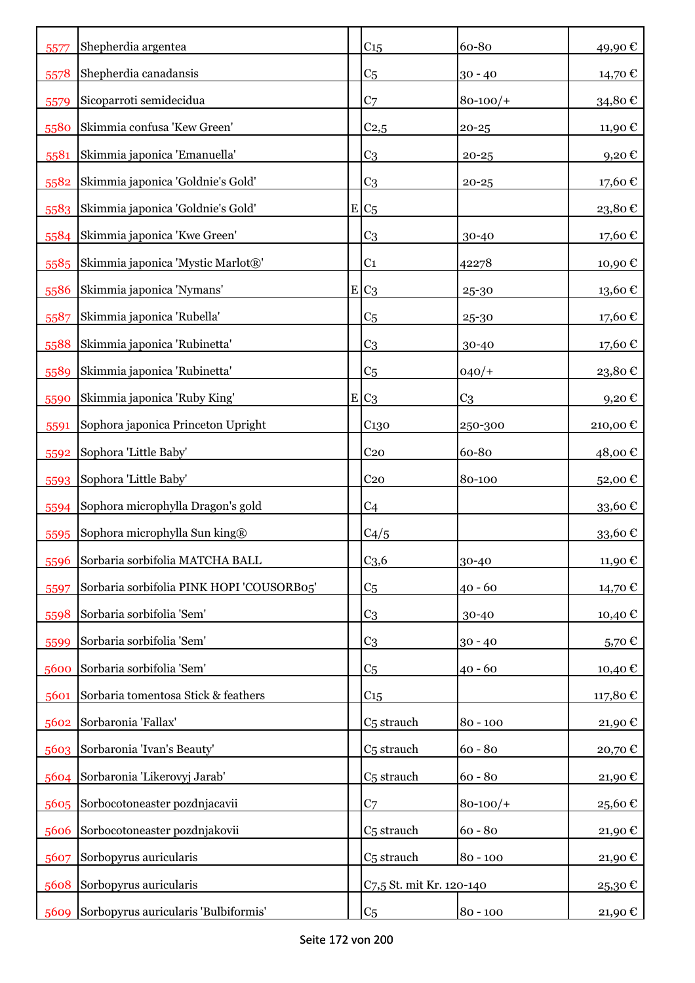| 5577 | Shepherdia argentea                       | C <sub>15</sub>          | 60-80          | 49,90€           |
|------|-------------------------------------------|--------------------------|----------------|------------------|
| 5578 | Shepherdia canadansis                     | C <sub>5</sub>           | $30 - 40$      | 14,70 €          |
| 5579 | Sicoparroti semidecidua                   | C <sub>7</sub>           | $80 - 100/$ +  | 34,80€           |
| 5580 | Skimmia confusa 'Kew Green'               | C <sub>2,5</sub>         | $20 - 25$      | 11,90€           |
| 5581 | Skimmia japonica 'Emanuella'              | C <sub>3</sub>           | $20 - 25$      | 9,20€            |
| 5582 | Skimmia japonica 'Goldnie's Gold'         | C <sub>3</sub>           | $20 - 25$      | 17,60€           |
| 5583 | Skimmia japonica 'Goldnie's Gold'         | $E C_5$                  |                | 23,80€           |
| 5584 | Skimmia japonica 'Kwe Green'              | C <sub>3</sub>           | 30-40          | 17,60€           |
| 5585 | Skimmia japonica 'Mystic Marlot®'         | C <sub>1</sub>           | 42278          | 10,90€           |
| 5586 | Skimmia japonica 'Nymans'                 | $E C_3$                  | 25-30          | 13,60€           |
| 5587 | Skimmia japonica 'Rubella'                | C <sub>5</sub>           | 25-30          | 17,60€           |
| 5588 | Skimmia japonica 'Rubinetta'              | C <sub>3</sub>           | 30-40          | 17,60€           |
| 5589 | Skimmia japonica 'Rubinetta'              | C <sub>5</sub>           | $040/+$        | 23,80€           |
| 5590 | Skimmia japonica 'Ruby King'              | $E C_3$                  | C <sub>3</sub> | 9,20€            |
| 5591 | Sophora japonica Princeton Upright        | C <sub>130</sub>         | 250-300        | 210,00€          |
| 5592 | Sophora 'Little Baby'                     | C <sub>20</sub>          | 60-80          | 48,00€           |
| 5593 | Sophora 'Little Baby'                     | C <sub>20</sub>          | 80-100         | 52,00€           |
| 5594 | Sophora microphylla Dragon's gold         | C <sub>4</sub>           |                | 33,60€           |
| 5595 | Sophora microphylla Sun king®             | C4/5                     |                | 33,60 $\epsilon$ |
| 5596 | Sorbaria sorbifolia MATCHA BALL           | C <sub>3,6</sub>         | 30-40          | 11,90€           |
| 5597 | Sorbaria sorbifolia PINK HOPI 'COUSORB05' | C <sub>5</sub>           | $40 - 60$      | 14,70 €          |
| 5598 | Sorbaria sorbifolia 'Sem'                 | C <sub>3</sub>           | $30 - 40$      | 10,40 €          |
| 5599 | Sorbaria sorbifolia 'Sem'                 | C <sub>3</sub>           | $30 - 40$      | 5,70€            |
| 5600 | Sorbaria sorbifolia 'Sem'                 | C <sub>5</sub>           | $40 - 60$      | 10,40€           |
| 5601 | Sorbaria tomentosa Stick & feathers       | C <sub>15</sub>          |                | 117,80€          |
| 5602 | Sorbaronia 'Fallax'                       | C <sub>5</sub> strauch   | $80 - 100$     | 21,90€           |
| 5603 | Sorbaronia 'Ivan's Beauty'                | C <sub>5</sub> strauch   | $60 - 80$      | 20,70€           |
| 5604 | Sorbaronia 'Likerovyj Jarab'              | C <sub>5</sub> strauch   | $60 - 80$      | 21,90€           |
| 5605 | Sorbocotoneaster pozdnjacavii             | C <sub>7</sub>           | $80 - 100/$    | 25,60€           |
| 5606 | Sorbocotoneaster pozdnjakovii             | C <sub>5</sub> strauch   | $60 - 80$      | 21,90€           |
| 5607 | Sorbopyrus auricularis                    | C <sub>5</sub> strauch   | $80 - 100$     | 21,90€           |
| 5608 | Sorbopyrus auricularis                    | C7,5 St. mit Kr. 120-140 |                | 25,30€           |
| 5609 | Sorbopyrus auricularis 'Bulbiformis'      | C <sub>5</sub>           | $80 - 100$     | 21,90 €          |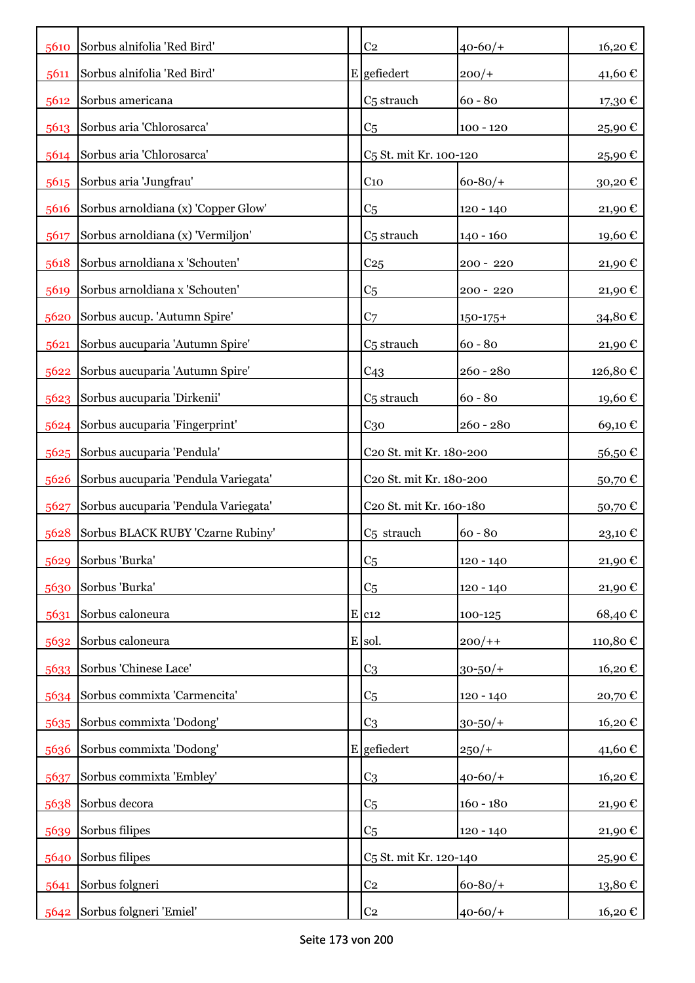|      | 5610 Sorbus alnifolia 'Red Bird'     | C <sub>2</sub>                      | $40 - 60/$    | 16,20€            |
|------|--------------------------------------|-------------------------------------|---------------|-------------------|
| 5611 | Sorbus alnifolia 'Red Bird'          | E gefiedert                         | $200/+$       | 41,60€            |
| 5612 | Sorbus americana                     | C <sub>5</sub> strauch              | $60 - 80$     | 17,30€            |
| 5613 | Sorbus aria 'Chlorosarca'            | C <sub>5</sub>                      | $100 - 120$   | 25,90€            |
| 5614 | Sorbus aria 'Chlorosarca'            | C <sub>5</sub> St. mit Kr. 100-120  |               | 25,90€            |
| 5615 | Sorbus aria 'Jungfrau'               | $C_{10}$                            | $60 - 80/$ +  | $30{,}20 \, \in$  |
| 5616 | Sorbus arnoldiana (x) 'Copper Glow'  | C <sub>5</sub>                      | 120 - 140     | 21,90€            |
| 5617 | Sorbus arnoldiana (x) 'Vermiljon'    | C <sub>5</sub> strauch              | $140 - 160$   | 19,60€            |
| 5618 | Sorbus arnoldiana x 'Schouten'       | C <sub>25</sub>                     | 200 - 220     | 21,90€            |
| 5619 | Sorbus arnoldiana x 'Schouten'       | C <sub>5</sub>                      | 200 - 220     | 21,90€            |
| 5620 | Sorbus aucup. 'Autumn Spire'         | C <sub>7</sub>                      | $150 - 175 +$ | 34,80€            |
| 5621 | Sorbus aucuparia 'Autumn Spire'      | C <sub>5</sub> strauch              | $60 - 80$     | 21,90€            |
| 5622 | Sorbus aucuparia 'Autumn Spire'      | C <sub>43</sub>                     | $260 - 280$   | 126,80€           |
| 5623 | Sorbus aucuparia 'Dirkenii'          | C <sub>5</sub> strauch              | $60 - 80$     | 19,60€            |
| 5624 | Sorbus aucuparia 'Fingerprint'       | C <sub>30</sub>                     | $260 - 280$   | 69,10€            |
|      | 5625 Sorbus aucuparia 'Pendula'      | C20 St. mit Kr. 180-200             |               | 56,50€            |
| 5626 | Sorbus aucuparia 'Pendula Variegata' | C20 St. mit Kr. 180-200             |               | 50,70€            |
| 5627 | Sorbus aucuparia 'Pendula Variegata' | C <sub>20</sub> St. mit Kr. 160-180 |               | 50,70€            |
| 5628 | Sorbus BLACK RUBY 'Czarne Rubiny'    | C <sub>5</sub> strauch              | $60 - 80$     | 23,10€            |
| 5629 | Sorbus 'Burka'                       | C <sub>5</sub>                      | $120 - 140$   | 21,90 $\mathbb C$ |
| 5630 | Sorbus 'Burka'                       | C <sub>5</sub>                      | $120 - 140$   | 21,90€            |
| 5631 | Sorbus caloneura                     | $E$ $c12$                           | 100-125       | 68,40€            |
| 5632 | Sorbus caloneura                     | E sol.                              | $200/+$       | 110,80€           |
| 5633 | Sorbus 'Chinese Lace'                | C <sub>3</sub>                      | $30 - 50/$ +  | 16,20€            |
| 5634 | Sorbus commixta 'Carmencita'         | C <sub>5</sub>                      | 120 - 140     | 20,70€            |
|      | 5635 Sorbus commixta 'Dodong'        | C <sub>3</sub>                      | $30 - 50/$ +  | 16,20€            |
| 5636 | Sorbus commixta 'Dodong'             | E gefiedert                         | $250/+$       | 41,60€            |
| 5637 | Sorbus commixta 'Embley'             | C <sub>3</sub>                      | $40 - 60/$    | 16,20€            |
| 5638 | Sorbus decora                        | C <sub>5</sub>                      | $160 - 180$   | 21,90€            |
| 5639 | Sorbus filipes                       | C <sub>5</sub>                      | 120 - 140     | 21,90€            |
| 5640 | Sorbus filipes                       | C <sub>5</sub> St. mit Kr. 120-140  |               | 25,90€            |
| 5641 | Sorbus folgneri                      | C <sub>2</sub>                      | $60 - 80/$    | 13,80€            |
| 5642 | Sorbus folgneri 'Emiel'              | $\rm{C}2$                           | $40 - 60/$    | 16,20€            |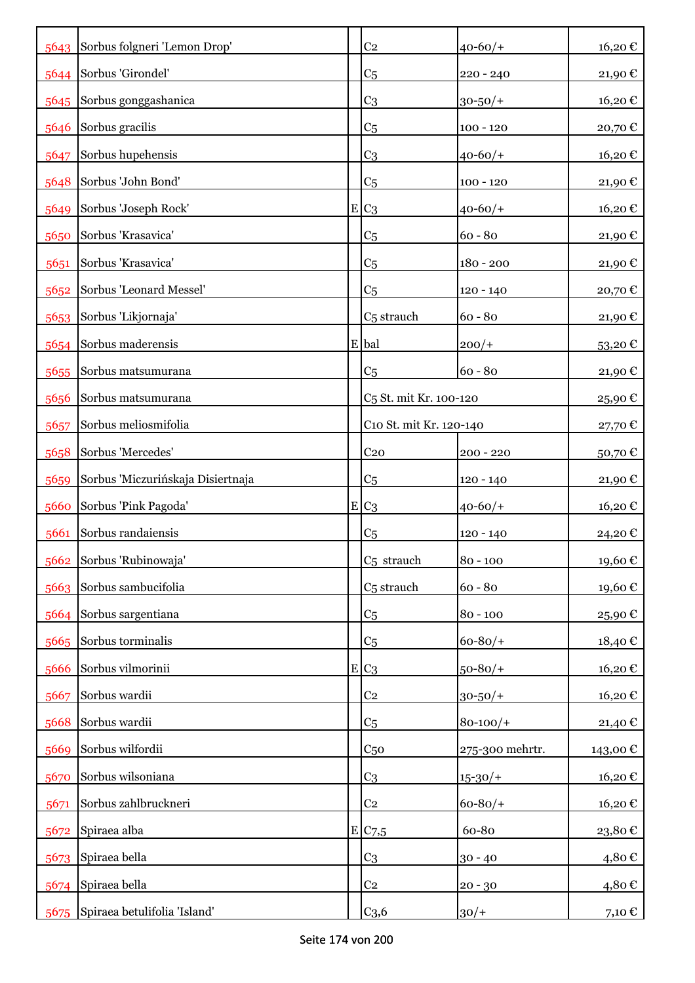|      | 5643 Sorbus folgneri 'Lemon Drop' | C <sub>2</sub>                     | $40 - 60/$      | 16,20€            |
|------|-----------------------------------|------------------------------------|-----------------|-------------------|
|      | 5644 Sorbus 'Girondel'            | C <sub>5</sub>                     | 220 - 240       | 21,90€            |
|      | 5645 Sorbus gonggashanica         | C <sub>3</sub>                     | $30 - 50/$ +    | 16,20€            |
| 5646 | Sorbus gracilis                   | C <sub>5</sub>                     | $100 - 120$     | 20,70€            |
| 5647 | Sorbus hupehensis                 | C <sub>3</sub>                     | $40 - 60/$      | 16,20€            |
| 5648 | Sorbus 'John Bond'                | C <sub>5</sub>                     | $100 - 120$     | 21,90 $\mathbb C$ |
| 5649 | Sorbus 'Joseph Rock'              | $E C_3$                            | $40 - 60/$      | 16,20€            |
| 5650 | Sorbus 'Krasavica'                | C <sub>5</sub>                     | $60 - 80$       | 21,90 €           |
| 5651 | Sorbus 'Krasavica'                | C <sub>5</sub>                     | $180 - 200$     | 21,90 €           |
| 5652 | Sorbus 'Leonard Messel'           | C <sub>5</sub>                     | 120 - 140       | 20,70€            |
| 5653 | Sorbus 'Likjornaja'               | C <sub>5</sub> strauch             | $60 - 80$       | 21,90 €           |
| 5654 | Sorbus maderensis                 | E bal                              | $200/+$         | $53,20 \in$       |
| 5655 | Sorbus matsumurana                | C <sub>5</sub>                     | $60 - 80$       | 21,90€            |
| 5656 | Sorbus matsumurana                | C <sub>5</sub> St. mit Kr. 100-120 |                 | 25,90€            |
| 5657 | Sorbus meliosmifolia              | C10 St. mit Kr. 120-140            |                 | 27,70 €           |
| 5658 | Sorbus 'Mercedes'                 | C <sub>20</sub>                    | $200 - 220$     | 50,70€            |
| 5659 | Sorbus 'Miczurińskaja Disiertnaja | C <sub>5</sub>                     | 120 - 140       | 21,90 €           |
| 5660 | Sorbus 'Pink Pagoda'              | $E C_3$                            | $40 - 60/$ +    | 16,20€            |
| 5661 | Sorbus randaiensis                | C <sub>5</sub>                     | 120 - 140       | 24,20€            |
| 5662 | Sorbus 'Rubinowaja'               | C <sub>5</sub> strauch             | $80 - 100$      | 19,60€            |
| 5663 | Sorbus sambucifolia               | C <sub>5</sub> strauch             | $60 - 80$       | 19,60€            |
| 5664 | Sorbus sargentiana                | C <sub>5</sub>                     | $80 - 100$      | 25,90€            |
| 5665 | Sorbus torminalis                 | C <sub>5</sub>                     | $60 - 80/$      | 18,40€            |
| 5666 | Sorbus vilmorinii                 | $E C_3$                            | $50 - 80/$      | 16,20€            |
| 5667 | Sorbus wardii                     | C <sub>2</sub>                     | $30 - 50/$ +    | 16,20€            |
| 5668 | Sorbus wardii                     | C <sub>5</sub>                     | $80 - 100/$     | 21,40€            |
| 5669 | Sorbus wilfordii                  | C <sub>50</sub>                    | 275-300 mehrtr. | 143,00€           |
| 5670 | Sorbus wilsoniana                 | C <sub>3</sub>                     | $15 - 30/$      | 16,20€            |
| 5671 | Sorbus zahlbruckneri              | C <sub>2</sub>                     | $60 - 80/$      | 16,20€            |
| 5672 | Spiraea alba                      | E/C7,5                             | 60-80           | 23,80€            |
|      | 5673 Spiraea bella                | C <sub>3</sub>                     | $30 - 40$       | 4,80€             |
|      | 5674 Spiraea bella                | C <sub>2</sub>                     | $20 - 30$       | 4,80€             |
| 5675 | Spiraea betulifolia 'Island'      | C <sub>3,6</sub>                   | $30/+$          | 7,10 €            |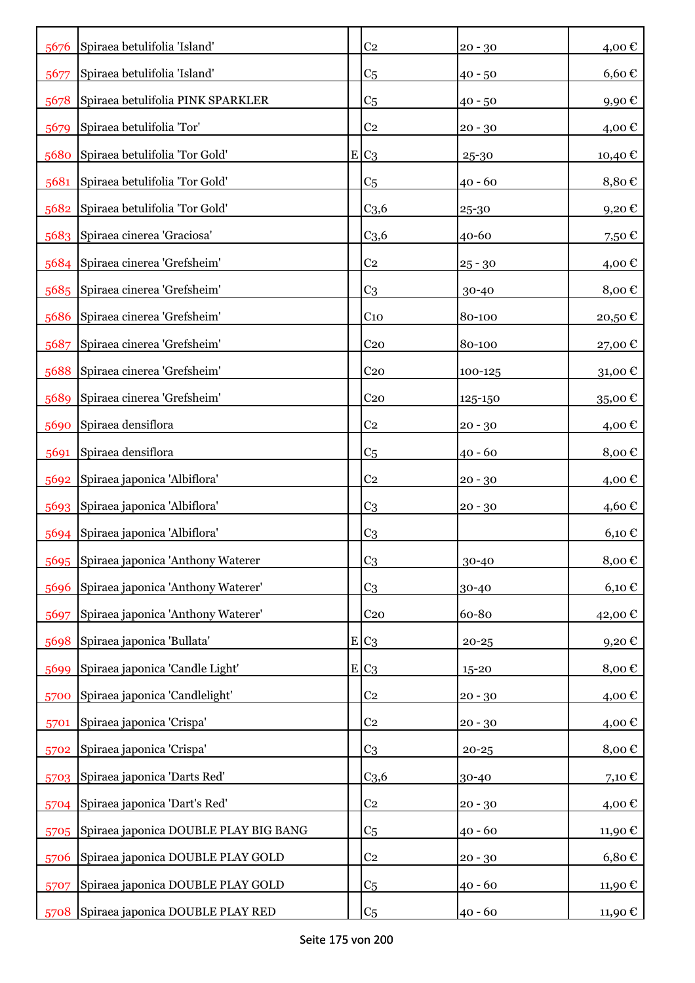| 5676 | Spiraea betulifolia 'Island'           |   | C <sub>2</sub>   | $20 - 30$ | 4,00€            |
|------|----------------------------------------|---|------------------|-----------|------------------|
| 5677 | Spiraea betulifolia 'Island'           |   | C <sub>5</sub>   | $40 - 50$ | $6,60 \in$       |
| 5678 | Spiraea betulifolia PINK SPARKLER      |   | C <sub>5</sub>   | $40 - 50$ | 9,90€            |
| 5679 | Spiraea betulifolia 'Tor'              |   | C <sub>2</sub>   | $20 - 30$ | 4,00 €           |
| 5680 | Spiraea betulifolia 'Tor Gold'         |   | $E C_3$          | 25-30     | 10,40 €          |
| 5681 | Spiraea betulifolia 'Tor Gold'         |   | C <sub>5</sub>   | $40 - 60$ | 8,80€            |
| 5682 | Spiraea betulifolia 'Tor Gold'         |   | C <sub>3,6</sub> | $25 - 30$ | 9,20€            |
| 5683 | Spiraea cinerea 'Graciosa'             |   | C <sub>3,6</sub> | 40-60     | 7,50€            |
|      | 5684 Spiraea cinerea 'Grefsheim'       |   | C <sub>2</sub>   | $25 - 30$ | 4,00 €           |
|      | 5685 Spiraea cinerea 'Grefsheim'       |   | C <sub>3</sub>   | $30 - 40$ | 8,00€            |
| 5686 | Spiraea cinerea 'Grefsheim'            |   | C <sub>10</sub>  | 80-100    | 20,50€           |
| 5687 | Spiraea cinerea 'Grefsheim'            |   | C <sub>20</sub>  | 80-100    | 27,00€           |
| 5688 | Spiraea cinerea 'Grefsheim'            |   | C <sub>20</sub>  | 100-125   | 31,00 $\epsilon$ |
| 5689 | Spiraea cinerea 'Grefsheim'            |   | C <sub>20</sub>  | 125-150   | 35,00€           |
| 5690 | Spiraea densiflora                     |   | C <sub>2</sub>   | $20 - 30$ | 4,00 €           |
| 5691 | Spiraea densiflora                     |   | C <sub>5</sub>   | $40 - 60$ | 8,00€            |
| 5692 | Spiraea japonica 'Albiflora'           |   | C <sub>2</sub>   | $20 - 30$ | 4,00€            |
|      | 5693 Spiraea japonica 'Albiflora'      |   | C <sub>3</sub>   | $20 - 30$ | 4,60 €           |
|      | 5694 Spiraea japonica 'Albiflora'      |   | C <sub>3</sub>   |           | $6,10 \in$       |
|      | 5695 Spiraea japonica 'Anthony Waterer |   | C <sub>3</sub>   | 30-40     | 8,00€            |
| 5696 | Spiraea japonica 'Anthony Waterer'     |   | C <sub>3</sub>   | 30-40     | $6,10 \in$       |
| 5697 | Spiraea japonica 'Anthony Waterer'     |   | C <sub>20</sub>  | 60-80     | 42,00€           |
| 5698 | Spiraea japonica 'Bullata'             |   | $E C_3$          | $20 - 25$ | 9,20€            |
| 5699 | Spiraea japonica 'Candle Light'        | E | C <sub>3</sub>   | $15 - 20$ | 8,00€            |
| 5700 | Spiraea japonica 'Candlelight'         |   | C <sub>2</sub>   | $20 - 30$ | 4,00€            |
| 5701 | Spiraea japonica 'Crispa'              |   | C <sub>2</sub>   | $20 - 30$ | 4,00€            |
| 5702 | Spiraea japonica 'Crispa'              |   | C <sub>3</sub>   | $20 - 25$ | 8,00€            |
| 5703 | Spiraea japonica 'Darts Red'           |   | C <sub>3,6</sub> | 30-40     | 7,10€            |
| 5704 | Spiraea japonica 'Dart's Red'          |   | C <sub>2</sub>   | $20 - 30$ | 4,00€            |
| 5705 | Spiraea japonica DOUBLE PLAY BIG BANG  |   | C <sub>5</sub>   | $40 - 60$ | 11,90€           |
| 5706 | Spiraea japonica DOUBLE PLAY GOLD      |   | C <sub>2</sub>   | $20 - 30$ | $6,80 \in$       |
| 5707 | Spiraea japonica DOUBLE PLAY GOLD      |   | C <sub>5</sub>   | $40 - 60$ | 11,90€           |
| 5708 | Spiraea japonica DOUBLE PLAY RED       |   | C <sub>5</sub>   | 40 - 60   | 11,90 €          |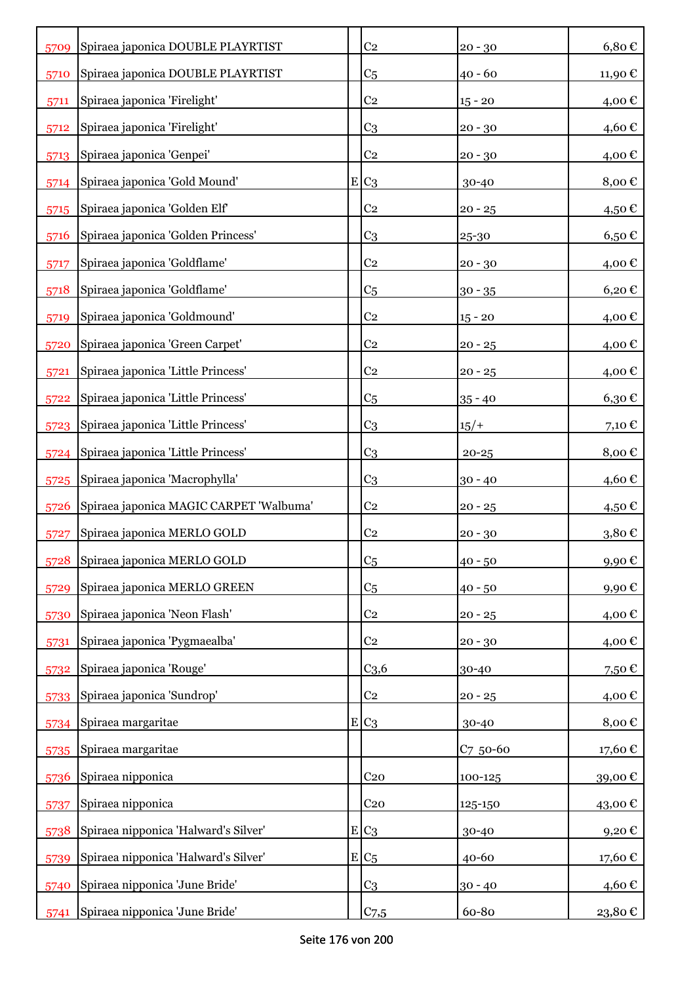| 5709 | Spiraea japonica DOUBLE PLAYRTIST       | C <sub>2</sub>   | $20 - 30$ | $6,80 \in$          |
|------|-----------------------------------------|------------------|-----------|---------------------|
| 5710 | Spiraea japonica DOUBLE PLAYRTIST       | C <sub>5</sub>   | $40 - 60$ | 11,90 €             |
| 5711 | Spiraea japonica 'Firelight'            | C <sub>2</sub>   | $15 - 20$ | 4,00 €              |
| 5712 | Spiraea japonica 'Firelight'            | C <sub>3</sub>   | $20 - 30$ | 4,60€               |
| 5713 | Spiraea japonica 'Genpei'               | C <sub>2</sub>   | $20 - 30$ | 4,00€               |
| 5714 | Spiraea japonica 'Gold Mound'           | $E C_3$          | 30-40     | 8,00€               |
| 5715 | Spiraea japonica 'Golden Elf'           | C <sub>2</sub>   | $20 - 25$ | 4,50 €              |
| 5716 | Spiraea japonica 'Golden Princess'      | C <sub>3</sub>   | 25-30     | $6,50 \text{ } \in$ |
| 5717 | Spiraea japonica 'Goldflame'            | C <sub>2</sub>   | $20 - 30$ | 4,00 €              |
| 5718 | Spiraea japonica 'Goldflame'            | C <sub>5</sub>   | $30 - 35$ | 6,20€               |
| 5719 | Spiraea japonica 'Goldmound'            | C <sub>2</sub>   | $15 - 20$ | 4,00 €              |
| 5720 | Spiraea japonica 'Green Carpet'         | C <sub>2</sub>   | $20 - 25$ | 4,00 €              |
| 5721 | Spiraea japonica 'Little Princess'      | C <sub>2</sub>   | $20 - 25$ | 4,00€               |
| 5722 | Spiraea japonica 'Little Princess'      | C <sub>5</sub>   | $35 - 40$ | 6,30€               |
| 5723 | Spiraea japonica 'Little Princess'      | C <sub>3</sub>   | $15/+$    | 7,10 €              |
| 5724 | Spiraea japonica 'Little Princess'      | C <sub>3</sub>   | $20 - 25$ | 8,00€               |
| 5725 | Spiraea japonica 'Macrophylla'          | C <sub>3</sub>   | $30 - 40$ | 4,60€               |
| 5726 | Spiraea japonica MAGIC CARPET 'Walbuma' | C <sub>2</sub>   | $20 - 25$ | 4,50 $\in$          |
| 5727 | Spiraea japonica MERLO GOLD             | C <sub>2</sub>   | $20 - 30$ | 3,80€               |
| 5728 | Spiraea japonica MERLO GOLD             | C <sub>5</sub>   | $40 - 50$ | 9,90€               |
| 5729 | Spiraea japonica MERLO GREEN            | C <sub>5</sub>   | $40 - 50$ | 9,90€               |
| 5730 | Spiraea japonica 'Neon Flash'           | C <sub>2</sub>   | $20 - 25$ | 4,00€               |
| 5731 | Spiraea japonica 'Pygmaealba'           | C <sub>2</sub>   | $20 - 30$ | 4,00€               |
| 5732 | Spiraea japonica 'Rouge'                | C <sub>3,6</sub> | 30-40     | 7,50 €              |
| 5733 | Spiraea japonica 'Sundrop'              | C <sub>2</sub>   | $20 - 25$ | 4,00€               |
| 5734 | Spiraea margaritae                      | $E C_3$          | 30-40     | 8,00€               |
| 5735 | Spiraea margaritae                      |                  | C7 50-60  | 17,60€              |
| 5736 | Spiraea nipponica                       | C <sub>20</sub>  | 100-125   | 39,00€              |
| 5737 | Spiraea nipponica                       | C <sub>20</sub>  | 125-150   | 43,00€              |
| 5738 | Spiraea nipponica 'Halward's Silver'    | $E C_3$          | 30-40     | 9,20€               |
| 5739 | Spiraea nipponica 'Halward's Silver'    | $E C_5$          | 40-60     | 17,60€              |
| 5740 | Spiraea nipponica 'June Bride'          | C <sub>3</sub>   | $30 - 40$ | 4,60 €              |
| 5741 | Spiraea nipponica 'June Bride'          | C <sub>7,5</sub> | 60-80     | 23,80€              |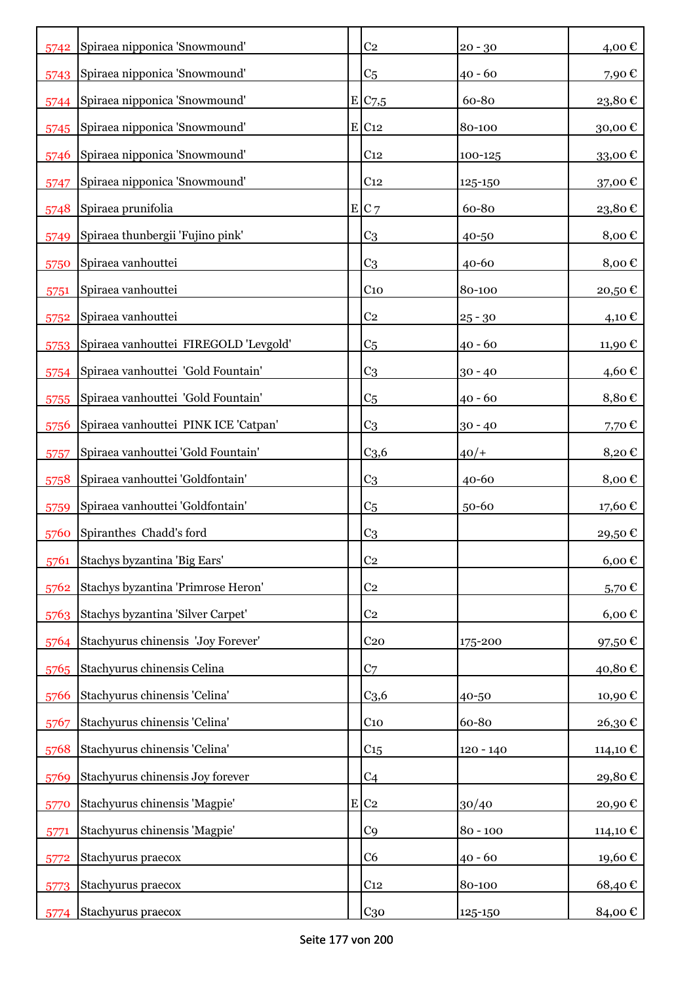| 5742 | Spiraea nipponica 'Snowmound'         | C <sub>2</sub>      | $20 - 30$  | 4,00€               |
|------|---------------------------------------|---------------------|------------|---------------------|
|      | 5743 Spiraea nipponica 'Snowmound'    | C <sub>5</sub>      | $40 - 60$  | 7,90€               |
|      | 5744 Spiraea nipponica 'Snowmound'    | E/C <sub>7,5</sub>  | 60-80      | 23,80€              |
| 5745 | Spiraea nipponica 'Snowmound'         | $E$ C <sub>12</sub> | 80-100     | 30,00€              |
| 5746 | Spiraea nipponica 'Snowmound'         | C <sub>12</sub>     | 100-125    | 33,00€              |
| 5747 | Spiraea nipponica 'Snowmound'         | C <sub>12</sub>     | 125-150    | 37,00€              |
| 5748 | Spiraea prunifolia                    | E C7                | 60-80      | 23,80€              |
| 5749 | Spiraea thunbergii 'Fujino pink'      | C <sub>3</sub>      | 40-50      | 8,00€               |
| 5750 | Spiraea vanhouttei                    | C <sub>3</sub>      | $40 - 60$  | 8,00€               |
| 5751 | Spiraea vanhouttei                    | C <sub>10</sub>     | 80-100     | 20,50€              |
| 5752 | Spiraea vanhouttei                    | C <sub>2</sub>      | $25 - 30$  | $4,10 \in$          |
| 5753 | Spiraea vanhouttei FIREGOLD 'Levgold' | C <sub>5</sub>      | $40 - 60$  | 11,90€              |
| 5754 | Spiraea vanhouttei 'Gold Fountain'    | C <sub>3</sub>      | $30 - 40$  | 4,60€               |
| 5755 | Spiraea vanhouttei 'Gold Fountain'    | C <sub>5</sub>      | $40 - 60$  | $8,80 \in$          |
| 5756 | Spiraea vanhouttei PINK ICE 'Catpan'  | C <sub>3</sub>      | $30 - 40$  | 7,70€               |
| 5757 | Spiraea vanhouttei 'Gold Fountain'    | C <sub>3,6</sub>    | $40/+$     | 8,20€               |
| 5758 | Spiraea vanhouttei 'Goldfontain'      | C <sub>3</sub>      | $40 - 60$  | 8,00€               |
| 5759 | Spiraea vanhouttei 'Goldfontain'      | C <sub>5</sub>      | 50-60      | 17,60 €             |
| 5760 | Spiranthes Chadd's ford               | C <sub>3</sub>      |            | 29,50€              |
| 5761 | Stachys byzantina 'Big Ears'          | C <sub>2</sub>      |            | $6,00 \in$          |
| 5762 | Stachys byzantina 'Primrose Heron'    | C <sub>2</sub>      |            | 5,70€               |
| 5763 | Stachys byzantina 'Silver Carpet'     | C <sub>2</sub>      |            | $6,00 \text{ } \in$ |
| 5764 | Stachyurus chinensis 'Joy Forever'    | C <sub>20</sub>     | 175-200    | 97,50€              |
| 5765 | Stachyurus chinensis Celina           | C <sub>7</sub>      |            | 40,80€              |
| 5766 | Stachyurus chinensis 'Celina'         | C <sub>3,6</sub>    | 40-50      | 10,90€              |
| 5767 | Stachyurus chinensis 'Celina'         | $C_{10}$            | 60-80      | 26,30€              |
| 5768 | Stachyurus chinensis 'Celina'         | C <sub>15</sub>     | 120 - 140  | 114,10€             |
| 5769 | Stachyurus chinensis Joy forever      | C <sub>4</sub>      |            | 29,80€              |
| 5770 | Stachyurus chinensis 'Magpie'         | $E$ C <sub>2</sub>  | 30/40      | 20,90€              |
| 5771 | Stachyurus chinensis 'Magpie'         | C <sub>9</sub>      | $80 - 100$ | 114,10 €            |
| 5772 | Stachyurus praecox                    | C6                  | $40 - 60$  | 19,60€              |
| 5773 | Stachyurus praecox                    | C <sub>12</sub>     | 80-100     | 68,40€              |
| 5774 | Stachyurus praecox                    | C <sub>30</sub>     | 125-150    | 84,00 €             |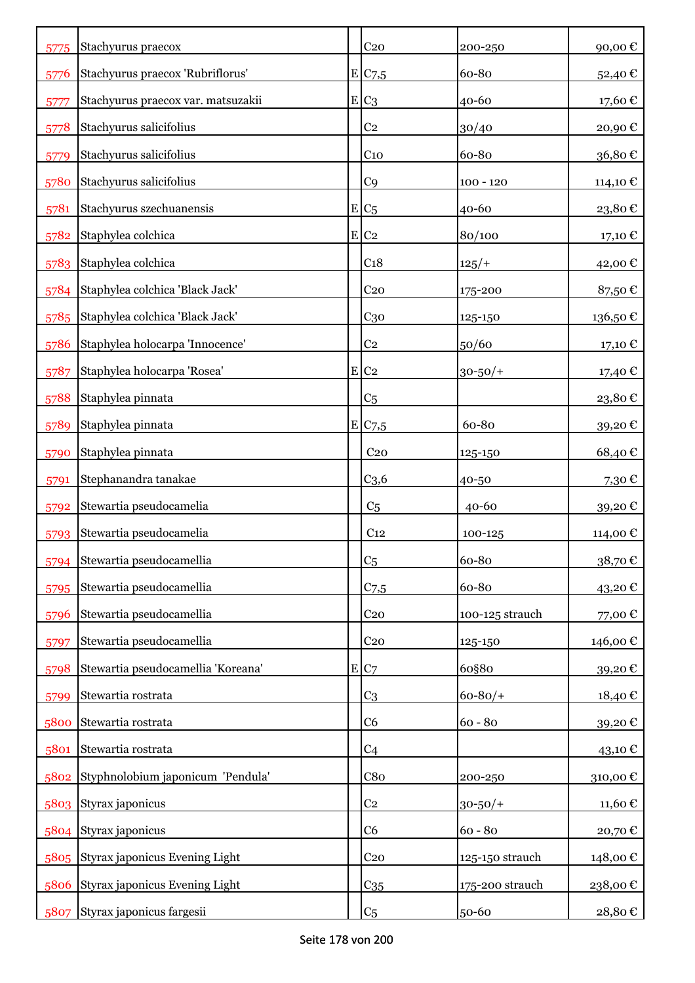| 5775 | Stachyurus praecox                  | C <sub>20</sub>    | 200-250         | 90,00€        |
|------|-------------------------------------|--------------------|-----------------|---------------|
| 5776 | Stachyurus praecox 'Rubriflorus'    | E C7,5             | 60-80           | 52,40€        |
| 5777 | Stachyurus praecox var. matsuzakii  | $E C_3$            | 40-60           | 17,60€        |
| 5778 | Stachyurus salicifolius             | C <sub>2</sub>     | 30/40           | 20,90€        |
| 5779 | Stachyurus salicifolius             | C <sub>10</sub>    | 60-80           | 36,80€        |
| 5780 | Stachyurus salicifolius             | C <sub>9</sub>     | $100 - 120$     | 114,10 €      |
| 5781 | Stachyurus szechuanensis            | $E C_5$            | 40-60           | 23,80€        |
| 5782 | Staphylea colchica                  | $E$ C <sub>2</sub> | 80/100          | 17,10 €       |
| 5783 | Staphylea colchica                  | C <sub>18</sub>    | $125/+$         | 42,00€        |
| 5784 | Staphylea colchica 'Black Jack'     | C <sub>20</sub>    | 175-200         | 87,50€        |
| 5785 | Staphylea colchica 'Black Jack'     | C <sub>30</sub>    | 125-150         | 136,50€       |
| 5786 | Staphylea holocarpa 'Innocence'     | C <sub>2</sub>     | 50/60           | 17,10 €       |
| 5787 | Staphylea holocarpa 'Rosea'         | $E$ C <sub>2</sub> | $30 - 50/$ +    | 17,40 €       |
| 5788 | Staphylea pinnata                   | C <sub>5</sub>     |                 | 23,80€        |
| 5789 | Staphylea pinnata                   | E/C <sub>7,5</sub> | 60-80           | 39,20€        |
| 5790 | Staphylea pinnata                   | C <sub>20</sub>    | 125-150         | 68,40€        |
| 5791 | Stephanandra tanakae                | C <sub>3,6</sub>   | 40-50           | 7,30€         |
| 5792 | Stewartia pseudocamelia             | C <sub>5</sub>     | $40 - 60$       | 39,20€        |
| 5793 | Stewartia pseudocamelia             | C <sub>12</sub>    | 100-125         | 114,00 €      |
| 5794 | Stewartia pseudocamellia            | C <sub>5</sub>     | 60-80           | $38{,}70 \in$ |
| 5795 | Stewartia pseudocamellia            | $C$ 7,5            | 60-80           | 43,20€        |
| 5796 | Stewartia pseudocamellia            | C <sub>20</sub>    | 100-125 strauch | 77,00€        |
| 5797 | Stewartia pseudocamellia            | C <sub>20</sub>    | 125-150         | 146,00 €      |
| 5798 | Stewartia pseudocamellia 'Koreana'  | E C7               | 60§80           | 39,20€        |
| 5799 | Stewartia rostrata                  | C <sub>3</sub>     | $60 - 80/$      | 18,40€        |
| 5800 | Stewartia rostrata                  | C <sub>6</sub>     | $60 - 80$       | 39,20€        |
| 5801 | Stewartia rostrata                  | C <sub>4</sub>     |                 | 43,10 €       |
| 5802 | Styphnolobium japonicum 'Pendula'   | C8 <sub>0</sub>    | 200-250         | 310,00€       |
| 5803 | Styrax japonicus                    | C <sub>2</sub>     | $30 - 50/$ +    | 11,60€        |
|      | 5804 Styrax japonicus               | C <sub>6</sub>     | $60 - 80$       | 20,70€        |
|      | 5805 Styrax japonicus Evening Light | C <sub>20</sub>    | 125-150 strauch | 148,00€       |
| 5806 | Styrax japonicus Evening Light      | C <sub>35</sub>    | 175-200 strauch | 238,00€       |
| 5807 | Styrax japonicus fargesii           | C <sub>5</sub>     | 50-60           | 28,80 €       |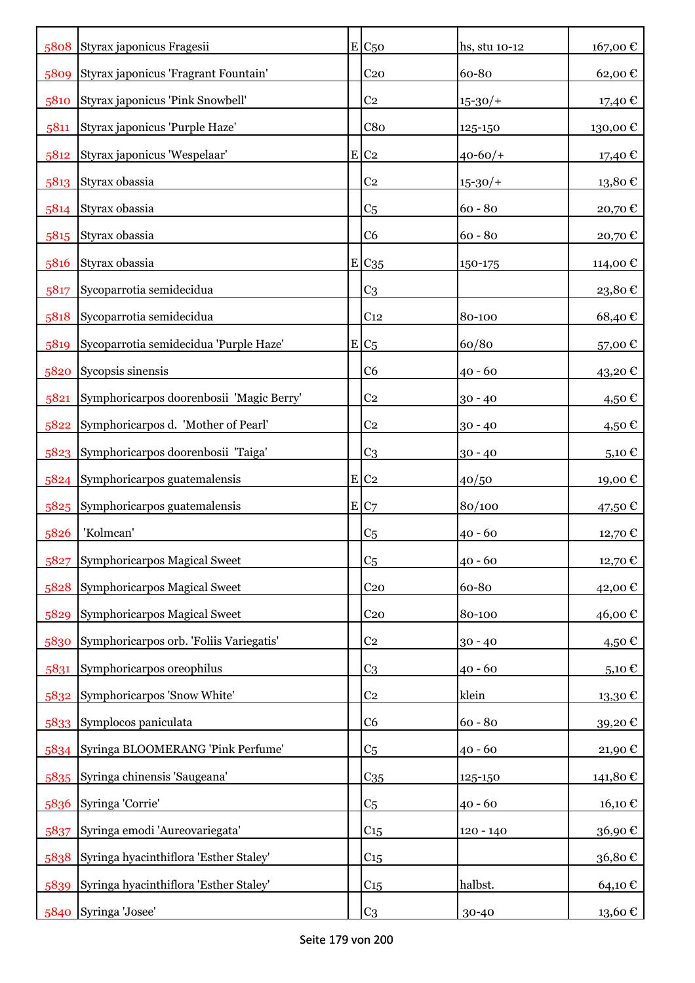|      | 5808 Styrax japonicus Fragesii           |   | $E C_{50}$          | hs, stu 10-12 | 167,00€                |
|------|------------------------------------------|---|---------------------|---------------|------------------------|
| 5809 | Styrax japonicus 'Fragrant Fountain'     |   | C <sub>20</sub>     | 60-80         | 62,00€                 |
| 5810 | Styrax japonicus 'Pink Snowbell'         |   | C <sub>2</sub>      | $15 - 30/$    | 17,40 €                |
| 5811 | Styrax japonicus 'Purple Haze'           |   | C8 <sub>0</sub>     | 125-150       | 130,00€                |
| 5812 | Styrax japonicus 'Wespelaar'             | E | C <sub>2</sub>      | $40 - 60/$    | 17,40 €                |
| 5813 | Styrax obassia                           |   | C <sub>2</sub>      | $15 - 30/$    | $13,\!80$ $\mathbb{C}$ |
| 5814 | Styrax obassia                           |   | C <sub>5</sub>      | $60 - 80$     | 20,70€                 |
| 5815 | Styrax obassia                           |   | C <sub>6</sub>      | $60 - 80$     | 20,70€                 |
| 5816 | Styrax obassia                           |   | $E$ C <sub>35</sub> | 150-175       | 114,00€                |
| 5817 | Sycoparrotia semidecidua                 |   | C <sub>3</sub>      |               | 23,80€                 |
| 5818 | Sycoparrotia semidecidua                 |   | C <sub>12</sub>     | 80-100        | 68,40€                 |
| 5819 | Sycoparrotia semidecidua 'Purple Haze'   |   | $E C_5$             | 60/80         | 57,00€                 |
| 5820 | Sycopsis sinensis                        |   | C <sub>6</sub>      | 40 - 60       | 43,20€                 |
| 5821 | Symphoricarpos doorenbosii 'Magic Berry' |   | C <sub>2</sub>      | $30 - 40$     | 4,50 €                 |
| 5822 | Symphoricarpos d. 'Mother of Pearl'      |   | C <sub>2</sub>      | $30 - 40$     | 4,50€                  |
| 5823 | Symphoricarpos doorenbosii 'Taiga'       |   | C <sub>3</sub>      | $30 - 40$     | 5,10 €                 |
|      | 5824 Symphoricarpos guatemalensis        |   | $E$ C <sub>2</sub>  | 40/50         | 19,00 €                |
|      | 5825 Symphoricarpos guatemalensis        |   | E C7                | 80/100        | 47,50 €                |
| 5826 | 'Kolmcan'                                |   | C <sub>5</sub>      | $40 - 60$     | 12,70€                 |
| 5827 | Symphoricarpos Magical Sweet             |   | C <sub>5</sub>      | $40 - 60$     | 12,70 €                |
| 5828 | Symphoricarpos Magical Sweet             |   | C <sub>20</sub>     | 60-80         | 42,00€                 |
| 5829 | Symphoricarpos Magical Sweet             |   | C <sub>20</sub>     | 80-100        | 46,00€                 |
| 5830 | Symphoricarpos orb. 'Foliis Variegatis'  |   | C <sub>2</sub>      | $30 - 40$     | 4,50€                  |
| 5831 | Symphoricarpos oreophilus                |   | C <sub>3</sub>      | $40 - 60$     | 5,10 $\in$             |
| 5832 | Symphoricarpos 'Snow White'              |   | C <sub>2</sub>      | klein         | 13,30€                 |
|      | 5833 Symplocos paniculata                |   | C <sub>6</sub>      | $60 - 80$     | 39,20€                 |
| 5834 | Syringa BLOOMERANG 'Pink Perfume'        |   | C <sub>5</sub>      | $40 - 60$     | 21,90€                 |
| 5835 | Syringa chinensis 'Saugeana'             |   | $C_{35}$            | 125-150       | 141,80€                |
| 5836 | Syringa 'Corrie'                         |   | C <sub>5</sub>      | $40 - 60$     | $16,10 \text{ }€$      |
| 5837 | Syringa emodi 'Aureovariegata'           |   | $C_{15}$            | $120 - 140$   | 36,90€                 |
| 5838 | Syringa hyacinthiflora 'Esther Staley'   |   | C15                 |               | 36,80€                 |
| 5839 | Syringa hyacinthiflora 'Esther Staley'   |   | $C_{15}$            | halbst.       | 64,10€                 |
| 5840 | Syringa 'Josee'                          |   | C <sub>3</sub>      | 30-40         | 13,60 €                |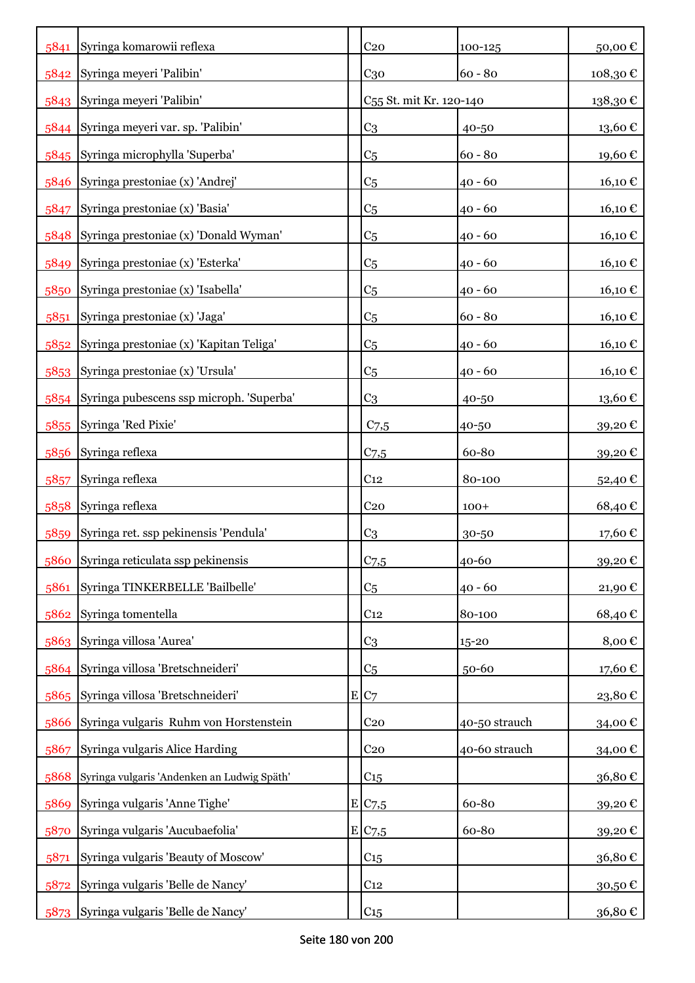| 5841 | Syringa komarowii reflexa                   |   | C <sub>20</sub>                     | 100-125       | 50,00€  |
|------|---------------------------------------------|---|-------------------------------------|---------------|---------|
| 5842 | Syringa meyeri 'Palibin'                    |   | C <sub>30</sub>                     | $60 - 80$     | 108,30€ |
|      | 5843 Syringa meyeri 'Palibin'               |   | C <sub>55</sub> St. mit Kr. 120-140 |               | 138,30€ |
|      | 5844 Syringa meyeri var. sp. 'Palibin'      |   | C <sub>3</sub>                      | 40-50         | 13,60€  |
|      | 5845 Syringa microphylla 'Superba'          |   | C <sub>5</sub>                      | $60 - 80$     | 19,60€  |
| 5846 | Syringa prestoniae (x) 'Andrej'             |   | C <sub>5</sub>                      | $40 - 60$     | 16,10€  |
| 5847 | Syringa prestoniae (x) 'Basia'              |   | C <sub>5</sub>                      | $40 - 60$     | 16,10€  |
| 5848 | Syringa prestoniae (x) 'Donald Wyman'       |   | C <sub>5</sub>                      | $40 - 60$     | 16,10€  |
| 5849 | Syringa prestoniae (x) 'Esterka'            |   | C <sub>5</sub>                      | $40 - 60$     | 16,10 € |
| 5850 | Syringa prestoniae (x) 'Isabella'           |   | C <sub>5</sub>                      | $40 - 60$     | 16,10 € |
| 5851 | Syringa prestoniae (x) 'Jaga'               |   | C <sub>5</sub>                      | $60 - 80$     | 16,10€  |
| 5852 | Syringa prestoniae (x) 'Kapitan Teliga'     |   | C <sub>5</sub>                      | $40 - 60$     | 16,10€  |
| 5853 | Syringa prestoniae (x) 'Ursula'             |   | C5                                  | $40 - 60$     | 16,10€  |
| 5854 | Syringa pubescens ssp microph. 'Superba'    |   | C <sub>3</sub>                      | 40-50         | 13,60€  |
| 5855 | Syringa 'Red Pixie'                         |   | $C_{7,5}$                           | 40-50         | 39,20€  |
| 5856 | Syringa reflexa                             |   | C <sub>7,5</sub>                    | 60-80         | 39,20€  |
| 5857 | Syringa reflexa                             |   | C <sub>12</sub>                     | 80-100        | 52,40 € |
| 5858 | Syringa reflexa                             |   | C <sub>20</sub>                     | $100+$        | 68,40€  |
| 5859 | Syringa ret. ssp pekinensis 'Pendula'       |   | C <sub>3</sub>                      | 30-50         | 17,60€  |
| 5860 | Syringa reticulata ssp pekinensis           |   | $C$ 7,5                             | 40-60         | 39,20€  |
| 5861 | Syringa TINKERBELLE 'Bailbelle'             |   | C <sub>5</sub>                      | $40 - 60$     | 21,90€  |
| 5862 | Syringa tomentella                          |   | C <sub>12</sub>                     | 80-100        | 68,40€  |
|      | 5863 Syringa villosa 'Aurea'                |   | C <sub>3</sub>                      | $15 - 20$     | 8,00€   |
|      | 5864 Syringa villosa 'Bretschneideri'       |   | C <sub>5</sub>                      | $50 - 60$     | 17,60€  |
| 5865 | Syringa villosa 'Bretschneideri'            | E | C <sub>7</sub>                      |               | 23,80€  |
| 5866 | Syringa vulgaris Ruhm von Horstenstein      |   | C <sub>20</sub>                     | 40-50 strauch | 34,00€  |
| 5867 | Syringa vulgaris Alice Harding              |   | C <sub>20</sub>                     | 40-60 strauch | 34,00€  |
| 5868 | Syringa vulgaris 'Andenken an Ludwig Späth' |   | $C_{15}$                            |               | 36,80€  |
| 5869 | Syringa vulgaris 'Anne Tighe'               |   | E C7,5                              | 60-80         | 39,20€  |
| 5870 | Syringa vulgaris 'Aucubaefolia'             |   | E C7,5                              | 60-80         | 39,20€  |
| 5871 | Syringa vulgaris 'Beauty of Moscow'         |   | C <sub>15</sub>                     |               | 36,80€  |
| 5872 | Syringa vulgaris 'Belle de Nancy'           |   | C <sub>12</sub>                     |               | 30,50€  |
| 5873 | Syringa vulgaris 'Belle de Nancy'           |   | C15                                 |               | 36,80€  |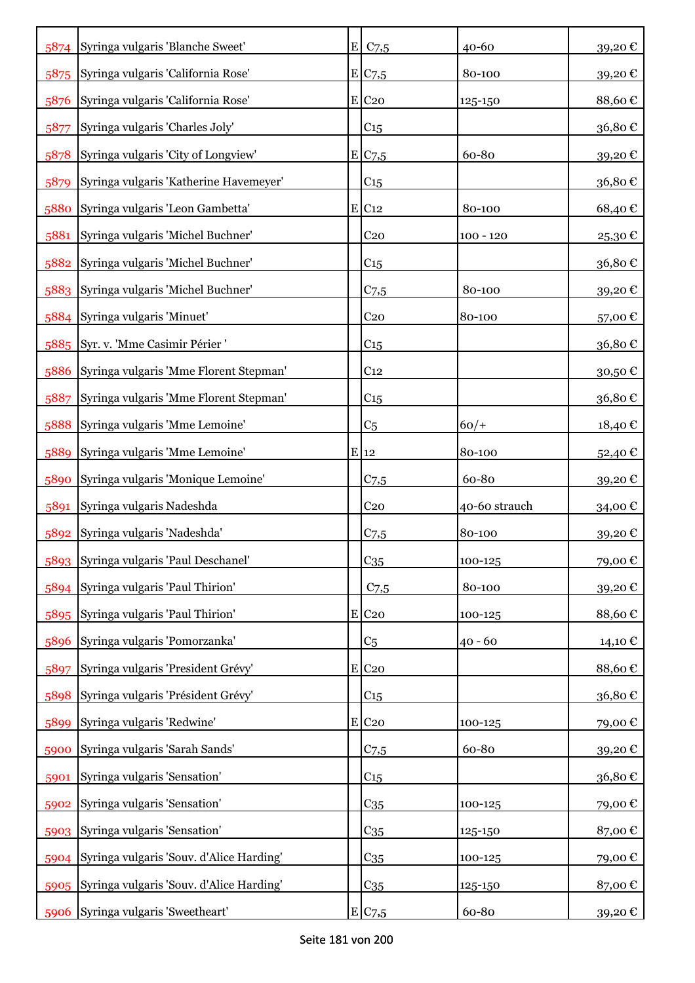| 5874 | Syringa vulgaris 'Blanche Sweet'              | E | $C$ 7,5             | 40-60         | 39,20€  |
|------|-----------------------------------------------|---|---------------------|---------------|---------|
| 5875 | Syringa vulgaris 'California Rose'            |   | E C7,5              | 80-100        | 39,20€  |
| 5876 | Syringa vulgaris 'California Rose'            |   | $E$ C <sub>20</sub> | 125-150       | 88,60€  |
| 5877 | Syringa vulgaris 'Charles Joly'               |   | C15                 |               | 36,80€  |
| 5878 | Syringa vulgaris 'City of Longview'           |   | E C7,5              | 60-80         | 39,20€  |
| 5879 | Syringa vulgaris 'Katherine Havemeyer'        |   | C <sub>15</sub>     |               | 36,80€  |
| 5880 | Syringa vulgaris 'Leon Gambetta'              |   | $E$ C <sub>12</sub> | 80-100        | 68,40€  |
| 5881 | Syringa vulgaris 'Michel Buchner'             |   | C <sub>20</sub>     | $100 - 120$   | 25,30€  |
|      | 5882 Syringa vulgaris 'Michel Buchner'        |   | C <sub>15</sub>     |               | 36,80€  |
|      | 5883 Syringa vulgaris 'Michel Buchner'        |   | $C$ 7,5             | 80-100        | 39,20€  |
|      | 5884 Syringa vulgaris 'Minuet'                |   | C <sub>20</sub>     | 80-100        | 57,00€  |
|      | 5885 Syr. v. 'Mme Casimir Périer '            |   | C <sub>15</sub>     |               | 36,80€  |
| 5886 | Syringa vulgaris 'Mme Florent Stepman'        |   | C <sub>12</sub>     |               | 30,50€  |
| 5887 | Syringa vulgaris 'Mme Florent Stepman'        |   | C <sub>15</sub>     |               | 36,80€  |
| 5888 | Syringa vulgaris 'Mme Lemoine'                |   | C <sub>5</sub>      | $60/+$        | 18,40 € |
| 5889 | Syringa vulgaris 'Mme Lemoine'                |   | $E$ 12              | 80-100        | 52,40 € |
| 5890 | Syringa vulgaris 'Monique Lemoine'            |   | $C_{7,5}$           | 60-80         | 39,20€  |
| 5891 | Syringa vulgaris Nadeshda                     |   | C <sub>20</sub>     | 40-60 strauch | 34,00 € |
| 5892 | Syringa vulgaris 'Nadeshda'                   |   | $C_{7,5}$           | 80-100        | 39,20€  |
|      | 5893 Syringa vulgaris 'Paul Deschanel'        |   | $C_{35}$            | 100-125       | 79,00€  |
|      | 5894 Syringa vulgaris 'Paul Thirion'          |   | C <sub>7,5</sub>    | 80-100        | 39,20€  |
|      | 5895 Syringa vulgaris 'Paul Thirion'          |   | $E$ C <sub>20</sub> | 100-125       | 88,60€  |
| 5896 | Syringa vulgaris 'Pomorzanka'                 |   | C5                  | $40 - 60$     | 14,10 € |
| 5897 | Syringa vulgaris 'President Grévy'            |   | E C <sub>20</sub>   |               | 88,60€  |
| 5898 | Syringa vulgaris 'Président Grévy'            |   | C <sub>15</sub>     |               | 36,80€  |
| 5899 | Syringa vulgaris 'Redwine'                    |   | E C <sub>20</sub>   | 100-125       | 79,00€  |
| 5900 | Syringa vulgaris 'Sarah Sands'                |   | $C_{7,5}$           | 60-80         | 39,20€  |
| 5901 | Syringa vulgaris 'Sensation'                  |   | $C_{15}$            |               | 36,80€  |
| 5902 | Syringa vulgaris 'Sensation'                  |   | $C_{35}$            | 100-125       | 79,00€  |
| 5903 | Syringa vulgaris 'Sensation'                  |   | $C_{35}$            | 125-150       | 87,00€  |
|      | 5904 Syringa vulgaris 'Souv. d'Alice Harding' |   | $C_{35}$            | 100-125       | 79,00€  |
|      | 5905 Syringa vulgaris 'Souv. d'Alice Harding' |   | $C_{35}$            | 125-150       | 87,00€  |
| 5906 | Syringa vulgaris 'Sweetheart'                 |   | E C7,5              | 60-80         | 39,20€  |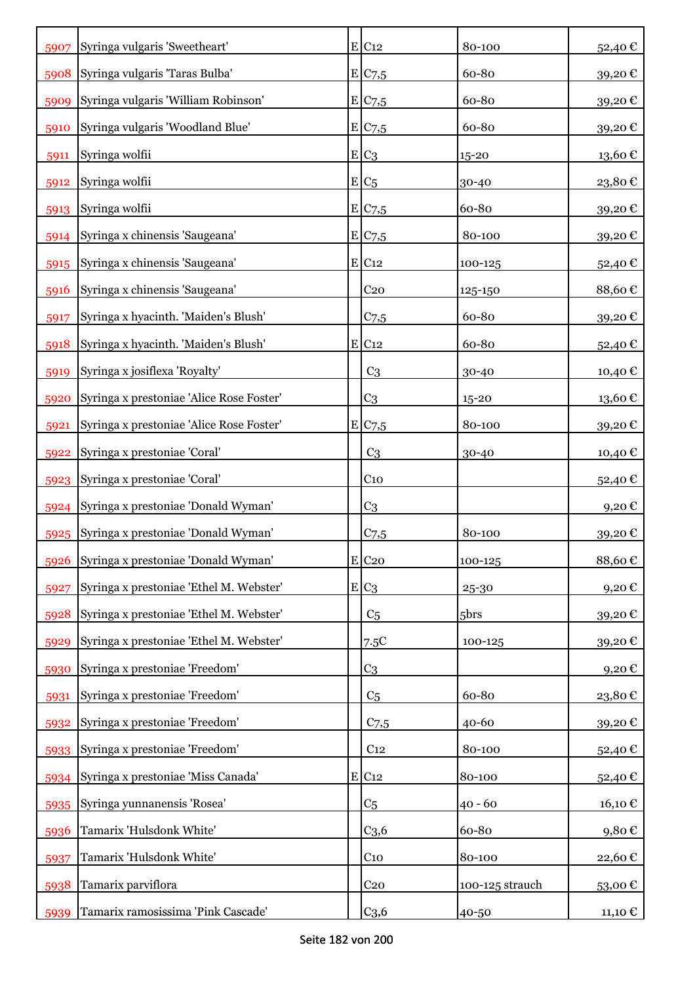| 5907 | Syringa vulgaris 'Sweetheart'            | $E$ C <sub>12</sub> | 80-100           | 52,40€   |
|------|------------------------------------------|---------------------|------------------|----------|
| 5908 | Syringa vulgaris 'Taras Bulba'           | E/C <sub>7,5</sub>  | 60-80            | 39,20€   |
| 5909 | Syringa vulgaris 'William Robinson'      | E/C <sub>7,5</sub>  | 60-80            | 39,20€   |
| 5910 | Syringa vulgaris 'Woodland Blue'         | E/C7,5              | 60-80            | 39,20€   |
| 5911 | Syringa wolfii                           | $E C_3$             | $15 - 20$        | 13,60€   |
| 5912 | Syringa wolfii                           | $E/C_5$             | 30-40            | 23,80€   |
| 5913 | Syringa wolfii                           | E C7,5              | 60-80            | 39,20€   |
| 5914 | Syringa x chinensis 'Saugeana'           | E C7,5              | 80-100           | 39,20€   |
| 5915 | Syringa x chinensis 'Saugeana'           | $E$ C <sub>12</sub> | 100-125          | 52,40€   |
| 5916 | Syringa x chinensis 'Saugeana'           | C <sub>20</sub>     | 125-150          | 88,60€   |
| 5917 | Syringa x hyacinth. 'Maiden's Blush'     | $C$ 7,5             | 60-80            | 39,20€   |
| 5918 | Syringa x hyacinth. 'Maiden's Blush'     | E C12               | 60-80            | 52,40€   |
| 5919 | Syringa x josiflexa 'Royalty'            | C <sub>3</sub>      | 30-40            | 10,40 €  |
| 5920 | Syringa x prestoniae 'Alice Rose Foster' | C3                  | $15 - 20$        | 13,60 €  |
| 5921 | Syringa x prestoniae 'Alice Rose Foster' | E C7,5              | 80-100           | 39,20€   |
| 5922 | Syringa x prestoniae 'Coral'             | C <sub>3</sub>      | 30-40            | 10,40 €  |
|      | 5923 Syringa x prestoniae 'Coral'        | C <sub>10</sub>     |                  | 52,40€   |
| 5924 | Syringa x prestoniae 'Donald Wyman'      | C <sub>3</sub>      |                  | $9,20$ € |
| 5925 | Syringa x prestoniae 'Donald Wyman'      | C <sub>7,5</sub>    | 80-100           | 39,20€   |
| 5926 | Syringa x prestoniae 'Donald Wyman'      | $E$ C <sub>20</sub> | 100-125          | 88,60€   |
| 5927 | Syringa x prestoniae 'Ethel M. Webster'  | $E C_3$             | 25-30            | 9,20€    |
| 5928 | Syringa x prestoniae 'Ethel M. Webster'  | C <sub>5</sub>      | 5 <sub>brs</sub> | 39,20€   |
| 5929 | Syringa x prestoniae 'Ethel M. Webster'  | 7.5C                | 100-125          | 39,20€   |
| 5930 | Syringa x prestoniae 'Freedom'           | C <sub>3</sub>      |                  | 9,20€    |
| 5931 | Syringa x prestoniae 'Freedom'           | C <sub>5</sub>      | 60-80            | 23,80€   |
| 5932 | Syringa x prestoniae 'Freedom'           | $C$ 7,5             | 40-60            | 39,20€   |
| 5933 | Syringa x prestoniae 'Freedom'           | C <sub>12</sub>     | 80-100           | 52,40€   |
| 5934 | Syringa x prestoniae 'Miss Canada'       | $E$ C <sub>12</sub> | 80-100           | 52,40€   |
| 5935 | Syringa yunnanensis 'Rosea'              | C5                  | $40 - 60$        | 16,10€   |
| 5936 | Tamarix 'Hulsdonk White'                 | C <sub>3,6</sub>    | 60-80            | 9,80€    |
| 5937 | Tamarix 'Hulsdonk White'                 | $C_{10}$            | 80-100           | 22,60€   |
| 5938 | Tamarix parviflora                       | C <sub>20</sub>     | 100-125 strauch  | 53,00€   |
| 5939 | Tamarix ramosissima 'Pink Cascade'       | C <sub>3,6</sub>    | 40-50            | 11,10 €  |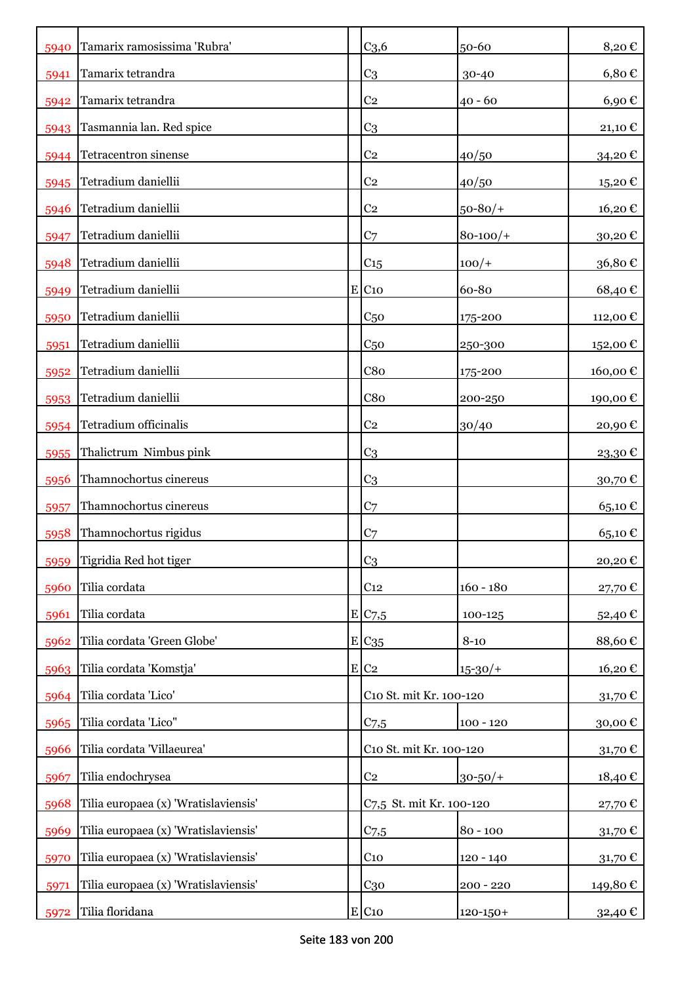| 5940 | Tamarix ramosissima 'Rubra'          | C <sub>3,6</sub>         | 50-60         | 8,20€            |
|------|--------------------------------------|--------------------------|---------------|------------------|
| 5941 | Tamarix tetrandra                    | C <sub>3</sub>           | 30-40         | $6,80 \in$       |
| 5942 | Tamarix tetrandra                    | C <sub>2</sub>           | $40 - 60$     | 6,90€            |
| 5943 | Tasmannia lan. Red spice             | C <sub>3</sub>           |               | 21,10 €          |
| 5944 | Tetracentron sinense                 | C <sub>2</sub>           | 40/50         | 34,20€           |
| 5945 | Tetradium daniellii                  | C <sub>2</sub>           | 40/50         | 15,20€           |
| 5946 | Tetradium daniellii                  | C <sub>2</sub>           | $50 - 80/$ +  | 16,20€           |
| 5947 | Tetradium daniellii                  | C <sub>7</sub>           | $80 - 100/$   | 30,20€           |
| 5948 | Tetradium daniellii                  | $C_{15}$                 | $100/+$       | 36,80€           |
| 5949 | Tetradium daniellii                  | $E$ C <sub>10</sub>      | 60-80         | 68,40€           |
| 5950 | Tetradium daniellii                  | C <sub>50</sub>          | 175-200       | 112,00€          |
| 5951 | Tetradium daniellii                  | C <sub>50</sub>          | 250-300       | 152,00€          |
| 5952 | Tetradium daniellii                  | C8 <sub>0</sub>          | 175-200       | 160,00€          |
| 5953 | Tetradium daniellii                  | C8 <sub>0</sub>          | 200-250       | 190,00€          |
| 5954 | Tetradium officinalis                | C <sub>2</sub>           | 30/40         | 20,90€           |
| 5955 | Thalictrum Nimbus pink               | C <sub>3</sub>           |               | 23,30€           |
| 5956 | Thamnochortus cinereus               | C <sub>3</sub>           |               | 30,70€           |
| 5957 | Thamnochortus cinereus               | C <sub>7</sub>           |               | 65,10€           |
| 5958 | Thamnochortus rigidus                | C <sub>7</sub>           |               | 65,10€           |
| 5959 | Tigridia Red hot tiger               | C <sub>3</sub>           |               | 20,20€           |
| 5960 | Tilia cordata                        | C <sub>12</sub>          | $160 - 180$   | 27,70€           |
| 5961 | Tilia cordata                        | E/C7,5                   | 100-125       | 52,40€           |
| 5962 | Tilia cordata 'Green Globe'          | $E C_{35}$               | $8 - 10$      | 88,60€           |
| 5963 | Tilia cordata 'Komstja'              | E C2                     | $15 - 30/$    | 16,20€           |
| 5964 | Tilia cordata 'Lico'                 | C10 St. mit Kr. 100-120  |               | 31,70 $\epsilon$ |
| 5965 | Tilia cordata 'Lico"                 | $C$ 7,5                  | $100 - 120$   | 30,00€           |
| 5966 | Tilia cordata 'Villaeurea'           | C10 St. mit Kr. 100-120  |               | 31,70 $\epsilon$ |
| 5967 | Tilia endochrysea                    | C <sub>2</sub>           | $30 - 50/$ +  | 18,40€           |
| 5968 | Tilia europaea (x) 'Wratislaviensis' | C7,5 St. mit Kr. 100-120 |               | 27,70 €          |
| 5969 | Tilia europaea (x) 'Wratislaviensis' | $C$ 7,5                  | $80 - 100$    | 31,70 $\epsilon$ |
| 5970 | Tilia europaea (x) 'Wratislaviensis' | C <sub>10</sub>          | $120 - 140$   | 31,70€           |
| 5971 | Tilia europaea (x) 'Wratislaviensis' | $C_{30}$                 | $200 - 220$   | 149,80 €         |
| 5972 | Tilia floridana                      | $E$ C <sub>10</sub>      | $120 - 150 +$ | 32,40 €          |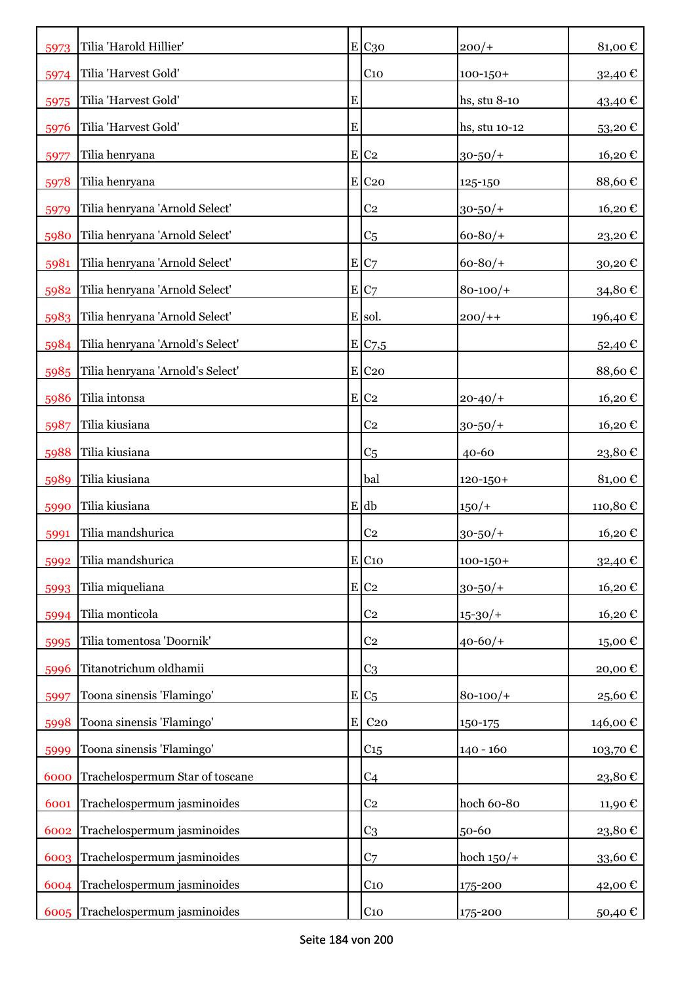| 5973 | Tilia 'Harold Hillier'           |           | E C30               | $200/+$       | 81,00€  |
|------|----------------------------------|-----------|---------------------|---------------|---------|
| 5974 | Tilia 'Harvest Gold'             |           | C <sub>10</sub>     | $100 - 150 +$ | 32,40€  |
| 5975 | Tilia 'Harvest Gold'             | ${\bf E}$ |                     | hs, stu 8-10  | 43,40 € |
| 5976 | Tilia 'Harvest Gold'             | E         |                     | hs, stu 10-12 | 53,20€  |
| 5977 | Tilia henryana                   |           | $E$ C <sub>2</sub>  | $30 - 50/$ +  | 16,20€  |
| 5978 | Tilia henryana                   |           | E C20               | 125-150       | 88,60€  |
| 5979 | Tilia henryana 'Arnold Select'   |           | C <sub>2</sub>      | $30 - 50/$ +  | 16,20€  |
| 5980 | Tilia henryana 'Arnold Select'   |           | C <sub>5</sub>      | $60 - 80/$ +  | 23,20€  |
| 5981 | Tilia henryana 'Arnold Select'   |           | E C7                | $60 - 80/$    | 30,20€  |
| 5982 | Tilia henryana 'Arnold Select'   |           | E C7                | $80 - 100/$   | 34,80€  |
| 5983 | Tilia henryana 'Arnold Select'   |           | E sol.              | $200/+$       | 196,40€ |
| 5984 | Tilia henryana 'Arnold's Select' |           | E C7,5              |               | 52,40€  |
| 5985 | Tilia henryana 'Arnold's Select' |           | $E$ C <sub>20</sub> |               | 88,60€  |
| 5986 | Tilia intonsa                    |           | $E C_2$             | $20 - 40/$    | 16,20€  |
| 5987 | Tilia kiusiana                   |           | C <sub>2</sub>      | $30 - 50/$ +  | 16,20€  |
| 5988 | Tilia kiusiana                   |           | C <sub>5</sub>      | $40 - 60$     | 23,80€  |
| 5989 | Tilia kiusiana                   |           | bal                 | $120 - 150 +$ | 81,00€  |
| 5990 | Tilia kiusiana                   |           | E db                | $150/+$       | 110,80€ |
| 5991 | Tilia mandshurica                |           | C <sub>2</sub>      | $30 - 50/$ +  | 16,20€  |
| 5992 | Tilia mandshurica                |           | $E$ C <sub>10</sub> | $100 - 150 +$ | 32,40€  |
| 5993 | Tilia miqueliana                 |           | E C2                | $30 - 50/$ +  | 16,20€  |
| 5994 | Tilia monticola                  |           | C <sub>2</sub>      | $15 - 30/$    | 16,20€  |
| 5995 | Tilia tomentosa 'Doornik'        |           | C <sub>2</sub>      | $40 - 60/$    | 15,00€  |
| 5996 | Titanotrichum oldhamii           |           | C <sub>3</sub>      |               | 20,00€  |
| 5997 | Toona sinensis 'Flamingo'        |           | $E/C_5$             | $80 - 100/$   | 25,60€  |
| 5998 | Toona sinensis 'Flamingo'        | ${\bf E}$ | C <sub>20</sub>     | 150-175       | 146,00€ |
| 5999 | Toona sinensis 'Flamingo'        |           | C <sub>15</sub>     | $140 - 160$   | 103,70€ |
| 6000 | Trachelospermum Star of toscane  |           | C4                  |               | 23,80€  |
| 6001 | Trachelospermum jasminoides      |           | C <sub>2</sub>      | hoch 60-80    | 11,90€  |
| 6002 | Trachelospermum jasminoides      |           | C <sub>3</sub>      | 50-60         | 23,80€  |
|      | 6003 Trachelospermum jasminoides |           | C <sub>7</sub>      | hoch $150/+$  | 33,60€  |
|      | 6004 Trachelospermum jasminoides |           | C <sub>10</sub>     | 175-200       | 42,00€  |
|      | 6005 Trachelospermum jasminoides |           | C <sub>10</sub>     | 175-200       | 50,40€  |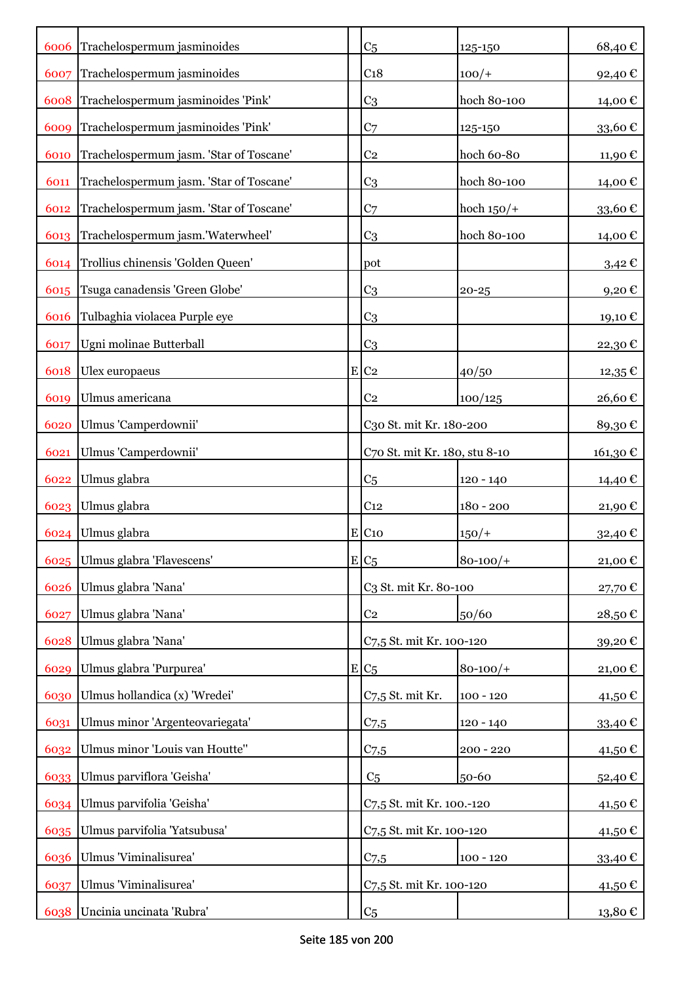|      | 6006 Trachelospermum jasminoides        | C <sub>5</sub>                | 125-150       | 68,40€     |
|------|-----------------------------------------|-------------------------------|---------------|------------|
| 6007 | Trachelospermum jasminoides             | C <sub>18</sub>               | $100/+$       | 92,40€     |
| 6008 | Trachelospermum jasminoides 'Pink'      | C <sub>3</sub>                | hoch 80-100   | 14,00 €    |
| 6009 | Trachelospermum jasminoides 'Pink'      | C <sub>7</sub>                | 125-150       | 33,60€     |
| 6010 | Trachelospermum jasm. 'Star of Toscane' | C <sub>2</sub>                | hoch 60-80    | 11,90€     |
| 6011 | Trachelospermum jasm. 'Star of Toscane' | C <sub>3</sub>                | hoch 80-100   | 14,00€     |
| 6012 | Trachelospermum jasm. 'Star of Toscane' | C <sub>7</sub>                | hoch $150/+$  | 33,60€     |
| 6013 | Trachelospermum jasm.'Waterwheel'       | C <sub>3</sub>                | hoch 80-100   | 14,00 €    |
| 6014 | Trollius chinensis 'Golden Queen'       | pot                           |               | $3,42 \in$ |
|      | 6015 Tsuga canadensis 'Green Globe'     | C <sub>3</sub>                | $20 - 25$     | 9,20€      |
| 6016 | Tulbaghia violacea Purple eye           | C <sub>3</sub>                |               | 19,10€     |
| 6017 | Ugni molinae Butterball                 | C <sub>3</sub>                |               | 22,30€     |
| 6018 | Ulex europaeus                          | $E$ C <sub>2</sub>            | 40/50         | $12,35$ €  |
| 6019 | Ulmus americana                         | C <sub>2</sub>                | 100/125       | 26,60€     |
| 6020 | Ulmus 'Camperdownii'                    | C30 St. mit Kr. 180-200       |               | 89,30€     |
| 6021 | Ulmus 'Camperdownii'                    | C70 St. mit Kr. 180, stu 8-10 |               | 161,30 €   |
| 6022 | Ulmus glabra                            | C <sub>5</sub>                | 120 - 140     | 14,40 €    |
| 6023 | Ulmus glabra                            | C <sub>12</sub>               | $180 - 200$   | 21,90€     |
| 6024 | Ulmus glabra                            | $E$ C <sub>10</sub>           | $150/+$       | 32,40€     |
| 6025 | Ulmus glabra 'Flavescens'               | $E C_5$                       | $80 - 100/$ + | 21,00€     |
| 6026 | Ulmus glabra 'Nana'                     | C3 St. mit Kr. 80-100         |               | 27,70€     |
| 6027 | Ulmus glabra 'Nana'                     | C <sub>2</sub>                | 50/60         | 28,50€     |
| 6028 | Ulmus glabra 'Nana'                     | C7,5 St. mit Kr. 100-120      |               | 39,20€     |
| 6029 | Ulmus glabra 'Purpurea'                 | $E C_5$                       | $80 - 100/$ + | 21,00€     |
| 6030 | Ulmus hollandica (x) 'Wredei'           | C7,5 St. mit Kr.              | $100 - 120$   | 41,50 €    |
| 6031 | Ulmus minor 'Argenteovariegata'         | C <sub>7.5</sub>              | $120 - 140$   | 33,40€     |
| 6032 | Ulmus minor 'Louis van Houtte"          | $C$ 7,5                       | $200 - 220$   | 41,50€     |
| 6033 | Ulmus parviflora 'Geisha'               | C <sub>5</sub>                | 50-60         | 52,40€     |
| 6034 | Ulmus parvifolia 'Geisha'               | C7,5 St. mit Kr. 100.-120     |               | 41,50€     |
| 6035 | Ulmus parvifolia 'Yatsubusa'            | C7,5 St. mit Kr. 100-120      |               | 41,50€     |
| 6036 | Ulmus 'Viminalisurea'                   | $C$ 7,5                       | $100 - 120$   | 33,40€     |
| 6037 | Ulmus 'Viminalisurea'                   | C7,5 St. mit Kr. 100-120      |               | 41,50 €    |
| 6038 | Uncinia uncinata 'Rubra'                | C <sub>5</sub>                |               | 13,80 €    |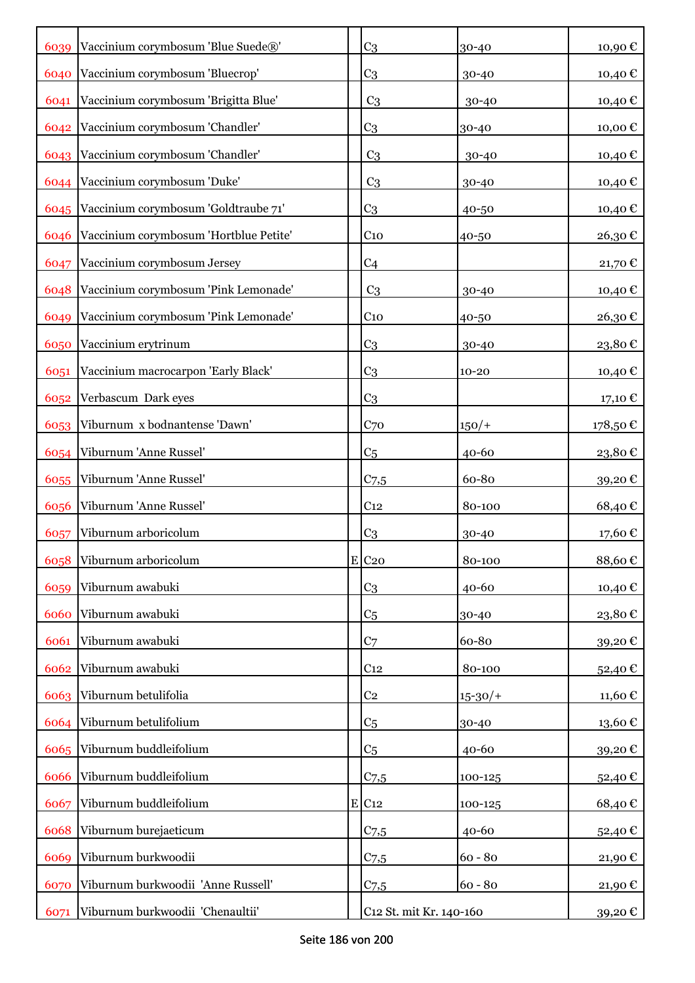| 6039 | Vaccinium corymbosum 'Blue Suede®'        | C <sub>3</sub>          | $30 - 40$  | 10,90€  |
|------|-------------------------------------------|-------------------------|------------|---------|
| 6040 | Vaccinium corymbosum 'Bluecrop'           | C <sub>3</sub>          | 30-40      | 10,40 € |
| 6041 | Vaccinium corymbosum 'Brigitta Blue'      | C <sub>3</sub>          | $30 - 40$  | 10,40 € |
| 6042 | Vaccinium corymbosum 'Chandler'           | C <sub>3</sub>          | 30-40      | 10,00€  |
|      | 6043 Vaccinium corymbosum 'Chandler'      | C <sub>3</sub>          | 30-40      | 10,40€  |
|      | 6044 Vaccinium corymbosum 'Duke'          | C <sub>3</sub>          | 30-40      | 10,40€  |
|      | 6045 Vaccinium corymbosum 'Goldtraube 71' | C <sub>3</sub>          | 40-50      | 10,40€  |
| 6046 | Vaccinium corymbosum 'Hortblue Petite'    | C <sub>10</sub>         | 40-50      | 26,30€  |
| 6047 | Vaccinium corymbosum Jersey               | C <sub>4</sub>          |            | 21,70€  |
| 6048 | Vaccinium corymbosum 'Pink Lemonade'      | C <sub>3</sub>          | 30-40      | 10,40 € |
| 6049 | Vaccinium corymbosum 'Pink Lemonade'      | C <sub>10</sub>         | 40-50      | 26,30€  |
| 6050 | Vaccinium erytrinum                       | C <sub>3</sub>          | 30-40      | 23,80€  |
| 6051 | Vaccinium macrocarpon 'Early Black'       | C <sub>3</sub>          | $10 - 20$  | 10,40€  |
| 6052 | Verbascum Dark eyes                       | C <sub>3</sub>          |            | 17,10 € |
| 6053 | Viburnum x bodnantense 'Dawn'             | C <sub>70</sub>         | $150/+$    | 178,50€ |
| 6054 | Viburnum 'Anne Russel'                    | C <sub>5</sub>          | $40 - 60$  | 23,80€  |
| 6055 | Viburnum 'Anne Russel'                    | C <sub>7,5</sub>        | 60-80      | 39,20€  |
| 6056 | Viburnum 'Anne Russel'                    | C <sub>12</sub>         | 80-100     | 68,40€  |
| 6057 | Viburnum arboricolum                      | C <sub>3</sub>          | 30-40      | 17,60€  |
| 6058 | Viburnum arboricolum                      | $E$ C <sub>20</sub>     | 80-100     | 88,60€  |
| 6059 | Viburnum awabuki                          | C <sub>3</sub>          | $40 - 60$  | 10,40€  |
| 6060 | Viburnum awabuki                          | C <sub>5</sub>          | 30-40      | 23,80€  |
| 6061 | Viburnum awabuki                          | C <sub>7</sub>          | 60-80      | 39,20€  |
| 6062 | Viburnum awabuki                          | C <sub>12</sub>         | 80-100     | 52,40€  |
| 6063 | Viburnum betulifolia                      | C <sub>2</sub>          | $15 - 30/$ | 11,60€  |
| 6064 | Viburnum betulifolium                     | C <sub>5</sub>          | 30-40      | 13,60€  |
| 6065 | Viburnum buddleifolium                    | C <sub>5</sub>          | $40 - 60$  | 39,20€  |
| 6066 | Viburnum buddleifolium                    | $C$ 7,5                 | 100-125    | 52,40€  |
| 6067 | Viburnum buddleifolium                    | $E$ C <sub>12</sub>     | 100-125    | 68,40€  |
| 6068 | Viburnum burejaeticum                     | C <sub>7,5</sub>        | 40-60      | 52,40€  |
| 6069 | Viburnum burkwoodii                       | $C$ 7,5                 | $60 - 80$  | 21,90€  |
| 6070 | Viburnum burkwoodii 'Anne Russell'        | C <sub>7.5</sub>        | $60 - 80$  | 21,90 € |
| 6071 | Viburnum burkwoodii 'Chenaultii'          | C12 St. mit Kr. 140-160 |            | 39,20 € |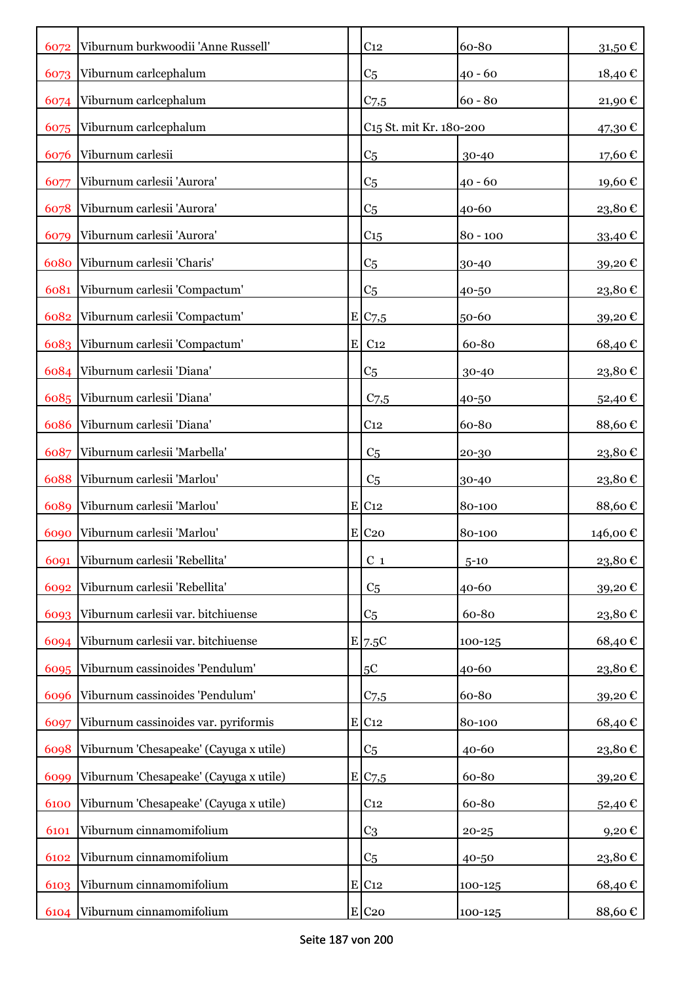| 6072 | Viburnum burkwoodii 'Anne Russell'     | C <sub>12</sub>                     | 60-80      | 31,50 €                |
|------|----------------------------------------|-------------------------------------|------------|------------------------|
| 6073 | Viburnum carlcephalum                  | C <sub>5</sub>                      | $40 - 60$  | 18,40€                 |
|      | 6074 Viburnum carlcephalum             | C <sub>7,5</sub>                    | $60 - 80$  | 21,90€                 |
| 6075 | Viburnum carlcephalum                  | C <sub>15</sub> St. mit Kr. 180-200 |            | 47,30€                 |
| 6076 | Viburnum carlesii                      | C <sub>5</sub>                      | 30-40      | 17,60€                 |
| 6077 | Viburnum carlesii 'Aurora'             | C <sub>5</sub>                      | $40 - 60$  | 19,60€                 |
| 6078 | Viburnum carlesii 'Aurora'             | C <sub>5</sub>                      | 40-60      | 23,80€                 |
| 6079 | Viburnum carlesii 'Aurora'             | C <sub>15</sub>                     | $80 - 100$ | 33,40€                 |
| 6080 | Viburnum carlesii 'Charis'             | C <sub>5</sub>                      | 30-40      | 39,20€                 |
| 6081 | Viburnum carlesii 'Compactum'          | C <sub>5</sub>                      | 40-50      | 23,80€                 |
| 6082 | Viburnum carlesii 'Compactum'          | E C7,5                              | 50-60      | 39,20€                 |
|      | 6083 Viburnum carlesii 'Compactum'     | $E$ C <sub>12</sub>                 | 60-80      | 68,40€                 |
|      | 6084 Viburnum carlesii 'Diana'         | C <sub>5</sub>                      | 30-40      | 23,80€                 |
|      | 6085 Viburnum carlesii 'Diana'         | C <sub>7,5</sub>                    | 40-50      | 52,40€                 |
| 6086 | Viburnum carlesii 'Diana'              | C <sub>12</sub>                     | 60-80      | 88,60€                 |
| 6087 | Viburnum carlesii 'Marbella'           | C <sub>5</sub>                      | 20-30      | 23,80€                 |
| 6088 | Viburnum carlesii 'Marlou'             | C <sub>5</sub>                      | 30-40      | 23,80€                 |
| 6089 | Viburnum carlesii 'Marlou'             | $E$ C <sub>12</sub>                 | 80-100     | 88,60€                 |
| 6090 | Viburnum carlesii 'Marlou'             | $E$ C <sub>20</sub>                 | 80-100     | 146,00€                |
| 6091 | Viburnum carlesii 'Rebellita'          | $C_1$                               | $5 - 10$   | $23,\!80$ $\mathbb{C}$ |
| 6092 | Viburnum carlesii 'Rebellita'          | C <sub>5</sub>                      | 40-60      | 39,20€                 |
| 6093 | Viburnum carlesii var. bitchiuense     | C <sub>5</sub>                      | 60-80      | 23,80€                 |
| 6094 | Viburnum carlesii var. bitchiuense     | E 7.5C                              | 100-125    | 68,40€                 |
| 6095 | Viburnum cassinoides 'Pendulum'        | $5\mathrm{C}$                       | 40-60      | 23,80€                 |
| 6096 | Viburnum cassinoides 'Pendulum'        | C <sub>7,5</sub>                    | 60-80      | 39,20€                 |
| 6097 | Viburnum cassinoides var. pyriformis   | E C12                               | 80-100     | 68,40€                 |
| 6098 | Viburnum 'Chesapeake' (Cayuga x utile) | C <sub>5</sub>                      | 40-60      | 23,80€                 |
| 6099 | Viburnum 'Chesapeake' (Cayuga x utile) | E C7,5                              | 60-80      | 39,20€                 |
| 6100 | Viburnum 'Chesapeake' (Cayuga x utile) | C <sub>12</sub>                     | 60-80      | 52,40€                 |
| 6101 | Viburnum cinnamomifolium               | C <sub>3</sub>                      | $20 - 25$  | 9,20€                  |
| 6102 | Viburnum cinnamomifolium               | C <sub>5</sub>                      | 40-50      | 23,80€                 |
| 6103 | Viburnum cinnamomifolium               | $E$ C <sub>12</sub>                 | 100-125    | 68,40€                 |
| 6104 | Viburnum cinnamomifolium               | E C <sub>20</sub>                   | 100-125    | 88,60€                 |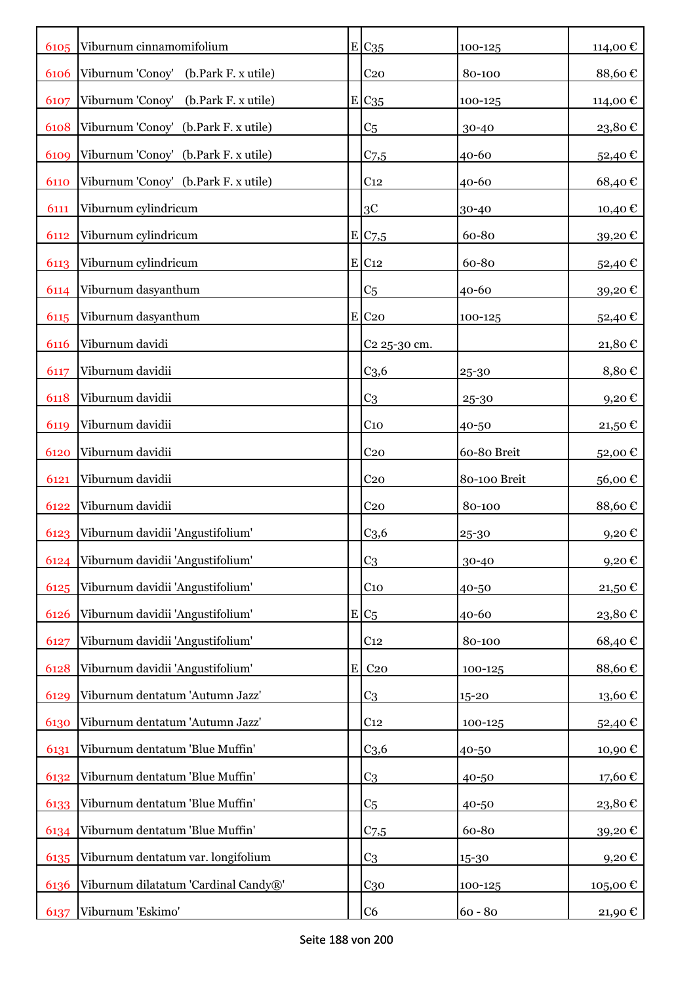| 6105 | Viburnum cinnamomifolium             |           | $E$ C <sub>35</sub> | 100-125      | 114,00 €      |
|------|--------------------------------------|-----------|---------------------|--------------|---------------|
| 6106 | Viburnum 'Conoy' (b.Park F. x utile) |           | C <sub>20</sub>     | 80-100       | 88,60€        |
| 6107 | Viburnum 'Conoy' (b.Park F. x utile) |           | $E C_{35}$          | 100-125      | 114,00€       |
| 6108 | Viburnum 'Conoy' (b.Park F. x utile) |           | C <sub>5</sub>      | 30-40        | 23,80€        |
| 6109 | Viburnum 'Conoy' (b.Park F. x utile) |           | C <sub>7,5</sub>    | 40-60        | 52,40€        |
| 6110 | Viburnum 'Conoy' (b.Park F. x utile) |           | C <sub>12</sub>     | 40-60        | 68,40€        |
| 6111 | Viburnum cylindricum                 |           | 3C                  | 30-40        | 10,40€        |
| 6112 | Viburnum cylindricum                 |           | E/C7,5              | 60-80        | 39,20€        |
| 6113 | Viburnum cylindricum                 |           | E C12               | 60-80        | 52,40€        |
| 6114 | Viburnum dasyanthum                  |           | C <sub>5</sub>      | 40-60        | 39,20€        |
| 6115 | Viburnum dasyanthum                  |           | $E$ C <sub>20</sub> | 100-125      | 52,40€        |
| 6116 | Viburnum davidi                      |           | C2 25-30 cm.        |              | 21,80€        |
| 6117 | Viburnum davidii                     |           | C <sub>3,6</sub>    | 25-30        | 8,80€         |
| 6118 | Viburnum davidii                     |           | C <sub>3</sub>      | 25-30        | 9,20€         |
| 6119 | Viburnum davidii                     |           | C <sub>10</sub>     | 40-50        | 21,50€        |
| 6120 | Viburnum davidii                     |           | C <sub>20</sub>     | 60-80 Breit  | 52,00€        |
| 6121 | Viburnum davidii                     |           | C <sub>20</sub>     | 80-100 Breit | 56,00€        |
| 6122 | Viburnum davidii                     |           | C <sub>20</sub>     | 80-100       | 88,60€        |
| 6123 | Viburnum davidii 'Angustifolium'     |           | C <sub>3,6</sub>    | 25-30        | 9,20€         |
| 6124 | Viburnum davidii 'Angustifolium'     |           | C <sub>3</sub>      | 30-40        | 9,20€         |
| 6125 | Viburnum davidii 'Angustifolium'     |           | C <sub>10</sub>     | 40-50        | 21,50€        |
| 6126 | Viburnum davidii 'Angustifolium'     |           | $E/C_5$             | 40-60        | 23,80€        |
| 6127 | Viburnum davidii 'Angustifolium'     |           | C <sub>12</sub>     | 80-100       | 68,40€        |
| 6128 | Viburnum davidii 'Angustifolium'     | ${\bf E}$ | C <sub>20</sub>     | 100-125      | 88,60€        |
| 6129 | Viburnum dentatum 'Autumn Jazz'      |           | C <sub>3</sub>      | $15 - 20$    | $13{,}60 \in$ |
| 6130 | Viburnum dentatum 'Autumn Jazz'      |           | C <sub>12</sub>     | 100-125      | 52,40€        |
| 6131 | Viburnum dentatum 'Blue Muffin'      |           | C <sub>3,6</sub>    | 40-50        | 10,90€        |
| 6132 | Viburnum dentatum 'Blue Muffin'      |           | C <sub>3</sub>      | 40-50        | 17,60€        |
| 6133 | Viburnum dentatum 'Blue Muffin'      |           | C <sub>5</sub>      | 40-50        | 23,80€        |
| 6134 | Viburnum dentatum 'Blue Muffin'      |           | $C_{7,5}$           | 60-80        | 39,20€        |
| 6135 | Viburnum dentatum var. longifolium   |           | C <sub>3</sub>      | 15-30        | $9,20$ €      |
| 6136 | Viburnum dilatatum 'Cardinal Candy®' |           | $C_{30}$            | 100-125      | 105,00€       |
| 6137 | Viburnum 'Eskimo'                    |           | C <sub>6</sub>      | $60 - 80$    | 21,90 €       |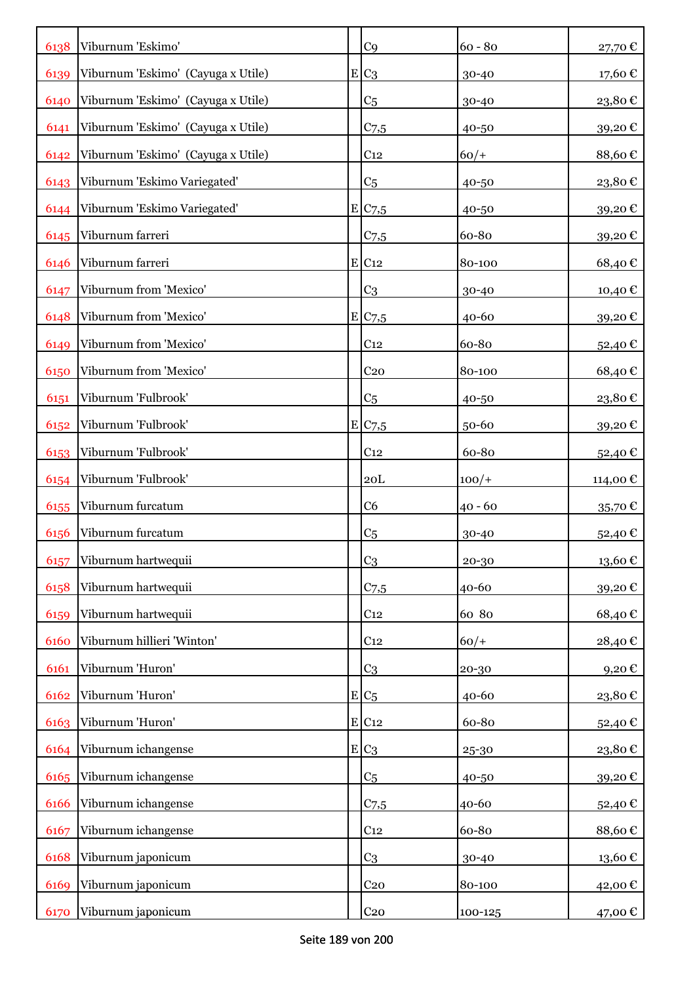| 6138 | Viburnum 'Eskimo'                  | C <sub>9</sub>      | $60 - 80$ | 27,70€      |
|------|------------------------------------|---------------------|-----------|-------------|
| 6139 | Viburnum 'Eskimo' (Cayuga x Utile) | $E C_3$             | 30-40     | 17,60€      |
| 6140 | Viburnum 'Eskimo' (Cayuga x Utile) | C <sub>5</sub>      | 30-40     | 23,80€      |
| 6141 | Viburnum 'Eskimo' (Cayuga x Utile) | $C$ 7,5             | 40-50     | 39,20€      |
| 6142 | Viburnum 'Eskimo' (Cayuga x Utile) | C <sub>12</sub>     | $60/+$    | 88,60€      |
| 6143 | Viburnum 'Eskimo Variegated'       | C <sub>5</sub>      | 40-50     | 23,80€      |
| 6144 | Viburnum 'Eskimo Variegated'       | E C7,5              | 40-50     | 39,20€      |
| 6145 | Viburnum farreri                   | $C$ 7,5             | 60-80     | 39,20€      |
| 6146 | Viburnum farreri                   | $E$ C <sub>12</sub> | 80-100    | 68,40€      |
| 6147 | Viburnum from 'Mexico'             | C <sub>3</sub>      | 30-40     | 10,40 €     |
| 6148 | Viburnum from 'Mexico'             | E C7,5              | 40-60     | 39,20€      |
| 6149 | Viburnum from 'Mexico'             | C <sub>12</sub>     | 60-80     | 52,40 €     |
| 6150 | Viburnum from 'Mexico'             | C <sub>20</sub>     | 80-100    | 68,40€      |
| 6151 | Viburnum 'Fulbrook'                | C <sub>5</sub>      | 40-50     | 23,80€      |
| 6152 | Viburnum 'Fulbrook'                | E/C <sub>7,5</sub>  | 50-60     | 39,20€      |
| 6153 | Viburnum 'Fulbrook'                | C <sub>12</sub>     | 60-80     | 52,40€      |
| 6154 | Viburnum 'Fulbrook'                | 20 <sub>L</sub>     | $100/+$   | 114,00 €    |
| 6155 | Viburnum furcatum                  | C <sub>6</sub>      | $40 - 60$ | $35,70$ €   |
| 6156 | Viburnum furcatum                  | C <sub>5</sub>      | 30-40     | 52,40€      |
| 6157 | Viburnum hartwequii                | C <sub>3</sub>      | 20-30     | 13,60€      |
| 6158 | Viburnum hartwequii                | $C$ 7,5             | 40-60     | 39,20€      |
| 6159 | Viburnum hartwequii                | C <sub>12</sub>     | 60 80     | 68,40€      |
| 6160 | Viburnum hillieri 'Winton'         | C <sub>12</sub>     | $60/+$    | 28,40€      |
| 6161 | Viburnum 'Huron'                   | C <sub>3</sub>      | 20-30     | 9,20€       |
| 6162 | Viburnum 'Huron'                   | $E C_5$             | 40-60     | 23,80€      |
| 6163 | Viburnum 'Huron'                   | $E$ C <sub>12</sub> | 60-80     | 52,40€      |
| 6164 | Viburnum ichangense                | $E C_3$             | 25-30     | 23,80€      |
| 6165 | Viburnum ichangense                | C <sub>5</sub>      | 40-50     | 39,20€      |
| 6166 | Viburnum ichangense                | $C$ 7,5             | 40-60     | $52{,}40$ € |
| 6167 | Viburnum ichangense                | C <sub>12</sub>     | 60-80     | 88,60€      |
| 6168 | Viburnum japonicum                 | C <sub>3</sub>      | 30-40     | 13,60€      |
| 6169 | Viburnum japonicum                 | C <sub>20</sub>     | 80-100    | 42,00€      |
| 6170 | Viburnum japonicum                 | C <sub>20</sub>     | 100-125   | 47,00 €     |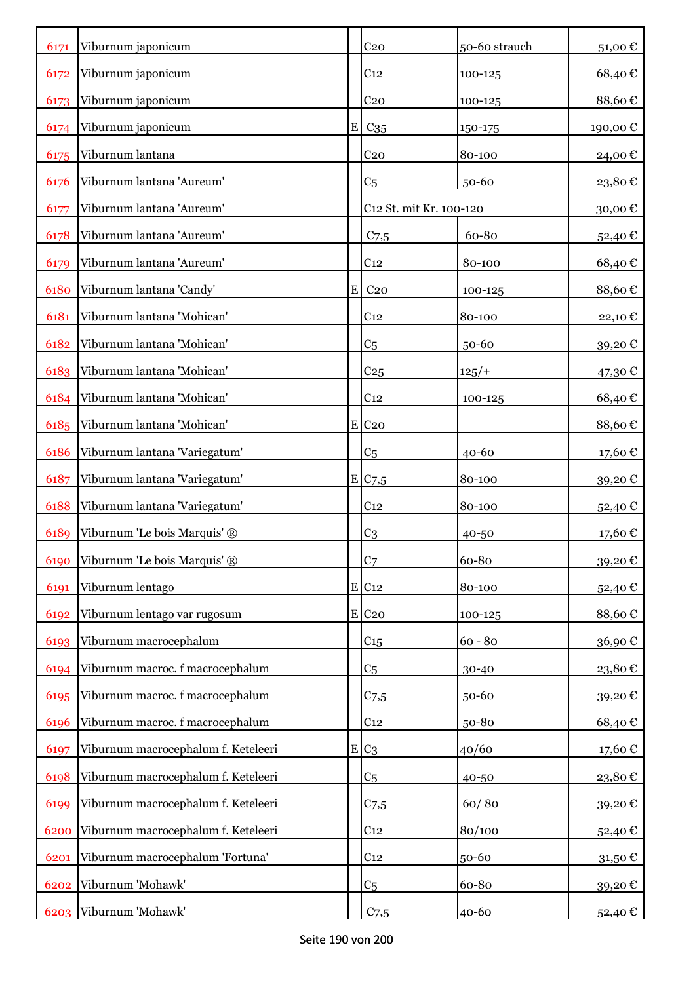| 6171 | Viburnum japonicum                  |   | C <sub>20</sub>         | 50-60 strauch | 51,00€  |
|------|-------------------------------------|---|-------------------------|---------------|---------|
| 6172 | Viburnum japonicum                  |   | C <sub>12</sub>         | 100-125       | 68,40€  |
| 6173 | Viburnum japonicum                  |   | C <sub>20</sub>         | 100-125       | 88,60€  |
| 6174 | Viburnum japonicum                  |   | $E$ C <sub>35</sub>     | 150-175       | 190,00€ |
| 6175 | Viburnum lantana                    |   | C <sub>20</sub>         | 80-100        | 24,00€  |
| 6176 | Viburnum lantana 'Aureum'           |   | C <sub>5</sub>          | 50-60         | 23,80€  |
| 6177 | Viburnum lantana 'Aureum'           |   | C12 St. mit Kr. 100-120 |               | 30,00€  |
| 6178 | Viburnum lantana 'Aureum'           |   | $C$ 7,5                 | 60-80         | 52,40€  |
| 6179 | Viburnum lantana 'Aureum'           |   | C <sub>12</sub>         | 80-100        | 68,40€  |
| 6180 | Viburnum lantana 'Candy'            | E | C <sub>20</sub>         | 100-125       | 88,60€  |
| 6181 | Viburnum lantana 'Mohican'          |   | C <sub>12</sub>         | 80-100        | 22,10€  |
| 6182 | Viburnum lantana 'Mohican'          |   | C <sub>5</sub>          | 50-60         | 39,20€  |
| 6183 | Viburnum lantana 'Mohican'          |   | C <sub>25</sub>         | $125/+$       | 47,30 € |
| 6184 | Viburnum lantana 'Mohican'          |   | C <sub>12</sub>         | 100-125       | 68,40€  |
| 6185 | Viburnum lantana 'Mohican'          |   | $E$ C <sub>20</sub>     |               | 88,60€  |
| 6186 | Viburnum lantana 'Variegatum'       |   | C <sub>5</sub>          | 40-60         | 17,60 € |
| 6187 | Viburnum lantana 'Variegatum'       |   | E C7,5                  | 80-100        | 39,20€  |
| 6188 | Viburnum lantana 'Variegatum'       |   | C <sub>12</sub>         | 80-100        | 52,40€  |
| 6189 | Viburnum 'Le bois Marquis' ®        |   | C <sub>3</sub>          | 40-50         | 17,60 € |
| 6190 | Viburnum 'Le bois Marquis' ®        |   | C <sub>7</sub>          | 60-80         | 39,20€  |
| 6191 | Viburnum lentago                    |   | $E$ C <sub>12</sub>     | 80-100        | 52,40€  |
| 6192 | Viburnum lentago var rugosum        |   | $E$ C <sub>20</sub>     | 100-125       | 88,60€  |
| 6193 | Viburnum macrocephalum              |   | C <sub>15</sub>         | $60 - 80$     | 36,90€  |
| 6194 | Viburnum macroc. f macrocephalum    |   | C <sub>5</sub>          | 30-40         | 23,80€  |
| 6195 | Viburnum macroc. f macrocephalum    |   | $C$ 7,5                 | 50-60         | 39,20€  |
| 6196 | Viburnum macroc. f macrocephalum    |   | C <sub>12</sub>         | 50-80         | 68,40€  |
| 6197 | Viburnum macrocephalum f. Keteleeri |   | $E C_3$                 | 40/60         | 17,60€  |
| 6198 | Viburnum macrocephalum f. Keteleeri |   | C <sub>5</sub>          | 40-50         | 23,80€  |
| 6199 | Viburnum macrocephalum f. Keteleeri |   | $C$ 7,5                 | 60/80         | 39,20€  |
| 6200 | Viburnum macrocephalum f. Keteleeri |   | C <sub>12</sub>         | 80/100        | 52,40€  |
| 6201 | Viburnum macrocephalum 'Fortuna'    |   | C <sub>12</sub>         | 50-60         | 31,50€  |
| 6202 | Viburnum 'Mohawk'                   |   | C <sub>5</sub>          | 60-80         | 39,20€  |
| 6203 | Viburnum 'Mohawk'                   |   | C <sub>7,5</sub>        | 40-60         | 52,40 € |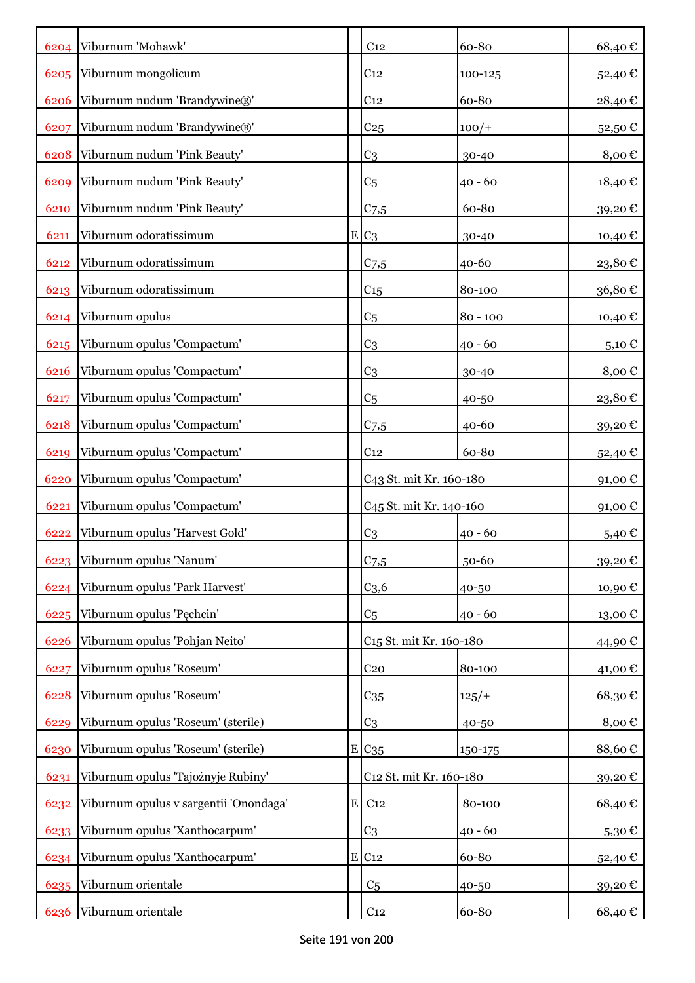|      | 6204 Viburnum 'Mohawk'                 |           | C <sub>12</sub>                     | 60-80      | 68,40€     |
|------|----------------------------------------|-----------|-------------------------------------|------------|------------|
| 6205 | Viburnum mongolicum                    |           | C <sub>12</sub>                     | 100-125    | 52,40€     |
| 6206 | Viburnum nudum 'Brandywine®'           |           | C <sub>12</sub>                     | 60-80      | 28,40€     |
| 6207 | Viburnum nudum 'Brandywine®'           |           | C <sub>25</sub>                     | $100/+$    | 52,50€     |
| 6208 | Viburnum nudum 'Pink Beauty'           |           | C <sub>3</sub>                      | 30-40      | 8,00€      |
| 6209 | Viburnum nudum 'Pink Beauty'           |           | C5                                  | $40 - 60$  | 18,40€     |
| 6210 | Viburnum nudum 'Pink Beauty'           |           | $C_{7,5}$                           | 60-80      | 39,20€     |
| 6211 | Viburnum odoratissimum                 |           | $E C_3$                             | 30-40      | 10,40€     |
| 6212 | Viburnum odoratissimum                 |           | $C_{7,5}$                           | $40 - 60$  | 23,80€     |
| 6213 | Viburnum odoratissimum                 |           | C15                                 | 80-100     | 36,80€     |
| 6214 | Viburnum opulus                        |           | C <sub>5</sub>                      | $80 - 100$ | 10,40€     |
| 6215 | Viburnum opulus 'Compactum'            |           | C <sub>3</sub>                      | $40 - 60$  | $5,10 \in$ |
| 6216 | Viburnum opulus 'Compactum'            |           | C <sub>3</sub>                      | $30 - 40$  | 8,00€      |
| 6217 | Viburnum opulus 'Compactum'            |           | C <sub>5</sub>                      | 40-50      | 23,80€     |
| 6218 | Viburnum opulus 'Compactum'            |           | $C_{7,5}$                           | 40-60      | 39,20€     |
| 6219 | Viburnum opulus 'Compactum'            |           | C <sub>12</sub>                     | 60-80      | 52,40 €    |
| 6220 | Viburnum opulus 'Compactum'            |           | C43 St. mit Kr. 160-180             |            | 91,00€     |
| 6221 | Viburnum opulus 'Compactum'            |           | C <sub>45</sub> St. mit Kr. 140-160 |            | $91,00$ €  |
| 6222 | Viburnum opulus 'Harvest Gold'         |           | C <sub>3</sub>                      | $40 - 60$  | 5,40€      |
| 6223 | Viburnum opulus 'Nanum'                |           | $C$ 7,5                             | 50-60      | 39,20€     |
| 6224 | Viburnum opulus 'Park Harvest'         |           | C <sub>3,6</sub>                    | 40-50      | 10,90€     |
| 6225 | Viburnum opulus 'Pęchcin'              |           | C <sub>5</sub>                      | $40 - 60$  | 13,00€     |
| 6226 | Viburnum opulus 'Pohjan Neito'         |           | C <sub>15</sub> St. mit Kr. 160-180 |            | 44,90 €    |
| 6227 | Viburnum opulus 'Roseum'               |           | C <sub>20</sub>                     | 80-100     | 41,00€     |
| 6228 | Viburnum opulus 'Roseum'               |           | $C_{35}$                            | 125/       | 68,30€     |
| 6229 | Viburnum opulus 'Roseum' (sterile)     |           | C <sub>3</sub>                      | 40-50      | 8,00€      |
| 6230 | Viburnum opulus 'Roseum' (sterile)     |           | E C <sub>35</sub>                   | 150-175    | 88,60€     |
| 6231 | Viburnum opulus 'Tajożnyje Rubiny'     |           | C12 St. mit Kr. 160-180             |            | 39,20€     |
| 6232 | Viburnum opulus v sargentii 'Onondaga' | ${\bf E}$ | C <sub>12</sub>                     | 80-100     | 68,40€     |
| 6233 | Viburnum opulus 'Xanthocarpum'         |           | C <sub>3</sub>                      | $40 - 60$  | 5,30€      |
| 6234 | Viburnum opulus 'Xanthocarpum'         |           | $E$ C <sub>12</sub>                 | 60-80      | 52,40€     |
| 6235 | Viburnum orientale                     |           | C <sub>5</sub>                      | 40-50      | 39,20€     |
| 6236 | Viburnum orientale                     |           | C <sub>12</sub>                     | 60-80      | 68,40€     |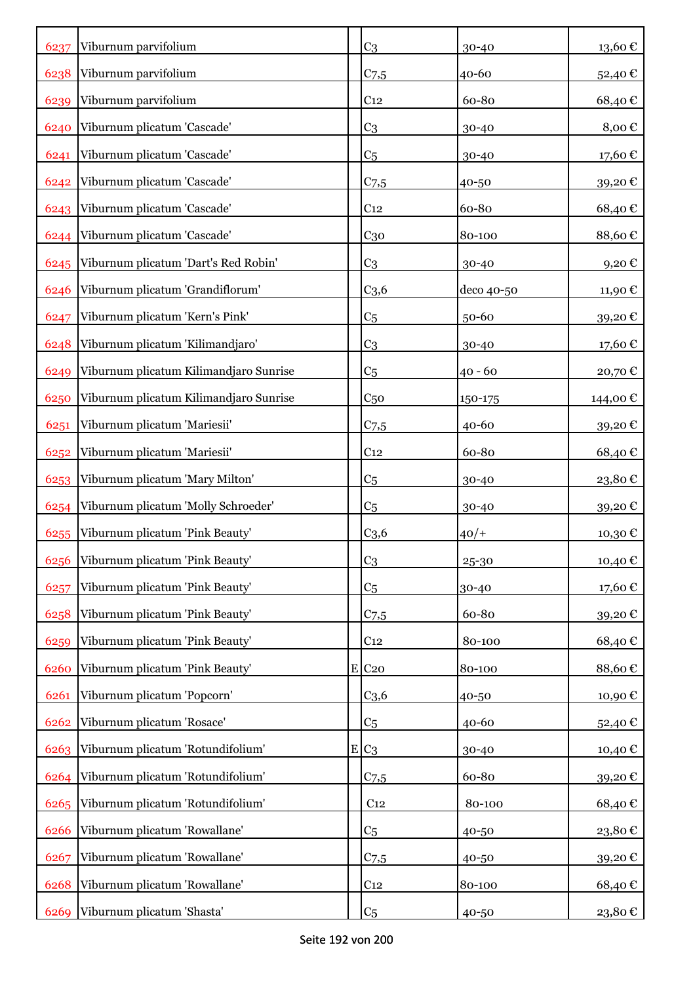| 6237 | Viburnum parvifolium                   | C <sub>3</sub>      | 30-40      | $13{,}60 \in$ |
|------|----------------------------------------|---------------------|------------|---------------|
| 6238 | Viburnum parvifolium                   | $C$ 7,5             | 40-60      | 52,40€        |
| 6239 | Viburnum parvifolium                   | C <sub>12</sub>     | 60-80      | 68,40€        |
| 6240 | Viburnum plicatum 'Cascade'            | C <sub>3</sub>      | 30-40      | 8,00€         |
| 6241 | Viburnum plicatum 'Cascade'            | C <sub>5</sub>      | 30-40      | 17,60€        |
| 6242 | Viburnum plicatum 'Cascade'            | $C_{7,5}$           | 40-50      | 39,20€        |
| 6243 | Viburnum plicatum 'Cascade'            | C <sub>12</sub>     | 60-80      | 68,40€        |
|      | 6244 Viburnum plicatum 'Cascade'       | C <sub>30</sub>     | 80-100     | 88,60€        |
| 6245 | Viburnum plicatum 'Dart's Red Robin'   | C <sub>3</sub>      | 30-40      | 9,20€         |
| 6246 | Viburnum plicatum 'Grandiflorum'       | C <sub>3,6</sub>    | deco 40-50 | 11,90€        |
| 6247 | Viburnum plicatum 'Kern's Pink'        | C <sub>5</sub>      | 50-60      | 39,20€        |
| 6248 | Viburnum plicatum 'Kilimandjaro'       | C <sub>3</sub>      | 30-40      | 17,60€        |
| 6249 | Viburnum plicatum Kilimandjaro Sunrise | C <sub>5</sub>      | 40 - 60    | 20,70€        |
| 6250 | Viburnum plicatum Kilimandjaro Sunrise | C <sub>50</sub>     | 150-175    | 144,00 €      |
| 6251 | Viburnum plicatum 'Mariesii'           | C <sub>7,5</sub>    | $40 - 60$  | 39,20€        |
| 6252 | Viburnum plicatum 'Mariesii'           | C <sub>12</sub>     | 60-80      | 68,40€        |
| 6253 | Viburnum plicatum 'Mary Milton'        | C <sub>5</sub>      | 30-40      | 23,80€        |
| 6254 | Viburnum plicatum 'Molly Schroeder'    | C <sub>5</sub>      | 30-40      | 39,20€        |
| 6255 | Viburnum plicatum 'Pink Beauty'        | C <sub>3,6</sub>    | $40/+$     | 10,30€        |
| 6256 | Viburnum plicatum 'Pink Beauty'        | C <sub>3</sub>      | 25-30      | 10,40€        |
| 6257 | Viburnum plicatum 'Pink Beauty'        | C <sub>5</sub>      | 30-40      | 17,60€        |
| 6258 | Viburnum plicatum 'Pink Beauty'        | $C_{7,5}$           | 60-80      | 39,20€        |
| 6259 | Viburnum plicatum 'Pink Beauty'        | C <sub>12</sub>     | 80-100     | 68,40€        |
| 6260 | Viburnum plicatum 'Pink Beauty'        | $E$ C <sub>20</sub> | 80-100     | 88,60€        |
| 6261 | Viburnum plicatum 'Popcorn'            | C <sub>3,6</sub>    | 40-50      | 10,90€        |
| 6262 | Viburnum plicatum 'Rosace'             | C <sub>5</sub>      | 40-60      | 52,40€        |
| 6263 | Viburnum plicatum 'Rotundifolium'      | $E C_3$             | 30-40      | 10,40€        |
| 6264 | Viburnum plicatum 'Rotundifolium'      | $C$ 7,5             | 60-80      | 39,20€        |
| 6265 | Viburnum plicatum 'Rotundifolium'      | C <sub>12</sub>     | 80-100     | 68,40€        |
| 6266 | Viburnum plicatum 'Rowallane'          | C <sub>5</sub>      | 40-50      | 23,80€        |
| 6267 | Viburnum plicatum 'Rowallane'          | $C_{7,5}$           | 40-50      | 39,20€        |
| 6268 | Viburnum plicatum 'Rowallane'          | C <sub>12</sub>     | 80-100     | 68,40€        |
| 6269 | Viburnum plicatum 'Shasta'             | C <sub>5</sub>      | 40-50      | 23,80 €       |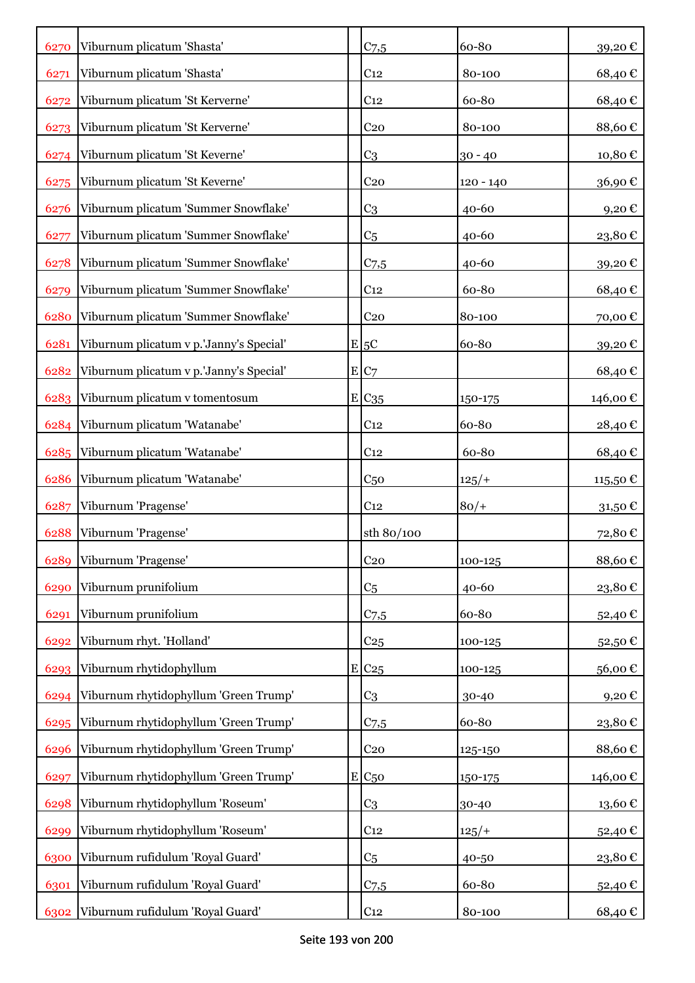| 6270 | Viburnum plicatum 'Shasta'              | $C$ 7,5          | 60-80       | 39,20€        |
|------|-----------------------------------------|------------------|-------------|---------------|
| 6271 | Viburnum plicatum 'Shasta'              | C <sub>12</sub>  | 80-100      | 68,40€        |
| 6272 | Viburnum plicatum 'St Kerverne'         | C <sub>12</sub>  | 60-80       | 68,40€        |
| 6273 | Viburnum plicatum 'St Kerverne'         | C <sub>20</sub>  | 80-100      | 88,60€        |
| 6274 | Viburnum plicatum 'St Keverne'          | C <sub>3</sub>   | $30 - 40$   | 10,80€        |
| 6275 | Viburnum plicatum 'St Keverne'          | C <sub>20</sub>  | $120 - 140$ | 36,90€        |
| 6276 | Viburnum plicatum 'Summer Snowflake'    | C <sub>3</sub>   | $40 - 60$   | 9,20€         |
| 6277 | Viburnum plicatum 'Summer Snowflake'    | C <sub>5</sub>   | 40-60       | 23,80€        |
| 6278 | Viburnum plicatum 'Summer Snowflake'    | $C$ 7,5          | 40-60       | 39,20€        |
| 6279 | Viburnum plicatum 'Summer Snowflake'    | C <sub>12</sub>  | 60-80       | 68,40€        |
| 6280 | Viburnum plicatum 'Summer Snowflake'    | C <sub>20</sub>  | 80-100      | 70,00€        |
| 6281 | Viburnum plicatum v p.'Janny's Special' | $E$ 5C           | 60-80       | 39,20€        |
| 6282 | Viburnum plicatum v p.'Janny's Special' | E C7             |             | 68,40€        |
| 6283 | Viburnum plicatum v tomentosum          | E/C35            | 150-175     | 146,00€       |
| 6284 | Viburnum plicatum 'Watanabe'            | C <sub>12</sub>  | 60-80       | 28,40€        |
| 6285 | Viburnum plicatum 'Watanabe'            | C <sub>12</sub>  | 60-80       | 68,40€        |
| 6286 | Viburnum plicatum 'Watanabe'            | C <sub>50</sub>  | $125/+$     | 115,50€       |
| 6287 | Viburnum 'Pragense'                     | C <sub>12</sub>  | $80/+$      | $31,50 \in$   |
| 6288 | Viburnum 'Pragense'                     | sth 80/100       |             | 72,80€        |
| 6289 | Viburnum 'Pragense'                     | C <sub>20</sub>  | 100-125     | 88,60€        |
| 6290 | Viburnum prunifolium                    | C <sub>5</sub>   | 40-60       | 23,80€        |
| 6291 | Viburnum prunifolium                    | C <sub>7.5</sub> | 60-80       | 52,40€        |
| 6292 | Viburnum rhyt. 'Holland'                | C <sub>25</sub>  | 100-125     | 52,50€        |
| 6293 | Viburnum rhytidophyllum                 | E C25            | 100-125     | 56,00€        |
| 6294 | Viburnum rhytidophyllum 'Green Trump'   | C <sub>3</sub>   | 30-40       | 9,20€         |
| 6295 | Viburnum rhytidophyllum 'Green Trump'   | $C$ 7,5          | 60-80       | 23,80€        |
| 6296 | Viburnum rhytidophyllum 'Green Trump'   | C <sub>20</sub>  | 125-150     | 88,60€        |
| 6297 | Viburnum rhytidophyllum 'Green Trump'   | $E C_{50}$       | 150-175     | 146,00€       |
| 6298 | Viburnum rhytidophyllum 'Roseum'        | C <sub>3</sub>   | 30-40       | $13{,}60 \in$ |
| 6299 | Viburnum rhytidophyllum 'Roseum'        | C <sub>12</sub>  | 125/        | 52,40€        |
| 6300 | Viburnum rufidulum 'Royal Guard'        | C <sub>5</sub>   | 40-50       | 23,80€        |
| 6301 | Viburnum rufidulum 'Royal Guard'        | $C$ 7,5          | 60-80       | 52,40 €       |
| 6302 | Viburnum rufidulum 'Royal Guard'        | C <sub>12</sub>  | 80-100      | 68,40€        |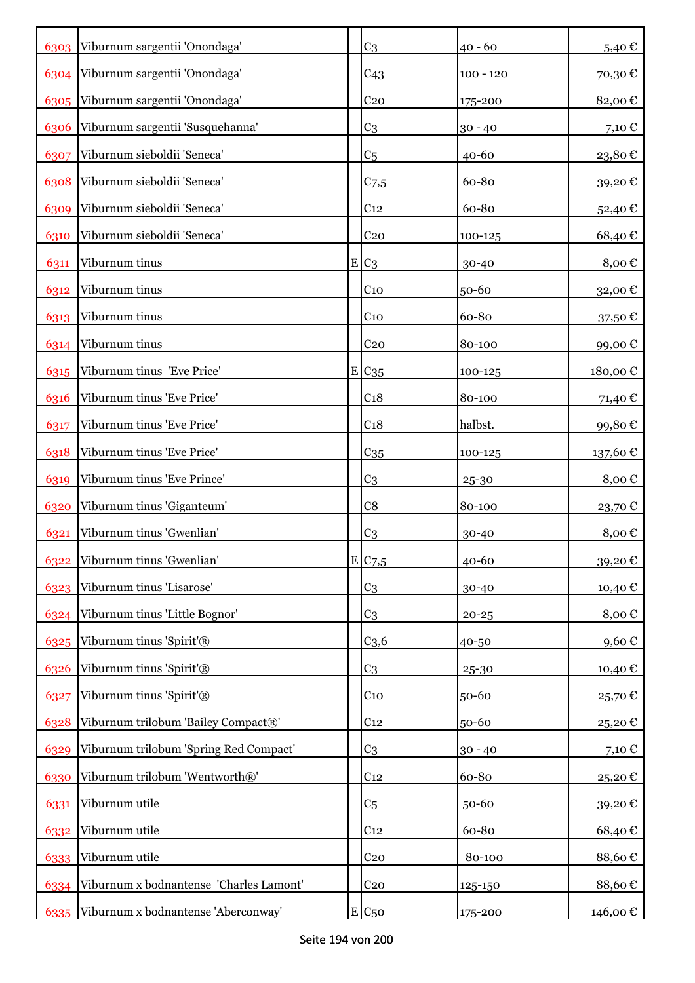|      | 6303 Viburnum sargentii 'Onondaga'      | C <sub>3</sub>    | $40 - 60$   | 5,40€      |
|------|-----------------------------------------|-------------------|-------------|------------|
|      | 6304 Viburnum sargentii 'Onondaga'      | C <sub>43</sub>   | $100 - 120$ | 70,30€     |
|      | 6305 Viburnum sargentii 'Onondaga'      | C <sub>20</sub>   | 175-200     | 82,00€     |
| 6306 | Viburnum sargentii 'Susquehanna'        | C <sub>3</sub>    | $30 - 40$   | 7,10 $\in$ |
| 6307 | Viburnum sieboldii 'Seneca'             | C <sub>5</sub>    | 40-60       | 23,80€     |
| 6308 | Viburnum sieboldii 'Seneca'             | C <sub>7,5</sub>  | 60-80       | 39,20€     |
| 6309 | Viburnum sieboldii 'Seneca'             | C <sub>12</sub>   | 60-80       | 52,40€     |
| 6310 | Viburnum sieboldii 'Seneca'             | C <sub>20</sub>   | 100-125     | 68,40€     |
| 6311 | Viburnum tinus                          | $E C_3$           | 30-40       | 8,00€      |
| 6312 | Viburnum tinus                          | C <sub>10</sub>   | 50-60       | 32,00€     |
| 6313 | Viburnum tinus                          | C <sub>10</sub>   | 60-80       | 37,50 €    |
| 6314 | Viburnum tinus                          | C <sub>20</sub>   | 80-100      | 99,00€     |
| 6315 | Viburnum tinus 'Eve Price'              | E C <sub>35</sub> | $100 - 125$ | 180,00€    |
| 6316 | Viburnum tinus 'Eve Price'              | C <sub>18</sub>   | 80-100      | 71,40 €    |
| 6317 | Viburnum tinus 'Eve Price'              | C <sub>18</sub>   | halbst.     | 99,80€     |
| 6318 | Viburnum tinus 'Eve Price'              | C <sub>35</sub>   | 100-125     | 137,60€    |
| 6319 | Viburnum tinus 'Eve Prince'             | C <sub>3</sub>    | 25-30       | 8,00€      |
| 6320 | Viburnum tinus 'Giganteum'              | C8                | 80-100      | 23,70€     |
| 6321 | Viburnum tinus 'Gwenlian'               | C <sub>3</sub>    | 30-40       | 8,00€      |
| 6322 | Viburnum tinus 'Gwenlian'               | E C7,5            | 40-60       | 39,20€     |
| 6323 | Viburnum tinus 'Lisarose'               | C <sub>3</sub>    | 30-40       | 10,40 €    |
| 6324 | Viburnum tinus 'Little Bognor'          | C <sub>3</sub>    | $20 - 25$   | 8,00€      |
| 6325 | Viburnum tinus 'Spirit'®                | C <sub>3,6</sub>  | 40-50       | 9,60€      |
| 6326 | Viburnum tinus 'Spirit'®                | C <sub>3</sub>    | 25-30       | 10,40€     |
| 6327 | Viburnum tinus 'Spirit'®                | $C_{10}$          | 50-60       | 25,70€     |
| 6328 | Viburnum trilobum 'Bailey Compact®'     | C <sub>12</sub>   | 50-60       | 25,20€     |
| 6329 | Viburnum trilobum 'Spring Red Compact'  | C <sub>3</sub>    | $30 - 40$   | 7,10€      |
| 6330 | Viburnum trilobum 'Wentworth®'          | C <sub>12</sub>   | 60-80       | 25,20€     |
| 6331 | Viburnum utile                          | C <sub>5</sub>    | 50-60       | 39,20€     |
| 6332 | Viburnum utile                          | C <sub>12</sub>   | 60-80       | 68,40€     |
| 6333 | Viburnum utile                          | C <sub>20</sub>   | 80-100      | 88,60€     |
| 6334 | Viburnum x bodnantense 'Charles Lamont' | C <sub>20</sub>   | 125-150     | 88,60€     |
| 6335 | Viburnum x bodnantense 'Aberconway'     | $E C_{50}$        | 175-200     | 146,00 €   |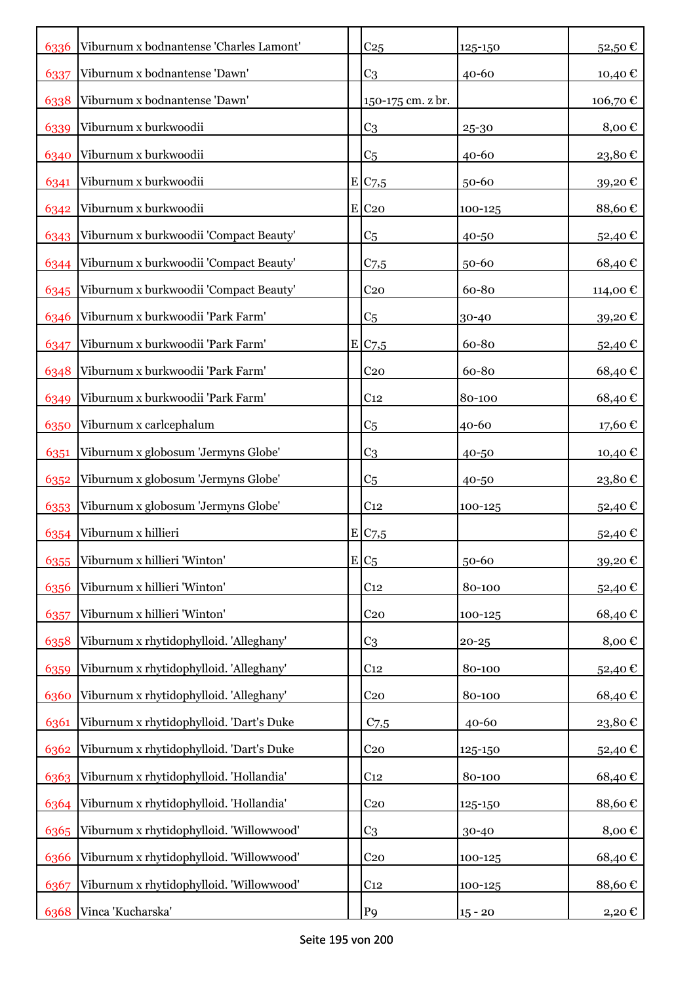| 6336 | Viburnum x bodnantense 'Charles Lamont'     | C <sub>25</sub>       | 125-150   | 52,50€   |
|------|---------------------------------------------|-----------------------|-----------|----------|
| 6337 | Viburnum x bodnantense 'Dawn'               | C <sub>3</sub>        | $40 - 60$ | 10,40 €  |
| 6338 | Viburnum x bodnantense 'Dawn'               | 150-175 cm. z br.     |           | 106,70€  |
| 6339 | Viburnum x burkwoodii                       | C <sub>3</sub>        | 25-30     | 8,00€    |
| 6340 | Viburnum x burkwoodii                       | C <sub>5</sub>        | 40-60     | 23,80€   |
| 6341 | Viburnum x burkwoodii                       | E C7,5                | 50-60     | 39,20€   |
| 6342 | Viburnum x burkwoodii                       | $E$ C <sub>20</sub>   | 100-125   | 88,60€   |
| 6343 | Viburnum x burkwoodii 'Compact Beauty'      | C <sub>5</sub>        | 40-50     | 52,40€   |
|      | 6344 Viburnum x burkwoodii 'Compact Beauty' | C <sub>7,5</sub>      | 50-60     | 68,40€   |
| 6345 | Viburnum x burkwoodii 'Compact Beauty'      | C <sub>20</sub>       | 60-80     | 114,00 € |
| 6346 | Viburnum x burkwoodii 'Park Farm'           | C <sub>5</sub>        | 30-40     | 39,20€   |
| 6347 | Viburnum x burkwoodii 'Park Farm'           | E C7,5                | 60-80     | 52,40€   |
| 6348 | Viburnum x burkwoodii 'Park Farm'           | C <sub>20</sub>       | 60-80     | 68,40€   |
| 6349 | Viburnum x burkwoodii 'Park Farm'           | C <sub>12</sub>       | 80-100    | 68,40€   |
| 6350 | Viburnum x carlcephalum                     | C <sub>5</sub>        | 40-60     | 17,60€   |
| 6351 | Viburnum x globosum 'Jermyns Globe'         | C <sub>3</sub>        | 40-50     | 10,40 €  |
| 6352 | Viburnum x globosum 'Jermyns Globe'         | C <sub>5</sub>        | 40-50     | 23,80€   |
| 6353 | Viburnum x globosum 'Jermyns Globe'         | C <sub>12</sub>       | 100-125   | 52,40€   |
| 6354 | Viburnum x hillieri                         | $E$ C <sub>7</sub> ,5 |           | 52,40€   |
| 6355 | Viburnum x hillieri 'Winton'                | $E C_5$               | 50-60     | 39,20€   |
| 6356 | Viburnum x hillieri 'Winton'                | C <sub>12</sub>       | 80-100    | 52,40€   |
| 6357 | Viburnum x hillieri 'Winton'                | C <sub>20</sub>       | 100-125   | 68,40€   |
| 6358 | Viburnum x rhytidophylloid. 'Alleghany'     | C <sub>3</sub>        | $20 - 25$ | 8,00€    |
| 6359 | Viburnum x rhytidophylloid. 'Alleghany'     | C <sub>12</sub>       | 80-100    | 52,40€   |
| 6360 | Viburnum x rhytidophylloid. 'Alleghany'     | C <sub>20</sub>       | 80-100    | 68,40€   |
| 6361 | Viburnum x rhytidophylloid. 'Dart's Duke    | $C$ 7,5               | 40-60     | 23,80€   |
| 6362 | Viburnum x rhytidophylloid. 'Dart's Duke    | C <sub>20</sub>       | 125-150   | 52,40€   |
| 6363 | Viburnum x rhytidophylloid. 'Hollandia'     | C <sub>12</sub>       | 80-100    | 68,40€   |
| 6364 | Viburnum x rhytidophylloid. 'Hollandia'     | C <sub>20</sub>       | 125-150   | 88,60€   |
| 6365 | Viburnum x rhytidophylloid. 'Willowwood'    | C <sub>3</sub>        | 30-40     | 8,00€    |
| 6366 | Viburnum x rhytidophylloid. 'Willowwood'    | C <sub>20</sub>       | 100-125   | 68,40€   |
| 6367 | Viburnum x rhytidophylloid. 'Willowwood'    | C <sub>12</sub>       | 100-125   | 88,60€   |
| 6368 | Vinca 'Kucharska'                           | P <sub>9</sub>        | $15 - 20$ | 2,20 €   |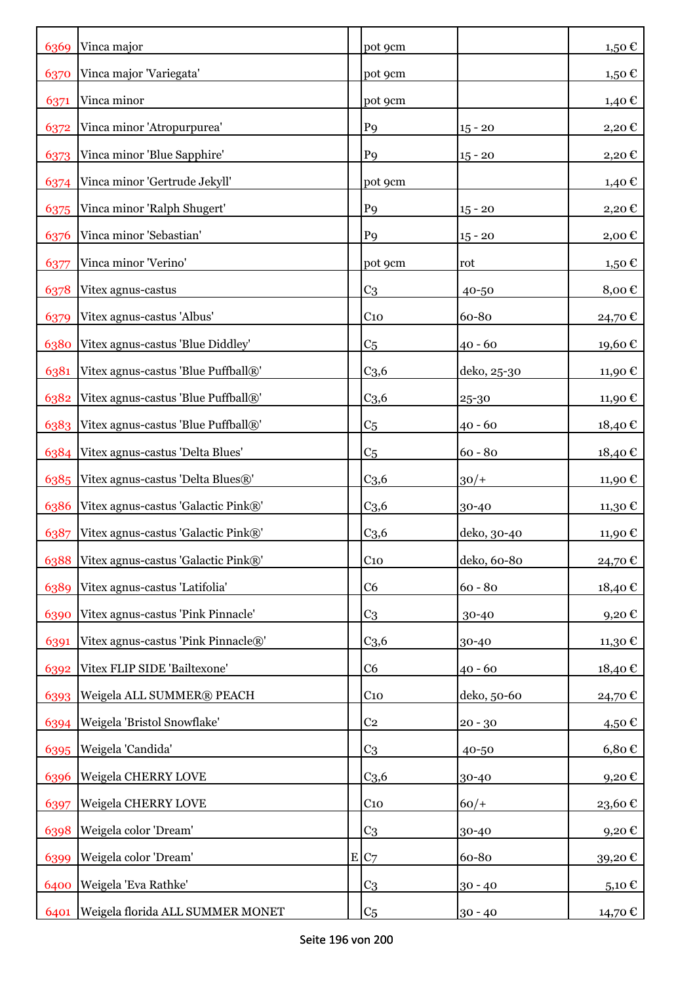| 6369 | Vinca major                              | pot 9cm          |             | $1,50 \in$          |
|------|------------------------------------------|------------------|-------------|---------------------|
| 6370 | Vinca major 'Variegata'                  | pot 9cm          |             | 1,50 €              |
| 6371 | Vinca minor                              | pot 9cm          |             | 1,40 €              |
| 6372 | Vinca minor 'Atropurpurea'               | P <sub>9</sub>   | $15 - 20$   | 2,20€               |
| 6373 | Vinca minor 'Blue Sapphire'              | P <sub>9</sub>   | $15 - 20$   | 2,20€               |
| 6374 | Vinca minor 'Gertrude Jekyll'            | pot 9cm          |             | 1,40 €              |
| 6375 | Vinca minor 'Ralph Shugert'              | P <sub>9</sub>   | $15 - 20$   | 2,20€               |
| 6376 | Vinca minor 'Sebastian'                  | P <sub>9</sub>   | $15 - 20$   | 2,00€               |
| 6377 | Vinca minor 'Verino'                     | pot 9cm          | rot         | 1,50 €              |
| 6378 | Vitex agnus-castus                       | C <sub>3</sub>   | 40-50       | 8,00€               |
| 6379 | Vitex agnus-castus 'Albus'               | C <sub>10</sub>  | 60-80       | 24,70€              |
| 6380 | Vitex agnus-castus 'Blue Diddley'        | C <sub>5</sub>   | $40 - 60$   | 19,60€              |
| 6381 | Vitex agnus-castus 'Blue Puffball®'      | C <sub>3,6</sub> | deko, 25-30 | 11,90€              |
| 6382 | Vitex agnus-castus 'Blue Puffball®'      | C <sub>3,6</sub> | 25-30       | 11,90 €             |
| 6383 | Vitex agnus-castus 'Blue Puffball®'      | C <sub>5</sub>   | $40 - 60$   | 18,40€              |
| 6384 | Vitex agnus-castus 'Delta Blues'         | C <sub>5</sub>   | $60 - 80$   | 18,40€              |
| 6385 | Vitex agnus-castus 'Delta Blues®'        | C <sub>3,6</sub> | $30/+$      | 11,90 €             |
| 6386 | Vitex agnus-castus 'Galactic Pink®'      | C <sub>3,6</sub> | 30-40       | 11,30€              |
| 6387 | Vitex agnus-castus 'Galactic Pink®'      | C <sub>3,6</sub> | deko, 30-40 | 11,90€              |
|      | 6388 Vitex agnus-castus 'Galactic Pink®' | C <sub>10</sub>  | deko, 60-80 | 24,70€              |
| 6389 | Vitex agnus-castus 'Latifolia'           | C <sub>6</sub>   | $60 - 80$   | 18,40 €             |
| 6390 | Vitex agnus-castus 'Pink Pinnacle'       | C <sub>3</sub>   | 30-40       | 9,20€               |
| 6391 | Vitex agnus-castus 'Pink Pinnacle®'      | C <sub>3,6</sub> | 30-40       | 11,30 €             |
| 6392 | Vitex FLIP SIDE 'Bailtexone'             | C <sub>6</sub>   | $40 - 60$   | 18,40€              |
| 6393 | Weigela ALL SUMMER® PEACH                | C <sub>10</sub>  | deko, 50-60 | 24,70€              |
| 6394 | Weigela 'Bristol Snowflake'              | C <sub>2</sub>   | $20 - 30$   | 4,50€               |
| 6395 | Weigela 'Candida'                        | C <sub>3</sub>   | 40-50       | $6,80 \in$          |
| 6396 | Weigela CHERRY LOVE                      | C <sub>3,6</sub> | 30-40       | 9,20€               |
| 6397 | Weigela CHERRY LOVE                      | C <sub>10</sub>  | $60/+$      | 23,60€              |
| 6398 | Weigela color 'Dream'                    | C <sub>3</sub>   | 30-40       | $9,20 \text{ } \in$ |
| 6399 | Weigela color 'Dream'                    | E C7             | 60-80       | 39,20€              |
| 6400 | Weigela 'Eva Rathke'                     | C <sub>3</sub>   | $30 - 40$   | 5,10 $\epsilon$     |
| 6401 | Weigela florida ALL SUMMER MONET         | C <sub>5</sub>   | $30 - 40$   | 14,70 €             |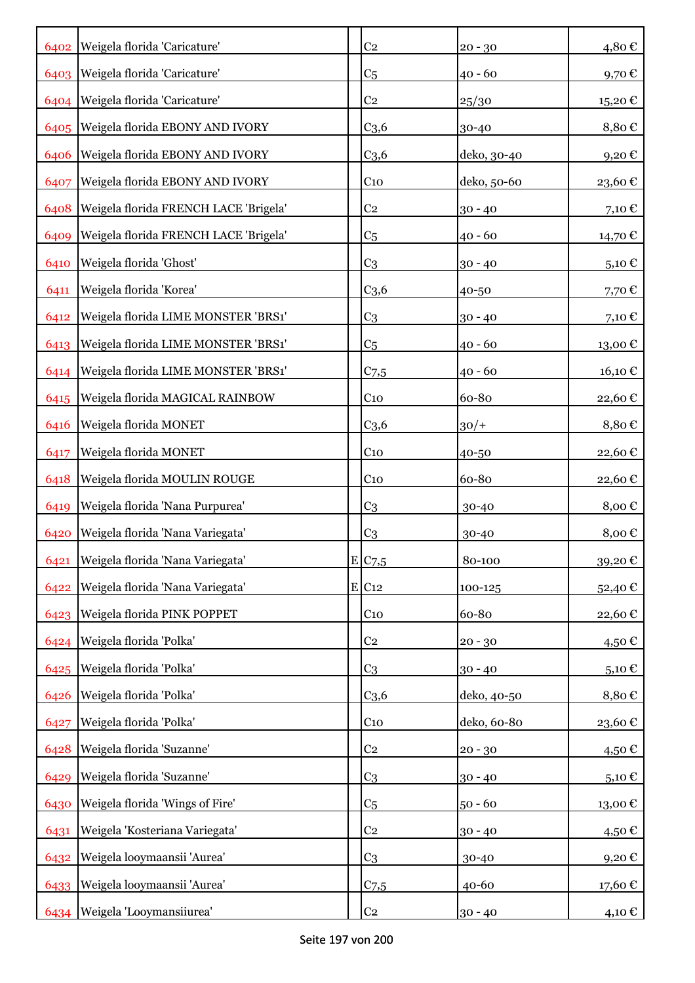| 6402 | Weigela florida 'Caricature'          | C <sub>2</sub>      | $20 - 30$   | 4,80€               |
|------|---------------------------------------|---------------------|-------------|---------------------|
| 6403 | Weigela florida 'Caricature'          | C <sub>5</sub>      | $40 - 60$   | 9,70€               |
| 6404 | Weigela florida 'Caricature'          | C <sub>2</sub>      | 25/30       | 15,20€              |
|      | 6405 Weigela florida EBONY AND IVORY  | C <sub>3,6</sub>    | 30-40       | 8,80€               |
| 6406 | Weigela florida EBONY AND IVORY       | C <sub>3,6</sub>    | deko, 30-40 | 9,20€               |
| 6407 | Weigela florida EBONY AND IVORY       | $C_{10}$            | deko, 50-60 | 23,60€              |
| 6408 | Weigela florida FRENCH LACE 'Brigela' | C <sub>2</sub>      | $30 - 40$   | 7,10€               |
| 6409 | Weigela florida FRENCH LACE 'Brigela' | C <sub>5</sub>      | $40 - 60$   | 14,70 €             |
| 6410 | Weigela florida 'Ghost'               | C <sub>3</sub>      | $30 - 40$   | $5,10 \in$          |
| 6411 | Weigela florida 'Korea'               | C <sub>3,6</sub>    | 40-50       | 7,70€               |
| 6412 | Weigela florida LIME MONSTER 'BRS1'   | C <sub>3</sub>      | $30 - 40$   | 7,10 €              |
| 6413 | Weigela florida LIME MONSTER 'BRS1'   | C <sub>5</sub>      | $40 - 60$   | 13,00€              |
| 6414 | Weigela florida LIME MONSTER 'BRS1'   | $C$ 7,5             | $40 - 60$   | 16,10€              |
| 6415 | Weigela florida MAGICAL RAINBOW       | $C_{10}$            | 60-80       | 22,60€              |
| 6416 | Weigela florida MONET                 | C <sub>3,6</sub>    | $30/+$      | 8,80€               |
| 6417 | Weigela florida MONET                 | C <sub>10</sub>     | 40-50       | 22,60€              |
| 6418 | Weigela florida MOULIN ROUGE          | $C_{10}$            | 60-80       | 22,60€              |
| 6419 | Weigela florida 'Nana Purpurea'       | C <sub>3</sub>      | 30-40       | 8,00€               |
| 6420 | Weigela florida 'Nana Variegata'      | C <sub>3</sub>      | 30-40       | 8,00€               |
| 6421 | Weigela florida 'Nana Variegata'      | E C7,5              | 80-100      | 39,20€              |
| 6422 | Weigela florida 'Nana Variegata'      | $E$ C <sub>12</sub> | 100-125     | 52,40€              |
| 6423 | Weigela florida PINK POPPET           | C <sub>10</sub>     | 60-80       | 22,60€              |
| 6424 | Weigela florida 'Polka'               | C <sub>2</sub>      | $20 - 30$   | 4,50€               |
| 6425 | Weigela florida 'Polka'               | C <sub>3</sub>      | $30 - 40$   | 5,10 $\in$          |
| 6426 | Weigela florida 'Polka'               | C <sub>3,6</sub>    | deko, 40-50 | 8,80€               |
| 6427 | Weigela florida 'Polka'               | $C_{10}$            | deko, 60-80 | 23,60€              |
| 6428 | Weigela florida 'Suzanne'             | C <sub>2</sub>      | $20 - 30$   | 4,50€               |
| 6429 | Weigela florida 'Suzanne'             | C <sub>3</sub>      | $30 - 40$   | 5,10 $\epsilon$     |
| 6430 | Weigela florida 'Wings of Fire'       | C <sub>5</sub>      | $50 - 60$   | 13,00€              |
| 6431 | Weigela 'Kosteriana Variegata'        | C <sub>2</sub>      | $30 - 40$   | 4,50€               |
| 6432 | Weigela looymaansii 'Aurea'           | C <sub>3</sub>      | 30-40       | $9,20 \text{ } \in$ |
|      | 6433 Weigela looymaansii 'Aurea'      | C <sub>7,5</sub>    | 40-60       | 17,60 €             |
| 6434 | Weigela 'Looymansiiurea'              | C <sub>2</sub>      | $30 - 40$   | 4,10 €              |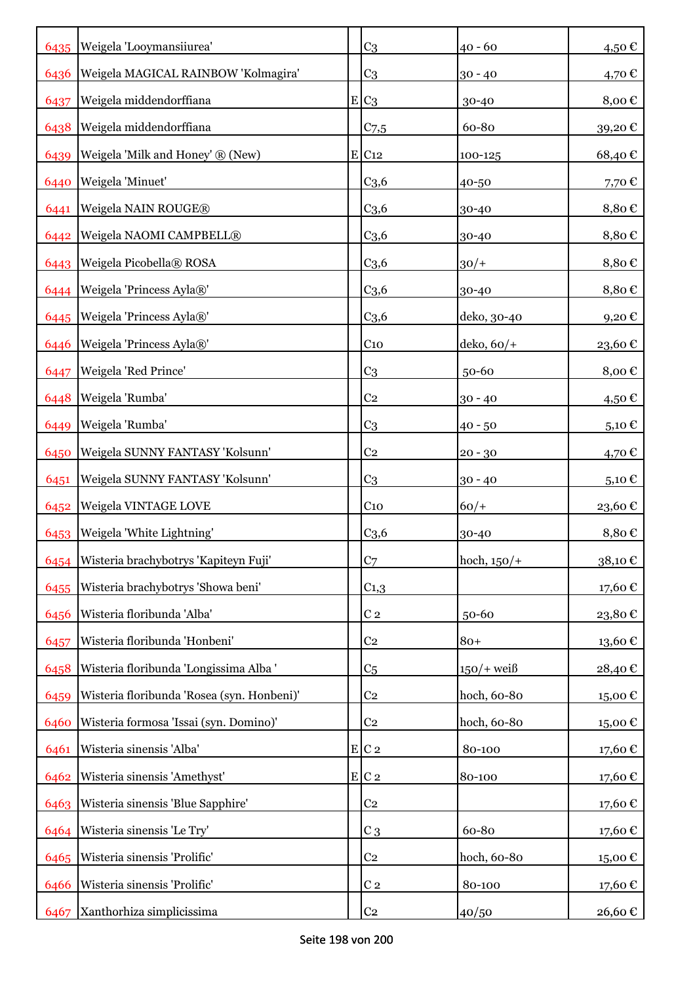|      | 6435   Weigela 'Looymansiiurea'            | C <sub>3</sub>      | $40 - 60$     | 4,50€      |
|------|--------------------------------------------|---------------------|---------------|------------|
| 6436 | Weigela MAGICAL RAINBOW 'Kolmagira'        | C <sub>3</sub>      | $30 - 40$     | 4,70 €     |
| 6437 | Weigela middendorffiana                    | $E C_3$             | 30-40         | 8,00€      |
| 6438 | Weigela middendorffiana                    | C <sub>7,5</sub>    | 60-80         | 39,20€     |
| 6439 | Weigela 'Milk and Honey' ® (New)           | $E$ C <sub>12</sub> | 100-125       | 68,40€     |
| 6440 | Weigela 'Minuet'                           | C <sub>3,6</sub>    | 40-50         | 7,70€      |
| 6441 | Weigela NAIN ROUGE®                        | C <sub>3,6</sub>    | 30-40         | 8,80€      |
| 6442 | Weigela NAOMI CAMPBELL®                    | C <sub>3,6</sub>    | 30-40         | 8,80€      |
|      | 6443 Weigela Picobella® ROSA               | C <sub>3,6</sub>    | $30/+$        | 8,80€      |
|      | 6444   Weigela 'Princess Ayla®'            | C <sub>3,6</sub>    | 30-40         | 8,80€      |
|      | 6445   Weigela 'Princess Ayla®'            | C <sub>3,6</sub>    | deko, 30-40   | 9,20€      |
| 6446 | Weigela 'Princess Ayla®'                   | $C_{10}$            | $deko, 60/+$  | 23,60€     |
| 6447 | Weigela 'Red Prince'                       | C <sub>3</sub>      | 50-60         | 8,00€      |
| 6448 | Weigela 'Rumba'                            | C <sub>2</sub>      | $30 - 40$     | 4,50 €     |
| 6449 | Weigela 'Rumba'                            | C <sub>3</sub>      | $40 - 50$     | $5,10 \in$ |
| 6450 | Weigela SUNNY FANTASY 'Kolsunn'            | C <sub>2</sub>      | $20 - 30$     | 4,70 $\in$ |
| 6451 | Weigela SUNNY FANTASY 'Kolsunn'            | C <sub>3</sub>      | $30 - 40$     | $5,10 \in$ |
| 6452 | Weigela VINTAGE LOVE                       | C <sub>10</sub>     | $60/+$        | 23,60 €    |
| 6453 | Weigela 'White Lightning'                  | C <sub>3,6</sub>    | 30-40         | 8,80€      |
| 6454 | Wisteria brachybotrys 'Kapiteyn Fuji'      | C <sub>7</sub>      | hoch, $150/+$ | 38,10€     |
| 6455 | Wisteria brachybotrys 'Showa beni'         | $C_{1,3}$           |               | 17,60 €    |
| 6456 | Wisteria floribunda 'Alba'                 | C <sub>2</sub>      | $50 - 60$     | 23,80€     |
| 6457 | Wisteria floribunda 'Honbeni'              | C <sub>2</sub>      | $80+$         | 13,60€     |
| 6458 | Wisteria floribunda 'Longissima Alba '     | C <sub>5</sub>      | $150/+$ weiß  | 28,40€     |
| 6459 | Wisteria floribunda 'Rosea (syn. Honbeni)' | C <sub>2</sub>      | hoch, 60-80   | 15,00€     |
| 6460 | Wisteria formosa 'Issai (syn. Domino)'     | C <sub>2</sub>      | hoch, 60-80   | 15,00€     |
| 6461 | Wisteria sinensis 'Alba'                   | $E C_2$             | 80-100        | 17,60€     |
| 6462 | Wisteria sinensis 'Amethyst'               | $E C_2$             | 80-100        | 17,60€     |
| 6463 | Wisteria sinensis 'Blue Sapphire'          | C <sub>2</sub>      |               | 17,60€     |
| 6464 | Wisteria sinensis 'Le Try'                 | $C_3$               | 60-80         | 17,60€     |
| 6465 | Wisteria sinensis 'Prolific'               | C <sub>2</sub>      | hoch, 60-80   | 15,00€     |
| 6466 | Wisteria sinensis 'Prolific'               | C <sub>2</sub>      | 80-100        | 17,60€     |
| 6467 | Xanthorhiza simplicissima                  | C <sub>2</sub>      | 40/50         | 26,60 €    |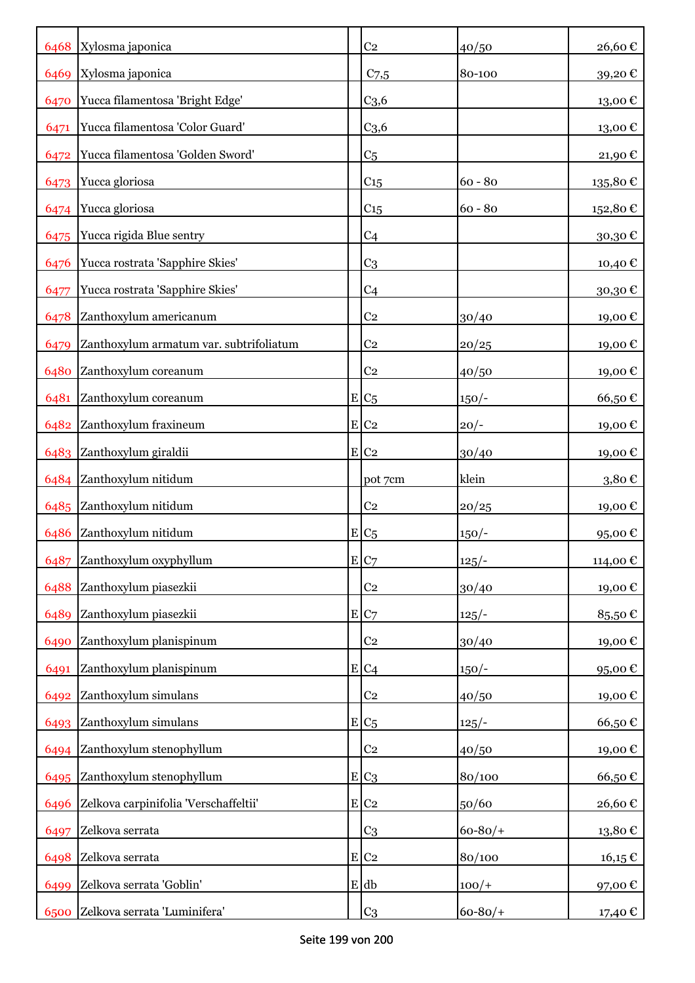|      | 6468 Xylosma japonica                   |           | C <sub>2</sub>     | 40/50      | 26,60€                 |
|------|-----------------------------------------|-----------|--------------------|------------|------------------------|
|      | 6469 Xylosma japonica                   |           | $C$ 7,5            | 80-100     | 39,20€                 |
| 6470 | Yucca filamentosa 'Bright Edge'         |           | C <sub>3,6</sub>   |            | 13,00€                 |
| 6471 | Yucca filamentosa 'Color Guard'         |           | C <sub>3,6</sub>   |            | 13,00€                 |
| 6472 | Yucca filamentosa 'Golden Sword'        |           | C <sub>5</sub>     |            | 21,90€                 |
| 6473 | Yucca gloriosa                          |           | C <sub>15</sub>    | $60 - 80$  | 135,80€                |
|      | 6474 Yucca gloriosa                     |           | C <sub>15</sub>    | $60 - 80$  | 152,80€                |
| 6475 | Yucca rigida Blue sentry                |           | C <sub>4</sub>     |            | 30,30€                 |
|      | 6476 Yucca rostrata 'Sapphire Skies'    |           | C <sub>3</sub>     |            | 10,40 €                |
| 6477 | Yucca rostrata 'Sapphire Skies'         |           | C <sub>4</sub>     |            | 30,30€                 |
| 6478 | Zanthoxylum americanum                  |           | C <sub>2</sub>     | 30/40      | 19,00€                 |
| 6479 | Zanthoxylum armatum var. subtrifoliatum |           | C <sub>2</sub>     | 20/25      | 19,00€                 |
| 6480 | Zanthoxylum coreanum                    |           | C <sub>2</sub>     | 40/50      | 19,00€                 |
| 6481 | Zanthoxylum coreanum                    |           | $E C_5$            | $150/-$    | 66,50€                 |
| 6482 | Zanthoxylum fraxineum                   |           | $E$ C <sub>2</sub> | $20/-$     | 19,00€                 |
|      | 6483 Zanthoxylum giraldii               |           | $E$ C <sub>2</sub> | 30/40      | 19,00€                 |
|      | 6484 Zanthoxylum nitidum                |           | pot 7cm            | klein      | 3,80€                  |
|      | 6485 Zanthoxylum nitidum                |           | C <sub>2</sub>     | 20/25      | 19,00€                 |
| 6486 | Zanthoxylum nitidum                     |           | $E_{C5}$           | $150/-$    | 95,00€                 |
| 6487 | Zanthoxylum oxyphyllum                  |           | E C7               | $125/-$    | 114,00€                |
| 6488 | Zanthoxylum piasezkii                   |           | C <sub>2</sub>     | 30/40      | 19,00€                 |
| 6489 | Zanthoxylum piasezkii                   | ${\bf E}$ | C <sub>7</sub>     | $125/-$    | 85,50€                 |
| 6490 | Zanthoxylum planispinum                 |           | C <sub>2</sub>     | 30/40      | 19,00€                 |
| 6491 | Zanthoxylum planispinum                 |           | $E C_4$            | $150/-$    | 95,00€                 |
| 6492 | Zanthoxylum simulans                    |           | C <sub>2</sub>     | 40/50      | 19,00€                 |
| 6493 | Zanthoxylum simulans                    |           | $E C_5$            | $125/-$    | 66,50€                 |
| 6494 | Zanthoxylum stenophyllum                |           | C <sub>2</sub>     | 40/50      | 19,00€                 |
| 6495 | Zanthoxylum stenophyllum                |           | $E C_3$            | 80/100     | 66,50€                 |
| 6496 | Zelkova carpinifolia 'Verschaffeltii'   |           | $E$ C <sub>2</sub> | 50/60      | 26,60€                 |
| 6497 | Zelkova serrata                         |           | C <sub>3</sub>     | $60 - 80/$ | $13,\!80$ $\mathbb{C}$ |
| 6498 | Zelkova serrata                         |           | $E$ C <sub>2</sub> | 80/100     | $16,15 \in$            |
| 6499 | Zelkova serrata 'Goblin'                |           | E db               | $100/+$    | 97,00€                 |
| 6500 | Zelkova serrata 'Luminifera'            |           | C <sub>3</sub>     | $60 - 80/$ | 17,40 €                |